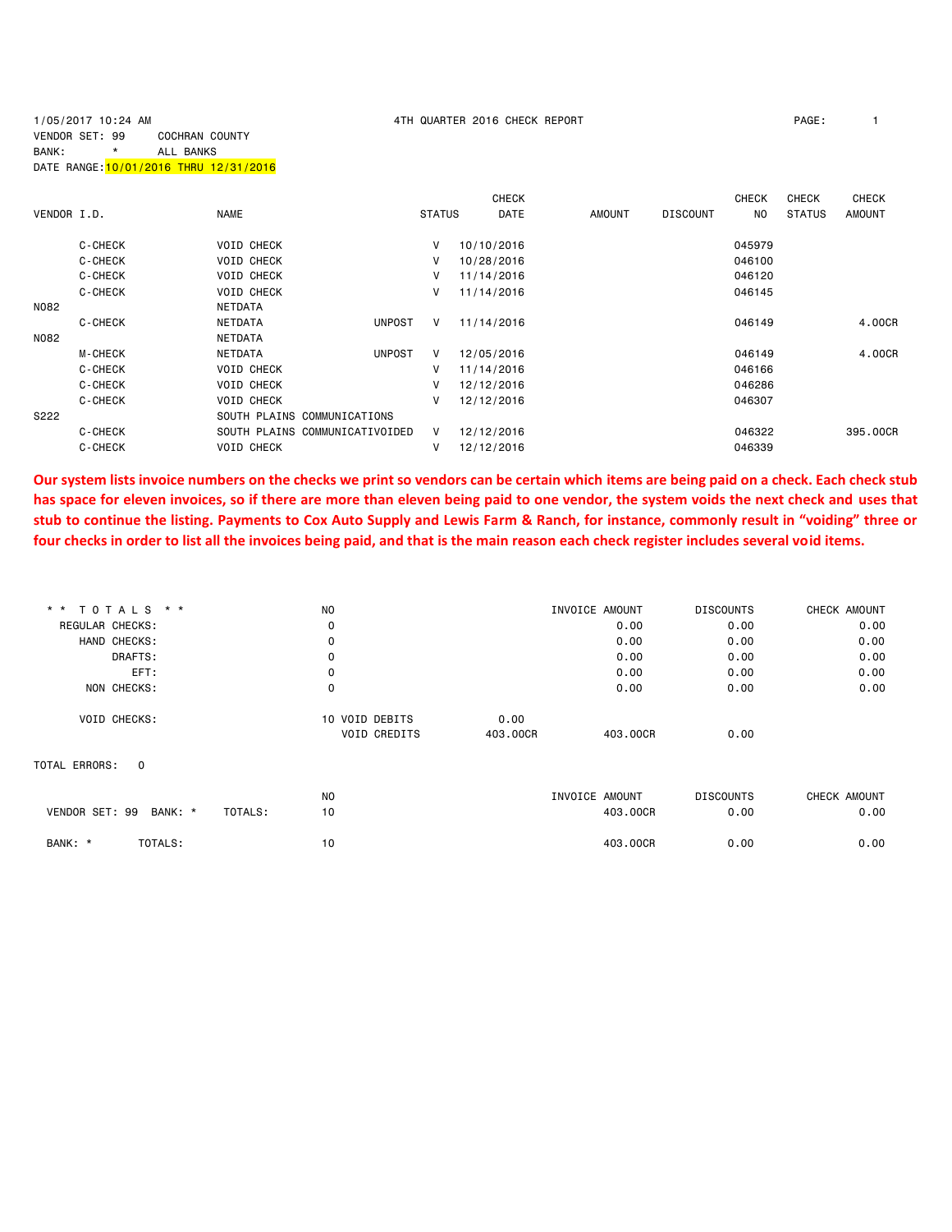## 1/05/2017 10:24 AM 4TH QUARTER 2016 CHECK REPORT PAGE: 1 VENDOR SET: 99 COCHRAN COUNTY BANK: \* ALL BANKS DATE RANGE:10/01/2016 THRU 12/31/2016

|             |                |                                |                    | <b>CHECK</b> |               |                 | <b>CHECK</b> | <b>CHECK</b>  | <b>CHECK</b>  |
|-------------|----------------|--------------------------------|--------------------|--------------|---------------|-----------------|--------------|---------------|---------------|
| VENDOR I.D. |                | <b>NAME</b>                    | <b>STATUS</b>      | <b>DATE</b>  | <b>AMOUNT</b> | <b>DISCOUNT</b> | NO.          | <b>STATUS</b> | <b>AMOUNT</b> |
|             | C-CHECK        | <b>VOID CHECK</b>              | V                  | 10/10/2016   |               |                 | 045979       |               |               |
|             | C-CHECK        | <b>VOID CHECK</b>              | v                  | 10/28/2016   |               |                 | 046100       |               |               |
|             | C-CHECK        | <b>VOID CHECK</b>              | V                  | 11/14/2016   |               |                 | 046120       |               |               |
|             | C-CHECK        | <b>VOID CHECK</b>              | V                  | 11/14/2016   |               |                 | 046145       |               |               |
| N082        |                | NETDATA                        |                    |              |               |                 |              |               |               |
|             | C-CHECK        | NETDATA                        | <b>UNPOST</b><br>V | 11/14/2016   |               |                 | 046149       |               | 4.00CR        |
| N082        |                | <b>NETDATA</b>                 |                    |              |               |                 |              |               |               |
|             | <b>M-CHECK</b> | <b>NETDATA</b>                 | <b>UNPOST</b><br>V | 12/05/2016   |               |                 | 046149       |               | 4,00CR        |
|             | C-CHECK        | <b>VOID CHECK</b>              | V                  | 11/14/2016   |               |                 | 046166       |               |               |
|             | C-CHECK        | <b>VOID CHECK</b>              | V                  | 12/12/2016   |               |                 | 046286       |               |               |
|             | C-CHECK        | <b>VOID CHECK</b>              | v                  | 12/12/2016   |               |                 | 046307       |               |               |
| S222        |                | SOUTH PLAINS COMMUNICATIONS    |                    |              |               |                 |              |               |               |
|             | C-CHECK        | SOUTH PLAINS COMMUNICATIVOIDED | V                  | 12/12/2016   |               |                 | 046322       |               | 395,00CR      |
|             | C-CHECK        | <b>VOID CHECK</b>              | V                  | 12/12/2016   |               |                 | 046339       |               |               |

**Our system lists invoice numbers on the checks we print so vendors can be certain which items are being paid on a check. Each check stub has space for eleven invoices, so if there are more than eleven being paid to one vendor, the system voids the next check and uses that stub to continue the listing. Payments to Cox Auto Supply and Lewis Farm & Ranch, for instance, commonly result in "voiding" three or four checks in order to list all the invoices being paid, and that is the main reason each check register includes several void items.**

|                    | N <sub>O</sub>                                                                                                                    |          | INVOICE AMOUNT | <b>DISCOUNTS</b> | CHECK AMOUNT |
|--------------------|-----------------------------------------------------------------------------------------------------------------------------------|----------|----------------|------------------|--------------|
|                    | 0                                                                                                                                 |          | 0.00           | 0.00             | 0.00         |
|                    | $\mathbf 0$                                                                                                                       |          | 0.00           | 0.00             | 0.00         |
|                    | 0                                                                                                                                 |          | 0.00           | 0.00             | 0.00         |
|                    | 0                                                                                                                                 |          | 0.00           | 0.00             | 0.00         |
|                    | 0                                                                                                                                 |          | 0.00           | 0.00             | 0.00         |
|                    | 10 VOID DEBITS                                                                                                                    | 0.00     |                |                  |              |
|                    | <b>VOID CREDITS</b>                                                                                                               | 403,00CR | 403,00CR       | 0.00             |              |
|                    |                                                                                                                                   |          |                |                  |              |
|                    | <b>NO</b>                                                                                                                         |          | INVOICE AMOUNT | <b>DISCOUNTS</b> | CHECK AMOUNT |
| BANK: *<br>TOTALS: | 10                                                                                                                                |          | 403.00CR       | 0.00             | 0.00         |
|                    | 10                                                                                                                                |          | 403.00CR       | 0.00             | 0.00         |
| VENDOR SET: 99     | * * TOTALS * *<br>REGULAR CHECKS:<br>HAND CHECKS:<br>DRAFTS:<br>EFT:<br>NON CHECKS:<br><b>VOID CHECKS:</b><br>$\Omega$<br>TOTALS: |          |                |                  |              |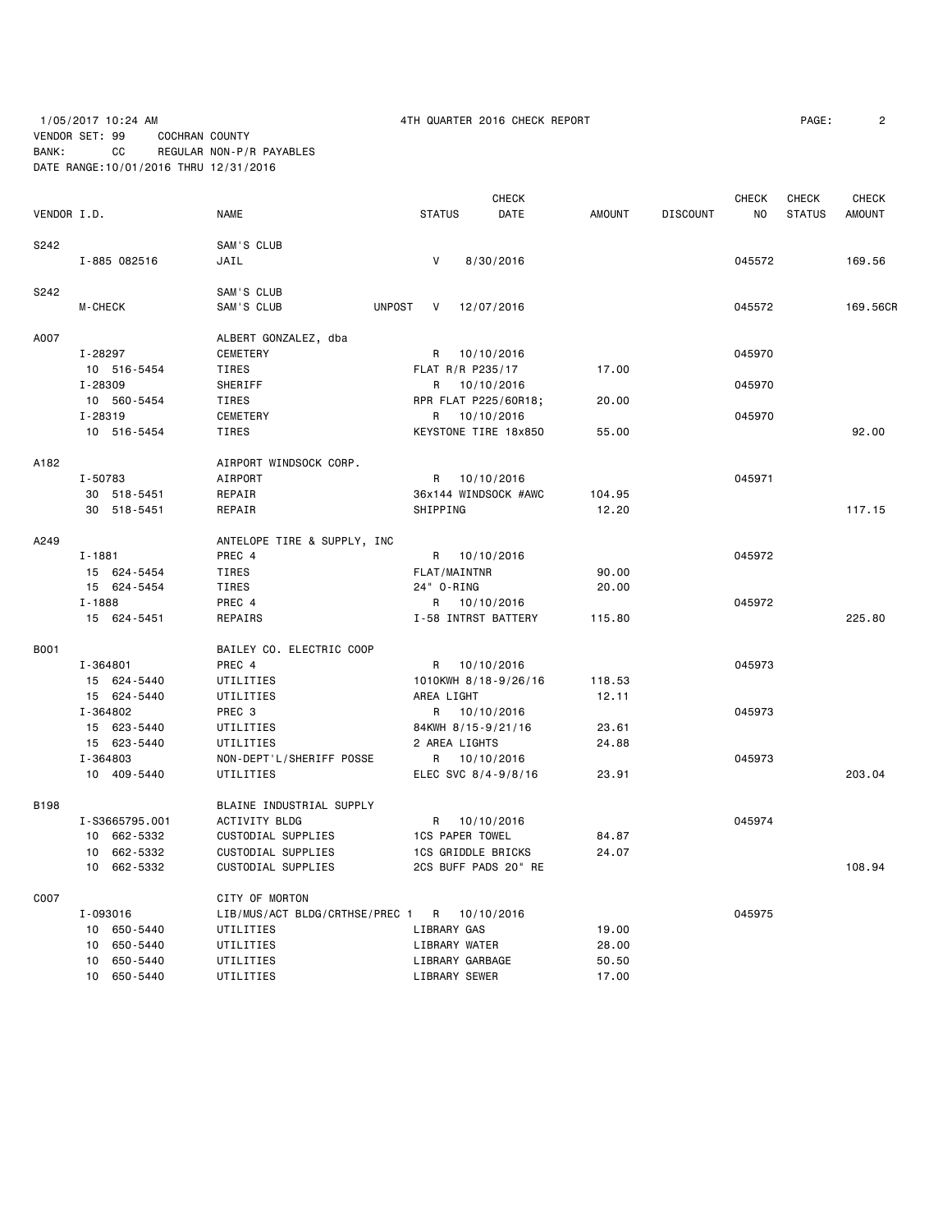1/05/2017 10:24 AM **ACCONTER 2016 CHECK REPORT PAGE:** 2 VENDOR SET: 99 COCHRAN COUNTY BANK: CC REGULAR NON-P/R PAYABLES DATE RANGE:10/01/2016 THRU 12/31/2016

|             |                |                                             | <b>CHECK</b>              |               |                 | CHECK  | CHECK         | <b>CHECK</b>  |
|-------------|----------------|---------------------------------------------|---------------------------|---------------|-----------------|--------|---------------|---------------|
| VENDOR I.D. |                | <b>NAME</b>                                 | <b>STATUS</b><br>DATE     | <b>AMOUNT</b> | <b>DISCOUNT</b> | NO     | <b>STATUS</b> | <b>AMOUNT</b> |
| S242        |                | SAM'S CLUB                                  |                           |               |                 |        |               |               |
|             | I-885 082516   | JAIL                                        | $\mathsf{V}$<br>8/30/2016 |               |                 | 045572 |               | 169.56        |
| S242        |                | SAM'S CLUB                                  |                           |               |                 |        |               |               |
|             | M-CHECK        | SAM'S CLUB                                  | UNPOST<br>V<br>12/07/2016 |               |                 | 045572 |               | 169,56CR      |
| A007        |                | ALBERT GONZALEZ, dba                        |                           |               |                 |        |               |               |
|             | I-28297        | CEMETERY                                    | R 10/10/2016              |               |                 | 045970 |               |               |
|             | 10 516-5454    | TIRES                                       | FLAT R/R P235/17          | 17.00         |                 |        |               |               |
|             | I-28309        | SHERIFF                                     | R 10/10/2016              |               |                 | 045970 |               |               |
|             | 10 560-5454    | TIRES                                       | RPR FLAT P225/60R18;      | 20.00         |                 |        |               |               |
|             | I-28319        | CEMETERY                                    | R 10/10/2016              |               |                 | 045970 |               |               |
|             | 10 516-5454    | TIRES                                       | KEYSTONE TIRE 18x850      | 55.00         |                 |        |               | 92.00         |
| A182        |                | AIRPORT WINDSOCK CORP.                      |                           |               |                 |        |               |               |
|             | I-50783        | AIRPORT                                     | R 10/10/2016              |               |                 | 045971 |               |               |
|             | 30 518-5451    | REPAIR                                      | 36x144 WINDSOCK #AWC      | 104.95        |                 |        |               |               |
|             | 30 518-5451    | REPAIR                                      | SHIPPING                  | 12.20         |                 |        |               | 117.15        |
| A249        |                | ANTELOPE TIRE & SUPPLY, INC                 |                           |               |                 |        |               |               |
|             | $I - 1881$     | PREC 4                                      | R 10/10/2016              |               |                 | 045972 |               |               |
|             | 15 624-5454    | TIRES                                       | FLAT/MAINTNR              | 90.00         |                 |        |               |               |
|             | 15 624-5454    | TIRES                                       | 24" 0-RING                | 20.00         |                 |        |               |               |
|             | $I - 1888$     | PREC 4                                      | R 10/10/2016              |               |                 | 045972 |               |               |
|             | 15 624-5451    | REPAIRS                                     | I-58 INTRST BATTERY       | 115.80        |                 |        |               | 225.80        |
| B001        |                | BAILEY CO. ELECTRIC COOP                    |                           |               |                 |        |               |               |
|             | I-364801       | PREC 4                                      | R<br>10/10/2016           |               |                 | 045973 |               |               |
|             | 15 624-5440    | UTILITIES                                   | 1010KWH 8/18-9/26/16      | 118.53        |                 |        |               |               |
|             | 15 624-5440    | UTILITIES                                   | AREA LIGHT                | 12.11         |                 |        |               |               |
|             | I-364802       | PREC 3                                      | R 10/10/2016              |               |                 | 045973 |               |               |
|             | 15 623-5440    | UTILITIES                                   | 84KWH 8/15-9/21/16        | 23.61         |                 |        |               |               |
|             | 15 623-5440    | UTILITIES                                   | 2 AREA LIGHTS             | 24.88         |                 |        |               |               |
|             | I-364803       | NON-DEPT'L/SHERIFF POSSE                    | R 10/10/2016              |               |                 | 045973 |               |               |
|             | 10 409-5440    | UTILITIES                                   | ELEC SVC 8/4-9/8/16       | 23.91         |                 |        |               | 203.04        |
| B198        |                | BLAINE INDUSTRIAL SUPPLY                    |                           |               |                 |        |               |               |
|             | I-S3665795.001 | <b>ACTIVITY BLDG</b>                        | R 10/10/2016              |               |                 | 045974 |               |               |
|             | 10 662-5332    | CUSTODIAL SUPPLIES                          | <b>1CS PAPER TOWEL</b>    | 84.87         |                 |        |               |               |
|             | 10 662-5332    | CUSTODIAL SUPPLIES                          | <b>1CS GRIDDLE BRICKS</b> | 24.07         |                 |        |               |               |
|             | 10 662-5332    | CUSTODIAL SUPPLIES                          | 2CS BUFF PADS 20" RE      |               |                 |        |               | 108.94        |
| C007        |                | CITY OF MORTON                              |                           |               |                 |        |               |               |
|             | I-093016       | LIB/MUS/ACT BLDG/CRTHSE/PREC 1 R 10/10/2016 |                           |               |                 | 045975 |               |               |
|             | 10 650-5440    | UTILITIES                                   | LIBRARY GAS               | 19.00         |                 |        |               |               |
|             | 10 650-5440    | UTILITIES                                   | LIBRARY WATER             | 28.00         |                 |        |               |               |
|             | 10 650-5440    | UTILITIES                                   | LIBRARY GARBAGE           | 50.50         |                 |        |               |               |
|             | 10 650-5440    | UTILITIES                                   | LIBRARY SEWER             | 17.00         |                 |        |               |               |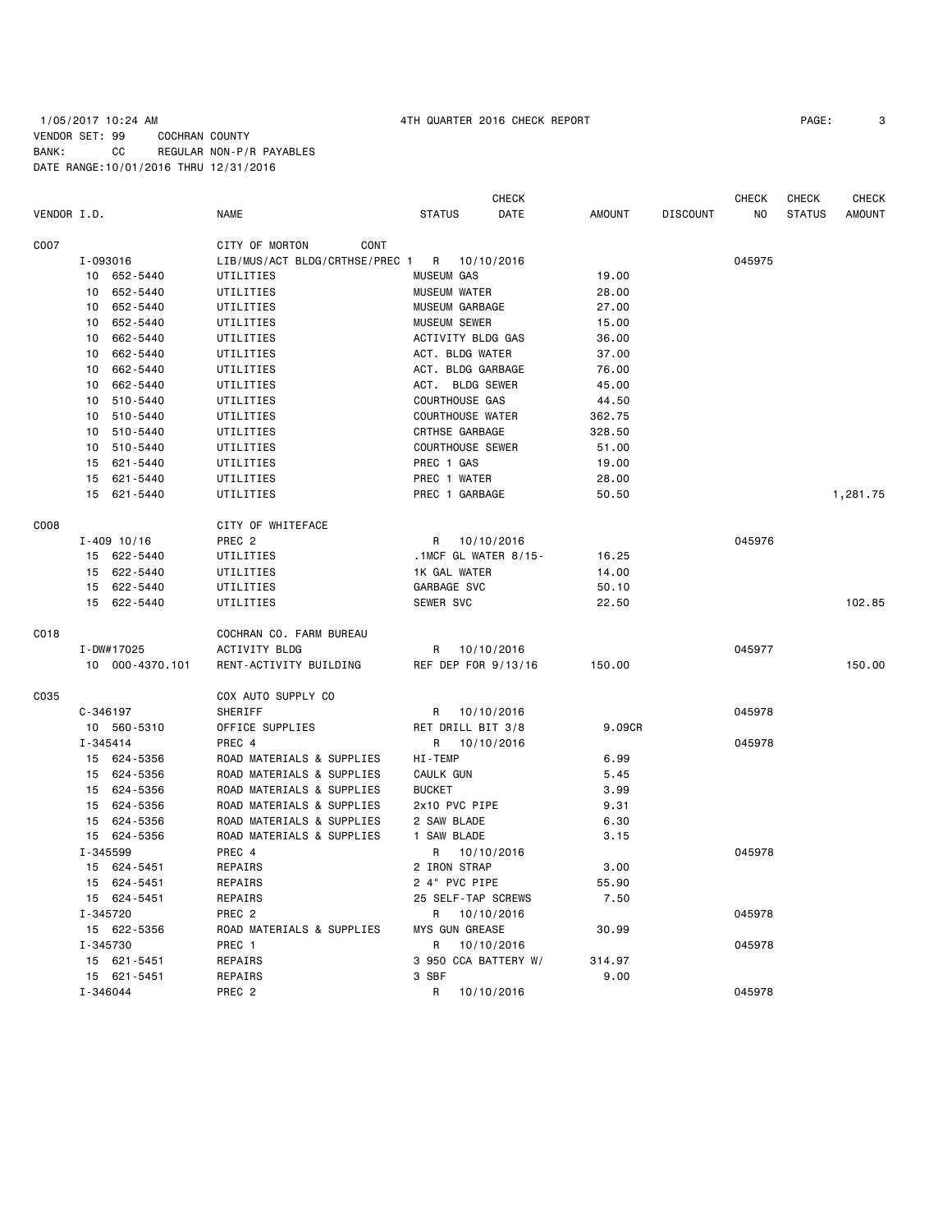# 1/05/2017 10:24 AM 4TH QUARTER 2016 CHECK REPORT PAGE: 3 VENDOR SET: 99 COCHRAN COUNTY BANK: CC REGULAR NON-P/R PAYABLES DATE RANGE:10/01/2016 THRU 12/31/2016

|             |              |                 |                                |                         | <b>CHECK</b> |               |                 | <b>CHECK</b> | CHECK         | <b>CHECK</b>  |
|-------------|--------------|-----------------|--------------------------------|-------------------------|--------------|---------------|-----------------|--------------|---------------|---------------|
| VENDOR I.D. |              |                 | <b>NAME</b>                    | <b>STATUS</b>           | <b>DATE</b>  | <b>AMOUNT</b> | <b>DISCOUNT</b> | NO           | <b>STATUS</b> | <b>AMOUNT</b> |
| C007        |              |                 | CITY OF MORTON<br>CONT         |                         |              |               |                 |              |               |               |
|             | I-093016     |                 | LIB/MUS/ACT BLDG/CRTHSE/PREC 1 | R 10/10/2016            |              |               |                 | 045975       |               |               |
|             |              | 10 652-5440     | UTILITIES                      | <b>MUSEUM GAS</b>       |              | 19.00         |                 |              |               |               |
|             |              | 10 652-5440     | UTILITIES                      | <b>MUSEUM WATER</b>     |              | 28.00         |                 |              |               |               |
|             |              | 10 652-5440     | UTILITIES                      | MUSEUM GARBAGE          |              | 27.00         |                 |              |               |               |
|             |              | 10 652-5440     | UTILITIES                      | <b>MUSEUM SEWER</b>     |              | 15.00         |                 |              |               |               |
|             | 10           | 662-5440        | UTILITIES                      | ACTIVITY BLDG GAS       |              | 36.00         |                 |              |               |               |
|             | 10           | 662-5440        | UTILITIES                      | ACT. BLDG WATER         |              | 37.00         |                 |              |               |               |
|             |              | 10 662-5440     | UTILITIES                      | ACT. BLDG GARBAGE       |              | 76.00         |                 |              |               |               |
|             |              | 10 662-5440     | UTILITIES                      | ACT. BLDG SEWER         |              | 45.00         |                 |              |               |               |
|             |              | 10 510-5440     | UTILITIES                      | <b>COURTHOUSE GAS</b>   |              | 44.50         |                 |              |               |               |
|             | 10           | 510-5440        | UTILITIES                      | <b>COURTHOUSE WATER</b> |              | 362.75        |                 |              |               |               |
|             |              | 10 510-5440     | UTILITIES                      | CRTHSE GARBAGE          |              | 328.50        |                 |              |               |               |
|             |              | 10 510-5440     | UTILITIES                      | <b>COURTHOUSE SEWER</b> |              | 51.00         |                 |              |               |               |
|             |              | 15 621-5440     | UTILITIES                      | PREC 1 GAS              |              | 19.00         |                 |              |               |               |
|             |              | 15 621-5440     | UTILITIES                      | PREC 1 WATER            |              | 28.00         |                 |              |               |               |
|             | 15           | 621-5440        | UTILITIES                      | PREC 1 GARBAGE          |              | 50.50         |                 |              |               | 1,281.75      |
| C008        |              |                 | CITY OF WHITEFACE              |                         |              |               |                 |              |               |               |
|             |              | $I - 409$ 10/16 | PREC <sub>2</sub>              | R 10/10/2016            |              |               |                 | 045976       |               |               |
|             |              | 15 622-5440     | UTILITIES                      | .1MCF GL WATER $8/15$ - |              | 16.25         |                 |              |               |               |
|             |              | 15 622-5440     | UTILITIES                      | 1K GAL WATER            |              | 14.00         |                 |              |               |               |
|             |              | 15 622-5440     | UTILITIES                      | GARBAGE SVC             |              | 50.10         |                 |              |               |               |
|             |              | 15 622-5440     | UTILITIES                      | SEWER SVC               |              | 22.50         |                 |              |               | 102.85        |
| C018        |              |                 | COCHRAN CO. FARM BUREAU        |                         |              |               |                 |              |               |               |
|             |              | I-DW#17025      | ACTIVITY BLDG                  | R                       | 10/10/2016   |               |                 | 045977       |               |               |
|             |              | 10 000-4370.101 | RENT-ACTIVITY BUILDING         | REF DEP FOR 9/13/16     |              | 150.00        |                 |              |               | 150.00        |
| C035        |              |                 | COX AUTO SUPPLY CO             |                         |              |               |                 |              |               |               |
|             | $C - 346197$ |                 | SHERIFF                        | R 10/10/2016            |              |               |                 | 045978       |               |               |
|             |              | 10 560-5310     | OFFICE SUPPLIES                | RET DRILL BIT 3/8       |              | 9.09CR        |                 |              |               |               |
|             | I-345414     |                 | PREC 4                         | R 10/10/2016            |              |               |                 | 045978       |               |               |
|             |              | 15 624-5356     | ROAD MATERIALS & SUPPLIES      | HI-TEMP                 |              | 6.99          |                 |              |               |               |
|             |              | 15 624-5356     | ROAD MATERIALS & SUPPLIES      | CAULK GUN               |              | 5.45          |                 |              |               |               |
|             |              | 15 624-5356     | ROAD MATERIALS & SUPPLIES      | <b>BUCKET</b>           |              | 3.99          |                 |              |               |               |
|             |              | 15 624-5356     | ROAD MATERIALS & SUPPLIES      | 2x10 PVC PIPE           |              | 9.31          |                 |              |               |               |
|             |              | 15 624-5356     | ROAD MATERIALS & SUPPLIES      | 2 SAW BLADE             |              | 6.30          |                 |              |               |               |
|             |              | 15 624-5356     | ROAD MATERIALS & SUPPLIES      | 1 SAW BLADE             |              | 3.15          |                 |              |               |               |
|             | I-345599     |                 | PREC 4                         | R                       | 10/10/2016   |               |                 | 045978       |               |               |
|             |              | 15 624-5451     | REPAIRS                        | 2 IRON STRAP            |              | 3.00          |                 |              |               |               |
|             |              | 15 624-5451     | REPAIRS                        | 2 4" PVC PIPE           |              | 55.90         |                 |              |               |               |
|             |              | 15 624-5451     | REPAIRS                        | 25 SELF-TAP SCREWS      |              | 7.50          |                 |              |               |               |
|             | I-345720     |                 | PREC <sub>2</sub>              | R                       | 10/10/2016   |               |                 | 045978       |               |               |
|             |              | 15 622-5356     | ROAD MATERIALS & SUPPLIES      | <b>MYS GUN GREASE</b>   |              | 30.99         |                 |              |               |               |
|             | I-345730     |                 | PREC 1                         | R                       | 10/10/2016   |               |                 | 045978       |               |               |
|             |              | 15 621-5451     | REPAIRS                        | 3 950 CCA BATTERY W/    |              | 314.97        |                 |              |               |               |
|             |              | 15 621-5451     | REPAIRS                        | 3 SBF                   |              | 9.00          |                 |              |               |               |
|             | I-346044     |                 | PREC <sub>2</sub>              | R                       | 10/10/2016   |               |                 | 045978       |               |               |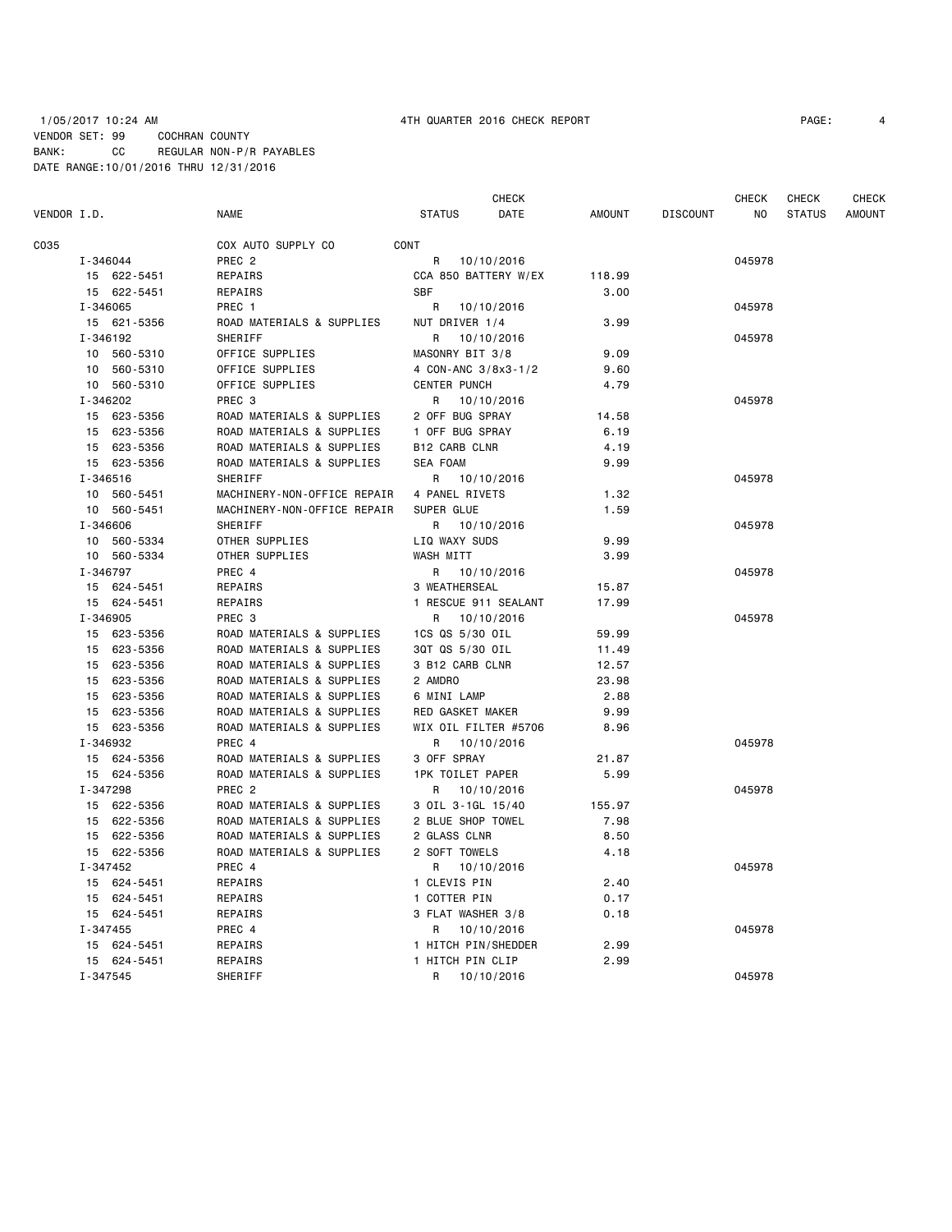## 1/05/2017 10:24 AM 4TH QUARTER 2016 CHECK REPORT PAGE: 4 VENDOR SET: 99 COCHRAN COUNTY BANK: CC REGULAR NON-P/R PAYABLES DATE RANGE:10/01/2016 THRU 12/31/2016

|             |             |                             | CHECK                   |               |                 | CHECK  | CHECK         | CHECK         |
|-------------|-------------|-----------------------------|-------------------------|---------------|-----------------|--------|---------------|---------------|
| VENDOR I.D. |             | <b>NAME</b>                 | <b>STATUS</b><br>DATE   | <b>AMOUNT</b> | <b>DISCOUNT</b> | NO     | <b>STATUS</b> | <b>AMOUNT</b> |
| C035        |             | COX AUTO SUPPLY CO          | CONT                    |               |                 |        |               |               |
|             | I-346044    | PREC <sub>2</sub>           | R<br>10/10/2016         |               |                 | 045978 |               |               |
|             | 15 622-5451 | REPAIRS                     | CCA 850 BATTERY W/EX    | 118.99        |                 |        |               |               |
|             | 15 622-5451 | REPAIRS                     | <b>SBF</b>              | 3.00          |                 |        |               |               |
|             | I-346065    | PREC 1                      | R<br>10/10/2016         |               |                 | 045978 |               |               |
|             | 15 621-5356 | ROAD MATERIALS & SUPPLIES   | NUT DRIVER 1/4          | 3.99          |                 |        |               |               |
|             | I-346192    | SHERIFF                     | R 10/10/2016            |               |                 | 045978 |               |               |
|             | 10 560-5310 | OFFICE SUPPLIES             | MASONRY BIT 3/8         | 9.09          |                 |        |               |               |
|             | 10 560-5310 | OFFICE SUPPLIES             | 4 CON-ANC 3/8x3-1/2     | 9.60          |                 |        |               |               |
|             | 10 560-5310 | OFFICE SUPPLIES             | <b>CENTER PUNCH</b>     | 4.79          |                 |        |               |               |
|             | I-346202    | PREC <sub>3</sub>           | 10/10/2016<br>R         |               |                 | 045978 |               |               |
|             | 15 623-5356 | ROAD MATERIALS & SUPPLIES   | 2 OFF BUG SPRAY         | 14.58         |                 |        |               |               |
|             | 15 623-5356 | ROAD MATERIALS & SUPPLIES   | 1 OFF BUG SPRAY         | 6.19          |                 |        |               |               |
|             | 15 623-5356 | ROAD MATERIALS & SUPPLIES   | <b>B12 CARB CLNR</b>    | 4.19          |                 |        |               |               |
|             | 15 623-5356 | ROAD MATERIALS & SUPPLIES   | <b>SEA FOAM</b>         | 9.99          |                 |        |               |               |
|             | I-346516    | SHERIFF                     | R 10/10/2016            |               |                 | 045978 |               |               |
|             | 10 560-5451 | MACHINERY-NON-OFFICE REPAIR | 4 PANEL RIVETS          | 1.32          |                 |        |               |               |
|             | 10 560-5451 | MACHINERY-NON-OFFICE REPAIR | SUPER GLUE              | 1.59          |                 |        |               |               |
|             | I-346606    | SHERIFF                     | R<br>10/10/2016         |               |                 | 045978 |               |               |
|             | 10 560-5334 | OTHER SUPPLIES              | LIQ WAXY SUDS           | 9.99          |                 |        |               |               |
|             | 10 560-5334 | OTHER SUPPLIES              | WASH MITT               | 3.99          |                 |        |               |               |
|             | I-346797    | PREC 4                      | R 10/10/2016            |               |                 | 045978 |               |               |
|             | 15 624-5451 | REPAIRS                     | 3 WEATHERSEAL           | 15.87         |                 |        |               |               |
|             | 15 624-5451 | REPAIRS                     | 1 RESCUE 911 SEALANT    | 17.99         |                 |        |               |               |
|             | I-346905    | PREC <sub>3</sub>           | R 10/10/2016            |               |                 | 045978 |               |               |
|             | 15 623-5356 | ROAD MATERIALS & SUPPLIES   | 1CS QS 5/30 OIL         | 59.99         |                 |        |               |               |
|             | 15 623-5356 | ROAD MATERIALS & SUPPLIES   | 3QT QS 5/30 OIL         | 11.49         |                 |        |               |               |
|             | 15 623-5356 | ROAD MATERIALS & SUPPLIES   | 3 B12 CARB CLNR         | 12.57         |                 |        |               |               |
|             | 15 623-5356 | ROAD MATERIALS & SUPPLIES   | 2 AMDRO                 | 23.98         |                 |        |               |               |
|             | 15 623-5356 | ROAD MATERIALS & SUPPLIES   | 6 MINI LAMP             | 2.88          |                 |        |               |               |
|             | 15 623-5356 | ROAD MATERIALS & SUPPLIES   | RED GASKET MAKER        | 9.99          |                 |        |               |               |
|             | 15 623-5356 | ROAD MATERIALS & SUPPLIES   | WIX OIL FILTER #5706    | 8.96          |                 |        |               |               |
|             | I-346932    | PREC 4                      | 10/10/2016<br>R         |               |                 | 045978 |               |               |
|             | 15 624-5356 | ROAD MATERIALS & SUPPLIES   | 3 OFF SPRAY             | 21.87         |                 |        |               |               |
|             | 15 624-5356 | ROAD MATERIALS & SUPPLIES   | <b>1PK TOILET PAPER</b> | 5.99          |                 |        |               |               |
|             | I-347298    | PREC <sub>2</sub>           | R 10/10/2016            |               |                 | 045978 |               |               |
|             | 15 622-5356 | ROAD MATERIALS & SUPPLIES   | 3 OIL 3-1GL 15/40       | 155.97        |                 |        |               |               |
|             | 15 622-5356 | ROAD MATERIALS & SUPPLIES   | 2 BLUE SHOP TOWEL       | 7.98          |                 |        |               |               |
|             | 15 622-5356 | ROAD MATERIALS & SUPPLIES   | 2 GLASS CLNR            | 8.50          |                 |        |               |               |
|             | 15 622-5356 | ROAD MATERIALS & SUPPLIES   | 2 SOFT TOWELS           | 4.18          |                 |        |               |               |
|             | I-347452    | PREC 4                      | 10/10/2016<br>R         |               |                 | 045978 |               |               |
|             | 15 624-5451 | REPAIRS                     | 1 CLEVIS PIN            | 2.40          |                 |        |               |               |
|             | 15 624-5451 | REPAIRS                     | 1 COTTER PIN            | 0.17          |                 |        |               |               |
|             | 15 624-5451 | REPAIRS                     | 3 FLAT WASHER 3/8       | 0.18          |                 |        |               |               |
|             | I-347455    | PREC 4                      | R<br>10/10/2016         |               |                 | 045978 |               |               |
|             | 15 624-5451 | REPAIRS                     | 1 HITCH PIN/SHEDDER     | 2.99          |                 |        |               |               |
|             | 15 624-5451 | REPAIRS                     | 1 HITCH PIN CLIP        | 2.99          |                 |        |               |               |
|             | I-347545    | SHERIFF                     | 10/10/2016<br>R         |               |                 | 045978 |               |               |
|             |             |                             |                         |               |                 |        |               |               |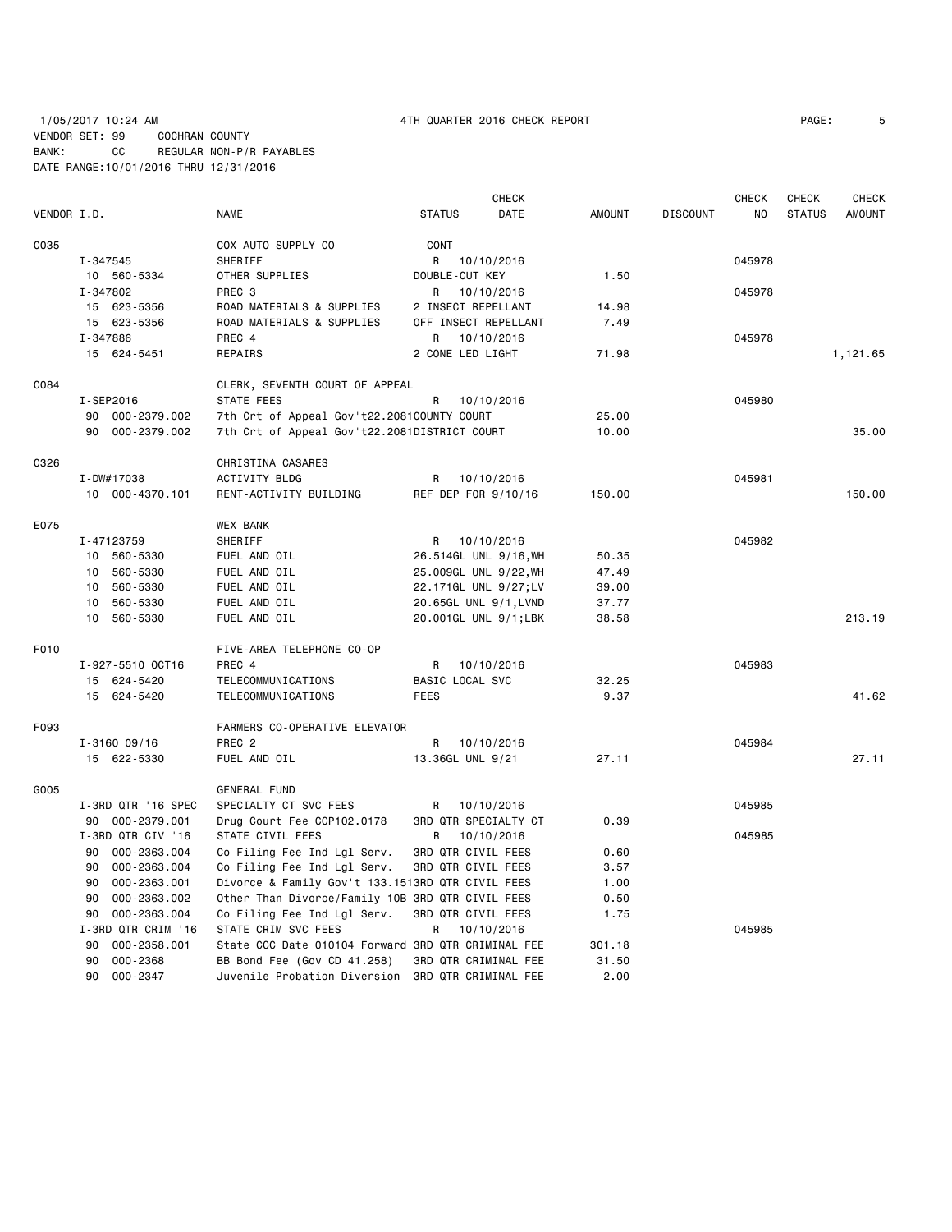# 1/05/2017 10:24 AM 4TH QUARTER 2016 CHECK REPORT PAGE: 5 VENDOR SET: 99 COCHRAN COUNTY BANK: CC REGULAR NON-P/R PAYABLES DATE RANGE:10/01/2016 THRU 12/31/2016

|             |                    |                                                    |                       | CHECK      |               |                 | CHECK  | CHECK         | CHECK         |
|-------------|--------------------|----------------------------------------------------|-----------------------|------------|---------------|-----------------|--------|---------------|---------------|
| VENDOR I.D. |                    | <b>NAME</b>                                        | <b>STATUS</b>         | DATE       | <b>AMOUNT</b> | <b>DISCOUNT</b> | NO.    | <b>STATUS</b> | <b>AMOUNT</b> |
| C035        |                    | COX AUTO SUPPLY CO                                 | CONT                  |            |               |                 |        |               |               |
|             | I-347545           | SHERIFF                                            | R                     | 10/10/2016 |               |                 | 045978 |               |               |
|             | 10 560-5334        | OTHER SUPPLIES                                     | DOUBLE-CUT KEY        |            | 1.50          |                 |        |               |               |
|             | I-347802           | PREC 3                                             | R                     | 10/10/2016 |               |                 | 045978 |               |               |
|             | 15 623-5356        | ROAD MATERIALS & SUPPLIES                          | 2 INSECT REPELLANT    |            | 14.98         |                 |        |               |               |
|             | 15 623-5356        | ROAD MATERIALS & SUPPLIES                          | OFF INSECT REPELLANT  |            | 7.49          |                 |        |               |               |
|             | I-347886           | PREC 4                                             | R                     | 10/10/2016 |               |                 | 045978 |               |               |
|             | 15 624-5451        | REPAIRS                                            | 2 CONE LED LIGHT      |            | 71.98         |                 |        |               | 1,121.65      |
| C084        |                    | CLERK, SEVENTH COURT OF APPEAL                     |                       |            |               |                 |        |               |               |
|             | I-SEP2016          | STATE FEES                                         | R                     | 10/10/2016 |               |                 | 045980 |               |               |
|             | 90 000-2379.002    | 7th Crt of Appeal Gov't22.2081COUNTY COURT         |                       |            | 25.00         |                 |        |               |               |
|             | 90 000-2379.002    | 7th Crt of Appeal Gov't22.2081DISTRICT COURT       |                       |            | 10.00         |                 |        |               | 35.00         |
| C326        |                    | CHRISTINA CASARES                                  |                       |            |               |                 |        |               |               |
|             | I-DW#17038         | ACTIVITY BLDG                                      | R                     | 10/10/2016 |               |                 | 045981 |               |               |
|             | 10 000-4370.101    | RENT-ACTIVITY BUILDING                             | REF DEP FOR 9/10/16   |            | 150.00        |                 |        |               | 150.00        |
| E075        |                    | <b>WEX BANK</b>                                    |                       |            |               |                 |        |               |               |
|             | I-47123759         | SHERIFF                                            | R                     | 10/10/2016 |               |                 | 045982 |               |               |
|             | 10 560-5330        | FUEL AND OIL                                       | 26.514GL UNL 9/16, WH |            | 50.35         |                 |        |               |               |
|             | 10 560-5330        | FUEL AND OIL                                       | 25.009GL UNL 9/22, WH |            | 47.49         |                 |        |               |               |
|             | 560-5330<br>10     | FUEL AND OIL                                       | 22.171GL UNL 9/27;LV  |            | 39.00         |                 |        |               |               |
|             | 10 560-5330        | FUEL AND OIL                                       | 20.65GL UNL 9/1, LVND |            | 37.77         |                 |        |               |               |
|             | 10 560-5330        | FUEL AND OIL                                       | 20.001GL UNL 9/1;LBK  |            | 38.58         |                 |        |               | 213.19        |
| F010        |                    | FIVE-AREA TELEPHONE CO-OP                          |                       |            |               |                 |        |               |               |
|             | I-927-5510 OCT16   | PREC 4                                             | R                     | 10/10/2016 |               |                 | 045983 |               |               |
|             | 15 624-5420        | TELECOMMUNICATIONS                                 | BASIC LOCAL SVC       |            | 32.25         |                 |        |               |               |
|             | 15 624-5420        | TELECOMMUNICATIONS                                 | <b>FEES</b>           |            | 9.37          |                 |        |               | 41.62         |
| F093        |                    | FARMERS CO-OPERATIVE ELEVATOR                      |                       |            |               |                 |        |               |               |
|             | $I - 316009/16$    | PREC 2                                             | R                     | 10/10/2016 |               |                 | 045984 |               |               |
|             | 15 622-5330        | FUEL AND OIL                                       | 13.36GL UNL 9/21      |            | 27.11         |                 |        |               | 27.11         |
| G005        |                    | <b>GENERAL FUND</b>                                |                       |            |               |                 |        |               |               |
|             | I-3RD QTR '16 SPEC | SPECIALTY CT SVC FEES                              | R.                    | 10/10/2016 |               |                 | 045985 |               |               |
|             | 90 000-2379.001    | Drug Court Fee CCP102.0178                         | 3RD QTR SPECIALTY CT  |            | 0.39          |                 |        |               |               |
|             | I-3RD QTR CIV '16  | STATE CIVIL FEES                                   | R                     | 10/10/2016 |               |                 | 045985 |               |               |
|             | 90 000-2363.004    | Co Filing Fee Ind Lgl Serv.                        | 3RD QTR CIVIL FEES    |            | 0.60          |                 |        |               |               |
|             | 000-2363.004<br>90 | Co Filing Fee Ind Lgl Serv.                        | 3RD QTR CIVIL FEES    |            | 3.57          |                 |        |               |               |
|             | 90<br>000-2363.001 | Divorce & Family Gov't 133.1513RD QTR CIVIL FEES   |                       |            | 1.00          |                 |        |               |               |
|             | 000-2363.002<br>90 | Other Than Divorce/Family 10B 3RD QTR CIVIL FEES   |                       |            | 0.50          |                 |        |               |               |
|             | 000-2363.004<br>90 | Co Filing Fee Ind Lgl Serv.                        | 3RD QTR CIVIL FEES    |            | 1.75          |                 |        |               |               |
|             | I-3RD QTR CRIM '16 | STATE CRIM SVC FEES                                | R                     | 10/10/2016 |               |                 | 045985 |               |               |
|             | 000-2358.001<br>90 | State CCC Date 010104 Forward 3RD QTR CRIMINAL FEE |                       |            | 301.18        |                 |        |               |               |
|             | 000-2368<br>90     | BB Bond Fee (Gov CD 41.258)                        | 3RD QTR CRIMINAL FEE  |            | 31.50         |                 |        |               |               |
|             | 90<br>000-2347     | Juvenile Probation Diversion                       | 3RD QTR CRIMINAL FEE  |            | 2.00          |                 |        |               |               |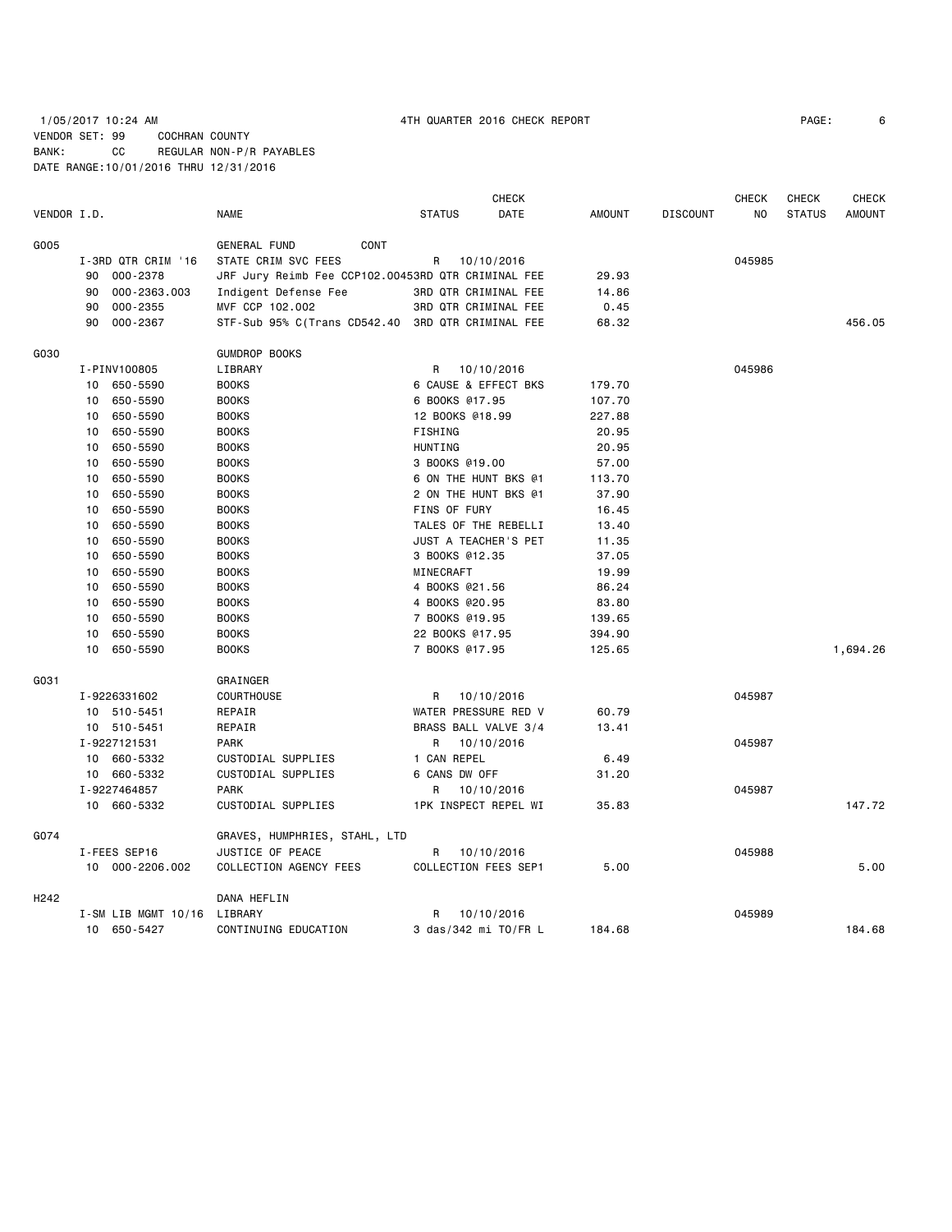# 1/05/2017 10:24 AM 4TH QUARTER 2016 CHECK REPORT PAGE: 6 VENDOR SET: 99 COCHRAN COUNTY BANK: CC REGULAR NON-P/R PAYABLES DATE RANGE:10/01/2016 THRU 12/31/2016

|                  |    |                             |                                                    |                      | <b>CHECK</b>         |               |                 | <b>CHECK</b>   | CHECK         | <b>CHECK</b>  |
|------------------|----|-----------------------------|----------------------------------------------------|----------------------|----------------------|---------------|-----------------|----------------|---------------|---------------|
| VENDOR I.D.      |    |                             | <b>NAME</b>                                        | <b>STATUS</b>        | DATE                 | <b>AMOUNT</b> | <b>DISCOUNT</b> | N <sub>O</sub> | <b>STATUS</b> | <b>AMOUNT</b> |
| G005             |    |                             | <b>GENERAL FUND</b><br>CONT                        |                      |                      |               |                 |                |               |               |
|                  |    | I-3RD QTR CRIM '16          | STATE CRIM SVC FEES                                | R                    | 10/10/2016           |               |                 | 045985         |               |               |
|                  | 90 | 000-2378                    | JRF Jury Reimb Fee CCP102.00453RD QTR CRIMINAL FEE |                      |                      | 29.93         |                 |                |               |               |
|                  | 90 | 000-2363.003                | Indigent Defense Fee                               |                      | 3RD QTR CRIMINAL FEE | 14.86         |                 |                |               |               |
|                  | 90 | 000-2355                    | MVF CCP 102.002                                    |                      | 3RD QTR CRIMINAL FEE | 0.45          |                 |                |               |               |
|                  | 90 | 000-2367                    | STF-Sub 95% C(Trans CD542.40 3RD QTR CRIMINAL FEE  |                      |                      | 68.32         |                 |                |               | 456.05        |
| G030             |    |                             | <b>GUMDROP BOOKS</b>                               |                      |                      |               |                 |                |               |               |
|                  |    | I-PINV100805                | LIBRARY                                            | R                    | 10/10/2016           |               |                 | 045986         |               |               |
|                  |    | 10 650-5590                 | <b>BOOKS</b>                                       |                      | 6 CAUSE & EFFECT BKS | 179.70        |                 |                |               |               |
|                  |    | 10 650-5590                 | <b>BOOKS</b>                                       | 6 BOOKS @17.95       |                      | 107.70        |                 |                |               |               |
|                  | 10 | 650-5590                    | <b>BOOKS</b>                                       | 12 BOOKS @18.99      |                      | 227.88        |                 |                |               |               |
|                  | 10 | 650-5590                    | <b>BOOKS</b>                                       | FISHING              |                      | 20.95         |                 |                |               |               |
|                  | 10 | 650-5590                    | <b>BOOKS</b>                                       | <b>HUNTING</b>       |                      | 20.95         |                 |                |               |               |
|                  | 10 | 650-5590                    | <b>BOOKS</b>                                       | 3 BOOKS @19.00       |                      | 57.00         |                 |                |               |               |
|                  | 10 | 650-5590                    | <b>BOOKS</b>                                       | 6 ON THE HUNT BKS @1 |                      | 113.70        |                 |                |               |               |
|                  | 10 | 650-5590                    | <b>BOOKS</b>                                       | 2 ON THE HUNT BKS @1 |                      | 37.90         |                 |                |               |               |
|                  | 10 | 650-5590                    | <b>BOOKS</b>                                       | FINS OF FURY         |                      | 16.45         |                 |                |               |               |
|                  | 10 | 650-5590                    | <b>BOOKS</b>                                       |                      | TALES OF THE REBELLI | 13.40         |                 |                |               |               |
|                  | 10 | 650-5590                    | <b>BOOKS</b>                                       |                      | JUST A TEACHER'S PET | 11.35         |                 |                |               |               |
|                  | 10 | 650-5590                    | <b>BOOKS</b>                                       | 3 BOOKS @12.35       |                      | 37.05         |                 |                |               |               |
|                  | 10 | 650-5590                    | <b>BOOKS</b>                                       | MINECRAFT            |                      | 19.99         |                 |                |               |               |
|                  | 10 | 650-5590                    | <b>BOOKS</b>                                       | 4 BOOKS @21.56       |                      | 86.24         |                 |                |               |               |
|                  | 10 | 650-5590                    | <b>BOOKS</b>                                       | 4 BOOKS @20.95       |                      | 83.80         |                 |                |               |               |
|                  | 10 | 650-5590                    | <b>BOOKS</b>                                       | 7 BOOKS @19.95       |                      | 139.65        |                 |                |               |               |
|                  | 10 | 650-5590                    | <b>BOOKS</b>                                       | 22 BOOKS @17.95      |                      | 394.90        |                 |                |               |               |
|                  | 10 | 650-5590                    | <b>BOOKS</b>                                       | 7 BOOKS @17.95       |                      | 125.65        |                 |                |               | 1,694.26      |
| G031             |    |                             | GRAINGER                                           |                      |                      |               |                 |                |               |               |
|                  |    | I-9226331602                | <b>COURTHOUSE</b>                                  | R                    | 10/10/2016           |               |                 | 045987         |               |               |
|                  |    | 10 510-5451                 | REPAIR                                             | WATER PRESSURE RED V |                      | 60.79         |                 |                |               |               |
|                  |    | 10 510-5451                 | REPAIR                                             |                      | BRASS BALL VALVE 3/4 | 13.41         |                 |                |               |               |
|                  |    | I-9227121531                | <b>PARK</b>                                        | R                    | 10/10/2016           |               |                 | 045987         |               |               |
|                  |    | 10 660-5332                 | CUSTODIAL SUPPLIES                                 | 1 CAN REPEL          |                      | 6.49          |                 |                |               |               |
|                  |    | 10 660-5332                 | CUSTODIAL SUPPLIES                                 | 6 CANS DW OFF        |                      | 31.20         |                 |                |               |               |
|                  |    | I-9227464857                | <b>PARK</b>                                        | R                    | 10/10/2016           |               |                 | 045987         |               |               |
|                  |    | 10 660-5332                 | CUSTODIAL SUPPLIES                                 |                      | 1PK INSPECT REPEL WI | 35.83         |                 |                |               | 147.72        |
| G074             |    |                             | GRAVES, HUMPHRIES, STAHL, LTD                      |                      |                      |               |                 |                |               |               |
|                  |    | I-FEES SEP16                | JUSTICE OF PEACE                                   | R                    | 10/10/2016           |               |                 | 045988         |               |               |
|                  |    | 10 000-2206.002             | COLLECTION AGENCY FEES                             | COLLECTION FEES SEP1 |                      | 5.00          |                 |                |               | 5.00          |
| H <sub>242</sub> |    |                             | DANA HEFLIN                                        |                      |                      |               |                 |                |               |               |
|                  |    | I-SM LIB MGMT 10/16 LIBRARY |                                                    | R                    | 10/10/2016           |               |                 | 045989         |               |               |
|                  |    | 10 650-5427                 | CONTINUING EDUCATION                               |                      | 3 das/342 mi TO/FR L | 184.68        |                 |                |               | 184.68        |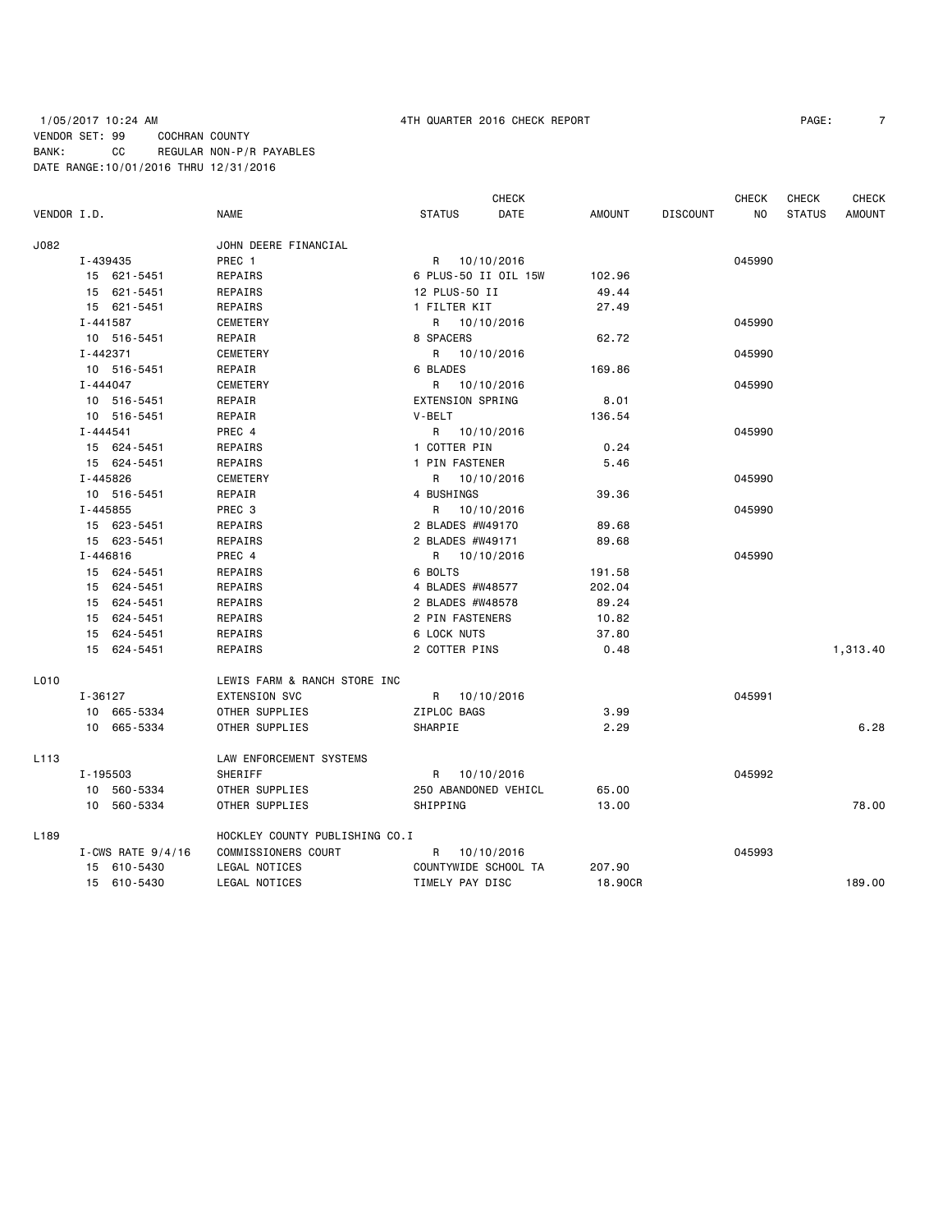## 1/05/2017 10:24 AM 4TH QUARTER 2016 CHECK REPORT PAGE: 7 VENDOR SET: 99 COCHRAN COUNTY BANK: CC REGULAR NON-P/R PAYABLES DATE RANGE:10/01/2016 THRU 12/31/2016

|             |              |                     |                                |               |                         | <b>CHECK</b> |               |                 | CHECK  | <b>CHECK</b>  | <b>CHECK</b>  |
|-------------|--------------|---------------------|--------------------------------|---------------|-------------------------|--------------|---------------|-----------------|--------|---------------|---------------|
| VENDOR I.D. |              |                     | <b>NAME</b>                    | <b>STATUS</b> |                         | DATE         | <b>AMOUNT</b> | <b>DISCOUNT</b> | NO     | <b>STATUS</b> | <b>AMOUNT</b> |
| J082        |              |                     | JOHN DEERE FINANCIAL           |               |                         |              |               |                 |        |               |               |
|             | I-439435     |                     | PREC 1                         | R             | 10/10/2016              |              |               |                 | 045990 |               |               |
|             |              | 15 621-5451         | REPAIRS                        |               | 6 PLUS-50 II OIL 15W    |              | 102.96        |                 |        |               |               |
|             |              | 15 621-5451         | REPAIRS                        |               | 12 PLUS-50 II           |              | 49.44         |                 |        |               |               |
|             |              | 15 621-5451         | REPAIRS                        | 1 FILTER KIT  |                         |              | 27.49         |                 |        |               |               |
|             | $I - 441587$ |                     | CEMETERY                       |               | R 10/10/2016            |              |               |                 | 045990 |               |               |
|             |              | 10 516-5451         | REPAIR                         | 8 SPACERS     |                         |              | 62.72         |                 |        |               |               |
|             | I-442371     |                     | <b>CEMETERY</b>                | R             | 10/10/2016              |              |               |                 | 045990 |               |               |
|             |              | 10 516-5451         | REPAIR                         | 6 BLADES      |                         |              | 169.86        |                 |        |               |               |
|             | $I - 444047$ |                     | CEMETERY                       | R             | 10/10/2016              |              |               |                 | 045990 |               |               |
|             |              | 10 516-5451         | REPAIR                         |               | <b>EXTENSION SPRING</b> |              | 8.01          |                 |        |               |               |
|             |              | 10 516-5451         | REPAIR                         | V-BELT        |                         |              | 136.54        |                 |        |               |               |
|             | $I - 444541$ |                     | PREC 4                         |               | R 10/10/2016            |              |               |                 | 045990 |               |               |
|             |              | 15 624-5451         | REPAIRS                        |               | 1 COTTER PIN            |              | 0.24          |                 |        |               |               |
|             |              | 15 624-5451         | REPAIRS                        |               | 1 PIN FASTENER          |              | 5.46          |                 |        |               |               |
|             | I-445826     |                     | CEMETERY                       | R             | 10/10/2016              |              |               |                 | 045990 |               |               |
|             |              | 10 516-5451         | REPAIR                         | 4 BUSHINGS    |                         |              | 39.36         |                 |        |               |               |
|             | $I - 445855$ |                     | PREC 3                         | R             | 10/10/2016              |              |               |                 | 045990 |               |               |
|             |              | 15 623-5451         | REPAIRS                        |               | 2 BLADES #W49170        |              | 89.68         |                 |        |               |               |
|             |              | 15 623-5451         | REPAIRS                        |               | 2 BLADES #W49171        |              | 89.68         |                 |        |               |               |
|             | $I - 446816$ |                     | PREC 4                         |               | R 10/10/2016            |              |               |                 | 045990 |               |               |
|             |              | 15 624-5451         | REPAIRS                        | 6 BOLTS       |                         |              | 191.58        |                 |        |               |               |
|             | 15           | 624-5451            | REPAIRS                        |               | 4 BLADES #W48577        |              | 202.04        |                 |        |               |               |
|             |              | 15 624-5451         | REPAIRS                        |               | 2 BLADES #W48578        |              | 89.24         |                 |        |               |               |
|             |              | 15 624-5451         | REPAIRS                        |               | 2 PIN FASTENERS         |              | 10.82         |                 |        |               |               |
|             |              | 15 624-5451         | REPAIRS                        | 6 LOCK NUTS   |                         |              | 37.80         |                 |        |               |               |
|             |              | 15 624-5451         | REPAIRS                        |               | 2 COTTER PINS           |              | 0.48          |                 |        |               | 1,313.40      |
| L010        |              |                     | LEWIS FARM & RANCH STORE INC   |               |                         |              |               |                 |        |               |               |
|             | $I - 36127$  |                     | <b>EXTENSION SVC</b>           | R             | 10/10/2016              |              |               |                 | 045991 |               |               |
|             |              | 10 665-5334         | OTHER SUPPLIES                 | ZIPLOC BAGS   |                         |              | 3.99          |                 |        |               |               |
|             |              | 10 665-5334         | OTHER SUPPLIES                 | SHARPIE       |                         |              | 2.29          |                 |        |               | 6.28          |
| L113        |              |                     | LAW ENFORCEMENT SYSTEMS        |               |                         |              |               |                 |        |               |               |
|             | I-195503     |                     | SHERIFF                        |               | R 10/10/2016            |              |               |                 | 045992 |               |               |
|             |              | 10 560-5334         | OTHER SUPPLIES                 |               | 250 ABANDONED VEHICL    |              | 65.00         |                 |        |               |               |
|             |              | 10 560-5334         | OTHER SUPPLIES                 | SHIPPING      |                         |              | 13.00         |                 |        |               | 78.00         |
| L189        |              |                     | HOCKLEY COUNTY PUBLISHING CO.I |               |                         |              |               |                 |        |               |               |
|             |              | I-CWS RATE $9/4/16$ | COMMISSIONERS COURT            | R             | 10/10/2016              |              |               |                 | 045993 |               |               |
|             |              | 15 610-5430         | LEGAL NOTICES                  |               | COUNTYWIDE SCHOOL TA    |              | 207.90        |                 |        |               |               |
|             |              | 15 610-5430         | LEGAL NOTICES                  |               | TIMELY PAY DISC         |              | 18.90CR       |                 |        |               | 189.00        |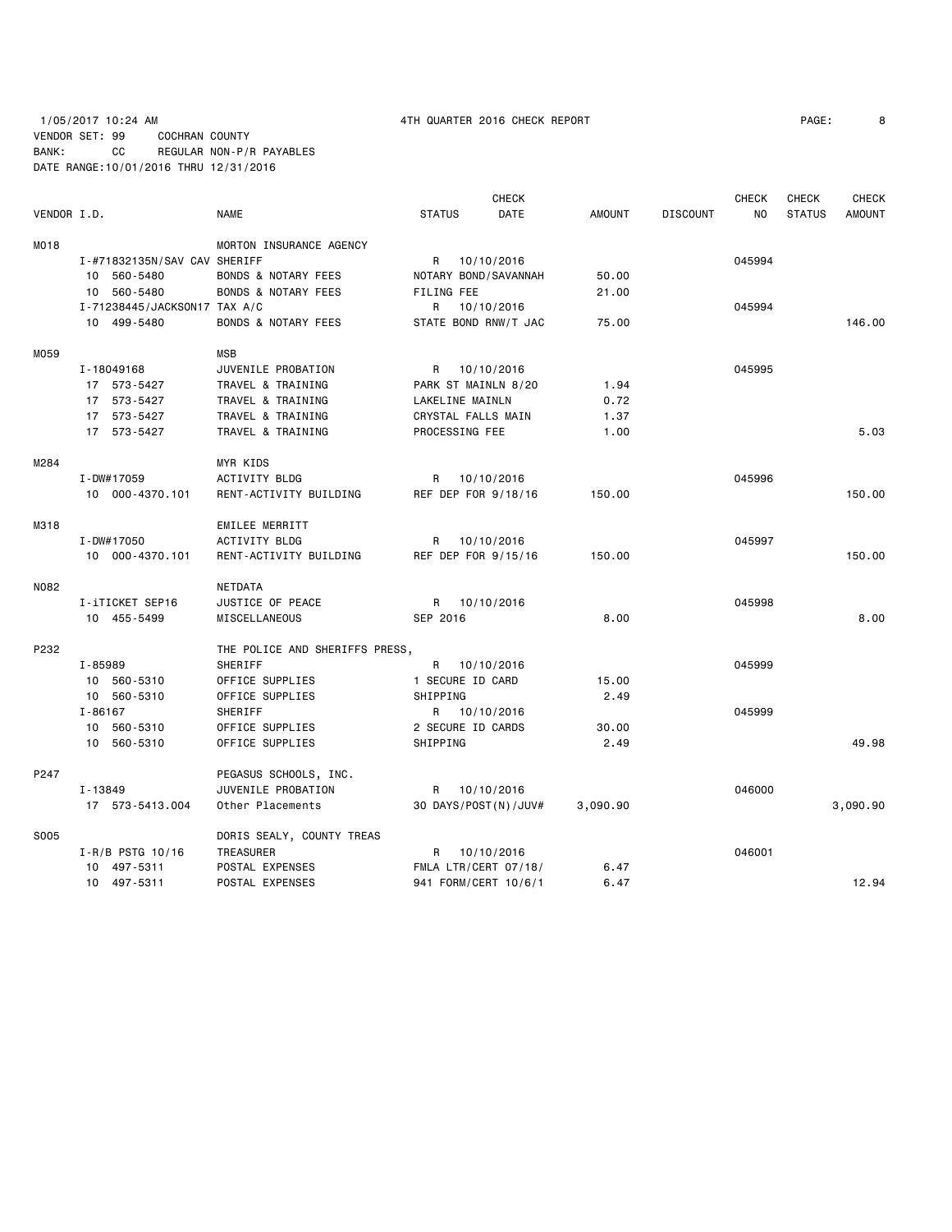## 1/05/2017 10:24 AM 4TH QUARTER 2016 CHECK REPORT PAGE: 8 VENDOR SET: 99 COCHRAN COUNTY BANK: CC REGULAR NON-P/R PAYABLES DATE RANGE:10/01/2016 THRU 12/31/2016

|             |                              |                                |                  | <b>CHECK</b>           |               |                 | <b>CHECK</b> | <b>CHECK</b>  | <b>CHECK</b>  |
|-------------|------------------------------|--------------------------------|------------------|------------------------|---------------|-----------------|--------------|---------------|---------------|
| VENDOR I.D. |                              | <b>NAME</b>                    | <b>STATUS</b>    | <b>DATE</b>            | <b>AMOUNT</b> | <b>DISCOUNT</b> | <b>NO</b>    | <b>STATUS</b> | <b>AMOUNT</b> |
| M018        |                              | MORTON INSURANCE AGENCY        |                  |                        |               |                 |              |               |               |
|             | I-#71832135N/SAV CAV SHERIFF |                                |                  | R 10/10/2016           |               |                 | 045994       |               |               |
|             | 10 560-5480                  | <b>BONDS &amp; NOTARY FEES</b> |                  | NOTARY BOND / SAVANNAH | 50.00         |                 |              |               |               |
|             | 10 560-5480                  | <b>BONDS &amp; NOTARY FEES</b> | FILING FEE       |                        | 21.00         |                 |              |               |               |
|             | I-71238445/JACKSON17 TAX A/C |                                | R                | 10/10/2016             |               |                 | 045994       |               |               |
|             | 10 499-5480                  | <b>BONDS &amp; NOTARY FEES</b> |                  | STATE BOND RNW/T JAC   | 75.00         |                 |              |               | 146.00        |
| M059        |                              | <b>MSB</b>                     |                  |                        |               |                 |              |               |               |
|             | I-18049168                   | JUVENILE PROBATION             |                  | R 10/10/2016           |               |                 | 045995       |               |               |
|             | 17 573-5427                  | TRAVEL & TRAINING              |                  | PARK ST MAINLN 8/20    | 1.94          |                 |              |               |               |
|             | 17 573-5427                  | TRAVEL & TRAINING              | LAKELINE MAINLN  |                        | 0.72          |                 |              |               |               |
|             | 17 573-5427                  | TRAVEL & TRAINING              |                  | CRYSTAL FALLS MAIN     | 1.37          |                 |              |               |               |
|             | 17 573-5427                  | TRAVEL & TRAINING              | PROCESSING FEE   |                        | 1.00          |                 |              |               | 5.03          |
| M284        |                              | <b>MYR KIDS</b>                |                  |                        |               |                 |              |               |               |
|             | I-DW#17059                   | <b>ACTIVITY BLDG</b>           | R                | 10/10/2016             |               |                 | 045996       |               |               |
|             | 10 000-4370.101              | RENT-ACTIVITY BUILDING         |                  | REF DEP FOR 9/18/16    | 150.00        |                 |              |               | 150.00        |
| M318        |                              | <b>EMILEE MERRITT</b>          |                  |                        |               |                 |              |               |               |
|             | $I - DW#17050$               | <b>ACTIVITY BLDG</b>           |                  | R 10/10/2016           |               |                 | 045997       |               |               |
|             | 10 000-4370.101              | RENT-ACTIVITY BUILDING         |                  | REF DEP FOR 9/15/16    | 150.00        |                 |              |               | 150.00        |
| N082        |                              | NETDATA                        |                  |                        |               |                 |              |               |               |
|             | I-iTICKET SEP16              | JUSTICE OF PEACE               |                  | R 10/10/2016           |               |                 | 045998       |               |               |
|             | 10 455-5499                  | MISCELLANEOUS                  | SEP 2016         |                        | 8,00          |                 |              |               | 8.00          |
| P232        |                              | THE POLICE AND SHERIFFS PRESS, |                  |                        |               |                 |              |               |               |
|             | I-85989                      | SHERIFF                        |                  | R 10/10/2016           |               |                 | 045999       |               |               |
|             | 10 560-5310                  | OFFICE SUPPLIES                | 1 SECURE ID CARD |                        | 15.00         |                 |              |               |               |
|             | 10 560-5310                  | OFFICE SUPPLIES                | SHIPPING         |                        | 2.49          |                 |              |               |               |
|             | $I - 86167$                  | SHERIFF                        |                  | R 10/10/2016           |               |                 | 045999       |               |               |
|             | 10 560-5310                  | OFFICE SUPPLIES                |                  | 2 SECURE ID CARDS      | 30.00         |                 |              |               |               |
|             | 10 560-5310                  | OFFICE SUPPLIES                | SHIPPING         |                        | 2.49          |                 |              |               | 49.98         |
| P247        |                              | PEGASUS SCHOOLS, INC.          |                  |                        |               |                 |              |               |               |
|             | I-13849                      | JUVENILE PROBATION             |                  | R 10/10/2016           |               |                 | 046000       |               |               |
|             | 17 573-5413.004              | Other Placements               |                  | 30 DAYS/POST(N)/JUV#   | 3,090.90      |                 |              |               | 3,090.90      |
| S005        |                              | DORIS SEALY, COUNTY TREAS      |                  |                        |               |                 |              |               |               |
|             | $I-R/B$ PSTG 10/16           | TREASURER                      | R                | 10/10/2016             |               |                 | 046001       |               |               |
|             | 10 497-5311                  | POSTAL EXPENSES                |                  | FMLA LTR/CERT 07/18/   | 6.47          |                 |              |               |               |
|             | 10 497-5311                  | POSTAL EXPENSES                |                  | 941 FORM/CERT 10/6/1   | 6.47          |                 |              |               | 12.94         |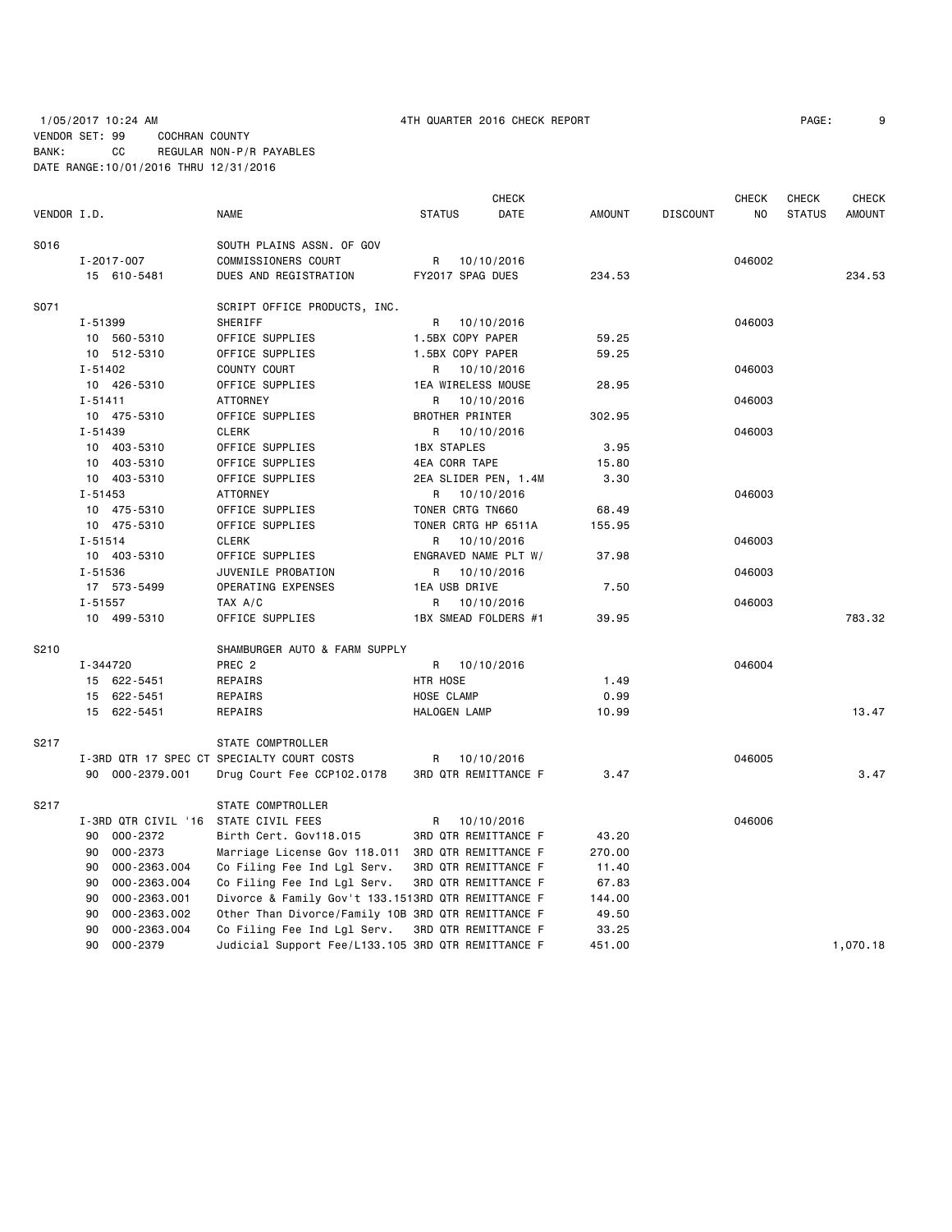|             |                                      |                                                    |                        | <b>CHECK</b> |               |                 | <b>CHECK</b> | <b>CHECK</b>  | <b>CHECK</b>  |
|-------------|--------------------------------------|----------------------------------------------------|------------------------|--------------|---------------|-----------------|--------------|---------------|---------------|
| VENDOR I.D. |                                      | <b>NAME</b>                                        | <b>STATUS</b>          | DATE         | <b>AMOUNT</b> | <b>DISCOUNT</b> | NO.          | <b>STATUS</b> | <b>AMOUNT</b> |
| S016        |                                      | SOUTH PLAINS ASSN. OF GOV                          |                        |              |               |                 |              |               |               |
|             | I-2017-007                           | COMMISSIONERS COURT                                | R                      | 10/10/2016   |               |                 | 046002       |               |               |
|             | 15 610-5481                          | DUES AND REGISTRATION                              | FY2017 SPAG DUES       |              | 234.53        |                 |              |               | 234.53        |
| S071        |                                      | SCRIPT OFFICE PRODUCTS, INC.                       |                        |              |               |                 |              |               |               |
|             | I-51399                              | SHERIFF                                            | R                      | 10/10/2016   |               |                 | 046003       |               |               |
|             | 10 560-5310                          | OFFICE SUPPLIES                                    | 1.5BX COPY PAPER       |              | 59.25         |                 |              |               |               |
|             | 10 512-5310                          | OFFICE SUPPLIES                                    | 1.5BX COPY PAPER       |              | 59.25         |                 |              |               |               |
|             | I-51402                              | COUNTY COURT                                       | R                      | 10/10/2016   |               |                 | 046003       |               |               |
|             | 10 426-5310                          | OFFICE SUPPLIES                                    | 1EA WIRELESS MOUSE     |              | 28.95         |                 |              |               |               |
|             | $I - 51411$                          | <b>ATTORNEY</b>                                    | R                      | 10/10/2016   |               |                 | 046003       |               |               |
|             | 10 475-5310                          | OFFICE SUPPLIES                                    | <b>BROTHER PRINTER</b> |              | 302.95        |                 |              |               |               |
|             | $I - 51439$                          | <b>CLERK</b>                                       | R                      | 10/10/2016   |               |                 | 046003       |               |               |
|             | 10 403-5310                          | OFFICE SUPPLIES                                    | <b>1BX STAPLES</b>     |              | 3.95          |                 |              |               |               |
|             | 10 403-5310                          | OFFICE SUPPLIES                                    | 4EA CORR TAPE          |              | 15.80         |                 |              |               |               |
|             | 10 403-5310                          | OFFICE SUPPLIES                                    | 2EA SLIDER PEN, 1.4M   |              | 3.30          |                 |              |               |               |
|             | I-51453                              | <b>ATTORNEY</b>                                    | R                      | 10/10/2016   |               |                 | 046003       |               |               |
|             | 10 475-5310                          | OFFICE SUPPLIES                                    | TONER CRTG TN660       |              | 68.49         |                 |              |               |               |
|             | 10 475-5310                          | OFFICE SUPPLIES                                    | TONER CRTG HP 6511A    |              | 155.95        |                 |              |               |               |
|             | I-51514                              | <b>CLERK</b>                                       | R                      | 10/10/2016   |               |                 | 046003       |               |               |
|             | 10 403-5310                          | OFFICE SUPPLIES                                    | ENGRAVED NAME PLT W/   |              | 37.98         |                 |              |               |               |
|             | I-51536                              | JUVENILE PROBATION                                 | R                      | 10/10/2016   |               |                 | 046003       |               |               |
|             | 17 573-5499                          | OPERATING EXPENSES                                 | 1EA USB DRIVE          |              | 7.50          |                 |              |               |               |
|             | $I - 51557$                          | TAX A/C                                            | 10/10/2016<br>R        |              |               |                 | 046003       |               |               |
|             | 10 499-5310                          | OFFICE SUPPLIES                                    | 1BX SMEAD FOLDERS #1   |              | 39.95         |                 |              |               | 783.32        |
| S210        |                                      | SHAMBURGER AUTO & FARM SUPPLY                      |                        |              |               |                 |              |               |               |
|             | I-344720                             | PREC <sub>2</sub>                                  | R                      | 10/10/2016   |               |                 | 046004       |               |               |
|             | 15 622-5451                          | REPAIRS                                            | HTR HOSE               |              | 1.49          |                 |              |               |               |
|             | 15 622-5451                          | REPAIRS                                            | HOSE CLAMP             |              | 0.99          |                 |              |               |               |
|             | 15 622-5451                          | REPAIRS                                            | HALOGEN LAMP           |              | 10.99         |                 |              |               | 13.47         |
| S217        |                                      | STATE COMPTROLLER                                  |                        |              |               |                 |              |               |               |
|             |                                      | I-3RD QTR 17 SPEC CT SPECIALTY COURT COSTS         | R                      | 10/10/2016   |               |                 | 046005       |               |               |
|             | 90 000-2379.001                      | Drug Court Fee CCP102.0178                         | 3RD QTR REMITTANCE F   |              | 3.47          |                 |              |               | 3.47          |
| S217        |                                      | STATE COMPTROLLER                                  |                        |              |               |                 |              |               |               |
|             | I-3RD QTR CIVIL '16 STATE CIVIL FEES |                                                    | R                      | 10/10/2016   |               |                 | 046006       |               |               |
|             | 90 000-2372                          | Birth Cert. Gov118.015                             | 3RD QTR REMITTANCE F   |              | 43.20         |                 |              |               |               |
|             | 90<br>000-2373                       | Marriage License Gov 118.011 3RD QTR REMITTANCE F  |                        |              | 270.00        |                 |              |               |               |
|             | 000-2363.004<br>90                   | Co Filing Fee Ind Lgl Serv.                        | 3RD QTR REMITTANCE F   |              | 11.40         |                 |              |               |               |
|             | 000-2363.004<br>90                   | Co Filing Fee Ind Lgl Serv.                        | 3RD QTR REMITTANCE F   |              | 67.83         |                 |              |               |               |
|             | 000-2363.001<br>90                   | Divorce & Family Gov't 133.1513RD QTR REMITTANCE F |                        |              | 144.00        |                 |              |               |               |
|             | 000-2363.002<br>90                   | Other Than Divorce/Family 10B 3RD QTR REMITTANCE F |                        |              | 49.50         |                 |              |               |               |
|             | 90<br>000-2363.004                   | Co Filing Fee Ind Lgl Serv.                        | 3RD QTR REMITTANCE F   |              | 33.25         |                 |              |               |               |
|             | 90<br>000-2379                       | Judicial Support Fee/L133.105 3RD QTR REMITTANCE F |                        |              | 451.00        |                 |              |               | 1,070.18      |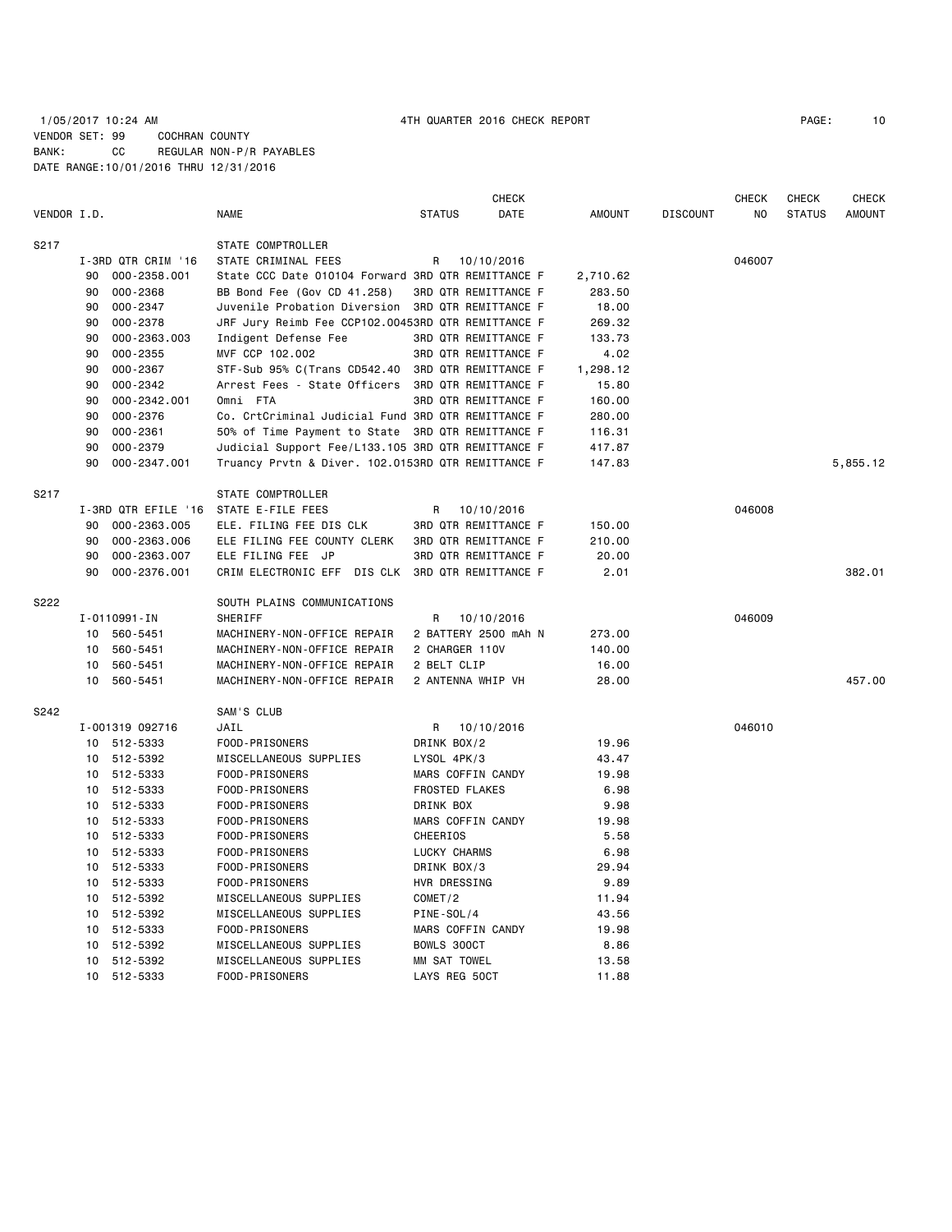# 1/05/2017 10:24 AM 4TH QUARTER 2016 CHECK REPORT PAGE: 10 VENDOR SET: 99 COCHRAN COUNTY BANK: CC REGULAR NON-P/R PAYABLES DATE RANGE:10/01/2016 THRU 12/31/2016

|             |    |                     |                                                    |                       | CHECK                |               |                 | CHECK  | CHECK         | <b>CHECK</b>  |
|-------------|----|---------------------|----------------------------------------------------|-----------------------|----------------------|---------------|-----------------|--------|---------------|---------------|
| VENDOR I.D. |    |                     | <b>NAME</b>                                        | <b>STATUS</b>         | DATE                 | <b>AMOUNT</b> | <b>DISCOUNT</b> | NO     | <b>STATUS</b> | <b>AMOUNT</b> |
| S217        |    |                     | STATE COMPTROLLER                                  |                       |                      |               |                 |        |               |               |
|             |    | I-3RD QTR CRIM '16  | STATE CRIMINAL FEES                                | R                     | 10/10/2016           |               |                 | 046007 |               |               |
|             | 90 | 000-2358.001        | State CCC Date 010104 Forward 3RD QTR REMITTANCE F |                       |                      | 2,710.62      |                 |        |               |               |
|             | 90 | 000-2368            | BB Bond Fee (Gov CD 41.258)                        |                       | 3RD QTR REMITTANCE F | 283.50        |                 |        |               |               |
|             | 90 | 000-2347            | Juvenile Probation Diversion 3RD QTR REMITTANCE F  |                       |                      | 18.00         |                 |        |               |               |
|             | 90 | 000-2378            | JRF Jury Reimb Fee CCP102.00453RD QTR REMITTANCE F |                       |                      | 269.32        |                 |        |               |               |
|             | 90 | 000-2363.003        | Indigent Defense Fee                               |                       | 3RD QTR REMITTANCE F | 133.73        |                 |        |               |               |
|             | 90 | $000 - 2355$        | MVF CCP 102.002                                    |                       | 3RD QTR REMITTANCE F | 4.02          |                 |        |               |               |
|             | 90 | 000-2367            | STF-Sub 95% C(Trans CD542.40 3RD QTR REMITTANCE F  |                       |                      | 1,298.12      |                 |        |               |               |
|             | 90 | 000-2342            | Arrest Fees - State Officers                       |                       | 3RD QTR REMITTANCE F | 15.80         |                 |        |               |               |
|             | 90 | 000-2342.001        | Omni FTA                                           |                       | 3RD QTR REMITTANCE F | 160.00        |                 |        |               |               |
|             | 90 | 000-2376            | Co. CrtCriminal Judicial Fund 3RD QTR REMITTANCE F |                       |                      | 280.00        |                 |        |               |               |
|             | 90 | $000 - 2361$        | 50% of Time Payment to State 3RD QTR REMITTANCE F  |                       |                      | 116.31        |                 |        |               |               |
|             | 90 | 000-2379            | Judicial Support Fee/L133.105 3RD QTR REMITTANCE F |                       |                      | 417.87        |                 |        |               |               |
|             | 90 |                     |                                                    |                       |                      |               |                 |        |               |               |
|             |    | 000-2347.001        | Truancy Prvtn & Diver. 102.0153RD QTR REMITTANCE F |                       |                      | 147.83        |                 |        |               | 5,855.12      |
| S217        |    |                     | STATE COMPTROLLER                                  |                       |                      |               |                 |        |               |               |
|             |    | I-3RD QTR EFILE '16 | STATE E-FILE FEES                                  | R                     | 10/10/2016           |               |                 | 046008 |               |               |
|             | 90 | 000-2363.005        | ELE. FILING FEE DIS CLK                            |                       | 3RD QTR REMITTANCE F | 150.00        |                 |        |               |               |
|             | 90 | 000-2363.006        | ELE FILING FEE COUNTY CLERK                        |                       | 3RD QTR REMITTANCE F | 210.00        |                 |        |               |               |
|             | 90 | 000-2363.007        | ELE FILING FEE JP                                  |                       | 3RD QTR REMITTANCE F | 20.00         |                 |        |               |               |
|             | 90 | 000-2376.001        | CRIM ELECTRONIC EFF DIS CLK 3RD QTR REMITTANCE F   |                       |                      | 2.01          |                 |        |               | 382.01        |
| S222        |    |                     | SOUTH PLAINS COMMUNICATIONS                        |                       |                      |               |                 |        |               |               |
|             |    | I-0110991-IN        | SHERIFF                                            | R                     | 10/10/2016           |               |                 | 046009 |               |               |
|             |    | 10 560-5451         | MACHINERY-NON-OFFICE REPAIR                        |                       | 2 BATTERY 2500 mAh N | 273.00        |                 |        |               |               |
|             | 10 | 560-5451            | MACHINERY-NON-OFFICE REPAIR                        | 2 CHARGER 110V        |                      | 140.00        |                 |        |               |               |
|             | 10 | 560-5451            | MACHINERY-NON-OFFICE REPAIR                        | 2 BELT CLIP           |                      | 16.00         |                 |        |               |               |
|             | 10 | 560-5451            | MACHINERY-NON-OFFICE REPAIR                        |                       | 2 ANTENNA WHIP VH    | 28.00         |                 |        |               | 457.00        |
| S242        |    |                     | SAM'S CLUB                                         |                       |                      |               |                 |        |               |               |
|             |    | I-001319 092716     | JAIL                                               | R                     | 10/10/2016           |               |                 | 046010 |               |               |
|             |    | 10 512-5333         | FOOD-PRISONERS                                     | DRINK BOX/2           |                      | 19.96         |                 |        |               |               |
|             |    | 10 512-5392         | MISCELLANEOUS SUPPLIES                             | LYSOL 4PK/3           |                      | 43.47         |                 |        |               |               |
|             |    | 10 512-5333         | FOOD-PRISONERS                                     |                       | MARS COFFIN CANDY    | 19.98         |                 |        |               |               |
|             |    | 10 512-5333         | FOOD-PRISONERS                                     | <b>FROSTED FLAKES</b> |                      | 6.98          |                 |        |               |               |
|             |    | 10 512-5333         | FOOD-PRISONERS                                     | DRINK BOX             |                      | 9.98          |                 |        |               |               |
|             |    | 10 512-5333         | FOOD-PRISONERS                                     |                       | MARS COFFIN CANDY    | 19.98         |                 |        |               |               |
|             |    | 10 512-5333         | FOOD-PRISONERS                                     | CHEERIOS              |                      | 5.58          |                 |        |               |               |
|             |    | 10 512-5333         | FOOD-PRISONERS                                     | LUCKY CHARMS          |                      | 6.98          |                 |        |               |               |
|             | 10 | 512-5333            | FOOD-PRISONERS                                     | DRINK BOX/3           |                      | 29.94         |                 |        |               |               |
|             |    |                     |                                                    |                       |                      | 9.89          |                 |        |               |               |
|             |    | 10 512-5333         | FOOD-PRISONERS                                     | HVR DRESSING          |                      |               |                 |        |               |               |
|             |    | 10 512-5392         | MISCELLANEOUS SUPPLIES                             | COMET/2               |                      | 11.94         |                 |        |               |               |
|             | 10 | 512-5392            | MISCELLANEOUS SUPPLIES                             | PINE-SOL/4            |                      | 43.56         |                 |        |               |               |
|             | 10 | 512-5333            | FOOD-PRISONERS                                     |                       | MARS COFFIN CANDY    | 19.98         |                 |        |               |               |
|             | 10 | 512-5392            | MISCELLANEOUS SUPPLIES                             | BOWLS 300CT           |                      | 8.86          |                 |        |               |               |
|             | 10 | 512-5392            | MISCELLANEOUS SUPPLIES                             | MM SAT TOWEL          |                      | 13.58         |                 |        |               |               |
|             |    | 10 512-5333         | FOOD-PRISONERS                                     | LAYS REG 50CT         |                      | 11.88         |                 |        |               |               |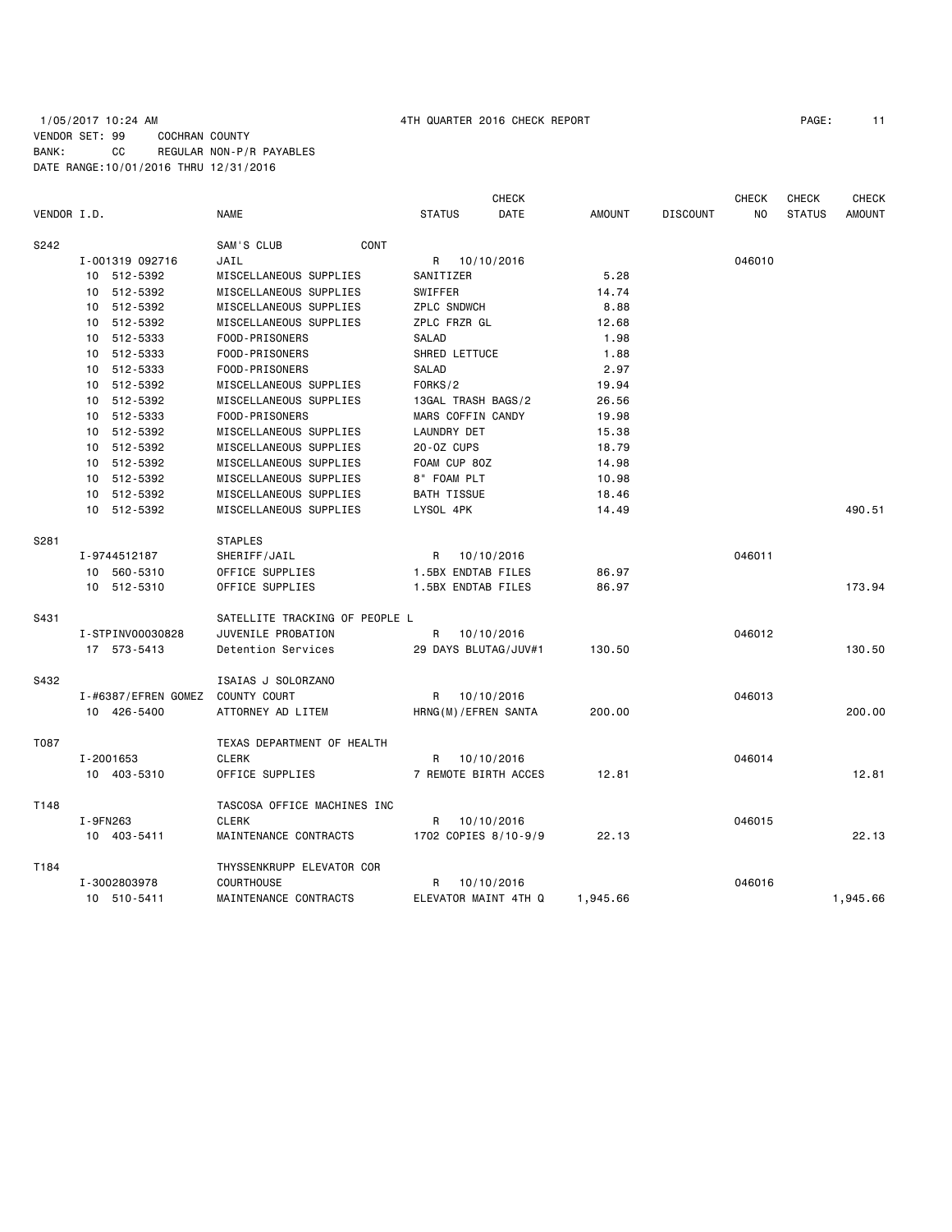# 1/05/2017 10:24 AM 4TH QUARTER 2016 CHECK REPORT PAGE: 11 VENDOR SET: 99 COCHRAN COUNTY BANK: CC REGULAR NON-P/R PAYABLES DATE RANGE:10/01/2016 THRU 12/31/2016

| VENDOR I.D. |                             | <b>NAME</b>                    | <b>STATUS</b>        | <b>CHECK</b><br>DATE | <b>AMOUNT</b> | <b>DISCOUNT</b> | <b>CHECK</b><br>N <sub>O</sub> | <b>CHECK</b><br><b>STATUS</b> | <b>CHECK</b><br><b>AMOUNT</b> |
|-------------|-----------------------------|--------------------------------|----------------------|----------------------|---------------|-----------------|--------------------------------|-------------------------------|-------------------------------|
| S242        |                             | SAM'S CLUB<br><b>CONT</b>      |                      |                      |               |                 |                                |                               |                               |
|             | I-001319 092716             | JAIL                           | R                    | 10/10/2016           |               |                 | 046010                         |                               |                               |
|             | 10 512-5392                 | MISCELLANEOUS SUPPLIES         | SANITIZER            |                      | 5.28          |                 |                                |                               |                               |
|             | 10 512-5392                 | MISCELLANEOUS SUPPLIES         | SWIFFER              |                      | 14.74         |                 |                                |                               |                               |
|             | 512-5392<br>10              | MISCELLANEOUS SUPPLIES         | <b>ZPLC SNDWCH</b>   |                      | 8.88          |                 |                                |                               |                               |
|             | 512-5392<br>10 <sup>1</sup> | MISCELLANEOUS SUPPLIES         | ZPLC FRZR GL         |                      | 12.68         |                 |                                |                               |                               |
|             | 512-5333<br>10              | FOOD-PRISONERS                 | SALAD                |                      | 1.98          |                 |                                |                               |                               |
|             | 512-5333<br>10 <sup>1</sup> | FOOD-PRISONERS                 | SHRED LETTUCE        |                      | 1.88          |                 |                                |                               |                               |
|             | 10 512-5333                 | FOOD-PRISONERS                 | <b>SALAD</b>         |                      | 2.97          |                 |                                |                               |                               |
|             | 10 512-5392                 | MISCELLANEOUS SUPPLIES         | FORKS/2              |                      | 19.94         |                 |                                |                               |                               |
|             | 512-5392<br>10              | MISCELLANEOUS SUPPLIES         | 13GAL TRASH BAGS/2   |                      | 26.56         |                 |                                |                               |                               |
|             | 10 512-5333                 | FOOD-PRISONERS                 | MARS COFFIN CANDY    |                      | 19.98         |                 |                                |                               |                               |
|             | 512-5392<br>10              | MISCELLANEOUS SUPPLIES         | LAUNDRY DET          |                      | 15.38         |                 |                                |                               |                               |
|             | 10 512-5392                 | MISCELLANEOUS SUPPLIES         | 20-0Z CUPS           |                      | 18.79         |                 |                                |                               |                               |
|             | 10 512-5392                 | MISCELLANEOUS SUPPLIES         | FOAM CUP 80Z         |                      | 14.98         |                 |                                |                               |                               |
|             | 512-5392<br>10              | MISCELLANEOUS SUPPLIES         | 8" FOAM PLT          |                      | 10.98         |                 |                                |                               |                               |
|             | 10 512-5392                 | MISCELLANEOUS SUPPLIES         | <b>BATH TISSUE</b>   |                      | 18.46         |                 |                                |                               |                               |
|             | 10 512-5392                 | MISCELLANEOUS SUPPLIES         | LYSOL 4PK            |                      | 14.49         |                 |                                |                               | 490.51                        |
| S281        |                             | <b>STAPLES</b>                 |                      |                      |               |                 |                                |                               |                               |
|             | I-9744512187                | SHERIFF/JAIL                   | R                    | 10/10/2016           |               |                 | 046011                         |                               |                               |
|             | 10 560-5310                 | OFFICE SUPPLIES                | 1.5BX ENDTAB FILES   |                      | 86.97         |                 |                                |                               |                               |
|             | 10 512-5310                 | OFFICE SUPPLIES                | 1.5BX ENDTAB FILES   |                      | 86.97         |                 |                                |                               | 173.94                        |
| S431        |                             | SATELLITE TRACKING OF PEOPLE L |                      |                      |               |                 |                                |                               |                               |
|             | I-STPINV00030828            | JUVENILE PROBATION             | R                    | 10/10/2016           |               |                 | 046012                         |                               |                               |
|             | 17 573-5413                 | Detention Services             | 29 DAYS BLUTAG/JUV#1 |                      | 130.50        |                 |                                |                               | 130.50                        |
| S432        |                             | ISAIAS J SOLORZANO             |                      |                      |               |                 |                                |                               |                               |
|             | I-#6387/EFREN GOMEZ         | COUNTY COURT                   | R                    | 10/10/2016           |               |                 | 046013                         |                               |                               |
|             | 10 426-5400                 | ATTORNEY AD LITEM              | HRNG(M)/EFREN SANTA  |                      | 200.00        |                 |                                |                               | 200.00                        |
| T087        |                             | TEXAS DEPARTMENT OF HEALTH     |                      |                      |               |                 |                                |                               |                               |
|             | I-2001653                   | <b>CLERK</b>                   | R                    | 10/10/2016           |               |                 | 046014                         |                               |                               |
|             | 10 403-5310                 | OFFICE SUPPLIES                | 7 REMOTE BIRTH ACCES |                      | 12.81         |                 |                                |                               | 12.81                         |
| T148        |                             | TASCOSA OFFICE MACHINES INC    |                      |                      |               |                 |                                |                               |                               |
|             | I-9FN263                    | <b>CLERK</b>                   | R                    | 10/10/2016           |               |                 | 046015                         |                               |                               |
|             | 10 403-5411                 | MAINTENANCE CONTRACTS          | 1702 COPIES 8/10-9/9 |                      | 22.13         |                 |                                |                               | 22.13                         |
| T184        |                             | THYSSENKRUPP ELEVATOR COR      |                      |                      |               |                 |                                |                               |                               |
|             | I-3002803978                | <b>COURTHOUSE</b>              | R                    | 10/10/2016           |               |                 | 046016                         |                               |                               |
|             | 10 510-5411                 | MAINTENANCE CONTRACTS          | ELEVATOR MAINT 4TH Q |                      | 1,945.66      |                 |                                |                               | 1,945.66                      |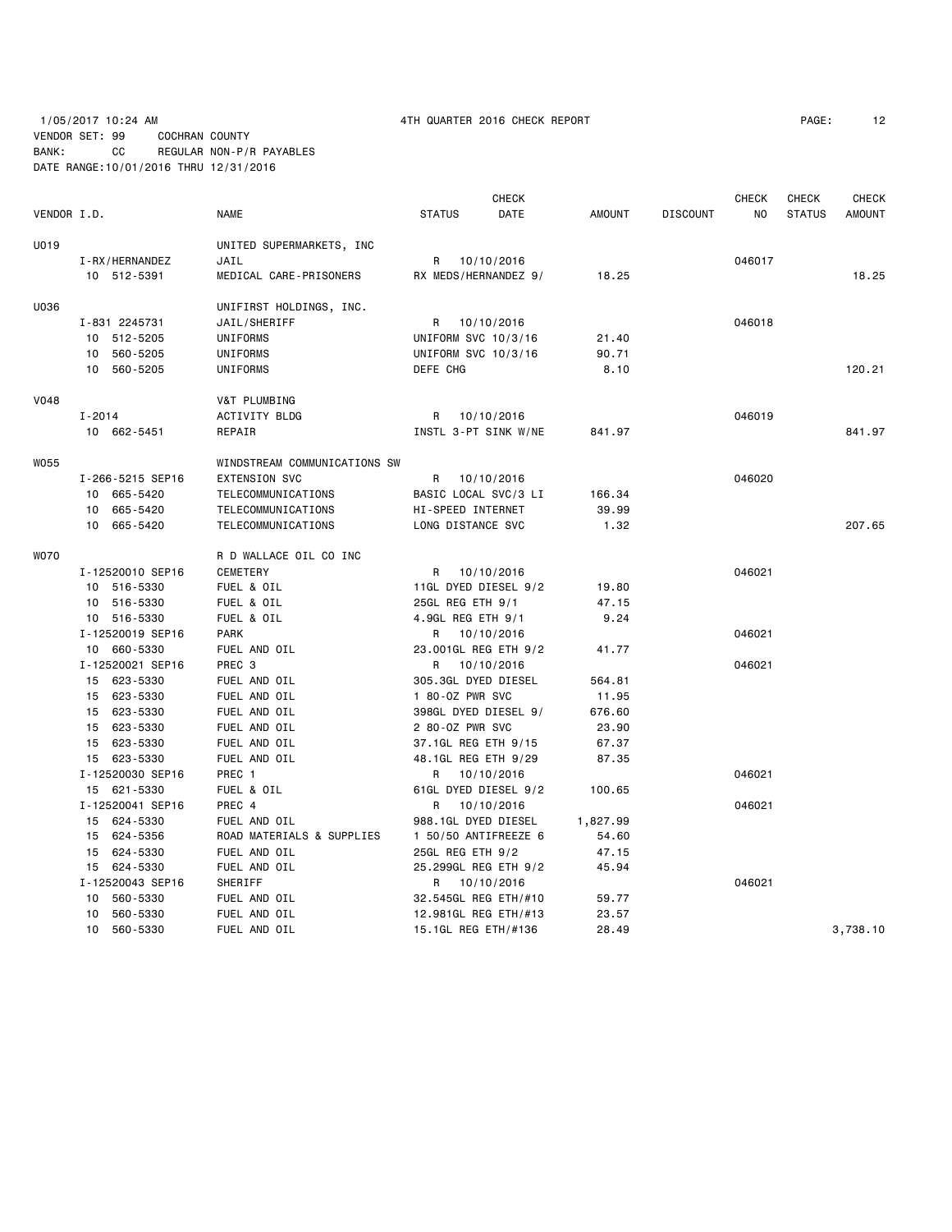# 1/05/2017 10:24 AM 4TH QUARTER 2016 CHECK REPORT PAGE: 12 VENDOR SET: 99 COCHRAN COUNTY BANK: CC REGULAR NON-P/R PAYABLES DATE RANGE:10/01/2016 THRU 12/31/2016

|             |            |                                 |                              |               |                                      | <b>CHECK</b> |                |                 | <b>CHECK</b> | CHECK         | <b>CHECK</b>  |
|-------------|------------|---------------------------------|------------------------------|---------------|--------------------------------------|--------------|----------------|-----------------|--------------|---------------|---------------|
| VENDOR I.D. |            |                                 | <b>NAME</b>                  | <b>STATUS</b> |                                      | DATE         | <b>AMOUNT</b>  | <b>DISCOUNT</b> | NO.          | <b>STATUS</b> | <b>AMOUNT</b> |
| U019        |            |                                 | UNITED SUPERMARKETS, INC     |               |                                      |              |                |                 |              |               |               |
|             |            | I-RX/HERNANDEZ                  | JAIL                         | R             | 10/10/2016                           |              |                |                 | 046017       |               |               |
|             |            | 10 512-5391                     | MEDICAL CARE-PRISONERS       |               | RX MEDS/HERNANDEZ 9/                 |              | 18.25          |                 |              |               | 18.25         |
| U036        |            |                                 | UNIFIRST HOLDINGS, INC.      |               |                                      |              |                |                 |              |               |               |
|             |            | I-831 2245731                   | JAIL/SHERIFF                 | R             | 10/10/2016                           |              |                |                 | 046018       |               |               |
|             |            | 10 512-5205                     | UNIFORMS                     |               | UNIFORM SVC 10/3/16                  |              | 21.40          |                 |              |               |               |
|             |            | 10 560-5205                     | UNIFORMS                     |               | UNIFORM SVC 10/3/16                  |              | 90.71          |                 |              |               |               |
|             |            | 10 560-5205                     | UNIFORMS                     | DEFE CHG      |                                      |              | 8.10           |                 |              |               | 120.21        |
| V048        |            |                                 | V&T PLUMBING                 |               |                                      |              |                |                 |              |               |               |
|             | $I - 2014$ |                                 | ACTIVITY BLDG                | R             | 10/10/2016                           |              |                |                 | 046019       |               |               |
|             |            | 10 662-5451                     | REPAIR                       |               | INSTL 3-PT SINK W/NE                 |              | 841.97         |                 |              |               | 841.97        |
| W055        |            |                                 | WINDSTREAM COMMUNICATIONS SW |               |                                      |              |                |                 |              |               |               |
|             |            | I-266-5215 SEP16                | <b>EXTENSION SVC</b>         | R             | 10/10/2016                           |              |                |                 | 046020       |               |               |
|             |            | 10 665-5420                     | TELECOMMUNICATIONS           |               | BASIC LOCAL SVC/3 LI                 |              | 166.34         |                 |              |               |               |
|             |            | 10 665-5420                     | TELECOMMUNICATIONS           |               | HI-SPEED INTERNET                    |              | 39.99          |                 |              |               |               |
|             |            | 10 665-5420                     | TELECOMMUNICATIONS           |               | LONG DISTANCE SVC                    |              | 1.32           |                 |              |               | 207.65        |
| <b>WO70</b> |            |                                 | R D WALLACE OIL CO INC       |               |                                      |              |                |                 |              |               |               |
|             |            | I-12520010 SEP16                | CEMETERY                     | R             | 10/10/2016                           |              |                |                 | 046021       |               |               |
|             |            | 10 516-5330                     | FUEL & OIL                   |               | 11GL DYED DIESEL 9/2                 |              | 19.80          |                 |              |               |               |
|             |            | 10 516-5330                     | FUEL & OIL                   |               | 25GL REG ETH 9/1                     |              | 47.15          |                 |              |               |               |
|             |            | 10 516-5330                     | FUEL & OIL                   |               | 4.9GL REG ETH 9/1                    |              | 9.24           |                 |              |               |               |
|             |            | I-12520019 SEP16                | <b>PARK</b>                  | R             | 10/10/2016                           |              |                |                 | 046021       |               |               |
|             |            | 10 660-5330                     | FUEL AND OIL                 |               | 23.001GL REG ETH 9/2                 |              | 41.77          |                 |              |               |               |
|             |            | I-12520021 SEP16                | PREC <sub>3</sub>            | R             | 10/10/2016                           |              |                |                 | 046021       |               |               |
|             |            | 15 623-5330                     | FUEL AND OIL                 |               | 305.3GL DYED DIESEL                  |              | 564.81         |                 |              |               |               |
|             |            | 15 623-5330                     | FUEL AND OIL                 |               | 1 80-0Z PWR SVC                      |              | 11.95          |                 |              |               |               |
|             |            | 15 623-5330                     | FUEL AND OIL                 |               | 398GL DYED DIESEL 9/                 |              | 676.60         |                 |              |               |               |
|             |            | 15 623-5330                     | FUEL AND OIL                 |               | 2 80-0Z PWR SVC                      |              | 23.90          |                 |              |               |               |
|             |            | 15 623-5330                     | FUEL AND OIL                 |               | 37.1GL REG ETH 9/15                  |              | 67.37          |                 |              |               |               |
|             |            | 15 623-5330                     | FUEL AND OIL                 |               | 48.1GL REG ETH 9/29                  |              | 87.35          |                 |              |               |               |
|             |            | I-12520030 SEP16                | PREC 1                       | R             | 10/10/2016                           |              |                |                 | 046021       |               |               |
|             |            | 15 621-5330                     | FUEL & OIL                   |               | 61GL DYED DIESEL 9/2                 |              | 100.65         |                 |              |               |               |
|             |            | I-12520041 SEP16                | PREC 4                       | R             | 10/10/2016                           |              |                |                 | 046021       |               |               |
|             |            | 15 624-5330                     | FUEL AND OIL                 |               | 988.1GL DYED DIESEL                  |              | 1,827.99       |                 |              |               |               |
|             |            | 15 624-5356                     | ROAD MATERIALS & SUPPLIES    |               | 1 50/50 ANTIFREEZE 6                 |              | 54.60          |                 |              |               |               |
|             |            | 15 624-5330                     | FUEL AND OIL                 |               | 25GL REG ETH 9/2                     |              | 47.15          |                 |              |               |               |
|             |            | 15 624-5330<br>I-12520043 SEP16 | FUEL AND OIL<br>SHERIFF      |               | 25.299GL REG ETH 9/2                 |              | 45.94          |                 | 046021       |               |               |
|             |            | 10 560-5330                     | FUEL AND OIL                 |               | R 10/10/2016<br>32.545GL REG ETH/#10 |              | 59.77          |                 |              |               |               |
|             |            | 10 560-5330                     |                              |               | 12.981GL REG ETH/#13                 |              |                |                 |              |               |               |
|             |            | 10 560-5330                     | FUEL AND OIL<br>FUEL AND OIL |               | 15.1GL REG ETH/#136                  |              | 23.57<br>28.49 |                 |              |               | 3,738.10      |
|             |            |                                 |                              |               |                                      |              |                |                 |              |               |               |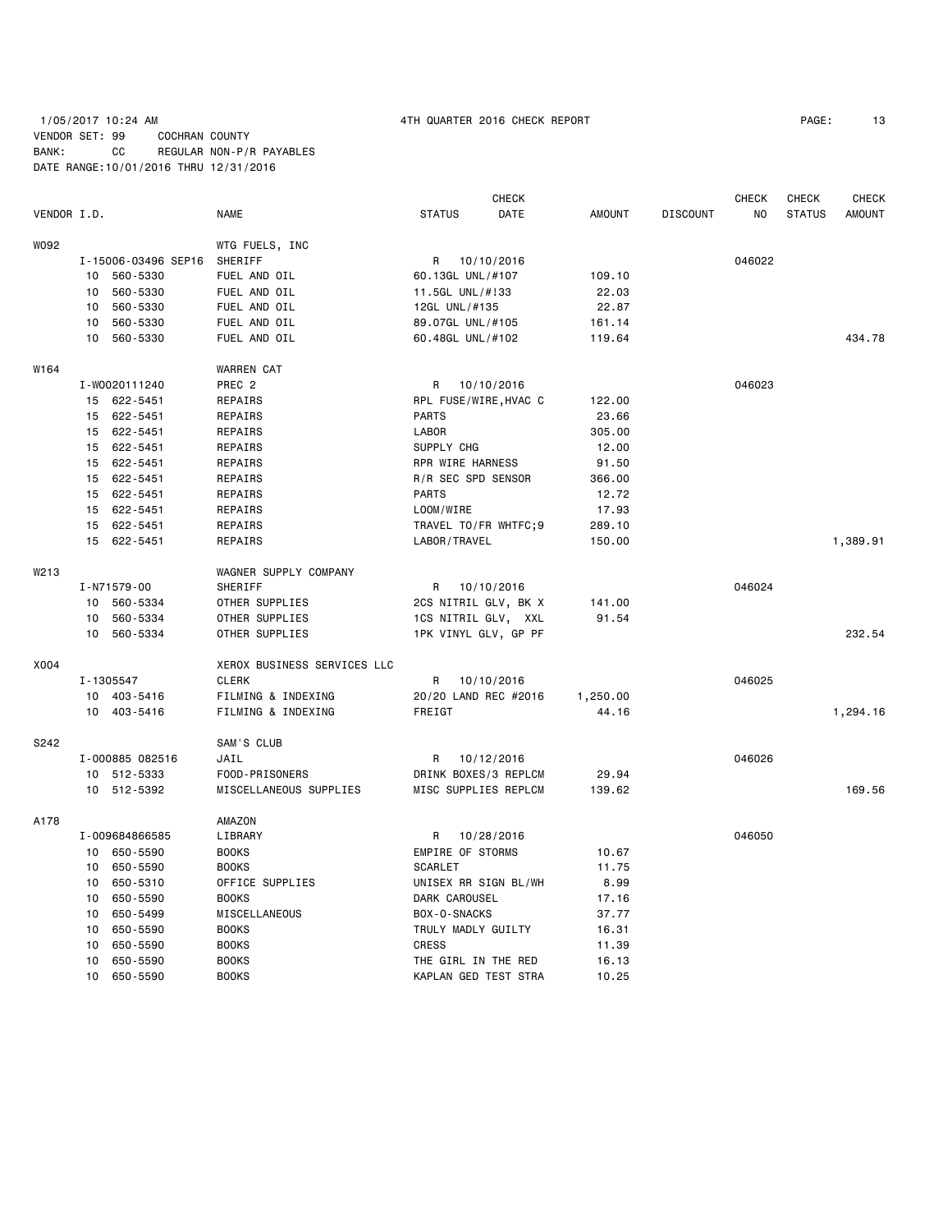## 1/05/2017 10:24 AM 4TH QUARTER 2016 CHECK REPORT PAGE: 13 VENDOR SET: 99 COCHRAN COUNTY BANK: CC REGULAR NON-P/R PAYABLES DATE RANGE:10/01/2016 THRU 12/31/2016

|             |    |                     |                             |                       | <b>CHECK</b> |               |                 | CHECK  | CHECK         | <b>CHECK</b>  |
|-------------|----|---------------------|-----------------------------|-----------------------|--------------|---------------|-----------------|--------|---------------|---------------|
| VENDOR I.D. |    |                     | NAME                        | <b>STATUS</b>         | DATE         | <b>AMOUNT</b> | <b>DISCOUNT</b> | NO     | <b>STATUS</b> | <b>AMOUNT</b> |
| W092        |    |                     | WTG FUELS, INC              |                       |              |               |                 |        |               |               |
|             |    | I-15006-03496 SEP16 | SHERIFF                     | R 10/10/2016          |              |               |                 | 046022 |               |               |
|             |    | 10 560-5330         | FUEL AND OIL                | 60.13GL UNL/#107      |              | 109.10        |                 |        |               |               |
|             | 10 | 560-5330            | FUEL AND OIL                | 11.5GL UNL/#!33       |              | 22.03         |                 |        |               |               |
|             | 10 | 560-5330            | FUEL AND OIL                | 12GL UNL/#135         |              | 22.87         |                 |        |               |               |
|             | 10 | 560-5330            | FUEL AND OIL                | 89.07GL UNL/#105      |              | 161.14        |                 |        |               |               |
|             | 10 | 560-5330            | FUEL AND OIL                | 60.48GL UNL/#102      |              | 119.64        |                 |        |               | 434.78        |
|             |    |                     |                             |                       |              |               |                 |        |               |               |
| W164        |    |                     | <b>WARREN CAT</b>           |                       |              |               |                 |        |               |               |
|             |    | I-W0020111240       | PREC <sub>2</sub>           | R 10/10/2016          |              |               |                 | 046023 |               |               |
|             |    | 15 622-5451         | REPAIRS                     | RPL FUSE/WIRE, HVAC C |              | 122.00        |                 |        |               |               |
|             |    | 15 622-5451         | REPAIRS                     | <b>PARTS</b>          |              | 23.66         |                 |        |               |               |
|             |    | 15 622-5451         | REPAIRS                     | <b>LABOR</b>          |              | 305.00        |                 |        |               |               |
|             |    | 15 622-5451         | REPAIRS                     | SUPPLY CHG            |              | 12.00         |                 |        |               |               |
|             |    | 15 622-5451         | REPAIRS                     | RPR WIRE HARNESS      |              | 91.50         |                 |        |               |               |
|             |    | 15 622-5451         | REPAIRS                     | R/R SEC SPD SENSOR    |              | 366.00        |                 |        |               |               |
|             |    | 15 622-5451         | REPAIRS                     | <b>PARTS</b>          |              | 12.72         |                 |        |               |               |
|             |    | 15 622-5451         | REPAIRS                     | LOOM/WIRE             |              | 17.93         |                 |        |               |               |
|             |    | 15 622-5451         | REPAIRS                     | TRAVEL TO/FR WHTFC;9  |              | 289.10        |                 |        |               |               |
|             |    | 15 622-5451         | REPAIRS                     | LABOR/TRAVEL          |              | 150.00        |                 |        |               | 1,389.91      |
| W213        |    |                     | WAGNER SUPPLY COMPANY       |                       |              |               |                 |        |               |               |
|             |    | I-N71579-00         | SHERIFF                     | R 10/10/2016          |              |               |                 | 046024 |               |               |
|             | 10 | 560-5334            | OTHER SUPPLIES              | 2CS NITRIL GLV, BK X  |              | 141.00        |                 |        |               |               |
|             | 10 | 560-5334            | OTHER SUPPLIES              | 1CS NITRIL GLV, XXL   |              | 91.54         |                 |        |               |               |
|             |    | 10 560-5334         | OTHER SUPPLIES              | 1PK VINYL GLV, GP PF  |              |               |                 |        |               | 232.54        |
| X004        |    |                     | XEROX BUSINESS SERVICES LLC |                       |              |               |                 |        |               |               |
|             |    | I-1305547           | <b>CLERK</b>                | R                     | 10/10/2016   |               |                 | 046025 |               |               |
|             |    | 10 403-5416         | FILMING & INDEXING          | 20/20 LAND REC #2016  |              | 1,250.00      |                 |        |               |               |
|             |    | 10 403-5416         | FILMING & INDEXING          | FREIGT                |              | 44.16         |                 |        |               | 1,294.16      |
| S242        |    |                     | SAM'S CLUB                  |                       |              |               |                 |        |               |               |
|             |    | I-000885 082516     | JAIL                        | R                     | 10/12/2016   |               |                 | 046026 |               |               |
|             |    | 10 512-5333         | FOOD-PRISONERS              | DRINK BOXES/3 REPLCM  |              | 29.94         |                 |        |               |               |
|             |    | 10 512-5392         | MISCELLANEOUS SUPPLIES      | MISC SUPPLIES REPLCM  |              | 139.62        |                 |        |               | 169.56        |
|             |    |                     |                             |                       |              |               |                 |        |               |               |
| A178        |    |                     | AMAZON                      |                       |              |               |                 |        |               |               |
|             |    | I-009684866585      | LIBRARY                     | R                     | 10/28/2016   |               |                 | 046050 |               |               |
|             |    | 10 650-5590         | <b>BOOKS</b>                | EMPIRE OF STORMS      |              | 10.67         |                 |        |               |               |
|             | 10 | 650-5590            | <b>BOOKS</b>                | <b>SCARLET</b>        |              | 11.75         |                 |        |               |               |
|             | 10 | 650-5310            | OFFICE SUPPLIES             | UNISEX RR SIGN BL/WH  |              | 8.99          |                 |        |               |               |
|             | 10 | 650-5590            | <b>BOOKS</b>                | DARK CAROUSEL         |              | 17.16         |                 |        |               |               |
|             | 10 | 650-5499            | MISCELLANEOUS               | BOX-O-SNACKS          |              | 37.77         |                 |        |               |               |
|             | 10 | 650-5590            | <b>BOOKS</b>                | TRULY MADLY GUILTY    |              | 16.31         |                 |        |               |               |
|             | 10 | 650-5590            | <b>BOOKS</b>                | CRESS                 |              | 11.39         |                 |        |               |               |
|             | 10 | 650-5590            | <b>BOOKS</b>                | THE GIRL IN THE RED   |              | 16.13         |                 |        |               |               |
|             | 10 | 650-5590            | <b>BOOKS</b>                | KAPLAN GED TEST STRA  |              | 10.25         |                 |        |               |               |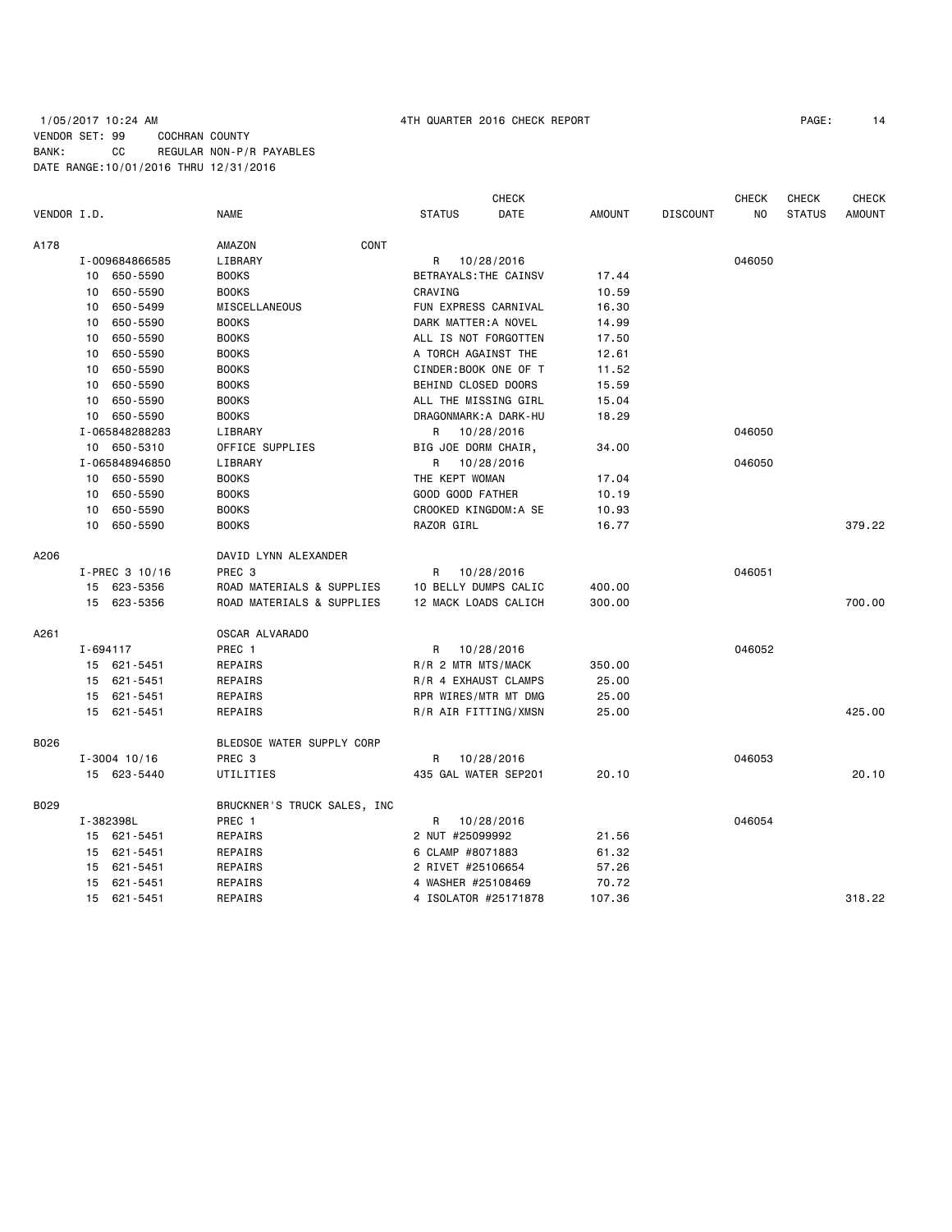## 1/05/2017 10:24 AM 4TH QUARTER 2016 CHECK REPORT PAGE: 14 VENDOR SET: 99 COCHRAN COUNTY BANK: CC REGULAR NON-P/R PAYABLES DATE RANGE:10/01/2016 THRU 12/31/2016

|             |          |                  |                             |                       | <b>CHECK</b>          |               |                 | <b>CHECK</b> | <b>CHECK</b>  | <b>CHECK</b>  |
|-------------|----------|------------------|-----------------------------|-----------------------|-----------------------|---------------|-----------------|--------------|---------------|---------------|
| VENDOR I.D. |          |                  | <b>NAME</b>                 | <b>STATUS</b>         | DATE                  | <b>AMOUNT</b> | <b>DISCOUNT</b> | NO.          | <b>STATUS</b> | <b>AMOUNT</b> |
| A178        |          |                  | CONT<br>AMAZON              |                       |                       |               |                 |              |               |               |
|             |          | I-009684866585   | LIBRARY                     | R 10/28/2016          |                       |               |                 | 046050       |               |               |
|             |          | 10 650-5590      | <b>BOOKS</b>                | BETRAYALS: THE CAINSV |                       | 17.44         |                 |              |               |               |
|             | 10       | 650-5590         | <b>BOOKS</b>                | CRAVING               |                       | 10.59         |                 |              |               |               |
|             | 10       | 650-5499         | MISCELLANEOUS               | FUN EXPRESS CARNIVAL  |                       | 16.30         |                 |              |               |               |
|             | 10       | 650-5590         | <b>BOOKS</b>                | DARK MATTER: A NOVEL  |                       | 14.99         |                 |              |               |               |
|             | 10       | 650-5590         | <b>BOOKS</b>                | ALL IS NOT FORGOTTEN  |                       | 17.50         |                 |              |               |               |
|             | 10       | 650-5590         | <b>BOOKS</b>                | A TORCH AGAINST THE   |                       | 12.61         |                 |              |               |               |
|             | 10       | 650-5590         | <b>BOOKS</b>                | CINDER:BOOK ONE OF T  |                       | 11.52         |                 |              |               |               |
|             | 10       | 650-5590         | <b>BOOKS</b>                | BEHIND CLOSED DOORS   |                       | 15.59         |                 |              |               |               |
|             |          | 10 650-5590      | <b>BOOKS</b>                | ALL THE MISSING GIRL  |                       | 15.04         |                 |              |               |               |
|             |          | 10 650-5590      | <b>BOOKS</b>                |                       | DRAGONMARK: A DARK-HU | 18.29         |                 |              |               |               |
|             |          | I-065848288283   | LIBRARY                     | R 10/28/2016          |                       |               |                 | 046050       |               |               |
|             |          | 10 650-5310      | OFFICE SUPPLIES             | BIG JOE DORM CHAIR,   |                       | 34.00         |                 |              |               |               |
|             |          | I-065848946850   | LIBRARY                     | R                     | 10/28/2016            |               |                 | 046050       |               |               |
|             |          | 10 650-5590      | <b>BOOKS</b>                | THE KEPT WOMAN        |                       | 17.04         |                 |              |               |               |
|             | 10       | 650-5590         | <b>BOOKS</b>                | GOOD GOOD FATHER      |                       | 10.19         |                 |              |               |               |
|             |          | 10 650-5590      | <b>BOOKS</b>                |                       | CROOKED KINGDOM:A SE  | 10.93         |                 |              |               |               |
|             |          | 10 650-5590      | <b>BOOKS</b>                | RAZOR GIRL            |                       | 16.77         |                 |              |               | 379.22        |
| A206        |          |                  | DAVID LYNN ALEXANDER        |                       |                       |               |                 |              |               |               |
|             |          | $I-PREC$ 3 10/16 | PREC <sub>3</sub>           | R                     | 10/28/2016            |               |                 | 046051       |               |               |
|             |          | 15 623-5356      | ROAD MATERIALS & SUPPLIES   | 10 BELLY DUMPS CALIC  |                       | 400.00        |                 |              |               |               |
|             |          | 15 623-5356      | ROAD MATERIALS & SUPPLIES   | 12 MACK LOADS CALICH  |                       | 300.00        |                 |              |               | 700.00        |
| A261        |          |                  | OSCAR ALVARADO              |                       |                       |               |                 |              |               |               |
|             | I-694117 |                  | PREC 1                      | R                     | 10/28/2016            |               |                 | 046052       |               |               |
|             |          | 15 621-5451      | REPAIRS                     | R/R 2 MTR MTS/MACK    |                       | 350.00        |                 |              |               |               |
|             |          | 15 621-5451      | REPAIRS                     | R/R 4 EXHAUST CLAMPS  |                       | 25.00         |                 |              |               |               |
|             |          | 15 621-5451      | REPAIRS                     |                       | RPR WIRES/MTR MT DMG  | 25.00         |                 |              |               |               |
|             |          | 15 621-5451      | REPAIRS                     |                       | R/R AIR FITTING/XMSN  | 25.00         |                 |              |               | 425.00        |
| B026        |          |                  | BLEDSOE WATER SUPPLY CORP   |                       |                       |               |                 |              |               |               |
|             |          | $I - 3004$ 10/16 | PREC <sub>3</sub>           | R 10/28/2016          |                       |               |                 | 046053       |               |               |
|             |          | 15 623-5440      | UTILITIES                   | 435 GAL WATER SEP201  |                       | 20.10         |                 |              |               | 20.10         |
| B029        |          |                  | BRUCKNER'S TRUCK SALES, INC |                       |                       |               |                 |              |               |               |
|             |          | I-382398L        | PREC 1                      | R                     | 10/28/2016            |               |                 | 046054       |               |               |
|             |          | 15 621-5451      | REPAIRS                     | 2 NUT #25099992       |                       | 21.56         |                 |              |               |               |
|             |          | 15 621-5451      | REPAIRS                     | 6 CLAMP #8071883      |                       | 61.32         |                 |              |               |               |
|             |          | 15 621-5451      | REPAIRS                     | 2 RIVET #25106654     |                       | 57.26         |                 |              |               |               |
|             | 15       | 621-5451         | REPAIRS                     | 4 WASHER #25108469    |                       | 70.72         |                 |              |               |               |
|             |          | 15 621-5451      | REPAIRS                     |                       | 4 ISOLATOR #25171878  | 107.36        |                 |              |               | 318.22        |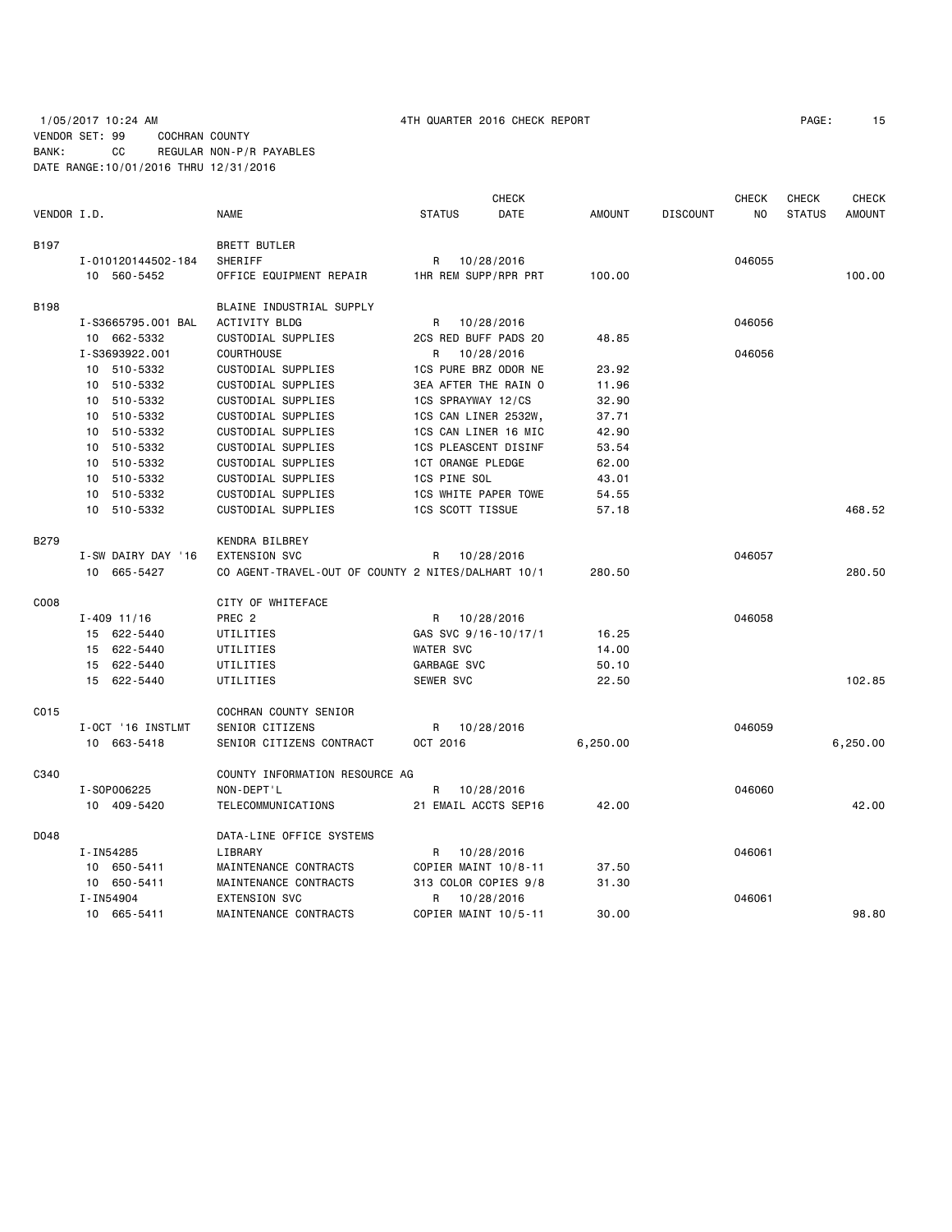# 1/05/2017 10:24 AM 4TH QUARTER 2016 CHECK REPORT PAGE: 15 VENDOR SET: 99 COCHRAN COUNTY BANK: CC REGULAR NON-P/R PAYABLES DATE RANGE:10/01/2016 THRU 12/31/2016

|             |                    |                                                    |                             | <b>CHECK</b> |               |                 | <b>CHECK</b> | CHECK         | <b>CHECK</b>  |
|-------------|--------------------|----------------------------------------------------|-----------------------------|--------------|---------------|-----------------|--------------|---------------|---------------|
| VENDOR I.D. |                    | <b>NAME</b>                                        | <b>STATUS</b>               | DATE         | <b>AMOUNT</b> | <b>DISCOUNT</b> | NO           | <b>STATUS</b> | <b>AMOUNT</b> |
| B197        |                    | <b>BRETT BUTLER</b>                                |                             |              |               |                 |              |               |               |
|             | I-010120144502-184 | SHERIFF                                            | R                           | 10/28/2016   |               |                 | 046055       |               |               |
|             | 10 560-5452        | OFFICE EQUIPMENT REPAIR                            | 1HR REM SUPP/RPR PRT        |              | 100.00        |                 |              |               | 100.00        |
| <b>B198</b> |                    | BLAINE INDUSTRIAL SUPPLY                           |                             |              |               |                 |              |               |               |
|             | I-S3665795.001 BAL | ACTIVITY BLDG                                      | R                           | 10/28/2016   |               |                 | 046056       |               |               |
|             | 10 662-5332        | CUSTODIAL SUPPLIES                                 | 2CS RED BUFF PADS 20        |              | 48.85         |                 |              |               |               |
|             | I-S3693922.001     | <b>COURTHOUSE</b>                                  | R                           | 10/28/2016   |               |                 | 046056       |               |               |
|             | 10 510-5332        | CUSTODIAL SUPPLIES                                 | 1CS PURE BRZ ODOR NE        |              | 23.92         |                 |              |               |               |
|             | 510-5332<br>10     | CUSTODIAL SUPPLIES                                 | 3EA AFTER THE RAIN O        |              | 11.96         |                 |              |               |               |
|             | 510-5332<br>10     | CUSTODIAL SUPPLIES                                 | 1CS SPRAYWAY 12/CS          |              | 32.90         |                 |              |               |               |
|             | 510-5332<br>10     | CUSTODIAL SUPPLIES                                 | 1CS CAN LINER 2532W,        |              | 37.71         |                 |              |               |               |
|             | 510-5332<br>10     | CUSTODIAL SUPPLIES                                 | 1CS CAN LINER 16 MIC        |              | 42.90         |                 |              |               |               |
|             | 510-5332<br>10     | CUSTODIAL SUPPLIES                                 | <b>1CS PLEASCENT DISINF</b> |              | 53.54         |                 |              |               |               |
|             | 510-5332<br>10     | CUSTODIAL SUPPLIES                                 | <b>1CT ORANGE PLEDGE</b>    |              | 62.00         |                 |              |               |               |
|             | 510-5332<br>10     | CUSTODIAL SUPPLIES                                 | 1CS PINE SOL                |              | 43.01         |                 |              |               |               |
|             | 510-5332<br>10     | CUSTODIAL SUPPLIES                                 | 1CS WHITE PAPER TOWE        |              | 54.55         |                 |              |               |               |
|             | 10<br>510-5332     | CUSTODIAL SUPPLIES                                 | 1CS SCOTT TISSUE            |              | 57.18         |                 |              |               | 468.52        |
| <b>B279</b> |                    | KENDRA BILBREY                                     |                             |              |               |                 |              |               |               |
|             | I-SW DAIRY DAY '16 | <b>EXTENSION SVC</b>                               | R                           | 10/28/2016   |               |                 | 046057       |               |               |
|             | 10 665-5427        | CO AGENT-TRAVEL-OUT OF COUNTY 2 NITES/DALHART 10/1 |                             |              | 280.50        |                 |              |               | 280.50        |
| C008        |                    | CITY OF WHITEFACE                                  |                             |              |               |                 |              |               |               |
|             | $I - 409$ 11/16    | PREC <sub>2</sub>                                  | R                           | 10/28/2016   |               |                 | 046058       |               |               |
|             | 15 622-5440        | UTILITIES                                          | GAS SVC 9/16-10/17/1        |              | 16.25         |                 |              |               |               |
|             | 15 622-5440        | UTILITIES                                          | <b>WATER SVC</b>            |              | 14.00         |                 |              |               |               |
|             | 15 622-5440        | UTILITIES                                          | GARBAGE SVC                 |              | 50.10         |                 |              |               |               |
|             | 15 622-5440        | UTILITIES                                          | SEWER SVC                   |              | 22.50         |                 |              |               | 102.85        |
| C015        |                    | COCHRAN COUNTY SENIOR                              |                             |              |               |                 |              |               |               |
|             | I-OCT '16 INSTLMT  | <b>SENIOR CITIZENS</b>                             | R                           | 10/28/2016   |               |                 | 046059       |               |               |
|             | 663-5418<br>10     | SENIOR CITIZENS CONTRACT                           | OCT 2016                    |              | 6,250.00      |                 |              |               | 6,250.00      |
| C340        |                    | COUNTY INFORMATION RESOURCE AG                     |                             |              |               |                 |              |               |               |
|             | I-S0P006225        | NON-DEPT'L                                         | R                           | 10/28/2016   |               |                 | 046060       |               |               |
|             | 10 409-5420        | TELECOMMUNICATIONS                                 | 21 EMAIL ACCTS SEP16        |              | 42.00         |                 |              |               | 42.00         |
| D048        |                    | DATA-LINE OFFICE SYSTEMS                           |                             |              |               |                 |              |               |               |
|             | I-IN54285          | LIBRARY                                            | R                           | 10/28/2016   |               |                 | 046061       |               |               |
|             | 10 650-5411        | MAINTENANCE CONTRACTS                              | COPIER MAINT 10/8-11        |              | 37.50         |                 |              |               |               |
|             | 10 650-5411        | MAINTENANCE CONTRACTS                              | 313 COLOR COPIES 9/8        |              | 31.30         |                 |              |               |               |
|             | I-IN54904          | <b>EXTENSION SVC</b>                               | R                           | 10/28/2016   |               |                 | 046061       |               |               |
|             | 10 665-5411        | MAINTENANCE CONTRACTS                              | COPIER MAINT 10/5-11        |              | 30.00         |                 |              |               | 98.80         |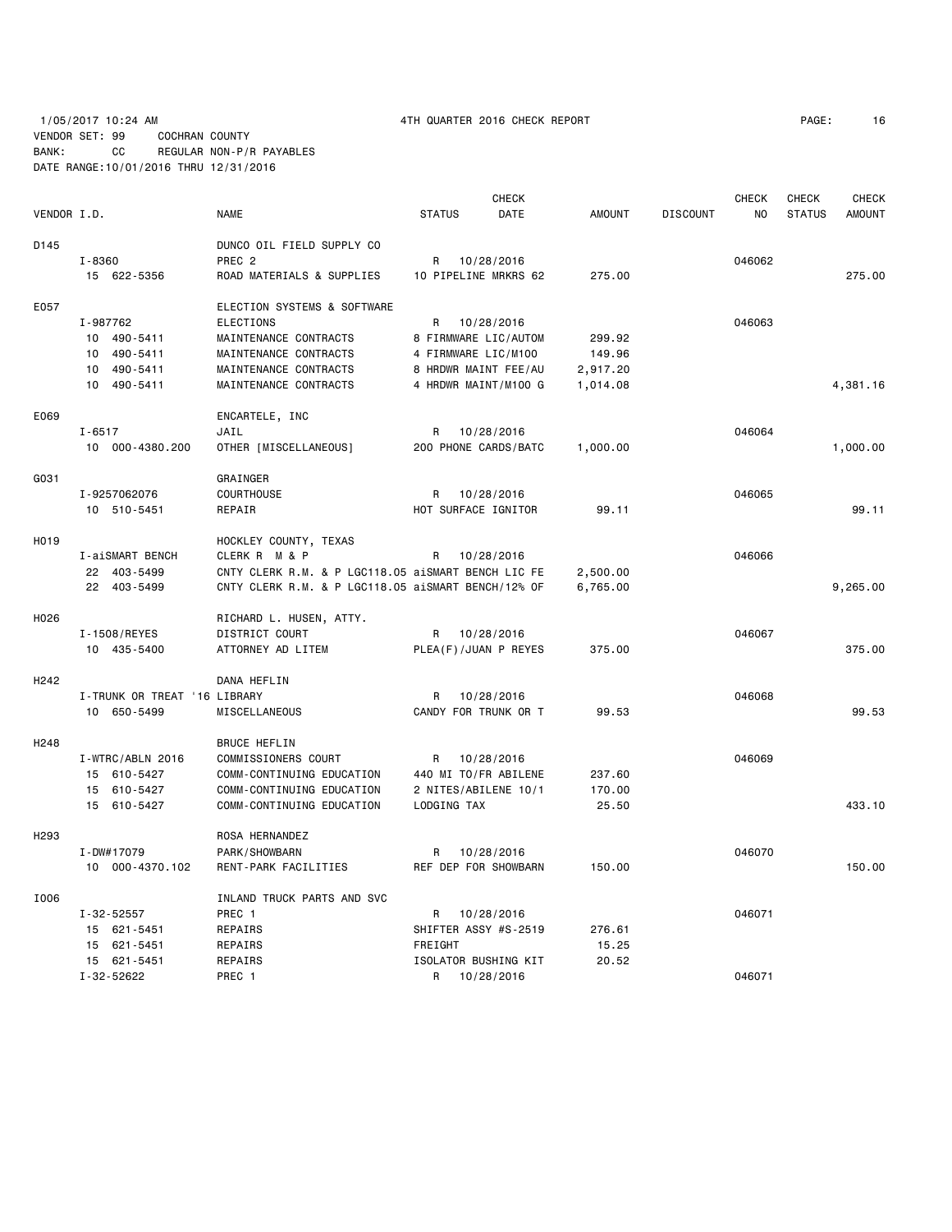|                  |                                                                                          |                                                                                                                                        | <b>CHECK</b> |                                                                                                                                                                                                                                                                                                                                                                                                                                                                                                                                                                                                                                 |                                | <b>CHECK</b>   | <b>CHECK</b>  | <b>CHECK</b>  |
|------------------|------------------------------------------------------------------------------------------|----------------------------------------------------------------------------------------------------------------------------------------|--------------|---------------------------------------------------------------------------------------------------------------------------------------------------------------------------------------------------------------------------------------------------------------------------------------------------------------------------------------------------------------------------------------------------------------------------------------------------------------------------------------------------------------------------------------------------------------------------------------------------------------------------------|--------------------------------|----------------|---------------|---------------|
| VENDOR I.D.      | <b>NAME</b>                                                                              | <b>STATUS</b>                                                                                                                          | DATE         | <b>AMOUNT</b>                                                                                                                                                                                                                                                                                                                                                                                                                                                                                                                                                                                                                   | <b>DISCOUNT</b>                | N <sub>0</sub> | <b>STATUS</b> | <b>AMOUNT</b> |
|                  | DUNCO OIL FIELD SUPPLY CO                                                                |                                                                                                                                        |              |                                                                                                                                                                                                                                                                                                                                                                                                                                                                                                                                                                                                                                 |                                |                |               |               |
| I-8360           | PREC <sub>2</sub>                                                                        | R                                                                                                                                      |              |                                                                                                                                                                                                                                                                                                                                                                                                                                                                                                                                                                                                                                 |                                | 046062         |               |               |
| 15 622-5356      | ROAD MATERIALS & SUPPLIES                                                                |                                                                                                                                        |              | 275.00                                                                                                                                                                                                                                                                                                                                                                                                                                                                                                                                                                                                                          |                                |                |               | 275.00        |
|                  | ELECTION SYSTEMS & SOFTWARE                                                              |                                                                                                                                        |              |                                                                                                                                                                                                                                                                                                                                                                                                                                                                                                                                                                                                                                 |                                |                |               |               |
| I-987762         | <b>ELECTIONS</b>                                                                         | R                                                                                                                                      |              |                                                                                                                                                                                                                                                                                                                                                                                                                                                                                                                                                                                                                                 |                                | 046063         |               |               |
|                  |                                                                                          |                                                                                                                                        |              | 299.92                                                                                                                                                                                                                                                                                                                                                                                                                                                                                                                                                                                                                          |                                |                |               |               |
|                  |                                                                                          |                                                                                                                                        |              |                                                                                                                                                                                                                                                                                                                                                                                                                                                                                                                                                                                                                                 |                                |                |               |               |
| 10               | MAINTENANCE CONTRACTS                                                                    |                                                                                                                                        |              |                                                                                                                                                                                                                                                                                                                                                                                                                                                                                                                                                                                                                                 |                                |                |               |               |
| 10<br>490-5411   | MAINTENANCE CONTRACTS                                                                    |                                                                                                                                        |              | 1,014.08                                                                                                                                                                                                                                                                                                                                                                                                                                                                                                                                                                                                                        |                                |                |               | 4,381.16      |
|                  | ENCARTELE, INC                                                                           |                                                                                                                                        |              |                                                                                                                                                                                                                                                                                                                                                                                                                                                                                                                                                                                                                                 |                                |                |               |               |
| $I - 6517$       | JAIL                                                                                     | R                                                                                                                                      |              |                                                                                                                                                                                                                                                                                                                                                                                                                                                                                                                                                                                                                                 |                                | 046064         |               |               |
| 10 000-4380.200  | OTHER [MISCELLANEOUS]                                                                    |                                                                                                                                        |              | 1,000.00                                                                                                                                                                                                                                                                                                                                                                                                                                                                                                                                                                                                                        |                                |                |               | 1,000.00      |
|                  | GRAINGER                                                                                 |                                                                                                                                        |              |                                                                                                                                                                                                                                                                                                                                                                                                                                                                                                                                                                                                                                 |                                |                |               |               |
|                  |                                                                                          |                                                                                                                                        |              |                                                                                                                                                                                                                                                                                                                                                                                                                                                                                                                                                                                                                                 |                                | 046065         |               |               |
| 10 510-5451      | REPAIR                                                                                   |                                                                                                                                        |              | 99.11                                                                                                                                                                                                                                                                                                                                                                                                                                                                                                                                                                                                                           |                                |                |               | 99.11         |
|                  |                                                                                          |                                                                                                                                        |              |                                                                                                                                                                                                                                                                                                                                                                                                                                                                                                                                                                                                                                 |                                |                |               |               |
|                  |                                                                                          |                                                                                                                                        |              |                                                                                                                                                                                                                                                                                                                                                                                                                                                                                                                                                                                                                                 |                                | 046066         |               |               |
|                  |                                                                                          |                                                                                                                                        |              |                                                                                                                                                                                                                                                                                                                                                                                                                                                                                                                                                                                                                                 |                                |                |               |               |
| 22 403-5499      |                                                                                          |                                                                                                                                        |              | 6,765.00                                                                                                                                                                                                                                                                                                                                                                                                                                                                                                                                                                                                                        |                                |                |               | 9,265.00      |
|                  | RICHARD L. HUSEN, ATTY.                                                                  |                                                                                                                                        |              |                                                                                                                                                                                                                                                                                                                                                                                                                                                                                                                                                                                                                                 |                                |                |               |               |
| I-1508/REYES     | DISTRICT COURT                                                                           | R                                                                                                                                      |              |                                                                                                                                                                                                                                                                                                                                                                                                                                                                                                                                                                                                                                 |                                | 046067         |               |               |
| 10 435-5400      | ATTORNEY AD LITEM                                                                        |                                                                                                                                        |              | 375.00                                                                                                                                                                                                                                                                                                                                                                                                                                                                                                                                                                                                                          |                                |                |               | 375.00        |
|                  | DANA HEFLIN                                                                              |                                                                                                                                        |              |                                                                                                                                                                                                                                                                                                                                                                                                                                                                                                                                                                                                                                 |                                |                |               |               |
|                  |                                                                                          | R                                                                                                                                      |              |                                                                                                                                                                                                                                                                                                                                                                                                                                                                                                                                                                                                                                 |                                | 046068         |               |               |
| 10 650-5499      | MISCELLANEOUS                                                                            |                                                                                                                                        |              | 99.53                                                                                                                                                                                                                                                                                                                                                                                                                                                                                                                                                                                                                           |                                |                |               | 99.53         |
|                  | <b>BRUCE HEFLIN</b>                                                                      |                                                                                                                                        |              |                                                                                                                                                                                                                                                                                                                                                                                                                                                                                                                                                                                                                                 |                                |                |               |               |
| I-WTRC/ABLN 2016 | COMMISSIONERS COURT                                                                      | R                                                                                                                                      |              |                                                                                                                                                                                                                                                                                                                                                                                                                                                                                                                                                                                                                                 |                                | 046069         |               |               |
| 15 610-5427      | COMM-CONTINUING EDUCATION                                                                |                                                                                                                                        |              | 237.60                                                                                                                                                                                                                                                                                                                                                                                                                                                                                                                                                                                                                          |                                |                |               |               |
| 15 610-5427      | COMM-CONTINUING EDUCATION                                                                |                                                                                                                                        |              | 170.00                                                                                                                                                                                                                                                                                                                                                                                                                                                                                                                                                                                                                          |                                |                |               |               |
| 15 610-5427      | COMM-CONTINUING EDUCATION                                                                |                                                                                                                                        |              | 25.50                                                                                                                                                                                                                                                                                                                                                                                                                                                                                                                                                                                                                           |                                |                |               | 433.10        |
|                  | ROSA HERNANDEZ                                                                           |                                                                                                                                        |              |                                                                                                                                                                                                                                                                                                                                                                                                                                                                                                                                                                                                                                 |                                |                |               |               |
| I-DW#17079       | PARK/SHOWBARN                                                                            | R                                                                                                                                      |              |                                                                                                                                                                                                                                                                                                                                                                                                                                                                                                                                                                                                                                 |                                | 046070         |               |               |
| 10 000-4370.102  | RENT-PARK FACILITIES                                                                     |                                                                                                                                        |              | 150.00                                                                                                                                                                                                                                                                                                                                                                                                                                                                                                                                                                                                                          |                                |                |               | 150.00        |
|                  | INLAND TRUCK PARTS AND SVC                                                               |                                                                                                                                        |              |                                                                                                                                                                                                                                                                                                                                                                                                                                                                                                                                                                                                                                 |                                |                |               |               |
| $I - 32 - 52557$ | PREC 1                                                                                   | R                                                                                                                                      |              |                                                                                                                                                                                                                                                                                                                                                                                                                                                                                                                                                                                                                                 |                                | 046071         |               |               |
| 15 621-5451      | REPAIRS                                                                                  |                                                                                                                                        |              | 276.61                                                                                                                                                                                                                                                                                                                                                                                                                                                                                                                                                                                                                          |                                |                |               |               |
| 15 621-5451      | REPAIRS                                                                                  | FREIGHT                                                                                                                                |              | 15.25                                                                                                                                                                                                                                                                                                                                                                                                                                                                                                                                                                                                                           |                                |                |               |               |
| 15 621-5451      | REPAIRS                                                                                  |                                                                                                                                        |              | 20.52                                                                                                                                                                                                                                                                                                                                                                                                                                                                                                                                                                                                                           |                                |                |               |               |
| I-32-52622       | PREC 1                                                                                   | R                                                                                                                                      |              |                                                                                                                                                                                                                                                                                                                                                                                                                                                                                                                                                                                                                                 |                                | 046071         |               |               |
|                  | 10 490-5411<br>10 490-5411<br>490-5411<br>I-9257062076<br>I-aiSMART BENCH<br>22 403-5499 | MAINTENANCE CONTRACTS<br>MAINTENANCE CONTRACTS<br>COURTHOUSE<br>HOCKLEY COUNTY, TEXAS<br>CLERK R M & P<br>I-TRUNK OR TREAT '16 LIBRARY | R<br>R       | 10/28/2016<br>10 PIPELINE MRKRS 62<br>10/28/2016<br>8 FIRMWARE LIC/AUTOM<br>4 FIRMWARE LIC/M100<br>8 HRDWR MAINT FEE/AU<br>4 HRDWR MAINT/M100 G<br>10/28/2016<br>200 PHONE CARDS/BATC<br>10/28/2016<br>HOT SURFACE IGNITOR<br>10/28/2016<br>CNTY CLERK R.M. & P LGC118.05 aiSMART BENCH LIC FE<br>CNTY CLERK R.M. & P LGC118.05 aiSMART BENCH/12% OF<br>10/28/2016<br>PLEA(F)/JUAN P REYES<br>10/28/2016<br>CANDY FOR TRUNK OR T<br>10/28/2016<br>440 MI TO/FR ABILENE<br>2 NITES/ABILENE 10/1<br>LODGING TAX<br>10/28/2016<br>REF DEP FOR SHOWBARN<br>10/28/2016<br>SHIFTER ASSY #S-2519<br>ISOLATOR BUSHING KIT<br>10/28/2016 | 149.96<br>2,917.20<br>2,500.00 |                |               |               |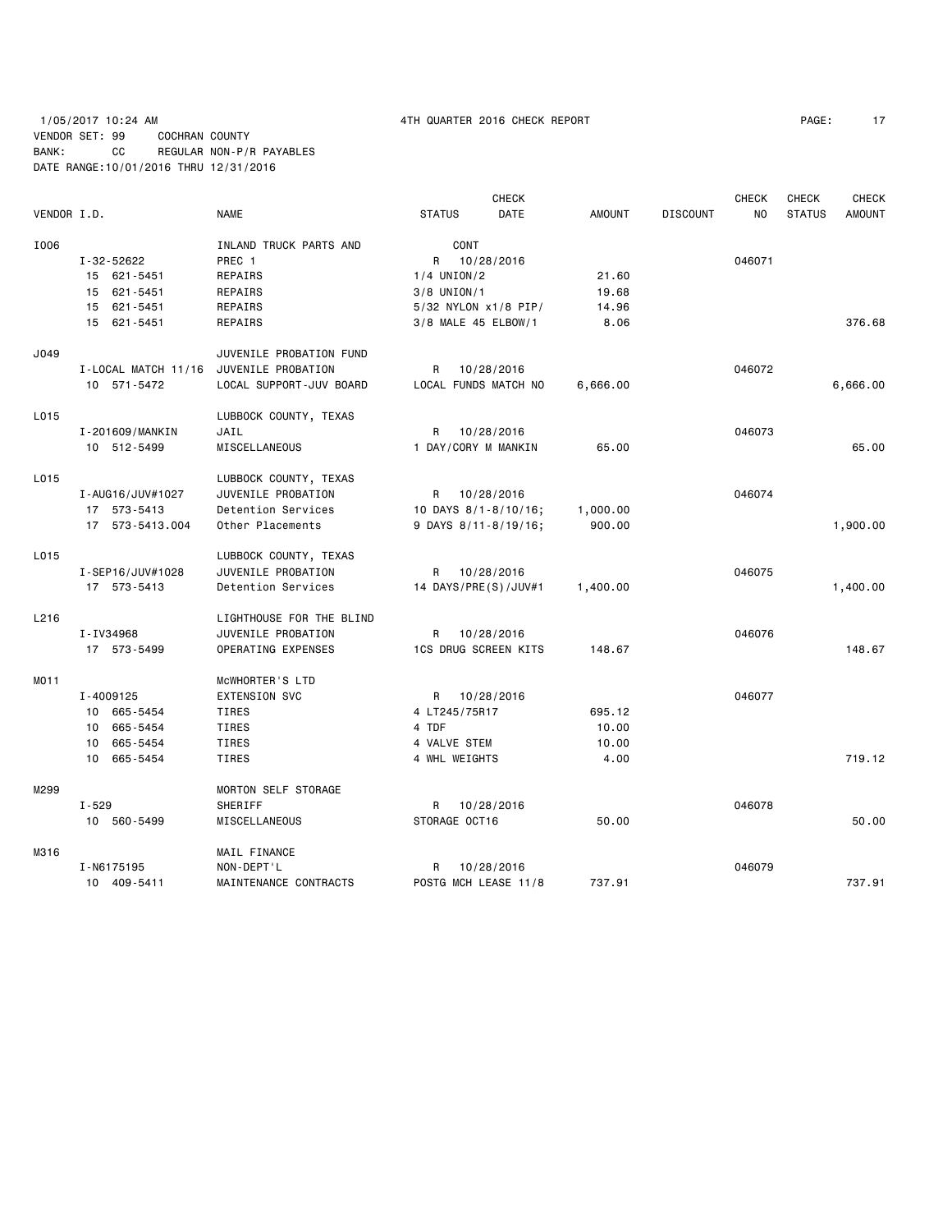# 1/05/2017 10:24 AM 4TH QUARTER 2016 CHECK REPORT PAGE: 17 VENDOR SET: 99 COCHRAN COUNTY BANK: CC REGULAR NON-P/R PAYABLES DATE RANGE:10/01/2016 THRU 12/31/2016

|             |                     |                          |                             | <b>CHECK</b> |               |                 | <b>CHECK</b>   | <b>CHECK</b>  | <b>CHECK</b>  |
|-------------|---------------------|--------------------------|-----------------------------|--------------|---------------|-----------------|----------------|---------------|---------------|
| VENDOR I.D. |                     | <b>NAME</b>              | <b>STATUS</b>               | DATE         | <b>AMOUNT</b> | <b>DISCOUNT</b> | N <sub>O</sub> | <b>STATUS</b> | <b>AMOUNT</b> |
| I006        |                     | INLAND TRUCK PARTS AND   | CONT                        |              |               |                 |                |               |               |
|             | I-32-52622          | PREC 1                   | R                           | 10/28/2016   |               |                 | 046071         |               |               |
|             | 15 621-5451         | REPAIRS                  | $1/4$ UNION/2               |              | 21.60         |                 |                |               |               |
|             | 15 621-5451         | REPAIRS                  | $3/8$ UNION/1               |              | 19.68         |                 |                |               |               |
|             | 15 621-5451         | REPAIRS                  | 5/32 NYLON x1/8 PIP/        |              | 14.96         |                 |                |               |               |
|             | 15 621-5451         | REPAIRS                  | 3/8 MALE 45 ELBOW/1         |              | 8.06          |                 |                |               | 376.68        |
| J049        |                     | JUVENILE PROBATION FUND  |                             |              |               |                 |                |               |               |
|             | I-LOCAL MATCH 11/16 | JUVENILE PROBATION       | R.                          | 10/28/2016   |               |                 | 046072         |               |               |
|             | 10 571-5472         | LOCAL SUPPORT-JUV BOARD  | LOCAL FUNDS MATCH NO        |              | 6,666.00      |                 |                |               | 6,666.00      |
| L015        |                     | LUBBOCK COUNTY, TEXAS    |                             |              |               |                 |                |               |               |
|             | I-201609/MANKIN     | JAIL                     | R                           | 10/28/2016   |               |                 | 046073         |               |               |
|             | 10 512-5499         | MISCELLANEOUS            | 1 DAY/CORY M MANKIN         |              | 65.00         |                 |                |               | 65.00         |
| L015        |                     | LUBBOCK COUNTY, TEXAS    |                             |              |               |                 |                |               |               |
|             | I-AUG16/JUV#1027    | JUVENILE PROBATION       | R                           | 10/28/2016   |               |                 | 046074         |               |               |
|             | 17 573-5413         | Detention Services       | 10 DAYS 8/1-8/10/16;        |              | 1,000.00      |                 |                |               |               |
|             | 17 573-5413.004     | Other Placements         | 9 DAYS 8/11-8/19/16;        |              | 900.00        |                 |                |               | 1,900.00      |
| L015        |                     | LUBBOCK COUNTY, TEXAS    |                             |              |               |                 |                |               |               |
|             | I-SEP16/JUV#1028    | JUVENILE PROBATION       | R                           | 10/28/2016   |               |                 | 046075         |               |               |
|             | 17 573-5413         | Detention Services       | 14 DAYS/PRE(S)/JUV#1        |              | 1,400.00      |                 |                |               | 1,400.00      |
| L216        |                     | LIGHTHOUSE FOR THE BLIND |                             |              |               |                 |                |               |               |
|             | I-IV34968           | JUVENILE PROBATION       | R                           | 10/28/2016   |               |                 | 046076         |               |               |
|             | 17 573-5499         | OPERATING EXPENSES       | <b>1CS DRUG SCREEN KITS</b> |              | 148.67        |                 |                |               | 148.67        |
| MO11        |                     | MCWHORTER'S LTD          |                             |              |               |                 |                |               |               |
|             | I-4009125           | <b>EXTENSION SVC</b>     | R                           | 10/28/2016   |               |                 | 046077         |               |               |
|             | 10 665-5454         | TIRES                    | 4 LT245/75R17               |              | 695.12        |                 |                |               |               |
|             | 10 665-5454         | <b>TIRES</b>             | 4 TDF                       |              | 10.00         |                 |                |               |               |
|             | 10 665-5454         | TIRES                    | 4 VALVE STEM                |              | 10.00         |                 |                |               |               |
|             | 10 665-5454         | <b>TIRES</b>             | 4 WHL WEIGHTS               |              | 4.00          |                 |                |               | 719.12        |
| M299        |                     | MORTON SELF STORAGE      |                             |              |               |                 |                |               |               |
|             | $I - 529$           | SHERIFF                  | R                           | 10/28/2016   |               |                 | 046078         |               |               |
|             | 10 560-5499         | <b>MISCELLANEOUS</b>     | STORAGE OCT16               |              | 50.00         |                 |                |               | 50.00         |
| M316        |                     | MAIL FINANCE             |                             |              |               |                 |                |               |               |
|             | I-N6175195          | NON-DEPT'L               | R                           | 10/28/2016   |               |                 | 046079         |               |               |
|             | 10 409-5411         | MAINTENANCE CONTRACTS    | POSTG MCH LEASE 11/8        |              | 737.91        |                 |                |               | 737.91        |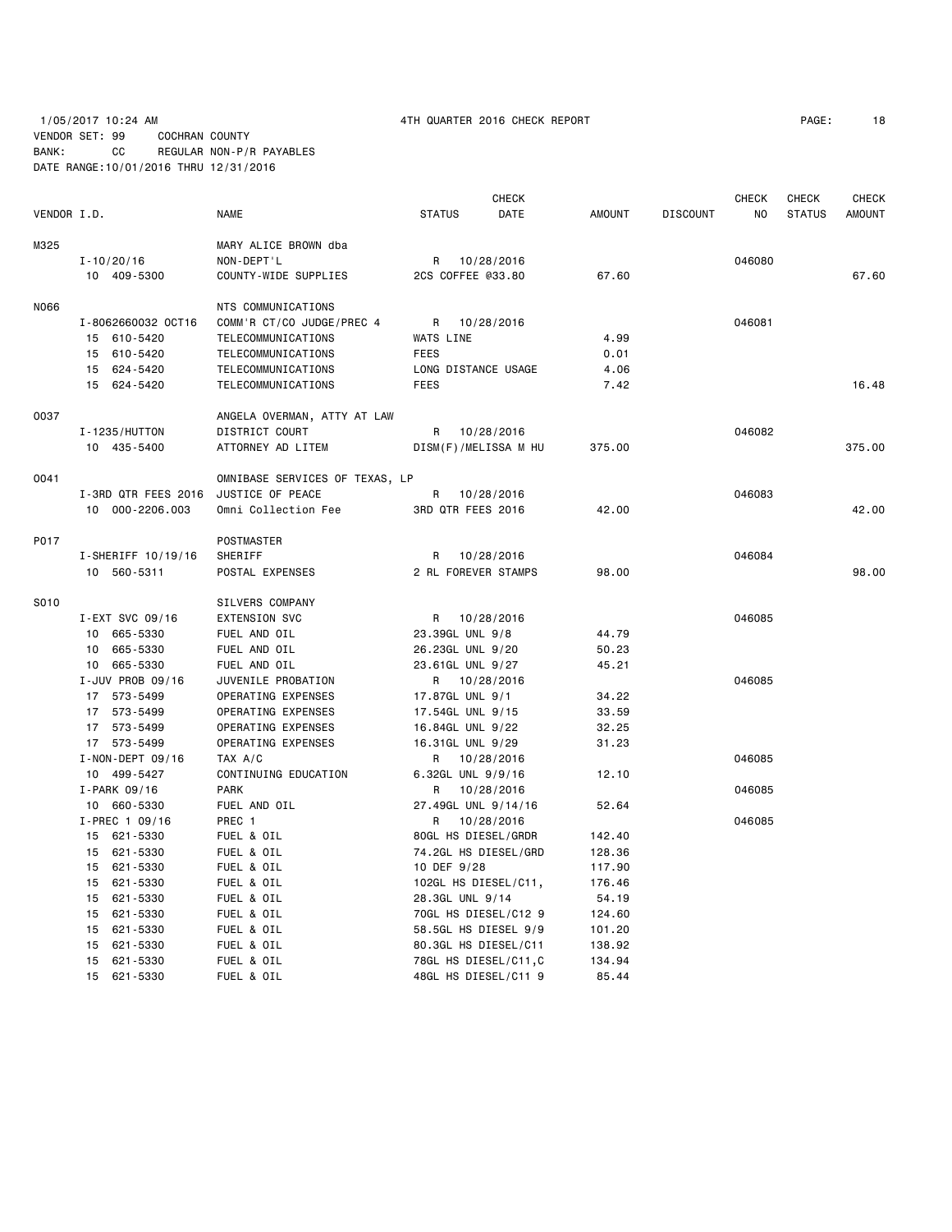# 1/05/2017 10:24 AM 4TH QUARTER 2016 CHECK REPORT PAGE: 18 VENDOR SET: 99 COCHRAN COUNTY BANK: CC REGULAR NON-P/R PAYABLES DATE RANGE:10/01/2016 THRU 12/31/2016

|                  |                                                                                                                                                                   |                                                                                                                                                                                                                                             | CHECK                                                                     |                                                                                                                                                                                                                                                                                                                                                                                                                                                                                                                                                                                                                                                                                 |                                        | CHECK  | CHECK                                | <b>CHECK</b>  |
|------------------|-------------------------------------------------------------------------------------------------------------------------------------------------------------------|---------------------------------------------------------------------------------------------------------------------------------------------------------------------------------------------------------------------------------------------|---------------------------------------------------------------------------|---------------------------------------------------------------------------------------------------------------------------------------------------------------------------------------------------------------------------------------------------------------------------------------------------------------------------------------------------------------------------------------------------------------------------------------------------------------------------------------------------------------------------------------------------------------------------------------------------------------------------------------------------------------------------------|----------------------------------------|--------|--------------------------------------|---------------|
| VENDOR I.D.      | <b>NAME</b>                                                                                                                                                       | <b>STATUS</b>                                                                                                                                                                                                                               | DATE                                                                      | <b>AMOUNT</b>                                                                                                                                                                                                                                                                                                                                                                                                                                                                                                                                                                                                                                                                   | <b>DISCOUNT</b>                        | ΝO     | <b>STATUS</b>                        | <b>AMOUNT</b> |
|                  | MARY ALICE BROWN dba                                                                                                                                              |                                                                                                                                                                                                                                             |                                                                           |                                                                                                                                                                                                                                                                                                                                                                                                                                                                                                                                                                                                                                                                                 |                                        |        |                                      |               |
| $I - 10/20/16$   | NON-DEPT'L                                                                                                                                                        | R                                                                                                                                                                                                                                           |                                                                           |                                                                                                                                                                                                                                                                                                                                                                                                                                                                                                                                                                                                                                                                                 |                                        | 046080 |                                      |               |
| 10 409-5300      | COUNTY-WIDE SUPPLIES                                                                                                                                              |                                                                                                                                                                                                                                             |                                                                           | 67.60                                                                                                                                                                                                                                                                                                                                                                                                                                                                                                                                                                                                                                                                           |                                        |        |                                      | 67.60         |
|                  |                                                                                                                                                                   |                                                                                                                                                                                                                                             |                                                                           |                                                                                                                                                                                                                                                                                                                                                                                                                                                                                                                                                                                                                                                                                 |                                        |        |                                      |               |
|                  |                                                                                                                                                                   |                                                                                                                                                                                                                                             |                                                                           |                                                                                                                                                                                                                                                                                                                                                                                                                                                                                                                                                                                                                                                                                 |                                        |        |                                      |               |
|                  |                                                                                                                                                                   |                                                                                                                                                                                                                                             |                                                                           |                                                                                                                                                                                                                                                                                                                                                                                                                                                                                                                                                                                                                                                                                 |                                        |        |                                      |               |
|                  |                                                                                                                                                                   |                                                                                                                                                                                                                                             |                                                                           |                                                                                                                                                                                                                                                                                                                                                                                                                                                                                                                                                                                                                                                                                 |                                        |        |                                      |               |
|                  |                                                                                                                                                                   |                                                                                                                                                                                                                                             |                                                                           |                                                                                                                                                                                                                                                                                                                                                                                                                                                                                                                                                                                                                                                                                 |                                        |        |                                      |               |
| 15 624-5420      | TELECOMMUNICATIONS                                                                                                                                                | <b>FEES</b>                                                                                                                                                                                                                                 |                                                                           | 7.42                                                                                                                                                                                                                                                                                                                                                                                                                                                                                                                                                                                                                                                                            |                                        |        |                                      | 16.48         |
|                  |                                                                                                                                                                   |                                                                                                                                                                                                                                             |                                                                           |                                                                                                                                                                                                                                                                                                                                                                                                                                                                                                                                                                                                                                                                                 |                                        |        |                                      |               |
|                  |                                                                                                                                                                   |                                                                                                                                                                                                                                             |                                                                           |                                                                                                                                                                                                                                                                                                                                                                                                                                                                                                                                                                                                                                                                                 |                                        |        |                                      |               |
| 10 435-5400      | ATTORNEY AD LITEM                                                                                                                                                 |                                                                                                                                                                                                                                             |                                                                           | 375.00                                                                                                                                                                                                                                                                                                                                                                                                                                                                                                                                                                                                                                                                          |                                        |        |                                      | 375.00        |
|                  |                                                                                                                                                                   |                                                                                                                                                                                                                                             |                                                                           |                                                                                                                                                                                                                                                                                                                                                                                                                                                                                                                                                                                                                                                                                 |                                        |        |                                      |               |
|                  |                                                                                                                                                                   |                                                                                                                                                                                                                                             |                                                                           |                                                                                                                                                                                                                                                                                                                                                                                                                                                                                                                                                                                                                                                                                 |                                        |        |                                      |               |
|                  |                                                                                                                                                                   |                                                                                                                                                                                                                                             |                                                                           |                                                                                                                                                                                                                                                                                                                                                                                                                                                                                                                                                                                                                                                                                 |                                        |        |                                      | 42.00         |
|                  |                                                                                                                                                                   |                                                                                                                                                                                                                                             |                                                                           |                                                                                                                                                                                                                                                                                                                                                                                                                                                                                                                                                                                                                                                                                 |                                        |        |                                      |               |
|                  | POSTMASTER                                                                                                                                                        |                                                                                                                                                                                                                                             |                                                                           |                                                                                                                                                                                                                                                                                                                                                                                                                                                                                                                                                                                                                                                                                 |                                        |        |                                      |               |
|                  |                                                                                                                                                                   |                                                                                                                                                                                                                                             |                                                                           |                                                                                                                                                                                                                                                                                                                                                                                                                                                                                                                                                                                                                                                                                 |                                        |        |                                      |               |
|                  |                                                                                                                                                                   |                                                                                                                                                                                                                                             |                                                                           |                                                                                                                                                                                                                                                                                                                                                                                                                                                                                                                                                                                                                                                                                 |                                        |        |                                      | 98,00         |
|                  | SILVERS COMPANY                                                                                                                                                   |                                                                                                                                                                                                                                             |                                                                           |                                                                                                                                                                                                                                                                                                                                                                                                                                                                                                                                                                                                                                                                                 |                                        |        |                                      |               |
| I-EXT SVC 09/16  | <b>EXTENSION SVC</b>                                                                                                                                              | R                                                                                                                                                                                                                                           |                                                                           |                                                                                                                                                                                                                                                                                                                                                                                                                                                                                                                                                                                                                                                                                 |                                        | 046085 |                                      |               |
| 10 665-5330      | FUEL AND OIL                                                                                                                                                      |                                                                                                                                                                                                                                             |                                                                           | 44.79                                                                                                                                                                                                                                                                                                                                                                                                                                                                                                                                                                                                                                                                           |                                        |        |                                      |               |
| 10 665-5330      | FUEL AND OIL                                                                                                                                                      |                                                                                                                                                                                                                                             |                                                                           | 50.23                                                                                                                                                                                                                                                                                                                                                                                                                                                                                                                                                                                                                                                                           |                                        |        |                                      |               |
| 10 665-5330      | FUEL AND OIL                                                                                                                                                      |                                                                                                                                                                                                                                             |                                                                           | 45.21                                                                                                                                                                                                                                                                                                                                                                                                                                                                                                                                                                                                                                                                           |                                        |        |                                      |               |
| I-JUV PROB 09/16 | JUVENILE PROBATION                                                                                                                                                | R                                                                                                                                                                                                                                           |                                                                           |                                                                                                                                                                                                                                                                                                                                                                                                                                                                                                                                                                                                                                                                                 |                                        | 046085 |                                      |               |
| 17 573-5499      | OPERATING EXPENSES                                                                                                                                                |                                                                                                                                                                                                                                             |                                                                           | 34.22                                                                                                                                                                                                                                                                                                                                                                                                                                                                                                                                                                                                                                                                           |                                        |        |                                      |               |
| 17 573-5499      | OPERATING EXPENSES                                                                                                                                                |                                                                                                                                                                                                                                             |                                                                           | 33.59                                                                                                                                                                                                                                                                                                                                                                                                                                                                                                                                                                                                                                                                           |                                        |        |                                      |               |
| 17 573-5499      | OPERATING EXPENSES                                                                                                                                                |                                                                                                                                                                                                                                             |                                                                           | 32.25                                                                                                                                                                                                                                                                                                                                                                                                                                                                                                                                                                                                                                                                           |                                        |        |                                      |               |
| 17 573-5499      | OPERATING EXPENSES                                                                                                                                                |                                                                                                                                                                                                                                             |                                                                           | 31.23                                                                                                                                                                                                                                                                                                                                                                                                                                                                                                                                                                                                                                                                           |                                        |        |                                      |               |
| I-NON-DEPT 09/16 | TAX A/C                                                                                                                                                           | R                                                                                                                                                                                                                                           |                                                                           |                                                                                                                                                                                                                                                                                                                                                                                                                                                                                                                                                                                                                                                                                 |                                        | 046085 |                                      |               |
| 10 499-5427      | CONTINUING EDUCATION                                                                                                                                              |                                                                                                                                                                                                                                             |                                                                           | 12.10                                                                                                                                                                                                                                                                                                                                                                                                                                                                                                                                                                                                                                                                           |                                        |        |                                      |               |
| I-PARK 09/16     | <b>PARK</b>                                                                                                                                                       | R                                                                                                                                                                                                                                           |                                                                           |                                                                                                                                                                                                                                                                                                                                                                                                                                                                                                                                                                                                                                                                                 |                                        | 046085 |                                      |               |
| 10 660-5330      | FUEL AND OIL                                                                                                                                                      |                                                                                                                                                                                                                                             |                                                                           | 52.64                                                                                                                                                                                                                                                                                                                                                                                                                                                                                                                                                                                                                                                                           |                                        |        |                                      |               |
| I-PREC 1 09/16   | PREC 1                                                                                                                                                            | R                                                                                                                                                                                                                                           |                                                                           |                                                                                                                                                                                                                                                                                                                                                                                                                                                                                                                                                                                                                                                                                 |                                        | 046085 |                                      |               |
| 15 621-5330      | FUEL & OIL                                                                                                                                                        |                                                                                                                                                                                                                                             |                                                                           | 142.40                                                                                                                                                                                                                                                                                                                                                                                                                                                                                                                                                                                                                                                                          |                                        |        |                                      |               |
| 15 621-5330      | FUEL & OIL                                                                                                                                                        |                                                                                                                                                                                                                                             |                                                                           | 128.36                                                                                                                                                                                                                                                                                                                                                                                                                                                                                                                                                                                                                                                                          |                                        |        |                                      |               |
| 15 621-5330      | FUEL & OIL                                                                                                                                                        |                                                                                                                                                                                                                                             |                                                                           | 117.90                                                                                                                                                                                                                                                                                                                                                                                                                                                                                                                                                                                                                                                                          |                                        |        |                                      |               |
| 15 621-5330      | FUEL & OIL                                                                                                                                                        |                                                                                                                                                                                                                                             |                                                                           | 176.46                                                                                                                                                                                                                                                                                                                                                                                                                                                                                                                                                                                                                                                                          |                                        |        |                                      |               |
| 15 621-5330      | FUEL & OIL                                                                                                                                                        |                                                                                                                                                                                                                                             |                                                                           | 54.19                                                                                                                                                                                                                                                                                                                                                                                                                                                                                                                                                                                                                                                                           |                                        |        |                                      |               |
| 15 621-5330      | FUEL & OIL                                                                                                                                                        |                                                                                                                                                                                                                                             |                                                                           | 124.60                                                                                                                                                                                                                                                                                                                                                                                                                                                                                                                                                                                                                                                                          |                                        |        |                                      |               |
| 15 621-5330      | FUEL & OIL                                                                                                                                                        |                                                                                                                                                                                                                                             |                                                                           | 101.20                                                                                                                                                                                                                                                                                                                                                                                                                                                                                                                                                                                                                                                                          |                                        |        |                                      |               |
| 621-5330<br>15   | FUEL & OIL                                                                                                                                                        |                                                                                                                                                                                                                                             |                                                                           | 138.92                                                                                                                                                                                                                                                                                                                                                                                                                                                                                                                                                                                                                                                                          |                                        |        |                                      |               |
| 621-5330<br>15   | FUEL & OIL                                                                                                                                                        |                                                                                                                                                                                                                                             |                                                                           | 134.94                                                                                                                                                                                                                                                                                                                                                                                                                                                                                                                                                                                                                                                                          |                                        |        |                                      |               |
| 15 621-5330      | FUEL & OIL                                                                                                                                                        |                                                                                                                                                                                                                                             |                                                                           | 85.44                                                                                                                                                                                                                                                                                                                                                                                                                                                                                                                                                                                                                                                                           |                                        |        |                                      |               |
|                  | I-8062660032 0CT16<br>15 610-5420<br>15 610-5420<br>15 624-5420<br>I-1235/HUTTON<br>I-3RD QTR FEES 2016<br>10 000-2206.003<br>$I-SHERIFF 10/19/16$<br>10 560-5311 | NTS COMMUNICATIONS<br>COMM'R CT/CO JUDGE/PREC 4<br>TELECOMMUNICATIONS<br>TELECOMMUNICATIONS<br>TELECOMMUNICATIONS<br>ANGELA OVERMAN, ATTY AT LAW<br>DISTRICT COURT<br>JUSTICE OF PEACE<br>Omni Collection Fee<br>SHERIFF<br>POSTAL EXPENSES | R<br>WATS LINE<br><b>FEES</b><br>R<br>OMNIBASE SERVICES OF TEXAS, LP<br>R | 10/28/2016<br>2CS COFFEE @33.80<br>10/28/2016<br>LONG DISTANCE USAGE<br>10/28/2016<br>DISM(F)/MELISSA M HU<br>10/28/2016<br>3RD QTR FEES 2016<br>10/28/2016<br>2 RL FOREVER STAMPS<br>10/28/2016<br>23.39GL UNL 9/8<br>26.23GL UNL 9/20<br>23.61GL UNL 9/27<br>10/28/2016<br>17.87GL UNL 9/1<br>17.54GL UNL 9/15<br>16.84GL UNL 9/22<br>16.31GL UNL 9/29<br>10/28/2016<br>6.32GL UNL 9/9/16<br>10/28/2016<br>27.49GL UNL 9/14/16<br>10/28/2016<br>80GL HS DIESEL/GRDR<br>74.2GL HS DIESEL/GRD<br>10 DEF 9/28<br>102GL HS DIESEL/C11,<br>28.3GL UNL 9/14<br>70GL HS DIESEL/C12 9<br>58.5GL HS DIESEL 9/9<br>80.3GL HS DIESEL/C11<br>78GL HS DIESEL/C11,C<br>48GL HS DIESEL/C11 9 | 4.99<br>0.01<br>4.06<br>42.00<br>98.00 |        | 046081<br>046082<br>046083<br>046084 |               |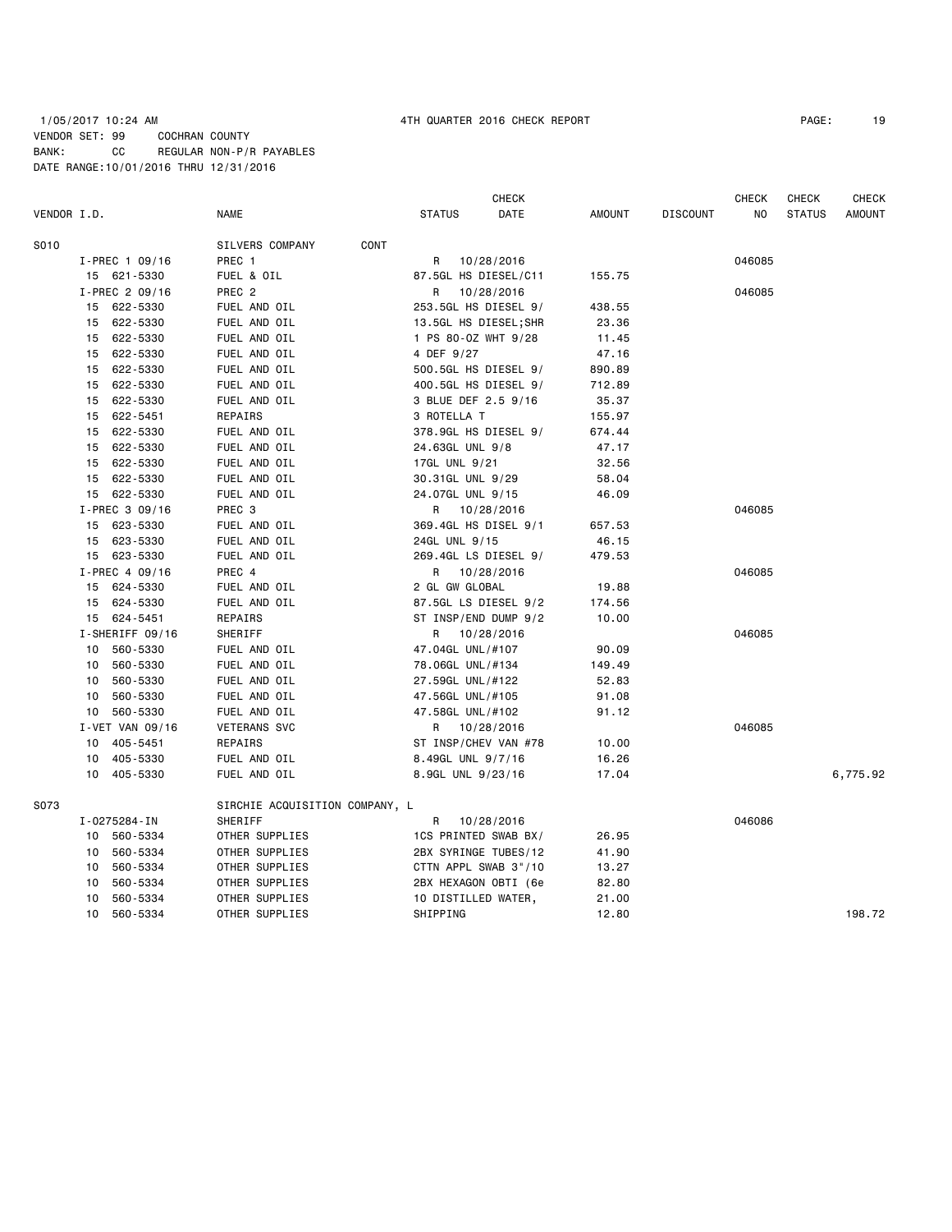# 1/05/2017 10:24 AM 4TH QUARTER 2016 CHECK REPORT PAGE: 19 VENDOR SET: 99 COCHRAN COUNTY BANK: CC REGULAR NON-P/R PAYABLES DATE RANGE:10/01/2016 THRU 12/31/2016

|             |                 |                                |      |                       | <b>CHECK</b> |        |                 | <b>CHECK</b> | CHECK         | <b>CHECK</b>  |
|-------------|-----------------|--------------------------------|------|-----------------------|--------------|--------|-----------------|--------------|---------------|---------------|
| VENDOR I.D. |                 | NAME                           |      | <b>STATUS</b>         | DATE         | AMOUNT | <b>DISCOUNT</b> | NO           | <b>STATUS</b> | <b>AMOUNT</b> |
| S010        |                 | SILVERS COMPANY                | CONT |                       |              |        |                 |              |               |               |
|             | I-PREC 1 09/16  | PREC 1                         |      | R                     | 10/28/2016   |        |                 | 046085       |               |               |
|             | 15 621-5330     | FUEL & OIL                     |      | 87.5GL HS DIESEL/C11  |              | 155.75 |                 |              |               |               |
|             | I-PREC 2 09/16  | PREC <sub>2</sub>              |      | R                     | 10/28/2016   |        |                 | 046085       |               |               |
|             | 15 622-5330     | FUEL AND OIL                   |      | 253.5GL HS DIESEL 9/  |              | 438.55 |                 |              |               |               |
|             | 15 622-5330     | FUEL AND OIL                   |      | 13.5GL HS DIESEL; SHR |              | 23.36  |                 |              |               |               |
|             | 15 622-5330     | FUEL AND OIL                   |      | 1 PS 80-0Z WHT 9/28   |              | 11.45  |                 |              |               |               |
|             | 622-5330<br>15  | FUEL AND OIL                   |      | 4 DEF 9/27            |              | 47.16  |                 |              |               |               |
|             | 15 622-5330     | FUEL AND OIL                   |      | 500.5GL HS DIESEL 9/  |              | 890.89 |                 |              |               |               |
|             | 622-5330<br>15  | FUEL AND OIL                   |      | 400.5GL HS DIESEL 9/  |              | 712.89 |                 |              |               |               |
|             | 15 622-5330     | FUEL AND OIL                   |      | 3 BLUE DEF 2.5 9/16   |              | 35.37  |                 |              |               |               |
|             | 15 622-5451     | REPAIRS                        |      | 3 ROTELLA T           |              | 155.97 |                 |              |               |               |
|             | 622-5330<br>15  | FUEL AND OIL                   |      | 378.9GL HS DIESEL 9/  |              | 674.44 |                 |              |               |               |
|             | 15 622-5330     | FUEL AND OIL                   |      | 24.63GL UNL 9/8       |              | 47.17  |                 |              |               |               |
|             | 622-5330<br>15  | FUEL AND OIL                   |      | 17GL UNL 9/21         |              | 32.56  |                 |              |               |               |
|             | 15 622-5330     | FUEL AND OIL                   |      | 30.31GL UNL 9/29      |              | 58.04  |                 |              |               |               |
|             | 15 622-5330     | FUEL AND OIL                   |      | 24.07GL UNL 9/15      |              | 46.09  |                 |              |               |               |
|             | I-PREC 3 09/16  | PREC 3                         |      | R 10/28/2016          |              |        |                 | 046085       |               |               |
|             | 15 623-5330     | FUEL AND OIL                   |      | 369.4GL HS DISEL 9/1  |              | 657.53 |                 |              |               |               |
|             | 623-5330<br>15  | FUEL AND OIL                   |      | 24GL UNL 9/15         |              | 46.15  |                 |              |               |               |
|             | 15 623-5330     | FUEL AND OIL                   |      | 269.4GL LS DIESEL 9/  |              | 479.53 |                 |              |               |               |
|             | I-PREC 4 09/16  | PREC 4                         |      | R 10/28/2016          |              |        |                 | 046085       |               |               |
|             | 15 624-5330     | FUEL AND OIL                   |      | 2 GL GW GLOBAL        |              | 19.88  |                 |              |               |               |
|             | 15 624-5330     | FUEL AND OIL                   |      | 87.5GL LS DIESEL 9/2  |              | 174.56 |                 |              |               |               |
|             | 15 624-5451     | REPAIRS                        |      | ST INSP/END DUMP 9/2  |              | 10.00  |                 |              |               |               |
|             | I-SHERIFF 09/16 | SHERIFF                        |      | R 10/28/2016          |              |        |                 | 046085       |               |               |
|             | 560-5330<br>10  | FUEL AND OIL                   |      | 47.04GL UNL/#107      |              | 90.09  |                 |              |               |               |
|             | 560-5330<br>10  | FUEL AND OIL                   |      | 78.06GL UNL/#134      |              | 149.49 |                 |              |               |               |
|             | 560-5330<br>10  | FUEL AND OIL                   |      | 27.59GL UNL/#122      |              | 52.83  |                 |              |               |               |
|             | 560-5330<br>10  | FUEL AND OIL                   |      | 47.56GL UNL/#105      |              | 91.08  |                 |              |               |               |
|             | 10 560-5330     | FUEL AND OIL                   |      | 47.58GL UNL/#102      |              | 91.12  |                 |              |               |               |
|             | I-VET VAN 09/16 | <b>VETERANS SVC</b>            |      | R                     | 10/28/2016   |        |                 | 046085       |               |               |
|             | 405-5451<br>10  | REPAIRS                        |      | ST INSP/CHEV VAN #78  |              | 10.00  |                 |              |               |               |
|             | 10 405-5330     | FUEL AND OIL                   |      | 8.49GL UNL 9/7/16     |              | 16.26  |                 |              |               |               |
|             | 10 405-5330     | FUEL AND OIL                   |      | 8.9GL UNL 9/23/16     |              | 17.04  |                 |              |               | 6,775.92      |
| S073        |                 | SIRCHIE ACQUISITION COMPANY, L |      |                       |              |        |                 |              |               |               |
|             | I-0275284-IN    | SHERIFF                        |      | R                     | 10/28/2016   |        |                 | 046086       |               |               |
|             | 10 560-5334     | OTHER SUPPLIES                 |      | 1CS PRINTED SWAB BX/  |              | 26.95  |                 |              |               |               |
|             | 560-5334<br>10  | OTHER SUPPLIES                 |      | 2BX SYRINGE TUBES/12  |              | 41.90  |                 |              |               |               |
|             | 560-5334<br>10  | OTHER SUPPLIES                 |      | CTTN APPL SWAB 3"/10  |              | 13.27  |                 |              |               |               |
|             | 560-5334<br>10  | OTHER SUPPLIES                 |      | 2BX HEXAGON OBTI (6e  |              | 82.80  |                 |              |               |               |
|             | 560-5334<br>10  | OTHER SUPPLIES                 |      | 10 DISTILLED WATER,   |              | 21.00  |                 |              |               |               |
|             | 10<br>560-5334  | OTHER SUPPLIES                 |      | SHIPPING              |              | 12.80  |                 |              |               | 198.72        |
|             |                 |                                |      |                       |              |        |                 |              |               |               |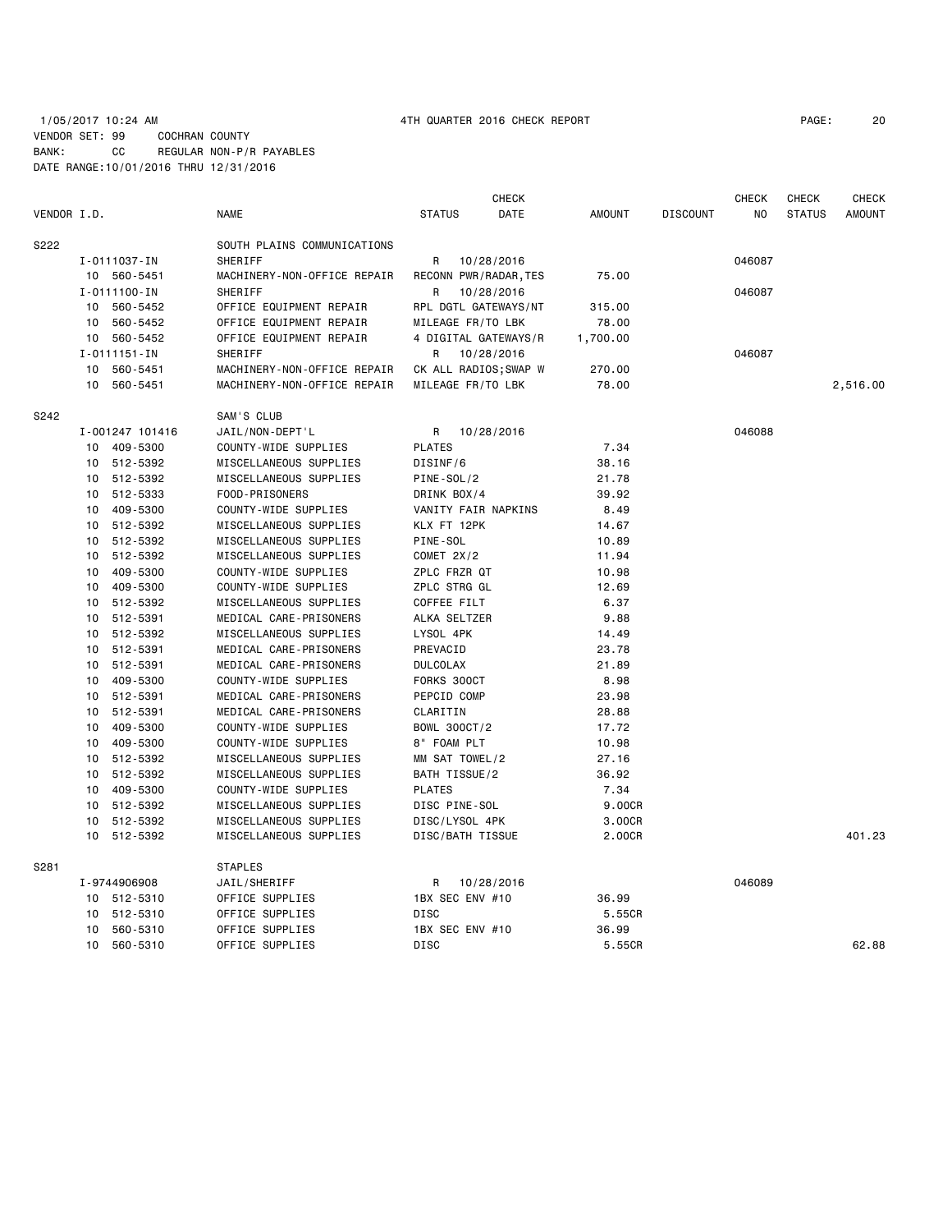## 1/05/2017 10:24 AM 4TH QUARTER 2016 CHECK REPORT PAGE: 20 VENDOR SET: 99 COCHRAN COUNTY BANK: CC REGULAR NON-P/R PAYABLES DATE RANGE:10/01/2016 THRU 12/31/2016

|             |    |                    |                             |                       | <b>CHECK</b> |               |                 | <b>CHECK</b> | <b>CHECK</b>  | <b>CHECK</b>  |
|-------------|----|--------------------|-----------------------------|-----------------------|--------------|---------------|-----------------|--------------|---------------|---------------|
| VENDOR I.D. |    |                    | <b>NAME</b>                 | <b>STATUS</b>         | DATE         | <b>AMOUNT</b> | <b>DISCOUNT</b> | NO.          | <b>STATUS</b> | <b>AMOUNT</b> |
| S222        |    |                    | SOUTH PLAINS COMMUNICATIONS |                       |              |               |                 |              |               |               |
|             |    | I-0111037-IN       | SHERIFF                     | R                     | 10/28/2016   |               |                 | 046087       |               |               |
|             |    | 10 560-5451        | MACHINERY-NON-OFFICE REPAIR | RECONN PWR/RADAR, TES |              | 75.00         |                 |              |               |               |
|             |    | I-0111100-IN       | <b>SHERIFF</b>              | R                     | 10/28/2016   |               |                 | 046087       |               |               |
|             |    | 10 560-5452        | OFFICE EQUIPMENT REPAIR     | RPL DGTL GATEWAYS/NT  |              | 315.00        |                 |              |               |               |
|             |    | 10 560-5452        | OFFICE EQUIPMENT REPAIR     | MILEAGE FR/TO LBK     |              | 78.00         |                 |              |               |               |
|             |    | 10 560-5452        | OFFICE EQUIPMENT REPAIR     | 4 DIGITAL GATEWAYS/R  |              | 1,700.00      |                 |              |               |               |
|             |    | $I - 0111151 - IN$ | SHERIFF                     | R                     | 10/28/2016   |               |                 | 046087       |               |               |
|             | 10 | 560-5451           | MACHINERY-NON-OFFICE REPAIR | CK ALL RADIOS; SWAP W |              | 270.00        |                 |              |               |               |
|             |    | 10 560-5451        | MACHINERY-NON-OFFICE REPAIR | MILEAGE FR/TO LBK     |              | 78.00         |                 |              |               | 2,516.00      |
| S242        |    |                    | SAM'S CLUB                  |                       |              |               |                 |              |               |               |
|             |    | I-001247 101416    | JAIL/NON-DEPT'L             | R.                    | 10/28/2016   |               |                 | 046088       |               |               |
|             | 10 | 409-5300           | COUNTY-WIDE SUPPLIES        | <b>PLATES</b>         |              | 7.34          |                 |              |               |               |
|             |    | 10 512-5392        | MISCELLANEOUS SUPPLIES      | DISINF/6              |              | 38.16         |                 |              |               |               |
|             | 10 | 512-5392           | MISCELLANEOUS SUPPLIES      | PINE-SOL/2            |              | 21.78         |                 |              |               |               |
|             |    | 10 512-5333        | FOOD-PRISONERS              | DRINK BOX/4           |              | 39.92         |                 |              |               |               |
|             |    | 10 409-5300        | COUNTY-WIDE SUPPLIES        | VANITY FAIR NAPKINS   |              | 8.49          |                 |              |               |               |
|             |    | 10 512-5392        | MISCELLANEOUS SUPPLIES      | KLX FT 12PK           |              | 14.67         |                 |              |               |               |
|             |    | 10 512-5392        | MISCELLANEOUS SUPPLIES      | PINE-SOL              |              | 10.89         |                 |              |               |               |
|             | 10 | 512-5392           | MISCELLANEOUS SUPPLIES      | COMET $2X/2$          |              | 11.94         |                 |              |               |               |
|             | 10 | 409-5300           | COUNTY-WIDE SUPPLIES        | ZPLC FRZR QT          |              | 10.98         |                 |              |               |               |
|             |    | 10 409-5300        | COUNTY-WIDE SUPPLIES        | ZPLC STRG GL          |              | 12.69         |                 |              |               |               |
|             |    | 10 512-5392        | MISCELLANEOUS SUPPLIES      | COFFEE FILT           |              | 6.37          |                 |              |               |               |
|             |    | 10 512-5391        | MEDICAL CARE-PRISONERS      | ALKA SELTZER          |              | 9.88          |                 |              |               |               |
|             |    | 10 512-5392        | MISCELLANEOUS SUPPLIES      | LYSOL 4PK             |              | 14.49         |                 |              |               |               |
|             |    | 10 512-5391        | MEDICAL CARE-PRISONERS      | PREVACID              |              | 23.78         |                 |              |               |               |
|             | 10 | 512-5391           | MEDICAL CARE-PRISONERS      | <b>DULCOLAX</b>       |              | 21.89         |                 |              |               |               |
|             | 10 | 409-5300           | COUNTY-WIDE SUPPLIES        | FORKS 300CT           |              | 8.98          |                 |              |               |               |
|             |    | 10 512-5391        | MEDICAL CARE-PRISONERS      | PEPCID COMP           |              | 23.98         |                 |              |               |               |
|             |    | 10 512-5391        | MEDICAL CARE-PRISONERS      | CLARITIN              |              | 28.88         |                 |              |               |               |
|             |    | 10 409-5300        | COUNTY-WIDE SUPPLIES        | BOWL 300CT/2          |              | 17.72         |                 |              |               |               |
|             |    | 10 409-5300        | COUNTY-WIDE SUPPLIES        | 8" FOAM PLT           |              | 10.98         |                 |              |               |               |
|             | 10 | 512-5392           | MISCELLANEOUS SUPPLIES      | MM SAT TOWEL/2        |              | 27.16         |                 |              |               |               |
|             | 10 | 512-5392           | MISCELLANEOUS SUPPLIES      | BATH TISSUE/2         |              | 36.92         |                 |              |               |               |
|             |    | 10 409-5300        | COUNTY-WIDE SUPPLIES        | <b>PLATES</b>         |              | 7.34          |                 |              |               |               |
|             |    | 10 512-5392        | MISCELLANEOUS SUPPLIES      | DISC PINE-SOL         |              | 9.00CR        |                 |              |               |               |
|             |    | 10 512-5392        | MISCELLANEOUS SUPPLIES      | DISC/LYSOL 4PK        |              | 3.00CR        |                 |              |               |               |
|             |    | 10 512-5392        | MISCELLANEOUS SUPPLIES      | DISC/BATH TISSUE      |              | 2.00CR        |                 |              |               | 401.23        |
| S281        |    |                    | <b>STAPLES</b>              |                       |              |               |                 |              |               |               |
|             |    | I-9744906908       | JAIL/SHERIFF                | R.                    | 10/28/2016   |               |                 | 046089       |               |               |
|             |    | 10 512-5310        | OFFICE SUPPLIES             | 1BX SEC ENV #10       |              | 36.99         |                 |              |               |               |
|             |    | 10 512-5310        | OFFICE SUPPLIES             | DISC                  |              | 5.55CR        |                 |              |               |               |
|             | 10 | 560-5310           | OFFICE SUPPLIES             | 1BX SEC ENV #10       |              | 36.99         |                 |              |               |               |
|             | 10 | 560-5310           | OFFICE SUPPLIES             | DISC                  |              | 5.55CR        |                 |              |               | 62.88         |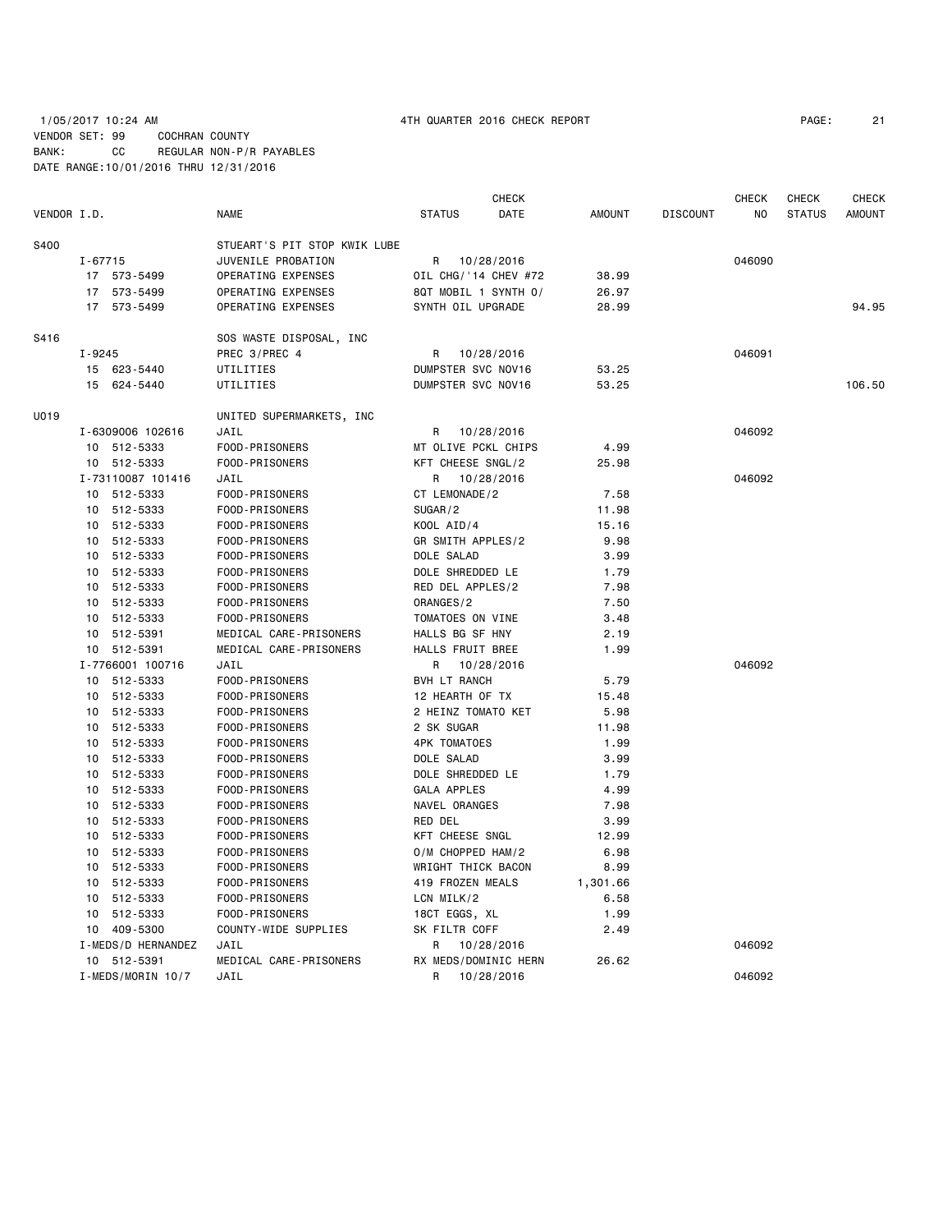|             |                    |                              | <b>CHECK</b>          |               |                 | <b>CHECK</b> | <b>CHECK</b>  | <b>CHECK</b>  |
|-------------|--------------------|------------------------------|-----------------------|---------------|-----------------|--------------|---------------|---------------|
| VENDOR I.D. |                    | <b>NAME</b>                  | <b>STATUS</b><br>DATE | <b>AMOUNT</b> | <b>DISCOUNT</b> | NO           | <b>STATUS</b> | <b>AMOUNT</b> |
| S400        |                    | STUEART'S PIT STOP KWIK LUBE |                       |               |                 |              |               |               |
|             | $I - 67715$        | JUVENILE PROBATION           | 10/28/2016<br>R       |               |                 | 046090       |               |               |
|             | 17 573-5499        | OPERATING EXPENSES           | OIL CHG/'14 CHEV #72  | 38.99         |                 |              |               |               |
|             | 17 573-5499        | OPERATING EXPENSES           | 8QT MOBIL 1 SYNTH 0/  | 26.97         |                 |              |               |               |
|             | 17 573-5499        | OPERATING EXPENSES           | SYNTH OIL UPGRADE     | 28.99         |                 |              |               | 94.95         |
| S416        |                    | SOS WASTE DISPOSAL, INC      |                       |               |                 |              |               |               |
|             | $I - 9245$         | PREC 3/PREC 4                | R<br>10/28/2016       |               |                 | 046091       |               |               |
|             | 15 623-5440        | UTILITIES                    | DUMPSTER SVC NOV16    | 53.25         |                 |              |               |               |
|             | 15<br>624-5440     | UTILITIES                    | DUMPSTER SVC NOV16    | 53.25         |                 |              |               | 106.50        |
| U019        |                    | UNITED SUPERMARKETS, INC     |                       |               |                 |              |               |               |
|             | I-6309006 102616   | JAIL                         | 10/28/2016<br>R.      |               |                 | 046092       |               |               |
|             | 10 512-5333        | FOOD-PRISONERS               | MT OLIVE PCKL CHIPS   | 4.99          |                 |              |               |               |
|             | 10 512-5333        | FOOD-PRISONERS               | KFT CHEESE SNGL/2     | 25.98         |                 |              |               |               |
|             | I-73110087 101416  | JAIL                         | 10/28/2016<br>R       |               |                 | 046092       |               |               |
|             | 10 512-5333        | FOOD-PRISONERS               | CT LEMONADE/2         | 7.58          |                 |              |               |               |
|             | 10 512-5333        | FOOD-PRISONERS               | SUGAR/2               | 11.98         |                 |              |               |               |
|             | 10 512-5333        | FOOD-PRISONERS               | KOOL AID/4            | 15.16         |                 |              |               |               |
|             | 10 512-5333        | FOOD-PRISONERS               | GR SMITH APPLES/2     | 9.98          |                 |              |               |               |
|             | 10 512-5333        | FOOD-PRISONERS               | DOLE SALAD            | 3.99          |                 |              |               |               |
|             | 512-5333<br>10     | FOOD-PRISONERS               | DOLE SHREDDED LE      | 1.79          |                 |              |               |               |
|             | 10<br>512-5333     | FOOD-PRISONERS               | RED DEL APPLES/2      | 7.98          |                 |              |               |               |
|             | 10 512-5333        | FOOD-PRISONERS               | ORANGES/2             | 7.50          |                 |              |               |               |
|             | 10 512-5333        | FOOD-PRISONERS               | TOMATOES ON VINE      | 3.48          |                 |              |               |               |
|             | 10 512-5391        | MEDICAL CARE-PRISONERS       | HALLS BG SF HNY       | 2.19          |                 |              |               |               |
|             | 10 512-5391        | MEDICAL CARE-PRISONERS       | HALLS FRUIT BREE      | 1.99          |                 |              |               |               |
|             | I-7766001 100716   | JAIL                         | 10/28/2016<br>R       |               |                 | 046092       |               |               |
|             | 10 512-5333        | FOOD-PRISONERS               | <b>BVH LT RANCH</b>   | 5.79          |                 |              |               |               |
|             | 10 512-5333        | FOOD-PRISONERS               | 12 HEARTH OF TX       | 15.48         |                 |              |               |               |
|             | 10 512-5333        | FOOD-PRISONERS               | 2 HEINZ TOMATO KET    | 5.98          |                 |              |               |               |
|             | 10 512-5333        | FOOD-PRISONERS               | 2 SK SUGAR            | 11.98         |                 |              |               |               |
|             | 10 512-5333        | FOOD-PRISONERS               | <b>4PK TOMATOES</b>   | 1.99          |                 |              |               |               |
|             | 10 512-5333        | FOOD-PRISONERS               | DOLE SALAD            | 3.99          |                 |              |               |               |
|             | 10 512-5333        | FOOD-PRISONERS               | DOLE SHREDDED LE      | 1.79          |                 |              |               |               |
|             | 10 512-5333        | FOOD-PRISONERS               | <b>GALA APPLES</b>    | 4.99          |                 |              |               |               |
|             | 512-5333<br>10     | FOOD-PRISONERS               | NAVEL ORANGES         | 7.98          |                 |              |               |               |
|             | 512-5333<br>10     | FOOD-PRISONERS               | RED DEL               | 3.99          |                 |              |               |               |
|             | 10 512-5333        | FOOD-PRISONERS               | KFT CHEESE SNGL       | 12.99         |                 |              |               |               |
|             | 10 512-5333        | FOOD-PRISONERS               | O/M CHOPPED HAM/2     | 6.98          |                 |              |               |               |
|             | 10 512-5333        | FOOD-PRISONERS               | WRIGHT THICK BACON    | 8.99          |                 |              |               |               |
|             | 10 512-5333        | FOOD-PRISONERS               | 419 FROZEN MEALS      | 1,301.66      |                 |              |               |               |
|             | 10 512-5333        | FOOD-PRISONERS               | LCN MILK/2            | 6.58          |                 |              |               |               |
|             | 10 512-5333        | FOOD-PRISONERS               | 18CT EGGS, XL         | 1.99          |                 |              |               |               |
|             | 10 409-5300        | COUNTY-WIDE SUPPLIES         | SK FILTR COFF         | 2.49          |                 |              |               |               |
|             | I-MEDS/D HERNANDEZ | JAIL                         | R<br>10/28/2016       |               |                 | 046092       |               |               |
|             | 10 512-5391        | MEDICAL CARE-PRISONERS       | RX MEDS/DOMINIC HERN  | 26.62         |                 |              |               |               |
|             | I-MEDS/MORIN 10/7  | JAIL                         | R<br>10/28/2016       |               |                 | 046092       |               |               |
|             |                    |                              |                       |               |                 |              |               |               |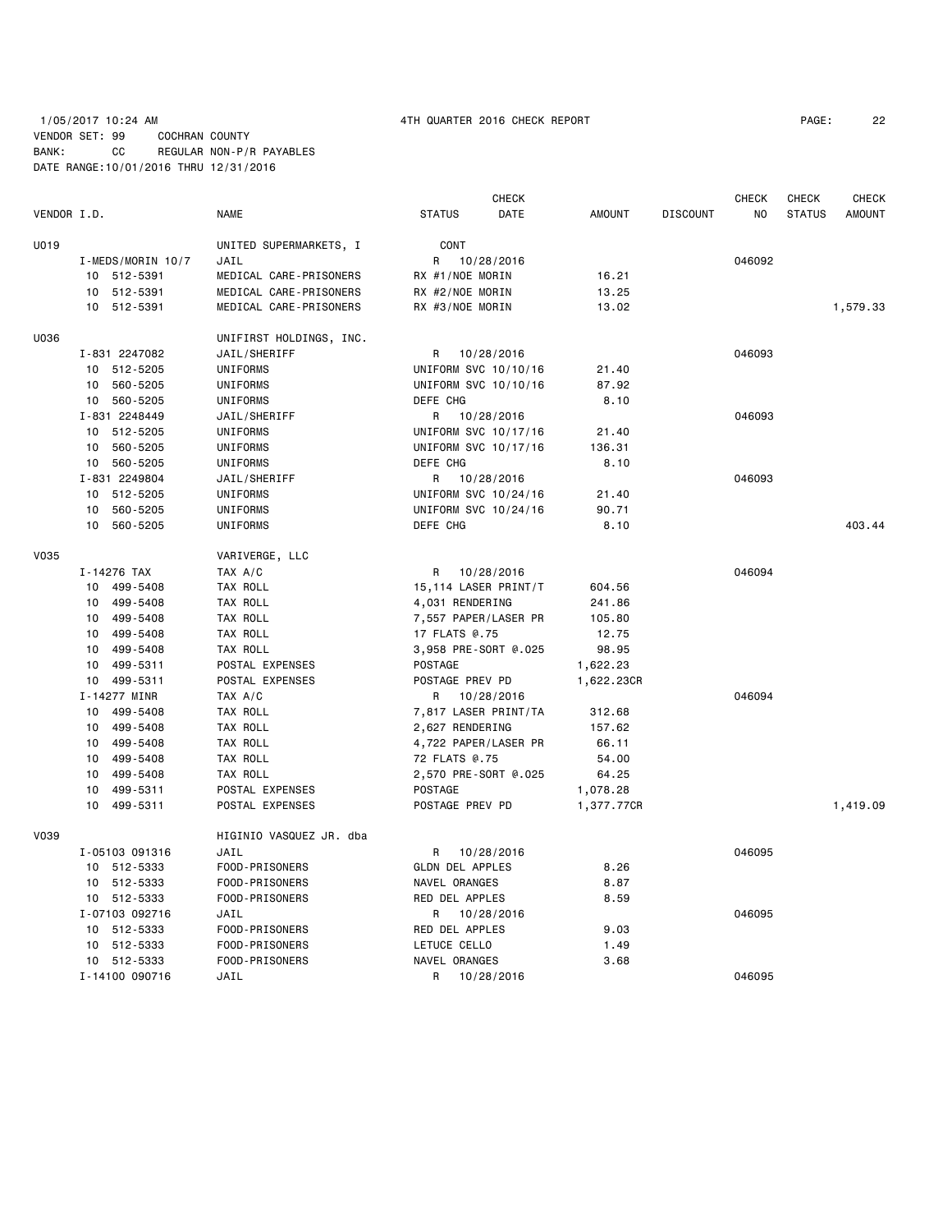# 1/05/2017 10:24 AM 4TH QUARTER 2016 CHECK REPORT PAGE: 22 VENDOR SET: 99 COCHRAN COUNTY BANK: CC REGULAR NON-P/R PAYABLES DATE RANGE:10/01/2016 THRU 12/31/2016

| VENDOR I.D. |                   | <b>NAME</b>             | <b>STATUS</b>          | <b>CHECK</b><br>DATE<br><b>AMOUNT</b> | <b>DISCOUNT</b> | <b>CHECK</b><br>NO | <b>CHECK</b><br><b>STATUS</b> | <b>CHECK</b><br><b>AMOUNT</b> |
|-------------|-------------------|-------------------------|------------------------|---------------------------------------|-----------------|--------------------|-------------------------------|-------------------------------|
|             |                   |                         |                        |                                       |                 |                    |                               |                               |
| U019        |                   | UNITED SUPERMARKETS, I  | CONT                   |                                       |                 |                    |                               |                               |
|             | I-MEDS/MORIN 10/7 | JAIL                    | 10/28/2016<br>R        |                                       |                 | 046092             |                               |                               |
|             | 10 512-5391       | MEDICAL CARE-PRISONERS  | RX #1/NOE MORIN        | 16.21                                 |                 |                    |                               |                               |
|             | 10 512-5391       | MEDICAL CARE-PRISONERS  | RX #2/NOE MORIN        | 13.25                                 |                 |                    |                               |                               |
|             | 10 512-5391       | MEDICAL CARE-PRISONERS  | RX #3/NOE MORIN        | 13.02                                 |                 |                    |                               | 1,579.33                      |
| U036        |                   | UNIFIRST HOLDINGS, INC. |                        |                                       |                 |                    |                               |                               |
|             | I-831 2247082     | JAIL/SHERIFF            | R<br>10/28/2016        |                                       |                 | 046093             |                               |                               |
|             | 10 512-5205       | UNIFORMS                | UNIFORM SVC 10/10/16   | 21.40                                 |                 |                    |                               |                               |
|             | 560-5205<br>10    | UNIFORMS                | UNIFORM SVC 10/10/16   | 87.92                                 |                 |                    |                               |                               |
|             | 560-5205<br>10    | UNIFORMS                | DEFE CHG               | 8.10                                  |                 |                    |                               |                               |
|             | I-831 2248449     | JAIL/SHERIFF            | R<br>10/28/2016        |                                       |                 | 046093             |                               |                               |
|             | 512-5205<br>10    | UNIFORMS                | UNIFORM SVC 10/17/16   | 21.40                                 |                 |                    |                               |                               |
|             | 560-5205<br>10    | UNIFORMS                | UNIFORM SVC 10/17/16   | 136.31                                |                 |                    |                               |                               |
|             | 560-5205<br>10    | UNIFORMS                | DEFE CHG               | 8.10                                  |                 |                    |                               |                               |
|             | I-831 2249804     | JAIL/SHERIFF            | R<br>10/28/2016        |                                       |                 | 046093             |                               |                               |
|             | 10 512-5205       | UNIFORMS                | UNIFORM SVC 10/24/16   | 21.40                                 |                 |                    |                               |                               |
|             | 10 560-5205       | UNIFORMS                | UNIFORM SVC 10/24/16   | 90.71                                 |                 |                    |                               |                               |
|             | 560-5205<br>10    | UNIFORMS                | DEFE CHG               | 8.10                                  |                 |                    |                               | 403.44                        |
| <b>V035</b> |                   | VARIVERGE, LLC          |                        |                                       |                 |                    |                               |                               |
|             | I-14276 TAX       | TAX A/C                 | 10/28/2016<br>R        |                                       |                 | 046094             |                               |                               |
|             | 499-5408<br>10    | TAX ROLL                | 15,114 LASER PRINT/T   | 604.56                                |                 |                    |                               |                               |
|             | 499-5408<br>10    | TAX ROLL                | 4,031 RENDERING        | 241.86                                |                 |                    |                               |                               |
|             | 10<br>499-5408    | TAX ROLL                | 7,557 PAPER/LASER PR   | 105.80                                |                 |                    |                               |                               |
|             | 10<br>499-5408    | TAX ROLL                | 17 FLATS @.75          | 12.75                                 |                 |                    |                               |                               |
|             | 10<br>499-5408    | TAX ROLL                | 3,958 PRE-SORT @.025   | 98.95                                 |                 |                    |                               |                               |
|             | 499-5311<br>10    | POSTAL EXPENSES         | POSTAGE                | 1,622.23                              |                 |                    |                               |                               |
|             | 499-5311<br>10    | POSTAL EXPENSES         | POSTAGE PREV PD        | 1,622.23CR                            |                 |                    |                               |                               |
|             | I-14277 MINR      | TAX A/C                 | R 10/28/2016           |                                       |                 | 046094             |                               |                               |
|             | 10 499-5408       | TAX ROLL                | 7,817 LASER PRINT/TA   | 312.68                                |                 |                    |                               |                               |
|             | 10 499-5408       | TAX ROLL                | 2,627 RENDERING        | 157.62                                |                 |                    |                               |                               |
|             | 10 499-5408       | TAX ROLL                | 4,722 PAPER/LASER PR   | 66.11                                 |                 |                    |                               |                               |
|             | 10<br>499-5408    | TAX ROLL                | 72 FLATS @.75          | 54.00                                 |                 |                    |                               |                               |
|             | 499-5408<br>10    | TAX ROLL                | 2,570 PRE-SORT @.025   | 64.25                                 |                 |                    |                               |                               |
|             | 499-5311<br>10    | POSTAL EXPENSES         | POSTAGE                | 1,078.28                              |                 |                    |                               |                               |
|             | 10 499-5311       | POSTAL EXPENSES         | POSTAGE PREV PD        | 1,377.77CR                            |                 |                    |                               | 1,419.09                      |
| V039        |                   | HIGINIO VASQUEZ JR. dba |                        |                                       |                 |                    |                               |                               |
|             | I-05103 091316    | JAIL                    | 10/28/2016<br>R        |                                       |                 | 046095             |                               |                               |
|             | 512-5333<br>10    | FOOD-PRISONERS          | <b>GLDN DEL APPLES</b> | 8.26                                  |                 |                    |                               |                               |
|             | 10 512-5333       | FOOD-PRISONERS          | NAVEL ORANGES          | 8.87                                  |                 |                    |                               |                               |
|             | 10 512-5333       | FOOD-PRISONERS          | RED DEL APPLES         | 8.59                                  |                 |                    |                               |                               |
|             | I-07103 092716    | JAIL                    | R<br>10/28/2016        |                                       |                 | 046095             |                               |                               |
|             | 10<br>512-5333    | FOOD-PRISONERS          | RED DEL APPLES         | 9.03                                  |                 |                    |                               |                               |
|             | 10 512-5333       | FOOD-PRISONERS          | LETUCE CELLO           | 1.49                                  |                 |                    |                               |                               |
|             | 10 512-5333       | FOOD-PRISONERS          | NAVEL ORANGES          | 3.68                                  |                 |                    |                               |                               |
|             | I-14100 090716    | JAIL                    | R<br>10/28/2016        |                                       |                 | 046095             |                               |                               |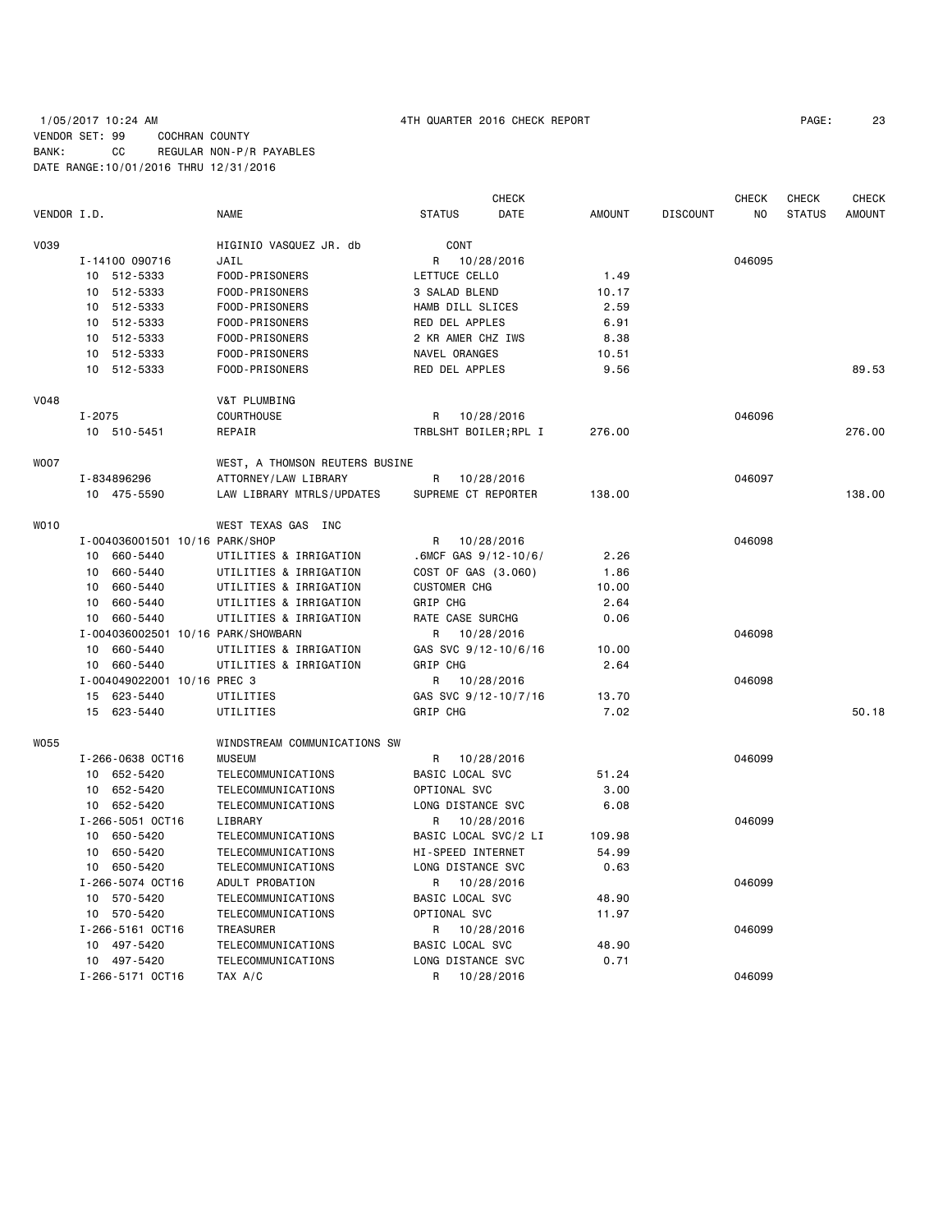# 1/05/2017 10:24 AM 4TH QUARTER 2016 CHECK REPORT PAGE: 23 VENDOR SET: 99 COCHRAN COUNTY BANK: CC REGULAR NON-P/R PAYABLES DATE RANGE:10/01/2016 THRU 12/31/2016

|             |            |                                    |                                |                          | <b>CHECK</b> |               |                 | <b>CHECK</b>   | CHECK         | <b>CHECK</b>  |
|-------------|------------|------------------------------------|--------------------------------|--------------------------|--------------|---------------|-----------------|----------------|---------------|---------------|
| VENDOR I.D. |            |                                    | NAME                           | <b>STATUS</b>            | DATE         | <b>AMOUNT</b> | <b>DISCOUNT</b> | N <sub>O</sub> | <b>STATUS</b> | <b>AMOUNT</b> |
| V039        |            |                                    | HIGINIO VASQUEZ JR. db         | CONT                     |              |               |                 |                |               |               |
|             |            | I-14100 090716                     | JAIL                           | R                        | 10/28/2016   |               |                 | 046095         |               |               |
|             |            | 10 512-5333                        | FOOD-PRISONERS                 | LETTUCE CELLO            |              | 1.49          |                 |                |               |               |
|             | 10         | 512-5333                           | FOOD-PRISONERS                 | 3 SALAD BLEND            |              | 10.17         |                 |                |               |               |
|             | 10         | 512-5333                           | FOOD-PRISONERS                 | HAMB DILL SLICES         |              | 2.59          |                 |                |               |               |
|             | 10         | 512-5333                           | FOOD-PRISONERS                 | RED DEL APPLES           |              | 6.91          |                 |                |               |               |
|             | 10         | 512-5333                           | FOOD-PRISONERS                 | 2 KR AMER CHZ IWS        |              | 8.38          |                 |                |               |               |
|             | 10         | 512-5333                           | FOOD-PRISONERS                 | NAVEL ORANGES            |              | 10.51         |                 |                |               |               |
|             |            | 10 512-5333                        | FOOD-PRISONERS                 | RED DEL APPLES           |              | 9.56          |                 |                |               | 89.53         |
| <b>V048</b> |            |                                    | V&T PLUMBING                   |                          |              |               |                 |                |               |               |
|             | $I - 2075$ |                                    | <b>COURTHOUSE</b>              | R                        | 10/28/2016   |               |                 | 046096         |               |               |
|             |            | 10 510-5451                        | REPAIR                         | TRBLSHT BOILER; RPL I    |              | 276.00        |                 |                |               | 276.00        |
| <b>WOO7</b> |            |                                    | WEST, A THOMSON REUTERS BUSINE |                          |              |               |                 |                |               |               |
|             |            | I-834896296                        | ATTORNEY/LAW LIBRARY           | R                        | 10/28/2016   |               |                 | 046097         |               |               |
|             |            | 10 475-5590                        | LAW LIBRARY MTRLS/UPDATES      | SUPREME CT REPORTER      |              | 138,00        |                 |                |               | 138.00        |
| <b>WO10</b> |            |                                    | WEST TEXAS GAS INC             |                          |              |               |                 |                |               |               |
|             |            | I-004036001501 10/16 PARK/SHOP     |                                | R                        | 10/28/2016   |               |                 | 046098         |               |               |
|             | 10         | 660-5440                           | UTILITIES & IRRIGATION         | .6MCF GAS $9/12 - 10/6/$ |              | 2.26          |                 |                |               |               |
|             | 10         | 660-5440                           | UTILITIES & IRRIGATION         | COST OF GAS (3.060)      |              | 1.86          |                 |                |               |               |
|             | 10         | 660-5440                           | UTILITIES & IRRIGATION         | <b>CUSTOMER CHG</b>      |              | 10.00         |                 |                |               |               |
|             | 10         | 660-5440                           | UTILITIES & IRRIGATION         | GRIP CHG                 |              | 2.64          |                 |                |               |               |
|             | 10         | 660-5440                           | UTILITIES & IRRIGATION         | RATE CASE SURCHG         |              | 0.06          |                 |                |               |               |
|             |            | I-004036002501 10/16 PARK/SHOWBARN |                                | R                        | 10/28/2016   |               |                 | 046098         |               |               |
|             |            | 10 660-5440                        | UTILITIES & IRRIGATION         | GAS SVC 9/12-10/6/16     |              | 10.00         |                 |                |               |               |
|             |            | 10 660-5440                        | UTILITIES & IRRIGATION         | <b>GRIP CHG</b>          |              | 2.64          |                 |                |               |               |
|             |            | I-004049022001 10/16 PREC 3        |                                | R                        | 10/28/2016   |               |                 | 046098         |               |               |
|             | 15         | 623-5440                           | UTILITIES                      | GAS SVC 9/12-10/7/16     |              | 13.70         |                 |                |               |               |
|             | 15         | 623-5440                           | UTILITIES                      | <b>GRIP CHG</b>          |              | 7.02          |                 |                |               | 50.18         |
| <b>W055</b> |            |                                    | WINDSTREAM COMMUNICATIONS SW   |                          |              |               |                 |                |               |               |
|             |            | I-266-0638 OCT16                   | <b>MUSEUM</b>                  | R                        | 10/28/2016   |               |                 | 046099         |               |               |
|             |            | 10 652-5420                        | TELECOMMUNICATIONS             | BASIC LOCAL SVC          |              | 51.24         |                 |                |               |               |
|             |            | 10 652-5420                        | TELECOMMUNICATIONS             | OPTIONAL SVC             |              | 3.00          |                 |                |               |               |
|             |            | 10 652-5420                        | TELECOMMUNICATIONS             | LONG DISTANCE SVC        |              | 6.08          |                 |                |               |               |
|             |            | I-266-5051 OCT16                   | LIBRARY                        | R                        | 10/28/2016   |               |                 | 046099         |               |               |
|             |            | 10 650-5420                        | TELECOMMUNICATIONS             | BASIC LOCAL SVC/2 LI     |              | 109.98        |                 |                |               |               |
|             |            | 10 650-5420                        | TELECOMMUNICATIONS             | HI-SPEED INTERNET        |              | 54.99         |                 |                |               |               |
|             |            | 10 650-5420                        | TELECOMMUNICATIONS             | LONG DISTANCE SVC        |              | 0.63          |                 |                |               |               |
|             |            | I-266-5074 OCT16                   | ADULT PROBATION                | R                        | 10/28/2016   |               |                 | 046099         |               |               |
|             |            | 10 570-5420                        | TELECOMMUNICATIONS             | BASIC LOCAL SVC          |              | 48.90         |                 |                |               |               |
|             |            | 10 570-5420                        | TELECOMMUNICATIONS             | OPTIONAL SVC             |              | 11.97         |                 |                |               |               |
|             |            | I-266-5161 OCT16                   | TREASURER                      | R                        | 10/28/2016   |               |                 | 046099         |               |               |
|             |            | 10 497-5420                        | TELECOMMUNICATIONS             | BASIC LOCAL SVC          |              | 48.90         |                 |                |               |               |
|             |            | 10 497-5420                        | TELECOMMUNICATIONS             | LONG DISTANCE SVC        |              | 0.71          |                 |                |               |               |
|             |            | I-266-5171 OCT16                   | TAX A/C                        | R                        | 10/28/2016   |               |                 | 046099         |               |               |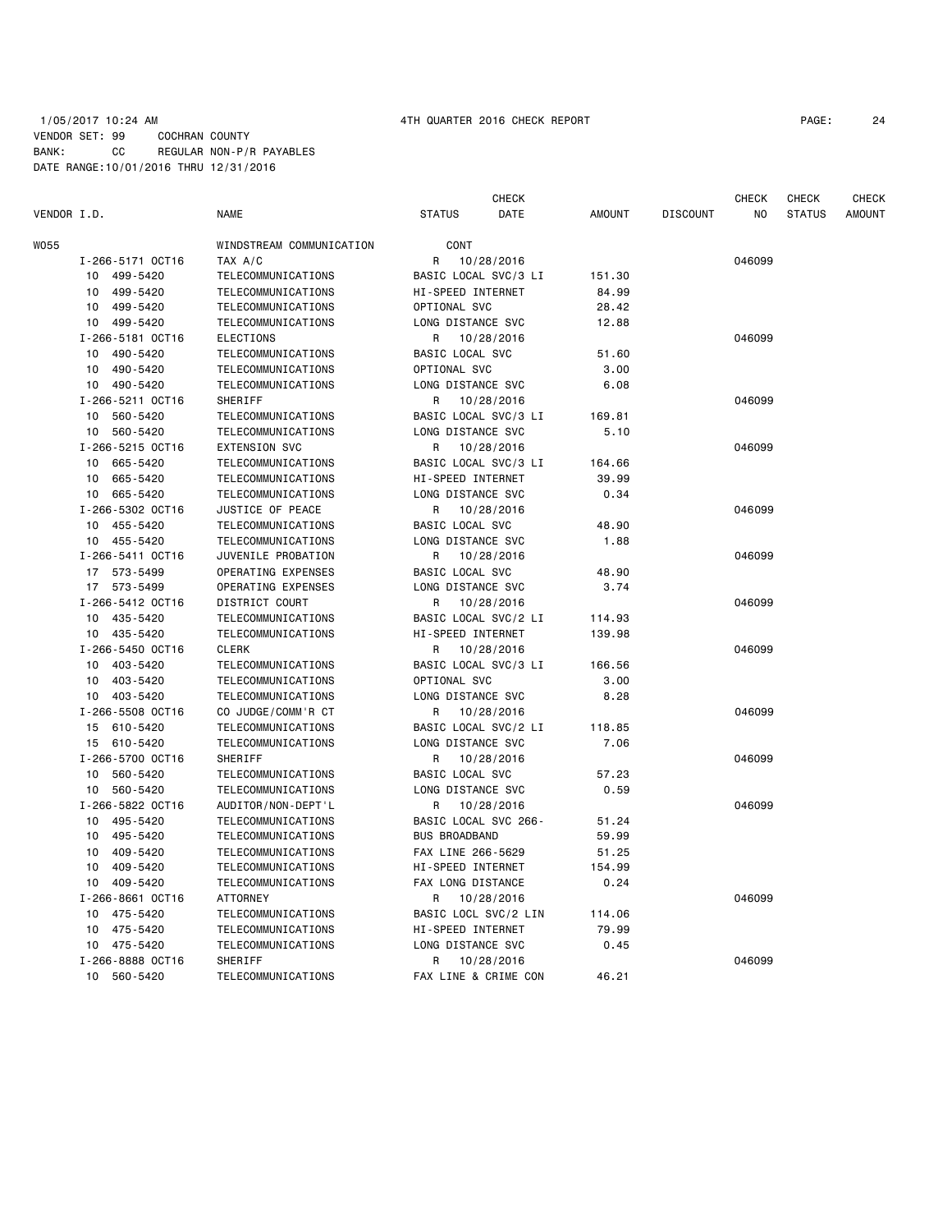## 1/05/2017 10:24 AM 4TH QUARTER 2016 CHECK REPORT PAGE: 24 VENDOR SET: 99 COCHRAN COUNTY BANK: CC REGULAR NON-P/R PAYABLES DATE RANGE:10/01/2016 THRU 12/31/2016

|             |                             |                          | <b>CHECK</b>          |               |                 | <b>CHECK</b> | CHECK         | CHECK         |
|-------------|-----------------------------|--------------------------|-----------------------|---------------|-----------------|--------------|---------------|---------------|
| VENDOR I.D. |                             | <b>NAME</b>              | <b>STATUS</b><br>DATE | <b>AMOUNT</b> | <b>DISCOUNT</b> | NO.          | <b>STATUS</b> | <b>AMOUNT</b> |
| W055        |                             | WINDSTREAM COMMUNICATION | CONT                  |               |                 |              |               |               |
|             | I-266-5171 OCT16            | TAX A/C                  | 10/28/2016<br>R       |               |                 | 046099       |               |               |
|             | 499-5420<br>10              | TELECOMMUNICATIONS       | BASIC LOCAL SVC/3 LI  | 151.30        |                 |              |               |               |
|             | 10<br>499-5420              | TELECOMMUNICATIONS       | HI-SPEED INTERNET     | 84.99         |                 |              |               |               |
|             | 499-5420<br>10              | TELECOMMUNICATIONS       | OPTIONAL SVC          | 28.42         |                 |              |               |               |
|             | 499-5420<br>10              | TELECOMMUNICATIONS       | LONG DISTANCE SVC     | 12.88         |                 |              |               |               |
|             | I-266-5181 OCT16            | <b>ELECTIONS</b>         | R<br>10/28/2016       |               |                 | 046099       |               |               |
|             | 490-5420<br>10              | TELECOMMUNICATIONS       | BASIC LOCAL SVC       | 51.60         |                 |              |               |               |
|             | 490-5420<br>10              | TELECOMMUNICATIONS       | OPTIONAL SVC          | 3.00          |                 |              |               |               |
|             | 10 490-5420                 | TELECOMMUNICATIONS       | LONG DISTANCE SVC     | 6.08          |                 |              |               |               |
|             | I-266-5211 0CT16            | <b>SHERIFF</b>           | 10/28/2016<br>R       |               |                 | 046099       |               |               |
|             | 10 560-5420                 | TELECOMMUNICATIONS       | BASIC LOCAL SVC/3 LI  | 169.81        |                 |              |               |               |
|             | 10 560-5420                 | TELECOMMUNICATIONS       | LONG DISTANCE SVC     | 5.10          |                 |              |               |               |
|             | I-266-5215 OCT16            | <b>EXTENSION SVC</b>     | R<br>10/28/2016       |               |                 | 046099       |               |               |
|             | 665-5420<br>10              | TELECOMMUNICATIONS       | BASIC LOCAL SVC/3 LI  | 164.66        |                 |              |               |               |
|             | 665-5420<br>10              | TELECOMMUNICATIONS       | HI-SPEED INTERNET     | 39.99         |                 |              |               |               |
|             | 10<br>665-5420              | TELECOMMUNICATIONS       | LONG DISTANCE SVC     | 0.34          |                 |              |               |               |
|             | I-266-5302 OCT16            | JUSTICE OF PEACE         | R                     |               |                 | 046099       |               |               |
|             |                             |                          | 10/28/2016            |               |                 |              |               |               |
|             | 10 455-5420                 | TELECOMMUNICATIONS       | BASIC LOCAL SVC       | 48.90         |                 |              |               |               |
|             | 10 455-5420                 | TELECOMMUNICATIONS       | LONG DISTANCE SVC     | 1.88          |                 |              |               |               |
|             | I-266-5411 OCT16            | JUVENILE PROBATION       | R<br>10/28/2016       |               |                 | 046099       |               |               |
|             | 17 573-5499                 | OPERATING EXPENSES       | BASIC LOCAL SVC       | 48.90         |                 |              |               |               |
|             | 17 573-5499                 | OPERATING EXPENSES       | LONG DISTANCE SVC     | 3.74          |                 |              |               |               |
|             | I-266-5412 OCT16            | DISTRICT COURT           | 10/28/2016<br>R       |               |                 | 046099       |               |               |
|             | 10 435-5420                 | TELECOMMUNICATIONS       | BASIC LOCAL SVC/2 LI  | 114.93        |                 |              |               |               |
|             | 435-5420<br>10              | TELECOMMUNICATIONS       | HI-SPEED INTERNET     | 139.98        |                 |              |               |               |
|             | I-266-5450 OCT16            | <b>CLERK</b>             | 10/28/2016<br>R       |               |                 | 046099       |               |               |
|             | 10 <sup>1</sup><br>403-5420 | TELECOMMUNICATIONS       | BASIC LOCAL SVC/3 LI  | 166.56        |                 |              |               |               |
|             | 403-5420<br>10              | TELECOMMUNICATIONS       | OPTIONAL SVC          | 3.00          |                 |              |               |               |
|             | 403-5420<br>10              | TELECOMMUNICATIONS       | LONG DISTANCE SVC     | 8.28          |                 |              |               |               |
|             | I-266-5508 OCT16            | CO JUDGE/COMM'R CT       | R<br>10/28/2016       |               |                 | 046099       |               |               |
|             | 15 610-5420                 | TELECOMMUNICATIONS       | BASIC LOCAL SVC/2 LI  | 118.85        |                 |              |               |               |
|             | 15 610-5420                 | TELECOMMUNICATIONS       | LONG DISTANCE SVC     | 7.06          |                 |              |               |               |
|             | I-266-5700 OCT16            | <b>SHERIFF</b>           | 10/28/2016<br>R       |               |                 | 046099       |               |               |
|             | 560-5420<br>10              | TELECOMMUNICATIONS       | BASIC LOCAL SVC       | 57.23         |                 |              |               |               |
|             | 560-5420<br>10              | TELECOMMUNICATIONS       | LONG DISTANCE SVC     | 0.59          |                 |              |               |               |
|             | I-266-5822 OCT16            | AUDITOR/NON-DEPT'L       | 10/28/2016<br>R       |               |                 | 046099       |               |               |
|             | 495-5420<br>10              | TELECOMMUNICATIONS       | BASIC LOCAL SVC 266-  | 51.24         |                 |              |               |               |
|             | 495-5420<br>10              | TELECOMMUNICATIONS       | <b>BUS BROADBAND</b>  | 59.99         |                 |              |               |               |
|             | 409-5420<br>10              | TELECOMMUNICATIONS       | FAX LINE 266-5629     | 51.25         |                 |              |               |               |
|             | 409-5420<br>10              | TELECOMMUNICATIONS       | HI-SPEED INTERNET     | 154.99        |                 |              |               |               |
|             | 10 409-5420                 | TELECOMMUNICATIONS       | FAX LONG DISTANCE     | 0.24          |                 |              |               |               |
|             | I-266-8661 OCT16            | <b>ATTORNEY</b>          | R<br>10/28/2016       |               |                 | 046099       |               |               |
|             | 475-5420<br>10              | TELECOMMUNICATIONS       | BASIC LOCL SVC/2 LIN  | 114.06        |                 |              |               |               |
|             | 10<br>475-5420              | TELECOMMUNICATIONS       | HI-SPEED INTERNET     | 79.99         |                 |              |               |               |
|             | 10<br>475-5420              | TELECOMMUNICATIONS       | LONG DISTANCE SVC     | 0.45          |                 |              |               |               |
|             | I-266-8888 OCT16            | SHERIFF                  | R<br>10/28/2016       |               |                 | 046099       |               |               |
|             | 10<br>560-5420              | TELECOMMUNICATIONS       | FAX LINE & CRIME CON  | 46.21         |                 |              |               |               |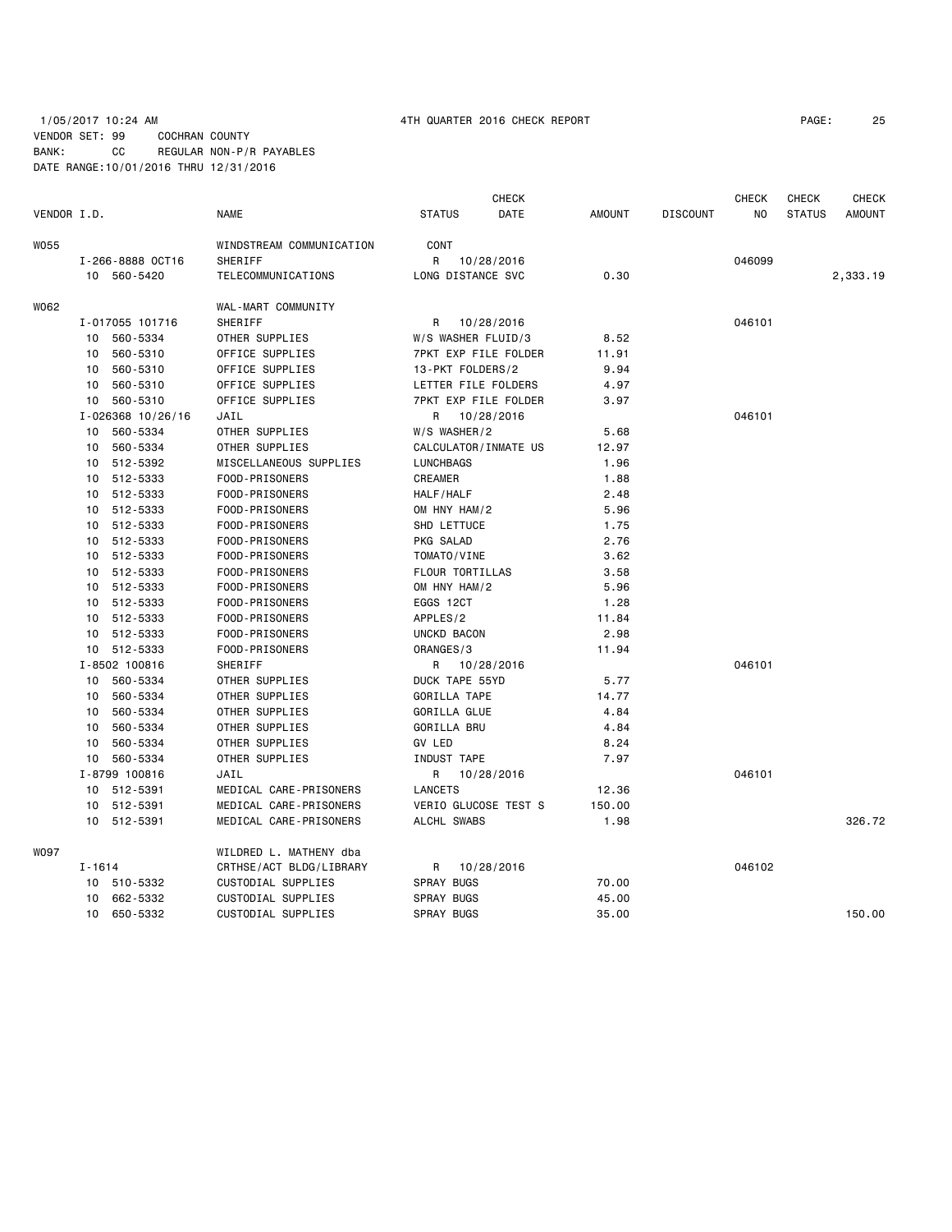# 1/05/2017 10:24 AM 4TH QUARTER 2016 CHECK REPORT PAGE: 25 VENDOR SET: 99 COCHRAN COUNTY BANK: CC REGULAR NON-P/R PAYABLES DATE RANGE:10/01/2016 THRU 12/31/2016

|             |            |                   |                          |                     | <b>CHECK</b>         |               |                 | <b>CHECK</b> | <b>CHECK</b>  | <b>CHECK</b>  |
|-------------|------------|-------------------|--------------------------|---------------------|----------------------|---------------|-----------------|--------------|---------------|---------------|
| VENDOR I.D. |            |                   | <b>NAME</b>              | <b>STATUS</b>       | DATE                 | <b>AMOUNT</b> | <b>DISCOUNT</b> | ΝO           | <b>STATUS</b> | <b>AMOUNT</b> |
| W055        |            |                   | WINDSTREAM COMMUNICATION | CONT                |                      |               |                 |              |               |               |
|             |            | I-266-8888 OCT16  | SHERIFF                  | R                   | 10/28/2016           |               |                 | 046099       |               |               |
|             |            | 10 560-5420       | TELECOMMUNICATIONS       | LONG DISTANCE SVC   |                      | 0.30          |                 |              |               | 2,333.19      |
| W062        |            |                   | WAL-MART COMMUNITY       |                     |                      |               |                 |              |               |               |
|             |            | I-017055 101716   | SHERIFF                  | R                   | 10/28/2016           |               |                 | 046101       |               |               |
|             | 10         | 560-5334          | OTHER SUPPLIES           | W/S WASHER FLUID/3  |                      | 8.52          |                 |              |               |               |
|             | 10         | 560-5310          | OFFICE SUPPLIES          |                     | 7PKT EXP FILE FOLDER | 11.91         |                 |              |               |               |
|             | 10         | 560-5310          | OFFICE SUPPLIES          | 13-PKT FOLDERS/2    |                      | 9.94          |                 |              |               |               |
|             | 10         | 560-5310          | OFFICE SUPPLIES          | LETTER FILE FOLDERS |                      | 4.97          |                 |              |               |               |
|             | 10         | 560-5310          | OFFICE SUPPLIES          |                     | 7PKT EXP FILE FOLDER | 3.97          |                 |              |               |               |
|             |            | I-026368 10/26/16 | JAIL                     |                     | R 10/28/2016         |               |                 | 046101       |               |               |
|             | 10         | 560-5334          | OTHER SUPPLIES           | W/S WASHER/2        |                      | 5.68          |                 |              |               |               |
|             | 10         | 560-5334          | OTHER SUPPLIES           |                     | CALCULATOR/INMATE US | 12.97         |                 |              |               |               |
|             | 10         | 512-5392          | MISCELLANEOUS SUPPLIES   | LUNCHBAGS           |                      | 1.96          |                 |              |               |               |
|             | 10         | 512-5333          | FOOD-PRISONERS           | <b>CREAMER</b>      |                      | 1.88          |                 |              |               |               |
|             | 10         | 512-5333          | FOOD-PRISONERS           | HALF/HALF           |                      | 2.48          |                 |              |               |               |
|             | 10         | 512-5333          | FOOD-PRISONERS           | OM HNY HAM/2        |                      | 5.96          |                 |              |               |               |
|             | 10         | 512-5333          | FOOD-PRISONERS           | SHD LETTUCE         |                      | 1.75          |                 |              |               |               |
|             | 10         | 512-5333          | FOOD-PRISONERS           | PKG SALAD           |                      | 2.76          |                 |              |               |               |
|             | 10         | 512-5333          | FOOD-PRISONERS           | TOMATO/VINE         |                      | 3.62          |                 |              |               |               |
|             | 10         | 512-5333          | FOOD-PRISONERS           | FLOUR TORTILLAS     |                      | 3.58          |                 |              |               |               |
|             | 10         | 512-5333          | FOOD-PRISONERS           | OM HNY HAM/2        |                      | 5.96          |                 |              |               |               |
|             | 10         | 512-5333          | FOOD-PRISONERS           | EGGS 12CT           |                      | 1.28          |                 |              |               |               |
|             | 10         | 512-5333          | FOOD-PRISONERS           | APPLES/2            |                      | 11.84         |                 |              |               |               |
|             | 10         | 512-5333          | FOOD-PRISONERS           | UNCKD BACON         |                      | 2.98          |                 |              |               |               |
|             | 10         | 512-5333          | FOOD-PRISONERS           | ORANGES/3           |                      | 11.94         |                 |              |               |               |
|             |            | I-8502 100816     | SHERIFF                  | R                   | 10/28/2016           |               |                 | 046101       |               |               |
|             | 10         | 560-5334          | OTHER SUPPLIES           | DUCK TAPE 55YD      |                      | 5.77          |                 |              |               |               |
|             | 10         | 560-5334          | OTHER SUPPLIES           | GORILLA TAPE        |                      | 14.77         |                 |              |               |               |
|             | 10         | 560-5334          | OTHER SUPPLIES           | <b>GORILLA GLUE</b> |                      | 4.84          |                 |              |               |               |
|             | 10         | 560-5334          | OTHER SUPPLIES           | GORILLA BRU         |                      | 4.84          |                 |              |               |               |
|             | 10         | 560-5334          | OTHER SUPPLIES           | GV LED              |                      | 8.24          |                 |              |               |               |
|             | 10         | 560-5334          | OTHER SUPPLIES           | INDUST TAPE         |                      | 7.97          |                 |              |               |               |
|             |            | I-8799 100816     | JAIL                     | R                   | 10/28/2016           |               |                 | 046101       |               |               |
|             |            | 10 512-5391       | MEDICAL CARE-PRISONERS   | <b>LANCETS</b>      |                      | 12.36         |                 |              |               |               |
|             | 10         | 512-5391          | MEDICAL CARE-PRISONERS   |                     | VERIO GLUCOSE TEST S | 150.00        |                 |              |               |               |
|             | 10         | 512-5391          | MEDICAL CARE-PRISONERS   | ALCHL SWABS         |                      | 1.98          |                 |              |               | 326.72        |
| W097        |            |                   | WILDRED L. MATHENY dba   |                     |                      |               |                 |              |               |               |
|             | $I - 1614$ |                   | CRTHSE/ACT BLDG/LIBRARY  | R                   | 10/28/2016           |               |                 | 046102       |               |               |
|             | 10         | 510-5332          | CUSTODIAL SUPPLIES       | <b>SPRAY BUGS</b>   |                      | 70.00         |                 |              |               |               |
|             | 10         | 662-5332          | CUSTODIAL SUPPLIES       | <b>SPRAY BUGS</b>   |                      | 45.00         |                 |              |               |               |
|             | 10         | 650-5332          | CUSTODIAL SUPPLIES       | <b>SPRAY BUGS</b>   |                      | 35.00         |                 |              |               | 150.00        |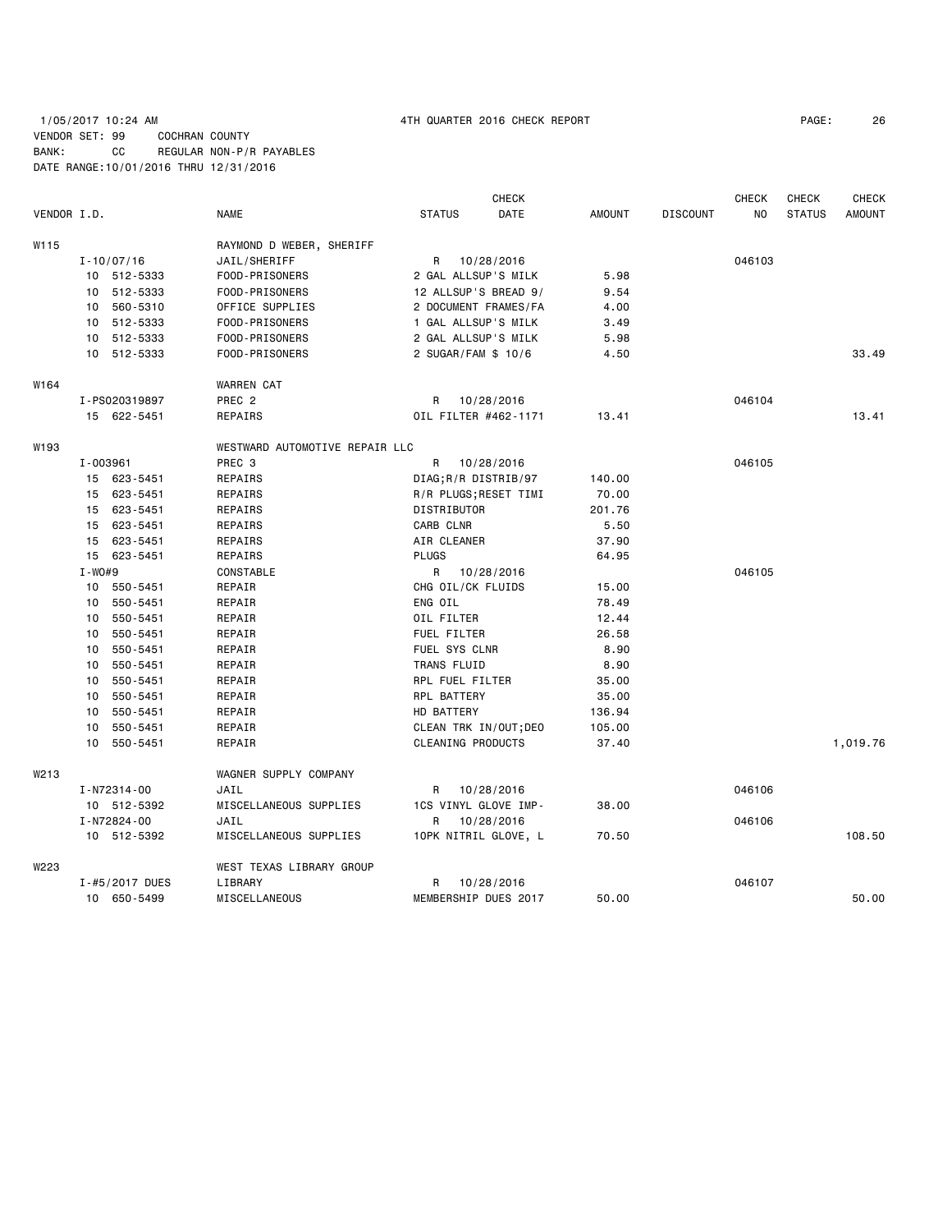# 1/05/2017 10:24 AM 4TH QUARTER 2016 CHECK REPORT PAGE: 26 VENDOR SET: 99 COCHRAN COUNTY BANK: CC REGULAR NON-P/R PAYABLES DATE RANGE:10/01/2016 THRU 12/31/2016

|                  |            |                    |                                |                          | CHECK                 |               |                 | <b>CHECK</b> | <b>CHECK</b>  | <b>CHECK</b>  |
|------------------|------------|--------------------|--------------------------------|--------------------------|-----------------------|---------------|-----------------|--------------|---------------|---------------|
| VENDOR I.D.      |            |                    | <b>NAME</b>                    | <b>STATUS</b>            | DATE                  | <b>AMOUNT</b> | <b>DISCOUNT</b> | NO           | <b>STATUS</b> | <b>AMOUNT</b> |
| W115             |            |                    | RAYMOND D WEBER, SHERIFF       |                          |                       |               |                 |              |               |               |
|                  |            | $I - 10/07/16$     | JAIL/SHERIFF                   | R                        | 10/28/2016            |               |                 | 046103       |               |               |
|                  |            | 10 512-5333        | FOOD-PRISONERS                 | 2 GAL ALLSUP'S MILK      |                       | 5.98          |                 |              |               |               |
|                  |            | 10 512-5333        | FOOD-PRISONERS                 | 12 ALLSUP'S BREAD 9/     |                       | 9.54          |                 |              |               |               |
|                  |            | 10 560-5310        | OFFICE SUPPLIES                |                          | 2 DOCUMENT FRAMES/FA  | 4.00          |                 |              |               |               |
|                  |            | 10 512-5333        | FOOD-PRISONERS                 | 1 GAL ALLSUP'S MILK      |                       | 3.49          |                 |              |               |               |
|                  |            | 10 512-5333        | FOOD-PRISONERS                 | 2 GAL ALLSUP'S MILK      |                       | 5.98          |                 |              |               |               |
|                  |            | 10 512-5333        | FOOD-PRISONERS                 | 2 SUGAR/FAM \$ 10/6      |                       | 4.50          |                 |              |               | 33.49         |
| W164             |            |                    | <b>WARREN CAT</b>              |                          |                       |               |                 |              |               |               |
|                  |            | I-PS020319897      | PREC <sub>2</sub>              | R                        | 10/28/2016            |               |                 | 046104       |               |               |
|                  |            | 15 622-5451        | REPAIRS                        | OIL FILTER #462-1171     |                       | 13.41         |                 |              |               | 13.41         |
| W <sub>193</sub> |            |                    | WESTWARD AUTOMOTIVE REPAIR LLC |                          |                       |               |                 |              |               |               |
|                  | I-003961   |                    | PREC <sub>3</sub>              | R                        | 10/28/2016            |               |                 | 046105       |               |               |
|                  |            | 15 623-5451        | REPAIRS                        | DIAG; R/R DISTRIB/97     |                       | 140.00        |                 |              |               |               |
|                  |            | 15 623-5451        | REPAIRS                        |                          | R/R PLUGS; RESET TIMI | 70.00         |                 |              |               |               |
|                  |            | 15 623-5451        | REPAIRS                        | <b>DISTRIBUTOR</b>       |                       | 201.76        |                 |              |               |               |
|                  |            | 15 623-5451        | REPAIRS                        | CARB CLNR                |                       | 5.50          |                 |              |               |               |
|                  |            | 15 623-5451        | REPAIRS                        | AIR CLEANER              |                       | 37.90         |                 |              |               |               |
|                  |            | 15 623-5451        | REPAIRS                        | <b>PLUGS</b>             |                       | 64.95         |                 |              |               |               |
|                  | $I - WO#9$ |                    | CONSTABLE                      | R                        | 10/28/2016            |               |                 | 046105       |               |               |
|                  |            | 10 550-5451        | REPAIR                         | CHG OIL/CK FLUIDS        |                       | 15.00         |                 |              |               |               |
|                  |            | 10 550-5451        | REPAIR                         | ENG OIL                  |                       | 78.49         |                 |              |               |               |
|                  |            | 10 550-5451        | REPAIR                         | OIL FILTER               |                       | 12.44         |                 |              |               |               |
|                  |            | 10 550-5451        | REPAIR                         | FUEL FILTER              |                       | 26.58         |                 |              |               |               |
|                  |            | 10 550-5451        | REPAIR                         | FUEL SYS CLNR            |                       | 8.90          |                 |              |               |               |
|                  |            | 10 550-5451        | REPAIR                         | TRANS FLUID              |                       | 8.90          |                 |              |               |               |
|                  |            | 10 550-5451        | REPAIR                         | RPL FUEL FILTER          |                       | 35.00         |                 |              |               |               |
|                  |            | 10 550-5451        | REPAIR                         | RPL BATTERY              |                       | 35.00         |                 |              |               |               |
|                  |            | 10 550-5451        | REPAIR                         | HD BATTERY               |                       | 136.94        |                 |              |               |               |
|                  |            | 10 550-5451        | REPAIR                         |                          | CLEAN TRK IN/OUT; DEO | 105.00        |                 |              |               |               |
|                  |            | 10 550-5451        | REPAIR                         | <b>CLEANING PRODUCTS</b> |                       | 37.40         |                 |              |               | 1,019.76      |
| W <sub>213</sub> |            |                    | WAGNER SUPPLY COMPANY          |                          |                       |               |                 |              |               |               |
|                  |            | I-N72314-00        | JAIL                           | R                        | 10/28/2016            |               |                 | 046106       |               |               |
|                  |            | 10 512-5392        | MISCELLANEOUS SUPPLIES         | 1CS VINYL GLOVE IMP-     |                       | 38.00         |                 |              |               |               |
|                  |            | I-N72824-00        | JAIL                           | R                        | 10/28/2016            |               |                 | 046106       |               |               |
|                  |            | 10 512-5392        | MISCELLANEOUS SUPPLIES         |                          | 10PK NITRIL GLOVE, L  | 70.50         |                 |              |               | 108.50        |
| W223             |            |                    | WEST TEXAS LIBRARY GROUP       |                          |                       |               |                 |              |               |               |
|                  |            | $I - #5/2017$ DUES | LIBRARY                        | R                        | 10/28/2016            |               |                 | 046107       |               |               |
|                  |            | 10 650-5499        | MISCELLANEOUS                  |                          | MEMBERSHIP DUES 2017  | 50.00         |                 |              |               | 50.00         |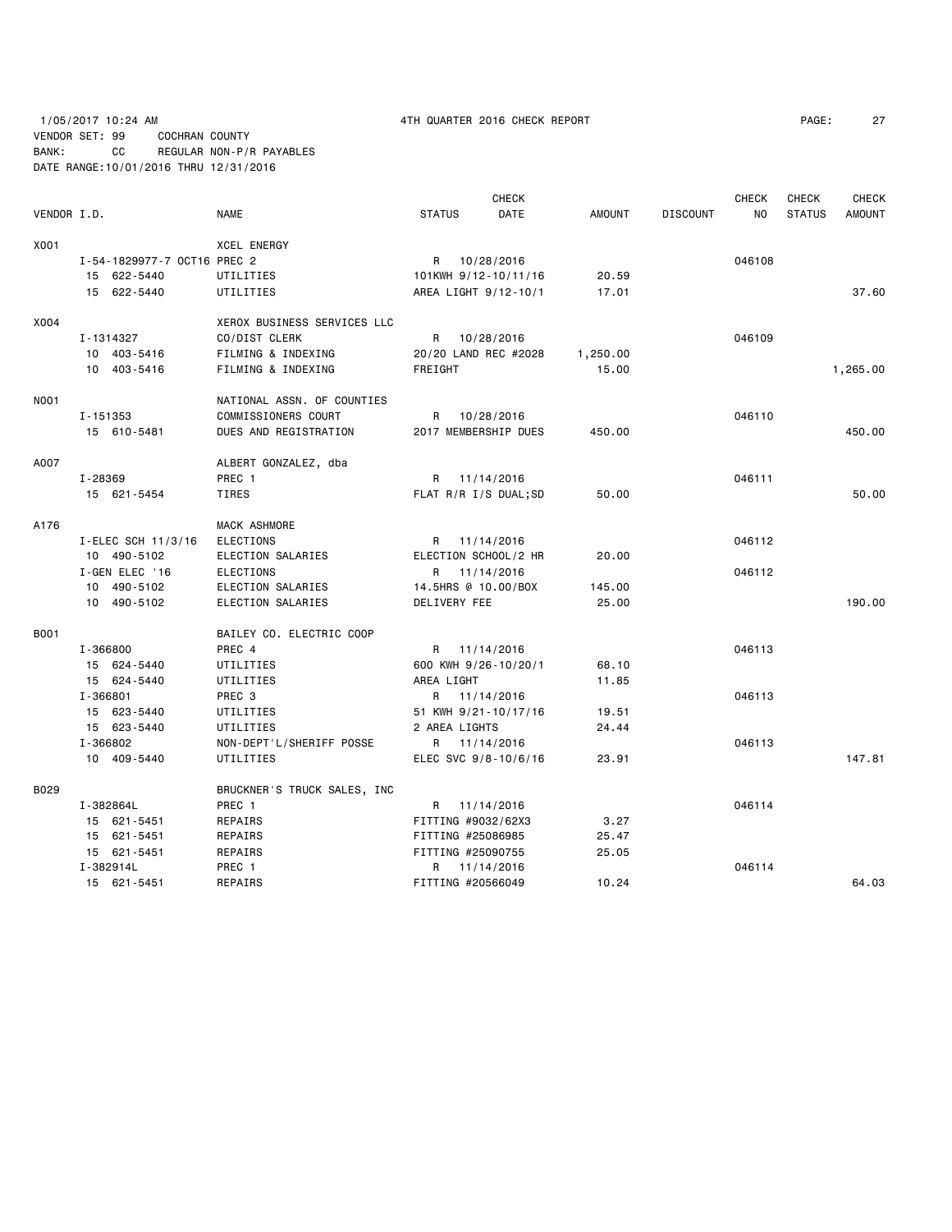# 1/05/2017 10:24 AM 4TH QUARTER 2016 CHECK REPORT PAGE: 27 VENDOR SET: 99 COCHRAN COUNTY BANK: CC REGULAR NON-P/R PAYABLES DATE RANGE:10/01/2016 THRU 12/31/2016

|             |                             |                             |                      | <b>CHECK</b> |               |                 | <b>CHECK</b> | CHECK         | <b>CHECK</b>  |
|-------------|-----------------------------|-----------------------------|----------------------|--------------|---------------|-----------------|--------------|---------------|---------------|
| VENDOR I.D. |                             | <b>NAME</b>                 | <b>STATUS</b>        | <b>DATE</b>  | <b>AMOUNT</b> | <b>DISCOUNT</b> | NO.          | <b>STATUS</b> | <b>AMOUNT</b> |
| X001        |                             | <b>XCEL ENERGY</b>          |                      |              |               |                 |              |               |               |
|             | I-54-1829977-7 OCT16 PREC 2 |                             | R 10/28/2016         |              |               |                 | 046108       |               |               |
|             | 15 622-5440                 | UTILITIES                   | 101KWH 9/12-10/11/16 |              | 20.59         |                 |              |               |               |
|             | 15 622-5440                 | UTILITIES                   | AREA LIGHT 9/12-10/1 |              | 17.01         |                 |              |               | 37.60         |
| X004        |                             | XEROX BUSINESS SERVICES LLC |                      |              |               |                 |              |               |               |
|             | I-1314327                   | CO/DIST CLERK               | R                    | 10/28/2016   |               |                 | 046109       |               |               |
|             | 10 403-5416                 | FILMING & INDEXING          | 20/20 LAND REC #2028 |              | 1,250.00      |                 |              |               |               |
|             | 10 403-5416                 | FILMING & INDEXING          | FREIGHT              |              | 15.00         |                 |              |               | 1,265.00      |
| N001        |                             | NATIONAL ASSN. OF COUNTIES  |                      |              |               |                 |              |               |               |
|             | I-151353                    | COMMISSIONERS COURT         | R                    | 10/28/2016   |               |                 | 046110       |               |               |
|             | 15 610-5481                 | DUES AND REGISTRATION       | 2017 MEMBERSHIP DUES |              | 450.00        |                 |              |               | 450.00        |
| A007        |                             | ALBERT GONZALEZ, dba        |                      |              |               |                 |              |               |               |
|             | I-28369                     | PREC 1                      | R                    | 11/14/2016   |               |                 | 046111       |               |               |
|             | 15 621-5454                 | <b>TIRES</b>                | FLAT R/R I/S DUAL;SD |              | 50.00         |                 |              |               | 50.00         |
| A176        |                             | MACK ASHMORE                |                      |              |               |                 |              |               |               |
|             | I-ELEC SCH 11/3/16          | <b>ELECTIONS</b>            | R 11/14/2016         |              |               |                 | 046112       |               |               |
|             | 10 490-5102                 | ELECTION SALARIES           | ELECTION SCHOOL/2 HR |              | 20.00         |                 |              |               |               |
|             | I-GEN ELEC '16              | <b>ELECTIONS</b>            | R 11/14/2016         |              |               |                 | 046112       |               |               |
|             | 10 490-5102                 | ELECTION SALARIES           | 14.5HRS @ 10.00/BOX  |              | 145.00        |                 |              |               |               |
|             | 10 490-5102                 | ELECTION SALARIES           | DELIVERY FEE         |              | 25.00         |                 |              |               | 190.00        |
| B001        |                             | BAILEY CO. ELECTRIC COOP    |                      |              |               |                 |              |               |               |
|             | I-366800                    | PREC 4                      | R 11/14/2016         |              |               |                 | 046113       |               |               |
|             | 15 624-5440                 | UTILITIES                   | 600 KWH 9/26-10/20/1 |              | 68.10         |                 |              |               |               |
|             | 15 624-5440                 | UTILITIES                   | AREA LIGHT           |              | 11.85         |                 |              |               |               |
|             | I-366801                    | PREC <sub>3</sub>           | R 11/14/2016         |              |               |                 | 046113       |               |               |
|             | 15 623-5440                 | UTILITIES                   | 51 KWH 9/21-10/17/16 |              | 19.51         |                 |              |               |               |
|             | 15 623-5440                 | UTILITIES                   | 2 AREA LIGHTS        |              | 24.44         |                 |              |               |               |
|             | I-366802                    | NON-DEPT'L/SHERIFF POSSE    | R 11/14/2016         |              |               |                 | 046113       |               |               |
|             | 10 409-5440                 | UTILITIES                   | ELEC SVC 9/8-10/6/16 |              | 23.91         |                 |              |               | 147.81        |
| B029        |                             | BRUCKNER'S TRUCK SALES, INC |                      |              |               |                 |              |               |               |
|             | I-382864L                   | PREC 1                      | R                    | 11/14/2016   |               |                 | 046114       |               |               |
|             | 15 621-5451                 | REPAIRS                     | FITTING #9032/62X3   |              | 3.27          |                 |              |               |               |
|             | 15 621-5451                 | REPAIRS                     | FITTING #25086985    |              | 25.47         |                 |              |               |               |
|             | 15 621-5451                 | REPAIRS                     | FITTING #25090755    |              | 25.05         |                 |              |               |               |
|             | I-382914L                   | PREC 1                      | R                    | 11/14/2016   |               |                 | 046114       |               |               |
|             | 15 621-5451                 | REPAIRS                     | FITTING #20566049    |              | 10.24         |                 |              |               | 64.03         |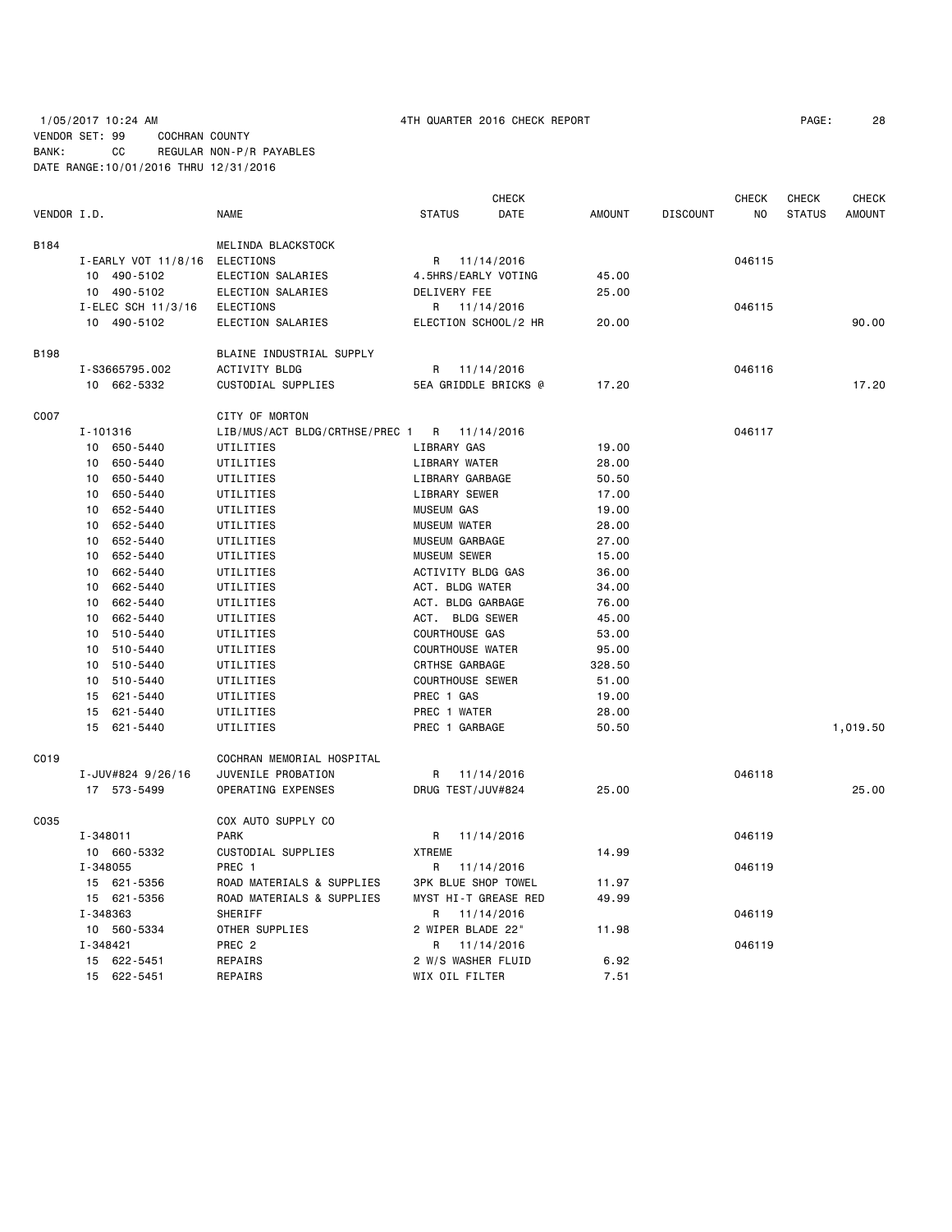# 1/05/2017 10:24 AM 4TH QUARTER 2016 CHECK REPORT PAGE: 28 VENDOR SET: 99 COCHRAN COUNTY BANK: CC REGULAR NON-P/R PAYABLES DATE RANGE:10/01/2016 THRU 12/31/2016

|             |                               |                                             | CHECK                      |               |                 | CHECK  | CHECK         | <b>CHECK</b>  |
|-------------|-------------------------------|---------------------------------------------|----------------------------|---------------|-----------------|--------|---------------|---------------|
| VENDOR I.D. |                               | <b>NAME</b>                                 | <b>STATUS</b><br>DATE      | <b>AMOUNT</b> | <b>DISCOUNT</b> | NO.    | <b>STATUS</b> | <b>AMOUNT</b> |
| B184        |                               | MELINDA BLACKSTOCK                          |                            |               |                 |        |               |               |
|             | I-EARLY VOT 11/8/16 ELECTIONS |                                             | R 11/14/2016               |               |                 | 046115 |               |               |
|             | 10 490-5102                   | ELECTION SALARIES                           | 4.5HRS/EARLY VOTING        | 45.00         |                 |        |               |               |
|             | 10 490-5102                   | ELECTION SALARIES                           | DELIVERY FEE               | 25.00         |                 |        |               |               |
|             | I-ELEC SCH 11/3/16            | <b>ELECTIONS</b>                            | R 11/14/2016               |               |                 | 046115 |               |               |
|             | 10 490-5102                   | ELECTION SALARIES                           | ELECTION SCHOOL/2 HR       | 20.00         |                 |        |               | 90.00         |
| <b>B198</b> |                               | BLAINE INDUSTRIAL SUPPLY                    |                            |               |                 |        |               |               |
|             | I-S3665795.002                | <b>ACTIVITY BLDG</b>                        | R 11/14/2016               |               |                 | 046116 |               |               |
|             | 10 662-5332                   | CUSTODIAL SUPPLIES                          | 5EA GRIDDLE BRICKS @       | 17.20         |                 |        |               | 17.20         |
| C007        |                               | CITY OF MORTON                              |                            |               |                 |        |               |               |
|             | I-101316                      | LIB/MUS/ACT BLDG/CRTHSE/PREC 1 R 11/14/2016 |                            |               |                 | 046117 |               |               |
|             | 10 650-5440                   | UTILITIES                                   | LIBRARY GAS                | 19.00         |                 |        |               |               |
|             | 10 650-5440                   | UTILITIES                                   | LIBRARY WATER              | 28.00         |                 |        |               |               |
|             | 10 650-5440                   | UTILITIES                                   | LIBRARY GARBAGE            | 50.50         |                 |        |               |               |
|             | 650-5440<br>10 <sup>1</sup>   | UTILITIES                                   | LIBRARY SEWER              | 17.00         |                 |        |               |               |
|             | 652-5440<br>10                | UTILITIES                                   | <b>MUSEUM GAS</b>          | 19.00         |                 |        |               |               |
|             | 10<br>652-5440                | UTILITIES                                   | <b>MUSEUM WATER</b>        | 28.00         |                 |        |               |               |
|             | 10<br>652-5440                | UTILITIES                                   | MUSEUM GARBAGE             | 27.00         |                 |        |               |               |
|             | 10<br>652-5440                | UTILITIES                                   | <b>MUSEUM SEWER</b>        | 15.00         |                 |        |               |               |
|             | 10<br>662-5440                | UTILITIES                                   | ACTIVITY BLDG GAS          | 36.00         |                 |        |               |               |
|             | 662-5440<br>10                | UTILITIES                                   | ACT. BLDG WATER            | 34.00         |                 |        |               |               |
|             | 10<br>662-5440                | UTILITIES                                   | ACT. BLDG GARBAGE          | 76.00         |                 |        |               |               |
|             | 662-5440<br>10                | UTILITIES                                   | ACT. BLDG SEWER            | 45.00         |                 |        |               |               |
|             | 10 510-5440                   | UTILITIES                                   | <b>COURTHOUSE GAS</b>      | 53.00         |                 |        |               |               |
|             | 10 510-5440                   | UTILITIES                                   | <b>COURTHOUSE WATER</b>    | 95.00         |                 |        |               |               |
|             | 10 510-5440                   | UTILITIES                                   | CRTHSE GARBAGE             | 328.50        |                 |        |               |               |
|             | 510-5440<br>10                | UTILITIES                                   | <b>COURTHOUSE SEWER</b>    | 51.00         |                 |        |               |               |
|             | 15<br>621 - 5440              | UTILITIES                                   | PREC 1 GAS                 | 19.00         |                 |        |               |               |
|             | 15 621-5440                   | UTILITIES                                   | PREC 1 WATER               | 28.00         |                 |        |               |               |
|             | 15 621-5440                   | UTILITIES                                   | PREC 1 GARBAGE             | 50.50         |                 |        |               | 1,019.50      |
| C019        |                               | COCHRAN MEMORIAL HOSPITAL                   |                            |               |                 |        |               |               |
|             | I-JUV#824 9/26/16             | JUVENILE PROBATION                          | R<br>11/14/2016            |               |                 | 046118 |               |               |
|             | 17 573-5499                   | OPERATING EXPENSES                          | DRUG TEST/JUV#824          | 25.00         |                 |        |               | 25.00         |
| C035        |                               | COX AUTO SUPPLY CO                          |                            |               |                 |        |               |               |
|             | I-348011                      | <b>PARK</b>                                 | 11/14/2016<br>R            |               |                 | 046119 |               |               |
|             | 10 660-5332                   | CUSTODIAL SUPPLIES                          | <b>XTREME</b>              | 14.99         |                 |        |               |               |
|             | I-348055                      | PREC 1                                      | R 11/14/2016               |               |                 | 046119 |               |               |
|             | 15 621-5356                   | ROAD MATERIALS & SUPPLIES                   | <b>3PK BLUE SHOP TOWEL</b> | 11.97         |                 |        |               |               |
|             | 15 621-5356                   | ROAD MATERIALS & SUPPLIES                   | MYST HI-T GREASE RED       | 49.99         |                 |        |               |               |
|             | I-348363                      | SHERIFF                                     | R<br>11/14/2016            |               |                 | 046119 |               |               |
|             | 10 560-5334                   | OTHER SUPPLIES                              | 2 WIPER BLADE 22"          | 11.98         |                 |        |               |               |
|             | $I - 348421$                  | PREC 2                                      | R<br>11/14/2016            |               |                 | 046119 |               |               |
|             | 15 622-5451                   | REPAIRS                                     | 2 W/S WASHER FLUID         | 6.92          |                 |        |               |               |
|             | 15 622-5451                   | REPAIRS                                     | WIX OIL FILTER             | 7.51          |                 |        |               |               |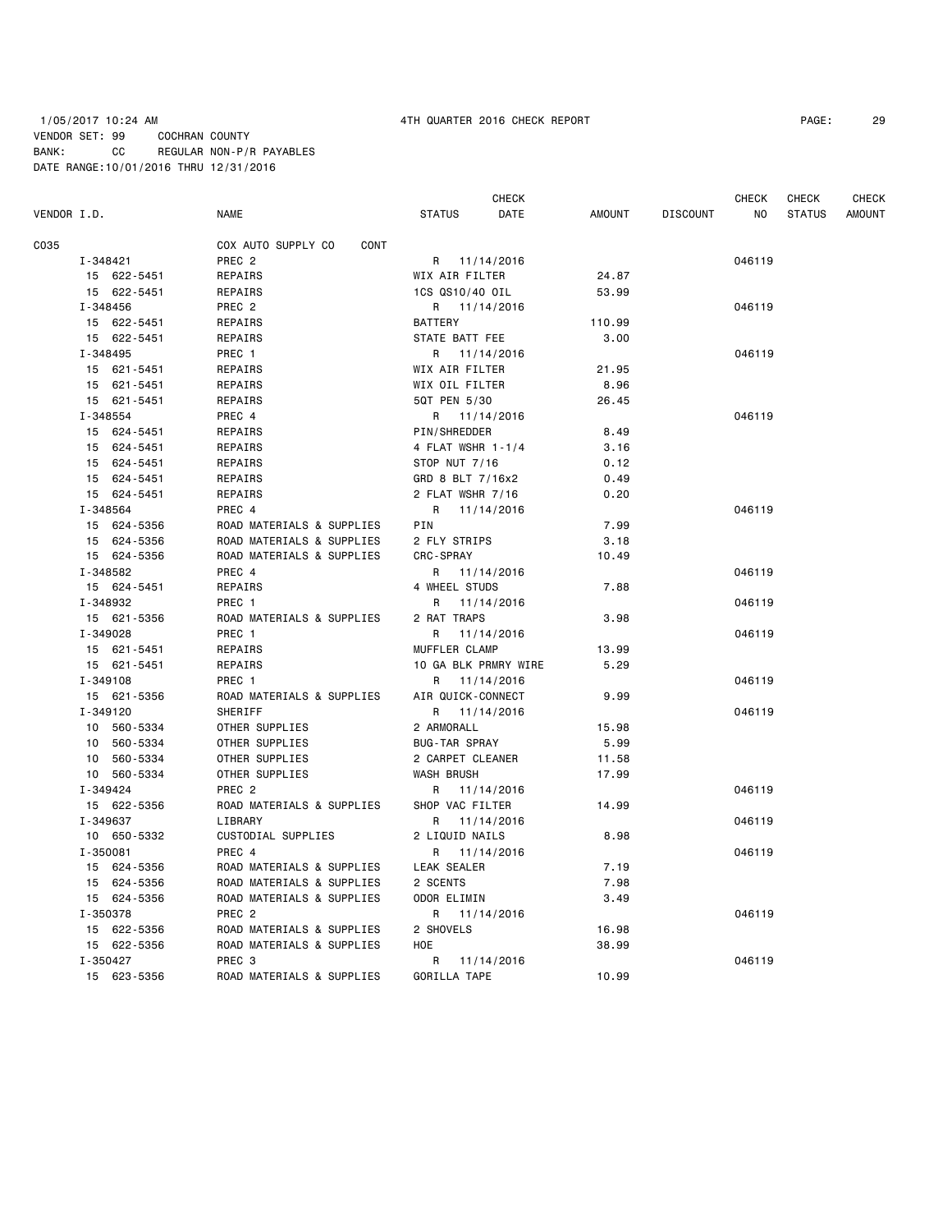# 1/05/2017 10:24 AM 4TH QUARTER 2016 CHECK REPORT PAGE: 29 VENDOR SET: 99 COCHRAN COUNTY BANK: CC REGULAR NON-P/R PAYABLES DATE RANGE:10/01/2016 THRU 12/31/2016

| VENDOR I.D. |             |                                   |                      | DATE       |        |                 | ΝO     | <b>STATUS</b> | <b>AMOUNT</b> |
|-------------|-------------|-----------------------------------|----------------------|------------|--------|-----------------|--------|---------------|---------------|
|             |             | <b>NAME</b>                       | <b>STATUS</b>        |            | AMOUNT | <b>DISCOUNT</b> |        |               |               |
| C035        |             | COX AUTO SUPPLY CO<br><b>CONT</b> |                      |            |        |                 |        |               |               |
|             | I-348421    | PREC <sub>2</sub>                 | R 11/14/2016         |            |        |                 | 046119 |               |               |
|             | 15 622-5451 | REPAIRS                           | WIX AIR FILTER       |            | 24.87  |                 |        |               |               |
|             | 15 622-5451 | REPAIRS                           | 1CS QS10/40 OIL      |            | 53.99  |                 |        |               |               |
|             | I-348456    | PREC 2                            | R 11/14/2016         |            |        |                 | 046119 |               |               |
|             | 15 622-5451 | REPAIRS                           | <b>BATTERY</b>       |            | 110.99 |                 |        |               |               |
|             | 15 622-5451 | REPAIRS                           | STATE BATT FEE       |            | 3.00   |                 |        |               |               |
|             | I-348495    | PREC 1                            | R 11/14/2016         |            |        |                 | 046119 |               |               |
|             | 15 621-5451 | REPAIRS                           | WIX AIR FILTER       |            | 21.95  |                 |        |               |               |
|             | 15 621-5451 | REPAIRS                           | WIX OIL FILTER       |            | 8.96   |                 |        |               |               |
|             | 15 621-5451 | REPAIRS                           | 5QT PEN 5/30         |            | 26.45  |                 |        |               |               |
|             | I-348554    | PREC 4                            | R 11/14/2016         |            |        |                 | 046119 |               |               |
|             | 15 624-5451 | REPAIRS                           | PIN/SHREDDER         |            | 8.49   |                 |        |               |               |
|             | 15 624-5451 | REPAIRS                           | 4 FLAT WSHR 1-1/4    |            | 3.16   |                 |        |               |               |
|             | 15 624-5451 | REPAIRS                           | STOP NUT 7/16        |            | 0.12   |                 |        |               |               |
|             | 15 624-5451 | REPAIRS                           | GRD 8 BLT 7/16x2     |            | 0.49   |                 |        |               |               |
|             | 15 624-5451 | REPAIRS                           | 2 FLAT WSHR 7/16     |            | 0.20   |                 |        |               |               |
|             | I-348564    | PREC 4                            | R 11/14/2016         |            |        |                 | 046119 |               |               |
|             | 15 624-5356 | ROAD MATERIALS & SUPPLIES         | PIN                  |            | 7.99   |                 |        |               |               |
|             | 15 624-5356 | ROAD MATERIALS & SUPPLIES         | 2 FLY STRIPS         |            | 3.18   |                 |        |               |               |
|             | 15 624-5356 | ROAD MATERIALS & SUPPLIES         | <b>CRC-SPRAY</b>     |            | 10.49  |                 |        |               |               |
|             | I-348582    | PREC 4                            | R 11/14/2016         |            |        |                 | 046119 |               |               |
|             | 15 624-5451 | REPAIRS                           | 4 WHEEL STUDS        |            | 7.88   |                 |        |               |               |
|             | I-348932    | PREC 1                            | R                    | 11/14/2016 |        |                 | 046119 |               |               |
|             | 15 621-5356 | ROAD MATERIALS & SUPPLIES         | 2 RAT TRAPS          |            | 3.98   |                 |        |               |               |
|             | I-349028    | PREC 1                            | R                    | 11/14/2016 |        |                 | 046119 |               |               |
|             | 15 621-5451 | REPAIRS                           | MUFFLER CLAMP        |            | 13.99  |                 |        |               |               |
|             | 15 621-5451 | REPAIRS                           | 10 GA BLK PRMRY WIRE |            | 5.29   |                 |        |               |               |
|             | I-349108    | PREC 1                            | R 11/14/2016         |            |        |                 | 046119 |               |               |
|             | 15 621-5356 | ROAD MATERIALS & SUPPLIES         | AIR QUICK-CONNECT    |            | 9.99   |                 |        |               |               |
|             | I-349120    | SHERIFF                           | R 11/14/2016         |            |        |                 | 046119 |               |               |
|             | 10 560-5334 | OTHER SUPPLIES                    | 2 ARMORALL           |            | 15.98  |                 |        |               |               |
|             | 10 560-5334 | OTHER SUPPLIES                    | <b>BUG-TAR SPRAY</b> |            | 5.99   |                 |        |               |               |
|             | 10 560-5334 | OTHER SUPPLIES                    | 2 CARPET CLEANER     |            | 11.58  |                 |        |               |               |
|             | 10 560-5334 | OTHER SUPPLIES                    | WASH BRUSH           |            | 17.99  |                 |        |               |               |
|             | I-349424    | PREC <sub>2</sub>                 | R                    | 11/14/2016 |        |                 | 046119 |               |               |
|             | 15 622-5356 | ROAD MATERIALS & SUPPLIES         | SHOP VAC FILTER      |            | 14.99  |                 |        |               |               |
|             | I-349637    | LIBRARY                           | R 11/14/2016         |            |        |                 | 046119 |               |               |
|             | 10 650-5332 | CUSTODIAL SUPPLIES                | 2 LIQUID NAILS       |            | 8.98   |                 |        |               |               |
|             | I-350081    | PREC 4                            | R 11/14/2016         |            |        |                 | 046119 |               |               |
|             | 15 624-5356 | ROAD MATERIALS & SUPPLIES         | LEAK SEALER          |            | 7.19   |                 |        |               |               |
|             | 15 624-5356 | ROAD MATERIALS & SUPPLIES         | 2 SCENTS             |            | 7.98   |                 |        |               |               |
|             | 15 624-5356 | ROAD MATERIALS & SUPPLIES         | ODOR ELIMIN          |            | 3.49   |                 |        |               |               |
|             | I-350378    | PREC <sub>2</sub>                 | R 11/14/2016         |            |        |                 | 046119 |               |               |
|             | 15 622-5356 | ROAD MATERIALS & SUPPLIES         | 2 SHOVELS            |            | 16.98  |                 |        |               |               |
|             | 15 622-5356 | ROAD MATERIALS & SUPPLIES         | HOE                  |            | 38.99  |                 |        |               |               |
|             | I-350427    | PREC 3                            | R 11/14/2016         |            |        |                 | 046119 |               |               |
|             | 15 623-5356 | ROAD MATERIALS & SUPPLIES         | GORILLA TAPE         |            | 10.99  |                 |        |               |               |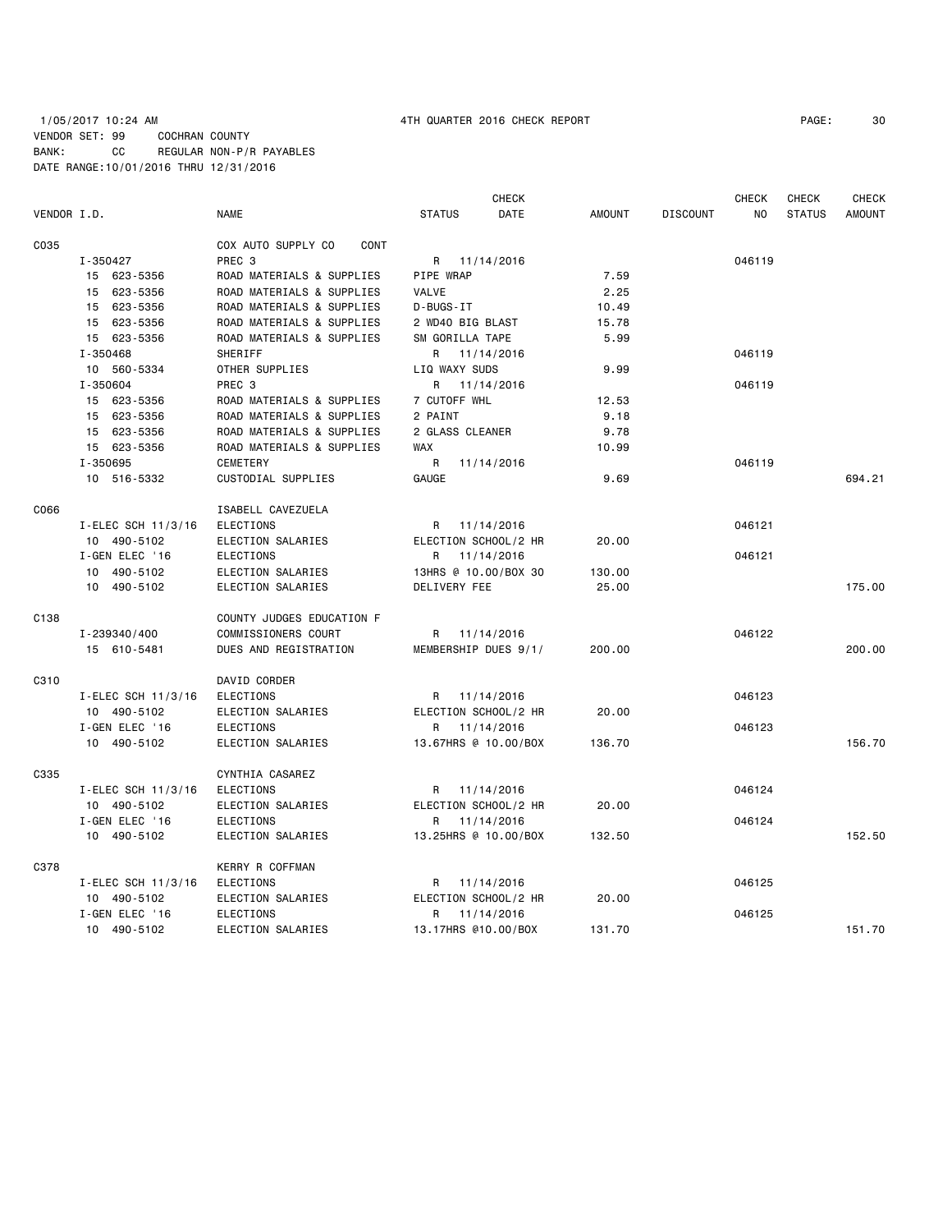## 1/05/2017 10:24 AM 4TH QUARTER 2016 CHECK REPORT PAGE: 30 VENDOR SET: 99 COCHRAN COUNTY BANK: CC REGULAR NON-P/R PAYABLES DATE RANGE:10/01/2016 THRU 12/31/2016

| VENDOR I.D. |                    | <b>NAME</b>                       | <b>STATUS</b>        | <b>CHECK</b><br>DATE | <b>AMOUNT</b> | <b>DISCOUNT</b> | CHECK<br>NO | <b>CHECK</b><br><b>STATUS</b> | <b>CHECK</b><br>AMOUNT |
|-------------|--------------------|-----------------------------------|----------------------|----------------------|---------------|-----------------|-------------|-------------------------------|------------------------|
|             |                    |                                   |                      |                      |               |                 |             |                               |                        |
| C035        |                    | COX AUTO SUPPLY CO<br><b>CONT</b> |                      |                      |               |                 |             |                               |                        |
|             | I-350427           | PREC <sub>3</sub>                 |                      | R 11/14/2016         |               |                 | 046119      |                               |                        |
|             | 15 623-5356        | ROAD MATERIALS & SUPPLIES         | PIPE WRAP            |                      | 7.59          |                 |             |                               |                        |
|             | 15 623-5356        | ROAD MATERIALS & SUPPLIES         | VALVE                |                      | 2.25          |                 |             |                               |                        |
|             | 15 623-5356        | ROAD MATERIALS & SUPPLIES         | D-BUGS-IT            |                      | 10.49         |                 |             |                               |                        |
|             | 15 623-5356        | ROAD MATERIALS & SUPPLIES         | 2 WD40 BIG BLAST     |                      | 15.78         |                 |             |                               |                        |
|             | 15 623-5356        | ROAD MATERIALS & SUPPLIES         | SM GORILLA TAPE      |                      | 5.99          |                 |             |                               |                        |
|             | I-350468           | <b>SHERIFF</b>                    | R                    | 11/14/2016           |               |                 | 046119      |                               |                        |
|             | 10 560-5334        | OTHER SUPPLIES                    | LIQ WAXY SUDS        |                      | 9.99          |                 |             |                               |                        |
|             | I-350604           | PREC 3                            | R.                   | 11/14/2016           |               |                 | 046119      |                               |                        |
|             | 15 623-5356        | ROAD MATERIALS & SUPPLIES         | 7 CUTOFF WHL         |                      | 12.53         |                 |             |                               |                        |
|             | 15 623-5356        | ROAD MATERIALS & SUPPLIES         | 2 PAINT              |                      | 9.18          |                 |             |                               |                        |
|             | 15 623-5356        | ROAD MATERIALS & SUPPLIES         | 2 GLASS CLEANER      |                      | 9.78          |                 |             |                               |                        |
|             | 15 623-5356        | ROAD MATERIALS & SUPPLIES         | <b>WAX</b>           |                      | 10.99         |                 |             |                               |                        |
|             | I-350695           | CEMETERY                          | R                    | 11/14/2016           |               |                 | 046119      |                               |                        |
|             | 10 516-5332        | CUSTODIAL SUPPLIES                | <b>GAUGE</b>         |                      | 9.69          |                 |             |                               | 694.21                 |
| C066        |                    | ISABELL CAVEZUELA                 |                      |                      |               |                 |             |                               |                        |
|             | I-ELEC SCH 11/3/16 | <b>ELECTIONS</b>                  | R 11/14/2016         |                      |               |                 | 046121      |                               |                        |
|             | 10 490-5102        | ELECTION SALARIES                 | ELECTION SCHOOL/2 HR |                      | 20.00         |                 |             |                               |                        |
|             | I-GEN ELEC '16     | ELECTIONS                         | R                    | 11/14/2016           |               |                 | 046121      |                               |                        |
|             | 10 490-5102        | ELECTION SALARIES                 | 13HRS @ 10.00/BOX 30 |                      | 130.00        |                 |             |                               |                        |
|             | 10 490-5102        | ELECTION SALARIES                 | DELIVERY FEE         |                      | 25.00         |                 |             |                               | 175.00                 |
| C138        |                    | COUNTY JUDGES EDUCATION F         |                      |                      |               |                 |             |                               |                        |
|             | I-239340/400       | COMMISSIONERS COURT               | R                    | 11/14/2016           |               |                 | 046122      |                               |                        |
|             | 15 610-5481        | DUES AND REGISTRATION             | MEMBERSHIP DUES 9/1/ |                      | 200,00        |                 |             |                               | 200.00                 |
| C310        |                    | DAVID CORDER                      |                      |                      |               |                 |             |                               |                        |
|             | I-ELEC SCH 11/3/16 | ELECTIONS                         | R                    | 11/14/2016           |               |                 | 046123      |                               |                        |
|             | 10 490-5102        | ELECTION SALARIES                 | ELECTION SCHOOL/2 HR |                      | 20.00         |                 |             |                               |                        |
|             | I-GEN ELEC '16     | ELECTIONS                         | R                    | 11/14/2016           |               |                 | 046123      |                               |                        |
|             | 10 490-5102        | ELECTION SALARIES                 |                      | 13.67HRS @ 10.00/BOX | 136.70        |                 |             |                               | 156.70                 |
| C335        |                    | CYNTHIA CASAREZ                   |                      |                      |               |                 |             |                               |                        |
|             | I-ELEC SCH 11/3/16 | ELECTIONS                         | R 11/14/2016         |                      |               |                 | 046124      |                               |                        |
|             | 10 490-5102        | ELECTION SALARIES                 | ELECTION SCHOOL/2 HR |                      | 20,00         |                 |             |                               |                        |
|             | I-GEN ELEC '16     | <b>ELECTIONS</b>                  | R                    | 11/14/2016           |               |                 | 046124      |                               |                        |
|             | 10 490-5102        | ELECTION SALARIES                 | 13.25HRS @ 10.00/BOX |                      | 132.50        |                 |             |                               | 152.50                 |
| C378        |                    | <b>KERRY R COFFMAN</b>            |                      |                      |               |                 |             |                               |                        |
|             | I-ELEC SCH 11/3/16 | ELECTIONS                         | R                    | 11/14/2016           |               |                 | 046125      |                               |                        |
|             | 10 490-5102        | ELECTION SALARIES                 | ELECTION SCHOOL/2 HR |                      | 20.00         |                 |             |                               |                        |
|             | I-GEN ELEC '16     | <b>ELECTIONS</b>                  | R                    | 11/14/2016           |               |                 | 046125      |                               |                        |
|             | 10 490-5102        | ELECTION SALARIES                 | 13.17HRS @10.00/BOX  |                      | 131.70        |                 |             |                               | 151.70                 |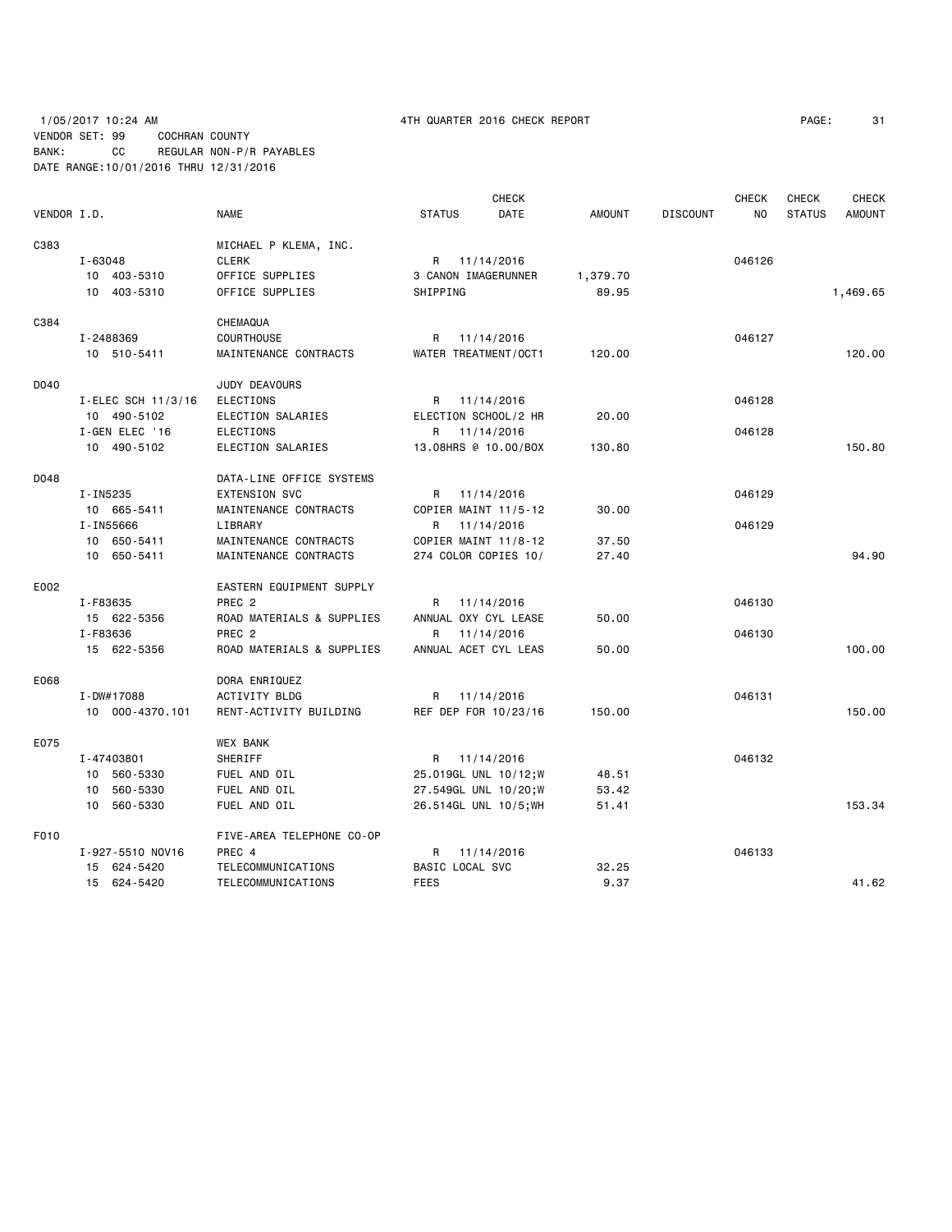# 1/05/2017 10:24 AM 4TH QUARTER 2016 CHECK REPORT PAGE: 31 VENDOR SET: 99 COCHRAN COUNTY BANK: CC REGULAR NON-P/R PAYABLES DATE RANGE:10/01/2016 THRU 12/31/2016

|             |                    |                           | <b>CHECK</b>                 |               |                 | <b>CHECK</b> | <b>CHECK</b>  | <b>CHECK</b>  |
|-------------|--------------------|---------------------------|------------------------------|---------------|-----------------|--------------|---------------|---------------|
| VENDOR I.D. |                    | <b>NAME</b>               | <b>STATUS</b><br><b>DATE</b> | <b>AMOUNT</b> | <b>DISCOUNT</b> | <b>NO</b>    | <b>STATUS</b> | <b>AMOUNT</b> |
| C383        |                    | MICHAEL P KLEMA, INC.     |                              |               |                 |              |               |               |
|             | $I - 63048$        | <b>CLERK</b>              | R 11/14/2016                 |               |                 | 046126       |               |               |
|             | 10 403-5310        | OFFICE SUPPLIES           | 3 CANON IMAGERUNNER          | 1,379.70      |                 |              |               |               |
|             | 10 403-5310        | OFFICE SUPPLIES           | SHIPPING                     | 89.95         |                 |              |               | 1,469.65      |
|             |                    |                           |                              |               |                 |              |               |               |
| C384        |                    | CHEMAQUA                  |                              |               |                 |              |               |               |
|             | I-2488369          | <b>COURTHOUSE</b>         | R<br>11/14/2016              |               |                 | 046127       |               |               |
|             | 10 510-5411        | MAINTENANCE CONTRACTS     | WATER TREATMENT/OCT1         | 120.00        |                 |              |               | 120.00        |
| D040        |                    | JUDY DEAVOURS             |                              |               |                 |              |               |               |
|             | I-ELEC SCH 11/3/16 | ELECTIONS                 | R 11/14/2016                 |               |                 | 046128       |               |               |
|             | 10 490-5102        | ELECTION SALARIES         | ELECTION SCHOOL/2 HR         | 20.00         |                 |              |               |               |
|             | I-GEN ELEC '16     | <b>ELECTIONS</b>          | 11/14/2016<br>R              |               |                 | 046128       |               |               |
|             | 10 490-5102        | ELECTION SALARIES         | 13.08HRS @ 10.00/BOX         | 130.80        |                 |              |               | 150.80        |
| D048        |                    | DATA-LINE OFFICE SYSTEMS  |                              |               |                 |              |               |               |
|             | I-IN5235           | <b>EXTENSION SVC</b>      | R 11/14/2016                 |               |                 | 046129       |               |               |
|             | 10 665-5411        | MAINTENANCE CONTRACTS     | COPIER MAINT 11/5-12         | 30.00         |                 |              |               |               |
|             | I-IN55666          | LIBRARY                   | 11/14/2016<br>R              |               |                 | 046129       |               |               |
|             | 10 650-5411        | MAINTENANCE CONTRACTS     | COPIER MAINT 11/8-12         | 37.50         |                 |              |               |               |
|             | 10 650-5411        | MAINTENANCE CONTRACTS     | 274 COLOR COPIES 10/         | 27.40         |                 |              |               | 94.90         |
|             |                    |                           |                              |               |                 |              |               |               |
| E002        |                    | EASTERN EQUIPMENT SUPPLY  |                              |               |                 |              |               |               |
|             | I-F83635           | PREC <sub>2</sub>         | R<br>11/14/2016              |               |                 | 046130       |               |               |
|             | 15 622-5356        | ROAD MATERIALS & SUPPLIES | ANNUAL OXY CYL LEASE         | 50.00         |                 |              |               |               |
|             | I-F83636           | PREC <sub>2</sub>         | 11/14/2016<br>R              |               |                 | 046130       |               |               |
|             | 15 622-5356        | ROAD MATERIALS & SUPPLIES | ANNUAL ACET CYL LEAS         | 50.00         |                 |              |               | 100.00        |
| E068        |                    | DORA ENRIQUEZ             |                              |               |                 |              |               |               |
|             | I-DW#17088         | <b>ACTIVITY BLDG</b>      | 11/14/2016<br>R              |               |                 | 046131       |               |               |
|             | 10 000-4370.101    | RENT-ACTIVITY BUILDING    | REF DEP FOR 10/23/16         | 150.00        |                 |              |               | 150.00        |
| E075        |                    | <b>WEX BANK</b>           |                              |               |                 |              |               |               |
|             | I-47403801         | SHERIFF                   | 11/14/2016<br>R              |               |                 | 046132       |               |               |
|             | 10 560-5330        | FUEL AND OIL              | 25.019GL UNL 10/12;W         | 48.51         |                 |              |               |               |
|             | 10 560-5330        | FUEL AND OIL              | 27.549GL UNL 10/20;W         | 53.42         |                 |              |               |               |
|             | 10 560-5330        | FUEL AND OIL              | 26.514GL UNL 10/5; WH        | 51.41         |                 |              |               | 153.34        |
|             |                    |                           |                              |               |                 |              |               |               |
| F010        |                    | FIVE-AREA TELEPHONE CO-OP |                              |               |                 |              |               |               |
|             | I-927-5510 NOV16   | PREC 4                    | 11/14/2016<br>R              |               |                 | 046133       |               |               |
|             | 15 624-5420        | TELECOMMUNICATIONS        | BASIC LOCAL SVC              | 32.25         |                 |              |               |               |
|             | 15 624-5420        | TELECOMMUNICATIONS        | <b>FEES</b>                  | 9.37          |                 |              |               | 41.62         |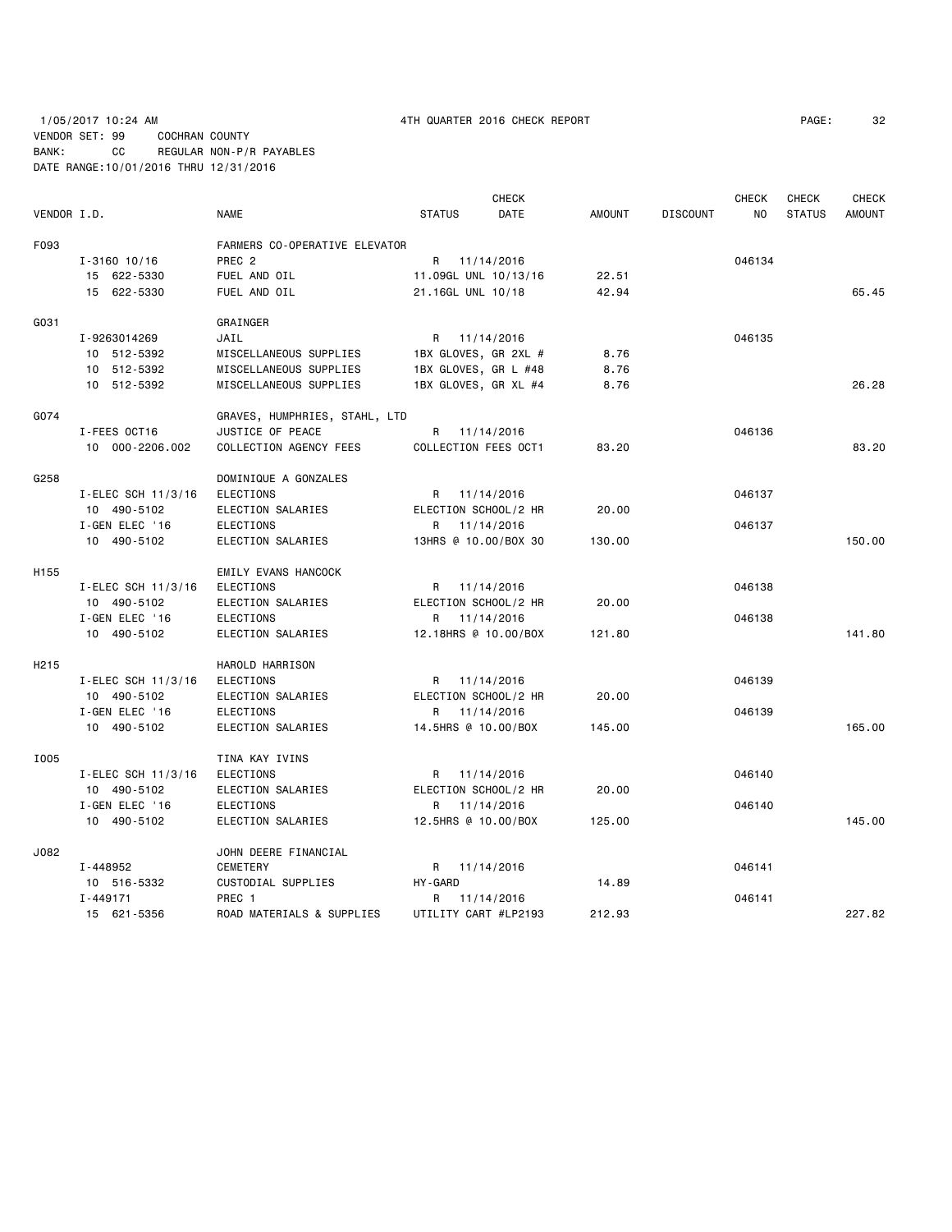1/05/2017 10:24 AM 4TH QUARTER 2016 CHECK REPORT PAGE: 32 VENDOR SET: 99 COCHRAN COUNTY BANK: CC REGULAR NON-P/R PAYABLES DATE RANGE:10/01/2016 THRU 12/31/2016

| VENDOR I.D. |                    | <b>NAME</b>                   | <b>STATUS</b>        | <b>CHECK</b><br><b>DATE</b> | <b>AMOUNT</b> | <b>DISCOUNT</b> | <b>CHECK</b><br>NO. | <b>CHECK</b><br><b>STATUS</b> | <b>CHECK</b><br><b>AMOUNT</b> |
|-------------|--------------------|-------------------------------|----------------------|-----------------------------|---------------|-----------------|---------------------|-------------------------------|-------------------------------|
| F093        |                    | FARMERS CO-OPERATIVE ELEVATOR |                      |                             |               |                 |                     |                               |                               |
|             | $I - 3160$ 10/16   | PREC <sub>2</sub>             | R                    | 11/14/2016                  |               |                 | 046134              |                               |                               |
|             | 15 622-5330        | FUEL AND OIL                  | 11.09GL UNL 10/13/16 |                             | 22.51         |                 |                     |                               |                               |
|             | 15 622-5330        | FUEL AND OIL                  | 21.16GL UNL 10/18    |                             | 42.94         |                 |                     |                               | 65.45                         |
| G031        |                    | GRAINGER                      |                      |                             |               |                 |                     |                               |                               |
|             | I-9263014269       | JAIL                          | R                    | 11/14/2016                  |               |                 | 046135              |                               |                               |
|             | 10 512-5392        | MISCELLANEOUS SUPPLIES        | 1BX GLOVES, GR 2XL # |                             | 8.76          |                 |                     |                               |                               |
|             | 10 512-5392        | MISCELLANEOUS SUPPLIES        | 1BX GLOVES, GR L #48 |                             | 8.76          |                 |                     |                               |                               |
|             | 10 512-5392        | MISCELLANEOUS SUPPLIES        | 1BX GLOVES, GR XL #4 |                             | 8.76          |                 |                     |                               | 26.28                         |
| G074        |                    | GRAVES, HUMPHRIES, STAHL, LTD |                      |                             |               |                 |                     |                               |                               |
|             | I-FEES OCT16       | JUSTICE OF PEACE              | R 11/14/2016         |                             |               |                 | 046136              |                               |                               |
|             | 10 000-2206.002    | COLLECTION AGENCY FEES        | COLLECTION FEES OCT1 |                             | 83,20         |                 |                     |                               | 83.20                         |
| G258        |                    | DOMINIQUE A GONZALES          |                      |                             |               |                 |                     |                               |                               |
|             | I-ELEC SCH 11/3/16 | <b>ELECTIONS</b>              | R 11/14/2016         |                             |               |                 | 046137              |                               |                               |
|             | 10 490-5102        | ELECTION SALARIES             | ELECTION SCHOOL/2 HR |                             | 20.00         |                 |                     |                               |                               |
|             | I-GEN ELEC '16     | ELECTIONS                     | R                    | 11/14/2016                  |               |                 | 046137              |                               |                               |
|             | 10 490-5102        | ELECTION SALARIES             | 13HRS @ 10.00/BOX 30 |                             | 130.00        |                 |                     |                               | 150.00                        |
| H155        |                    | EMILY EVANS HANCOCK           |                      |                             |               |                 |                     |                               |                               |
|             | I-ELEC SCH 11/3/16 | <b>ELECTIONS</b>              | R 11/14/2016         |                             |               |                 | 046138              |                               |                               |
|             | 10 490-5102        | ELECTION SALARIES             | ELECTION SCHOOL/2 HR |                             | 20.00         |                 |                     |                               |                               |
|             | I-GEN ELEC '16     | <b>ELECTIONS</b>              | R                    | 11/14/2016                  |               |                 | 046138              |                               |                               |
|             | 10 490-5102        | ELECTION SALARIES             | 12.18HRS @ 10.00/BOX |                             | 121.80        |                 |                     |                               | 141.80                        |
| H215        |                    | HAROLD HARRISON               |                      |                             |               |                 |                     |                               |                               |
|             | I-ELEC SCH 11/3/16 | <b>ELECTIONS</b>              | R 11/14/2016         |                             |               |                 | 046139              |                               |                               |
|             | 10 490-5102        | ELECTION SALARIES             | ELECTION SCHOOL/2 HR |                             | 20.00         |                 |                     |                               |                               |
|             | I-GEN ELEC '16     | <b>ELECTIONS</b>              | R                    | 11/14/2016                  |               |                 | 046139              |                               |                               |
|             | 10 490-5102        | ELECTION SALARIES             | 14.5HRS @ 10.00/BOX  |                             | 145.00        |                 |                     |                               | 165.00                        |
| I005        |                    | TINA KAY IVINS                |                      |                             |               |                 |                     |                               |                               |
|             | I-ELEC SCH 11/3/16 | <b>ELECTIONS</b>              | R 11/14/2016         |                             |               |                 | 046140              |                               |                               |
|             | 10 490-5102        | ELECTION SALARIES             | ELECTION SCHOOL/2 HR |                             | 20.00         |                 |                     |                               |                               |
|             | I-GEN ELEC '16     | <b>ELECTIONS</b>              | R 11/14/2016         |                             |               |                 | 046140              |                               |                               |
|             | 10 490-5102        | ELECTION SALARIES             | 12.5HRS @ 10.00/BOX  |                             | 125.00        |                 |                     |                               | 145.00                        |
| J082        |                    | JOHN DEERE FINANCIAL          |                      |                             |               |                 |                     |                               |                               |
|             | I-448952           | <b>CEMETERY</b>               | R 11/14/2016         |                             |               |                 | 046141              |                               |                               |
|             | 10 516-5332        | CUSTODIAL SUPPLIES            | HY-GARD              |                             | 14.89         |                 |                     |                               |                               |
|             | $I - 449171$       | PREC 1                        | R                    | 11/14/2016                  |               |                 | 046141              |                               |                               |
|             | 15 621-5356        | ROAD MATERIALS & SUPPLIES     | UTILITY CART #LP2193 |                             | 212.93        |                 |                     |                               | 227.82                        |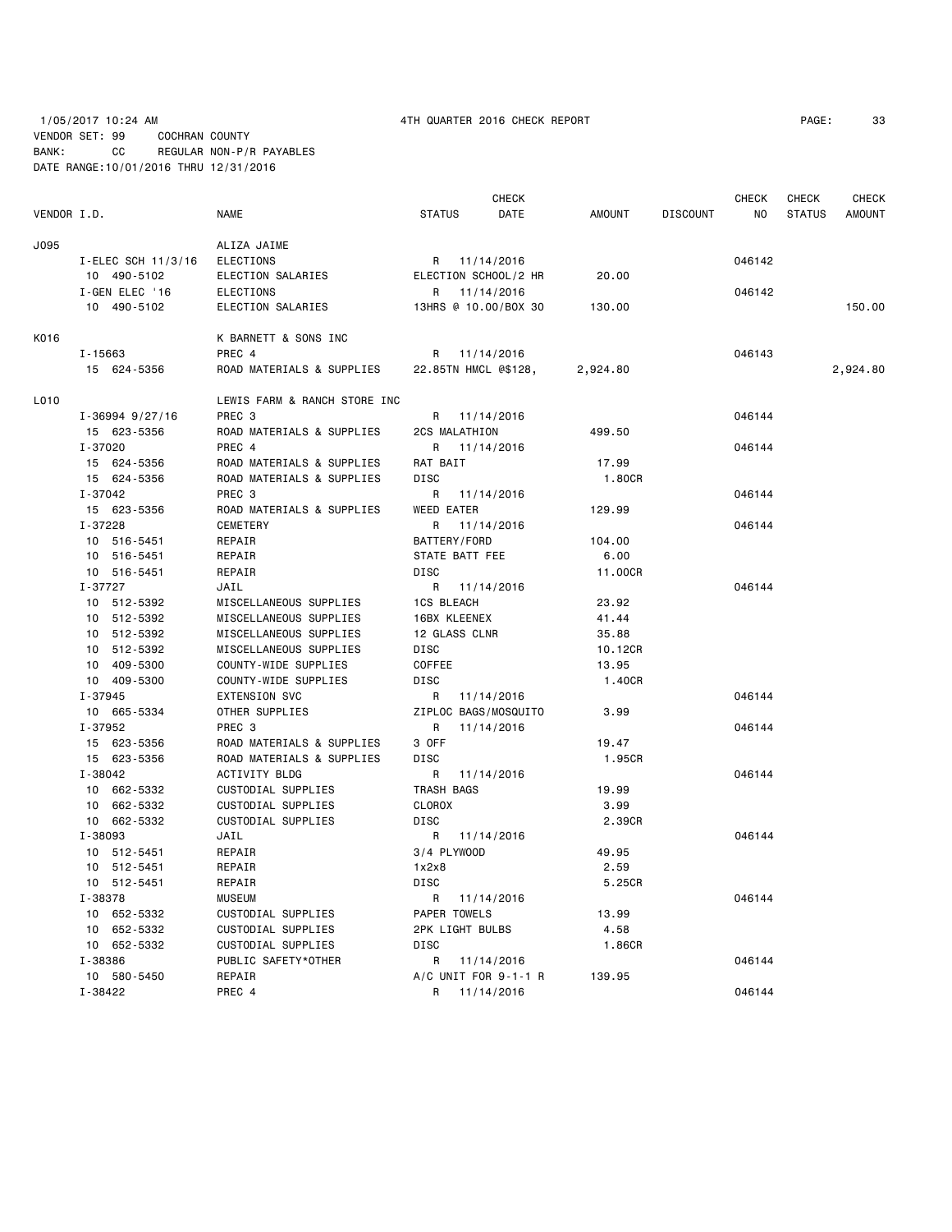# 1/05/2017 10:24 AM 4TH QUARTER 2016 CHECK REPORT PAGE: 33 VENDOR SET: 99 COCHRAN COUNTY BANK: CC REGULAR NON-P/R PAYABLES DATE RANGE:10/01/2016 THRU 12/31/2016

|             |                     |                                |                      | CHECK                |               |                 | CHECK  | CHECK         | <b>CHECK</b>  |
|-------------|---------------------|--------------------------------|----------------------|----------------------|---------------|-----------------|--------|---------------|---------------|
| VENDOR I.D. |                     | <b>NAME</b>                    | <b>STATUS</b>        | DATE                 | <b>AMOUNT</b> | <b>DISCOUNT</b> | NO.    | <b>STATUS</b> | <b>AMOUNT</b> |
| J095        |                     | ALIZA JAIME                    |                      |                      |               |                 |        |               |               |
|             | I-ELEC SCH 11/3/16  | <b>ELECTIONS</b>               |                      | R 11/14/2016         |               |                 | 046142 |               |               |
|             | 10 490-5102         | ELECTION SALARIES              |                      | ELECTION SCHOOL/2 HR | 20.00         |                 |        |               |               |
|             | I-GEN ELEC '16      | <b>ELECTIONS</b>               | R                    | 11/14/2016           |               |                 | 046142 |               |               |
|             | 10 490-5102         | ELECTION SALARIES              |                      | 13HRS @ 10.00/BOX 30 | 130.00        |                 |        |               | 150.00        |
|             |                     |                                |                      |                      |               |                 |        |               |               |
| K016        |                     | K BARNETT & SONS INC<br>PREC 4 |                      |                      |               |                 | 046143 |               |               |
|             | I-15663             |                                | R                    | 11/14/2016           |               |                 |        |               |               |
|             | 15 624-5356         | ROAD MATERIALS & SUPPLIES      | 22.85TN HMCL @\$128, |                      | 2,924.80      |                 |        |               | 2,924.80      |
| L010        |                     | LEWIS FARM & RANCH STORE INC   |                      |                      |               |                 |        |               |               |
|             | $I - 36994$ 9/27/16 | PREC <sub>3</sub>              | R 11/14/2016         |                      |               |                 | 046144 |               |               |
|             | 15 623-5356         | ROAD MATERIALS & SUPPLIES      | 2CS MALATHION        |                      | 499.50        |                 |        |               |               |
|             | I-37020             | PREC 4                         |                      | R 11/14/2016         |               |                 | 046144 |               |               |
|             | 15 624-5356         | ROAD MATERIALS & SUPPLIES      | RAT BAIT             |                      | 17.99         |                 |        |               |               |
|             | 15 624-5356         | ROAD MATERIALS & SUPPLIES      | <b>DISC</b>          |                      | 1.80CR        |                 |        |               |               |
|             | I-37042             | PREC <sub>3</sub>              | R                    | 11/14/2016           |               |                 | 046144 |               |               |
|             | 15 623-5356         | ROAD MATERIALS & SUPPLIES      | <b>WEED EATER</b>    |                      | 129.99        |                 |        |               |               |
|             | I-37228             | <b>CEMETERY</b>                | R                    | 11/14/2016           |               |                 | 046144 |               |               |
|             | 10 516-5451         | REPAIR                         | BATTERY/FORD         |                      | 104.00        |                 |        |               |               |
|             | 10 516-5451         | REPAIR                         | STATE BATT FEE       |                      | 6.00          |                 |        |               |               |
|             | 10 516-5451         | REPAIR                         | <b>DISC</b>          |                      | 11.00CR       |                 |        |               |               |
|             | I-37727             | JAIL                           | R                    | 11/14/2016           |               |                 | 046144 |               |               |
|             | 10 512-5392         | MISCELLANEOUS SUPPLIES         | <b>1CS BLEACH</b>    |                      | 23.92         |                 |        |               |               |
|             | 10 512-5392         | MISCELLANEOUS SUPPLIES         | 16BX KLEENEX         |                      | 41.44         |                 |        |               |               |
|             | 10 512-5392         | MISCELLANEOUS SUPPLIES         | 12 GLASS CLNR        |                      | 35.88         |                 |        |               |               |
|             | 10 512-5392         | MISCELLANEOUS SUPPLIES         | DISC                 |                      | 10.12CR       |                 |        |               |               |
|             | 10 409-5300         | COUNTY-WIDE SUPPLIES           | COFFEE               |                      | 13.95         |                 |        |               |               |
|             | 10 409-5300         | COUNTY-WIDE SUPPLIES           | <b>DISC</b>          |                      | 1.40CR        |                 |        |               |               |
|             | I-37945             | <b>EXTENSION SVC</b>           | R                    | 11/14/2016           |               |                 | 046144 |               |               |
|             | 10 665-5334         | OTHER SUPPLIES                 |                      | ZIPLOC BAGS/MOSQUITO | 3.99          |                 |        |               |               |
|             | I-37952             | PREC <sub>3</sub>              | R                    | 11/14/2016           |               |                 | 046144 |               |               |
|             | 15 623-5356         | ROAD MATERIALS & SUPPLIES      | 3 OFF                |                      | 19.47         |                 |        |               |               |
|             | 15 623-5356         | ROAD MATERIALS & SUPPLIES      | DISC                 |                      | 1.95CR        |                 |        |               |               |
|             | I-38042             | ACTIVITY BLDG                  | R                    | 11/14/2016           |               |                 | 046144 |               |               |
|             | 10 662-5332         | CUSTODIAL SUPPLIES             | TRASH BAGS           |                      | 19.99         |                 |        |               |               |
|             | 10 662-5332         | CUSTODIAL SUPPLIES             | <b>CLOROX</b>        |                      | 3.99          |                 |        |               |               |
|             | 10 662-5332         | CUSTODIAL SUPPLIES             | DISC                 |                      | 2.39CR        |                 |        |               |               |
|             | I-38093             | JAIL                           | R 11/14/2016         |                      |               |                 | 046144 |               |               |
|             | 10 512-5451         | REPAIR                         | 3/4 PLYWOOD          |                      | 49.95         |                 |        |               |               |
|             | 10 512-5451         | REPAIR                         | 1x2x8                |                      | 2.59          |                 |        |               |               |
|             | 10 512-5451         | REPAIR                         | DISC                 |                      | 5.25CR        |                 |        |               |               |
|             | I-38378             | <b>MUSEUM</b>                  | R                    | 11/14/2016           |               |                 | 046144 |               |               |
|             | 10 652-5332         | CUSTODIAL SUPPLIES             | PAPER TOWELS         |                      | 13.99         |                 |        |               |               |
|             | 10 652-5332         | CUSTODIAL SUPPLIES             | 2PK LIGHT BULBS      |                      | 4.58          |                 |        |               |               |
|             | 10 652-5332         | CUSTODIAL SUPPLIES             | <b>DISC</b>          |                      | 1.86CR        |                 |        |               |               |
|             | I-38386             | PUBLIC SAFETY*OTHER            |                      | R 11/14/2016         |               |                 | 046144 |               |               |
|             | 10 580-5450         | REPAIR                         |                      | A/C UNIT FOR 9-1-1 R | 139.95        |                 |        |               |               |
|             | I-38422             | PREC 4                         | R                    | 11/14/2016           |               |                 | 046144 |               |               |
|             |                     |                                |                      |                      |               |                 |        |               |               |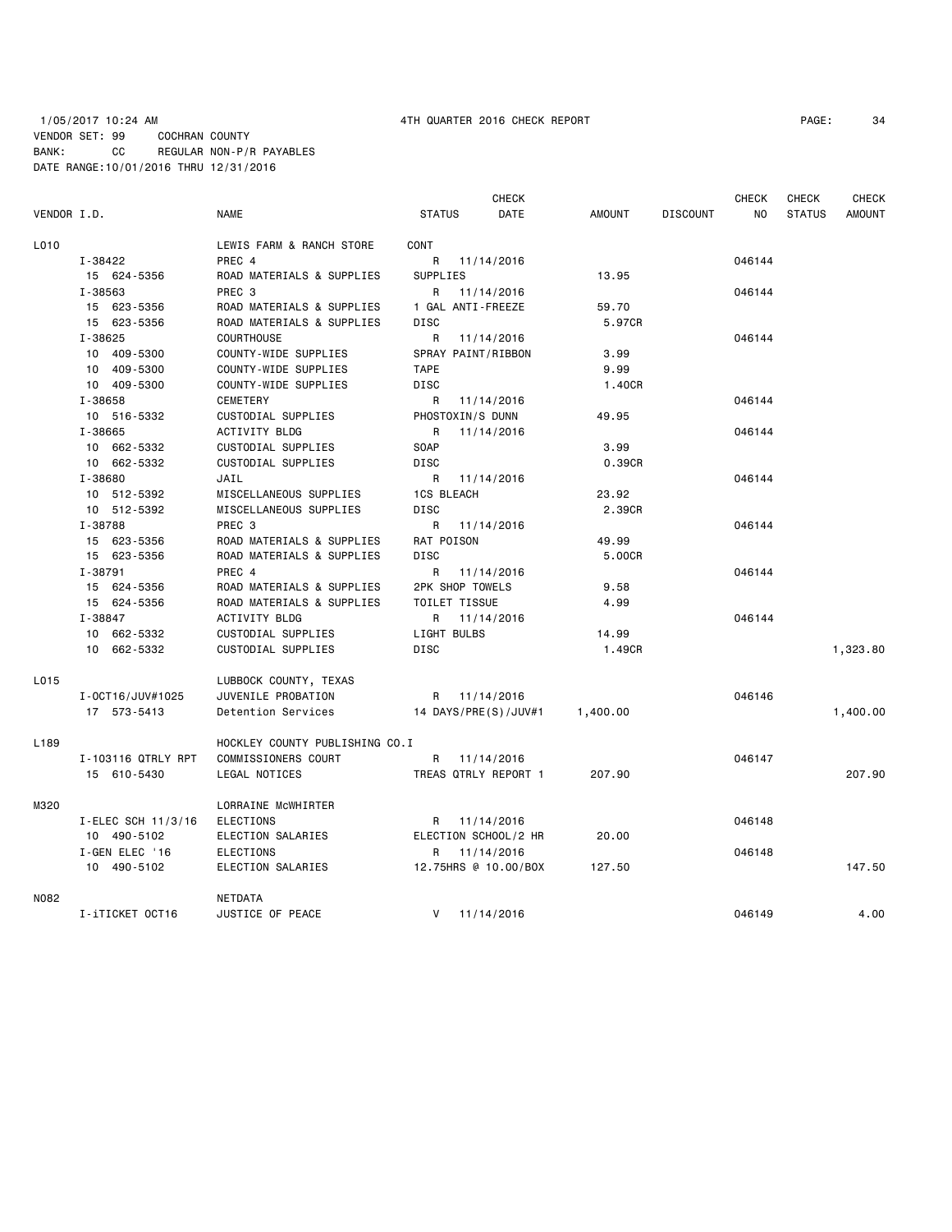## 1/05/2017 10:24 AM 4TH QUARTER 2016 CHECK REPORT PAGE: 34 VENDOR SET: 99 COCHRAN COUNTY BANK: CC REGULAR NON-P/R PAYABLES DATE RANGE:10/01/2016 THRU 12/31/2016

| VENDOR I.D.      |                    | <b>NAME</b>                    | <b>STATUS</b>        | <b>CHECK</b><br>DATE | <b>AMOUNT</b> | <b>DISCOUNT</b> | <b>CHECK</b><br>NO. | <b>CHECK</b><br><b>STATUS</b> | <b>CHECK</b><br><b>AMOUNT</b> |
|------------------|--------------------|--------------------------------|----------------------|----------------------|---------------|-----------------|---------------------|-------------------------------|-------------------------------|
| L010             |                    | LEWIS FARM & RANCH STORE       | CONT                 |                      |               |                 |                     |                               |                               |
|                  | I-38422            | PREC 4                         |                      | R 11/14/2016         |               |                 | 046144              |                               |                               |
|                  | 15 624-5356        | ROAD MATERIALS & SUPPLIES      | SUPPLIES             |                      | 13.95         |                 |                     |                               |                               |
|                  | I-38563            | PREC <sub>3</sub>              | R                    | 11/14/2016           |               |                 | 046144              |                               |                               |
|                  | 15 623-5356        | ROAD MATERIALS & SUPPLIES      | 1 GAL ANTI-FREEZE    |                      | 59.70         |                 |                     |                               |                               |
|                  | 15 623-5356        | ROAD MATERIALS & SUPPLIES      | <b>DISC</b>          |                      | 5.97CR        |                 |                     |                               |                               |
|                  | I-38625            | <b>COURTHOUSE</b>              | R.                   | 11/14/2016           |               |                 | 046144              |                               |                               |
|                  | 10 409-5300        | COUNTY-WIDE SUPPLIES           |                      | SPRAY PAINT/RIBBON   | 3.99          |                 |                     |                               |                               |
|                  | 10 409-5300        | COUNTY-WIDE SUPPLIES           | <b>TAPE</b>          |                      | 9.99          |                 |                     |                               |                               |
|                  | 10 409-5300        | COUNTY-WIDE SUPPLIES           | DISC                 |                      | 1.40CR        |                 |                     |                               |                               |
|                  | I-38658            | CEMETERY                       | R                    | 11/14/2016           |               |                 | 046144              |                               |                               |
|                  | 10 516-5332        | CUSTODIAL SUPPLIES             | PHOSTOXIN/S DUNN     |                      | 49.95         |                 |                     |                               |                               |
|                  | I-38665            | ACTIVITY BLDG                  | R                    | 11/14/2016           |               |                 | 046144              |                               |                               |
|                  | 10 662-5332        | CUSTODIAL SUPPLIES             | <b>SOAP</b>          |                      | 3.99          |                 |                     |                               |                               |
|                  | 10 662-5332        | CUSTODIAL SUPPLIES             | <b>DISC</b>          |                      | 0.39CR        |                 |                     |                               |                               |
|                  | I-38680            | JAIL                           | R                    | 11/14/2016           |               |                 | 046144              |                               |                               |
|                  | 10 512-5392        | MISCELLANEOUS SUPPLIES         | <b>1CS BLEACH</b>    |                      | 23.92         |                 |                     |                               |                               |
|                  | 10 512-5392        | MISCELLANEOUS SUPPLIES         | DISC                 |                      | 2.39CR        |                 |                     |                               |                               |
|                  | I-38788            | PREC 3                         | R                    | 11/14/2016           |               |                 | 046144              |                               |                               |
|                  | 15 623-5356        | ROAD MATERIALS & SUPPLIES      | RAT POISON           |                      | 49.99         |                 |                     |                               |                               |
|                  | 15 623-5356        | ROAD MATERIALS & SUPPLIES      | DISC                 |                      | 5.00CR        |                 |                     |                               |                               |
|                  | I-38791            | PREC 4                         |                      | R 11/14/2016         |               |                 | 046144              |                               |                               |
|                  | 15 624-5356        | ROAD MATERIALS & SUPPLIES      | 2PK SHOP TOWELS      |                      | 9.58          |                 |                     |                               |                               |
|                  | 15 624-5356        | ROAD MATERIALS & SUPPLIES      | <b>TOILET TISSUE</b> |                      | 4.99          |                 |                     |                               |                               |
|                  | I-38847            | <b>ACTIVITY BLDG</b>           | R                    | 11/14/2016           |               |                 | 046144              |                               |                               |
|                  | 10 662-5332        | CUSTODIAL SUPPLIES             | LIGHT BULBS          |                      | 14.99         |                 |                     |                               |                               |
|                  | 10 662-5332        | CUSTODIAL SUPPLIES             | DISC                 |                      | 1.49CR        |                 |                     |                               | 1,323.80                      |
| L015             |                    | LUBBOCK COUNTY, TEXAS          |                      |                      |               |                 |                     |                               |                               |
|                  | I-0CT16/JUV#1025   | JUVENILE PROBATION             |                      | R 11/14/2016         |               |                 | 046146              |                               |                               |
|                  | 17 573-5413        | Detention Services             |                      | 14 DAYS/PRE(S)/JUV#1 | 1,400.00      |                 |                     |                               | 1,400.00                      |
| L <sub>189</sub> |                    | HOCKLEY COUNTY PUBLISHING CO.I |                      |                      |               |                 |                     |                               |                               |
|                  | I-103116 QTRLY RPT | COMMISSIONERS COURT            |                      | R 11/14/2016         |               |                 | 046147              |                               |                               |
|                  | 15 610-5430        | LEGAL NOTICES                  |                      | TREAS QTRLY REPORT 1 | 207.90        |                 |                     |                               | 207.90                        |
| M320             |                    | LORRAINE MCWHIRTER             |                      |                      |               |                 |                     |                               |                               |
|                  | I-ELEC SCH 11/3/16 | <b>ELECTIONS</b>               |                      | R 11/14/2016         |               |                 | 046148              |                               |                               |
|                  | 10 490-5102        | ELECTION SALARIES              |                      | ELECTION SCHOOL/2 HR | 20.00         |                 |                     |                               |                               |
|                  | I-GEN ELEC '16     | <b>ELECTIONS</b>               | R                    | 11/14/2016           |               |                 | 046148              |                               |                               |
|                  | 10 490-5102        | ELECTION SALARIES              |                      | 12.75HRS @ 10.00/BOX | 127.50        |                 |                     |                               | 147.50                        |
| N082             |                    | NETDATA                        |                      |                      |               |                 |                     |                               |                               |
|                  | I-iTICKET OCT16    | JUSTICE OF PEACE               | V                    | 11/14/2016           |               |                 | 046149              |                               | 4.00                          |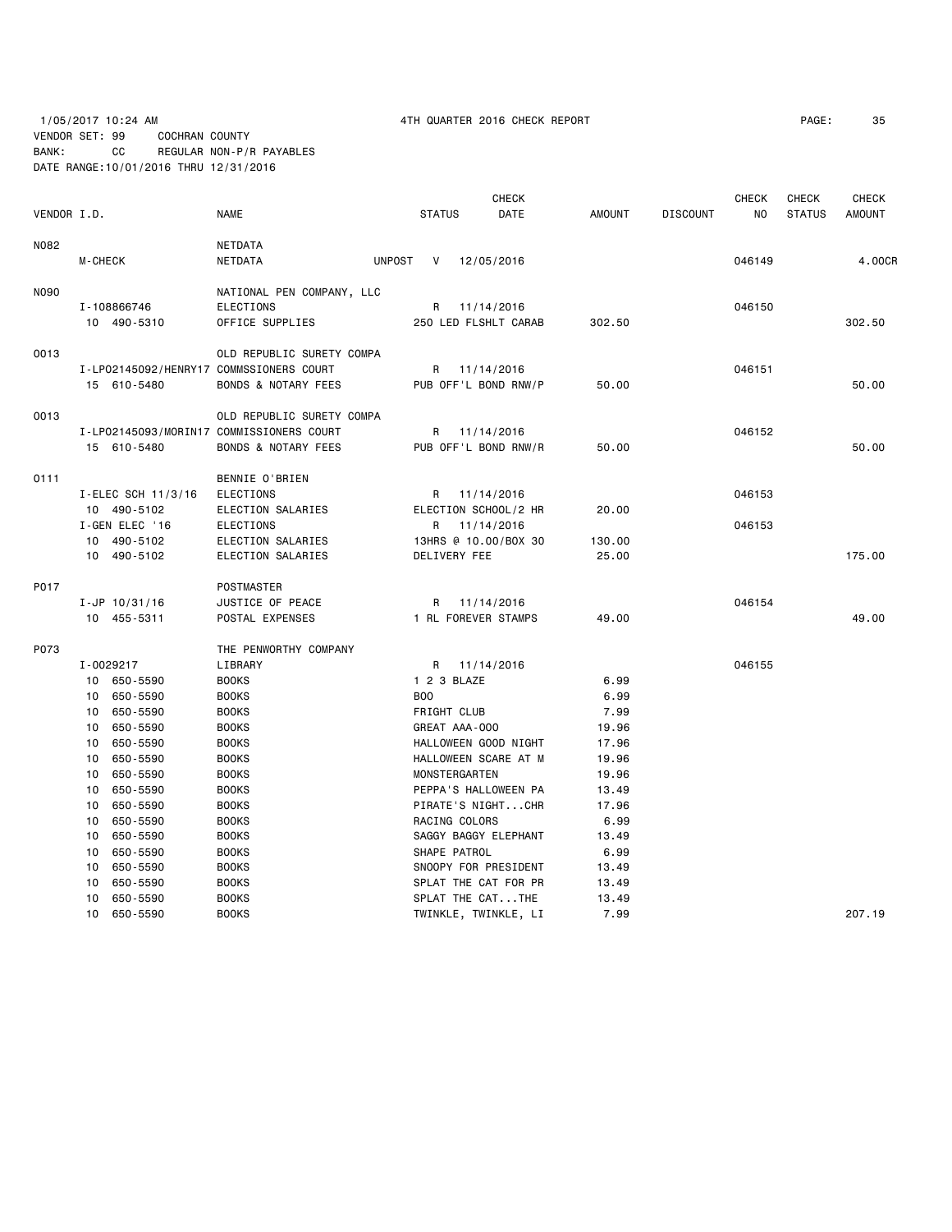## 1/05/2017 10:24 AM 4TH QUARTER 2016 CHECK REPORT PAGE: 35 VENDOR SET: 99 COCHRAN COUNTY BANK: CC REGULAR NON-P/R PAYABLES DATE RANGE:10/01/2016 THRU 12/31/2016

|             |                                         |                                                                       |                                         | <b>CHECK</b> |        |                 | CHECK  | <b>CHECK</b>  | <b>CHECK</b>  |
|-------------|-----------------------------------------|-----------------------------------------------------------------------|-----------------------------------------|--------------|--------|-----------------|--------|---------------|---------------|
| VENDOR I.D. |                                         | <b>NAME</b>                                                           | <b>STATUS</b>                           | DATE         | AMOUNT | <b>DISCOUNT</b> | NO     | <b>STATUS</b> | <b>AMOUNT</b> |
| N082        |                                         | NETDATA                                                               |                                         |              |        |                 |        |               |               |
|             | M-CHECK                                 | NETDATA                                                               | <b>UNPOST</b><br>V<br>12/05/2016        |              |        |                 | 046149 |               | 4.00CR        |
|             |                                         |                                                                       |                                         |              |        |                 |        |               |               |
| N090        |                                         | NATIONAL PEN COMPANY, LLC                                             |                                         |              |        |                 |        |               |               |
|             | I-108866746                             | ELECTIONS                                                             | 11/14/2016<br>R                         |              |        |                 | 046150 |               |               |
|             | 10 490-5310                             | OFFICE SUPPLIES                                                       | 250 LED FLSHLT CARAB                    |              | 302.50 |                 |        |               | 302.50        |
| 0013        |                                         | OLD REPUBLIC SURETY COMPA                                             |                                         |              |        |                 |        |               |               |
|             | I-LP02145092/HENRY17 COMMSSIONERS COURT |                                                                       | 11/14/2016<br>R                         |              |        |                 | 046151 |               |               |
|             | 15 610-5480                             | <b>BONDS &amp; NOTARY FEES</b>                                        | PUB OFF'L BOND RNW/P                    |              | 50.00  |                 |        |               | 50.00         |
| 0013        |                                         |                                                                       |                                         |              |        |                 |        |               |               |
|             |                                         | OLD REPUBLIC SURETY COMPA<br>I-LP02145093/MORIN17 COMMISSIONERS COURT |                                         |              |        |                 | 046152 |               |               |
|             |                                         |                                                                       | 11/14/2016<br>R<br>PUB OFF'L BOND RNW/R |              | 50.00  |                 |        |               | 50.00         |
|             | 15 610-5480                             | <b>BONDS &amp; NOTARY FEES</b>                                        |                                         |              |        |                 |        |               |               |
| 0111        |                                         | BENNIE O'BRIEN                                                        |                                         |              |        |                 |        |               |               |
|             | I-ELEC SCH 11/3/16                      | <b>ELECTIONS</b>                                                      | 11/14/2016<br>R                         |              |        |                 | 046153 |               |               |
|             | 10 490-5102                             | ELECTION SALARIES                                                     | ELECTION SCHOOL/2 HR                    |              | 20.00  |                 |        |               |               |
|             | I-GEN ELEC '16                          | <b>ELECTIONS</b>                                                      | 11/14/2016<br>R                         |              |        |                 | 046153 |               |               |
|             | 10 490-5102                             | ELECTION SALARIES                                                     | 13HRS @ 10.00/BOX 30                    |              | 130.00 |                 |        |               |               |
|             | 10 490-5102                             | ELECTION SALARIES                                                     | DELIVERY FEE                            |              | 25.00  |                 |        |               | 175.00        |
| P017        |                                         | <b>POSTMASTER</b>                                                     |                                         |              |        |                 |        |               |               |
|             | $I-JP$ 10/31/16                         | JUSTICE OF PEACE                                                      | R<br>11/14/2016                         |              |        |                 | 046154 |               |               |
|             | 10 455-5311                             | POSTAL EXPENSES                                                       | 1 RL FOREVER STAMPS                     |              | 49.00  |                 |        |               | 49.00         |
|             |                                         |                                                                       |                                         |              |        |                 |        |               |               |
| P073        |                                         | THE PENWORTHY COMPANY                                                 |                                         |              |        |                 |        |               |               |
|             | I-0029217                               | LIBRARY                                                               | 11/14/2016<br>R                         |              |        |                 | 046155 |               |               |
|             | 10 650-5590                             | <b>BOOKS</b>                                                          | 1 2 3 BLAZE                             |              | 6.99   |                 |        |               |               |
|             | 650-5590<br>10                          | <b>BOOKS</b>                                                          | <b>B00</b>                              |              | 6.99   |                 |        |               |               |
|             | 650-5590<br>10                          | <b>BOOKS</b>                                                          | FRIGHT CLUB                             |              | 7.99   |                 |        |               |               |
|             | 10<br>650-5590                          | <b>BOOKS</b>                                                          | GREAT AAA-000                           |              | 19.96  |                 |        |               |               |
|             | 650-5590<br>10                          | <b>BOOKS</b>                                                          | HALLOWEEN GOOD NIGHT                    |              | 17.96  |                 |        |               |               |
|             | 10<br>650-5590                          | <b>BOOKS</b>                                                          | HALLOWEEN SCARE AT M                    |              | 19.96  |                 |        |               |               |
|             | 650-5590<br>10                          | <b>BOOKS</b>                                                          | MONSTERGARTEN                           |              | 19.96  |                 |        |               |               |
|             | 650-5590<br>10                          | <b>BOOKS</b>                                                          | PEPPA'S HALLOWEEN PA                    |              | 13.49  |                 |        |               |               |
|             | 650-5590<br>10                          | <b>BOOKS</b>                                                          | PIRATE'S NIGHTCHR                       |              | 17.96  |                 |        |               |               |
|             | 650-5590<br>10                          | <b>BOOKS</b>                                                          | RACING COLORS                           |              | 6.99   |                 |        |               |               |
|             | 650-5590<br>10                          | <b>BOOKS</b>                                                          | SAGGY BAGGY ELEPHANT                    |              | 13.49  |                 |        |               |               |
|             | 10<br>650-5590                          | <b>BOOKS</b>                                                          | SHAPE PATROL                            |              | 6.99   |                 |        |               |               |
|             | 650-5590<br>10                          | <b>BOOKS</b>                                                          | SNOOPY FOR PRESIDENT                    |              | 13.49  |                 |        |               |               |
|             | 650-5590<br>10                          | <b>BOOKS</b>                                                          | SPLAT THE CAT FOR PR                    |              | 13.49  |                 |        |               |               |
|             | 650-5590<br>10                          | <b>BOOKS</b>                                                          | SPLAT THE CATTHE                        |              | 13.49  |                 |        |               |               |
|             | 650-5590<br>10                          | <b>BOOKS</b>                                                          | TWINKLE, TWINKLE, LI                    |              | 7.99   |                 |        |               | 207.19        |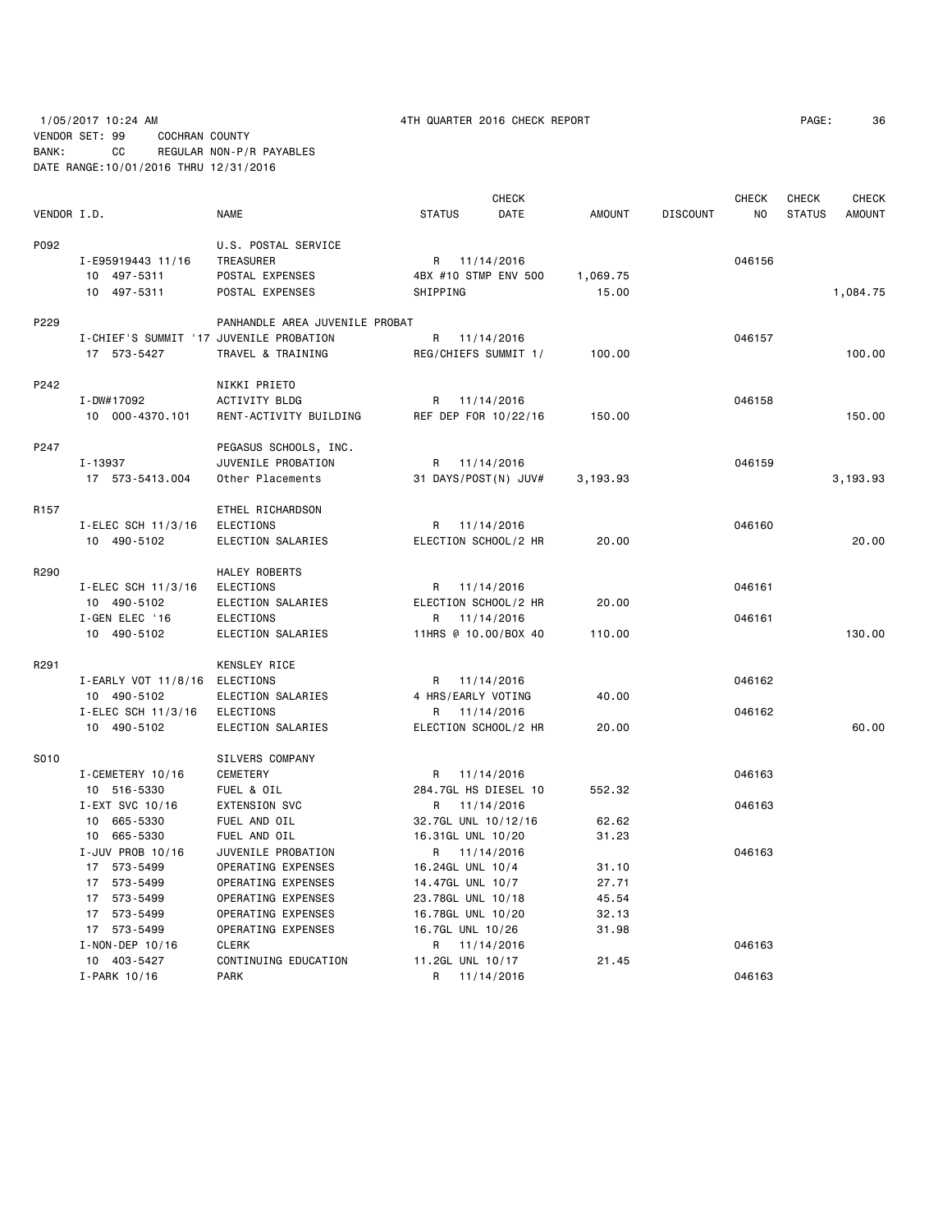# 1/05/2017 10:24 AM 4TH QUARTER 2016 CHECK REPORT PAGE: 36 VENDOR SET: 99 COCHRAN COUNTY BANK: CC REGULAR NON-P/R PAYABLES DATE RANGE:10/01/2016 THRU 12/31/2016

|             |                                         |                                |               | <b>CHECK</b>         |               |                 | <b>CHECK</b> | <b>CHECK</b>  | <b>CHECK</b>  |
|-------------|-----------------------------------------|--------------------------------|---------------|----------------------|---------------|-----------------|--------------|---------------|---------------|
| VENDOR I.D. |                                         | <b>NAME</b>                    | <b>STATUS</b> | DATE                 | <b>AMOUNT</b> | <b>DISCOUNT</b> | NO           | <b>STATUS</b> | <b>AMOUNT</b> |
| P092        |                                         | U.S. POSTAL SERVICE            |               |                      |               |                 |              |               |               |
|             | I-E95919443 11/16                       | TREASURER                      |               | R 11/14/2016         |               |                 | 046156       |               |               |
|             | 10 497-5311                             | POSTAL EXPENSES                |               | 4BX #10 STMP ENV 500 | 1,069.75      |                 |              |               |               |
|             | 10 497-5311                             | POSTAL EXPENSES                | SHIPPING      |                      | 15.00         |                 |              |               | 1,084.75      |
| P229        |                                         | PANHANDLE AREA JUVENILE PROBAT |               |                      |               |                 |              |               |               |
|             | I-CHIEF'S SUMMIT '17 JUVENILE PROBATION |                                | R             | 11/14/2016           |               |                 | 046157       |               |               |
|             | 17 573-5427                             | TRAVEL & TRAINING              |               | REG/CHIEFS SUMMIT 1/ | 100.00        |                 |              |               | 100.00        |
| P242        |                                         | NIKKI PRIETO                   |               |                      |               |                 |              |               |               |
|             | I-DW#17092                              | ACTIVITY BLDG                  | R             | 11/14/2016           |               |                 | 046158       |               |               |
|             | 10 000-4370.101                         | RENT-ACTIVITY BUILDING         |               | REF DEP FOR 10/22/16 | 150.00        |                 |              |               | 150.00        |
| P247        |                                         | PEGASUS SCHOOLS, INC.          |               |                      |               |                 |              |               |               |
|             | I-13937                                 | JUVENILE PROBATION             | R             | 11/14/2016           |               |                 | 046159       |               |               |
|             | 17 573-5413.004                         | Other Placements               |               | 31 DAYS/POST(N) JUV# | 3,193.93      |                 |              |               | 3,193.93      |
| R157        |                                         | ETHEL RICHARDSON               |               |                      |               |                 |              |               |               |
|             | I-ELEC SCH 11/3/16                      | <b>ELECTIONS</b>               |               | R 11/14/2016         |               |                 | 046160       |               |               |
|             | 10 490-5102                             | ELECTION SALARIES              |               | ELECTION SCHOOL/2 HR | 20.00         |                 |              |               | 20.00         |
| R290        |                                         | HALEY ROBERTS                  |               |                      |               |                 |              |               |               |
|             | I-ELEC SCH 11/3/16                      | <b>ELECTIONS</b>               |               | R 11/14/2016         |               |                 | 046161       |               |               |
|             | 10 490-5102                             | ELECTION SALARIES              |               | ELECTION SCHOOL/2 HR | 20.00         |                 |              |               |               |
|             | I-GEN ELEC '16                          | ELECTIONS                      | R             | 11/14/2016           |               |                 | 046161       |               |               |
|             | 10 490-5102                             | ELECTION SALARIES              |               | 11HRS @ 10.00/BOX 40 | 110.00        |                 |              |               | 130.00        |
| R291        |                                         | KENSLEY RICE                   |               |                      |               |                 |              |               |               |
|             | I-EARLY VOT 11/8/16                     | ELECTIONS                      |               | R 11/14/2016         |               |                 | 046162       |               |               |
|             | 10 490-5102                             | ELECTION SALARIES              |               | 4 HRS/EARLY VOTING   | 40.00         |                 |              |               |               |
|             | I-ELEC SCH 11/3/16                      | <b>ELECTIONS</b>               | R             | 11/14/2016           |               |                 | 046162       |               |               |
|             | 10 490-5102                             | ELECTION SALARIES              |               | ELECTION SCHOOL/2 HR | 20.00         |                 |              |               | 60.00         |
| S010        |                                         | SILVERS COMPANY                |               |                      |               |                 |              |               |               |
|             | I-CEMETERY 10/16                        | <b>CEMETERY</b>                |               | R 11/14/2016         |               |                 | 046163       |               |               |
|             | 10 516-5330                             | FUEL & OIL                     |               | 284.7GL HS DIESEL 10 | 552.32        |                 |              |               |               |
|             | I-EXT SVC 10/16                         | <b>EXTENSION SVC</b>           |               | R 11/14/2016         |               |                 | 046163       |               |               |
|             | 10 665-5330                             | FUEL AND OIL                   |               | 32.7GL UNL 10/12/16  | 62.62         |                 |              |               |               |
|             | 10 665-5330                             | FUEL AND OIL                   |               | 16.31GL UNL 10/20    | 31.23         |                 |              |               |               |
|             | I-JUV PROB 10/16                        | JUVENILE PROBATION             |               | R 11/14/2016         |               |                 | 046163       |               |               |
|             | 17 573-5499                             | OPERATING EXPENSES             |               | 16.24GL UNL 10/4     | 31.10         |                 |              |               |               |
|             | 17 573-5499                             | OPERATING EXPENSES             |               | 14.47GL UNL 10/7     | 27.71         |                 |              |               |               |
|             | 17 573-5499                             | OPERATING EXPENSES             |               | 23.78GL UNL 10/18    | 45.54         |                 |              |               |               |
|             | 17 573-5499                             | OPERATING EXPENSES             |               | 16.78GL UNL 10/20    | 32.13         |                 |              |               |               |
|             | 17 573-5499                             | OPERATING EXPENSES             |               | 16.7GL UNL 10/26     | 31.98         |                 |              |               |               |
|             | I-NON-DEP 10/16                         | <b>CLERK</b>                   | R             | 11/14/2016           |               |                 | 046163       |               |               |
|             | 10 403-5427                             | CONTINUING EDUCATION           |               | 11.2GL UNL 10/17     | 21.45         |                 |              |               |               |
|             | I-PARK 10/16                            | <b>PARK</b>                    | R             | 11/14/2016           |               |                 | 046163       |               |               |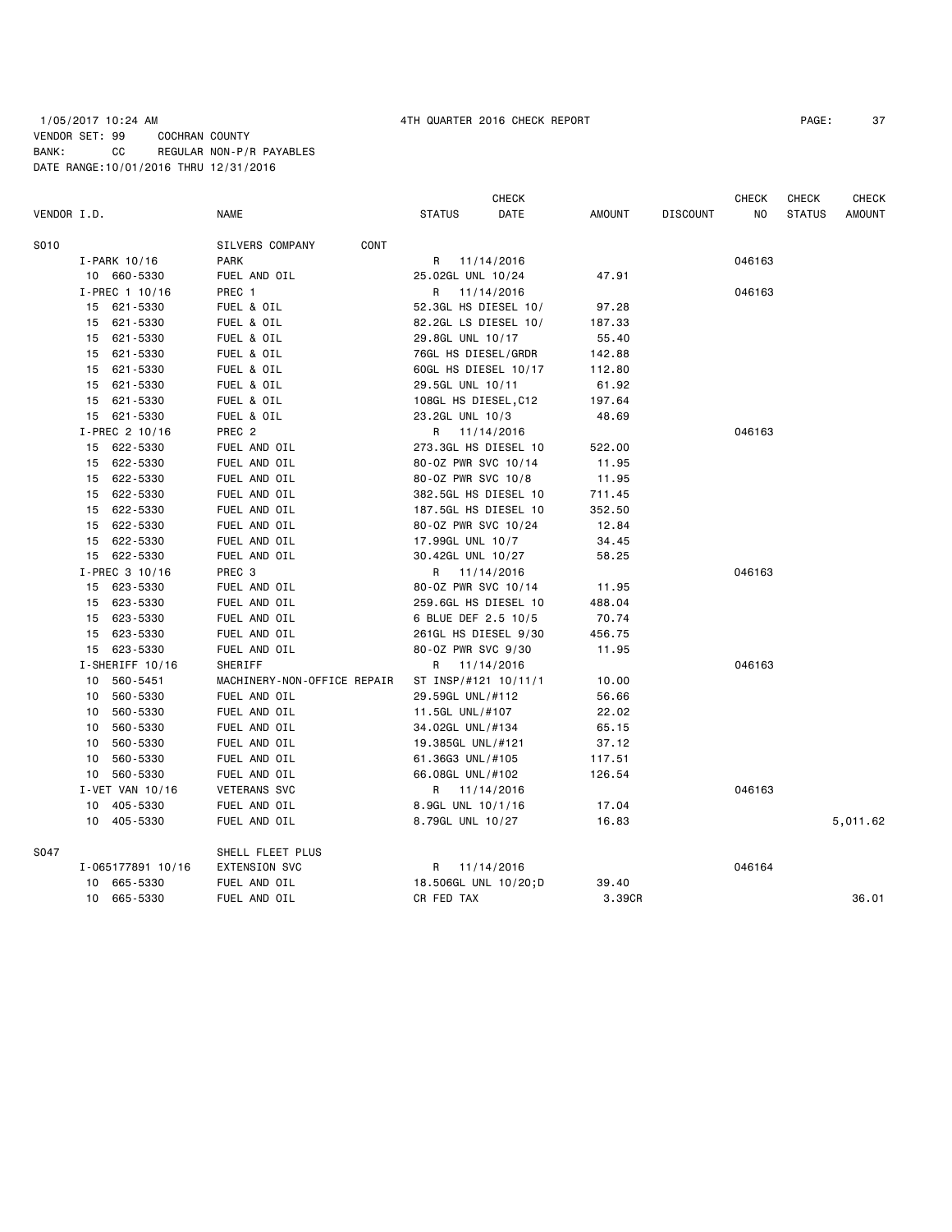# 1/05/2017 10:24 AM 4TH QUARTER 2016 CHECK REPORT PAGE: 37 VENDOR SET: 99 COCHRAN COUNTY BANK: CC REGULAR NON-P/R PAYABLES DATE RANGE:10/01/2016 THRU 12/31/2016

|             |                   |                             |                      | <b>CHECK</b> |               |                 | <b>CHECK</b> | <b>CHECK</b>  | <b>CHECK</b>  |
|-------------|-------------------|-----------------------------|----------------------|--------------|---------------|-----------------|--------------|---------------|---------------|
| VENDOR I.D. |                   | <b>NAME</b>                 | <b>STATUS</b>        | <b>DATE</b>  | <b>AMOUNT</b> | <b>DISCOUNT</b> | NO           | <b>STATUS</b> | <b>AMOUNT</b> |
| S010        |                   | CONT<br>SILVERS COMPANY     |                      |              |               |                 |              |               |               |
|             | I-PARK 10/16      | <b>PARK</b>                 | R<br>11/14/2016      |              |               |                 | 046163       |               |               |
|             | 10 660-5330       | FUEL AND OIL                | 25.02GL UNL 10/24    |              | 47.91         |                 |              |               |               |
|             | I-PREC 1 10/16    | PREC 1                      | R<br>11/14/2016      |              |               |                 | 046163       |               |               |
|             | 15 621-5330       | FUEL & OIL                  | 52.3GL HS DIESEL 10/ |              | 97.28         |                 |              |               |               |
|             | 15 621-5330       | FUEL & OIL                  | 82.2GL LS DIESEL 10/ |              | 187.33        |                 |              |               |               |
|             | 621-5330<br>15    | FUEL & OIL                  | 29.8GL UNL 10/17     |              | 55.40         |                 |              |               |               |
|             | 15 621-5330       | FUEL & OIL                  | 76GL HS DIESEL/GRDR  |              | 142.88        |                 |              |               |               |
|             | 621-5330<br>15    | FUEL & OIL                  | 60GL HS DIESEL 10/17 |              | 112.80        |                 |              |               |               |
|             | 15 621-5330       | FUEL & OIL                  | 29.5GL UNL 10/11     |              | 61.92         |                 |              |               |               |
|             | 621-5330<br>15    | FUEL & OIL                  | 108GL HS DIESEL, C12 |              | 197.64        |                 |              |               |               |
|             | 15 621-5330       | FUEL & OIL                  | 23.2GL UNL 10/3      |              | 48.69         |                 |              |               |               |
|             | I-PREC 2 10/16    | PREC 2                      | R 11/14/2016         |              |               |                 | 046163       |               |               |
|             | 15 622-5330       | FUEL AND OIL                | 273.3GL HS DIESEL 10 |              | 522.00        |                 |              |               |               |
|             | 15 622-5330       | FUEL AND OIL                | 80-0Z PWR SVC 10/14  |              | 11.95         |                 |              |               |               |
|             | 15 622-5330       | FUEL AND OIL                | 80-0Z PWR SVC 10/8   |              | 11.95         |                 |              |               |               |
|             | 622-5330<br>15    | FUEL AND OIL                | 382.5GL HS DIESEL 10 |              | 711.45        |                 |              |               |               |
|             | 15 622-5330       | FUEL AND OIL                | 187.5GL HS DIESEL 10 |              | 352.50        |                 |              |               |               |
|             | 15 622-5330       | FUEL AND OIL                | 80-0Z PWR SVC 10/24  |              | 12.84         |                 |              |               |               |
|             | 15 622-5330       | FUEL AND OIL                | 17.99GL UNL 10/7     |              | 34.45         |                 |              |               |               |
|             | 15 622-5330       | FUEL AND OIL                | 30.42GL UNL 10/27    |              | 58.25         |                 |              |               |               |
|             | I-PREC 3 10/16    | PREC <sub>3</sub>           | R 11/14/2016         |              |               |                 | 046163       |               |               |
|             | 15 623-5330       | FUEL AND OIL                | 80-0Z PWR SVC 10/14  |              | 11.95         |                 |              |               |               |
|             | 15 623-5330       | FUEL AND OIL                | 259.6GL HS DIESEL 10 |              | 488.04        |                 |              |               |               |
|             | 623-5330<br>15    | FUEL AND OIL                | 6 BLUE DEF 2.5 10/5  |              | 70.74         |                 |              |               |               |
|             | 623-5330<br>15    | FUEL AND OIL                | 261GL HS DIESEL 9/30 |              | 456.75        |                 |              |               |               |
|             | 15 623-5330       | FUEL AND OIL                | 80-0Z PWR SVC 9/30   |              | 11.95         |                 |              |               |               |
|             | I-SHERIFF 10/16   | SHERIFF                     | R 11/14/2016         |              |               |                 | 046163       |               |               |
|             | 10 560-5451       | MACHINERY-NON-OFFICE REPAIR | ST INSP/#121 10/11/1 |              | 10.00         |                 |              |               |               |
|             | 560-5330<br>10    | FUEL AND OIL                | 29.59GL UNL/#112     |              | 56.66         |                 |              |               |               |
|             | 560-5330<br>10    | FUEL AND OIL                | 11.5GL UNL/#107      |              | 22.02         |                 |              |               |               |
|             | 560-5330<br>10    | FUEL AND OIL                | 34.02GL UNL/#134     |              | 65.15         |                 |              |               |               |
|             | 560-5330<br>10    | FUEL AND OIL                | 19.385GL UNL/#121    |              | 37.12         |                 |              |               |               |
|             | 560-5330<br>10    | FUEL AND OIL                | 61.36G3 UNL/#105     |              | 117.51        |                 |              |               |               |
|             | 10 560-5330       | FUEL AND OIL                | 66.08GL UNL/#102     |              | 126.54        |                 |              |               |               |
|             | I-VET VAN 10/16   | <b>VETERANS SVC</b>         | R 11/14/2016         |              |               |                 | 046163       |               |               |
|             | 10 405-5330       | FUEL AND OIL                | 8.9GL UNL 10/1/16    |              | 17.04         |                 |              |               |               |
|             | 10 405-5330       | FUEL AND OIL                | 8.79GL UNL 10/27     |              | 16.83         |                 |              |               | 5,011.62      |
| S047        |                   | SHELL FLEET PLUS            |                      |              |               |                 |              |               |               |
|             | I-065177891 10/16 | EXTENSION SVC               | R 11/14/2016         |              |               |                 | 046164       |               |               |
|             | 10<br>665-5330    | FUEL AND OIL                | 18.506GL UNL 10/20;D |              | 39.40         |                 |              |               |               |
|             | 10 665-5330       | FUEL AND OIL                | CR FED TAX           |              | 3.39CR        |                 |              |               | 36.01         |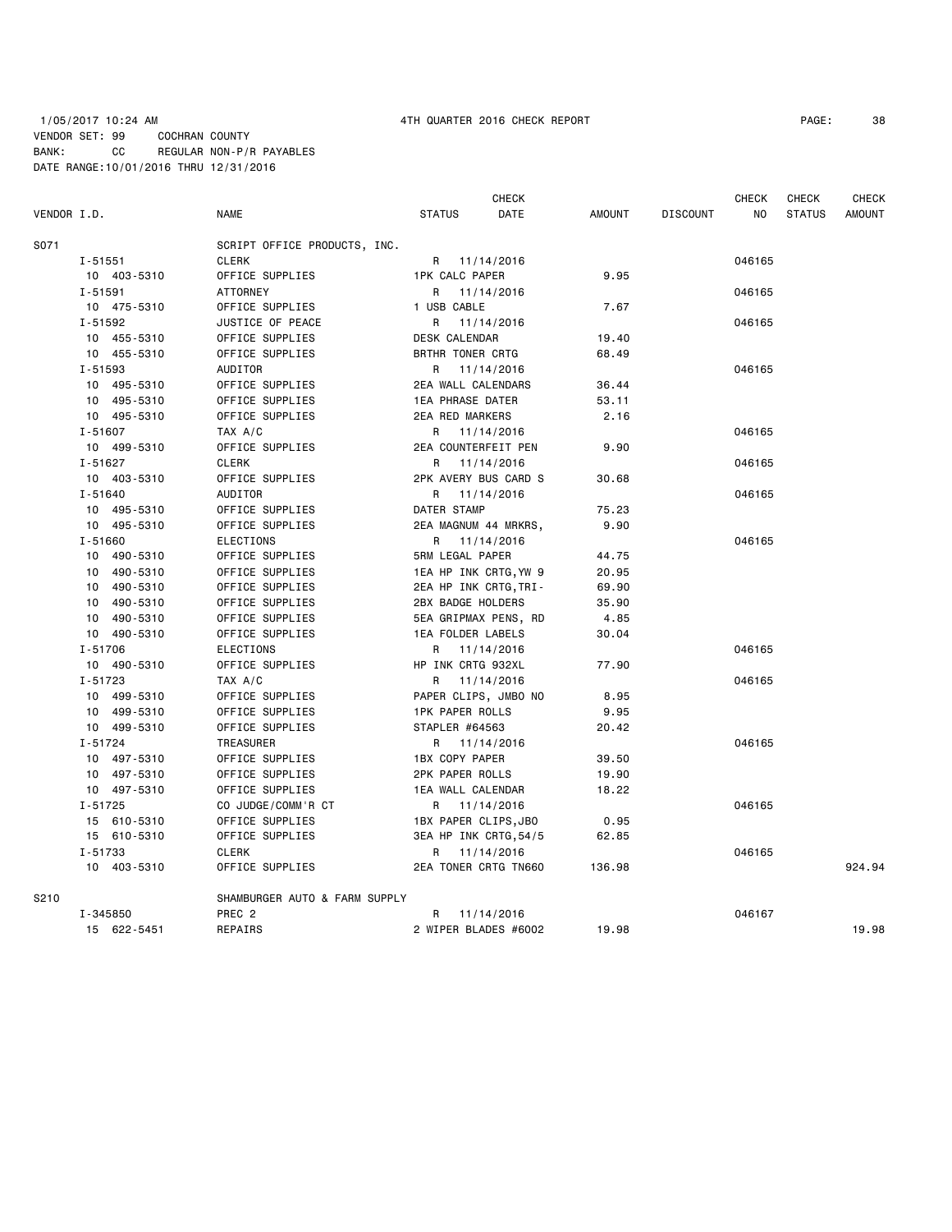### 1/05/2017 10:24 AM 4TH QUARTER 2016 CHECK REPORT PAGE: 38 VENDOR SET: 99 COCHRAN COUNTY BANK: CC REGULAR NON-P/R PAYABLES DATE RANGE:10/01/2016 THRU 12/31/2016

| VENDOR I.D. |                            | <b>NAME</b>                         | <b>STATUS</b>           | <b>CHECK</b><br>DATE | <b>AMOUNT</b> | <b>DISCOUNT</b> | <b>CHECK</b><br>NO | <b>CHECK</b><br><b>STATUS</b> | <b>CHECK</b><br><b>AMOUNT</b> |
|-------------|----------------------------|-------------------------------------|-------------------------|----------------------|---------------|-----------------|--------------------|-------------------------------|-------------------------------|
| S071        |                            | SCRIPT OFFICE PRODUCTS, INC.        |                         |                      |               |                 |                    |                               |                               |
|             | $I - 51551$                | <b>CLERK</b>                        | R 11/14/2016            |                      |               |                 | 046165             |                               |                               |
|             | 10 403-5310                | OFFICE SUPPLIES                     | <b>1PK CALC PAPER</b>   |                      | 9.95          |                 |                    |                               |                               |
|             | $I - 51591$                | <b>ATTORNEY</b>                     | R                       | 11/14/2016           |               |                 | 046165             |                               |                               |
|             | 10 475-5310                | OFFICE SUPPLIES                     | 1 USB CABLE             |                      | 7.67          |                 |                    |                               |                               |
|             | $I - 51592$                | JUSTICE OF PEACE                    | R.                      | 11/14/2016           |               |                 | 046165             |                               |                               |
|             | 10 455-5310                | OFFICE SUPPLIES                     | DESK CALENDAR           |                      | 19.40         |                 |                    |                               |                               |
|             | 10 455-5310                | OFFICE SUPPLIES                     | BRTHR TONER CRTG        |                      | 68.49         |                 |                    |                               |                               |
|             | $I - 51593$                | AUDITOR                             | R 11/14/2016            |                      |               |                 | 046165             |                               |                               |
|             | 10 495-5310                | OFFICE SUPPLIES                     | 2EA WALL CALENDARS      |                      | 36.44         |                 |                    |                               |                               |
|             | 10 495-5310                | OFFICE SUPPLIES                     | <b>1EA PHRASE DATER</b> |                      | 53.11         |                 |                    |                               |                               |
|             | 10 495-5310                | OFFICE SUPPLIES                     | <b>2EA RED MARKERS</b>  |                      | 2.16          |                 |                    |                               |                               |
|             | $I - 51607$                | TAX A/C                             | R 11/14/2016            |                      |               |                 | 046165             |                               |                               |
|             | 10 499-5310                | OFFICE SUPPLIES                     | 2EA COUNTERFEIT PEN     |                      | 9.90          |                 |                    |                               |                               |
|             | $I - 51627$                | <b>CLERK</b>                        | R 11/14/2016            |                      |               |                 | 046165             |                               |                               |
|             | 10 403-5310                | OFFICE SUPPLIES                     | 2PK AVERY BUS CARD S    |                      | 30.68         |                 |                    |                               |                               |
|             | $I - 51640$                | AUDITOR                             | R 11/14/2016            |                      |               |                 | 046165             |                               |                               |
|             |                            | OFFICE SUPPLIES                     | DATER STAMP             |                      | 75.23         |                 |                    |                               |                               |
|             | 10 495-5310<br>10 495-5310 | OFFICE SUPPLIES                     |                         |                      | 9.90          |                 |                    |                               |                               |
|             | $I - 51660$                |                                     | 2EA MAGNUM 44 MRKRS,    |                      |               |                 |                    |                               |                               |
|             | 10 490-5310                | <b>ELECTIONS</b><br>OFFICE SUPPLIES | 5RM LEGAL PAPER         | R 11/14/2016         | 44.75         |                 | 046165             |                               |                               |
|             |                            |                                     |                         |                      |               |                 |                    |                               |                               |
|             | 10 490-5310                | OFFICE SUPPLIES                     | 1EA HP INK CRTG, YW 9   |                      | 20.95         |                 |                    |                               |                               |
|             | 10 490-5310                | OFFICE SUPPLIES                     | 2EA HP INK CRTG, TRI-   |                      | 69.90         |                 |                    |                               |                               |
|             | 10 490-5310                | OFFICE SUPPLIES                     | 2BX BADGE HOLDERS       |                      | 35.90         |                 |                    |                               |                               |
|             | 10 490-5310                | OFFICE SUPPLIES                     | 5EA GRIPMAX PENS, RD    |                      | 4.85          |                 |                    |                               |                               |
|             | 10 490-5310                | OFFICE SUPPLIES                     | 1EA FOLDER LABELS       |                      | 30.04         |                 |                    |                               |                               |
|             | I-51706                    | <b>ELECTIONS</b>                    |                         | R 11/14/2016         |               |                 | 046165             |                               |                               |
|             | 10 490-5310                | OFFICE SUPPLIES                     | HP INK CRTG 932XL       |                      | 77.90         |                 |                    |                               |                               |
|             | $I - 51723$                | TAX A/C                             | R                       | 11/14/2016           |               |                 | 046165             |                               |                               |
|             | 10 499-5310                | OFFICE SUPPLIES                     | PAPER CLIPS, JMBO NO    |                      | 8.95          |                 |                    |                               |                               |
|             | 10 499-5310                | OFFICE SUPPLIES                     | <b>1PK PAPER ROLLS</b>  |                      | 9.95          |                 |                    |                               |                               |
|             | 10 499-5310                | OFFICE SUPPLIES                     | STAPLER #64563          |                      | 20.42         |                 |                    |                               |                               |
|             | $I - 51724$                | TREASURER                           |                         | R 11/14/2016         |               |                 | 046165             |                               |                               |
|             | 10 497-5310                | OFFICE SUPPLIES                     | 1BX COPY PAPER          |                      | 39.50         |                 |                    |                               |                               |
|             | 10 497-5310                | OFFICE SUPPLIES                     | <b>2PK PAPER ROLLS</b>  |                      | 19.90         |                 |                    |                               |                               |
|             | 10 497-5310                | OFFICE SUPPLIES                     | 1EA WALL CALENDAR       |                      | 18.22         |                 |                    |                               |                               |
|             | I-51725                    | CO JUDGE/COMM'R CT                  | R 11/14/2016            |                      |               |                 | 046165             |                               |                               |
|             | 15 610-5310                | OFFICE SUPPLIES                     | 1BX PAPER CLIPS, JBO    |                      | 0.95          |                 |                    |                               |                               |
|             | 15 610-5310                | OFFICE SUPPLIES                     | 3EA HP INK CRTG, 54/5   |                      | 62.85         |                 |                    |                               |                               |
|             | I-51733                    | <b>CLERK</b>                        |                         | R 11/14/2016         |               |                 | 046165             |                               |                               |
|             | 10 403-5310                | OFFICE SUPPLIES                     | 2EA TONER CRTG TN660    |                      | 136.98        |                 |                    |                               | 924.94                        |
| S210        |                            | SHAMBURGER AUTO & FARM SUPPLY       |                         |                      |               |                 |                    |                               |                               |
|             | I-345850                   | PREC <sub>2</sub>                   | R.                      | 11/14/2016           |               |                 | 046167             |                               |                               |
|             | 15 622-5451                | REPAIRS                             | 2 WIPER BLADES #6002    |                      | 19.98         |                 |                    |                               | 19.98                         |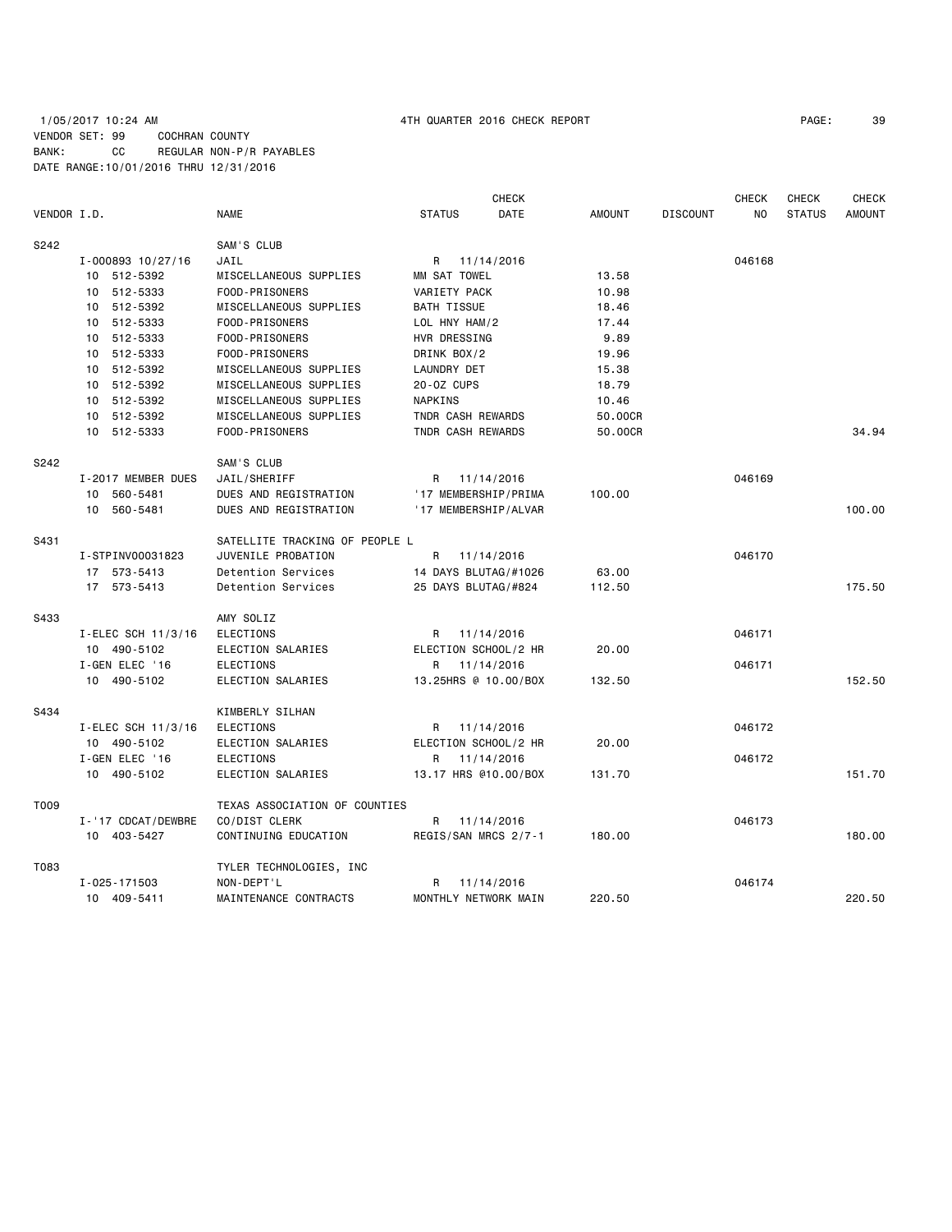# 1/05/2017 10:24 AM 4TH QUARTER 2016 CHECK REPORT PAGE: 39 VENDOR SET: 99 COCHRAN COUNTY BANK: CC REGULAR NON-P/R PAYABLES DATE RANGE:10/01/2016 THRU 12/31/2016

| VENDOR I.D. |                    | <b>NAME</b>                    | <b>STATUS</b>       | <b>CHECK</b><br><b>DATE</b> | <b>AMOUNT</b> | <b>DISCOUNT</b> | <b>CHECK</b><br>NO. | <b>CHECK</b><br><b>STATUS</b> | <b>CHECK</b><br><b>AMOUNT</b> |
|-------------|--------------------|--------------------------------|---------------------|-----------------------------|---------------|-----------------|---------------------|-------------------------------|-------------------------------|
| S242        |                    | SAM'S CLUB                     |                     |                             |               |                 |                     |                               |                               |
|             | I-000893 10/27/16  | JAIL                           | R                   | 11/14/2016                  |               |                 | 046168              |                               |                               |
|             | 10 512-5392        | MISCELLANEOUS SUPPLIES         | MM SAT TOWEL        |                             | 13.58         |                 |                     |                               |                               |
|             | 10 512-5333        | FOOD-PRISONERS                 | VARIETY PACK        |                             | 10.98         |                 |                     |                               |                               |
|             | 10 512-5392        | MISCELLANEOUS SUPPLIES         | <b>BATH TISSUE</b>  |                             | 18.46         |                 |                     |                               |                               |
|             | 10 512-5333        | FOOD-PRISONERS                 | LOL HNY HAM/2       |                             | 17.44         |                 |                     |                               |                               |
|             | 10 512-5333        | FOOD-PRISONERS                 | HVR DRESSING        |                             | 9.89          |                 |                     |                               |                               |
|             | 10 512-5333        | FOOD-PRISONERS                 | DRINK BOX/2         |                             | 19.96         |                 |                     |                               |                               |
|             | 10 512-5392        | MISCELLANEOUS SUPPLIES         | LAUNDRY DET         |                             | 15.38         |                 |                     |                               |                               |
|             | 10 512-5392        | MISCELLANEOUS SUPPLIES         | 20-0Z CUPS          |                             | 18.79         |                 |                     |                               |                               |
|             | 10 512-5392        | MISCELLANEOUS SUPPLIES         | NAPKINS             |                             | 10.46         |                 |                     |                               |                               |
|             | 10 512-5392        | MISCELLANEOUS SUPPLIES         | TNDR CASH REWARDS   |                             | 50.00CR       |                 |                     |                               |                               |
|             | 10 512-5333        | FOOD-PRISONERS                 | TNDR CASH REWARDS   |                             | 50.00CR       |                 |                     |                               | 34.94                         |
| S242        |                    | SAM'S CLUB                     |                     |                             |               |                 |                     |                               |                               |
|             | I-2017 MEMBER DUES | JAIL/SHERIFF                   | R.                  | 11/14/2016                  |               |                 | 046169              |                               |                               |
|             | 10 560-5481        | DUES AND REGISTRATION          |                     | '17 MEMBERSHIP/PRIMA        | 100.00        |                 |                     |                               |                               |
|             | 10 560-5481        | DUES AND REGISTRATION          |                     | '17 MEMBERSHIP/ALVAR        |               |                 |                     |                               | 100.00                        |
| S431        |                    | SATELLITE TRACKING OF PEOPLE L |                     |                             |               |                 |                     |                               |                               |
|             | I-STPINV00031823   | JUVENILE PROBATION             | R                   | 11/14/2016                  |               |                 | 046170              |                               |                               |
|             | 17 573-5413        | Detention Services             |                     | 14 DAYS BLUTAG/#1026        | 63.00         |                 |                     |                               |                               |
|             | 17 573-5413        | Detention Services             | 25 DAYS BLUTAG/#824 |                             | 112.50        |                 |                     |                               | 175.50                        |
| S433        |                    | AMY SOLIZ                      |                     |                             |               |                 |                     |                               |                               |
|             | I-ELEC SCH 11/3/16 | <b>ELECTIONS</b>               | R                   | 11/14/2016                  |               |                 | 046171              |                               |                               |
|             | 10 490-5102        | ELECTION SALARIES              |                     | ELECTION SCHOOL/2 HR        | 20.00         |                 |                     |                               |                               |
|             | I-GEN ELEC '16     | <b>ELECTIONS</b>               | R                   | 11/14/2016                  |               |                 | 046171              |                               |                               |
|             | 10 490-5102        | ELECTION SALARIES              |                     | 13.25HRS @ 10.00/BOX        | 132.50        |                 |                     |                               | 152.50                        |
| S434        |                    | KIMBERLY SILHAN                |                     |                             |               |                 |                     |                               |                               |
|             | I-ELEC SCH 11/3/16 | <b>ELECTIONS</b>               | R                   | 11/14/2016                  |               |                 | 046172              |                               |                               |
|             | 10 490-5102        | ELECTION SALARIES              |                     | ELECTION SCHOOL/2 HR        | 20,00         |                 |                     |                               |                               |
|             | I-GEN ELEC '16     | <b>ELECTIONS</b>               | R                   | 11/14/2016                  |               |                 | 046172              |                               |                               |
|             | 10 490-5102        | ELECTION SALARIES              |                     | 13.17 HRS @10.00/BOX        | 131.70        |                 |                     |                               | 151.70                        |
| T009        |                    | TEXAS ASSOCIATION OF COUNTIES  |                     |                             |               |                 |                     |                               |                               |
|             | I-'17 CDCAT/DEWBRE | CO/DIST CLERK                  | R                   | 11/14/2016                  |               |                 | 046173              |                               |                               |
|             | 10 403-5427        | CONTINUING EDUCATION           |                     | REGIS/SAN MRCS 2/7-1        | 180.00        |                 |                     |                               | 180.00                        |
| T083        |                    | TYLER TECHNOLOGIES, INC        |                     |                             |               |                 |                     |                               |                               |
|             | I-025-171503       | NON-DEPT'L                     | R                   | 11/14/2016                  |               |                 | 046174              |                               |                               |
|             | 10 409-5411        | MAINTENANCE CONTRACTS          |                     | MONTHLY NETWORK MAIN        | 220.50        |                 |                     |                               | 220.50                        |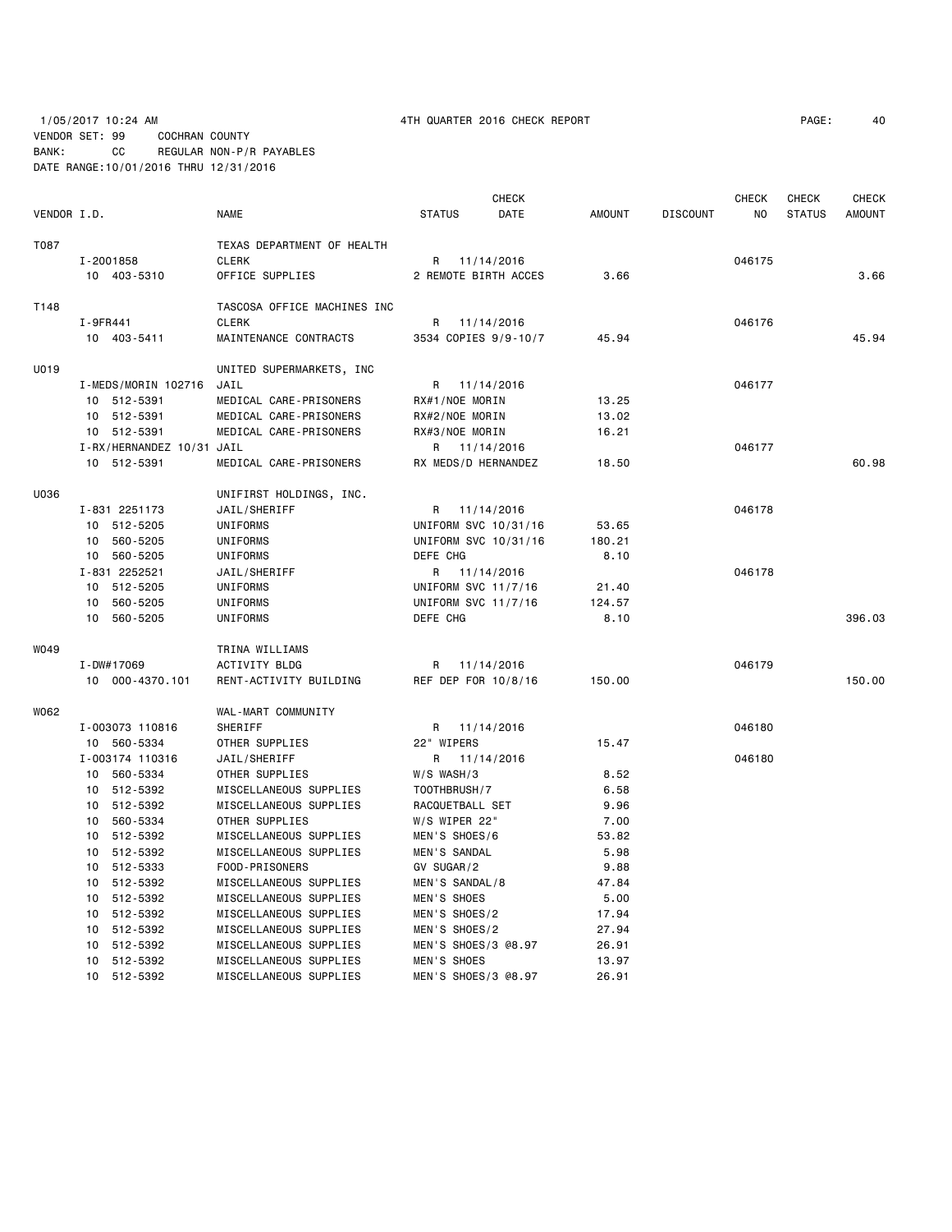# 1/05/2017 10:24 AM 4TH QUARTER 2016 CHECK REPORT PAGE: 40 VENDOR SET: 99 COCHRAN COUNTY BANK: CC REGULAR NON-P/R PAYABLES DATE RANGE:10/01/2016 THRU 12/31/2016

|             |                           |                             |                     | CHECK                |               |                 | CHECK  | CHECK         | <b>CHECK</b>  |
|-------------|---------------------------|-----------------------------|---------------------|----------------------|---------------|-----------------|--------|---------------|---------------|
| VENDOR I.D. |                           | NAME                        | <b>STATUS</b>       | DATE                 | <b>AMOUNT</b> | <b>DISCOUNT</b> | NO.    | <b>STATUS</b> | <b>AMOUNT</b> |
| T087        |                           | TEXAS DEPARTMENT OF HEALTH  |                     |                      |               |                 |        |               |               |
|             | I-2001858                 | <b>CLERK</b>                | R                   | 11/14/2016           |               |                 | 046175 |               |               |
|             | 10 403-5310               | OFFICE SUPPLIES             |                     | 2 REMOTE BIRTH ACCES | 3.66          |                 |        |               | 3.66          |
|             |                           |                             |                     |                      |               |                 |        |               |               |
| T148        |                           | TASCOSA OFFICE MACHINES INC |                     |                      |               |                 |        |               |               |
|             | I-9FR441                  | <b>CLERK</b>                | R                   | 11/14/2016           |               |                 | 046176 |               |               |
|             | 10 403-5411               | MAINTENANCE CONTRACTS       |                     | 3534 COPIES 9/9-10/7 | 45.94         |                 |        |               | 45.94         |
| U019        |                           | UNITED SUPERMARKETS, INC    |                     |                      |               |                 |        |               |               |
|             | I-MEDS/MORIN 102716       | JAIL                        | R 11/14/2016        |                      |               |                 | 046177 |               |               |
|             | 10 512-5391               | MEDICAL CARE-PRISONERS      | RX#1/NOE MORIN      |                      | 13.25         |                 |        |               |               |
|             | 10 512-5391               | MEDICAL CARE-PRISONERS      | RX#2/NOE MORIN      |                      | 13.02         |                 |        |               |               |
|             | 10 512-5391               | MEDICAL CARE-PRISONERS      | RX#3/NOE MORIN      |                      | 16.21         |                 |        |               |               |
|             | I-RX/HERNANDEZ 10/31 JAIL |                             |                     | R 11/14/2016         |               |                 | 046177 |               |               |
|             | 10 512-5391               | MEDICAL CARE-PRISONERS      | RX MEDS/D HERNANDEZ |                      | 18.50         |                 |        |               | 60.98         |
| U036        |                           | UNIFIRST HOLDINGS, INC.     |                     |                      |               |                 |        |               |               |
|             | I-831 2251173             | JAIL/SHERIFF                | R 11/14/2016        |                      |               |                 | 046178 |               |               |
|             | 10 512-5205               | UNIFORMS                    |                     | UNIFORM SVC 10/31/16 | 53.65         |                 |        |               |               |
|             | 10 560-5205               | UNIFORMS                    |                     | UNIFORM SVC 10/31/16 | 180.21        |                 |        |               |               |
|             | 10 560-5205               | UNIFORMS                    | DEFE CHG            |                      | 8.10          |                 |        |               |               |
|             | I-831 2252521             | JAIL/SHERIFF                | R 11/14/2016        |                      |               |                 | 046178 |               |               |
|             | 10 512-5205               | UNIFORMS                    | UNIFORM SVC 11/7/16 |                      | 21.40         |                 |        |               |               |
|             | 10 560-5205               | UNIFORMS                    | UNIFORM SVC 11/7/16 |                      | 124.57        |                 |        |               |               |
|             | 10 560-5205               | UNIFORMS                    | DEFE CHG            |                      | 8.10          |                 |        |               | 396.03        |
|             |                           |                             |                     |                      |               |                 |        |               |               |
| W049        |                           | TRINA WILLIAMS              |                     |                      |               |                 |        |               |               |
|             | I-DW#17069                | ACTIVITY BLDG               | R                   | 11/14/2016           |               |                 | 046179 |               |               |
|             | 10 000-4370.101           | RENT-ACTIVITY BUILDING      | REF DEP FOR 10/8/16 |                      | 150.00        |                 |        |               | 150.00        |
| W062        |                           | WAL-MART COMMUNITY          |                     |                      |               |                 |        |               |               |
|             | I-003073 110816           | <b>SHERIFF</b>              | R 11/14/2016        |                      |               |                 | 046180 |               |               |
|             | 10 560-5334               | OTHER SUPPLIES              | 22" WIPERS          |                      | 15.47         |                 |        |               |               |
|             | I-003174 110316           | JAIL/SHERIFF                |                     | R 11/14/2016         |               |                 | 046180 |               |               |
|             | 10 560-5334               | OTHER SUPPLIES              | $W/S$ WASH/3        |                      | 8.52          |                 |        |               |               |
|             | 10 512-5392               | MISCELLANEOUS SUPPLIES      | TOOTHBRUSH/7        |                      | 6.58          |                 |        |               |               |
|             | 10 512-5392               | MISCELLANEOUS SUPPLIES      | RACQUETBALL SET     |                      | 9.96          |                 |        |               |               |
|             | 10 560-5334               | OTHER SUPPLIES              | W/S WIPER 22"       |                      | 7.00          |                 |        |               |               |
|             | 10 512-5392               | MISCELLANEOUS SUPPLIES      | MEN'S SHOES/6       |                      | 53.82         |                 |        |               |               |
|             | 10 512-5392               | MISCELLANEOUS SUPPLIES      | MEN'S SANDAL        |                      | 5.98          |                 |        |               |               |
|             | 10 512-5333               | FOOD-PRISONERS              | GV SUGAR/2          |                      | 9.88          |                 |        |               |               |
|             | 10 512-5392               | MISCELLANEOUS SUPPLIES      | MEN'S SANDAL/8      |                      | 47.84         |                 |        |               |               |
|             | 10 512-5392               | MISCELLANEOUS SUPPLIES      | MEN'S SHOES         |                      | 5.00          |                 |        |               |               |
|             | 10 512-5392               | MISCELLANEOUS SUPPLIES      | MEN'S SHOES/2       |                      | 17.94         |                 |        |               |               |
|             | 10 512-5392               | MISCELLANEOUS SUPPLIES      | MEN'S SHOES/2       |                      | 27.94         |                 |        |               |               |
|             | 10 512-5392               | MISCELLANEOUS SUPPLIES      | MEN'S SHOES/3 @8.97 |                      | 26.91         |                 |        |               |               |
|             | 10 512-5392               | MISCELLANEOUS SUPPLIES      | MEN'S SHOES         |                      | 13.97         |                 |        |               |               |
|             | 10 512-5392               | MISCELLANEOUS SUPPLIES      | MEN'S SHOES/3 @8.97 |                      | 26.91         |                 |        |               |               |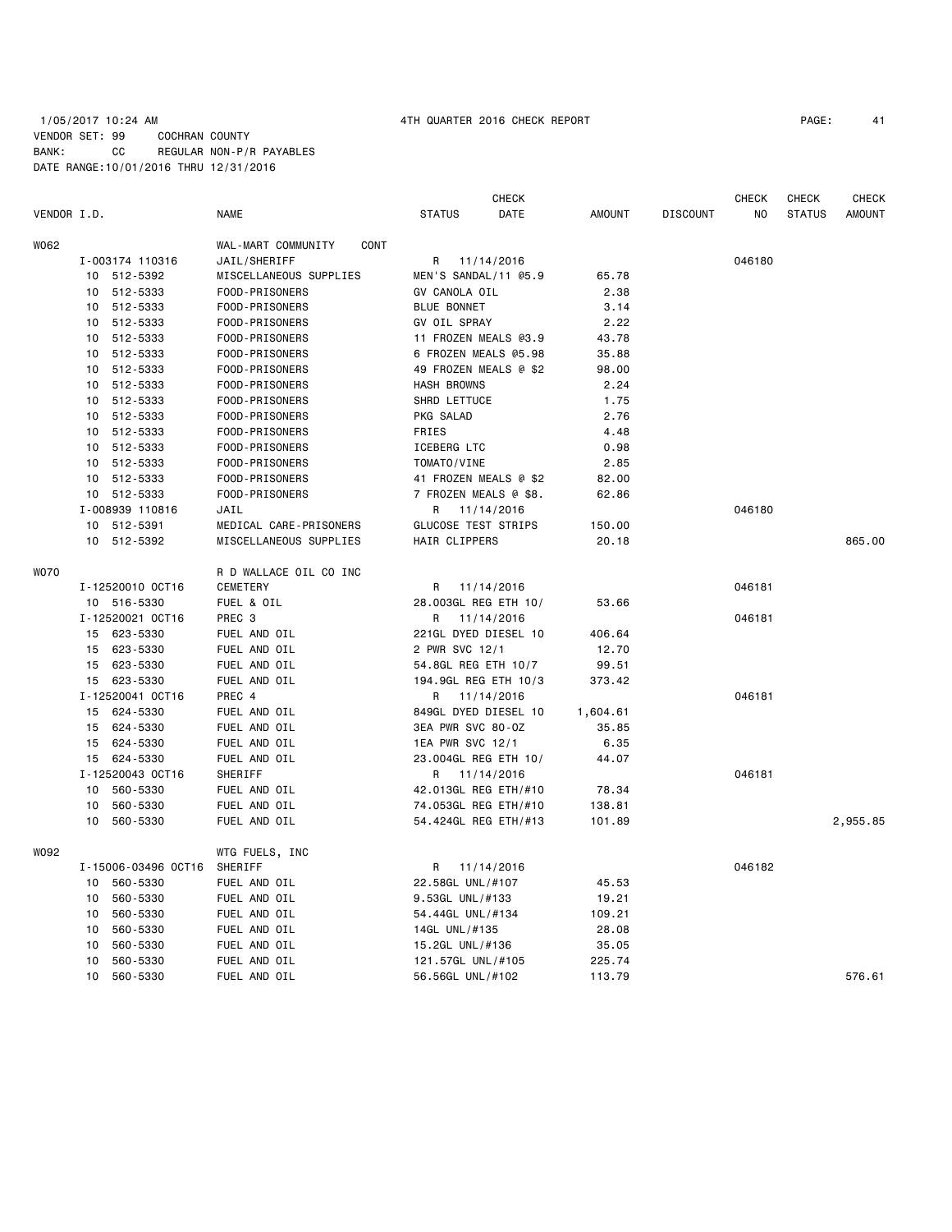## 1/05/2017 10:24 AM 4TH QUARTER 2016 CHECK REPORT PAGE: 41 VENDOR SET: 99 COCHRAN COUNTY BANK: CC REGULAR NON-P/R PAYABLES DATE RANGE:10/01/2016 THRU 12/31/2016

| VENDOR I.D. |                     | <b>NAME</b>                                | <b>STATUS</b>              | <b>CHECK</b><br>DATE | <b>AMOUNT</b> | <b>DISCOUNT</b> | <b>CHECK</b><br>NO. | <b>CHECK</b><br><b>STATUS</b> | <b>CHECK</b><br><b>AMOUNT</b> |
|-------------|---------------------|--------------------------------------------|----------------------------|----------------------|---------------|-----------------|---------------------|-------------------------------|-------------------------------|
|             |                     |                                            |                            |                      |               |                 |                     |                               |                               |
| W062        | I-003174 110316     | WAL-MART COMMUNITY<br>CONT<br>JAIL/SHERIFF | R                          | 11/14/2016           |               |                 | 046180              |                               |                               |
|             | 10 512-5392         | MISCELLANEOUS SUPPLIES                     | MEN'S SANDAL/11 @5.9       |                      | 65.78         |                 |                     |                               |                               |
|             | 10 512-5333         | FOOD-PRISONERS                             | GV CANOLA OIL              |                      | 2.38          |                 |                     |                               |                               |
|             | 10<br>512-5333      | FOOD-PRISONERS                             | <b>BLUE BONNET</b>         |                      | 3.14          |                 |                     |                               |                               |
|             | 512-5333<br>10      | FOOD-PRISONERS                             | GV OIL SPRAY               |                      | 2.22          |                 |                     |                               |                               |
|             | 512-5333<br>10      | FOOD-PRISONERS                             | 11 FROZEN MEALS @3.9       |                      | 43.78         |                 |                     |                               |                               |
|             | 512-5333<br>10      | FOOD-PRISONERS                             | 6 FROZEN MEALS @5.98       |                      | 35.88         |                 |                     |                               |                               |
|             | 10<br>512-5333      | FOOD-PRISONERS                             | 49 FROZEN MEALS @ \$2      |                      | 98.00         |                 |                     |                               |                               |
|             | 10 512-5333         | FOOD-PRISONERS                             | <b>HASH BROWNS</b>         |                      | 2.24          |                 |                     |                               |                               |
|             | 512-5333<br>10      | FOOD-PRISONERS                             | SHRD LETTUCE               |                      | 1.75          |                 |                     |                               |                               |
|             | 512-5333<br>10      | FOOD-PRISONERS                             | PKG SALAD                  |                      | 2.76          |                 |                     |                               |                               |
|             | 512-5333<br>10      | FOOD-PRISONERS                             | FRIES                      |                      | 4.48          |                 |                     |                               |                               |
|             | 10 512-5333         | FOOD-PRISONERS                             | ICEBERG LTC                |                      | 0.98          |                 |                     |                               |                               |
|             | 10 512-5333         | FOOD-PRISONERS                             | TOMATO/VINE                |                      | 2.85          |                 |                     |                               |                               |
|             | 10 512-5333         | FOOD-PRISONERS                             | 41 FROZEN MEALS @ \$2      |                      | 82.00         |                 |                     |                               |                               |
|             | 10 512-5333         | FOOD-PRISONERS                             | 7 FROZEN MEALS @ \$8.      |                      | 62.86         |                 |                     |                               |                               |
|             | I-008939 110816     | JAIL                                       | R                          | 11/14/2016           |               |                 | 046180              |                               |                               |
|             | 512-5391<br>10      | MEDICAL CARE-PRISONERS                     | <b>GLUCOSE TEST STRIPS</b> |                      | 150.00        |                 |                     |                               |                               |
|             | 10 512-5392         | MISCELLANEOUS SUPPLIES                     | HAIR CLIPPERS              |                      | 20.18         |                 |                     |                               | 865.00                        |
| <b>WO70</b> |                     | R D WALLACE OIL CO INC                     |                            |                      |               |                 |                     |                               |                               |
|             | I-12520010 OCT16    | <b>CEMETERY</b>                            | R                          | 11/14/2016           |               |                 | 046181              |                               |                               |
|             | 10 516-5330         | FUEL & OIL                                 | 28.003GL REG ETH 10/       |                      | 53.66         |                 |                     |                               |                               |
|             | I-12520021 OCT16    | PREC 3                                     | R                          | 11/14/2016           |               |                 | 046181              |                               |                               |
|             | 623-5330<br>15      | FUEL AND OIL                               | 221GL DYED DIESEL 10       |                      | 406.64        |                 |                     |                               |                               |
|             | 623-5330<br>15      | FUEL AND OIL                               | 2 PWR SVC 12/1             |                      | 12.70         |                 |                     |                               |                               |
|             | 623-5330<br>15      | FUEL AND OIL                               | 54.8GL REG ETH 10/7        |                      | 99.51         |                 |                     |                               |                               |
|             | 623-5330<br>15      | FUEL AND OIL                               | 194.9GL REG ETH 10/3       |                      | 373.42        |                 |                     |                               |                               |
|             | I-12520041 OCT16    | PREC 4                                     | R                          | 11/14/2016           |               |                 | 046181              |                               |                               |
|             | 15 624-5330         | FUEL AND OIL                               | 849GL DYED DIESEL 10       |                      | 1,604.61      |                 |                     |                               |                               |
|             | 15 624-5330         | FUEL AND OIL                               | 3EA PWR SVC 80-0Z          |                      | 35.85         |                 |                     |                               |                               |
|             | 15<br>624-5330      | FUEL AND OIL                               | 1EA PWR SVC 12/1           |                      | 6.35          |                 |                     |                               |                               |
|             | 624-5330<br>15      | FUEL AND OIL                               | 23.004GL REG ETH 10/       |                      | 44.07         |                 |                     |                               |                               |
|             | I-12520043 OCT16    | SHERIFF                                    | R 11/14/2016               |                      |               |                 | 046181              |                               |                               |
|             | 560-5330<br>10      | FUEL AND OIL                               | 42.013GL REG ETH/#10       |                      | 78.34         |                 |                     |                               |                               |
|             | 560-5330<br>10      | FUEL AND OIL                               | 74.053GL REG ETH/#10       |                      | 138.81        |                 |                     |                               |                               |
|             | 560-5330<br>10      | FUEL AND OIL                               | 54.424GL REG ETH/#13       |                      | 101.89        |                 |                     |                               | 2,955.85                      |
| W092        |                     | WTG FUELS, INC                             |                            |                      |               |                 |                     |                               |                               |
|             | I-15006-03496 0CT16 | SHERIFF                                    | R                          | 11/14/2016           |               |                 | 046182              |                               |                               |
|             | 560-5330<br>10      | FUEL AND OIL                               | 22.58GL UNL/#107           |                      | 45.53         |                 |                     |                               |                               |
|             | 10<br>560-5330      | FUEL AND OIL                               | 9.53GL UNL/#133            |                      | 19.21         |                 |                     |                               |                               |
|             | 560-5330<br>10      | FUEL AND OIL                               | 54.44GL UNL/#134           |                      | 109.21        |                 |                     |                               |                               |
|             | 560-5330<br>10      | FUEL AND OIL                               | 14GL UNL/#135              |                      | 28.08         |                 |                     |                               |                               |
|             | 560-5330<br>10      | FUEL AND OIL                               | 15.2GL UNL/#136            |                      | 35.05         |                 |                     |                               |                               |
|             | 560-5330<br>10      | FUEL AND OIL                               | 121.57GL UNL/#105          |                      | 225.74        |                 |                     |                               |                               |
|             | 560-5330<br>10      | FUEL AND OIL                               | 56.56GL UNL/#102           |                      | 113.79        |                 |                     |                               | 576.61                        |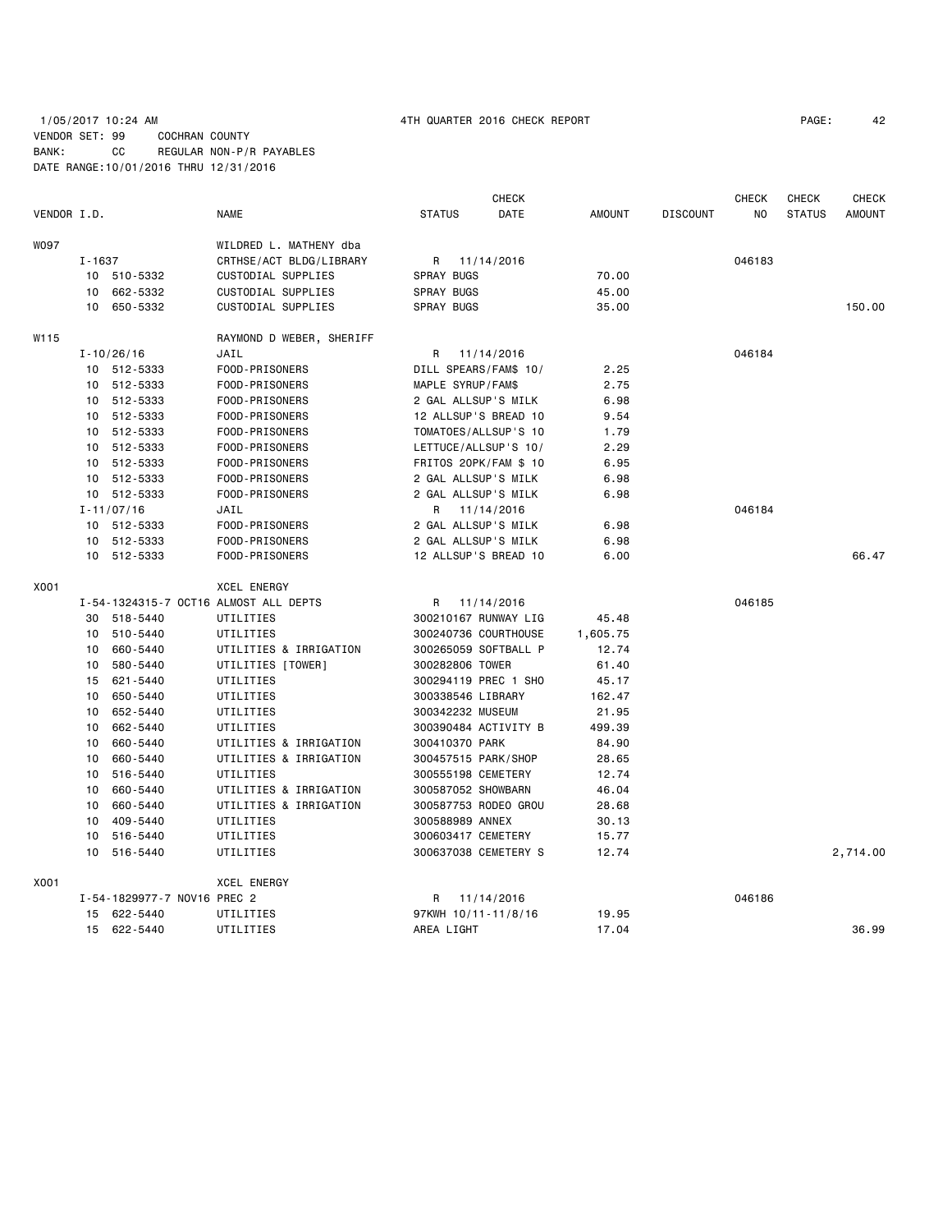# 1/05/2017 10:24 AM 4TH QUARTER 2016 CHECK REPORT PAGE: 42 VENDOR SET: 99 COCHRAN COUNTY BANK: CC REGULAR NON-P/R PAYABLES DATE RANGE:10/01/2016 THRU 12/31/2016

|             |        |                             |                                       |                       | <b>CHECK</b> |               |                 | <b>CHECK</b> | CHECK         | <b>CHECK</b>  |
|-------------|--------|-----------------------------|---------------------------------------|-----------------------|--------------|---------------|-----------------|--------------|---------------|---------------|
| VENDOR I.D. |        |                             | <b>NAME</b>                           | <b>STATUS</b>         | DATE         | <b>AMOUNT</b> | <b>DISCOUNT</b> | NO.          | <b>STATUS</b> | <b>AMOUNT</b> |
| <b>WO97</b> |        |                             | WILDRED L. MATHENY dba                |                       |              |               |                 |              |               |               |
|             | I-1637 |                             | CRTHSE/ACT BLDG/LIBRARY               | R                     | 11/14/2016   |               |                 | 046183       |               |               |
|             |        | 10 510-5332                 | CUSTODIAL SUPPLIES                    | <b>SPRAY BUGS</b>     |              | 70.00         |                 |              |               |               |
|             |        | 10 662-5332                 | CUSTODIAL SUPPLIES                    | SPRAY BUGS            |              | 45.00         |                 |              |               |               |
|             | 10     | 650-5332                    | CUSTODIAL SUPPLIES                    | <b>SPRAY BUGS</b>     |              | 35.00         |                 |              |               | 150.00        |
| W115        |        |                             | RAYMOND D WEBER, SHERIFF              |                       |              |               |                 |              |               |               |
|             |        | $I - 10/26/16$              | JAIL                                  | R 11/14/2016          |              |               |                 | 046184       |               |               |
|             |        | 10 512-5333                 | FOOD-PRISONERS                        | DILL SPEARS/FAM\$ 10/ |              | 2.25          |                 |              |               |               |
|             |        | 10 512-5333                 | FOOD-PRISONERS                        | MAPLE SYRUP/FAM\$     |              | 2.75          |                 |              |               |               |
|             |        | 10 512-5333                 | FOOD-PRISONERS                        | 2 GAL ALLSUP'S MILK   |              | 6.98          |                 |              |               |               |
|             |        | 10 512-5333                 | FOOD-PRISONERS                        | 12 ALLSUP'S BREAD 10  |              | 9.54          |                 |              |               |               |
|             |        | 10 512-5333                 | FOOD-PRISONERS                        | TOMATOES/ALLSUP'S 10  |              | 1.79          |                 |              |               |               |
|             |        | 10 512-5333                 | FOOD-PRISONERS                        | LETTUCE/ALLSUP'S 10/  |              | 2.29          |                 |              |               |               |
|             |        | 10 512-5333                 | FOOD-PRISONERS                        | FRITOS 20PK/FAM \$ 10 |              | 6.95          |                 |              |               |               |
|             |        | 10 512-5333                 | FOOD-PRISONERS                        | 2 GAL ALLSUP'S MILK   |              | 6.98          |                 |              |               |               |
|             |        | 10 512-5333                 | FOOD-PRISONERS                        | 2 GAL ALLSUP'S MILK   |              | 6.98          |                 |              |               |               |
|             |        | $I - 11/07/16$              | JAIL                                  | R 11/14/2016          |              |               |                 | 046184       |               |               |
|             |        | 10 512-5333                 | FOOD-PRISONERS                        | 2 GAL ALLSUP'S MILK   |              | 6.98          |                 |              |               |               |
|             |        | 10 512-5333                 | FOOD-PRISONERS                        | 2 GAL ALLSUP'S MILK   |              | 6.98          |                 |              |               |               |
|             |        | 10 512-5333                 | FOOD-PRISONERS                        | 12 ALLSUP'S BREAD 10  |              | 6.00          |                 |              |               | 66.47         |
| X001        |        |                             | <b>XCEL ENERGY</b>                    |                       |              |               |                 |              |               |               |
|             |        |                             | I-54-1324315-7 OCT16 ALMOST ALL DEPTS | R                     | 11/14/2016   |               |                 | 046185       |               |               |
|             |        | 30 518-5440                 | UTILITIES                             | 300210167 RUNWAY LIG  |              | 45.48         |                 |              |               |               |
|             |        | 10 510-5440                 | UTILITIES                             | 300240736 COURTHOUSE  |              | 1,605.75      |                 |              |               |               |
|             |        | 10 660-5440                 | UTILITIES & IRRIGATION                | 300265059 SOFTBALL P  |              | 12.74         |                 |              |               |               |
|             | 10     | 580-5440                    | UTILITIES [TOWER]                     | 300282806 TOWER       |              | 61.40         |                 |              |               |               |
|             |        | 15 621-5440                 | UTILITIES                             | 300294119 PREC 1 SHO  |              | 45.17         |                 |              |               |               |
|             | 10     | 650-5440                    | UTILITIES                             | 300338546 LIBRARY     |              | 162.47        |                 |              |               |               |
|             | 10     | 652-5440                    | UTILITIES                             | 300342232 MUSEUM      |              | 21.95         |                 |              |               |               |
|             | 10     | 662-5440                    | UTILITIES                             | 300390484 ACTIVITY B  |              | 499.39        |                 |              |               |               |
|             | 10     | 660-5440                    | UTILITIES & IRRIGATION                | 300410370 PARK        |              | 84.90         |                 |              |               |               |
|             | 10     | 660-5440                    | UTILITIES & IRRIGATION                | 300457515 PARK/SHOP   |              | 28.65         |                 |              |               |               |
|             | 10     | 516-5440                    | UTILITIES                             | 300555198 CEMETERY    |              | 12.74         |                 |              |               |               |
|             | 10     | 660-5440                    | UTILITIES & IRRIGATION                | 300587052 SHOWBARN    |              | 46.04         |                 |              |               |               |
|             | 10     | 660-5440                    | UTILITIES & IRRIGATION                | 300587753 RODEO GROU  |              | 28.68         |                 |              |               |               |
|             | 10     | 409-5440                    | UTILITIES                             | 300588989 ANNEX       |              | 30.13         |                 |              |               |               |
|             |        | 10 516-5440                 | UTILITIES                             | 300603417 CEMETERY    |              | 15.77         |                 |              |               |               |
|             |        | 10 516-5440                 | UTILITIES                             | 300637038 CEMETERY S  |              | 12.74         |                 |              |               | 2,714.00      |
| X001        |        |                             | <b>XCEL ENERGY</b>                    |                       |              |               |                 |              |               |               |
|             |        | I-54-1829977-7 NOV16 PREC 2 |                                       | R 11/14/2016          |              |               |                 | 046186       |               |               |
|             |        | 15 622-5440                 | UTILITIES                             | 97KWH 10/11-11/8/16   |              | 19.95         |                 |              |               |               |
|             | 15     | 622-5440                    | UTILITIES                             | AREA LIGHT            |              | 17.04         |                 |              |               | 36.99         |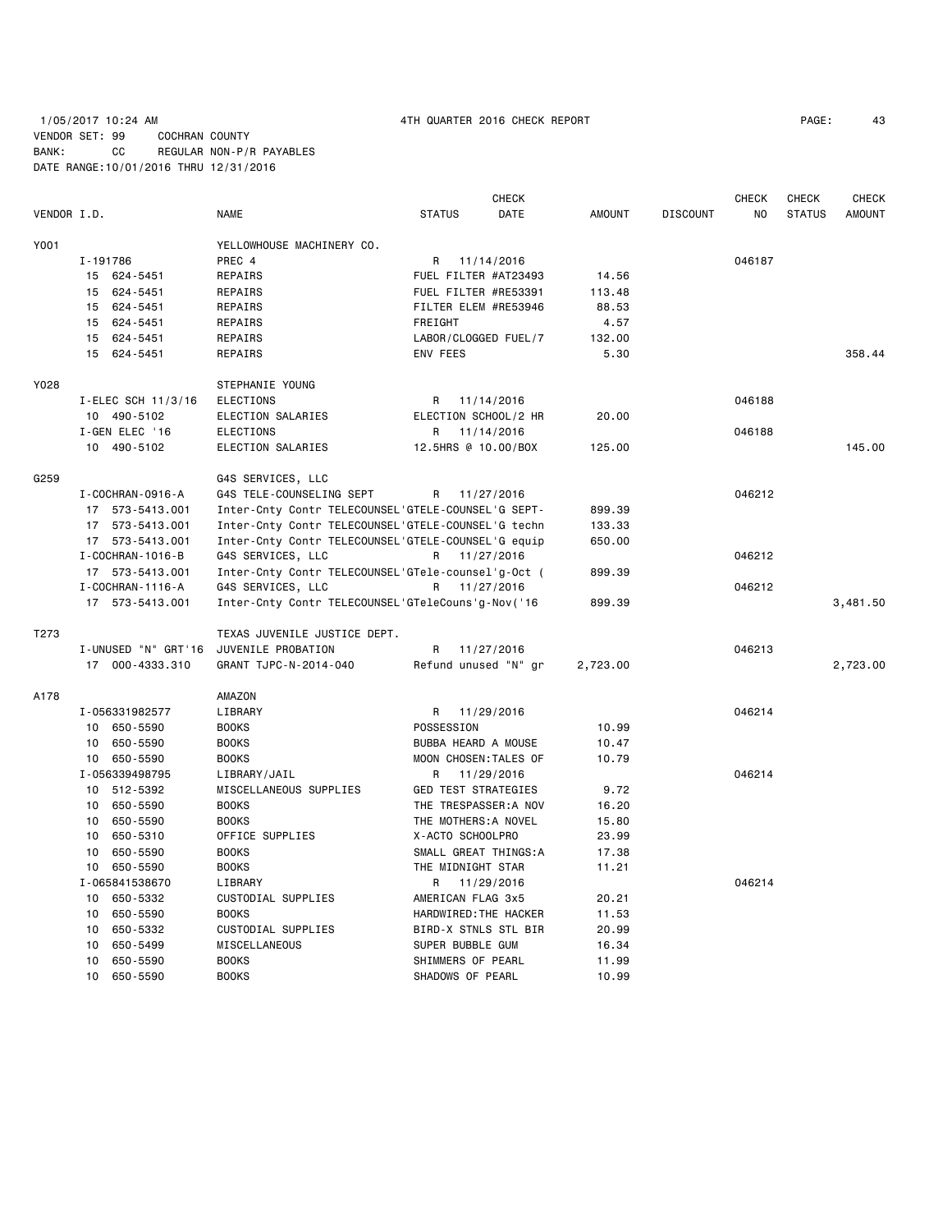1/05/2017 10:24 AM 4TH QUARTER 2016 CHECK REPORT PAGE: 43 VENDOR SET: 99 COCHRAN COUNTY BANK: CC REGULAR NON-P/R PAYABLES DATE RANGE:10/01/2016 THRU 12/31/2016

|             |                        |                                                    | CHECK                      |               |                 | CHECK  | CHECK         | CHECK         |
|-------------|------------------------|----------------------------------------------------|----------------------------|---------------|-----------------|--------|---------------|---------------|
| VENDOR I.D. |                        | <b>NAME</b>                                        | <b>STATUS</b><br>DATE      | <b>AMOUNT</b> | <b>DISCOUNT</b> | NO.    | <b>STATUS</b> | <b>AMOUNT</b> |
| Y001        |                        | YELLOWHOUSE MACHINERY CO.                          |                            |               |                 |        |               |               |
|             | I-191786               | PREC 4                                             | R 11/14/2016               |               |                 | 046187 |               |               |
|             | 15 624-5451            | REPAIRS                                            | FUEL FILTER #AT23493       | 14.56         |                 |        |               |               |
|             | 15 624-5451            | REPAIRS                                            | FUEL FILTER #RE53391       | 113.48        |                 |        |               |               |
|             | 15 624-5451            | REPAIRS                                            | FILTER ELEM #RE53946       | 88.53         |                 |        |               |               |
|             | 15 624-5451            | REPAIRS                                            | FREIGHT                    | 4.57          |                 |        |               |               |
|             | 15 624-5451            | REPAIRS                                            | LABOR/CLOGGED FUEL/7       | 132.00        |                 |        |               |               |
|             | 15 624-5451            | REPAIRS                                            | ENV FEES                   | 5.30          |                 |        |               | 358.44        |
| Y028        |                        | STEPHANIE YOUNG                                    |                            |               |                 |        |               |               |
|             | I-ELEC SCH 11/3/16     | <b>ELECTIONS</b>                                   | R 11/14/2016               |               |                 | 046188 |               |               |
|             | 10 490-5102            | ELECTION SALARIES                                  | ELECTION SCHOOL/2 HR       | 20.00         |                 |        |               |               |
|             | I-GEN ELEC '16         | <b>ELECTIONS</b>                                   | R 11/14/2016               |               |                 | 046188 |               |               |
|             | 10 490-5102            | ELECTION SALARIES                                  | 12.5HRS @ 10.00/BOX        | 125.00        |                 |        |               | 145.00        |
| G259        |                        | G4S SERVICES, LLC                                  |                            |               |                 |        |               |               |
|             | I - COCHRAN - 0916 - A | G4S TELE-COUNSELING SEPT                           | R<br>11/27/2016            |               |                 | 046212 |               |               |
|             | 17 573-5413.001        | Inter-Cnty Contr TELECOUNSEL'GTELE-COUNSEL'G SEPT- |                            | 899.39        |                 |        |               |               |
|             | 17 573-5413.001        | Inter-Cnty Contr TELECOUNSEL'GTELE-COUNSEL'G techn |                            | 133.33        |                 |        |               |               |
|             | 17 573-5413.001        | Inter-Cnty Contr TELECOUNSEL'GTELE-COUNSEL'G equip |                            | 650.00        |                 |        |               |               |
|             | I - COCHRAN - 1016 - B | G4S SERVICES, LLC                                  | 11/27/2016<br>R            |               |                 | 046212 |               |               |
|             | 17 573-5413.001        | Inter-Cnty Contr TELECOUNSEL'GTele-counsel'g-Oct ( |                            | 899.39        |                 |        |               |               |
|             | I - COCHRAN - 1116 - A | G4S SERVICES, LLC                                  | 11/27/2016<br>R.           |               |                 | 046212 |               |               |
|             | 17 573-5413.001        | Inter-Cnty Contr TELECOUNSEL'GTeleCouns'g-Nov('16  |                            | 899.39        |                 |        |               | 3,481.50      |
| T273        |                        | TEXAS JUVENILE JUSTICE DEPT.                       |                            |               |                 |        |               |               |
|             | I-UNUSED "N" GRT'16    | JUVENILE PROBATION                                 | R 11/27/2016               |               |                 | 046213 |               |               |
|             | 17 000-4333.310        | GRANT TJPC-N-2014-040                              | Refund unused "N" gr       | 2,723.00      |                 |        |               | 2,723.00      |
| A178        |                        | AMAZON                                             |                            |               |                 |        |               |               |
|             | I-056331982577         | LIBRARY                                            | R 11/29/2016               |               |                 | 046214 |               |               |
|             | 10 650-5590            | <b>BOOKS</b>                                       | POSSESSION                 | 10.99         |                 |        |               |               |
|             | 10 650-5590            | <b>BOOKS</b>                                       | BUBBA HEARD A MOUSE        | 10.47         |                 |        |               |               |
|             | 10 650-5590            | <b>BOOKS</b>                                       | MOON CHOSEN: TALES OF      | 10.79         |                 |        |               |               |
|             | I-056339498795         | LIBRARY/JAIL                                       | R 11/29/2016               |               |                 | 046214 |               |               |
|             | 10 512-5392            | MISCELLANEOUS SUPPLIES                             | <b>GED TEST STRATEGIES</b> | 9.72          |                 |        |               |               |
|             | 10 650-5590            | <b>BOOKS</b>                                       | THE TRESPASSER: A NOV      | 16.20         |                 |        |               |               |
|             | 10 650-5590            | <b>BOOKS</b>                                       | THE MOTHERS: A NOVEL       | 15.80         |                 |        |               |               |
|             | 10 650-5310            | OFFICE SUPPLIES                                    | X-ACTO SCHOOLPRO           | 23.99         |                 |        |               |               |
|             | 10 650-5590            | <b>BOOKS</b>                                       | SMALL GREAT THINGS:A       | 17.38         |                 |        |               |               |
|             | 10 650-5590            | <b>BOOKS</b>                                       | THE MIDNIGHT STAR          | 11.21         |                 |        |               |               |
|             | I-065841538670         | LIBRARY                                            | R.<br>11/29/2016           |               |                 | 046214 |               |               |
|             | 10 650-5332            | CUSTODIAL SUPPLIES                                 | AMERICAN FLAG 3x5          | 20.21         |                 |        |               |               |
|             | 650-5590<br>10         | <b>BOOKS</b>                                       | HARDWIRED: THE HACKER      | 11.53         |                 |        |               |               |
|             | 10 650-5332            | CUSTODIAL SUPPLIES                                 | BIRD-X STNLS STL BIR       | 20.99         |                 |        |               |               |
|             | 650-5499<br>10         | MISCELLANEOUS                                      | SUPER BUBBLE GUM           | 16.34         |                 |        |               |               |
|             | 650-5590<br>10         | <b>BOOKS</b>                                       | SHIMMERS OF PEARL          | 11.99         |                 |        |               |               |
|             | 10<br>650-5590         | <b>BOOKS</b>                                       | SHADOWS OF PEARL           | 10.99         |                 |        |               |               |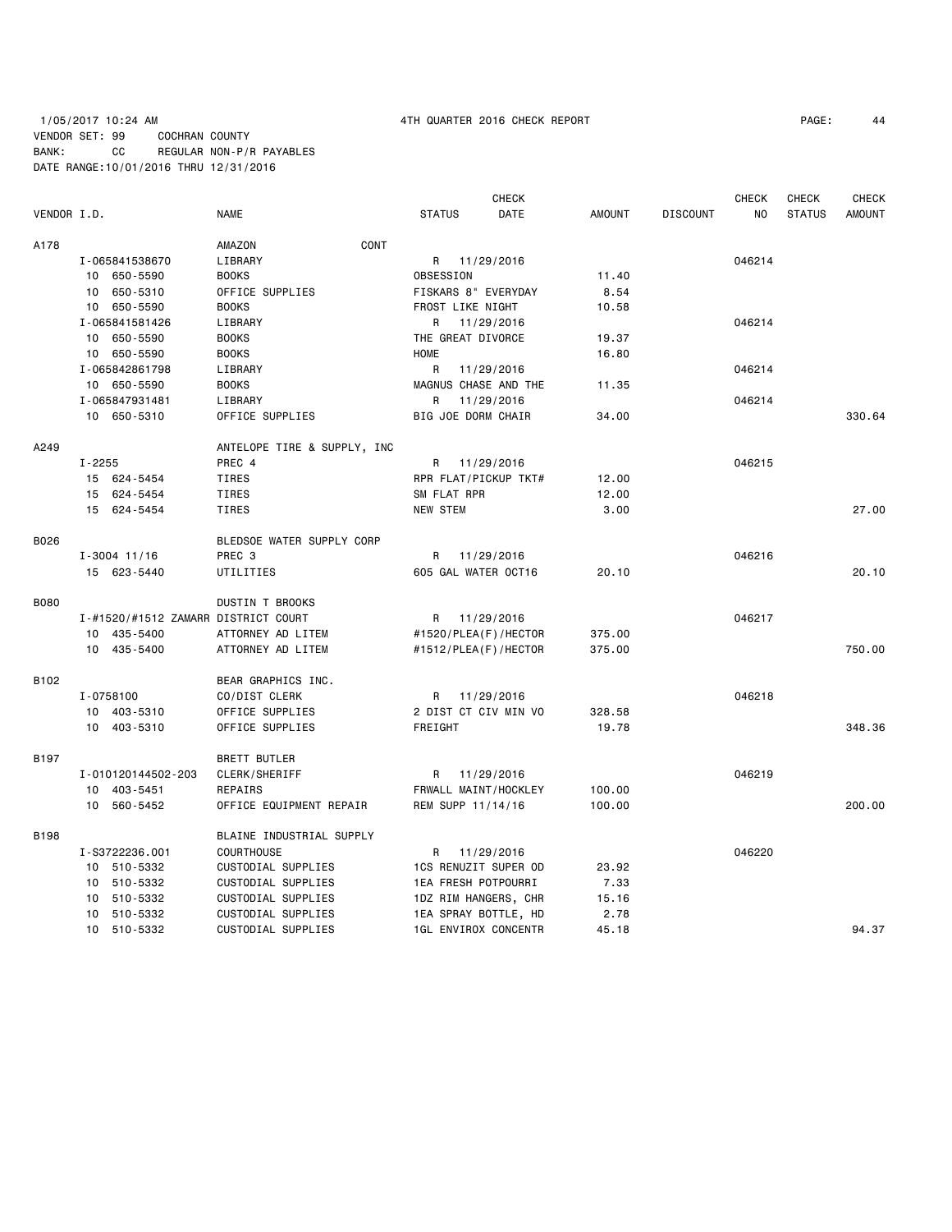# 1/05/2017 10:24 AM 4TH QUARTER 2016 CHECK REPORT PAGE: 44 VENDOR SET: 99 COCHRAN COUNTY BANK: CC REGULAR NON-P/R PAYABLES DATE RANGE:10/01/2016 THRU 12/31/2016

|             |        |                                     |                             |                             | <b>CHECK</b> |               |                 | <b>CHECK</b>   | <b>CHECK</b>  | <b>CHECK</b>  |
|-------------|--------|-------------------------------------|-----------------------------|-----------------------------|--------------|---------------|-----------------|----------------|---------------|---------------|
| VENDOR I.D. |        |                                     | <b>NAME</b>                 | <b>STATUS</b>               | DATE         | <b>AMOUNT</b> | <b>DISCOUNT</b> | N <sub>0</sub> | <b>STATUS</b> | <b>AMOUNT</b> |
| A178        |        |                                     | CONT<br>AMAZON              |                             |              |               |                 |                |               |               |
|             |        | I-065841538670                      | LIBRARY                     | R 11/29/2016                |              |               |                 | 046214         |               |               |
|             |        | 10 650-5590                         | <b>BOOKS</b>                | OBSESSION                   |              | 11.40         |                 |                |               |               |
|             |        | 10 650-5310                         | OFFICE SUPPLIES             | FISKARS 8" EVERYDAY         |              | 8.54          |                 |                |               |               |
|             |        | 10 650-5590                         | <b>BOOKS</b>                | FROST LIKE NIGHT            |              | 10.58         |                 |                |               |               |
|             |        | I-065841581426                      | LIBRARY                     | R 11/29/2016                |              |               |                 | 046214         |               |               |
|             |        | 10 650-5590                         | <b>BOOKS</b>                | THE GREAT DIVORCE           |              | 19.37         |                 |                |               |               |
|             |        | 10 650-5590                         | <b>BOOKS</b>                | <b>HOME</b>                 |              | 16.80         |                 |                |               |               |
|             |        | I-065842861798                      | LIBRARY                     | R 11/29/2016                |              |               |                 | 046214         |               |               |
|             |        | 10 650-5590                         | <b>BOOKS</b>                | MAGNUS CHASE AND THE        |              | 11.35         |                 |                |               |               |
|             |        | I-065847931481                      | LIBRARY                     | R.                          | 11/29/2016   |               |                 | 046214         |               |               |
|             |        | 10 650-5310                         | OFFICE SUPPLIES             | BIG JOE DORM CHAIR          |              | 34.00         |                 |                |               | 330.64        |
| A249        |        |                                     | ANTELOPE TIRE & SUPPLY, INC |                             |              |               |                 |                |               |               |
|             | I-2255 |                                     | PREC 4                      | R 11/29/2016                |              |               |                 | 046215         |               |               |
|             |        | 15 624-5454                         | TIRES                       | RPR FLAT/PICKUP TKT#        |              | 12.00         |                 |                |               |               |
|             |        | 15 624-5454                         | TIRES                       | SM FLAT RPR                 |              | 12.00         |                 |                |               |               |
|             |        | 15 624-5454                         | TIRES                       | <b>NEW STEM</b>             |              | 3.00          |                 |                |               | 27,00         |
| B026        |        |                                     | BLEDSOE WATER SUPPLY CORP   |                             |              |               |                 |                |               |               |
|             |        | $I - 3004$ 11/16                    | PREC <sub>3</sub>           | R 11/29/2016                |              |               |                 | 046216         |               |               |
|             |        | 15 623-5440                         | UTILITIES                   | 605 GAL WATER OCT16         |              | 20.10         |                 |                |               | 20.10         |
| <b>B080</b> |        |                                     | <b>DUSTIN T BROOKS</b>      |                             |              |               |                 |                |               |               |
|             |        | I-#1520/#1512 ZAMARR DISTRICT COURT |                             | R 11/29/2016                |              |               |                 | 046217         |               |               |
|             |        | 10 435-5400                         | ATTORNEY AD LITEM           | #1520/PLEA(F)/HECTOR        |              | 375.00        |                 |                |               |               |
|             |        | 10 435-5400                         | ATTORNEY AD LITEM           | #1512/PLEA(F)/HECTOR        |              | 375.00        |                 |                |               | 750.00        |
| B102        |        |                                     | BEAR GRAPHICS INC.          |                             |              |               |                 |                |               |               |
|             |        | I-0758100                           | CO/DIST CLERK               | R 11/29/2016                |              |               |                 | 046218         |               |               |
|             |        | 10 403-5310                         | OFFICE SUPPLIES             | 2 DIST CT CIV MIN VO        |              | 328.58        |                 |                |               |               |
|             |        | 10 403-5310                         | OFFICE SUPPLIES             | FREIGHT                     |              | 19.78         |                 |                |               | 348.36        |
| B197        |        |                                     | <b>BRETT BUTLER</b>         |                             |              |               |                 |                |               |               |
|             |        | I-010120144502-203                  | CLERK/SHERIFF               | R 11/29/2016                |              |               |                 | 046219         |               |               |
|             |        | 10 403-5451                         | REPAIRS                     | FRWALL MAINT/HOCKLEY        |              | 100.00        |                 |                |               |               |
|             |        | 10 560-5452                         | OFFICE EQUIPMENT REPAIR     | REM SUPP 11/14/16           |              | 100.00        |                 |                |               | 200.00        |
| B198        |        |                                     | BLAINE INDUSTRIAL SUPPLY    |                             |              |               |                 |                |               |               |
|             |        | I-S3722236.001                      | <b>COURTHOUSE</b>           | R 11/29/2016                |              |               |                 | 046220         |               |               |
|             |        | 10 510-5332                         | CUSTODIAL SUPPLIES          | 1CS RENUZIT SUPER OD        |              | 23.92         |                 |                |               |               |
|             |        | 10 510-5332                         | CUSTODIAL SUPPLIES          | 1EA FRESH POTPOURRI         |              | 7.33          |                 |                |               |               |
|             |        | 10 510-5332                         | CUSTODIAL SUPPLIES          | 1DZ RIM HANGERS, CHR        |              | 15.16         |                 |                |               |               |
|             |        | 10 510-5332                         | CUSTODIAL SUPPLIES          | 1EA SPRAY BOTTLE, HD        |              | 2.78          |                 |                |               |               |
|             |        | 10 510-5332                         | CUSTODIAL SUPPLIES          | <b>1GL ENVIROX CONCENTR</b> |              | 45.18         |                 |                |               | 94.37         |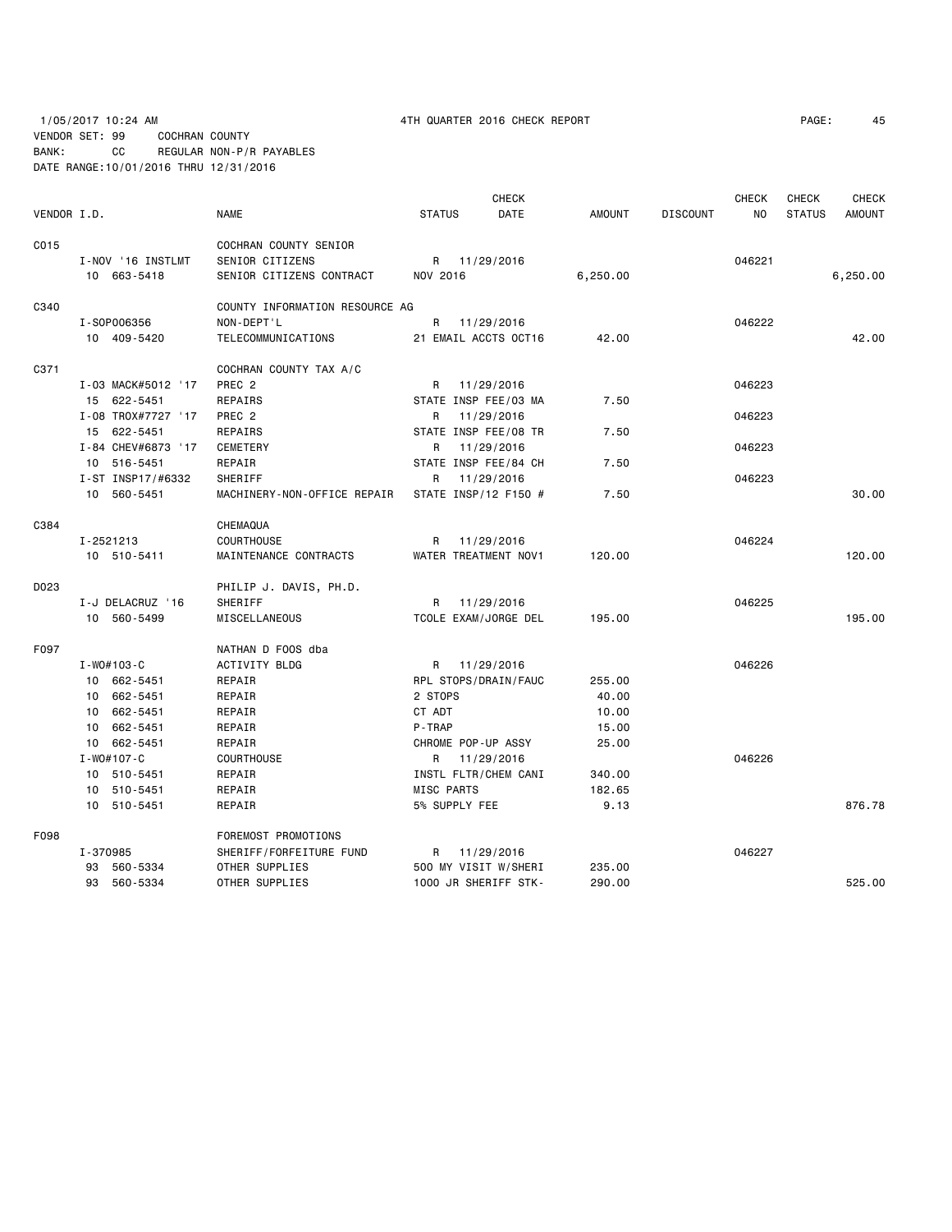1/05/2017 10:24 AM 4TH QUARTER 2016 CHECK REPORT VENDOR SET: 99 COCHRAN COUNTY BANK: CC REGULAR NON-P/R PAYABLES

DATE RANGE:10/01/2016 THRU 12/31/2016

| PAGE: | 45 |
|-------|----|
|-------|----|

|             | <b>CHECK</b>       |                                |                    | <b>CHECK</b><br>CHECK<br><b>CHECK</b> |               |                 |        |               |          |
|-------------|--------------------|--------------------------------|--------------------|---------------------------------------|---------------|-----------------|--------|---------------|----------|
| VENDOR I.D. |                    | <b>NAME</b>                    | <b>STATUS</b>      | DATE                                  | <b>AMOUNT</b> | <b>DISCOUNT</b> | ΝO     | <b>STATUS</b> | AMOUNT   |
| C015        |                    | COCHRAN COUNTY SENIOR          |                    |                                       |               |                 |        |               |          |
|             | I-NOV '16 INSTLMT  | SENIOR CITIZENS                |                    | R 11/29/2016                          |               |                 | 046221 |               |          |
|             | 10 663-5418        | SENIOR CITIZENS CONTRACT       | NOV 2016           |                                       | 6,250.00      |                 |        |               | 6,250.00 |
| C340        |                    | COUNTY INFORMATION RESOURCE AG |                    |                                       |               |                 |        |               |          |
|             | I-S0P006356        | NON-DEPT'L                     | R                  | 11/29/2016                            |               |                 | 046222 |               |          |
|             | 10 409-5420        | TELECOMMUNICATIONS             |                    | 21 EMAIL ACCTS OCT16                  | 42.00         |                 |        |               | 42.00    |
| C371        |                    | COCHRAN COUNTY TAX A/C         |                    |                                       |               |                 |        |               |          |
|             | I-03 MACK#5012 '17 | PREC <sub>2</sub>              | R                  | 11/29/2016                            |               |                 | 046223 |               |          |
|             | 15 622-5451        | <b>REPAIRS</b>                 |                    | STATE INSP FEE/03 MA                  | 7.50          |                 |        |               |          |
|             | I-08 TROX#7727 '17 | PREC <sub>2</sub>              | R                  | 11/29/2016                            |               |                 | 046223 |               |          |
|             | 15 622-5451        | REPAIRS                        |                    | STATE INSP FEE/08 TR                  | 7.50          |                 |        |               |          |
|             | I-84 CHEV#6873 '17 | <b>CEMETERY</b>                | R                  | 11/29/2016                            |               |                 | 046223 |               |          |
|             | 10 516-5451        | REPAIR                         |                    | STATE INSP FEE/84 CH                  | 7.50          |                 |        |               |          |
|             | I-ST INSP17/#6332  | SHERIFF                        | R                  | 11/29/2016                            |               |                 | 046223 |               |          |
|             | 10 560-5451        | MACHINERY-NON-OFFICE REPAIR    |                    | STATE INSP/12 F150 #                  | 7.50          |                 |        |               | 30.00    |
| C384        |                    | CHEMAQUA                       |                    |                                       |               |                 |        |               |          |
|             | I-2521213          | <b>COURTHOUSE</b>              | R                  | 11/29/2016                            |               |                 | 046224 |               |          |
|             | 10 510-5411        | MAINTENANCE CONTRACTS          |                    | WATER TREATMENT NOV1                  | 120.00        |                 |        |               | 120.00   |
| D023        |                    | PHILIP J. DAVIS, PH.D.         |                    |                                       |               |                 |        |               |          |
|             | I-J DELACRUZ '16   | SHERIFF                        | R                  | 11/29/2016                            |               |                 | 046225 |               |          |
|             | 10 560-5499        | MISCELLANEOUS                  |                    | TCOLE EXAM/JORGE DEL                  | 195.00        |                 |        |               | 195.00   |
| F097        |                    | NATHAN D FOOS dba              |                    |                                       |               |                 |        |               |          |
|             | $I - WO#103-C$     | ACTIVITY BLDG                  | R                  | 11/29/2016                            |               |                 | 046226 |               |          |
|             | 10 662-5451        | REPAIR                         |                    | RPL STOPS/DRAIN/FAUC                  | 255.00        |                 |        |               |          |
|             | 10 662-5451        | REPAIR                         | 2 STOPS            |                                       | 40.00         |                 |        |               |          |
|             | 10 662-5451        | REPAIR                         | CT ADT             |                                       | 10.00         |                 |        |               |          |
|             | 662-5451<br>10     | REPAIR                         | P-TRAP             |                                       | 15.00         |                 |        |               |          |
|             | 10 662-5451        | REPAIR                         | CHROME POP-UP ASSY |                                       | 25.00         |                 |        |               |          |
|             | $I - WO#107 - C$   | <b>COURTHOUSE</b>              |                    | R 11/29/2016                          |               |                 | 046226 |               |          |
|             | 10 510-5451        | REPAIR                         |                    | INSTL FLTR/CHEM CANI                  | 340.00        |                 |        |               |          |
|             | 10 510-5451        | REPAIR                         | MISC PARTS         |                                       | 182.65        |                 |        |               |          |
|             | 10 510-5451        | REPAIR                         | 5% SUPPLY FEE      |                                       | 9.13          |                 |        |               | 876.78   |
| F098        |                    | FOREMOST PROMOTIONS            |                    |                                       |               |                 |        |               |          |
|             | I-370985           | SHERIFF/FORFEITURE FUND        | R                  | 11/29/2016                            |               |                 | 046227 |               |          |
|             | 93 560-5334        | OTHER SUPPLIES                 |                    | 500 MY VISIT W/SHERI                  | 235.00        |                 |        |               |          |
|             | 93 560-5334        | OTHER SUPPLIES                 |                    | 1000 JR SHERIFF STK-                  | 290.00        |                 |        |               | 525.00   |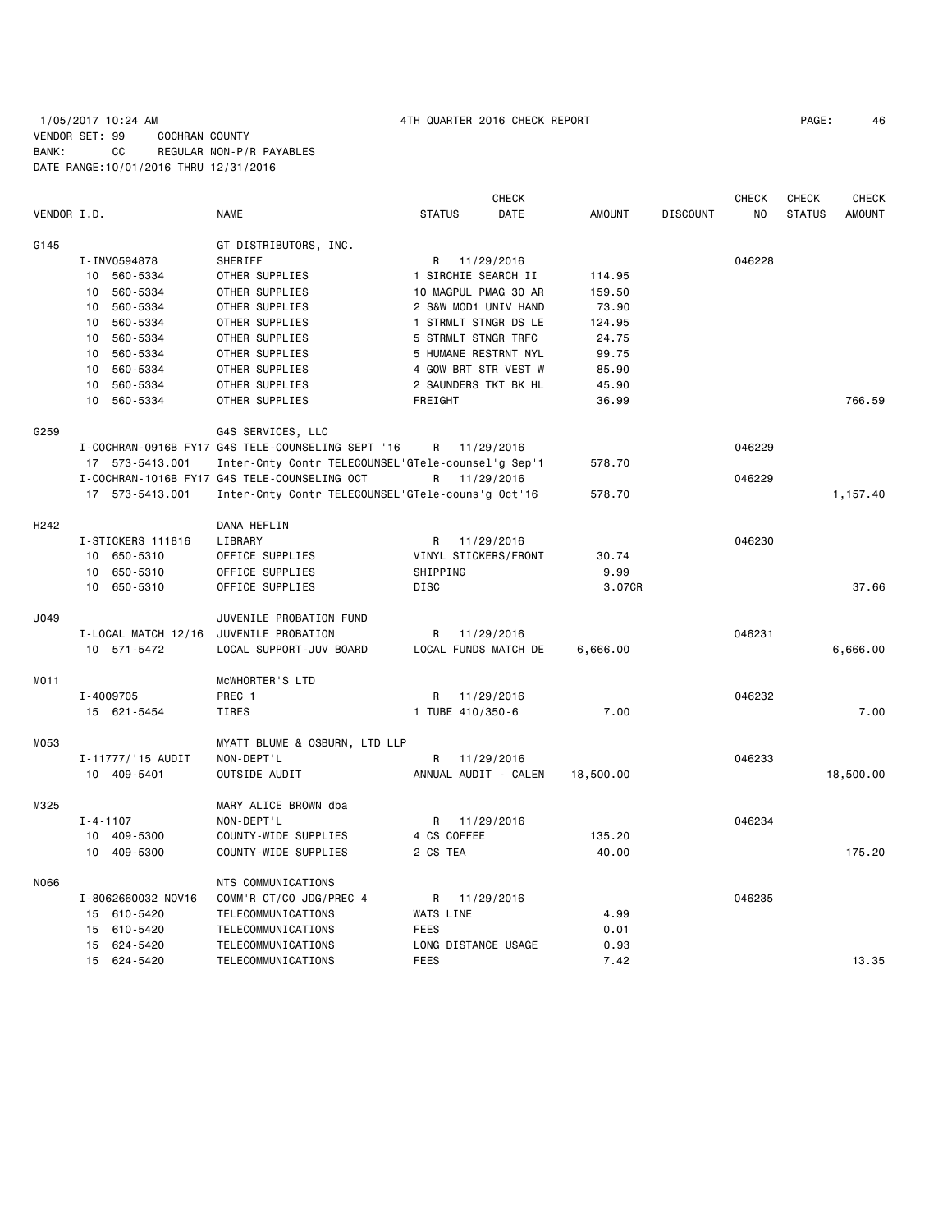# 1/05/2017 10:24 AM 4TH QUARTER 2016 CHECK REPORT PAGE: 46 VENDOR SET: 99 COCHRAN COUNTY BANK: CC REGULAR NON-P/R PAYABLES DATE RANGE:10/01/2016 THRU 12/31/2016

|                  |                     |                                                    |                      | <b>CHECK</b> |               |                 | <b>CHECK</b>   | <b>CHECK</b>  | <b>CHECK</b>  |
|------------------|---------------------|----------------------------------------------------|----------------------|--------------|---------------|-----------------|----------------|---------------|---------------|
| VENDOR I.D.      |                     | <b>NAME</b>                                        | <b>STATUS</b>        | <b>DATE</b>  | <b>AMOUNT</b> | <b>DISCOUNT</b> | N <sub>O</sub> | <b>STATUS</b> | <b>AMOUNT</b> |
| G145             |                     | GT DISTRIBUTORS, INC.                              |                      |              |               |                 |                |               |               |
|                  | I-INV0594878        | SHERIFF                                            | R                    | 11/29/2016   |               |                 | 046228         |               |               |
|                  | 10 560-5334         | OTHER SUPPLIES                                     | 1 SIRCHIE SEARCH II  |              | 114.95        |                 |                |               |               |
|                  | 560-5334<br>10      | OTHER SUPPLIES                                     | 10 MAGPUL PMAG 30 AR |              | 159.50        |                 |                |               |               |
|                  | 10 560-5334         | OTHER SUPPLIES                                     | 2 S&W MOD1 UNIV HAND |              | 73.90         |                 |                |               |               |
|                  | 560-5334<br>10      | OTHER SUPPLIES                                     | 1 STRMLT STNGR DS LE |              | 124.95        |                 |                |               |               |
|                  | 560-5334<br>10      | OTHER SUPPLIES                                     | 5 STRMLT STNGR TRFC  |              | 24.75         |                 |                |               |               |
|                  | 560-5334<br>10      | OTHER SUPPLIES                                     | 5 HUMANE RESTRNT NYL |              | 99.75         |                 |                |               |               |
|                  | 10 560-5334         | OTHER SUPPLIES                                     | 4 GOW BRT STR VEST W |              | 85.90         |                 |                |               |               |
|                  | 10 560-5334         | OTHER SUPPLIES                                     | 2 SAUNDERS TKT BK HL |              | 45.90         |                 |                |               |               |
|                  | 10 560-5334         | OTHER SUPPLIES                                     | FREIGHT              |              | 36.99         |                 |                |               | 766.59        |
| G259             |                     | G4S SERVICES, LLC                                  |                      |              |               |                 |                |               |               |
|                  |                     | I-COCHRAN-0916B FY17 G4S TELE-COUNSELING SEPT '16  | R                    | 11/29/2016   |               |                 | 046229         |               |               |
|                  | 17 573-5413.001     | Inter-Cnty Contr TELECOUNSEL'GTele-counsel'g Sep'1 |                      |              | 578.70        |                 |                |               |               |
|                  |                     | I-COCHRAN-1016B FY17 G4S TELE-COUNSELING OCT       | R                    | 11/29/2016   |               |                 | 046229         |               |               |
|                  | 17 573-5413.001     | Inter-Cnty Contr TELECOUNSEL'GTele-couns'g Oct'16  |                      |              | 578.70        |                 |                |               | 1,157.40      |
| H <sub>242</sub> |                     | DANA HEFLIN                                        |                      |              |               |                 |                |               |               |
|                  | I-STICKERS 111816   | LIBRARY                                            | R                    | 11/29/2016   |               |                 | 046230         |               |               |
|                  | 10 650-5310         | OFFICE SUPPLIES                                    | VINYL STICKERS/FRONT |              | 30.74         |                 |                |               |               |
|                  | 650-5310<br>10      | OFFICE SUPPLIES                                    | SHIPPING             |              | 9.99          |                 |                |               |               |
|                  | 650-5310<br>10      | OFFICE SUPPLIES                                    | DISC                 |              | 3.07CR        |                 |                |               | 37.66         |
| J049             |                     | JUVENILE PROBATION FUND                            |                      |              |               |                 |                |               |               |
|                  | I-LOCAL MATCH 12/16 | JUVENILE PROBATION                                 | R                    | 11/29/2016   |               |                 | 046231         |               |               |
|                  | 10 571-5472         | LOCAL SUPPORT-JUV BOARD                            | LOCAL FUNDS MATCH DE |              | 6,666.00      |                 |                |               | 6,666.00      |
| MO11             |                     | MCWHORTER'S LTD                                    |                      |              |               |                 |                |               |               |
|                  | I-4009705           | PREC 1                                             | R                    | 11/29/2016   |               |                 | 046232         |               |               |
|                  | 15 621-5454         | <b>TIRES</b>                                       | 1 TUBE 410/350-6     |              | 7.00          |                 |                |               | 7.00          |
|                  |                     |                                                    |                      |              |               |                 |                |               |               |
| M053             |                     | MYATT BLUME & OSBURN, LTD LLP                      |                      |              |               |                 |                |               |               |
|                  | I-11777/'15 AUDIT   | NON-DEPT'L                                         | R                    | 11/29/2016   |               |                 | 046233         |               |               |
|                  | 10 409-5401         | OUTSIDE AUDIT                                      | ANNUAL AUDIT - CALEN |              | 18,500.00     |                 |                |               | 18,500.00     |
| M325             |                     | MARY ALICE BROWN dba                               |                      |              |               |                 |                |               |               |
|                  | $I - 4 - 1107$      | NON-DEPT'L                                         | R                    | 11/29/2016   |               |                 | 046234         |               |               |
|                  | 10 409-5300         | COUNTY-WIDE SUPPLIES                               | 4 CS COFFEE          |              | 135.20        |                 |                |               |               |
|                  | 10 409-5300         | COUNTY-WIDE SUPPLIES                               | 2 CS TEA             |              | 40.00         |                 |                |               | 175.20        |
| N066             |                     | NTS COMMUNICATIONS                                 |                      |              |               |                 |                |               |               |
|                  | I-8062660032 NOV16  | COMM'R CT/CO JDG/PREC 4                            | R.                   | 11/29/2016   |               |                 | 046235         |               |               |
|                  | 15 610-5420         | TELECOMMUNICATIONS                                 | WATS LINE            |              | 4.99          |                 |                |               |               |
|                  | 15 610-5420         | TELECOMMUNICATIONS                                 | <b>FEES</b>          |              | 0.01          |                 |                |               |               |
|                  | 15 624-5420         | TELECOMMUNICATIONS                                 | LONG DISTANCE USAGE  |              | 0.93          |                 |                |               |               |
|                  | 15 624-5420         | TELECOMMUNICATIONS                                 | <b>FEES</b>          |              | 7.42          |                 |                |               | 13.35         |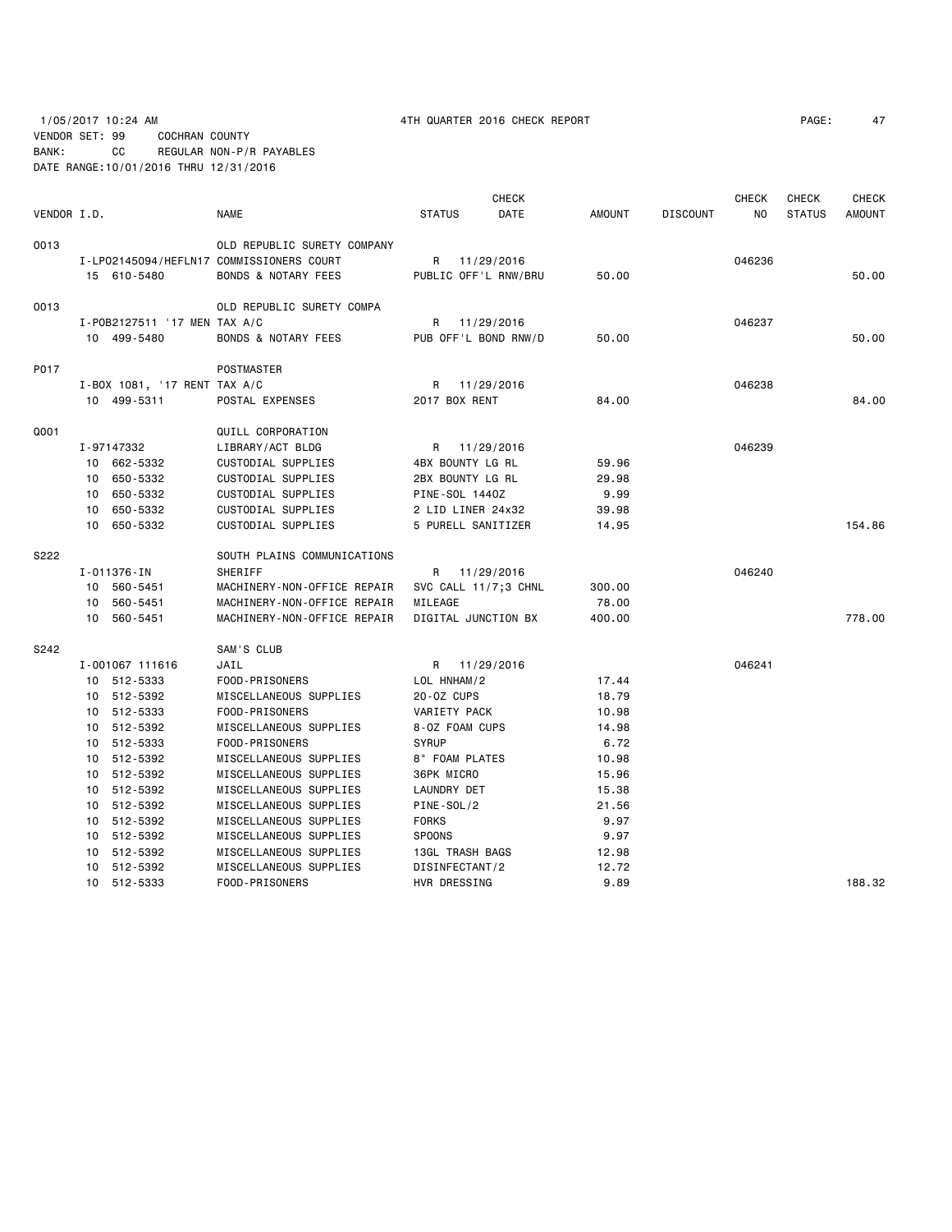1/05/2017 10:24 AM 4TH QUARTER 2016 CHECK REPORT PAGE: 47 VENDOR SET: 99 COCHRAN COUNTY BANK: CC REGULAR NON-P/R PAYABLES DATE RANGE:10/01/2016 THRU 12/31/2016

|             |                              |                                          |                      | <b>CHECK</b> |               |                 | CHECK  | <b>CHECK</b>  | <b>CHECK</b>  |
|-------------|------------------------------|------------------------------------------|----------------------|--------------|---------------|-----------------|--------|---------------|---------------|
| VENDOR I.D. |                              | <b>NAME</b>                              | <b>STATUS</b>        | DATE         | <b>AMOUNT</b> | <b>DISCOUNT</b> | NO.    | <b>STATUS</b> | <b>AMOUNT</b> |
| 0013        |                              | OLD REPUBLIC SURETY COMPANY              |                      |              |               |                 |        |               |               |
|             |                              | I-LP02145094/HEFLN17 COMMISSIONERS COURT | R                    | 11/29/2016   |               |                 | 046236 |               |               |
|             | 15 610-5480                  | <b>BONDS &amp; NOTARY FEES</b>           | PUBLIC OFF'L RNW/BRU |              | 50.00         |                 |        |               | 50.00         |
| 0013        |                              | OLD REPUBLIC SURETY COMPA                |                      |              |               |                 |        |               |               |
|             | I-P0B2127511 '17 MEN TAX A/C |                                          | R 11/29/2016         |              |               |                 | 046237 |               |               |
|             | 10 499-5480                  | <b>BONDS &amp; NOTARY FEES</b>           | PUB OFF'L BOND RNW/D |              | 50.00         |                 |        |               | 50.00         |
| P017        |                              | POSTMASTER                               |                      |              |               |                 |        |               |               |
|             | I-BOX 1081, '17 RENT TAX A/C |                                          | R 11/29/2016         |              |               |                 | 046238 |               |               |
|             | 10 499-5311                  | POSTAL EXPENSES                          | 2017 BOX RENT        |              | 84.00         |                 |        |               | 84,00         |
| Q001        |                              | QUILL CORPORATION                        |                      |              |               |                 |        |               |               |
|             | I-97147332                   | LIBRARY/ACT BLDG                         | R 11/29/2016         |              |               |                 | 046239 |               |               |
|             | 10 662-5332                  | CUSTODIAL SUPPLIES                       | 4BX BOUNTY LG RL     |              | 59.96         |                 |        |               |               |
|             | 10 650-5332                  | CUSTODIAL SUPPLIES                       | 2BX BOUNTY LG RL     |              | 29.98         |                 |        |               |               |
|             | 10 650-5332                  | CUSTODIAL SUPPLIES                       | PINE-SOL 1440Z       |              | 9.99          |                 |        |               |               |
|             | 10 650-5332                  | CUSTODIAL SUPPLIES                       | 2 LID LINER 24x32    |              | 39.98         |                 |        |               |               |
|             | 10 650-5332                  | CUSTODIAL SUPPLIES                       | 5 PURELL SANITIZER   |              | 14.95         |                 |        |               | 154.86        |
| S222        |                              | SOUTH PLAINS COMMUNICATIONS              |                      |              |               |                 |        |               |               |
|             | I-011376-IN                  | <b>SHERIFF</b>                           | R 11/29/2016         |              |               |                 | 046240 |               |               |
|             | 10 560-5451                  | MACHINERY-NON-OFFICE REPAIR              | SVC CALL 11/7;3 CHNL |              | 300.00        |                 |        |               |               |
|             | 10 560-5451                  | MACHINERY-NON-OFFICE REPAIR              | MILEAGE              |              | 78.00         |                 |        |               |               |
|             | 10 560-5451                  | MACHINERY-NON-OFFICE REPAIR              | DIGITAL JUNCTION BX  |              | 400.00        |                 |        |               | 778.00        |
| S242        |                              | SAM'S CLUB                               |                      |              |               |                 |        |               |               |
|             | I-001067 111616              | JAIL                                     | R 11/29/2016         |              |               |                 | 046241 |               |               |
|             | 10 512-5333                  | FOOD-PRISONERS                           | LOL HNHAM/2          |              | 17.44         |                 |        |               |               |
|             | 10 512-5392                  | MISCELLANEOUS SUPPLIES                   | 20-0Z CUPS           |              | 18.79         |                 |        |               |               |
|             | 10 512-5333                  | FOOD-PRISONERS                           | VARIETY PACK         |              | 10.98         |                 |        |               |               |
|             | 10 512-5392                  | MISCELLANEOUS SUPPLIES                   | 8-0Z FOAM CUPS       |              | 14.98         |                 |        |               |               |
|             | 10 512-5333                  | FOOD-PRISONERS                           | <b>SYRUP</b>         |              | 6.72          |                 |        |               |               |
|             | 10 512-5392                  | MISCELLANEOUS SUPPLIES                   | 8" FOAM PLATES       |              | 10.98         |                 |        |               |               |
|             | 10 512-5392                  | MISCELLANEOUS SUPPLIES                   | 36PK MICRO           |              | 15.96         |                 |        |               |               |
|             | 10 512-5392                  | MISCELLANEOUS SUPPLIES                   | LAUNDRY DET          |              | 15.38         |                 |        |               |               |
|             | 10 512-5392                  | MISCELLANEOUS SUPPLIES                   | PINE-SOL/2           |              | 21.56         |                 |        |               |               |
|             | 10 512-5392                  | MISCELLANEOUS SUPPLIES                   | <b>FORKS</b>         |              | 9.97          |                 |        |               |               |
|             | 10 512-5392                  | MISCELLANEOUS SUPPLIES                   | <b>SPOONS</b>        |              | 9.97          |                 |        |               |               |
|             | 10 512-5392                  | MISCELLANEOUS SUPPLIES                   | 13GL TRASH BAGS      |              | 12.98         |                 |        |               |               |
|             | 10 512-5392                  | MISCELLANEOUS SUPPLIES                   | DISINFECTANT/2       |              | 12.72         |                 |        |               |               |
|             | 10 512-5333                  | FOOD-PRISONERS                           | HVR DRESSING         |              | 9.89          |                 |        |               | 188.32        |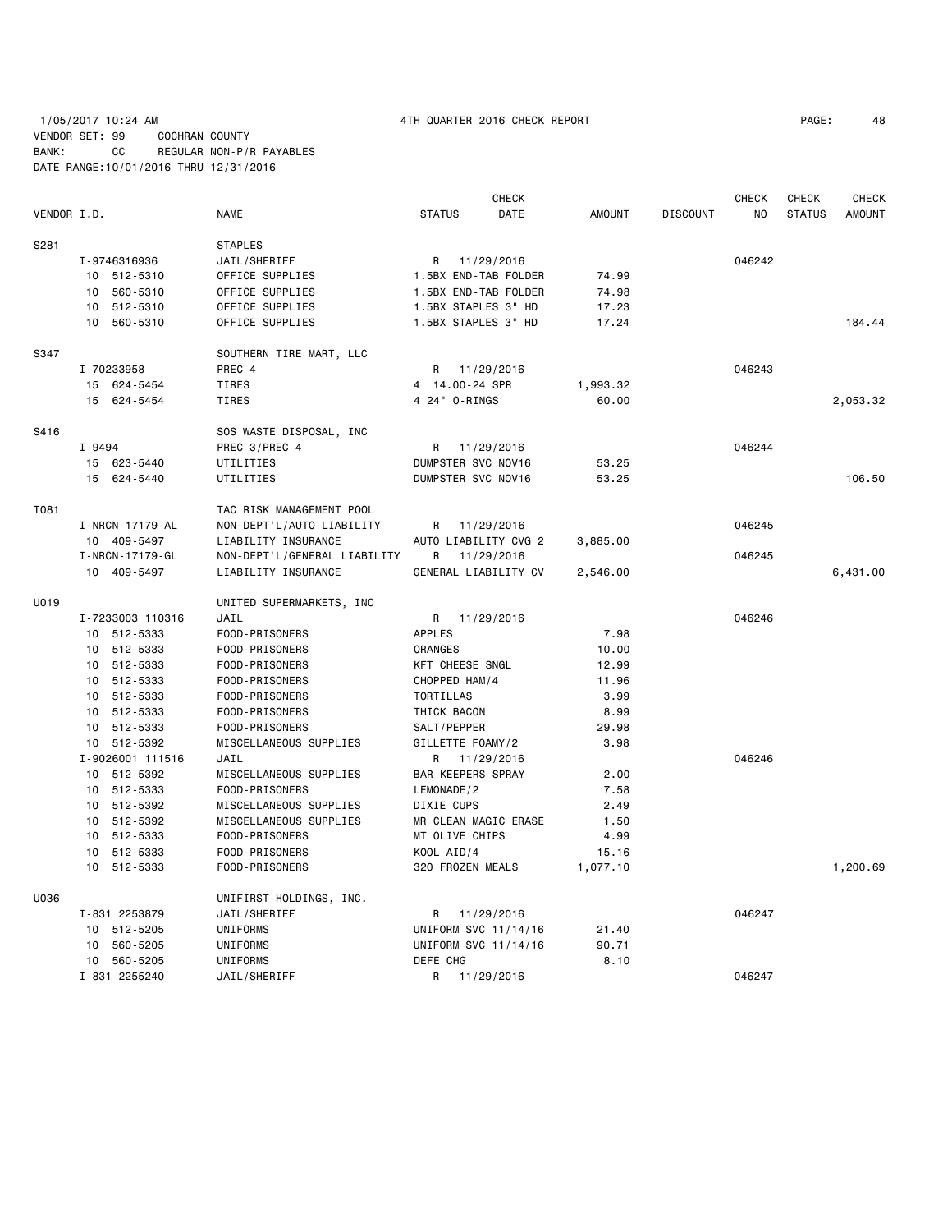|             |                                 |                                | <b>CHECK</b>                           |               |                 | <b>CHECK</b> | <b>CHECK</b>  | <b>CHECK</b>  |
|-------------|---------------------------------|--------------------------------|----------------------------------------|---------------|-----------------|--------------|---------------|---------------|
| VENDOR I.D. |                                 | <b>NAME</b>                    | <b>STATUS</b><br>DATE                  | <b>AMOUNT</b> | <b>DISCOUNT</b> | NO.          | <b>STATUS</b> | <b>AMOUNT</b> |
| S281        |                                 | <b>STAPLES</b>                 |                                        |               |                 |              |               |               |
|             | I-9746316936                    | JAIL/SHERIFF                   | 11/29/2016<br>R                        |               |                 | 046242       |               |               |
|             | 10 512-5310                     | OFFICE SUPPLIES                | 1.5BX END-TAB FOLDER                   | 74.99         |                 |              |               |               |
|             | 10 560-5310                     | OFFICE SUPPLIES                | 1.5BX END-TAB FOLDER                   | 74.98         |                 |              |               |               |
|             | 10 512-5310                     | OFFICE SUPPLIES                | 1.5BX STAPLES 3" HD                    | 17.23         |                 |              |               |               |
|             | 10 560-5310                     | OFFICE SUPPLIES                | 1.5BX STAPLES 3" HD                    | 17.24         |                 |              |               | 184.44        |
| S347        |                                 | SOUTHERN TIRE MART, LLC        |                                        |               |                 |              |               |               |
|             | I-70233958                      | PREC 4                         | 11/29/2016<br>R                        |               |                 | 046243       |               |               |
|             | 15 624-5454                     | <b>TIRES</b>                   | 4 14.00-24 SPR                         | 1,993.32      |                 |              |               |               |
|             | 15 624-5454                     | <b>TIRES</b>                   | 4 24" 0-RINGS                          | 60.00         |                 |              |               | 2,053.32      |
| S416        |                                 | SOS WASTE DISPOSAL, INC        |                                        |               |                 |              |               |               |
|             | I-9494                          | PREC 3/PREC 4                  | 11/29/2016<br>R                        |               |                 | 046244       |               |               |
|             | 15 623-5440                     | UTILITIES                      | DUMPSTER SVC NOV16                     | 53.25         |                 |              |               |               |
|             | 15 624-5440                     | UTILITIES                      | DUMPSTER SVC NOV16                     | 53.25         |                 |              |               | 106.50        |
| T081        |                                 | TAC RISK MANAGEMENT POOL       |                                        |               |                 |              |               |               |
|             | I - NRCN - 17179 - AL           | NON-DEPT'L/AUTO LIABILITY      | 11/29/2016<br>R                        |               |                 | 046245       |               |               |
|             | 10 409-5497                     | LIABILITY INSURANCE            | AUTO LIABILITY CVG 2                   | 3,885.00      |                 |              |               |               |
|             | I-NRCN-17179-GL                 | NON-DEPT'L/GENERAL LIABILITY   | 11/29/2016<br>R                        |               |                 | 046245       |               |               |
|             | 10 409-5497                     | LIABILITY INSURANCE            | GENERAL LIABILITY CV                   | 2,546.00      |                 |              |               | 6,431.00      |
| U019        |                                 | UNITED SUPERMARKETS, INC       |                                        |               |                 |              |               |               |
|             | I-7233003 110316                | JAIL                           | 11/29/2016<br>R                        |               |                 | 046246       |               |               |
|             | 10 512-5333                     | FOOD-PRISONERS                 | <b>APPLES</b>                          | 7.98          |                 |              |               |               |
|             | 10 512-5333                     | FOOD-PRISONERS                 | ORANGES                                | 10.00         |                 |              |               |               |
|             | 10 512-5333                     | FOOD-PRISONERS                 | KFT CHEESE SNGL                        | 12.99         |                 |              |               |               |
|             | 10 512-5333                     | FOOD-PRISONERS                 | CHOPPED HAM/4                          | 11.96         |                 |              |               |               |
|             | 10 512-5333                     | FOOD-PRISONERS                 | TORTILLAS                              | 3.99          |                 |              |               |               |
|             | 10 512-5333                     | FOOD-PRISONERS                 | THICK BACON                            | 8.99          |                 |              |               |               |
|             | 10 512-5333                     | FOOD-PRISONERS                 | SALT/PEPPER                            | 29.98         |                 |              |               |               |
|             | 10 512-5392<br>I-9026001 111516 | MISCELLANEOUS SUPPLIES<br>JAIL | GILLETTE FOAMY/2<br>R                  | 3.98          |                 | 046246       |               |               |
|             | 10 512-5392                     | MISCELLANEOUS SUPPLIES         | 11/29/2016<br><b>BAR KEEPERS SPRAY</b> | 2.00          |                 |              |               |               |
|             | 10 512-5333                     | FOOD-PRISONERS                 | LEMONADE/2                             | 7.58          |                 |              |               |               |
|             | 10 512-5392                     | MISCELLANEOUS SUPPLIES         | DIXIE CUPS                             | 2.49          |                 |              |               |               |
|             | 10 512-5392                     | MISCELLANEOUS SUPPLIES         | MR CLEAN MAGIC ERASE                   | 1.50          |                 |              |               |               |
|             | 10 512-5333                     | FOOD-PRISONERS                 | MT OLIVE CHIPS                         | 4.99          |                 |              |               |               |
|             | 10 512-5333                     | FOOD-PRISONERS                 | $KOOL - AID / 4$                       | 15.16         |                 |              |               |               |
|             | 10 512-5333                     | FOOD-PRISONERS                 | 320 FROZEN MEALS                       | 1,077.10      |                 |              |               | 1,200.69      |
| U036        |                                 | UNIFIRST HOLDINGS, INC.        |                                        |               |                 |              |               |               |
|             | I-831 2253879                   | JAIL/SHERIFF                   | 11/29/2016<br>R                        |               |                 | 046247       |               |               |
|             | 512-5205<br>10                  | UNIFORMS                       | UNIFORM SVC 11/14/16                   | 21.40         |                 |              |               |               |
|             | 560-5205<br>10                  | UNIFORMS                       | UNIFORM SVC 11/14/16                   | 90.71         |                 |              |               |               |
|             | 10 560-5205                     | UNIFORMS                       | DEFE CHG                               | 8.10          |                 |              |               |               |
|             | I-831 2255240                   | JAIL/SHERIFF                   | R<br>11/29/2016                        |               |                 | 046247       |               |               |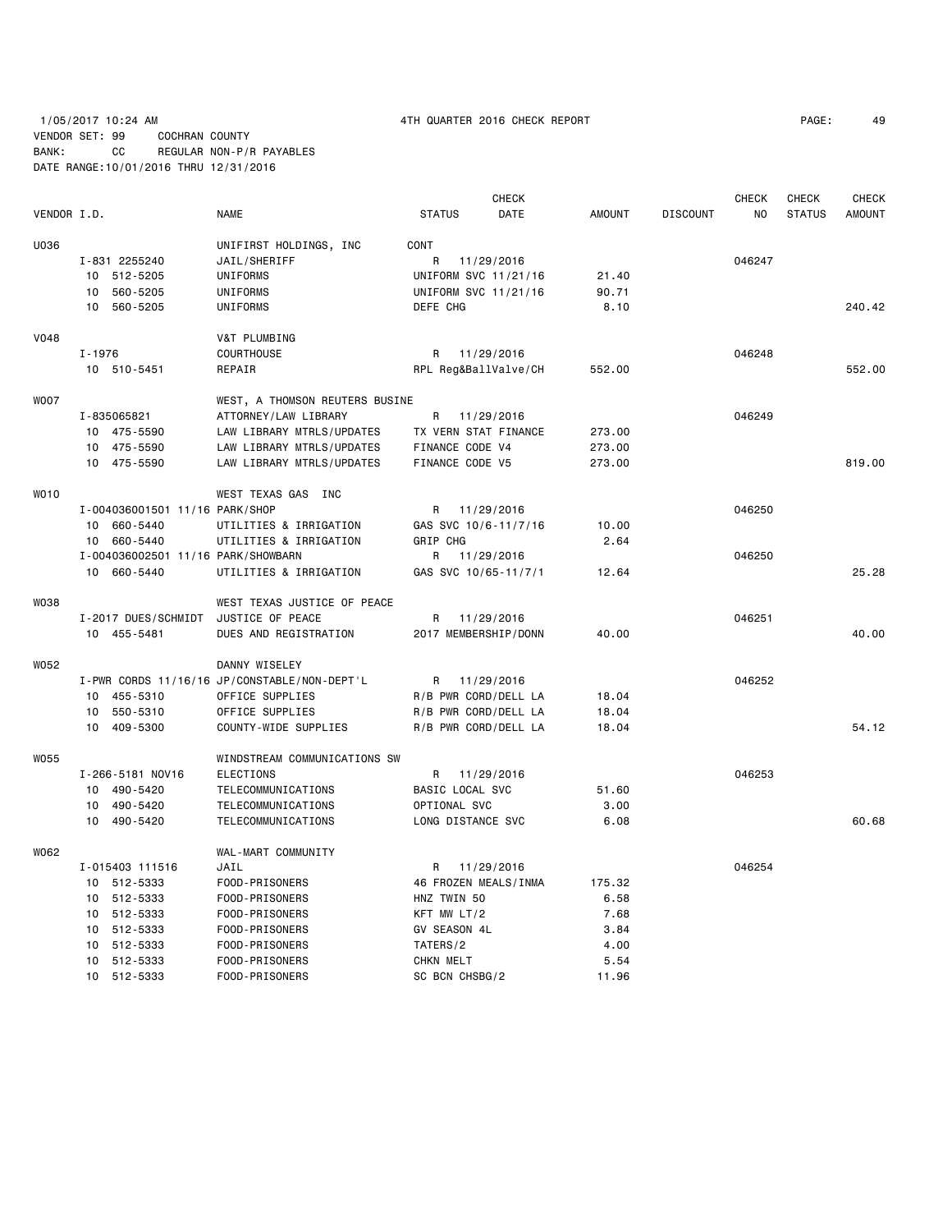# 1/05/2017 10:24 AM 4TH QUARTER 2016 CHECK REPORT PAGE: 49 VENDOR SET: 99 COCHRAN COUNTY BANK: CC REGULAR NON-P/R PAYABLES DATE RANGE:10/01/2016 THRU 12/31/2016

|             |            |                                    |                                              |                      | <b>CHECK</b> |               |                 | CHECK  | CHECK         | <b>CHECK</b>  |
|-------------|------------|------------------------------------|----------------------------------------------|----------------------|--------------|---------------|-----------------|--------|---------------|---------------|
| VENDOR I.D. |            |                                    | <b>NAME</b>                                  | <b>STATUS</b>        | DATE         | <b>AMOUNT</b> | <b>DISCOUNT</b> | NO.    | <b>STATUS</b> | <b>AMOUNT</b> |
| U036        |            |                                    | UNIFIRST HOLDINGS, INC                       | CONT                 |              |               |                 |        |               |               |
|             |            | I-831 2255240                      | JAIL/SHERIFF                                 | R                    | 11/29/2016   |               |                 | 046247 |               |               |
|             |            | 10 512-5205                        | UNIFORMS                                     | UNIFORM SVC 11/21/16 |              | 21.40         |                 |        |               |               |
|             | 10         | 560-5205                           | UNIFORMS                                     | UNIFORM SVC 11/21/16 |              | 90.71         |                 |        |               |               |
|             |            | 10 560-5205                        | UNIFORMS                                     | DEFE CHG             |              | 8.10          |                 |        |               | 240.42        |
|             |            |                                    |                                              |                      |              |               |                 |        |               |               |
| <b>V048</b> |            |                                    | V&T PLUMBING                                 |                      |              |               |                 |        |               |               |
|             | $I - 1976$ |                                    | <b>COURTHOUSE</b>                            | R 11/29/2016         |              |               |                 | 046248 |               |               |
|             |            | 10 510-5451                        | REPAIR                                       | RPL Reg&BallValve/CH |              | 552.00        |                 |        |               | 552.00        |
| <b>WOO7</b> |            |                                    | WEST, A THOMSON REUTERS BUSINE               |                      |              |               |                 |        |               |               |
|             |            | I-835065821                        | ATTORNEY/LAW LIBRARY                         | R                    | 11/29/2016   |               |                 | 046249 |               |               |
|             |            | 10 475-5590                        | LAW LIBRARY MTRLS/UPDATES                    | TX VERN STAT FINANCE |              | 273.00        |                 |        |               |               |
|             |            | 10 475-5590                        | LAW LIBRARY MTRLS/UPDATES                    | FINANCE CODE V4      |              | 273.00        |                 |        |               |               |
|             |            | 10 475-5590                        | LAW LIBRARY MTRLS/UPDATES                    | FINANCE CODE V5      |              | 273.00        |                 |        |               | 819.00        |
|             |            |                                    |                                              |                      |              |               |                 |        |               |               |
| WO10        |            |                                    | WEST TEXAS GAS INC                           |                      |              |               |                 |        |               |               |
|             |            | I-004036001501 11/16 PARK/SHOP     |                                              | R 11/29/2016         |              |               |                 | 046250 |               |               |
|             |            | 10 660-5440                        | UTILITIES & IRRIGATION                       | GAS SVC 10/6-11/7/16 |              | 10.00         |                 |        |               |               |
|             |            | 10 660-5440                        | UTILITIES & IRRIGATION                       | <b>GRIP CHG</b>      |              | 2.64          |                 |        |               |               |
|             |            | I-004036002501 11/16 PARK/SHOWBARN |                                              | R                    | 11/29/2016   |               |                 | 046250 |               |               |
|             |            | 10 660-5440                        | UTILITIES & IRRIGATION                       | GAS SVC 10/65-11/7/1 |              | 12.64         |                 |        |               | 25.28         |
| W038        |            |                                    | WEST TEXAS JUSTICE OF PEACE                  |                      |              |               |                 |        |               |               |
|             |            | I-2017 DUES/SCHMIDT                | JUSTICE OF PEACE                             | R                    | 11/29/2016   |               |                 | 046251 |               |               |
|             |            | 10 455-5481                        | DUES AND REGISTRATION                        | 2017 MEMBERSHIP/DONN |              | 40.00         |                 |        |               | 40.00         |
| W052        |            |                                    | DANNY WISELEY                                |                      |              |               |                 |        |               |               |
|             |            |                                    | I-PWR CORDS 11/16/16 JP/CONSTABLE/NON-DEPT'L | R 11/29/2016         |              |               |                 | 046252 |               |               |
|             |            | 10 455-5310                        | OFFICE SUPPLIES                              | R/B PWR CORD/DELL LA |              | 18.04         |                 |        |               |               |
|             |            | 10 550-5310                        | OFFICE SUPPLIES                              | R/B PWR CORD/DELL LA |              | 18.04         |                 |        |               |               |
|             |            | 10 409-5300                        |                                              |                      |              | 18.04         |                 |        |               | 54.12         |
|             |            |                                    | COUNTY-WIDE SUPPLIES                         | R/B PWR CORD/DELL LA |              |               |                 |        |               |               |
| <b>W055</b> |            |                                    | WINDSTREAM COMMUNICATIONS SW                 |                      |              |               |                 |        |               |               |
|             |            | I-266-5181 NOV16                   | <b>ELECTIONS</b>                             | R                    | 11/29/2016   |               |                 | 046253 |               |               |
|             |            | 10 490-5420                        | TELECOMMUNICATIONS                           | BASIC LOCAL SVC      |              | 51.60         |                 |        |               |               |
|             |            | 10 490-5420                        | TELECOMMUNICATIONS                           | OPTIONAL SVC         |              | 3.00          |                 |        |               |               |
|             |            | 10 490-5420                        | TELECOMMUNICATIONS                           | LONG DISTANCE SVC    |              | 6.08          |                 |        |               | 60.68         |
| W062        |            |                                    | WAL-MART COMMUNITY                           |                      |              |               |                 |        |               |               |
|             |            | I-015403 111516                    | JAIL                                         | R                    | 11/29/2016   |               |                 | 046254 |               |               |
|             |            | 10 512-5333                        | FOOD-PRISONERS                               | 46 FROZEN MEALS/INMA |              | 175.32        |                 |        |               |               |
|             |            | 10 512-5333                        | FOOD-PRISONERS                               | HNZ TWIN 50          |              | 6.58          |                 |        |               |               |
|             |            | 10 512-5333                        | FOOD-PRISONERS                               | KFT MW LT/2          |              | 7.68          |                 |        |               |               |
|             |            | 10 512-5333                        | FOOD-PRISONERS                               | GV SEASON 4L         |              | 3.84          |                 |        |               |               |
|             |            | 10 512-5333                        | FOOD-PRISONERS                               | TATERS/2             |              | 4.00          |                 |        |               |               |
|             |            | 10 512-5333                        | FOOD-PRISONERS                               | CHKN MELT            |              | 5.54          |                 |        |               |               |
|             |            | 10 512-5333                        | FOOD-PRISONERS                               | SC BCN CHSBG/2       |              | 11.96         |                 |        |               |               |
|             |            |                                    |                                              |                      |              |               |                 |        |               |               |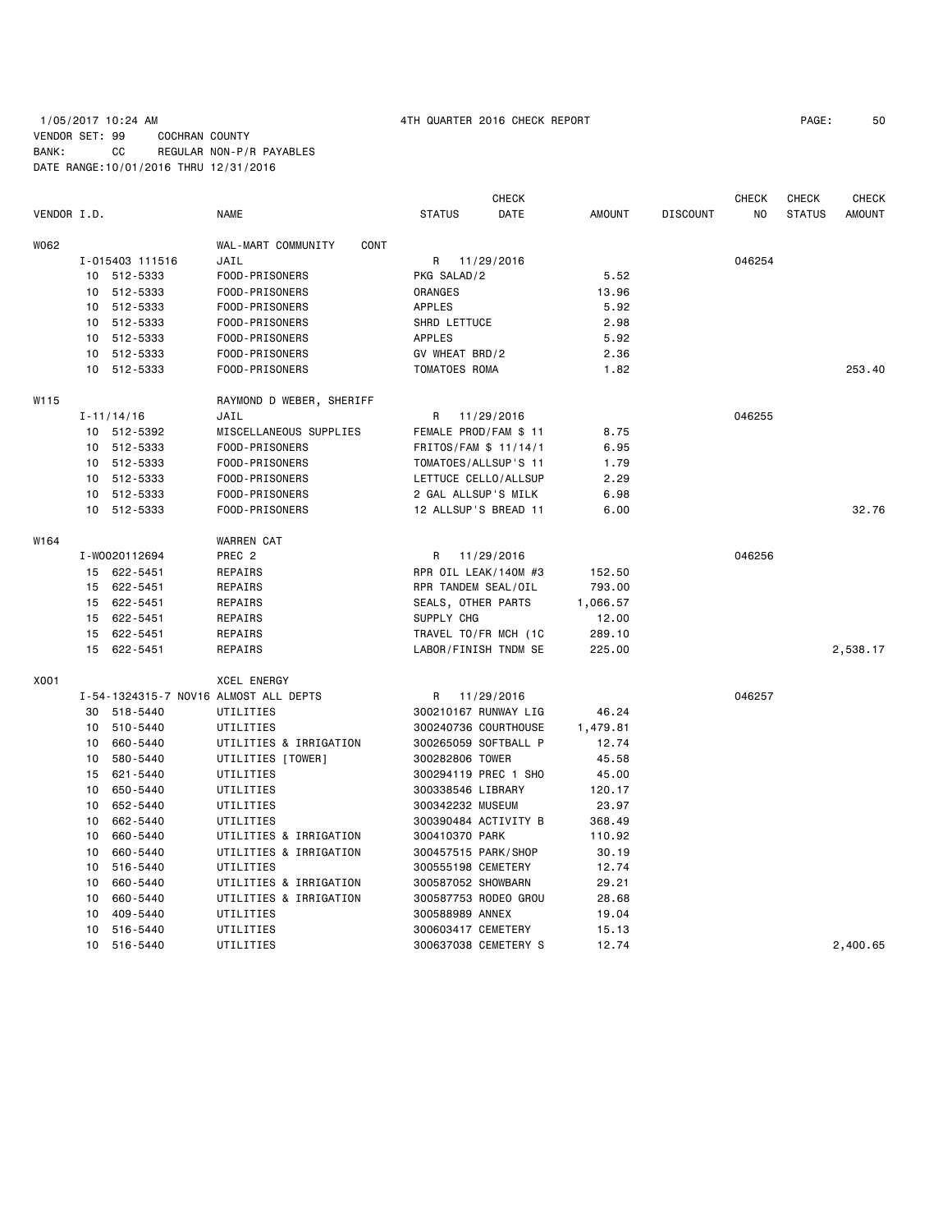# 1/05/2017 10:24 AM 4TH QUARTER 2016 CHECK REPORT PAGE: 50 VENDOR SET: 99 COCHRAN COUNTY BANK: CC REGULAR NON-P/R PAYABLES DATE RANGE:10/01/2016 THRU 12/31/2016

|             |                |                 |                                       |                       | <b>CHECK</b> |               |                 | <b>CHECK</b> | <b>CHECK</b>  | <b>CHECK</b>  |
|-------------|----------------|-----------------|---------------------------------------|-----------------------|--------------|---------------|-----------------|--------------|---------------|---------------|
| VENDOR I.D. |                |                 | <b>NAME</b>                           | <b>STATUS</b>         | DATE         | <b>AMOUNT</b> | <b>DISCOUNT</b> | NO.          | <b>STATUS</b> | <b>AMOUNT</b> |
| W062        |                |                 | WAL-MART COMMUNITY<br>CONT            |                       |              |               |                 |              |               |               |
|             |                | I-015403 111516 | JAIL                                  | R 11/29/2016          |              |               |                 | 046254       |               |               |
|             | 10             | 512-5333        | FOOD-PRISONERS                        | PKG SALAD/2           |              | 5.52          |                 |              |               |               |
|             | 10             | 512-5333        | FOOD-PRISONERS                        | ORANGES               |              | 13.96         |                 |              |               |               |
|             | 10             | 512-5333        | FOOD-PRISONERS                        | <b>APPLES</b>         |              | 5.92          |                 |              |               |               |
|             | 10             | 512-5333        | FOOD-PRISONERS                        | SHRD LETTUCE          |              | 2.98          |                 |              |               |               |
|             | 10             | 512-5333        | FOOD-PRISONERS                        | <b>APPLES</b>         |              | 5.92          |                 |              |               |               |
|             | 10             | 512-5333        | FOOD-PRISONERS                        | GV WHEAT BRD/2        |              | 2.36          |                 |              |               |               |
|             | 10             | 512-5333        | FOOD-PRISONERS                        | TOMATOES ROMA         |              | 1.82          |                 |              |               | 253.40        |
| W115        |                |                 | RAYMOND D WEBER, SHERIFF              |                       |              |               |                 |              |               |               |
|             | $I - 11/14/16$ |                 | JAIL                                  | R                     | 11/29/2016   |               |                 | 046255       |               |               |
|             |                | 10 512-5392     | MISCELLANEOUS SUPPLIES                | FEMALE PROD/FAM \$ 11 |              | 8.75          |                 |              |               |               |
|             |                | 10 512-5333     | FOOD-PRISONERS                        | FRITOS/FAM \$ 11/14/1 |              | 6.95          |                 |              |               |               |
|             |                | 10 512-5333     | FOOD-PRISONERS                        | TOMATOES/ALLSUP'S 11  |              | 1.79          |                 |              |               |               |
|             |                | 10 512-5333     | FOOD-PRISONERS                        | LETTUCE CELLO/ALLSUP  |              | 2.29          |                 |              |               |               |
|             | 10             | 512-5333        | FOOD-PRISONERS                        | 2 GAL ALLSUP'S MILK   |              | 6.98          |                 |              |               |               |
|             |                | 10 512-5333     | FOOD-PRISONERS                        | 12 ALLSUP'S BREAD 11  |              | 6.00          |                 |              |               | 32.76         |
| W164        |                |                 | <b>WARREN CAT</b>                     |                       |              |               |                 |              |               |               |
|             | I-W0020112694  |                 | PREC <sub>2</sub>                     | R 11/29/2016          |              |               |                 | 046256       |               |               |
|             | 15 622-5451    |                 | REPAIRS                               | RPR OIL LEAK/140M #3  |              | 152.50        |                 |              |               |               |
|             |                | 15 622-5451     | REPAIRS                               | RPR TANDEM SEAL/OIL   |              | 793.00        |                 |              |               |               |
|             | 15 622-5451    |                 | REPAIRS                               | SEALS, OTHER PARTS    |              | 1,066.57      |                 |              |               |               |
|             |                | 15 622-5451     | REPAIRS                               | SUPPLY CHG            |              | 12.00         |                 |              |               |               |
|             | 15             | 622-5451        | REPAIRS                               | TRAVEL TO/FR MCH (1C  |              | 289.10        |                 |              |               |               |
|             | 15 622-5451    |                 | REPAIRS                               | LABOR/FINISH TNDM SE  |              | 225.00        |                 |              |               | 2,538.17      |
| X001        |                |                 | <b>XCEL ENERGY</b>                    |                       |              |               |                 |              |               |               |
|             |                |                 | I-54-1324315-7 NOV16 ALMOST ALL DEPTS | R                     | 11/29/2016   |               |                 | 046257       |               |               |
|             | 30             | 518-5440        | UTILITIES                             | 300210167 RUNWAY LIG  |              | 46.24         |                 |              |               |               |
|             | 10             | 510-5440        | UTILITIES                             | 300240736 COURTHOUSE  |              | 1,479.81      |                 |              |               |               |
|             | 10             | 660-5440        | UTILITIES & IRRIGATION                | 300265059 SOFTBALL P  |              | 12.74         |                 |              |               |               |
|             | 10             | 580-5440        | UTILITIES [TOWER]                     | 300282806 TOWER       |              | 45.58         |                 |              |               |               |
|             | 15             | 621-5440        | UTILITIES                             | 300294119 PREC 1 SHO  |              | 45.00         |                 |              |               |               |
|             | 10             | 650-5440        | UTILITIES                             | 300338546 LIBRARY     |              | 120.17        |                 |              |               |               |
|             | 10             | 652-5440        | UTILITIES                             | 300342232 MUSEUM      |              | 23.97         |                 |              |               |               |
|             | 10             | 662-5440        | UTILITIES                             | 300390484 ACTIVITY B  |              | 368.49        |                 |              |               |               |
|             | 10             | 660-5440        | UTILITIES & IRRIGATION                | 300410370 PARK        |              | 110.92        |                 |              |               |               |
|             | 10             | 660-5440        | UTILITIES & IRRIGATION                | 300457515 PARK/SHOP   |              | 30.19         |                 |              |               |               |
|             | 10             | 516-5440        | UTILITIES                             | 300555198 CEMETERY    |              | 12.74         |                 |              |               |               |
|             | 10             | 660-5440        | UTILITIES & IRRIGATION                | 300587052 SHOWBARN    |              | 29.21         |                 |              |               |               |
|             | 10             | 660-5440        | UTILITIES & IRRIGATION                | 300587753 RODEO GROU  |              | 28.68         |                 |              |               |               |
|             | 10             | 409-5440        | UTILITIES                             | 300588989 ANNEX       |              | 19.04         |                 |              |               |               |
|             | 10             | 516-5440        | UTILITIES                             | 300603417 CEMETERY    |              | 15.13         |                 |              |               |               |
|             | 10             | 516-5440        | UTILITIES                             | 300637038 CEMETERY S  |              | 12.74         |                 |              |               | 2,400.65      |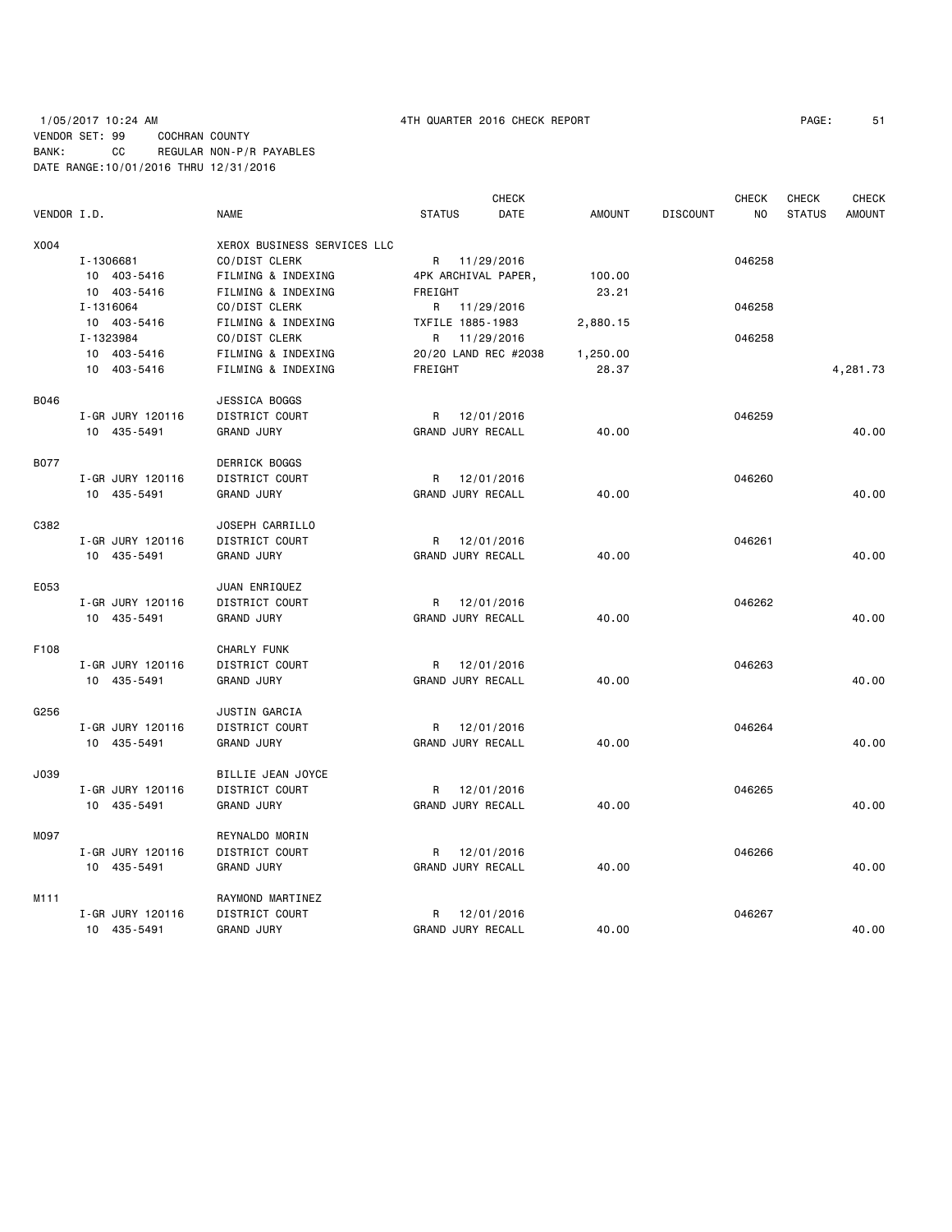# 1/05/2017 10:24 AM 4TH QUARTER 2016 CHECK REPORT PAGE: 51 VENDOR SET: 99 COCHRAN COUNTY BANK: CC REGULAR NON-P/R PAYABLES DATE RANGE:10/01/2016 THRU 12/31/2016

| VENDOR I.D.      |                  | <b>NAME</b>                 | <b>STATUS</b>        | <b>CHECK</b><br>DATE | AMOUNT   | <b>DISCOUNT</b> | <b>CHECK</b><br>NO | <b>CHECK</b><br><b>STATUS</b> | <b>CHECK</b><br><b>AMOUNT</b> |
|------------------|------------------|-----------------------------|----------------------|----------------------|----------|-----------------|--------------------|-------------------------------|-------------------------------|
| X004             |                  | XEROX BUSINESS SERVICES LLC |                      |                      |          |                 |                    |                               |                               |
|                  | I-1306681        | CO/DIST CLERK               | R 11/29/2016         |                      |          |                 | 046258             |                               |                               |
|                  | 10 403-5416      | FILMING & INDEXING          | 4PK ARCHIVAL PAPER,  |                      | 100.00   |                 |                    |                               |                               |
|                  | 10 403-5416      | FILMING & INDEXING          | FREIGHT              |                      | 23.21    |                 |                    |                               |                               |
|                  | I-1316064        | CO/DIST CLERK               |                      | R 11/29/2016         |          |                 | 046258             |                               |                               |
|                  |                  |                             |                      |                      |          |                 |                    |                               |                               |
|                  | 10 403-5416      | FILMING & INDEXING          | TXFILE 1885-1983     |                      | 2,880.15 |                 |                    |                               |                               |
|                  | I-1323984        | CO/DIST CLERK               | R                    | 11/29/2016           |          |                 | 046258             |                               |                               |
|                  | 10 403-5416      | FILMING & INDEXING          | 20/20 LAND REC #2038 |                      | 1,250.00 |                 |                    |                               |                               |
|                  | 10 403-5416      | FILMING & INDEXING          | FREIGHT              |                      | 28.37    |                 |                    |                               | 4,281.73                      |
| <b>B046</b>      |                  | JESSICA BOGGS               |                      |                      |          |                 |                    |                               |                               |
|                  | I-GR JURY 120116 | DISTRICT COURT              | R 12/01/2016         |                      |          |                 | 046259             |                               |                               |
|                  | 10 435-5491      | <b>GRAND JURY</b>           | GRAND JURY RECALL    |                      | 40.00    |                 |                    |                               | 40.00                         |
| <b>B077</b>      |                  | DERRICK BOGGS               |                      |                      |          |                 |                    |                               |                               |
|                  | I-GR JURY 120116 | DISTRICT COURT              | R                    | 12/01/2016           |          |                 | 046260             |                               |                               |
|                  | 10 435-5491      | <b>GRAND JURY</b>           | GRAND JURY RECALL    |                      | 40.00    |                 |                    |                               | 40.00                         |
| C382             |                  | JOSEPH CARRILLO             |                      |                      |          |                 |                    |                               |                               |
|                  | I-GR JURY 120116 | DISTRICT COURT              | R                    | 12/01/2016           |          |                 | 046261             |                               |                               |
|                  | 10 435-5491      | <b>GRAND JURY</b>           | GRAND JURY RECALL    |                      | 40.00    |                 |                    |                               | 40.00                         |
|                  |                  |                             |                      |                      |          |                 |                    |                               |                               |
| E053             |                  | JUAN ENRIQUEZ               |                      |                      |          |                 |                    |                               |                               |
|                  | I-GR JURY 120116 | DISTRICT COURT              | R                    | 12/01/2016           |          |                 | 046262             |                               |                               |
|                  | 10 435-5491      | <b>GRAND JURY</b>           | GRAND JURY RECALL    |                      | 40.00    |                 |                    |                               | 40.00                         |
| F108             |                  | <b>CHARLY FUNK</b>          |                      |                      |          |                 |                    |                               |                               |
|                  | I-GR JURY 120116 | DISTRICT COURT              | R                    | 12/01/2016           |          |                 | 046263             |                               |                               |
|                  | 10 435-5491      | <b>GRAND JURY</b>           | GRAND JURY RECALL    |                      | 40.00    |                 |                    |                               | 40.00                         |
|                  |                  |                             |                      |                      |          |                 |                    |                               |                               |
| G256             |                  | JUSTIN GARCIA               |                      |                      |          |                 |                    |                               |                               |
|                  | I-GR JURY 120116 | DISTRICT COURT              | R 12/01/2016         |                      |          |                 | 046264             |                               |                               |
|                  | 10 435-5491      | <b>GRAND JURY</b>           | GRAND JURY RECALL    |                      | 40.00    |                 |                    |                               | 40.00                         |
| J039             |                  | BILLIE JEAN JOYCE           |                      |                      |          |                 |                    |                               |                               |
|                  | I-GR JURY 120116 | DISTRICT COURT              | R                    | 12/01/2016           |          |                 | 046265             |                               |                               |
|                  | 10 435-5491      | <b>GRAND JURY</b>           | GRAND JURY RECALL    |                      | 40.00    |                 |                    |                               | 40.00                         |
| M097             |                  | REYNALDO MORIN              |                      |                      |          |                 |                    |                               |                               |
|                  | I-GR JURY 120116 | DISTRICT COURT              | R                    | 12/01/2016           |          |                 | 046266             |                               |                               |
|                  | 10 435-5491      | <b>GRAND JURY</b>           | GRAND JURY RECALL    |                      | 40.00    |                 |                    |                               | 40.00                         |
|                  |                  |                             |                      |                      |          |                 |                    |                               |                               |
| M <sub>111</sub> |                  | RAYMOND MARTINEZ            |                      |                      |          |                 |                    |                               |                               |
|                  | I-GR JURY 120116 | DISTRICT COURT              | R                    | 12/01/2016           |          |                 | 046267             |                               |                               |
|                  | 10 435-5491      | <b>GRAND JURY</b>           | GRAND JURY RECALL    |                      | 40.00    |                 |                    |                               | 40.00                         |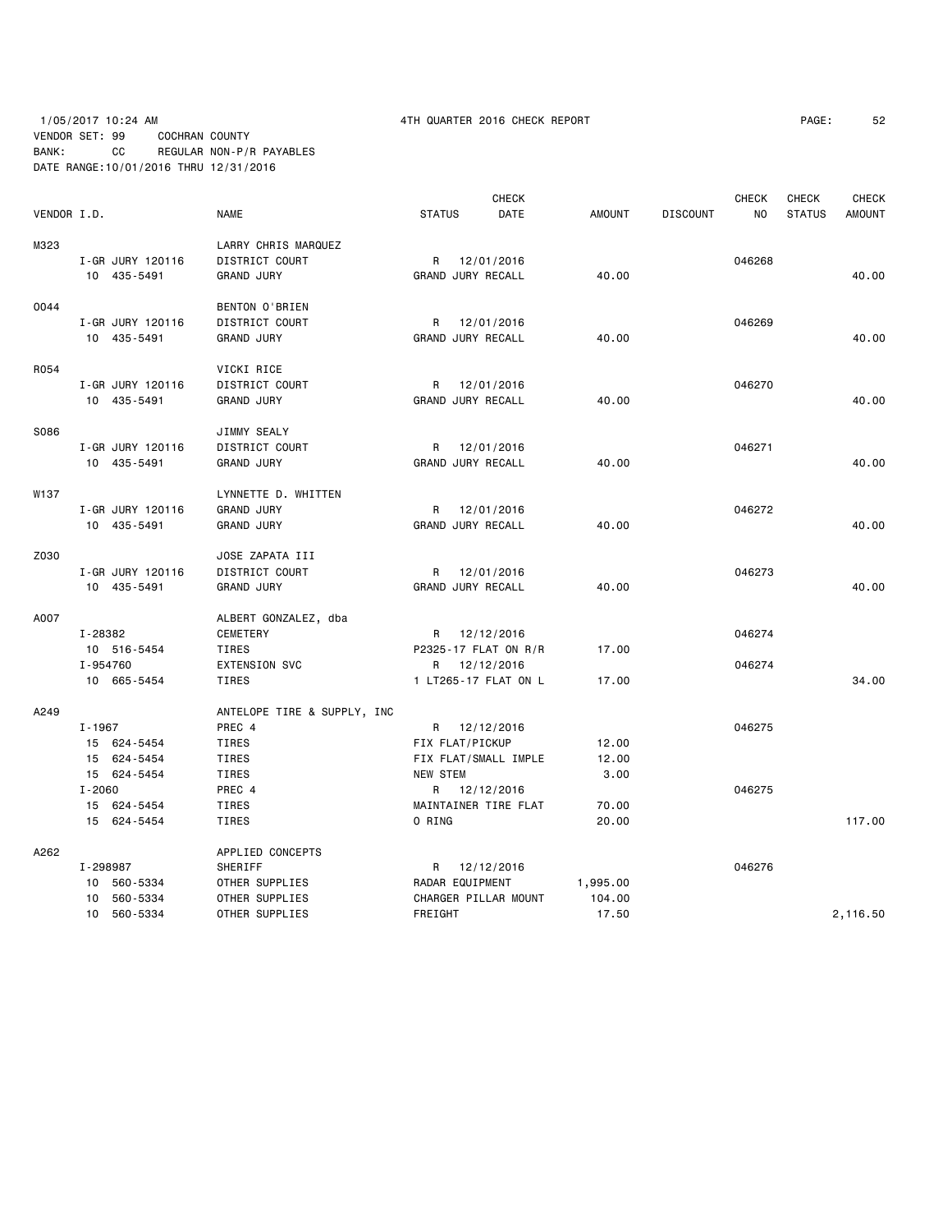# 1/05/2017 10:24 AM 4TH QUARTER 2016 CHECK REPORT PAGE: 52 VENDOR SET: 99 COCHRAN COUNTY BANK: CC REGULAR NON-P/R PAYABLES DATE RANGE:10/01/2016 THRU 12/31/2016

|             |            |                  |                             |                 |                 | <b>CHECK</b>         |               |                 | <b>CHECK</b> | <b>CHECK</b>  | <b>CHECK</b>  |
|-------------|------------|------------------|-----------------------------|-----------------|-----------------|----------------------|---------------|-----------------|--------------|---------------|---------------|
| VENDOR I.D. |            |                  | <b>NAME</b>                 | <b>STATUS</b>   |                 | DATE                 | <b>AMOUNT</b> | <b>DISCOUNT</b> | NO           | <b>STATUS</b> | <b>AMOUNT</b> |
| M323        |            |                  | LARRY CHRIS MARQUEZ         |                 |                 |                      |               |                 |              |               |               |
|             |            | I-GR JURY 120116 | DISTRICT COURT              |                 |                 | R 12/01/2016         |               |                 | 046268       |               |               |
|             |            | 10 435-5491      | <b>GRAND JURY</b>           |                 |                 | GRAND JURY RECALL    | 40.00         |                 |              |               | 40.00         |
| 0044        |            |                  | BENTON O'BRIEN              |                 |                 |                      |               |                 |              |               |               |
|             |            | I-GR JURY 120116 | DISTRICT COURT              | R               |                 | 12/01/2016           |               |                 | 046269       |               |               |
|             |            | 10 435-5491      | <b>GRAND JURY</b>           |                 |                 | GRAND JURY RECALL    | 40.00         |                 |              |               | 40.00         |
| R054        |            |                  | VICKI RICE                  |                 |                 |                      |               |                 |              |               |               |
|             |            | I-GR JURY 120116 | DISTRICT COURT              |                 |                 | R 12/01/2016         |               |                 | 046270       |               |               |
|             |            | 10 435-5491      | <b>GRAND JURY</b>           |                 |                 | GRAND JURY RECALL    | 40.00         |                 |              |               | 40.00         |
| S086        |            |                  | JIMMY SEALY                 |                 |                 |                      |               |                 |              |               |               |
|             |            | I-GR JURY 120116 | DISTRICT COURT              |                 |                 | R 12/01/2016         |               |                 | 046271       |               |               |
|             |            | 10 435-5491      | <b>GRAND JURY</b>           |                 |                 | GRAND JURY RECALL    | 40.00         |                 |              |               | 40.00         |
| W137        |            |                  | LYNNETTE D. WHITTEN         |                 |                 |                      |               |                 |              |               |               |
|             |            | I-GR JURY 120116 | <b>GRAND JURY</b>           |                 |                 | R 12/01/2016         |               |                 | 046272       |               |               |
|             |            | 10 435-5491      | <b>GRAND JURY</b>           |                 |                 | GRAND JURY RECALL    | 40.00         |                 |              |               | 40.00         |
| Z030        |            |                  | JOSE ZAPATA III             |                 |                 |                      |               |                 |              |               |               |
|             |            | I-GR JURY 120116 | DISTRICT COURT              | R               |                 | 12/01/2016           |               |                 | 046273       |               |               |
|             |            | 10 435-5491      | <b>GRAND JURY</b>           |                 |                 | GRAND JURY RECALL    | 40.00         |                 |              |               | 40.00         |
| A007        |            |                  | ALBERT GONZALEZ, dba        |                 |                 |                      |               |                 |              |               |               |
|             | I-28382    |                  | CEMETERY                    |                 |                 | R 12/12/2016         |               |                 | 046274       |               |               |
|             |            | 10 516-5454      | TIRES                       |                 |                 | P2325-17 FLAT ON R/R | 17.00         |                 |              |               |               |
|             | I-954760   |                  | <b>EXTENSION SVC</b>        |                 |                 | R 12/12/2016         |               |                 | 046274       |               |               |
|             |            | 10 665-5454      | TIRES                       |                 |                 | 1 LT265-17 FLAT ON L | 17.00         |                 |              |               | 34.00         |
| A249        |            |                  | ANTELOPE TIRE & SUPPLY, INC |                 |                 |                      |               |                 |              |               |               |
|             | I-1967     |                  | PREC 4                      |                 |                 | R 12/12/2016         |               |                 | 046275       |               |               |
|             |            | 15 624-5454      | TIRES                       | FIX FLAT/PICKUP |                 |                      | 12.00         |                 |              |               |               |
|             |            | 15 624-5454      | TIRES                       |                 |                 | FIX FLAT/SMALL IMPLE | 12.00         |                 |              |               |               |
|             |            | 15 624-5454      | TIRES                       | <b>NEW STEM</b> |                 |                      | 3.00          |                 |              |               |               |
|             | $I - 2060$ |                  | PREC 4                      |                 |                 | R 12/12/2016         |               |                 | 046275       |               |               |
|             |            | 15 624-5454      | TIRES                       |                 |                 | MAINTAINER TIRE FLAT | 70.00         |                 |              |               |               |
|             |            | 15 624-5454      | TIRES                       | O RING          |                 |                      | 20.00         |                 |              |               | 117.00        |
| A262        |            |                  | APPLIED CONCEPTS            |                 |                 |                      |               |                 |              |               |               |
|             | I-298987   |                  | SHERIFF                     |                 |                 | R 12/12/2016         |               |                 | 046276       |               |               |
|             |            | 10 560-5334      | OTHER SUPPLIES              |                 | RADAR EQUIPMENT |                      | 1,995.00      |                 |              |               |               |
|             |            | 10 560-5334      | OTHER SUPPLIES              |                 |                 | CHARGER PILLAR MOUNT | 104.00        |                 |              |               |               |
|             |            | 10 560-5334      | OTHER SUPPLIES              | FREIGHT         |                 |                      | 17.50         |                 |              |               | 2,116.50      |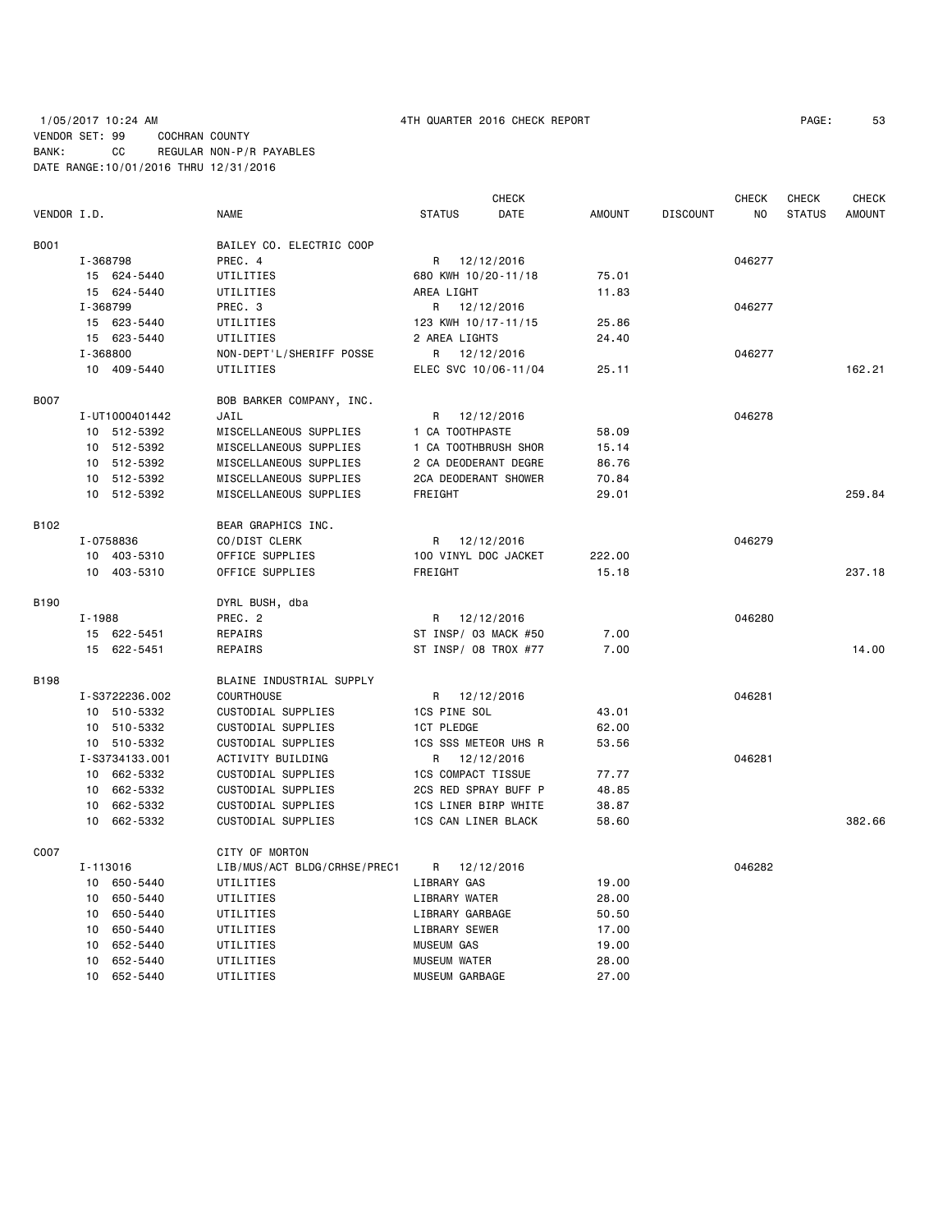# 1/05/2017 10:24 AM 4TH QUARTER 2016 CHECK REPORT PAGE: 53 VENDOR SET: 99 COCHRAN COUNTY BANK: CC REGULAR NON-P/R PAYABLES DATE RANGE:10/01/2016 THRU 12/31/2016

|                  |                |                              |                           | CHECK      |               |                 | <b>CHECK</b> | CHECK         | <b>CHECK</b>  |
|------------------|----------------|------------------------------|---------------------------|------------|---------------|-----------------|--------------|---------------|---------------|
| VENDOR I.D.      |                | <b>NAME</b>                  | <b>STATUS</b>             | DATE       | <b>AMOUNT</b> | <b>DISCOUNT</b> | NO.          | <b>STATUS</b> | <b>AMOUNT</b> |
| B001             |                | BAILEY CO. ELECTRIC COOP     |                           |            |               |                 |              |               |               |
|                  | I-368798       | PREC. 4                      | R 12/12/2016              |            |               |                 | 046277       |               |               |
|                  | 15 624-5440    | UTILITIES                    | 680 KWH 10/20-11/18       |            | 75.01         |                 |              |               |               |
|                  | 15 624-5440    | UTILITIES                    | AREA LIGHT                |            | 11.83         |                 |              |               |               |
|                  | I-368799       | PREC. 3                      | R 12/12/2016              |            |               |                 | 046277       |               |               |
|                  | 15 623-5440    | UTILITIES                    | 123 KWH 10/17-11/15       |            | 25.86         |                 |              |               |               |
|                  | 15 623-5440    | UTILITIES                    | 2 AREA LIGHTS             |            | 24.40         |                 |              |               |               |
|                  | I-368800       | NON-DEPT'L/SHERIFF POSSE     | R 12/12/2016              |            |               |                 | 046277       |               |               |
|                  | 10 409-5440    | UTILITIES                    | ELEC SVC 10/06-11/04      |            | 25.11         |                 |              |               | 162.21        |
|                  |                |                              |                           |            |               |                 |              |               |               |
| <b>B007</b>      |                | BOB BARKER COMPANY, INC.     |                           |            |               |                 |              |               |               |
|                  | I-UT1000401442 | JAIL                         | R                         | 12/12/2016 |               |                 | 046278       |               |               |
|                  | 10 512-5392    | MISCELLANEOUS SUPPLIES       | 1 CA TOOTHPASTE           |            | 58.09         |                 |              |               |               |
|                  | 10 512-5392    | MISCELLANEOUS SUPPLIES       | 1 CA TOOTHBRUSH SHOR      |            | 15.14         |                 |              |               |               |
|                  | 10 512-5392    | MISCELLANEOUS SUPPLIES       | 2 CA DEODERANT DEGRE      |            | 86.76         |                 |              |               |               |
|                  | 10 512-5392    | MISCELLANEOUS SUPPLIES       | 2CA DEODERANT SHOWER      |            | 70.84         |                 |              |               |               |
|                  | 10 512-5392    | MISCELLANEOUS SUPPLIES       | FREIGHT                   |            | 29.01         |                 |              |               | 259.84        |
| B <sub>102</sub> |                | BEAR GRAPHICS INC.           |                           |            |               |                 |              |               |               |
|                  | I-0758836      | CO/DIST CLERK                | R 12/12/2016              |            |               |                 | 046279       |               |               |
|                  | 10 403-5310    | OFFICE SUPPLIES              | 100 VINYL DOC JACKET      |            | 222.00        |                 |              |               |               |
|                  | 10 403-5310    | OFFICE SUPPLIES              | FREIGHT                   |            | 15.18         |                 |              |               | 237.18        |
|                  |                |                              |                           |            |               |                 |              |               |               |
| B190             |                | DYRL BUSH, dba               |                           |            |               |                 |              |               |               |
|                  | I-1988         | PREC. 2                      | R 12/12/2016              |            |               |                 | 046280       |               |               |
|                  | 15 622-5451    | REPAIRS                      | ST INSP/ 03 MACK #50      |            | 7.00          |                 |              |               |               |
|                  | 15 622-5451    | REPAIRS                      | ST INSP/ 08 TROX #77      |            | 7.00          |                 |              |               | 14.00         |
| <b>B198</b>      |                | BLAINE INDUSTRIAL SUPPLY     |                           |            |               |                 |              |               |               |
|                  | I-S3722236.002 | <b>COURTHOUSE</b>            | R 12/12/2016              |            |               |                 | 046281       |               |               |
|                  | 10 510-5332    | CUSTODIAL SUPPLIES           | 1CS PINE SOL              |            | 43.01         |                 |              |               |               |
|                  | 10 510-5332    | CUSTODIAL SUPPLIES           | <b>1CT PLEDGE</b>         |            | 62.00         |                 |              |               |               |
|                  | 10 510-5332    | CUSTODIAL SUPPLIES           | 1CS SSS METEOR UHS R      |            | 53.56         |                 |              |               |               |
|                  | I-S3734133.001 | ACTIVITY BUILDING            | R 12/12/2016              |            |               |                 | 046281       |               |               |
|                  | 10 662-5332    | CUSTODIAL SUPPLIES           | <b>1CS COMPACT TISSUE</b> |            | 77.77         |                 |              |               |               |
|                  | 10 662-5332    | CUSTODIAL SUPPLIES           | 2CS RED SPRAY BUFF P      |            | 48.85         |                 |              |               |               |
|                  | 10 662-5332    | CUSTODIAL SUPPLIES           | 1CS LINER BIRP WHITE      |            | 38.87         |                 |              |               |               |
|                  | 10 662-5332    | CUSTODIAL SUPPLIES           | 1CS CAN LINER BLACK       |            | 58.60         |                 |              |               | 382.66        |
| C007             |                |                              |                           |            |               |                 |              |               |               |
|                  |                | CITY OF MORTON               |                           |            |               |                 |              |               |               |
|                  | I-113016       | LIB/MUS/ACT BLDG/CRHSE/PREC1 | R 12/12/2016              |            |               |                 | 046282       |               |               |
|                  | 10 650-5440    | UTILITIES                    | LIBRARY GAS               |            | 19.00         |                 |              |               |               |
|                  | 10 650-5440    | UTILITIES                    | LIBRARY WATER             |            | 28.00         |                 |              |               |               |
|                  | 10 650-5440    | UTILITIES                    | LIBRARY GARBAGE           |            | 50.50         |                 |              |               |               |
|                  | 10 650-5440    | UTILITIES                    | LIBRARY SEWER             |            | 17.00         |                 |              |               |               |
|                  | 652-5440<br>10 | UTILITIES                    | <b>MUSEUM GAS</b>         |            | 19.00         |                 |              |               |               |
|                  | 10 652-5440    | UTILITIES                    | <b>MUSEUM WATER</b>       |            | 28.00         |                 |              |               |               |
|                  | 10 652-5440    | UTILITIES                    | MUSEUM GARBAGE            |            | 27.00         |                 |              |               |               |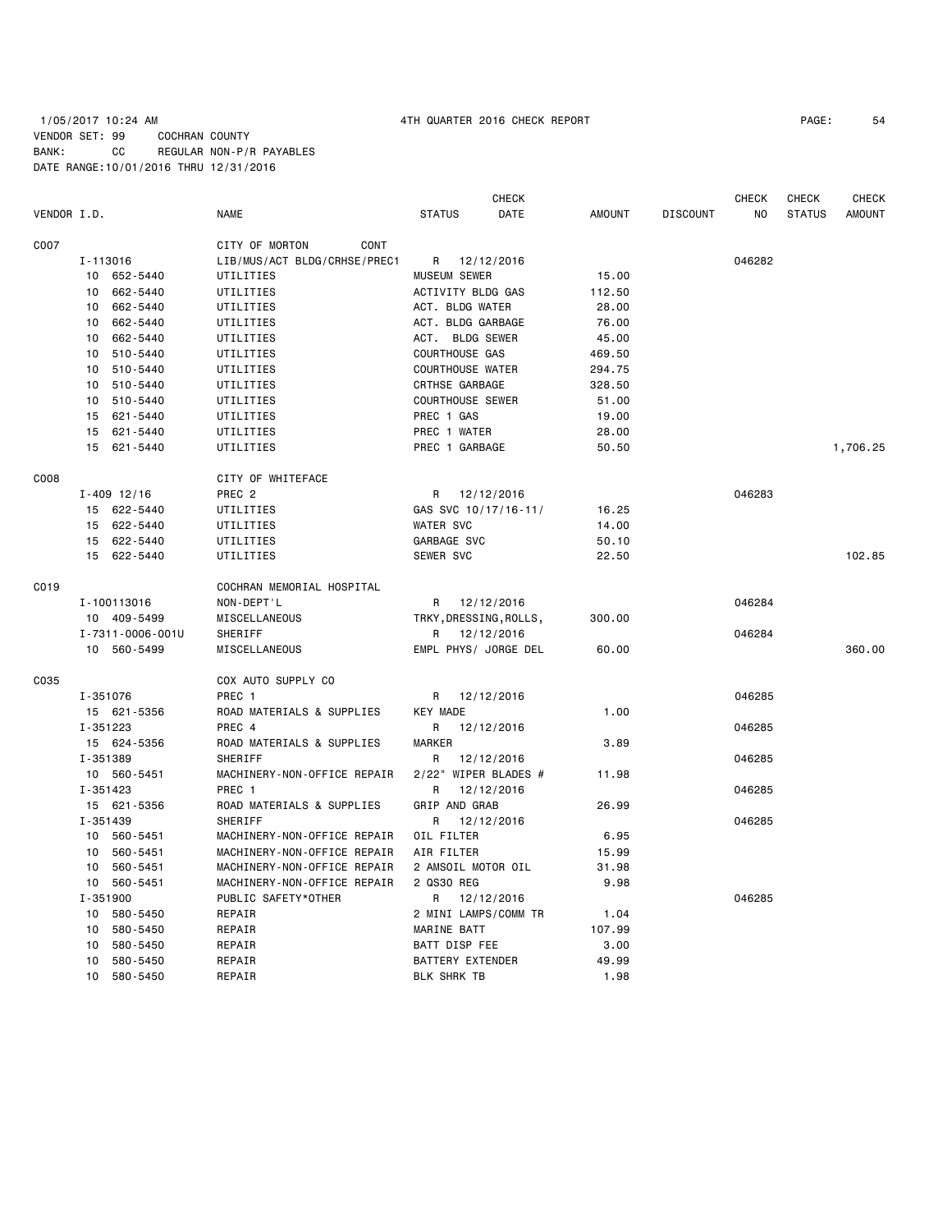# 1/05/2017 10:24 AM 4TH QUARTER 2016 CHECK REPORT PAGE: 54 VENDOR SET: 99 COCHRAN COUNTY BANK: CC REGULAR NON-P/R PAYABLES DATE RANGE:10/01/2016 THRU 12/31/2016

|             |          |                  |                              |                         | <b>CHECK</b> |               |                 | <b>CHECK</b> | <b>CHECK</b>  | <b>CHECK</b>  |
|-------------|----------|------------------|------------------------------|-------------------------|--------------|---------------|-----------------|--------------|---------------|---------------|
| VENDOR I.D. |          |                  | <b>NAME</b>                  | <b>STATUS</b>           | DATE         | <b>AMOUNT</b> | <b>DISCOUNT</b> | NO           | <b>STATUS</b> | <b>AMOUNT</b> |
| C007        |          |                  | CITY OF MORTON<br>CONT       |                         |              |               |                 |              |               |               |
|             |          | I-113016         | LIB/MUS/ACT BLDG/CRHSE/PREC1 | R                       | 12/12/2016   |               |                 | 046282       |               |               |
|             |          | 10 652-5440      | UTILITIES                    | MUSEUM SEWER            |              | 15.00         |                 |              |               |               |
|             | 10       | 662-5440         | UTILITIES                    | ACTIVITY BLDG GAS       |              | 112.50        |                 |              |               |               |
|             | 10       | 662-5440         | UTILITIES                    | ACT. BLDG WATER         |              | 28.00         |                 |              |               |               |
|             | 10       | 662-5440         | UTILITIES                    | ACT. BLDG GARBAGE       |              | 76.00         |                 |              |               |               |
|             | 10       | 662-5440         | UTILITIES                    | ACT. BLDG SEWER         |              | 45.00         |                 |              |               |               |
|             | 10       | 510-5440         | UTILITIES                    | <b>COURTHOUSE GAS</b>   |              | 469.50        |                 |              |               |               |
|             | 10       | 510-5440         | UTILITIES                    | <b>COURTHOUSE WATER</b> |              | 294.75        |                 |              |               |               |
|             | 10       | 510-5440         | UTILITIES                    | CRTHSE GARBAGE          |              | 328.50        |                 |              |               |               |
|             | 10       | 510-5440         | UTILITIES                    | <b>COURTHOUSE SEWER</b> |              | 51.00         |                 |              |               |               |
|             |          | 15 621-5440      | UTILITIES                    | PREC 1 GAS              |              | 19.00         |                 |              |               |               |
|             |          | 15 621-5440      | UTILITIES                    | PREC 1 WATER            |              | 28.00         |                 |              |               |               |
|             |          | 15 621-5440      | UTILITIES                    | PREC 1 GARBAGE          |              | 50.50         |                 |              |               | 1,706.25      |
| C008        |          |                  | CITY OF WHITEFACE            |                         |              |               |                 |              |               |               |
|             |          | $I - 409$ 12/16  | PREC <sub>2</sub>            | R                       | 12/12/2016   |               |                 | 046283       |               |               |
|             |          | 15 622-5440      | UTILITIES                    | GAS SVC 10/17/16-11/    |              | 16.25         |                 |              |               |               |
|             |          | 15 622-5440      | UTILITIES                    | <b>WATER SVC</b>        |              | 14.00         |                 |              |               |               |
|             |          | 15 622-5440      | UTILITIES                    | GARBAGE SVC             |              | 50.10         |                 |              |               |               |
|             |          | 15 622-5440      | UTILITIES                    | SEWER SVC               |              | 22.50         |                 |              |               | 102.85        |
| C019        |          |                  | COCHRAN MEMORIAL HOSPITAL    |                         |              |               |                 |              |               |               |
|             |          | I-100113016      | NON-DEPT'L                   | R                       | 12/12/2016   |               |                 | 046284       |               |               |
|             |          | 10 409-5499      | MISCELLANEOUS                | TRKY, DRESSING, ROLLS,  |              | 300.00        |                 |              |               |               |
|             |          | I-7311-0006-001U | SHERIFF                      | R                       | 12/12/2016   |               |                 | 046284       |               |               |
|             |          | 10 560-5499      | MISCELLANEOUS                | EMPL PHYS/ JORGE DEL    |              | 60.00         |                 |              |               | 360.00        |
| C035        |          |                  | COX AUTO SUPPLY CO           |                         |              |               |                 |              |               |               |
|             |          | I-351076         | PREC 1                       | R                       | 12/12/2016   |               |                 | 046285       |               |               |
|             |          | 15 621-5356      | ROAD MATERIALS & SUPPLIES    | <b>KEY MADE</b>         |              | 1.00          |                 |              |               |               |
|             | I-351223 |                  | PREC 4                       | R                       | 12/12/2016   |               |                 | 046285       |               |               |
|             |          | 15 624-5356      | ROAD MATERIALS & SUPPLIES    | MARKER                  |              | 3.89          |                 |              |               |               |
|             | I-351389 |                  | SHERIFF                      | R                       | 12/12/2016   |               |                 | 046285       |               |               |
|             |          | 10 560-5451      | MACHINERY-NON-OFFICE REPAIR  | 2/22" WIPER BLADES #    |              | 11.98         |                 |              |               |               |
|             | I-351423 |                  | PREC 1                       | R                       | 12/12/2016   |               |                 | 046285       |               |               |
|             |          | 15 621-5356      | ROAD MATERIALS & SUPPLIES    | GRIP AND GRAB           |              | 26.99         |                 |              |               |               |
|             | I-351439 |                  | <b>SHERIFF</b>               | R                       | 12/12/2016   |               |                 | 046285       |               |               |
|             | 10       | 560-5451         | MACHINERY-NON-OFFICE REPAIR  | OIL FILTER              |              | 6.95          |                 |              |               |               |
|             | 10       | 560-5451         | MACHINERY-NON-OFFICE REPAIR  | AIR FILTER              |              | 15.99         |                 |              |               |               |
|             | 10       | 560-5451         | MACHINERY-NON-OFFICE REPAIR  | 2 AMSOIL MOTOR OIL      |              | 31.98         |                 |              |               |               |
|             |          | 10 560-5451      | MACHINERY-NON-OFFICE REPAIR  | 2 QS30 REG              |              | 9.98          |                 |              |               |               |
|             |          | $I - 351900$     | PUBLIC SAFETY*OTHER          | R                       | 12/12/2016   |               |                 | 046285       |               |               |
|             |          | 10 580-5450      | REPAIR                       | 2 MINI LAMPS/COMM TR    |              | 1.04          |                 |              |               |               |
|             | 10       | 580-5450         | REPAIR                       | MARINE BATT             |              | 107.99        |                 |              |               |               |
|             | 10       | 580-5450         | REPAIR                       | BATT DISP FEE           |              | 3.00          |                 |              |               |               |
|             | 10       | 580-5450         | REPAIR                       | <b>BATTERY EXTENDER</b> |              | 49.99         |                 |              |               |               |
|             | 10       | 580-5450         | REPAIR                       | <b>BLK SHRK TB</b>      |              | 1.98          |                 |              |               |               |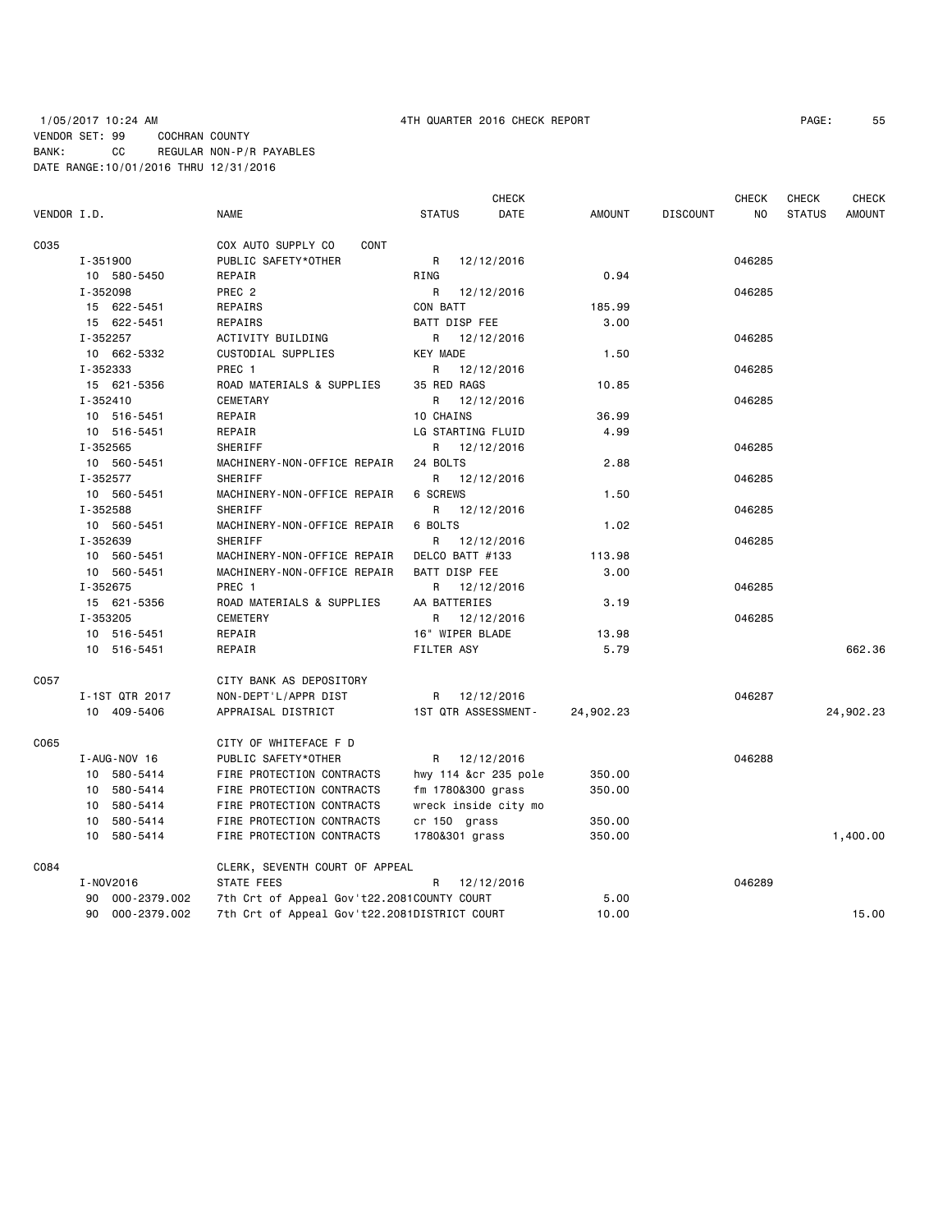|             |                 |                                              |                      | <b>CHECK</b> |           |                 | <b>CHECK</b> | <b>CHECK</b>  | <b>CHECK</b>  |
|-------------|-----------------|----------------------------------------------|----------------------|--------------|-----------|-----------------|--------------|---------------|---------------|
| VENDOR I.D. |                 | <b>NAME</b>                                  | <b>STATUS</b>        | DATE         | AMOUNT    | <b>DISCOUNT</b> | NO.          | <b>STATUS</b> | <b>AMOUNT</b> |
| C035        |                 | COX AUTO SUPPLY CO<br>CONT                   |                      |              |           |                 |              |               |               |
|             | I-351900        | PUBLIC SAFETY*OTHER                          | R                    | 12/12/2016   |           |                 | 046285       |               |               |
|             | 10 580-5450     | REPAIR                                       | RING                 |              | 0.94      |                 |              |               |               |
|             | I-352098        | PREC <sub>2</sub>                            | R                    | 12/12/2016   |           |                 | 046285       |               |               |
|             | 15 622-5451     | REPAIRS                                      | CON BATT             |              | 185.99    |                 |              |               |               |
|             | 15 622-5451     | REPAIRS                                      | BATT DISP FEE        |              | 3.00      |                 |              |               |               |
|             | I-352257        | ACTIVITY BUILDING                            | R 12/12/2016         |              |           |                 | 046285       |               |               |
|             | 10 662-5332     | CUSTODIAL SUPPLIES                           | <b>KEY MADE</b>      |              | 1.50      |                 |              |               |               |
|             | I-352333        | PREC 1                                       | R                    | 12/12/2016   |           |                 | 046285       |               |               |
|             | 15 621-5356     | ROAD MATERIALS & SUPPLIES                    | 35 RED RAGS          |              | 10.85     |                 |              |               |               |
|             | $I - 352410$    | CEMETARY                                     | R                    | 12/12/2016   |           |                 | 046285       |               |               |
|             | 10 516-5451     | REPAIR                                       | 10 CHAINS            |              | 36.99     |                 |              |               |               |
|             | 10 516-5451     | REPAIR                                       | LG STARTING FLUID    |              | 4.99      |                 |              |               |               |
|             | I-352565        | SHERIFF                                      | R 12/12/2016         |              |           |                 | 046285       |               |               |
|             | 10 560-5451     | MACHINERY-NON-OFFICE REPAIR                  | 24 BOLTS             |              | 2.88      |                 |              |               |               |
|             | I-352577        | SHERIFF                                      | R                    | 12/12/2016   |           |                 | 046285       |               |               |
|             | 10 560-5451     | MACHINERY-NON-OFFICE REPAIR                  | 6 SCREWS             |              | 1.50      |                 |              |               |               |
|             | I-352588        | SHERIFF                                      | R                    | 12/12/2016   |           |                 | 046285       |               |               |
|             | 10 560-5451     | MACHINERY-NON-OFFICE REPAIR                  | 6 BOLTS              |              | 1.02      |                 |              |               |               |
|             | I-352639        | SHERIFF                                      | R                    | 12/12/2016   |           |                 | 046285       |               |               |
|             | 10 560-5451     | MACHINERY-NON-OFFICE REPAIR                  | DELCO BATT #133      |              | 113.98    |                 |              |               |               |
|             | 10 560-5451     | MACHINERY-NON-OFFICE REPAIR                  | BATT DISP FEE        |              | 3.00      |                 |              |               |               |
|             | I-352675        | PREC 1                                       | R                    | 12/12/2016   |           |                 | 046285       |               |               |
|             | 15 621-5356     | ROAD MATERIALS & SUPPLIES                    | AA BATTERIES         |              | 3.19      |                 |              |               |               |
|             | I-353205        | <b>CEMETERY</b>                              | R                    | 12/12/2016   |           |                 | 046285       |               |               |
|             | 10 516-5451     | REPAIR                                       | 16" WIPER BLADE      |              | 13.98     |                 |              |               |               |
|             | 10 516-5451     | REPAIR                                       | FILTER ASY           |              | 5.79      |                 |              |               | 662.36        |
| C057        |                 | CITY BANK AS DEPOSITORY                      |                      |              |           |                 |              |               |               |
|             | I-1ST QTR 2017  | NON-DEPT'L/APPR DIST                         | R 12/12/2016         |              |           |                 | 046287       |               |               |
|             | 10 409-5406     | APPRAISAL DISTRICT                           | 1ST QTR ASSESSMENT-  |              | 24,902.23 |                 |              |               | 24,902.23     |
| C065        |                 | CITY OF WHITEFACE F D                        |                      |              |           |                 |              |               |               |
|             | I-AUG-NOV 16    | PUBLIC SAFETY*OTHER                          | R 12/12/2016         |              |           |                 | 046288       |               |               |
|             | 10 580-5414     | FIRE PROTECTION CONTRACTS                    | hwy 114 &cr 235 pole |              | 350.00    |                 |              |               |               |
|             | 10 580-5414     | FIRE PROTECTION CONTRACTS                    | fm 1780&300 grass    |              | 350.00    |                 |              |               |               |
|             | 10 580-5414     | FIRE PROTECTION CONTRACTS                    | wreck inside city mo |              |           |                 |              |               |               |
|             | 10 580-5414     | FIRE PROTECTION CONTRACTS                    | $cr$ 150 grass       |              | 350.00    |                 |              |               |               |
|             | 10 580-5414     | FIRE PROTECTION CONTRACTS                    | 1780&301 grass       |              | 350.00    |                 |              |               | 1,400.00      |
| C084        |                 | CLERK, SEVENTH COURT OF APPEAL               |                      |              |           |                 |              |               |               |
|             | I-NOV2016       | STATE FEES                                   | R                    | 12/12/2016   |           |                 | 046289       |               |               |
|             | 90 000-2379.002 | 7th Crt of Appeal Gov't22.2081COUNTY COURT   |                      |              | 5.00      |                 |              |               |               |
|             | 90 000-2379.002 | 7th Crt of Appeal Gov't22.2081DISTRICT COURT |                      |              | 10.00     |                 |              |               | 15.00         |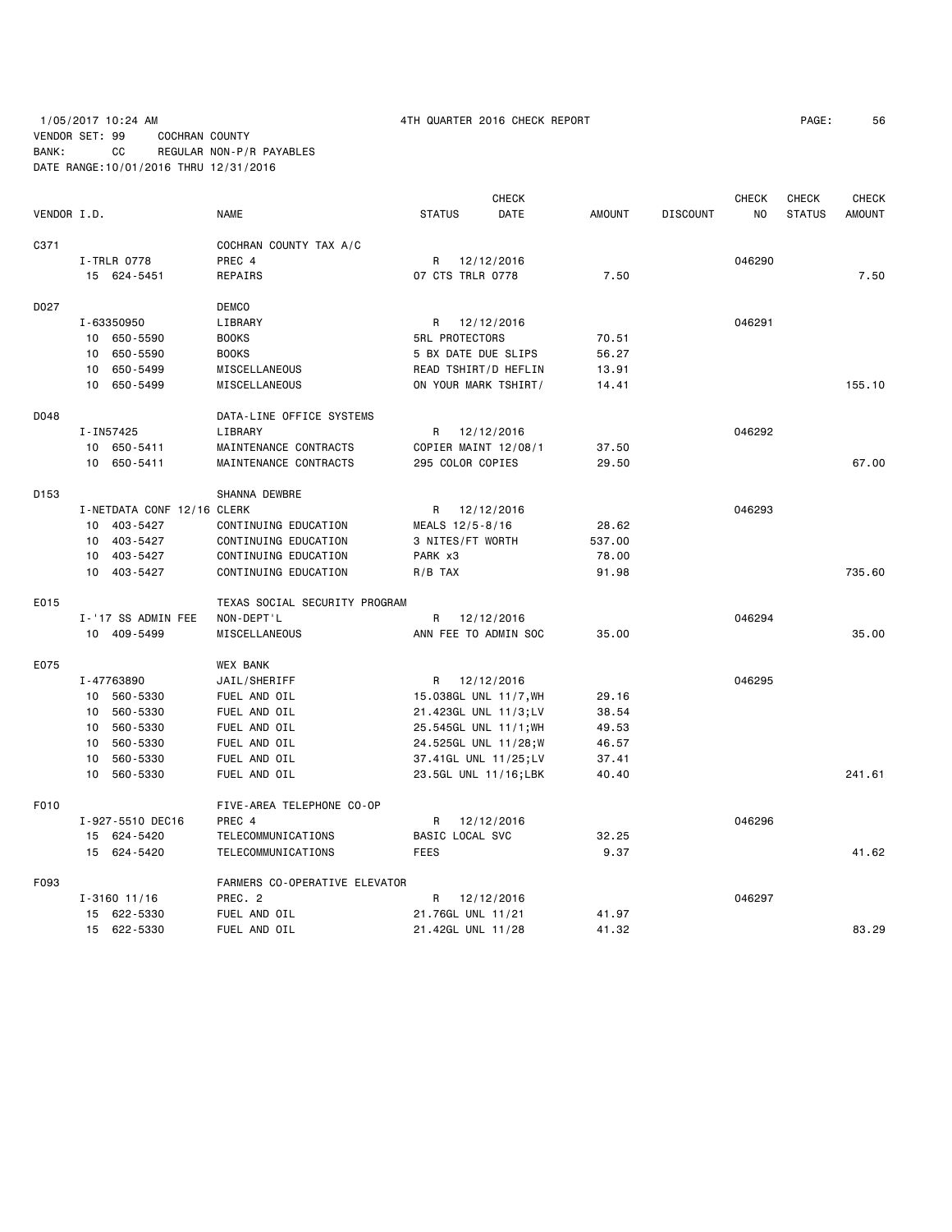1/05/2017 10:24 AM 4TH QUARTER 2016 CHECK REPORT PAGE: 56 VENDOR SET: 99 COCHRAN COUNTY BANK: CC REGULAR NON-P/R PAYABLES DATE RANGE:10/01/2016 THRU 12/31/2016

| VENDOR I.D. |                 |                            | <b>NAME</b>                   | <b>STATUS</b> |                       | <b>CHECK</b><br>DATE  | <b>AMOUNT</b> | <b>DISCOUNT</b> | <b>CHECK</b><br>NO. | CHECK<br><b>STATUS</b> | <b>CHECK</b><br><b>AMOUNT</b> |
|-------------|-----------------|----------------------------|-------------------------------|---------------|-----------------------|-----------------------|---------------|-----------------|---------------------|------------------------|-------------------------------|
|             |                 |                            |                               |               |                       |                       |               |                 |                     |                        |                               |
| C371        |                 |                            | COCHRAN COUNTY TAX A/C        |               |                       |                       |               |                 |                     |                        |                               |
|             |                 | I-TRLR 0778                | PREC 4                        |               | R 12/12/2016          |                       |               |                 | 046290              |                        |                               |
|             |                 | 15 624-5451                | REPAIRS                       |               | 07 CTS TRLR 0778      |                       | 7.50          |                 |                     |                        | 7.50                          |
| D027        |                 |                            | <b>DEMCO</b>                  |               |                       |                       |               |                 |                     |                        |                               |
|             |                 | I-63350950                 | LIBRARY                       |               | R 12/12/2016          |                       |               |                 | 046291              |                        |                               |
|             |                 | 10 650-5590                | <b>BOOKS</b>                  |               | <b>5RL PROTECTORS</b> |                       | 70.51         |                 |                     |                        |                               |
|             |                 | 10 650-5590                | <b>BOOKS</b>                  |               |                       | 5 BX DATE DUE SLIPS   | 56.27         |                 |                     |                        |                               |
|             |                 | 10 650-5499                | MISCELLANEOUS                 |               |                       | READ TSHIRT/D HEFLIN  | 13.91         |                 |                     |                        |                               |
|             |                 | 10 650-5499                | MISCELLANEOUS                 |               |                       | ON YOUR MARK TSHIRT/  | 14.41         |                 |                     |                        | 155.10                        |
| D048        |                 |                            | DATA-LINE OFFICE SYSTEMS      |               |                       |                       |               |                 |                     |                        |                               |
|             |                 | I-IN57425                  | LIBRARY                       |               | R 12/12/2016          |                       |               |                 | 046292              |                        |                               |
|             |                 | 10 650-5411                | MAINTENANCE CONTRACTS         |               |                       | COPIER MAINT 12/08/1  | 37.50         |                 |                     |                        |                               |
|             |                 | 10 650-5411                | MAINTENANCE CONTRACTS         |               | 295 COLOR COPIES      |                       | 29.50         |                 |                     |                        | 67.00                         |
| D153        |                 |                            | SHANNA DEWBRE                 |               |                       |                       |               |                 |                     |                        |                               |
|             |                 | I-NETDATA CONF 12/16 CLERK |                               |               | R 12/12/2016          |                       |               |                 | 046293              |                        |                               |
|             |                 | 10 403-5427                | CONTINUING EDUCATION          |               | MEALS 12/5-8/16       |                       | 28.62         |                 |                     |                        |                               |
|             |                 | 10 403-5427                | CONTINUING EDUCATION          |               | 3 NITES/FT WORTH      |                       | 537.00        |                 |                     |                        |                               |
|             |                 | 10 403-5427                | CONTINUING EDUCATION          | PARK x3       |                       |                       | 78.00         |                 |                     |                        |                               |
|             |                 | 10 403-5427                | CONTINUING EDUCATION          | $R/B$ TAX     |                       |                       | 91.98         |                 |                     |                        | 735.60                        |
| E015        |                 |                            | TEXAS SOCIAL SECURITY PROGRAM |               |                       |                       |               |                 |                     |                        |                               |
|             |                 | I-'17 SS ADMIN FEE         | NON-DEPT'L                    | R             | 12/12/2016            |                       |               |                 | 046294              |                        |                               |
|             |                 | 10 409-5499                | MISCELLANEOUS                 |               |                       | ANN FEE TO ADMIN SOC  | 35.00         |                 |                     |                        | 35.00                         |
| E075        |                 |                            | <b>WEX BANK</b>               |               |                       |                       |               |                 |                     |                        |                               |
|             |                 | I-47763890                 | JAIL/SHERIFF                  |               | R 12/12/2016          |                       |               |                 | 046295              |                        |                               |
|             |                 | 10 560-5330                | FUEL AND OIL                  |               |                       | 15.038GL UNL 11/7, WH | 29.16         |                 |                     |                        |                               |
|             |                 | 10 560-5330                | FUEL AND OIL                  |               |                       | 21.423GL UNL 11/3;LV  | 38.54         |                 |                     |                        |                               |
|             |                 | 10 560-5330                | FUEL AND OIL                  |               |                       | 25.545GL UNL 11/1; WH | 49.53         |                 |                     |                        |                               |
|             | 10              | 560-5330                   | FUEL AND OIL                  |               |                       | 24.525GL UNL 11/28;W  | 46.57         |                 |                     |                        |                               |
|             |                 | 10 560-5330                | FUEL AND OIL                  |               |                       | 37.41GL UNL 11/25;LV  | 37.41         |                 |                     |                        |                               |
|             | 10 <sup>1</sup> | 560-5330                   | FUEL AND OIL                  |               |                       | 23.5GL UNL 11/16;LBK  | 40.40         |                 |                     |                        | 241.61                        |
| F010        |                 |                            | FIVE-AREA TELEPHONE CO-OP     |               |                       |                       |               |                 |                     |                        |                               |
|             |                 | I-927-5510 DEC16           | PREC 4                        | R             |                       | 12/12/2016            |               |                 | 046296              |                        |                               |
|             |                 | 15 624-5420                | TELECOMMUNICATIONS            |               | BASIC LOCAL SVC       |                       | 32.25         |                 |                     |                        |                               |
|             |                 | 15 624-5420                | TELECOMMUNICATIONS            | <b>FEES</b>   |                       |                       | 9.37          |                 |                     |                        | 41.62                         |
| F093        |                 |                            | FARMERS CO-OPERATIVE ELEVATOR |               |                       |                       |               |                 |                     |                        |                               |
|             |                 | $I - 3160$ 11/16           | PREC. 2                       | R             |                       | 12/12/2016            |               |                 | 046297              |                        |                               |
|             |                 | 15 622-5330                | FUEL AND OIL                  |               | 21.76GL UNL 11/21     |                       | 41.97         |                 |                     |                        |                               |
|             |                 | 15 622-5330                | FUEL AND OIL                  |               | 21.42GL UNL 11/28     |                       | 41.32         |                 |                     |                        | 83.29                         |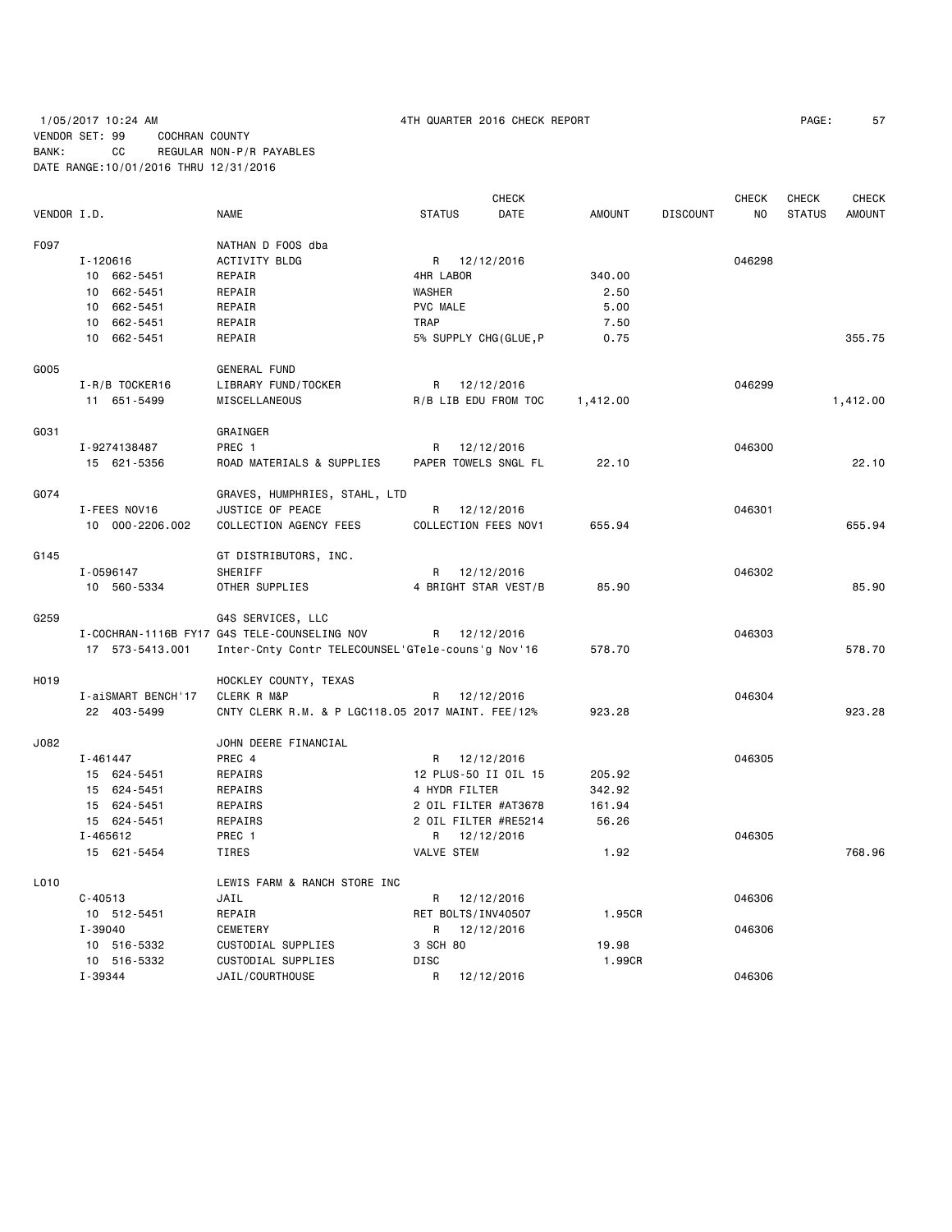# 1/05/2017 10:24 AM 4TH QUARTER 2016 CHECK REPORT PAGE: 57 VENDOR SET: 99 COCHRAN COUNTY BANK: CC REGULAR NON-P/R PAYABLES DATE RANGE:10/01/2016 THRU 12/31/2016

|                   |                    |                                                   |                 | CHECK                 |               |                 | CHECK  | CHECK         | CHECK         |
|-------------------|--------------------|---------------------------------------------------|-----------------|-----------------------|---------------|-----------------|--------|---------------|---------------|
| VENDOR I.D.       |                    | <b>NAME</b>                                       | <b>STATUS</b>   | DATE                  | <b>AMOUNT</b> | <b>DISCOUNT</b> | NO.    | <b>STATUS</b> | <b>AMOUNT</b> |
| F097              |                    | NATHAN D FOOS dba                                 |                 |                       |               |                 |        |               |               |
|                   | I-120616           | <b>ACTIVITY BLDG</b>                              |                 | R 12/12/2016          |               |                 | 046298 |               |               |
|                   | 10 662-5451        | REPAIR                                            | 4HR LABOR       |                       | 340.00        |                 |        |               |               |
|                   | 10 662-5451        | REPAIR                                            | WASHER          |                       | 2.50          |                 |        |               |               |
|                   | 10 662-5451        | REPAIR                                            | <b>PVC MALE</b> |                       | 5.00          |                 |        |               |               |
|                   | 10 662-5451        | REPAIR                                            | <b>TRAP</b>     |                       | 7.50          |                 |        |               |               |
|                   | 10 662-5451        | REPAIR                                            |                 | 5% SUPPLY CHG(GLUE, P | 0.75          |                 |        |               | 355.75        |
| G005              |                    | <b>GENERAL FUND</b>                               |                 |                       |               |                 |        |               |               |
|                   | I-R/B TOCKER16     | LIBRARY FUND/TOCKER                               |                 | R 12/12/2016          |               |                 | 046299 |               |               |
|                   | 11 651-5499        | MISCELLANEOUS                                     |                 | R/B LIB EDU FROM TOC  | 1,412.00      |                 |        |               | 1,412.00      |
| G031              |                    | GRAINGER                                          |                 |                       |               |                 |        |               |               |
|                   | I-9274138487       | PREC 1                                            | R               | 12/12/2016            |               |                 | 046300 |               |               |
|                   | 15 621-5356        | ROAD MATERIALS & SUPPLIES                         |                 | PAPER TOWELS SNGL FL  | 22.10         |                 |        |               | 22.10         |
| G074              |                    | GRAVES, HUMPHRIES, STAHL, LTD                     |                 |                       |               |                 |        |               |               |
|                   | I-FEES NOV16       | JUSTICE OF PEACE                                  | R               | 12/12/2016            |               |                 | 046301 |               |               |
|                   | 10 000-2206.002    | COLLECTION AGENCY FEES                            |                 | COLLECTION FEES NOV1  | 655.94        |                 |        |               | 655.94        |
| G145              |                    | GT DISTRIBUTORS, INC.                             |                 |                       |               |                 |        |               |               |
|                   | I-0596147          | SHERIFF                                           | R               | 12/12/2016            |               |                 | 046302 |               |               |
|                   | 10 560-5334        | OTHER SUPPLIES                                    |                 | 4 BRIGHT STAR VEST/B  | 85.90         |                 |        |               | 85.90         |
| G259              |                    | G4S SERVICES, LLC                                 |                 |                       |               |                 |        |               |               |
|                   |                    | I-COCHRAN-1116B FY17 G4S TELE-COUNSELING NOV      | R               | 12/12/2016            |               |                 | 046303 |               |               |
|                   | 17 573-5413.001    | Inter-Cnty Contr TELECOUNSEL'GTele-couns'g Nov'16 |                 |                       | 578.70        |                 |        |               | 578.70        |
| H <sub>0</sub> 19 |                    | HOCKLEY COUNTY, TEXAS                             |                 |                       |               |                 |        |               |               |
|                   | I-aiSMART BENCH'17 | CLERK R M&P                                       | R               | 12/12/2016            |               |                 | 046304 |               |               |
|                   | 22 403-5499        | CNTY CLERK R.M. & P LGC118.05 2017 MAINT. FEE/12% |                 |                       | 923.28        |                 |        |               | 923.28        |
| J082              |                    | JOHN DEERE FINANCIAL                              |                 |                       |               |                 |        |               |               |
|                   | I-461447           | PREC 4                                            | R               | 12/12/2016            |               |                 | 046305 |               |               |
|                   | 15 624-5451        | REPAIRS                                           |                 | 12 PLUS-50 II OIL 15  | 205.92        |                 |        |               |               |
|                   | 15 624-5451        | REPAIRS                                           |                 | 4 HYDR FILTER         | 342.92        |                 |        |               |               |
|                   | 15 624-5451        | REPAIRS                                           |                 | 2 OIL FILTER #AT3678  | 161.94        |                 |        |               |               |
|                   | 15 624-5451        | REPAIRS                                           |                 | 2 OIL FILTER #RE5214  | 56.26         |                 |        |               |               |
|                   | I-465612           | PREC 1                                            | R               | 12/12/2016            |               |                 | 046305 |               |               |
|                   | 15 621-5454        | TIRES                                             | VALVE STEM      |                       | 1.92          |                 |        |               | 768.96        |
| L010              |                    | LEWIS FARM & RANCH STORE INC                      |                 |                       |               |                 |        |               |               |
|                   | $C - 40513$        | JAIL                                              | R               | 12/12/2016            |               |                 | 046306 |               |               |
|                   | 10 512-5451        | REPAIR                                            |                 | RET BOLTS/INV40507    | 1.95CR        |                 |        |               |               |
|                   | $I - 39040$        | CEMETERY                                          | R               | 12/12/2016            |               |                 | 046306 |               |               |
|                   | 10 516-5332        | CUSTODIAL SUPPLIES                                | 3 SCH 80        |                       | 19.98         |                 |        |               |               |
|                   | 10 516-5332        | CUSTODIAL SUPPLIES                                | <b>DISC</b>     |                       | 1.99CR        |                 |        |               |               |
|                   | I-39344            | JAIL/COURTHOUSE                                   | R               | 12/12/2016            |               |                 | 046306 |               |               |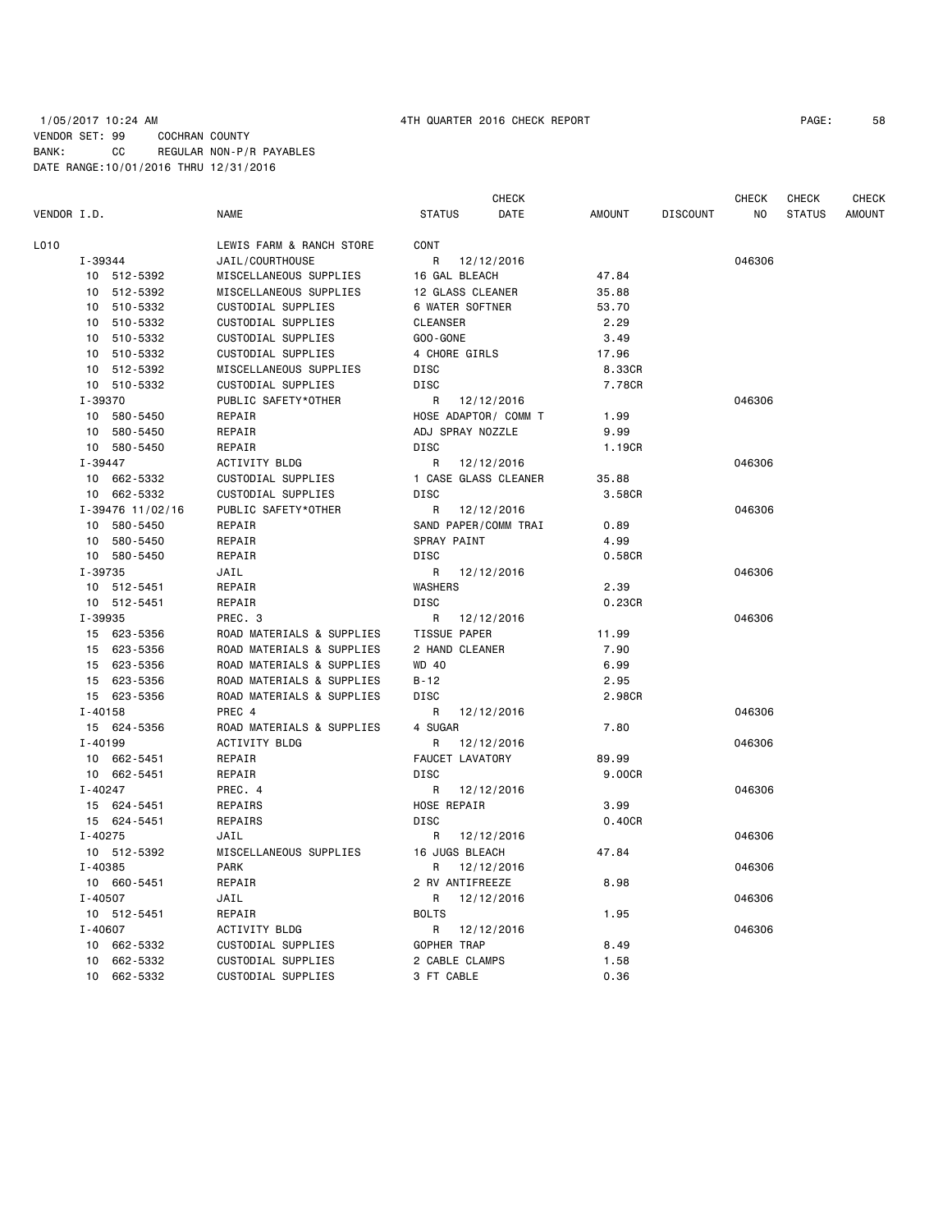# 1/05/2017 10:24 AM 4TH QUARTER 2016 CHECK REPORT PAGE: 58 VENDOR SET: 99 COCHRAN COUNTY BANK: CC REGULAR NON-P/R PAYABLES DATE RANGE:10/01/2016 THRU 12/31/2016

| VENDOR I.D.                      | <b>NAME</b>                              | <b>STATUS</b>                | <b>CHECK</b><br><b>DATE</b> | <b>AMOUNT</b> | <b>DISCOUNT</b> | <b>CHECK</b><br>N <sub>O</sub> | <b>CHECK</b><br><b>STATUS</b> | <b>CHECK</b><br><b>AMOUNT</b> |
|----------------------------------|------------------------------------------|------------------------------|-----------------------------|---------------|-----------------|--------------------------------|-------------------------------|-------------------------------|
| L010                             | LEWIS FARM & RANCH STORE                 | CONT                         |                             |               |                 |                                |                               |                               |
| I-39344                          | JAIL/COURTHOUSE                          | R                            | 12/12/2016                  |               |                 | 046306                         |                               |                               |
| 10 512-5392                      | MISCELLANEOUS SUPPLIES                   | 16 GAL BLEACH                |                             | 47.84         |                 |                                |                               |                               |
| 512-5392<br>10                   | MISCELLANEOUS SUPPLIES                   | 12 GLASS CLEANER             |                             | 35.88         |                 |                                |                               |                               |
| 510-5332<br>10                   | CUSTODIAL SUPPLIES                       | 6 WATER SOFTNER              |                             | 53.70         |                 |                                |                               |                               |
| 510-5332<br>10                   | CUSTODIAL SUPPLIES                       | <b>CLEANSER</b>              |                             | 2.29          |                 |                                |                               |                               |
| 510-5332<br>10                   | CUSTODIAL SUPPLIES                       | $GOO - GONE$                 |                             | 3.49          |                 |                                |                               |                               |
| 10<br>510-5332                   | <b>CUSTODIAL SUPPLIES</b>                | 4 CHORE GIRLS                |                             | 17.96         |                 |                                |                               |                               |
| 512-5392<br>10                   | MISCELLANEOUS SUPPLIES                   | DISC                         |                             | 8.33CR        |                 |                                |                               |                               |
| 10 510-5332                      | CUSTODIAL SUPPLIES                       | DISC                         |                             | 7.78CR        |                 |                                |                               |                               |
| I-39370                          | PUBLIC SAFETY*OTHER                      | R                            | 12/12/2016                  |               |                 | 046306                         |                               |                               |
| 10<br>580-5450                   | REPAIR                                   | HOSE ADAPTOR/ COMM T         |                             | 1.99          |                 |                                |                               |                               |
| 10 580-5450                      | REPAIR                                   | ADJ SPRAY NOZZLE             |                             | 9.99          |                 |                                |                               |                               |
| 580-5450<br>10                   | REPAIR                                   | <b>DISC</b>                  |                             | 1.19CR        |                 |                                |                               |                               |
| $I - 39447$                      | ACTIVITY BLDG                            | R                            | 12/12/2016                  |               |                 | 046306                         |                               |                               |
| 10<br>662-5332                   | CUSTODIAL SUPPLIES                       | 1 CASE GLASS CLEANER         |                             | 35.88         |                 |                                |                               |                               |
| 662-5332<br>10                   | CUSTODIAL SUPPLIES                       | <b>DISC</b>                  |                             | 3.58CR        |                 |                                |                               |                               |
| I-39476 11/02/16                 | PUBLIC SAFETY*OTHER                      | R                            | 12/12/2016                  |               |                 | 046306                         |                               |                               |
| 10 580-5450                      | REPAIR                                   | SAND PAPER/COMM TRAI         |                             | 0.89          |                 |                                |                               |                               |
| 580-5450<br>10                   | REPAIR                                   | SPRAY PAINT                  |                             | 4.99          |                 |                                |                               |                               |
| 10 580-5450                      | REPAIR                                   | <b>DISC</b>                  |                             | 0.58CR        |                 |                                |                               |                               |
| I-39735                          | JAIL                                     | R                            | 12/12/2016                  |               |                 | 046306                         |                               |                               |
| 10 512-5451                      | REPAIR                                   | <b>WASHERS</b>               |                             | 2.39          |                 |                                |                               |                               |
| 10 512-5451                      | REPAIR                                   | <b>DISC</b>                  |                             | 0.23CR        |                 |                                |                               |                               |
| I-39935                          | PREC. 3                                  | R                            | 12/12/2016                  |               |                 | 046306                         |                               |                               |
| 15 623-5356                      | ROAD MATERIALS & SUPPLIES                | <b>TISSUE PAPER</b>          |                             | 11.99         |                 |                                |                               |                               |
| 623-5356<br>15                   | ROAD MATERIALS & SUPPLIES                | 2 HAND CLEANER               |                             | 7.90          |                 |                                |                               |                               |
| 623-5356<br>15                   | ROAD MATERIALS & SUPPLIES                | <b>WD 40</b>                 |                             | 6.99          |                 |                                |                               |                               |
| 15<br>623-5356                   | ROAD MATERIALS & SUPPLIES                | $B - 12$                     |                             | 2.95          |                 |                                |                               |                               |
| 15 623-5356                      | ROAD MATERIALS & SUPPLIES                | <b>DISC</b>                  |                             | 2.98CR        |                 |                                |                               |                               |
| $I - 40158$                      | PREC 4                                   | R                            | 12/12/2016                  |               |                 | 046306                         |                               |                               |
| 15 624-5356                      | ROAD MATERIALS & SUPPLIES                | 4 SUGAR                      |                             | 7.80          |                 |                                |                               |                               |
| $I - 40199$                      | <b>ACTIVITY BLDG</b>                     | R                            | 12/12/2016                  |               |                 | 046306                         |                               |                               |
| 10 662-5451                      | REPAIR                                   | FAUCET LAVATORY              |                             | 89.99         |                 |                                |                               |                               |
| 662-5451<br>10                   | REPAIR                                   | <b>DISC</b>                  |                             | 9.00CR        |                 |                                |                               |                               |
| $I - 40247$                      | PREC. 4                                  | R                            | 12/12/2016                  |               |                 | 046306                         |                               |                               |
| 15 624-5451                      | REPAIRS                                  | <b>HOSE REPAIR</b>           |                             | 3.99          |                 |                                |                               |                               |
| 15 624-5451                      | REPAIRS                                  | <b>DISC</b>                  |                             | 0.40CR        |                 |                                |                               |                               |
| $I - 40275$                      | JAIL                                     | R                            | 12/12/2016                  |               |                 | 046306                         |                               |                               |
| 10 512-5392                      | MISCELLANEOUS SUPPLIES                   | 16 JUGS BLEACH               |                             | 47.84         |                 |                                |                               |                               |
| $I - 40385$                      | <b>PARK</b>                              | R                            | 12/12/2016                  |               |                 | 046306                         |                               |                               |
| 10 660-5451                      | REPAIR                                   | 2 RV ANTIFREEZE              |                             | 8.98          |                 |                                |                               |                               |
| $I - 40507$                      | JAIL                                     | R                            | 12/12/2016                  |               |                 | 046306                         |                               |                               |
| 10 512-5451<br>$I - 40607$       | REPAIR                                   | <b>BOLTS</b>                 |                             | 1.95          |                 |                                |                               |                               |
|                                  | ACTIVITY BLDG                            | R                            | 12/12/2016                  |               |                 | 046306                         |                               |                               |
| 10<br>662-5332                   | CUSTODIAL SUPPLIES                       | GOPHER TRAP                  |                             | 8.49          |                 |                                |                               |                               |
| 662-5332<br>10<br>10<br>662-5332 | CUSTODIAL SUPPLIES<br>CUSTODIAL SUPPLIES | 2 CABLE CLAMPS<br>3 FT CABLE |                             | 1.58<br>0.36  |                 |                                |                               |                               |
|                                  |                                          |                              |                             |               |                 |                                |                               |                               |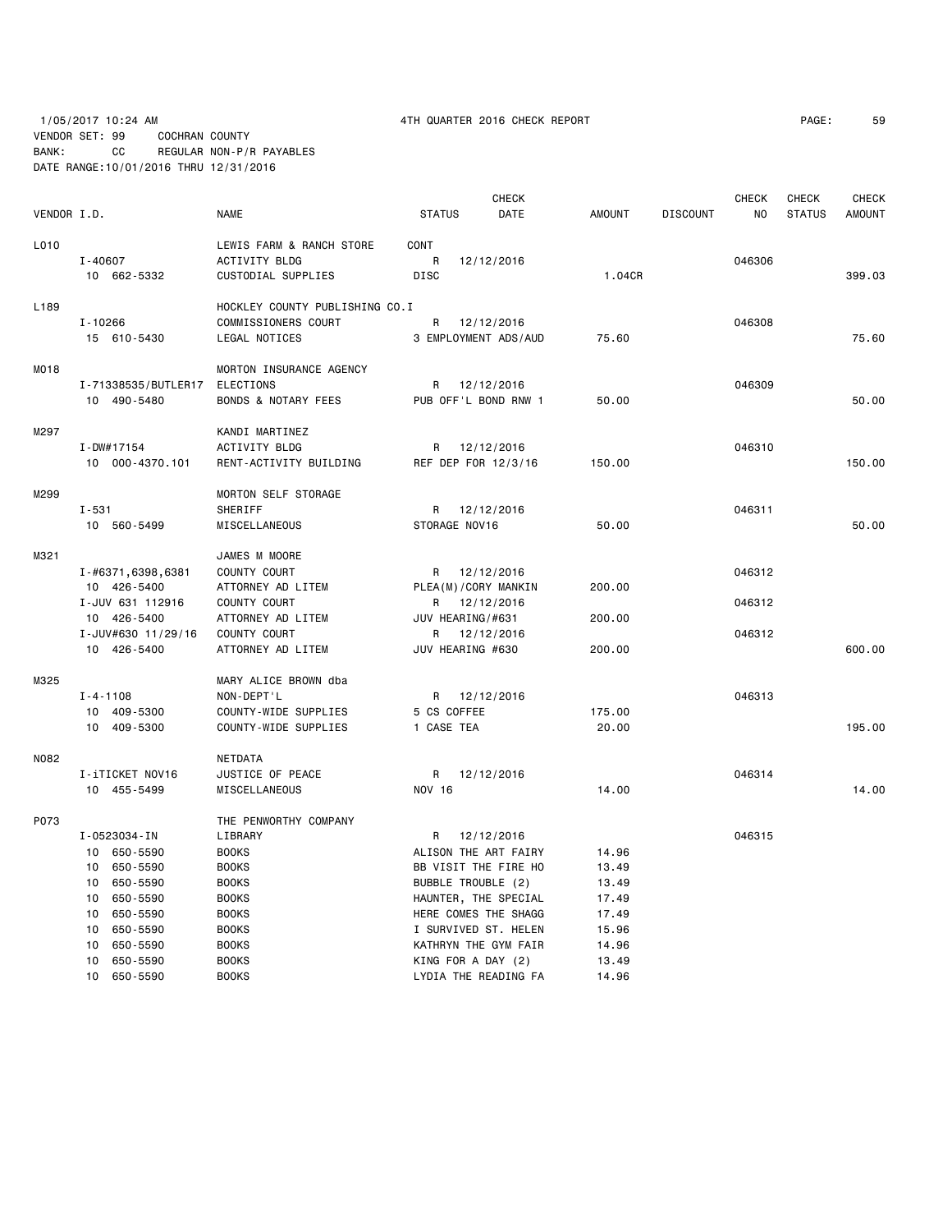# 1/05/2017 10:24 AM 4TH QUARTER 2016 CHECK REPORT PAGE: 59 VENDOR SET: 99 COCHRAN COUNTY BANK: CC REGULAR NON-P/R PAYABLES DATE RANGE:10/01/2016 THRU 12/31/2016

|             |                     |                                |                  | <b>CHECK</b>         |               |                 | CHECK  | CHECK         | <b>CHECK</b>  |
|-------------|---------------------|--------------------------------|------------------|----------------------|---------------|-----------------|--------|---------------|---------------|
| VENDOR I.D. |                     | <b>NAME</b>                    | <b>STATUS</b>    | DATE                 | <b>AMOUNT</b> | <b>DISCOUNT</b> | NO.    | <b>STATUS</b> | <b>AMOUNT</b> |
| L010        |                     | LEWIS FARM & RANCH STORE       | CONT             |                      |               |                 |        |               |               |
|             | I-40607             | <b>ACTIVITY BLDG</b>           | R                | 12/12/2016           |               |                 | 046306 |               |               |
|             | 10 662-5332         | CUSTODIAL SUPPLIES             | <b>DISC</b>      |                      | 1.04CR        |                 |        |               | 399.03        |
|             |                     |                                |                  |                      |               |                 |        |               |               |
| L189        |                     | HOCKLEY COUNTY PUBLISHING CO.I |                  |                      |               |                 |        |               |               |
|             | $I - 10266$         | COMMISSIONERS COURT            | R                | 12/12/2016           |               |                 | 046308 |               |               |
|             | 15 610-5430         | LEGAL NOTICES                  |                  | 3 EMPLOYMENT ADS/AUD | 75.60         |                 |        |               | 75.60         |
| M018        |                     | MORTON INSURANCE AGENCY        |                  |                      |               |                 |        |               |               |
|             | I-71338535/BUTLER17 | ELECTIONS                      |                  | R 12/12/2016         |               |                 | 046309 |               |               |
|             | 10 490-5480         | <b>BONDS &amp; NOTARY FEES</b> |                  | PUB OFF'L BOND RNW 1 | 50.00         |                 |        |               | 50.00         |
|             |                     |                                |                  |                      |               |                 |        |               |               |
| M297        |                     | KANDI MARTINEZ                 |                  |                      |               |                 |        |               |               |
|             | $I - DWH 17154$     | <b>ACTIVITY BLDG</b>           |                  | R 12/12/2016         |               |                 | 046310 |               |               |
|             | 10 000-4370.101     | RENT-ACTIVITY BUILDING         |                  | REF DEP FOR 12/3/16  | 150.00        |                 |        |               | 150.00        |
| M299        |                     | MORTON SELF STORAGE            |                  |                      |               |                 |        |               |               |
|             | $I - 531$           | SHERIFF                        |                  | R 12/12/2016         |               |                 | 046311 |               |               |
|             | 10 560-5499         | MISCELLANEOUS                  | STORAGE NOV16    |                      | 50.00         |                 |        |               | 50.00         |
|             |                     |                                |                  |                      |               |                 |        |               |               |
| M321        |                     | JAMES M MOORE                  |                  |                      |               |                 |        |               |               |
|             | I-#6371,6398,6381   | COUNTY COURT                   |                  | R 12/12/2016         |               |                 | 046312 |               |               |
|             | 10 426-5400         | ATTORNEY AD LITEM              |                  | PLEA(M)/CORY MANKIN  | 200.00        |                 |        |               |               |
|             | I-JUV 631 112916    | COUNTY COURT                   |                  | R 12/12/2016         |               |                 | 046312 |               |               |
|             | 10 426-5400         | ATTORNEY AD LITEM              | JUV HEARING/#631 |                      | 200.00        |                 |        |               |               |
|             | I-JUV#630 11/29/16  | COUNTY COURT                   |                  | R 12/12/2016         |               |                 | 046312 |               |               |
|             | 10 426-5400         | ATTORNEY AD LITEM              | JUV HEARING #630 |                      | 200.00        |                 |        |               | 600.00        |
| M325        |                     | MARY ALICE BROWN dba           |                  |                      |               |                 |        |               |               |
|             | $I - 4 - 1108$      | NON-DEPT'L                     | R                | 12/12/2016           |               |                 | 046313 |               |               |
|             | 10 409-5300         | COUNTY-WIDE SUPPLIES           | 5 CS COFFEE      |                      | 175.00        |                 |        |               |               |
|             | 10 409-5300         | COUNTY-WIDE SUPPLIES           | 1 CASE TEA       |                      | 20,00         |                 |        |               | 195.00        |
|             |                     |                                |                  |                      |               |                 |        |               |               |
| N082        |                     | NETDATA                        |                  |                      |               |                 |        |               |               |
|             | I-iTICKET NOV16     | JUSTICE OF PEACE               |                  | R 12/12/2016         |               |                 | 046314 |               |               |
|             | 10 455-5499         | MISCELLANEOUS                  | <b>NOV 16</b>    |                      | 14.00         |                 |        |               | 14.00         |
| P073        |                     | THE PENWORTHY COMPANY          |                  |                      |               |                 |        |               |               |
|             | I-0523034-IN        | LIBRARY                        |                  | R 12/12/2016         |               |                 | 046315 |               |               |
|             | 10 650-5590         | <b>BOOKS</b>                   |                  | ALISON THE ART FAIRY | 14.96         |                 |        |               |               |
|             | 650-5590<br>10      | <b>BOOKS</b>                   |                  | BB VISIT THE FIRE HO | 13.49         |                 |        |               |               |
|             | 650-5590<br>10      | <b>BOOKS</b>                   |                  | BUBBLE TROUBLE (2)   | 13.49         |                 |        |               |               |
|             | 650-5590<br>10      | <b>BOOKS</b>                   |                  | HAUNTER, THE SPECIAL | 17.49         |                 |        |               |               |
|             | 650-5590<br>10      | <b>BOOKS</b>                   |                  | HERE COMES THE SHAGG | 17.49         |                 |        |               |               |
|             | 10<br>650-5590      | <b>BOOKS</b>                   |                  | I SURVIVED ST. HELEN | 15.96         |                 |        |               |               |
|             | 10<br>650-5590      | <b>BOOKS</b>                   |                  | KATHRYN THE GYM FAIR | 14.96         |                 |        |               |               |
|             | 650-5590<br>10      | <b>BOOKS</b>                   |                  | KING FOR A DAY (2)   | 13.49         |                 |        |               |               |
|             | 10<br>650-5590      | <b>BOOKS</b>                   |                  | LYDIA THE READING FA | 14.96         |                 |        |               |               |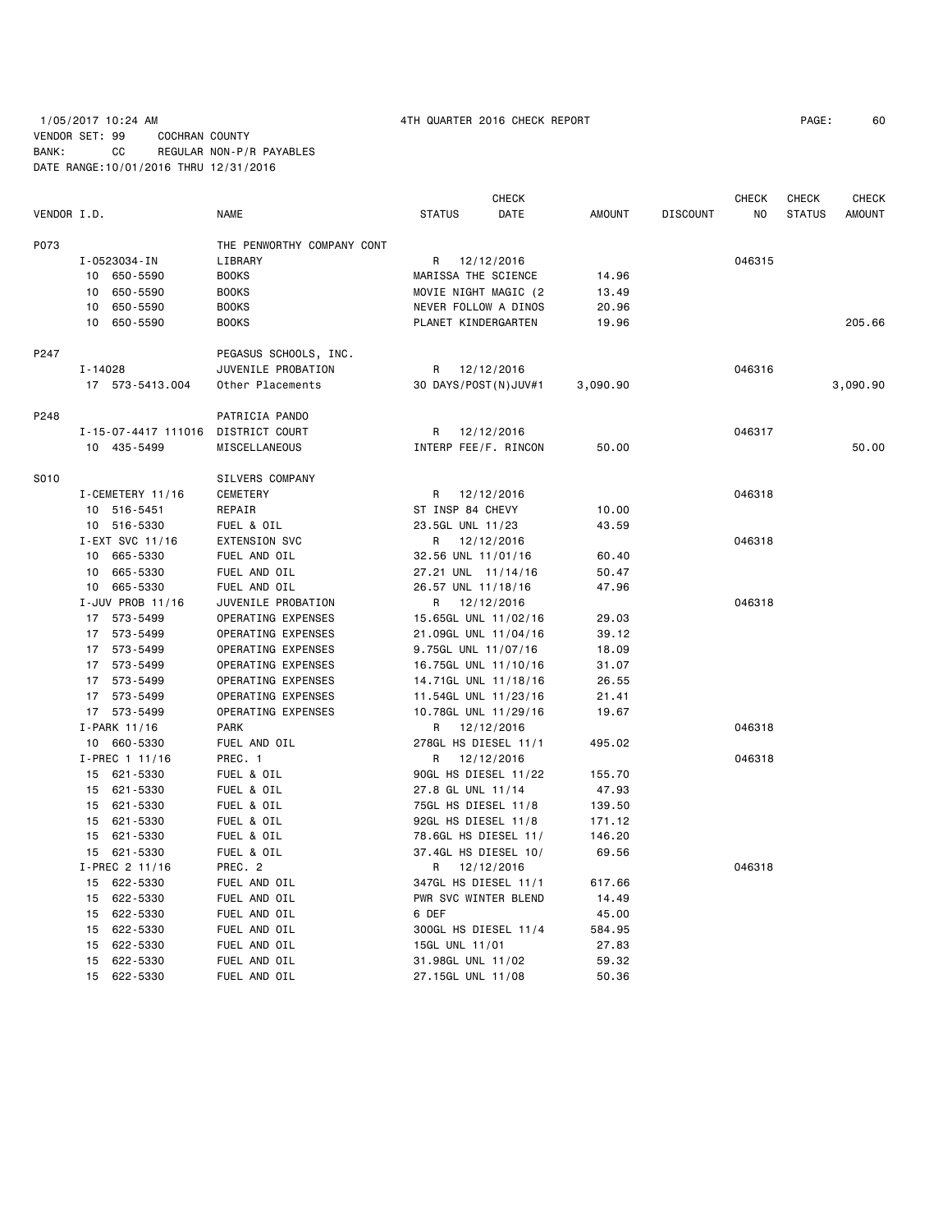# 1/05/2017 10:24 AM 4TH QUARTER 2016 CHECK REPORT PAGE: 60 VENDOR SET: 99 COCHRAN COUNTY BANK: CC REGULAR NON-P/R PAYABLES DATE RANGE:10/01/2016 THRU 12/31/2016

|             |                     |                            |                      | <b>CHECK</b> |               |                 | <b>CHECK</b> | <b>CHECK</b>  | <b>CHECK</b>  |
|-------------|---------------------|----------------------------|----------------------|--------------|---------------|-----------------|--------------|---------------|---------------|
| VENDOR I.D. |                     | <b>NAME</b>                | <b>STATUS</b>        | DATE         | <b>AMOUNT</b> | <b>DISCOUNT</b> | NO           | <b>STATUS</b> | <b>AMOUNT</b> |
| P073        |                     | THE PENWORTHY COMPANY CONT |                      |              |               |                 |              |               |               |
|             | I-0523034-IN        | LIBRARY                    | R                    | 12/12/2016   |               |                 | 046315       |               |               |
|             | 10 650-5590         | <b>BOOKS</b>               | MARISSA THE SCIENCE  |              | 14.96         |                 |              |               |               |
|             | 650-5590<br>10      | <b>BOOKS</b>               | MOVIE NIGHT MAGIC (2 |              | 13.49         |                 |              |               |               |
|             | 10<br>650-5590      | <b>BOOKS</b>               | NEVER FOLLOW A DINOS |              | 20.96         |                 |              |               |               |
|             | 650-5590<br>10      | <b>BOOKS</b>               | PLANET KINDERGARTEN  |              | 19.96         |                 |              |               | 205.66        |
| P247        |                     | PEGASUS SCHOOLS, INC.      |                      |              |               |                 |              |               |               |
|             | I-14028             | JUVENILE PROBATION         | R                    | 12/12/2016   |               |                 | 046316       |               |               |
|             | 17 573-5413.004     | Other Placements           | 30 DAYS/POST(N)JUV#1 |              | 3,090.90      |                 |              |               | 3,090.90      |
| P248        |                     | PATRICIA PANDO             |                      |              |               |                 |              |               |               |
|             | I-15-07-4417 111016 | DISTRICT COURT             | R                    | 12/12/2016   |               |                 | 046317       |               |               |
|             | 10 435-5499         | MISCELLANEOUS              | INTERP FEE/F. RINCON |              | 50.00         |                 |              |               | 50.00         |
| S010        |                     | SILVERS COMPANY            |                      |              |               |                 |              |               |               |
|             | I-CEMETERY 11/16    | CEMETERY                   | R                    | 12/12/2016   |               |                 | 046318       |               |               |
|             | 10 516-5451         | REPAIR                     | ST INSP 84 CHEVY     |              | 10.00         |                 |              |               |               |
|             | 10 516-5330         | FUEL & OIL                 | 23.5GL UNL 11/23     |              | 43.59         |                 |              |               |               |
|             | I-EXT SVC 11/16     | EXTENSION SVC              | R                    | 12/12/2016   |               |                 | 046318       |               |               |
|             | 665-5330<br>10      | FUEL AND OIL               | 32.56 UNL 11/01/16   |              | 60.40         |                 |              |               |               |
|             | 665-5330<br>10      | FUEL AND OIL               | 27.21 UNL 11/14/16   |              | 50.47         |                 |              |               |               |
|             | 10 665-5330         | FUEL AND OIL               | 26.57 UNL 11/18/16   |              | 47.96         |                 |              |               |               |
|             | I-JUV PROB 11/16    | JUVENILE PROBATION         | R                    | 12/12/2016   |               |                 | 046318       |               |               |
|             | 17 573-5499         | OPERATING EXPENSES         | 15.65GL UNL 11/02/16 |              | 29.03         |                 |              |               |               |
|             | 17 573-5499         | OPERATING EXPENSES         | 21.09GL UNL 11/04/16 |              | 39.12         |                 |              |               |               |
|             | 17 573-5499         | OPERATING EXPENSES         | 9.75GL UNL 11/07/16  |              | 18.09         |                 |              |               |               |
|             | 17 573-5499         | OPERATING EXPENSES         | 16.75GL UNL 11/10/16 |              | 31.07         |                 |              |               |               |
|             | 17 573-5499         | OPERATING EXPENSES         | 14.71GL UNL 11/18/16 |              | 26.55         |                 |              |               |               |
|             | 17 573-5499         | OPERATING EXPENSES         | 11.54GL UNL 11/23/16 |              | 21.41         |                 |              |               |               |
|             | 17 573-5499         | OPERATING EXPENSES         | 10.78GL UNL 11/29/16 |              | 19.67         |                 |              |               |               |
|             | I-PARK 11/16        | <b>PARK</b>                | R                    | 12/12/2016   |               |                 | 046318       |               |               |
|             | 10 660-5330         | FUEL AND OIL               | 278GL HS DIESEL 11/1 |              | 495.02        |                 |              |               |               |
|             | I-PREC 1 11/16      | PREC. 1                    | R                    | 12/12/2016   |               |                 | 046318       |               |               |
|             | 15 621-5330         | FUEL & OIL                 | 90GL HS DIESEL 11/22 |              | 155.70        |                 |              |               |               |
|             | 15 621-5330         | FUEL & OIL                 | 27.8 GL UNL 11/14    |              | 47.93         |                 |              |               |               |
|             | 15 621-5330         | FUEL & OIL                 | 75GL HS DIESEL 11/8  |              | 139.50        |                 |              |               |               |
|             | 15 621-5330         | FUEL & OIL                 | 92GL HS DIESEL 11/8  |              | 171.12        |                 |              |               |               |
|             | 621-5330<br>15      | FUEL & OIL                 | 78.6GL HS DIESEL 11/ |              | 146.20        |                 |              |               |               |
|             | 15 621-5330         | FUEL & OIL                 | 37.4GL HS DIESEL 10/ |              | 69.56         |                 |              |               |               |
|             | I-PREC 2 11/16      | PREC. 2                    | R                    | 12/12/2016   |               |                 | 046318       |               |               |
|             | 15 622-5330         | FUEL AND OIL               | 347GL HS DIESEL 11/1 |              | 617.66        |                 |              |               |               |
|             | 15 622-5330         | FUEL AND OIL               | PWR SVC WINTER BLEND |              | 14.49         |                 |              |               |               |
|             | 15 622-5330         | FUEL AND OIL               | 6 DEF                |              | 45.00         |                 |              |               |               |
|             | 15 622-5330         | FUEL AND OIL               | 300GL HS DIESEL 11/4 |              | 584.95        |                 |              |               |               |
|             | 622-5330<br>15      | FUEL AND OIL               | 15GL UNL 11/01       |              | 27.83         |                 |              |               |               |
|             | 622-5330<br>15      | FUEL AND OIL               | 31.98GL UNL 11/02    |              | 59.32         |                 |              |               |               |
|             | 15<br>622-5330      | FUEL AND OIL               | 27.15GL UNL 11/08    |              | 50.36         |                 |              |               |               |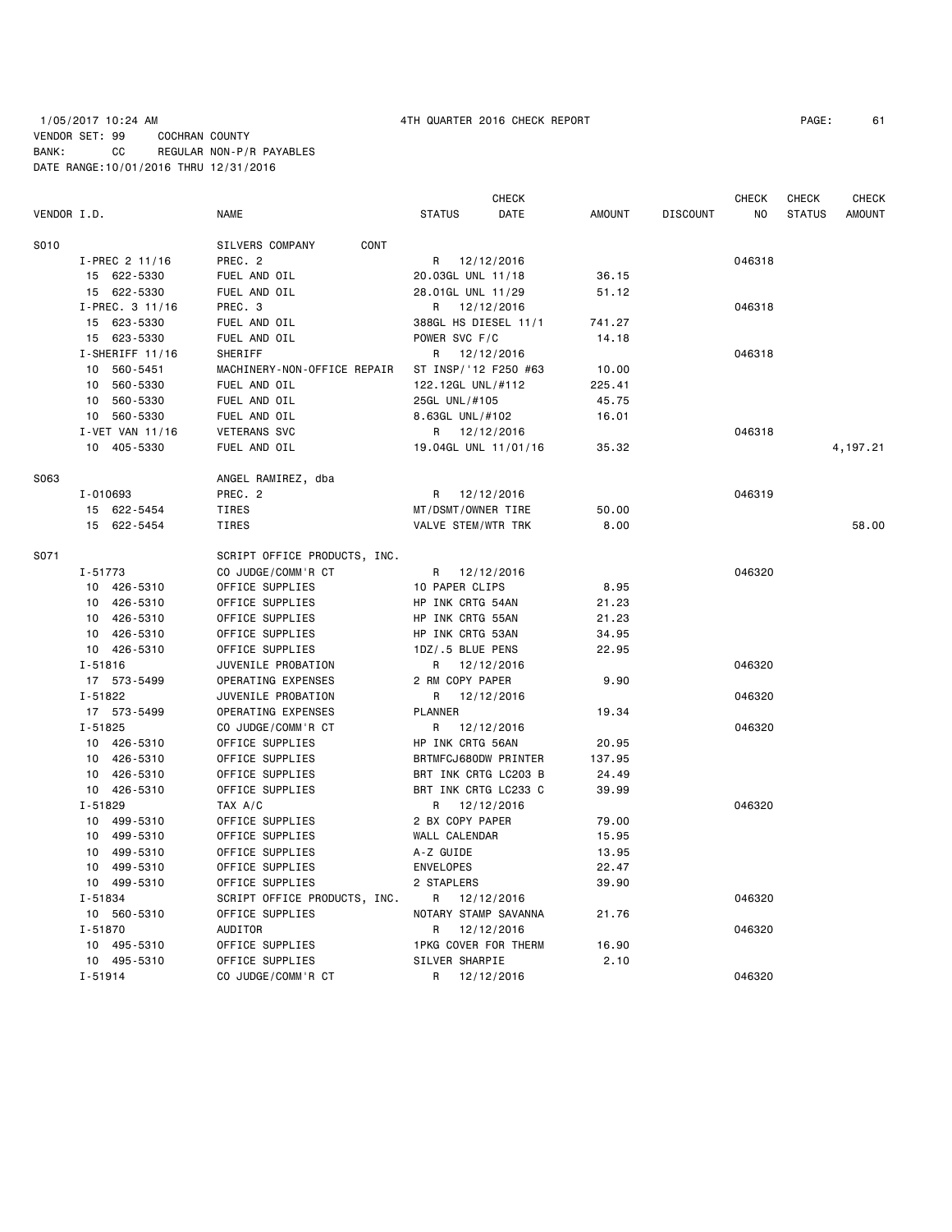# 1/05/2017 10:24 AM 4TH QUARTER 2016 CHECK REPORT PAGE: 61 VENDOR SET: 99 COCHRAN COUNTY BANK: CC REGULAR NON-P/R PAYABLES DATE RANGE:10/01/2016 THRU 12/31/2016

|             |                   |                              |                      | CHECK |               | CHECK                 | CHECK         | CHECK         |
|-------------|-------------------|------------------------------|----------------------|-------|---------------|-----------------------|---------------|---------------|
| VENDOR I.D. |                   | <b>NAME</b>                  | <b>STATUS</b>        | DATE  | <b>AMOUNT</b> | <b>DISCOUNT</b><br>ΝO | <b>STATUS</b> | <b>AMOUNT</b> |
| S010        |                   | SILVERS COMPANY<br>CONT      |                      |       |               |                       |               |               |
|             | I-PREC 2 11/16    | PREC. 2                      | R 12/12/2016         |       |               | 046318                |               |               |
|             | 15 622-5330       | FUEL AND OIL                 | 20.03GL UNL 11/18    |       | 36.15         |                       |               |               |
|             | 15 622-5330       | FUEL AND OIL                 | 28.01GL UNL 11/29    |       | 51.12         |                       |               |               |
|             | $I-PREC. 3 11/16$ | PREC. 3                      | 12/12/2016<br>R      |       |               | 046318                |               |               |
|             | 15 623-5330       | FUEL AND OIL                 | 388GL HS DIESEL 11/1 |       | 741.27        |                       |               |               |
|             | 15 623-5330       | FUEL AND OIL                 | POWER SVC F/C        |       | 14.18         |                       |               |               |
|             | $I-SHERIFF 11/16$ | SHERIFF                      | R 12/12/2016         |       |               | 046318                |               |               |
|             | 10 560-5451       | MACHINERY-NON-OFFICE REPAIR  | ST INSP/'12 F250 #63 |       |               |                       |               |               |
|             | 560-5330          | FUEL AND OIL                 |                      |       | 10.00         |                       |               |               |
|             | 10                |                              | 122.12GL UNL/#112    |       | 225.41        |                       |               |               |
|             | 10 560-5330       | FUEL AND OIL                 | 25GL UNL/#105        |       | 45.75         |                       |               |               |
|             | 10 560-5330       | FUEL AND OIL                 | 8.63GL UNL/#102      |       | 16.01         |                       |               |               |
|             | I-VET VAN 11/16   | <b>VETERANS SVC</b>          | R 12/12/2016         |       |               | 046318                |               |               |
|             | 10 405-5330       | FUEL AND OIL                 | 19.04GL UNL 11/01/16 |       | 35.32         |                       |               | 4,197.21      |
| S063        |                   | ANGEL RAMIREZ, dba           |                      |       |               |                       |               |               |
|             | I-010693          | PREC. 2                      | R 12/12/2016         |       |               | 046319                |               |               |
|             | 15 622-5454       | <b>TIRES</b>                 | MT/DSMT/OWNER TIRE   |       | 50.00         |                       |               |               |
|             | 15 622-5454       | <b>TIRES</b>                 | VALVE STEM/WTR TRK   |       | 8.00          |                       |               | 58,00         |
| S071        |                   | SCRIPT OFFICE PRODUCTS, INC. |                      |       |               |                       |               |               |
|             | I-51773           | CO JUDGE/COMM'R CT           | R 12/12/2016         |       |               | 046320                |               |               |
|             | 10 426-5310       | OFFICE SUPPLIES              | 10 PAPER CLIPS       |       | 8.95          |                       |               |               |
|             | 10 426-5310       | OFFICE SUPPLIES              | HP INK CRTG 54AN     |       | 21.23         |                       |               |               |
|             | 10 426-5310       | OFFICE SUPPLIES              | HP INK CRTG 55AN     |       | 21.23         |                       |               |               |
|             | 10 426-5310       | OFFICE SUPPLIES              | HP INK CRTG 53AN     |       | 34.95         |                       |               |               |
|             | 10 426-5310       | OFFICE SUPPLIES              | 1DZ/.5 BLUE PENS     |       | 22.95         |                       |               |               |
|             | $I - 51816$       | JUVENILE PROBATION           | R<br>12/12/2016      |       |               | 046320                |               |               |
|             | 17 573-5499       | OPERATING EXPENSES           | 2 RM COPY PAPER      |       | 9.90          |                       |               |               |
|             | $I - 51822$       | JUVENILE PROBATION           | R<br>12/12/2016      |       |               | 046320                |               |               |
|             | 17 573-5499       | OPERATING EXPENSES           | <b>PLANNER</b>       |       | 19.34         |                       |               |               |
|             | $I - 51825$       | CO JUDGE/COMM'R CT           | 12/12/2016<br>R      |       |               | 046320                |               |               |
|             | 10 426-5310       | OFFICE SUPPLIES              | HP INK CRTG 56AN     |       | 20.95         |                       |               |               |
|             | 10 426-5310       | OFFICE SUPPLIES              | BRTMFCJ680DW PRINTER |       | 137.95        |                       |               |               |
|             | 10 426-5310       | OFFICE SUPPLIES              | BRT INK CRTG LC203 B |       | 24.49         |                       |               |               |
|             | 10 426-5310       | OFFICE SUPPLIES              | BRT INK CRTG LC233 C |       | 39.99         |                       |               |               |
|             | $I - 51829$       | TAX A/C                      | 12/12/2016<br>R      |       |               | 046320                |               |               |
|             |                   |                              |                      |       |               |                       |               |               |
|             | 10 499-5310       | OFFICE SUPPLIES              | 2 BX COPY PAPER      |       | 79.00         |                       |               |               |
|             | 10 499-5310       | OFFICE SUPPLIES              | WALL CALENDAR        |       | 15.95         |                       |               |               |
|             | 10 499-5310       | OFFICE SUPPLIES              | A-Z GUIDE            |       | 13.95         |                       |               |               |
|             | 499-5310<br>10    | OFFICE SUPPLIES              | <b>ENVELOPES</b>     |       | 22.47         |                       |               |               |
|             | 10 499-5310       | OFFICE SUPPLIES              | 2 STAPLERS           |       | 39.90         |                       |               |               |
|             | I-51834           | SCRIPT OFFICE PRODUCTS, INC. | R<br>12/12/2016      |       |               | 046320                |               |               |
|             | 10 560-5310       | OFFICE SUPPLIES              | NOTARY STAMP SAVANNA |       | 21.76         |                       |               |               |
|             | I-51870           | AUDITOR                      | 12/12/2016<br>R      |       |               | 046320                |               |               |
|             | 10 495-5310       | OFFICE SUPPLIES              | 1PKG COVER FOR THERM |       | 16.90         |                       |               |               |
|             | 10 495-5310       | OFFICE SUPPLIES              | SILVER SHARPIE       |       | 2.10          |                       |               |               |
|             | $I - 51914$       | CO JUDGE/COMM'R CT           | R<br>12/12/2016      |       |               | 046320                |               |               |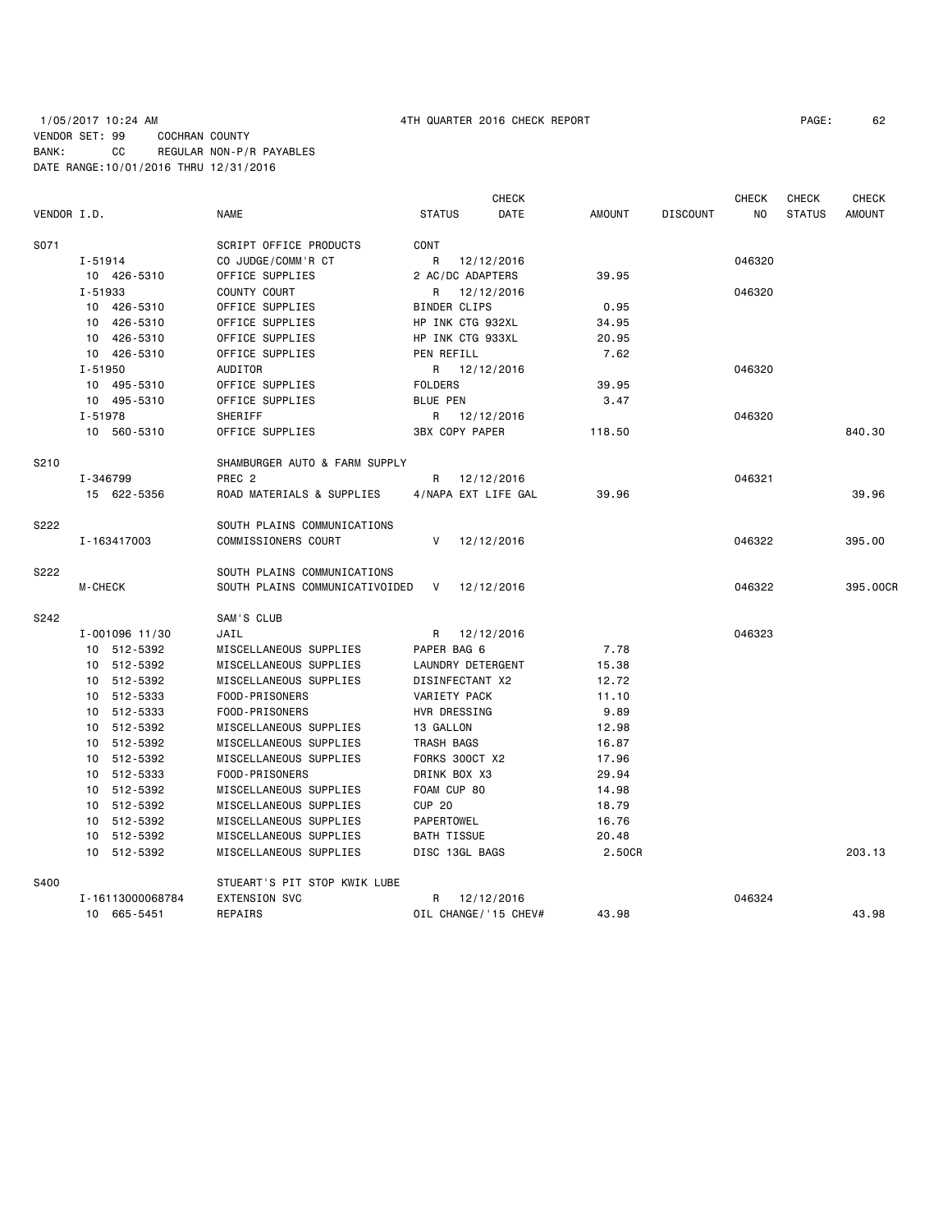| VENDOR I.D. |                            | <b>NAME</b>                                      | <b>STATUS</b>           | CHECK<br>DATE        | <b>AMOUNT</b>  | <b>DISCOUNT</b> | <b>CHECK</b><br>NO. | <b>CHECK</b><br><b>STATUS</b> | <b>CHECK</b><br><b>AMOUNT</b> |
|-------------|----------------------------|--------------------------------------------------|-------------------------|----------------------|----------------|-----------------|---------------------|-------------------------------|-------------------------------|
| S071        |                            | SCRIPT OFFICE PRODUCTS                           | <b>CONT</b>             |                      |                |                 |                     |                               |                               |
|             | $I - 51914$                | CO JUDGE/COMM'R CT                               | R                       | 12/12/2016           |                |                 | 046320              |                               |                               |
|             | 10 426-5310                | OFFICE SUPPLIES                                  | 2 AC/DC ADAPTERS        |                      | 39.95          |                 |                     |                               |                               |
|             | I-51933                    | COUNTY COURT                                     | R                       | 12/12/2016           |                |                 | 046320              |                               |                               |
|             | 10 426-5310                | OFFICE SUPPLIES                                  | BINDER CLIPS            |                      | 0.95           |                 |                     |                               |                               |
|             | 10 426-5310                | OFFICE SUPPLIES                                  | HP INK CTG 932XL        |                      | 34.95          |                 |                     |                               |                               |
|             | 10 426-5310                | OFFICE SUPPLIES                                  | HP INK CTG 933XL        |                      | 20.95          |                 |                     |                               |                               |
|             | 10 426-5310                | OFFICE SUPPLIES                                  | PEN REFILL              |                      | 7.62           |                 |                     |                               |                               |
|             | $I - 51950$                | AUDITOR                                          |                         | R 12/12/2016         |                |                 | 046320              |                               |                               |
|             | 10 495-5310                | OFFICE SUPPLIES                                  | <b>FOLDERS</b>          |                      | 39.95          |                 |                     |                               |                               |
|             | 10 495-5310                | OFFICE SUPPLIES                                  | <b>BLUE PEN</b>         |                      | 3.47           |                 |                     |                               |                               |
|             | I-51978                    | SHERIFF                                          |                         | R 12/12/2016         |                |                 | 046320              |                               |                               |
|             | 10 560-5310                | OFFICE SUPPLIES                                  | <b>3BX COPY PAPER</b>   |                      | 118.50         |                 |                     |                               | 840.30                        |
| S210        |                            | SHAMBURGER AUTO & FARM SUPPLY                    |                         |                      |                |                 |                     |                               |                               |
|             | I-346799                   | PREC <sub>2</sub>                                | R                       | 12/12/2016           |                |                 | 046321              |                               |                               |
|             | 15 622-5356                | ROAD MATERIALS & SUPPLIES                        | 4/NAPA EXT LIFE GAL     |                      | 39.96          |                 |                     |                               | 39.96                         |
| S222        |                            | SOUTH PLAINS COMMUNICATIONS                      |                         |                      |                |                 |                     |                               |                               |
|             | I-163417003                | COMMISSIONERS COURT                              | V                       | 12/12/2016           |                |                 | 046322              |                               | 395.00                        |
| S222        |                            | SOUTH PLAINS COMMUNICATIONS                      |                         |                      |                |                 |                     |                               |                               |
|             | <b>M-CHECK</b>             | SOUTH PLAINS COMMUNICATIVOIDED                   | V                       | 12/12/2016           |                |                 | 046322              |                               | 395,00CR                      |
| S242        |                            | SAM'S CLUB                                       |                         |                      |                |                 |                     |                               |                               |
|             | I-001096 11/30             | JAIL                                             | R.                      | 12/12/2016           |                |                 | 046323              |                               |                               |
|             | 10 512-5392                | MISCELLANEOUS SUPPLIES                           | PAPER BAG 6             |                      | 7.78           |                 |                     |                               |                               |
|             | 10 512-5392                | MISCELLANEOUS SUPPLIES                           | LAUNDRY DETERGENT       |                      | 15.38          |                 |                     |                               |                               |
|             | 10 512-5392                | MISCELLANEOUS SUPPLIES                           | DISINFECTANT X2         |                      | 12.72          |                 |                     |                               |                               |
|             | 10 512-5333                | FOOD-PRISONERS                                   | VARIETY PACK            |                      | 11.10          |                 |                     |                               |                               |
|             | 10 512-5333                | FOOD-PRISONERS                                   | HVR DRESSING            |                      | 9.89           |                 |                     |                               |                               |
|             | 10 512-5392<br>10 512-5392 | MISCELLANEOUS SUPPLIES<br>MISCELLANEOUS SUPPLIES | 13 GALLON<br>TRASH BAGS |                      | 12.98<br>16.87 |                 |                     |                               |                               |
|             | 10 512-5392                | MISCELLANEOUS SUPPLIES                           | FORKS 300CT X2          |                      | 17.96          |                 |                     |                               |                               |
|             | 10 512-5333                | FOOD-PRISONERS                                   | DRINK BOX X3            |                      | 29.94          |                 |                     |                               |                               |
|             | 10 512-5392                | MISCELLANEOUS SUPPLIES                           | FOAM CUP 80             |                      | 14.98          |                 |                     |                               |                               |
|             | 10 512-5392                | MISCELLANEOUS SUPPLIES                           | <b>CUP 20</b>           |                      | 18.79          |                 |                     |                               |                               |
|             | 10 512-5392                | MISCELLANEOUS SUPPLIES                           | PAPERTOWEL              |                      | 16.76          |                 |                     |                               |                               |
|             | 10 512-5392                | MISCELLANEOUS SUPPLIES                           | <b>BATH TISSUE</b>      |                      | 20.48          |                 |                     |                               |                               |
|             | 10 512-5392                | MISCELLANEOUS SUPPLIES                           | DISC 13GL BAGS          |                      | 2.50CR         |                 |                     |                               | 203.13                        |
| S400        |                            | STUEART'S PIT STOP KWIK LUBE                     |                         |                      |                |                 |                     |                               |                               |
|             | I-16113000068784           | <b>EXTENSION SVC</b>                             | R                       | 12/12/2016           |                |                 | 046324              |                               |                               |
|             | 10 665-5451                | REPAIRS                                          |                         | OIL CHANGE/'15 CHEV# | 43.98          |                 |                     |                               | 43.98                         |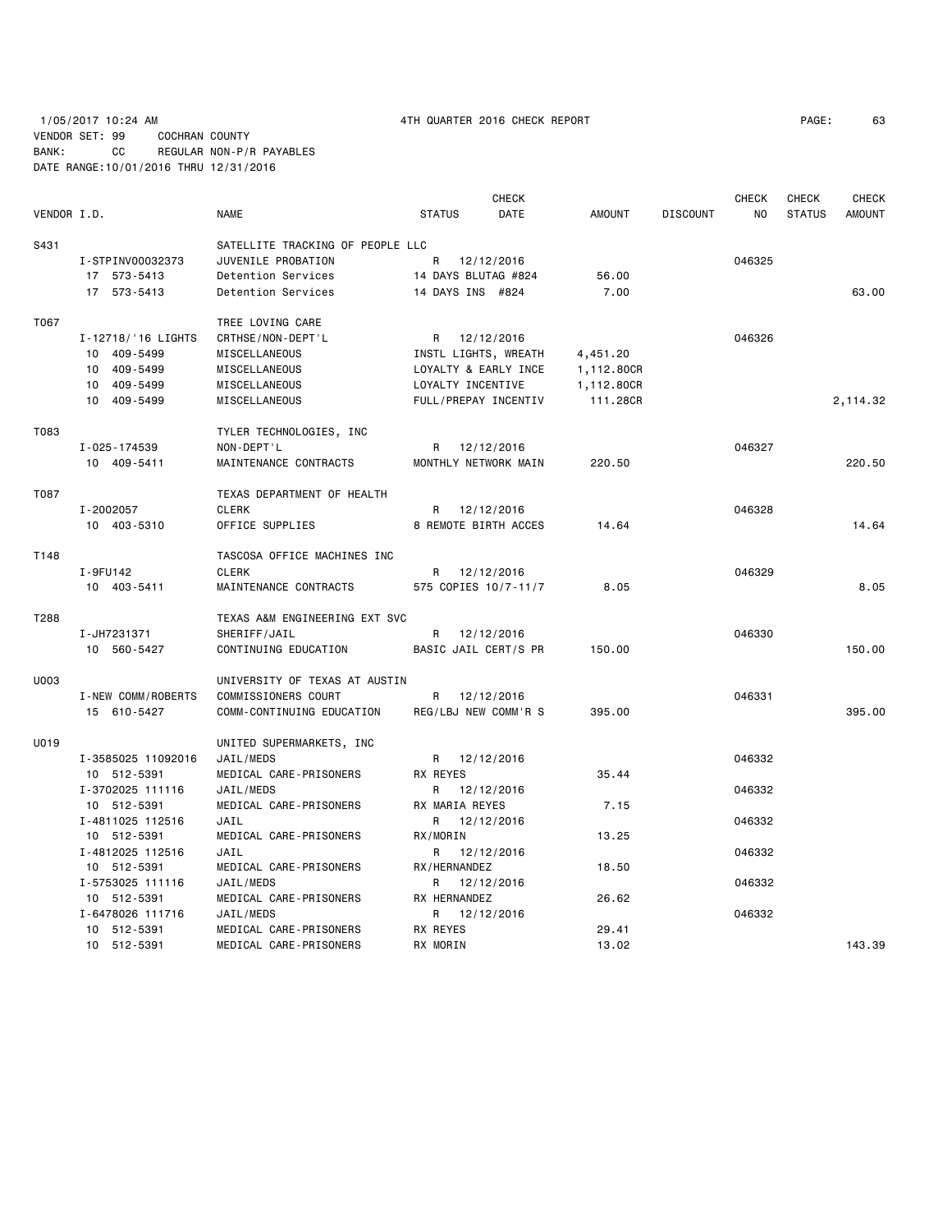1/05/2017 10:24 AM 4TH QUARTER 2016 CHECK REPORT PAGE: 63 VENDOR SET: 99 COCHRAN COUNTY BANK: CC REGULAR NON-P/R PAYABLES DATE RANGE:10/01/2016 THRU 12/31/2016

|             |                    |                                  |                      | <b>CHECK</b>         |               |                 | <b>CHECK</b> | <b>CHECK</b>  | <b>CHECK</b>  |
|-------------|--------------------|----------------------------------|----------------------|----------------------|---------------|-----------------|--------------|---------------|---------------|
| VENDOR I.D. |                    | <b>NAME</b>                      | <b>STATUS</b>        | DATE                 | <b>AMOUNT</b> | <b>DISCOUNT</b> | NO.          | <b>STATUS</b> | <b>AMOUNT</b> |
| S431        |                    | SATELLITE TRACKING OF PEOPLE LLC |                      |                      |               |                 |              |               |               |
|             | I-STPINV00032373   | JUVENILE PROBATION               | R                    | 12/12/2016           |               |                 | 046325       |               |               |
|             | 17 573-5413        | Detention Services               | 14 DAYS BLUTAG #824  |                      | 56.00         |                 |              |               |               |
|             | 17 573-5413        | Detention Services               | 14 DAYS INS #824     |                      | 7.00          |                 |              |               | 63.00         |
| T067        |                    | TREE LOVING CARE                 |                      |                      |               |                 |              |               |               |
|             | I-12718/'16 LIGHTS | CRTHSE/NON-DEPT'L                | R 12/12/2016         |                      |               |                 | 046326       |               |               |
|             | 10 409-5499        | MISCELLANEOUS                    |                      | INSTL LIGHTS, WREATH | 4,451.20      |                 |              |               |               |
|             | 10 409-5499        | MISCELLANEOUS                    |                      | LOYALTY & EARLY INCE | 1,112.80CR    |                 |              |               |               |
|             | 10 409-5499        | MISCELLANEOUS                    | LOYALTY INCENTIVE    |                      | 1,112.80CR    |                 |              |               |               |
|             | 10 409-5499        | MISCELLANEOUS                    | FULL/PREPAY INCENTIV |                      | 111.28CR      |                 |              |               | 2,114.32      |
| T083        |                    | TYLER TECHNOLOGIES, INC          |                      |                      |               |                 |              |               |               |
|             | I-025-174539       | NON-DEPT'L                       | R 12/12/2016         |                      |               |                 | 046327       |               |               |
|             | 10 409-5411        | MAINTENANCE CONTRACTS            | MONTHLY NETWORK MAIN |                      | 220.50        |                 |              |               | 220.50        |
| T087        |                    | TEXAS DEPARTMENT OF HEALTH       |                      |                      |               |                 |              |               |               |
|             | I-2002057          | <b>CLERK</b>                     | R 12/12/2016         |                      |               |                 | 046328       |               |               |
|             | 10 403-5310        | OFFICE SUPPLIES                  |                      | 8 REMOTE BIRTH ACCES | 14.64         |                 |              |               | 14.64         |
| T148        |                    | TASCOSA OFFICE MACHINES INC      |                      |                      |               |                 |              |               |               |
|             | I-9FU142           | <b>CLERK</b>                     | R 12/12/2016         |                      |               |                 | 046329       |               |               |
|             | 10 403-5411        | MAINTENANCE CONTRACTS            | 575 COPIES 10/7-11/7 |                      | 8.05          |                 |              |               | 8.05          |
| T288        |                    | TEXAS A&M ENGINEERING EXT SVC    |                      |                      |               |                 |              |               |               |
|             | I-JH7231371        | SHERIFF/JAIL                     | R                    | 12/12/2016           |               |                 | 046330       |               |               |
|             | 10 560-5427        | CONTINUING EDUCATION             | BASIC JAIL CERT/S PR |                      | 150.00        |                 |              |               | 150.00        |
| U003        |                    | UNIVERSITY OF TEXAS AT AUSTIN    |                      |                      |               |                 |              |               |               |
|             | I-NEW COMM/ROBERTS | COMMISSIONERS COURT              | R 12/12/2016         |                      |               |                 | 046331       |               |               |
|             | 15 610-5427        | COMM-CONTINUING EDUCATION        |                      | REG/LBJ NEW COMM'R S | 395.00        |                 |              |               | 395.00        |
| U019        |                    | UNITED SUPERMARKETS, INC         |                      |                      |               |                 |              |               |               |
|             | I-3585025 11092016 | JAIL/MEDS                        | R 12/12/2016         |                      |               |                 | 046332       |               |               |
|             | 10 512-5391        | MEDICAL CARE-PRISONERS           | RX REYES             |                      | 35.44         |                 |              |               |               |
|             | I-3702025 111116   | JAIL/MEDS                        | R                    | 12/12/2016           |               |                 | 046332       |               |               |
|             | 10 512-5391        | MEDICAL CARE-PRISONERS           | RX MARIA REYES       |                      | 7.15          |                 |              |               |               |
|             | I-4811025 112516   | JAIL                             | R                    | 12/12/2016           |               |                 | 046332       |               |               |
|             | 10 512-5391        | MEDICAL CARE-PRISONERS           | RX/MORIN             |                      | 13.25         |                 |              |               |               |
|             | I-4812025 112516   | JAIL                             | R 12/12/2016         |                      |               |                 | 046332       |               |               |
|             | 10 512-5391        | MEDICAL CARE-PRISONERS           | RX/HERNANDEZ         |                      | 18.50         |                 |              |               |               |
|             | I-5753025 111116   | JAIL/MEDS                        | R 12/12/2016         |                      |               |                 | 046332       |               |               |
|             | 10 512-5391        | MEDICAL CARE-PRISONERS           | RX HERNANDEZ         |                      | 26.62         |                 |              |               |               |
|             | I-6478026 111716   | JAIL/MEDS                        | R 12/12/2016         |                      |               |                 | 046332       |               |               |
|             | 10 512-5391        | MEDICAL CARE-PRISONERS           | RX REYES             |                      | 29.41         |                 |              |               |               |
|             | 10 512-5391        | MEDICAL CARE-PRISONERS           | RX MORIN             |                      | 13.02         |                 |              |               | 143.39        |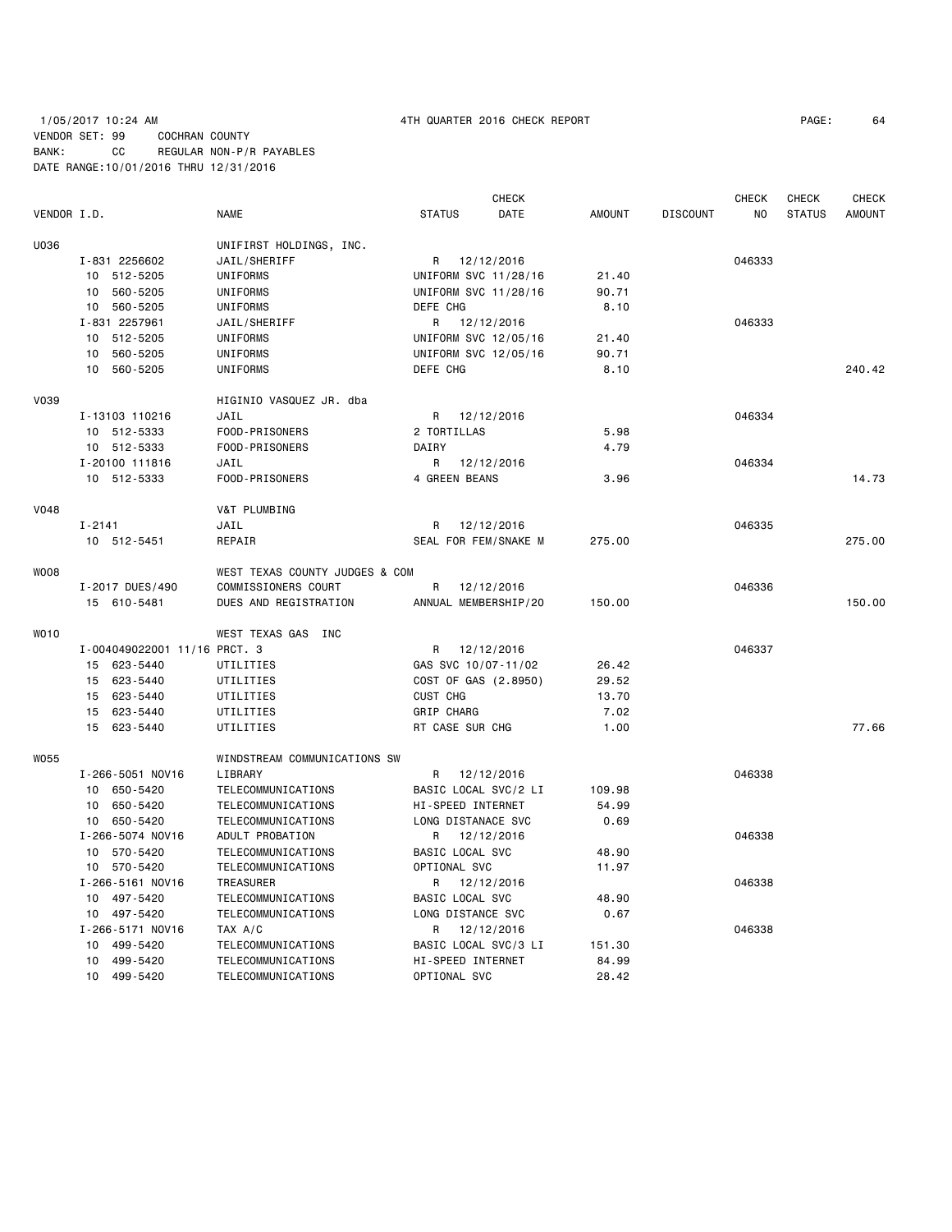# 1/05/2017 10:24 AM 4TH QUARTER 2016 CHECK REPORT PAGE: 64 VENDOR SET: 99 COCHRAN COUNTY BANK: CC REGULAR NON-P/R PAYABLES DATE RANGE:10/01/2016 THRU 12/31/2016

|             |                              |                                |                      | CHECK      |               |                 | CHECK  | CHECK         | <b>CHECK</b>  |
|-------------|------------------------------|--------------------------------|----------------------|------------|---------------|-----------------|--------|---------------|---------------|
| VENDOR I.D. |                              | <b>NAME</b>                    | <b>STATUS</b>        | DATE       | <b>AMOUNT</b> | <b>DISCOUNT</b> | NO.    | <b>STATUS</b> | <b>AMOUNT</b> |
| U036        |                              | UNIFIRST HOLDINGS, INC.        |                      |            |               |                 |        |               |               |
|             | I-831 2256602                | JAIL/SHERIFF                   | R 12/12/2016         |            |               |                 | 046333 |               |               |
|             | 10 512-5205                  | UNIFORMS                       | UNIFORM SVC 11/28/16 |            | 21.40         |                 |        |               |               |
|             | 10 560-5205                  | UNIFORMS                       | UNIFORM SVC 11/28/16 |            | 90.71         |                 |        |               |               |
|             | 10 560-5205                  | UNIFORMS                       | DEFE CHG             |            | 8.10          |                 |        |               |               |
|             | I-831 2257961                | JAIL/SHERIFF                   | R 12/12/2016         |            |               |                 | 046333 |               |               |
|             | 10 512-5205                  | UNIFORMS                       | UNIFORM SVC 12/05/16 |            | 21.40         |                 |        |               |               |
|             | 560-5205<br>10               | UNIFORMS                       | UNIFORM SVC 12/05/16 |            | 90.71         |                 |        |               |               |
|             | 10 560-5205                  | UNIFORMS                       | DEFE CHG             |            | 8.10          |                 |        |               | 240.42        |
|             |                              |                                |                      |            |               |                 |        |               |               |
| <b>V039</b> |                              | HIGINIO VASQUEZ JR. dba        |                      |            |               |                 |        |               |               |
|             | I-13103 110216               | JAIL                           | R                    | 12/12/2016 |               |                 | 046334 |               |               |
|             | 10 512-5333                  | FOOD-PRISONERS                 | 2 TORTILLAS          |            | 5.98          |                 |        |               |               |
|             | 10 512-5333                  | FOOD-PRISONERS                 | DAIRY                |            | 4.79          |                 |        |               |               |
|             | I-20100 111816               | JAIL                           | R                    | 12/12/2016 |               |                 | 046334 |               |               |
|             | 10 512-5333                  | FOOD-PRISONERS                 | 4 GREEN BEANS        |            | 3.96          |                 |        |               | 14.73         |
| <b>V048</b> |                              | V&T PLUMBING                   |                      |            |               |                 |        |               |               |
|             | $I - 2141$                   | JAIL                           | R                    | 12/12/2016 |               |                 | 046335 |               |               |
|             | 10 512-5451                  | REPAIR                         | SEAL FOR FEM/SNAKE M |            | 275.00        |                 |        |               | 275.00        |
|             |                              |                                |                      |            |               |                 |        |               |               |
| <b>WOO8</b> |                              | WEST TEXAS COUNTY JUDGES & COM |                      |            |               |                 |        |               |               |
|             | I-2017 DUES/490              | COMMISSIONERS COURT            | R                    | 12/12/2016 |               |                 | 046336 |               |               |
|             | 15 610-5481                  | DUES AND REGISTRATION          | ANNUAL MEMBERSHIP/20 |            | 150.00        |                 |        |               | 150.00        |
| WO10        |                              | WEST TEXAS GAS INC             |                      |            |               |                 |        |               |               |
|             | I-004049022001 11/16 PRCT. 3 |                                | R 12/12/2016         |            |               |                 | 046337 |               |               |
|             | 15 623-5440                  | UTILITIES                      | GAS SVC 10/07-11/02  |            | 26.42         |                 |        |               |               |
|             | 15 623-5440                  | UTILITIES                      | COST OF GAS (2.8950) |            | 29.52         |                 |        |               |               |
|             | 15 623-5440                  | UTILITIES                      | CUST CHG             |            | 13.70         |                 |        |               |               |
|             | 15 623-5440                  | UTILITIES                      | <b>GRIP CHARG</b>    |            | 7.02          |                 |        |               |               |
|             | 15 623-5440                  | UTILITIES                      | RT CASE SUR CHG      |            | 1.00          |                 |        |               | 77.66         |
|             |                              |                                |                      |            |               |                 |        |               |               |
| <b>W055</b> |                              | WINDSTREAM COMMUNICATIONS SW   |                      |            |               |                 |        |               |               |
|             | I-266-5051 NOV16             | LIBRARY                        | R                    | 12/12/2016 |               |                 | 046338 |               |               |
|             | 10 650-5420                  | TELECOMMUNICATIONS             | BASIC LOCAL SVC/2 LI |            | 109.98        |                 |        |               |               |
|             | 10 650-5420                  | TELECOMMUNICATIONS             | HI-SPEED INTERNET    |            | 54.99         |                 |        |               |               |
|             | 10 650-5420                  | TELECOMMUNICATIONS             | LONG DISTANACE SVC   |            | 0.69          |                 |        |               |               |
|             | I-266-5074 NOV16             | ADULT PROBATION                | R                    | 12/12/2016 |               |                 | 046338 |               |               |
|             | 10 570-5420                  | TELECOMMUNICATIONS             | BASIC LOCAL SVC      |            | 48.90         |                 |        |               |               |
|             | 10 570-5420                  | TELECOMMUNICATIONS             | OPTIONAL SVC         |            | 11.97         |                 |        |               |               |
|             | I-266-5161 NOV16             | TREASURER                      | R 12/12/2016         |            |               |                 | 046338 |               |               |
|             | 10 497-5420                  | TELECOMMUNICATIONS             | BASIC LOCAL SVC      |            | 48.90         |                 |        |               |               |
|             | 10 497-5420                  | TELECOMMUNICATIONS             | LONG DISTANCE SVC    |            | 0.67          |                 |        |               |               |
|             | I-266-5171 NOV16             | TAX A/C                        | R                    | 12/12/2016 |               |                 | 046338 |               |               |
|             | 10 499-5420                  | TELECOMMUNICATIONS             | BASIC LOCAL SVC/3 LI |            | 151.30        |                 |        |               |               |
|             | 10 499-5420                  | TELECOMMUNICATIONS             | HI-SPEED INTERNET    |            | 84.99         |                 |        |               |               |
|             | 10 499-5420                  | TELECOMMUNICATIONS             | OPTIONAL SVC         |            | 28.42         |                 |        |               |               |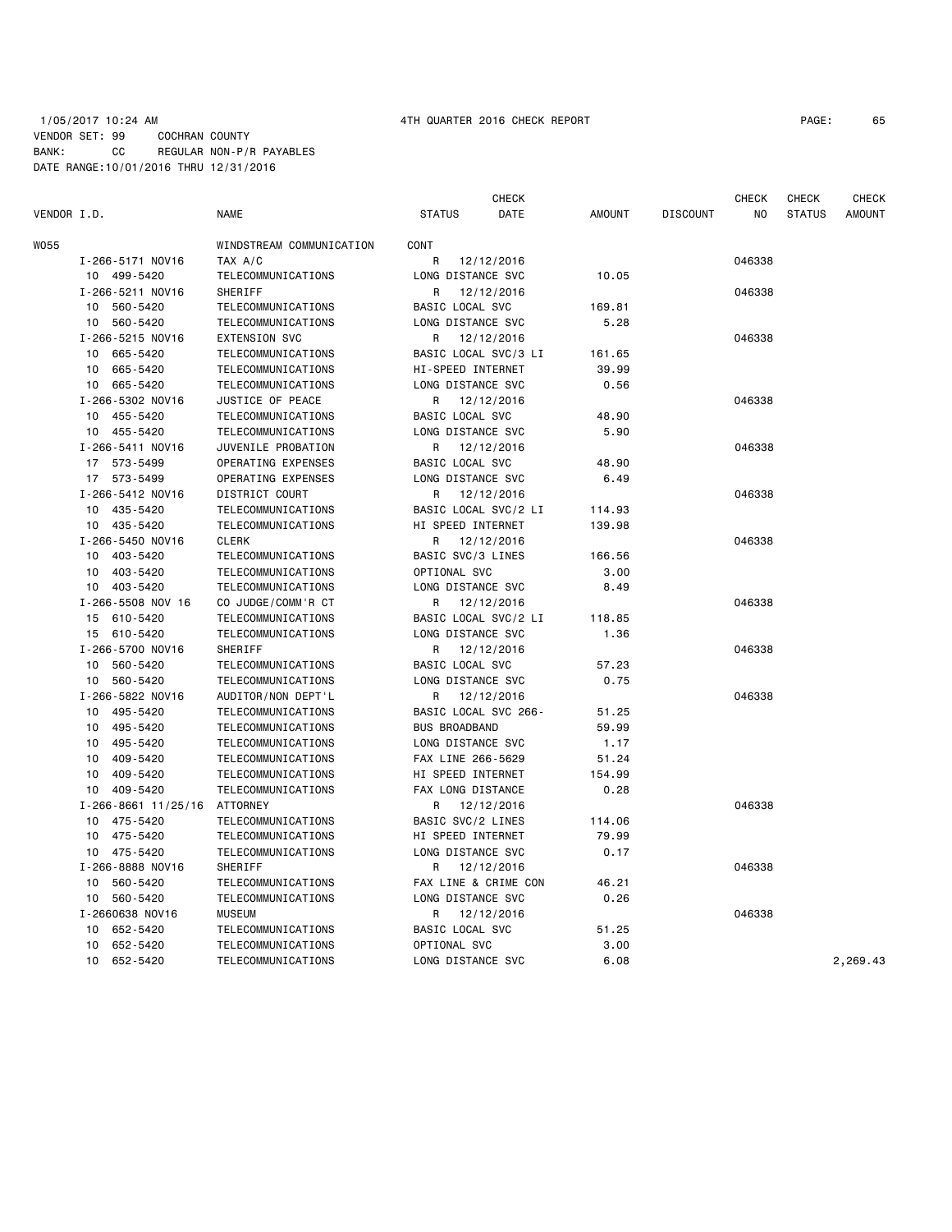### 1/05/2017 10:24 AM 4TH QUARTER 2016 CHECK REPORT PAGE: 65 VENDOR SET: 99 COCHRAN COUNTY BANK: CC REGULAR NON-P/R PAYABLES DATE RANGE:10/01/2016 THRU 12/31/2016

|             |                           |                                          |                      | <b>CHECK</b> |               |                 | <b>CHECK</b> | <b>CHECK</b>  | <b>CHECK</b>  |
|-------------|---------------------------|------------------------------------------|----------------------|--------------|---------------|-----------------|--------------|---------------|---------------|
| VENDOR I.D. |                           | <b>NAME</b>                              | <b>STATUS</b>        | DATE         | <b>AMOUNT</b> | <b>DISCOUNT</b> | NO.          | <b>STATUS</b> | <b>AMOUNT</b> |
| W055        |                           | WINDSTREAM COMMUNICATION                 | <b>CONT</b>          |              |               |                 |              |               |               |
|             | I-266-5171 NOV16          | TAX A/C                                  | R                    | 12/12/2016   |               |                 | 046338       |               |               |
|             | 10 499-5420               | TELECOMMUNICATIONS                       | LONG DISTANCE SVC    |              | 10.05         |                 |              |               |               |
|             | I-266-5211 NOV16          | <b>SHERIFF</b>                           | R                    | 12/12/2016   |               |                 | 046338       |               |               |
|             | 10 560-5420               | TELECOMMUNICATIONS                       | BASIC LOCAL SVC      |              | 169.81        |                 |              |               |               |
|             | 10 560-5420               | TELECOMMUNICATIONS                       | LONG DISTANCE SVC    |              | 5.28          |                 |              |               |               |
|             | I-266-5215 NOV16          | <b>EXTENSION SVC</b>                     | R                    | 12/12/2016   |               |                 | 046338       |               |               |
|             | 10 665-5420               | TELECOMMUNICATIONS                       | BASIC LOCAL SVC/3 LI |              | 161.65        |                 |              |               |               |
|             | 665-5420<br>10            | TELECOMMUNICATIONS                       | HI-SPEED INTERNET    |              | 39.99         |                 |              |               |               |
|             | 665-5420<br>10            | TELECOMMUNICATIONS                       | LONG DISTANCE SVC    |              | 0.56          |                 |              |               |               |
|             | I-266-5302 NOV16          | JUSTICE OF PEACE                         | R                    | 12/12/2016   |               |                 | 046338       |               |               |
|             | 10 455-5420               | TELECOMMUNICATIONS                       | BASIC LOCAL SVC      |              | 48.90         |                 |              |               |               |
|             | 10 455-5420               | TELECOMMUNICATIONS                       | LONG DISTANCE SVC    |              | 5.90          |                 |              |               |               |
|             | I-266-5411 NOV16          | JUVENILE PROBATION                       | R                    | 12/12/2016   |               |                 | 046338       |               |               |
|             | 17 573-5499               | OPERATING EXPENSES                       | BASIC LOCAL SVC      |              | 48.90         |                 |              |               |               |
|             | 17 573-5499               | OPERATING EXPENSES                       | LONG DISTANCE SVC    |              | 6.49          |                 |              |               |               |
|             | I-266-5412 NOV16          | DISTRICT COURT                           | R                    | 12/12/2016   |               |                 | 046338       |               |               |
|             | 10 435-5420               | TELECOMMUNICATIONS                       | BASIC LOCAL SVC/2 LI |              | 114.93        |                 |              |               |               |
|             | 10 435-5420               | TELECOMMUNICATIONS                       | HI SPEED INTERNET    |              | 139.98        |                 |              |               |               |
|             | I-266-5450 NOV16          | <b>CLERK</b>                             | R                    | 12/12/2016   |               |                 | 046338       |               |               |
|             | 403-5420<br>10            | TELECOMMUNICATIONS                       | BASIC SVC/3 LINES    |              | 166.56        |                 |              |               |               |
|             | 403-5420<br>10            | TELECOMMUNICATIONS                       | OPTIONAL SVC         |              | 3.00          |                 |              |               |               |
|             | 403-5420<br>10            |                                          | LONG DISTANCE SVC    |              | 8.49          |                 |              |               |               |
|             | I-266-5508 NOV 16         | TELECOMMUNICATIONS<br>CO JUDGE/COMM'R CT | R                    | 12/12/2016   |               |                 | 046338       |               |               |
|             | 15 610-5420               |                                          |                      |              |               |                 |              |               |               |
|             |                           | TELECOMMUNICATIONS                       | BASIC LOCAL SVC/2 LI |              | 118.85        |                 |              |               |               |
|             | 15 610-5420               | TELECOMMUNICATIONS                       | LONG DISTANCE SVC    |              | 1.36          |                 |              |               |               |
|             | I-266-5700 NOV16          | SHERIFF                                  | R                    | 12/12/2016   |               |                 | 046338       |               |               |
|             | 10 560-5420               | TELECOMMUNICATIONS                       | BASIC LOCAL SVC      |              | 57.23         |                 |              |               |               |
|             | 560-5420<br>10            | TELECOMMUNICATIONS                       | LONG DISTANCE SVC    |              | 0.75          |                 |              |               |               |
|             | I-266-5822 NOV16          | AUDITOR/NON DEPT'L                       | R                    | 12/12/2016   |               |                 | 046338       |               |               |
|             | 495-5420<br>10            | TELECOMMUNICATIONS                       | BASIC LOCAL SVC 266- |              | 51.25         |                 |              |               |               |
|             | 495-5420<br>10            | TELECOMMUNICATIONS                       | <b>BUS BROADBAND</b> |              | 59.99         |                 |              |               |               |
|             | 495-5420<br>10            | TELECOMMUNICATIONS                       | LONG DISTANCE SVC    |              | 1.17          |                 |              |               |               |
|             | 409-5420<br>10            | TELECOMMUNICATIONS                       | FAX LINE 266-5629    |              | 51.24         |                 |              |               |               |
|             | 10<br>409-5420            | TELECOMMUNICATIONS                       | HI SPEED INTERNET    |              | 154.99        |                 |              |               |               |
|             | 10 409-5420               | TELECOMMUNICATIONS                       | FAX LONG DISTANCE    |              | 0.28          |                 |              |               |               |
|             | $I - 266 - 8661$ 11/25/16 | <b>ATTORNEY</b>                          | R                    | 12/12/2016   |               |                 | 046338       |               |               |
|             | 475-5420<br>10            | TELECOMMUNICATIONS                       | BASIC SVC/2 LINES    |              | 114.06        |                 |              |               |               |
|             | 475-5420<br>10            | TELECOMMUNICATIONS                       | HI SPEED INTERNET    |              | 79.99         |                 |              |               |               |
|             | 10 475-5420               | TELECOMMUNICATIONS                       | LONG DISTANCE SVC    |              | 0.17          |                 |              |               |               |
|             | I-266-8888 NOV16          | <b>SHERIFF</b>                           | R                    | 12/12/2016   |               |                 | 046338       |               |               |
|             | 10 560-5420               | TELECOMMUNICATIONS                       | FAX LINE & CRIME CON |              | 46.21         |                 |              |               |               |
|             | 560-5420<br>10            | TELECOMMUNICATIONS                       | LONG DISTANCE SVC    |              | 0.26          |                 |              |               |               |
|             | I-2660638 NOV16           | <b>MUSEUM</b>                            | R                    | 12/12/2016   |               |                 | 046338       |               |               |
|             | 652-5420<br>10            | TELECOMMUNICATIONS                       | BASIC LOCAL SVC      |              | 51.25         |                 |              |               |               |
|             | 652-5420<br>10            | TELECOMMUNICATIONS                       | OPTIONAL SVC         |              | 3.00          |                 |              |               |               |
|             | 652-5420<br>10            | TELECOMMUNICATIONS                       | LONG DISTANCE SVC    |              | 6.08          |                 |              |               | 2,269.43      |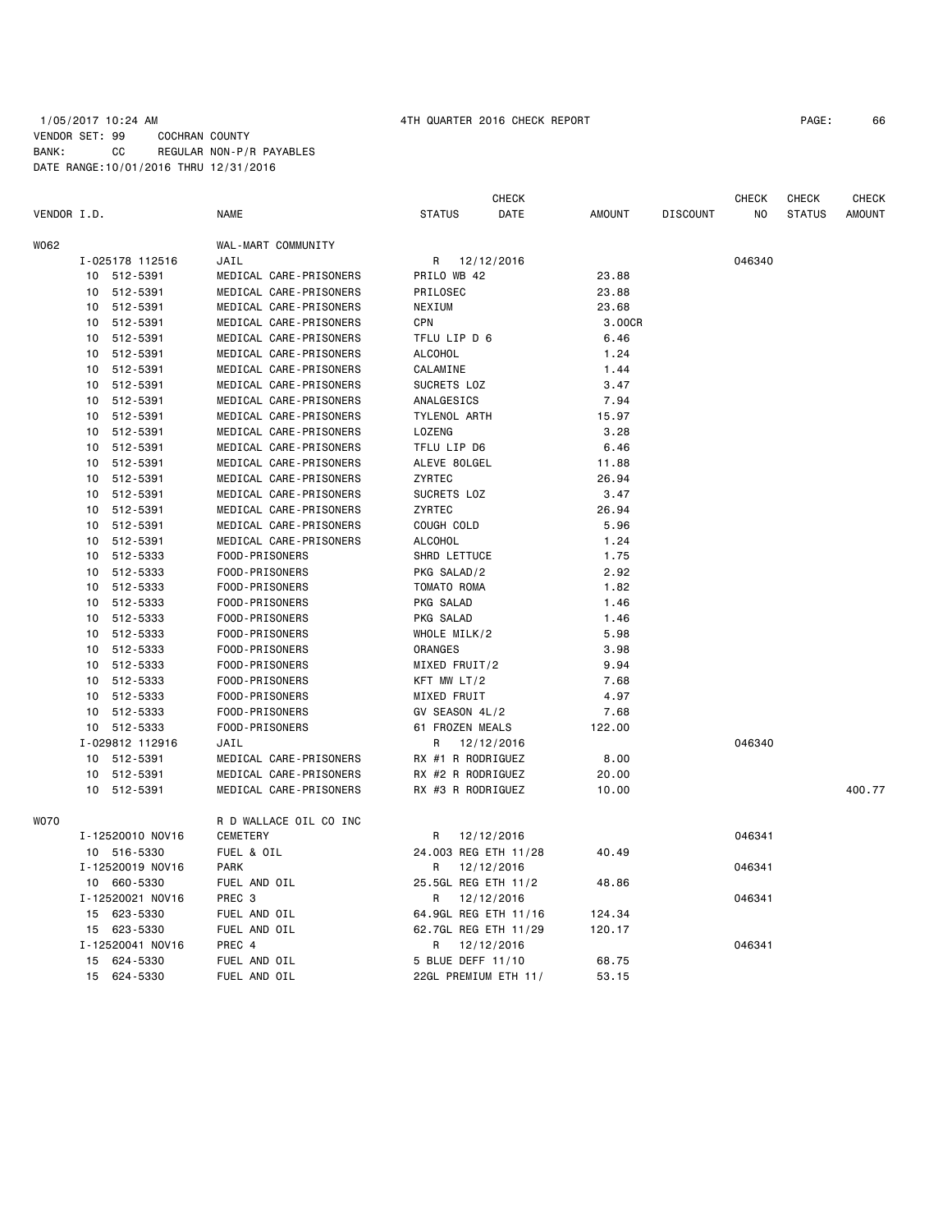## 1/05/2017 10:24 AM 4TH QUARTER 2016 CHECK REPORT PAGE: 66 VENDOR SET: 99 COCHRAN COUNTY BANK: CC REGULAR NON-P/R PAYABLES DATE RANGE:10/01/2016 THRU 12/31/2016

|             |                  |                        | CHECK                 |               |                 | CHECK  | CHECK         | CHECK  |
|-------------|------------------|------------------------|-----------------------|---------------|-----------------|--------|---------------|--------|
| VENDOR I.D. |                  | NAME                   | DATE<br><b>STATUS</b> | <b>AMOUNT</b> | <b>DISCOUNT</b> | ΝO     | <b>STATUS</b> | AMOUNT |
| W062        |                  | WAL-MART COMMUNITY     |                       |               |                 |        |               |        |
|             | I-025178 112516  | JAIL                   | R 12/12/2016          |               |                 | 046340 |               |        |
|             | 10 512-5391      | MEDICAL CARE-PRISONERS | PRILO WB 42           | 23.88         |                 |        |               |        |
|             | 10 512-5391      | MEDICAL CARE-PRISONERS | PRILOSEC              | 23.88         |                 |        |               |        |
|             | 10 512-5391      | MEDICAL CARE-PRISONERS | NEXIUM                | 23.68         |                 |        |               |        |
|             | 10<br>512-5391   | MEDICAL CARE-PRISONERS | <b>CPN</b>            | 3.00CR        |                 |        |               |        |
|             | 512-5391<br>10   | MEDICAL CARE-PRISONERS | TFLU LIP D 6          | 6.46          |                 |        |               |        |
|             | 512-5391<br>10   | MEDICAL CARE-PRISONERS | <b>ALCOHOL</b>        | 1.24          |                 |        |               |        |
|             | 10<br>512-5391   | MEDICAL CARE-PRISONERS | CALAMINE              | 1.44          |                 |        |               |        |
|             | 10<br>512-5391   | MEDICAL CARE-PRISONERS | SUCRETS LOZ           | 3.47          |                 |        |               |        |
|             | 10<br>512-5391   | MEDICAL CARE-PRISONERS | ANALGESICS            | 7.94          |                 |        |               |        |
|             | 512-5391<br>10   | MEDICAL CARE-PRISONERS | TYLENOL ARTH          | 15.97         |                 |        |               |        |
|             | 512-5391<br>10   | MEDICAL CARE-PRISONERS | LOZENG                | 3.28          |                 |        |               |        |
|             | 10<br>512-5391   | MEDICAL CARE-PRISONERS | TFLU LIP D6           | 6.46          |                 |        |               |        |
|             | 10 512-5391      | MEDICAL CARE-PRISONERS | ALEVE 80LGEL          | 11.88         |                 |        |               |        |
|             | 10 512-5391      | MEDICAL CARE-PRISONERS | ZYRTEC                | 26.94         |                 |        |               |        |
|             | 10 512-5391      | MEDICAL CARE-PRISONERS | SUCRETS LOZ           | 3.47          |                 |        |               |        |
|             | 10 512-5391      | MEDICAL CARE-PRISONERS | ZYRTEC                | 26.94         |                 |        |               |        |
|             | 10 512-5391      | MEDICAL CARE-PRISONERS | COUGH COLD            | 5.96          |                 |        |               |        |
|             | 512-5391<br>10   | MEDICAL CARE-PRISONERS | <b>ALCOHOL</b>        | 1.24          |                 |        |               |        |
|             | 10<br>512-5333   | FOOD-PRISONERS         | SHRD LETTUCE          | 1.75          |                 |        |               |        |
|             | 10<br>512-5333   | FOOD-PRISONERS         | PKG SALAD/2           | 2.92          |                 |        |               |        |
|             | 512-5333<br>10   | FOOD-PRISONERS         | TOMATO ROMA           | 1.82          |                 |        |               |        |
|             | 512-5333<br>10   | FOOD-PRISONERS         | PKG SALAD             | 1.46          |                 |        |               |        |
|             | 512-5333<br>10   | FOOD-PRISONERS         | PKG SALAD             | 1.46          |                 |        |               |        |
|             | 512-5333<br>10   | FOOD-PRISONERS         | WHOLE MILK/2          | 5.98          |                 |        |               |        |
|             | 10 512-5333      | FOOD-PRISONERS         | ORANGES               | 3.98          |                 |        |               |        |
|             | 10 512-5333      | FOOD-PRISONERS         | MIXED FRUIT/2         | 9.94          |                 |        |               |        |
|             | 512-5333<br>10   | FOOD-PRISONERS         | KFT MW LT/2           | 7.68          |                 |        |               |        |
|             | 10 512-5333      | FOOD-PRISONERS         | MIXED FRUIT           | 4.97          |                 |        |               |        |
|             | 10 512-5333      | FOOD-PRISONERS         | GV SEASON 4L/2        | 7.68          |                 |        |               |        |
|             | 10 512-5333      | FOOD-PRISONERS         | 61 FROZEN MEALS       | 122.00        |                 |        |               |        |
|             | I-029812 112916  | JAIL                   | 12/12/2016<br>R.      |               |                 | 046340 |               |        |
|             | 10 512-5391      | MEDICAL CARE-PRISONERS | RX #1 R RODRIGUEZ     | 8.00          |                 |        |               |        |
|             | 10 512-5391      | MEDICAL CARE-PRISONERS | RX #2 R RODRIGUEZ     | 20.00         |                 |        |               |        |
|             | 10 512-5391      | MEDICAL CARE-PRISONERS | RX #3 R RODRIGUEZ     | 10.00         |                 |        |               | 400.77 |
| <b>WO70</b> |                  | R D WALLACE OIL CO INC |                       |               |                 |        |               |        |
|             | I-12520010 NOV16 | <b>CEMETERY</b>        | R<br>12/12/2016       |               |                 | 046341 |               |        |
|             | 10 516-5330      | FUEL & OIL             | 24.003 REG ETH 11/28  | 40.49         |                 |        |               |        |
|             | I-12520019 NOV16 | <b>PARK</b>            | 12/12/2016<br>R       |               |                 | 046341 |               |        |
|             | 10 660-5330      | FUEL AND OIL           | 25.5GL REG ETH 11/2   | 48.86         |                 |        |               |        |
|             | I-12520021 NOV16 | PREC 3                 | R<br>12/12/2016       |               |                 | 046341 |               |        |
|             | 15 623-5330      | FUEL AND OIL           | 64.9GL REG ETH 11/16  | 124.34        |                 |        |               |        |
|             | 15 623-5330      | FUEL AND OIL           | 62.7GL REG ETH 11/29  | 120.17        |                 |        |               |        |
|             | I-12520041 NOV16 | PREC 4                 | R<br>12/12/2016       |               |                 | 046341 |               |        |
|             | 15 624-5330      | FUEL AND OIL           | 5 BLUE DEFF 11/10     | 68.75         |                 |        |               |        |
|             | 15 624-5330      | FUEL AND OIL           | 22GL PREMIUM ETH 11/  | 53.15         |                 |        |               |        |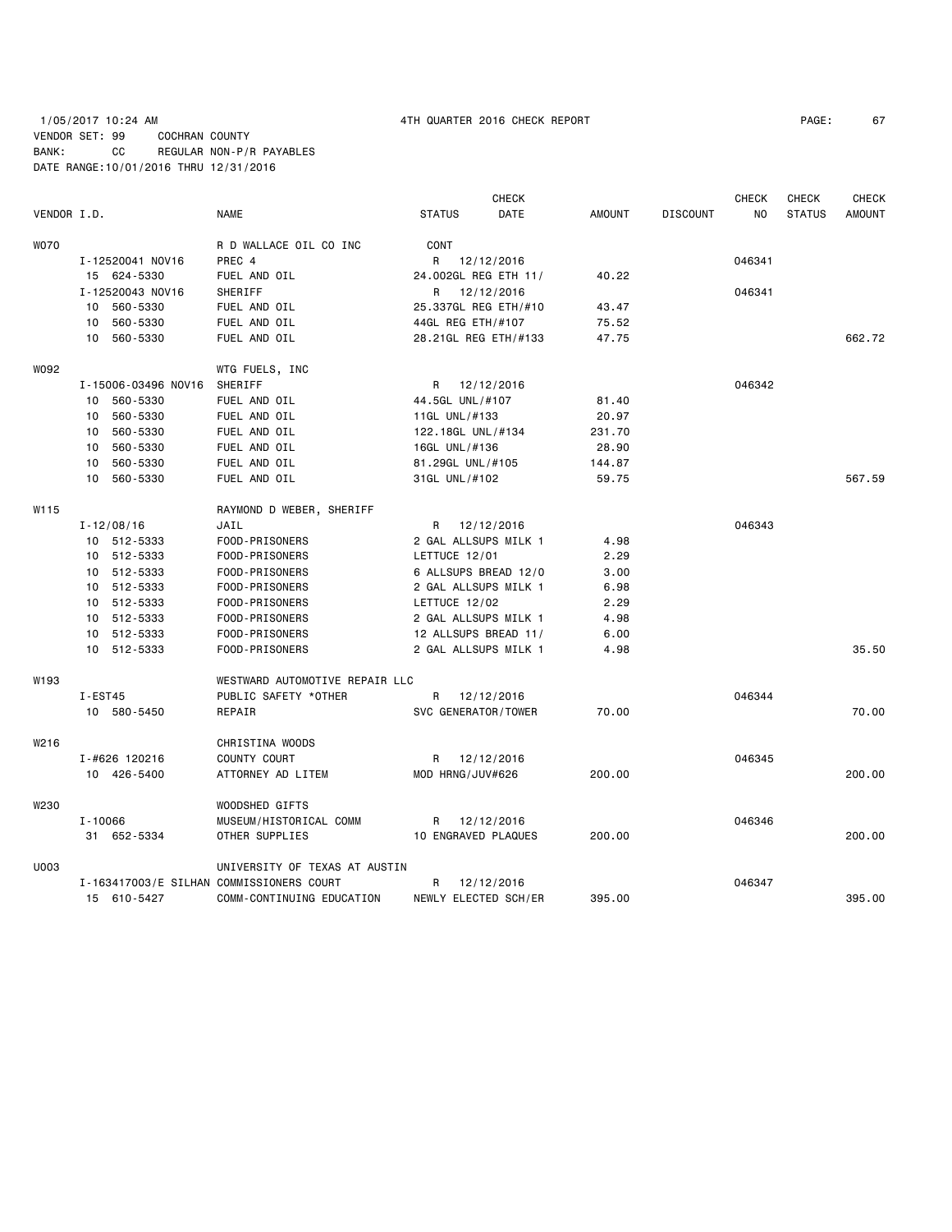# 1/05/2017 10:24 AM 4TH QUARTER 2016 CHECK REPORT PAGE: 67 VENDOR SET: 99 COCHRAN COUNTY BANK: CC REGULAR NON-P/R PAYABLES DATE RANGE:10/01/2016 THRU 12/31/2016

|             |                     |                                          |                     | <b>CHECK</b>         |               |                 | <b>CHECK</b> | <b>CHECK</b>  | <b>CHECK</b>  |
|-------------|---------------------|------------------------------------------|---------------------|----------------------|---------------|-----------------|--------------|---------------|---------------|
| VENDOR I.D. |                     | <b>NAME</b>                              | <b>STATUS</b>       | DATE                 | <b>AMOUNT</b> | <b>DISCOUNT</b> | NO.          | <b>STATUS</b> | <b>AMOUNT</b> |
| <b>WO70</b> |                     | R D WALLACE OIL CO INC                   | CONT                |                      |               |                 |              |               |               |
|             | I-12520041 NOV16    | PREC 4                                   |                     | R 12/12/2016         |               |                 | 046341       |               |               |
|             | 15 624-5330         | FUEL AND OIL                             |                     | 24.002GL REG ETH 11/ | 40.22         |                 |              |               |               |
|             | I-12520043 NOV16    | SHERIFF                                  |                     | R 12/12/2016         |               |                 | 046341       |               |               |
|             | 10 560-5330         | FUEL AND OIL                             |                     | 25.337GL REG ETH/#10 | 43.47         |                 |              |               |               |
|             | 10 560-5330         | FUEL AND OIL                             | 44GL REG ETH/#107   |                      | 75.52         |                 |              |               |               |
|             | 10 560-5330         | FUEL AND OIL                             |                     | 28.21GL REG ETH/#133 | 47.75         |                 |              |               | 662.72        |
| W092        |                     | WTG FUELS, INC                           |                     |                      |               |                 |              |               |               |
|             | I-15006-03496 NOV16 | SHERIFF                                  |                     | R 12/12/2016         |               |                 | 046342       |               |               |
|             | 10 560-5330         | FUEL AND OIL                             | 44.5GL UNL/#107     |                      | 81.40         |                 |              |               |               |
|             | 10 560-5330         | FUEL AND OIL                             | 11GL UNL/#133       |                      | 20.97         |                 |              |               |               |
|             | 10 560-5330         | FUEL AND OIL                             | 122.18GL UNL/#134   |                      | 231.70        |                 |              |               |               |
|             | 10 560-5330         | FUEL AND OIL                             | 16GL UNL/#136       |                      | 28.90         |                 |              |               |               |
|             | 10 560-5330         | FUEL AND OIL                             | 81.29GL UNL/#105    |                      | 144.87        |                 |              |               |               |
|             | 10 560-5330         | FUEL AND OIL                             | 31GL UNL/#102       |                      | 59.75         |                 |              |               | 567.59        |
| W115        |                     | RAYMOND D WEBER, SHERIFF                 |                     |                      |               |                 |              |               |               |
|             | $I - 12/08/16$      | JAIL                                     |                     | R 12/12/2016         |               |                 | 046343       |               |               |
|             | 10 512-5333         | FOOD-PRISONERS                           |                     | 2 GAL ALLSUPS MILK 1 | 4.98          |                 |              |               |               |
|             | 10 512-5333         | FOOD-PRISONERS                           | LETTUCE 12/01       |                      | 2.29          |                 |              |               |               |
|             | 10 512-5333         | FOOD-PRISONERS                           |                     | 6 ALLSUPS BREAD 12/0 | 3.00          |                 |              |               |               |
|             | 10 512-5333         | FOOD-PRISONERS                           |                     | 2 GAL ALLSUPS MILK 1 | 6.98          |                 |              |               |               |
|             | 10 512-5333         | FOOD-PRISONERS                           | LETTUCE 12/02       |                      | 2.29          |                 |              |               |               |
|             | 10 512-5333         | FOOD-PRISONERS                           |                     | 2 GAL ALLSUPS MILK 1 | 4.98          |                 |              |               |               |
|             | 10 512-5333         | FOOD-PRISONERS                           |                     | 12 ALLSUPS BREAD 11/ | 6.00          |                 |              |               |               |
|             | 10 512-5333         | FOOD-PRISONERS                           |                     | 2 GAL ALLSUPS MILK 1 | 4.98          |                 |              |               | 35.50         |
| W193        |                     | WESTWARD AUTOMOTIVE REPAIR LLC           |                     |                      |               |                 |              |               |               |
|             | I-EST45             | PUBLIC SAFETY *OTHER                     |                     | R 12/12/2016         |               |                 | 046344       |               |               |
|             | 10 580-5450         | REPAIR                                   | SVC GENERATOR/TOWER |                      | 70.00         |                 |              |               | 70.00         |
| W216        |                     | CHRISTINA WOODS                          |                     |                      |               |                 |              |               |               |
|             | I-#626 120216       | COUNTY COURT                             |                     | R 12/12/2016         |               |                 | 046345       |               |               |
|             | 10 426-5400         | ATTORNEY AD LITEM                        | MOD HRNG/JUV#626    |                      | 200,00        |                 |              |               | 200.00        |
| W230        |                     | WOODSHED GIFTS                           |                     |                      |               |                 |              |               |               |
|             | $I - 10066$         | MUSEUM/HISTORICAL COMM                   |                     | R 12/12/2016         |               |                 | 046346       |               |               |
|             | 31 652-5334         | OTHER SUPPLIES                           | 10 ENGRAVED PLAQUES |                      | 200.00        |                 |              |               | 200.00        |
| U003        |                     | UNIVERSITY OF TEXAS AT AUSTIN            |                     |                      |               |                 |              |               |               |
|             |                     | I-163417003/E SILHAN COMMISSIONERS COURT | R                   | 12/12/2016           |               |                 | 046347       |               |               |
|             | 15 610-5427         | COMM-CONTINUING EDUCATION                |                     | NEWLY ELECTED SCH/ER | 395.00        |                 |              |               | 395.00        |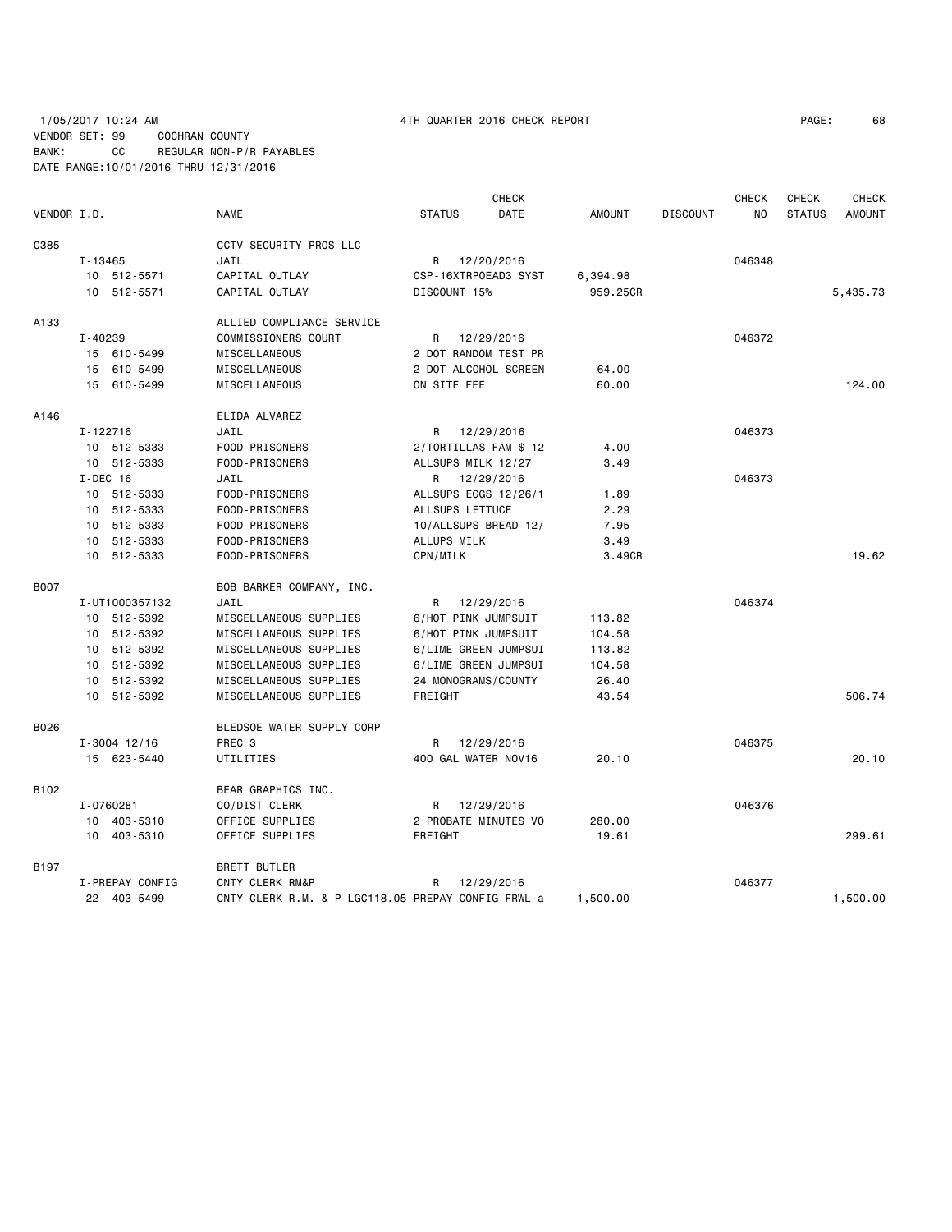# 1/05/2017 10:24 AM 4TH QUARTER 2016 CHECK REPORT PAGE: 68 VENDOR SET: 99 COCHRAN COUNTY BANK: CC REGULAR NON-P/R PAYABLES DATE RANGE:10/01/2016 THRU 12/31/2016

|             |                  |                                                    |                       | <b>CHECK</b> |          |                 | CHECK  | <b>CHECK</b>  | <b>CHECK</b>  |
|-------------|------------------|----------------------------------------------------|-----------------------|--------------|----------|-----------------|--------|---------------|---------------|
| VENDOR I.D. |                  | <b>NAME</b>                                        | <b>STATUS</b>         | DATE         | AMOUNT   | <b>DISCOUNT</b> | NO.    | <b>STATUS</b> | <b>AMOUNT</b> |
| C385        |                  | <b>CCTV SECURITY PROS LLC</b>                      |                       |              |          |                 |        |               |               |
|             | I-13465          | JAIL                                               | R 12/20/2016          |              |          |                 | 046348 |               |               |
|             | 10 512-5571      | CAPITAL OUTLAY                                     | CSP-16XTRPOEAD3 SYST  |              | 6,394.98 |                 |        |               |               |
|             | 10 512-5571      | CAPITAL OUTLAY                                     | DISCOUNT 15%          |              | 959.25CR |                 |        |               | 5,435.73      |
| A133        |                  | ALLIED COMPLIANCE SERVICE                          |                       |              |          |                 |        |               |               |
|             | I-40239          | COMMISSIONERS COURT                                | R 12/29/2016          |              |          |                 | 046372 |               |               |
|             | 15 610-5499      | MISCELLANEOUS                                      | 2 DOT RANDOM TEST PR  |              |          |                 |        |               |               |
|             | 15 610-5499      | MISCELLANEOUS                                      | 2 DOT ALCOHOL SCREEN  |              | 64.00    |                 |        |               |               |
|             | 15 610-5499      | MISCELLANEOUS                                      | ON SITE FEE           |              | 60.00    |                 |        |               | 124,00        |
| A146        |                  | ELIDA ALVAREZ                                      |                       |              |          |                 |        |               |               |
|             | I-122716         | JAIL                                               | R 12/29/2016          |              |          |                 | 046373 |               |               |
|             | 10 512-5333      | FOOD-PRISONERS                                     | 2/TORTILLAS FAM \$ 12 |              | 4.00     |                 |        |               |               |
|             | 10 512-5333      | FOOD-PRISONERS                                     | ALLSUPS MILK 12/27    |              | 3.49     |                 |        |               |               |
|             | $I-DEC$ 16       | JAIL                                               | R 12/29/2016          |              |          |                 | 046373 |               |               |
|             | 10 512-5333      | FOOD-PRISONERS                                     | ALLSUPS EGGS 12/26/1  |              | 1.89     |                 |        |               |               |
|             | 10 512-5333      | FOOD-PRISONERS                                     | ALLSUPS LETTUCE       |              | 2.29     |                 |        |               |               |
|             | 10 512-5333      | FOOD-PRISONERS                                     | 10/ALLSUPS BREAD 12/  |              | 7.95     |                 |        |               |               |
|             | 10 512-5333      | FOOD-PRISONERS                                     | ALLUPS MILK           |              | 3.49     |                 |        |               |               |
|             | 10 512-5333      | FOOD-PRISONERS                                     | CPN/MILK              |              | 3.49CR   |                 |        |               | 19.62         |
| <b>B007</b> |                  | BOB BARKER COMPANY, INC.                           |                       |              |          |                 |        |               |               |
|             | I-UT1000357132   | JAIL                                               | R                     | 12/29/2016   |          |                 | 046374 |               |               |
|             | 10 512-5392      | MISCELLANEOUS SUPPLIES                             | 6/HOT PINK JUMPSUIT   |              | 113.82   |                 |        |               |               |
|             | 10 512-5392      | MISCELLANEOUS SUPPLIES                             | 6/HOT PINK JUMPSUIT   |              | 104.58   |                 |        |               |               |
|             | 10 512-5392      | MISCELLANEOUS SUPPLIES                             | 6/LIME GREEN JUMPSUI  |              | 113.82   |                 |        |               |               |
|             | 10 512-5392      | MISCELLANEOUS SUPPLIES                             | 6/LIME GREEN JUMPSUI  |              | 104.58   |                 |        |               |               |
|             | 10 512-5392      | MISCELLANEOUS SUPPLIES                             | 24 MONOGRAMS / COUNTY |              | 26.40    |                 |        |               |               |
|             | 10 512-5392      | MISCELLANEOUS SUPPLIES                             | FREIGHT               |              | 43.54    |                 |        |               | 506.74        |
| B026        |                  | BLEDSOE WATER SUPPLY CORP                          |                       |              |          |                 |        |               |               |
|             | $I - 3004$ 12/16 | PREC <sub>3</sub>                                  | R                     | 12/29/2016   |          |                 | 046375 |               |               |
|             | 15 623-5440      | UTILITIES                                          | 400 GAL WATER NOV16   |              | 20.10    |                 |        |               | 20.10         |
| B102        |                  | BEAR GRAPHICS INC.                                 |                       |              |          |                 |        |               |               |
|             | I-0760281        | CO/DIST CLERK                                      | R                     | 12/29/2016   |          |                 | 046376 |               |               |
|             | 10 403-5310      | OFFICE SUPPLIES                                    | 2 PROBATE MINUTES VO  |              | 280.00   |                 |        |               |               |
|             | 10 403-5310      | OFFICE SUPPLIES                                    | FREIGHT               |              | 19.61    |                 |        |               | 299.61        |
| B197        |                  | <b>BRETT BUTLER</b>                                |                       |              |          |                 |        |               |               |
|             | I-PREPAY CONFIG  | CNTY CLERK RM&P                                    | R                     | 12/29/2016   |          |                 | 046377 |               |               |
|             | 22 403-5499      | CNTY CLERK R.M. & P LGC118.05 PREPAY CONFIG FRWL a |                       |              | 1,500.00 |                 |        |               | 1,500.00      |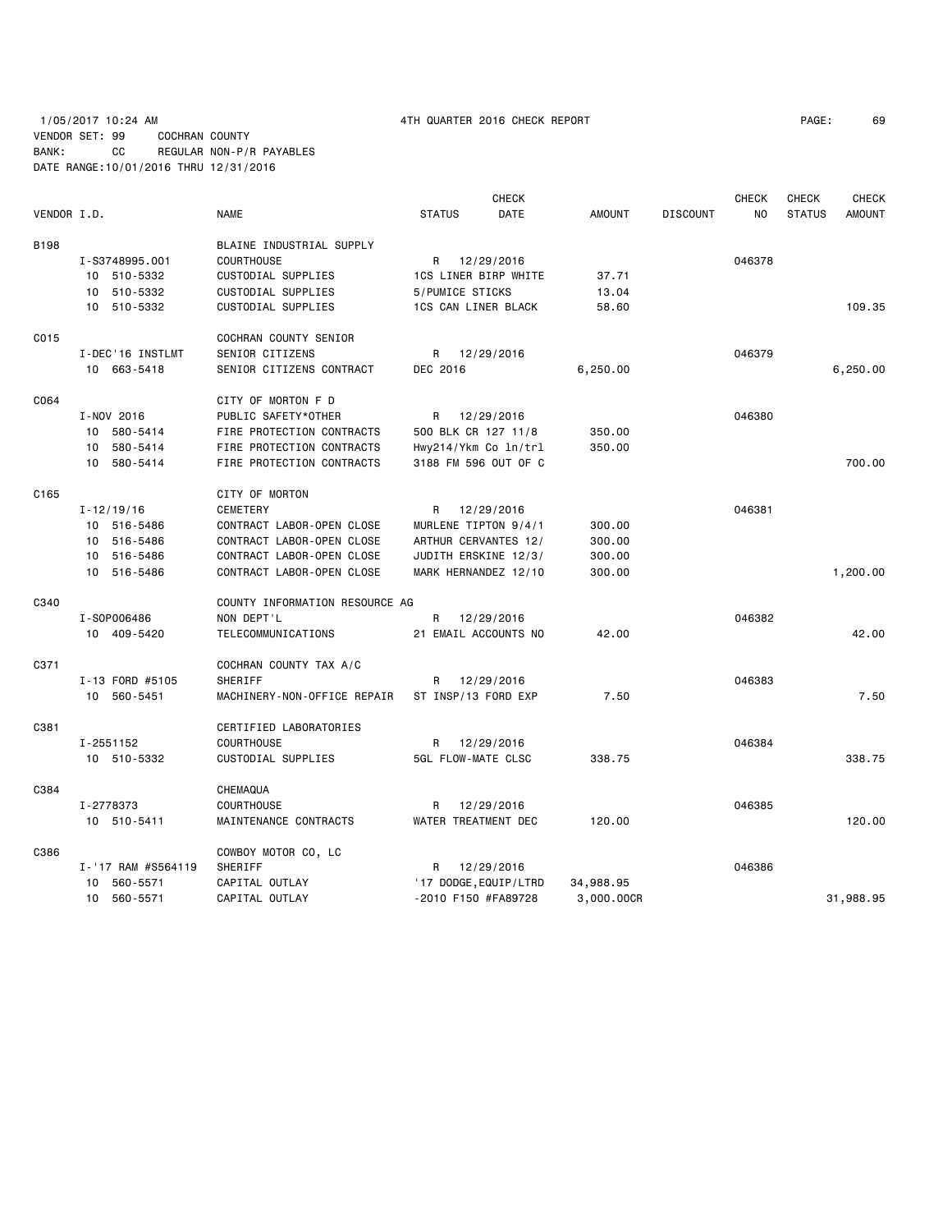# 1/05/2017 10:24 AM 4TH QUARTER 2016 CHECK REPORT PAGE: 69 VENDOR SET: 99 COCHRAN COUNTY BANK: CC REGULAR NON-P/R PAYABLES DATE RANGE:10/01/2016 THRU 12/31/2016

|             |                    |                                |                       | <b>CHECK</b> |               |                 | <b>CHECK</b> | <b>CHECK</b>  | <b>CHECK</b>  |
|-------------|--------------------|--------------------------------|-----------------------|--------------|---------------|-----------------|--------------|---------------|---------------|
| VENDOR I.D. |                    | <b>NAME</b>                    | <b>STATUS</b>         | DATE         | <b>AMOUNT</b> | <b>DISCOUNT</b> | NO.          | <b>STATUS</b> | <b>AMOUNT</b> |
| <b>B198</b> |                    | BLAINE INDUSTRIAL SUPPLY       |                       |              |               |                 |              |               |               |
|             | I-S3748995.001     | <b>COURTHOUSE</b>              | R 12/29/2016          |              |               |                 | 046378       |               |               |
|             | 10 510-5332        | CUSTODIAL SUPPLIES             | 1CS LINER BIRP WHITE  |              | 37.71         |                 |              |               |               |
|             | 10 510-5332        | CUSTODIAL SUPPLIES             | 5/PUMICE STICKS       |              | 13.04         |                 |              |               |               |
|             | 10 510-5332        | CUSTODIAL SUPPLIES             | 1CS CAN LINER BLACK   |              | 58.60         |                 |              |               | 109.35        |
| C015        |                    | COCHRAN COUNTY SENIOR          |                       |              |               |                 |              |               |               |
|             | I-DEC'16 INSTLMT   | SENIOR CITIZENS                | R 12/29/2016          |              |               |                 | 046379       |               |               |
|             | 10 663-5418        | SENIOR CITIZENS CONTRACT       | DEC 2016              |              | 6,250.00      |                 |              |               | 6,250.00      |
| C064        |                    | CITY OF MORTON F D             |                       |              |               |                 |              |               |               |
|             | I-NOV 2016         | PUBLIC SAFETY*OTHER            | R 12/29/2016          |              |               |                 | 046380       |               |               |
|             | 10 580-5414        | FIRE PROTECTION CONTRACTS      | 500 BLK CR 127 11/8   |              | 350.00        |                 |              |               |               |
|             | 10 580-5414        | FIRE PROTECTION CONTRACTS      | Hwy214/Ykm Co ln/trl  |              | 350.00        |                 |              |               |               |
|             | 10 580-5414        | FIRE PROTECTION CONTRACTS      | 3188 FM 596 OUT OF C  |              |               |                 |              |               | 700.00        |
| C165        |                    | CITY OF MORTON                 |                       |              |               |                 |              |               |               |
|             | $I - 12/19/16$     | CEMETERY                       | R 12/29/2016          |              |               |                 | 046381       |               |               |
|             | 10 516-5486        | CONTRACT LABOR-OPEN CLOSE      | MURLENE TIPTON 9/4/1  |              | 300.00        |                 |              |               |               |
|             | 10 516-5486        | CONTRACT LABOR-OPEN CLOSE      | ARTHUR CERVANTES 12/  |              | 300.00        |                 |              |               |               |
|             | 10 516-5486        | CONTRACT LABOR-OPEN CLOSE      | JUDITH ERSKINE 12/3/  |              | 300.00        |                 |              |               |               |
|             | 10 516-5486        | CONTRACT LABOR-OPEN CLOSE      | MARK HERNANDEZ 12/10  |              | 300.00        |                 |              |               | 1,200.00      |
| C340        |                    | COUNTY INFORMATION RESOURCE AG |                       |              |               |                 |              |               |               |
|             | I-S0P006486        | NON DEPT'L                     | R                     | 12/29/2016   |               |                 | 046382       |               |               |
|             | 10 409-5420        | TELECOMMUNICATIONS             | 21 EMAIL ACCOUNTS NO  |              | 42.00         |                 |              |               | 42.00         |
| C371        |                    | COCHRAN COUNTY TAX A/C         |                       |              |               |                 |              |               |               |
|             | I-13 FORD #5105    | SHERIFF                        | R                     | 12/29/2016   |               |                 | 046383       |               |               |
|             | 10 560-5451        | MACHINERY-NON-OFFICE REPAIR    | ST INSP/13 FORD EXP   |              | 7.50          |                 |              |               | 7.50          |
| C381        |                    | CERTIFIED LABORATORIES         |                       |              |               |                 |              |               |               |
|             | I-2551152          | <b>COURTHOUSE</b>              | R 12/29/2016          |              |               |                 | 046384       |               |               |
|             | 10 510-5332        | CUSTODIAL SUPPLIES             | 5GL FLOW-MATE CLSC    |              | 338.75        |                 |              |               | 338.75        |
| C384        |                    | CHEMAQUA                       |                       |              |               |                 |              |               |               |
|             | I-2778373          | <b>COURTHOUSE</b>              | R                     | 12/29/2016   |               |                 | 046385       |               |               |
|             | 10 510-5411        | MAINTENANCE CONTRACTS          | WATER TREATMENT DEC   |              | 120.00        |                 |              |               | 120,00        |
| C386        |                    | COWBOY MOTOR CO, LC            |                       |              |               |                 |              |               |               |
|             | I-'17 RAM #S564119 | SHERIFF                        | R                     | 12/29/2016   |               |                 | 046386       |               |               |
|             | 560-5571<br>10     | CAPITAL OUTLAY                 | '17 DODGE, EQUIP/LTRD |              | 34,988.95     |                 |              |               |               |
|             | 10 560-5571        | CAPITAL OUTLAY                 | -2010 F150 #FA89728   |              | 3,000.00CR    |                 |              |               | 31,988.95     |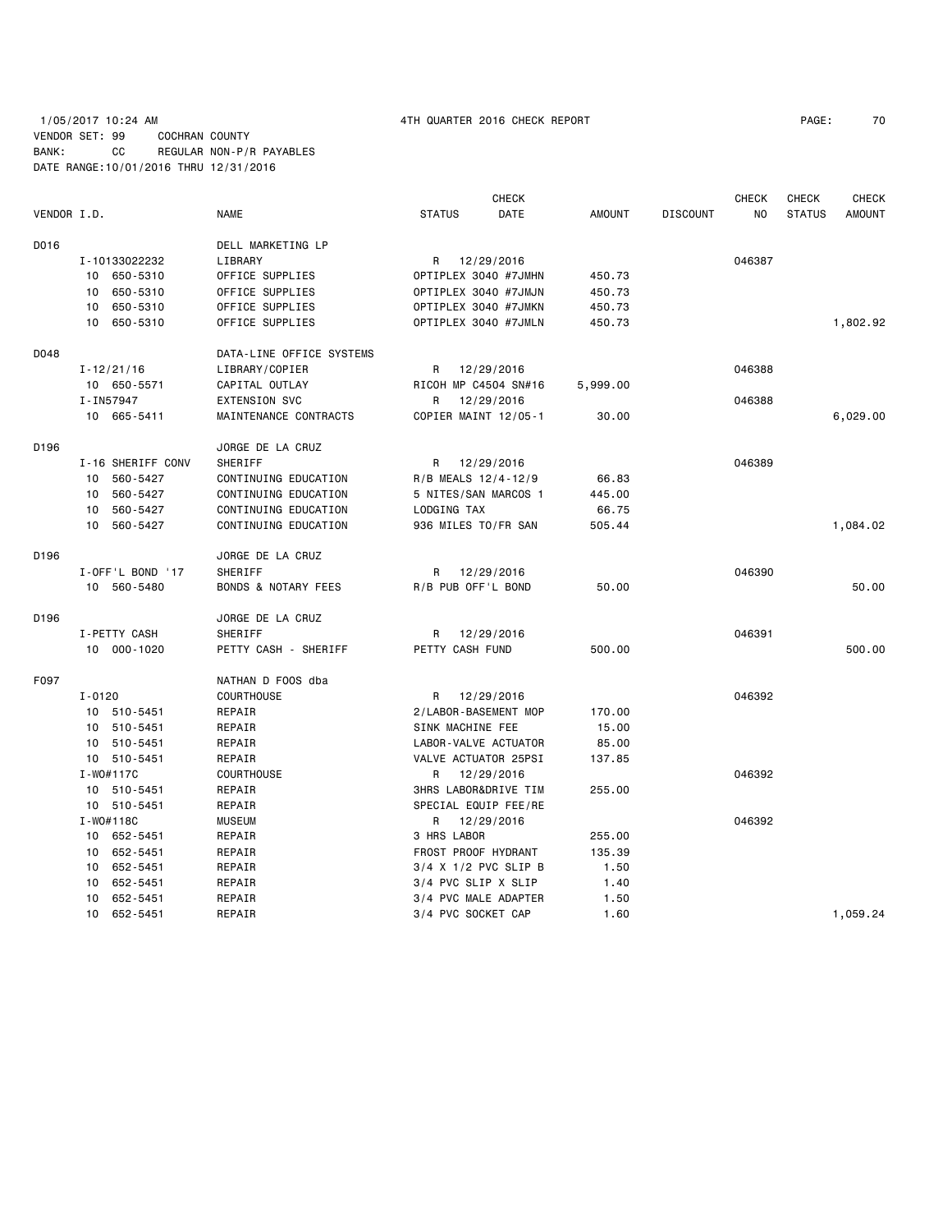# 1/05/2017 10:24 AM 4TH QUARTER 2016 CHECK REPORT PAGE: 70 VENDOR SET: 99 COCHRAN COUNTY BANK: CC REGULAR NON-P/R PAYABLES DATE RANGE:10/01/2016 THRU 12/31/2016

|             |            |                   |                                |                      | <b>CHECK</b>                    |               |                 | CHECK          | <b>CHECK</b>  | <b>CHECK</b>  |
|-------------|------------|-------------------|--------------------------------|----------------------|---------------------------------|---------------|-----------------|----------------|---------------|---------------|
| VENDOR I.D. |            |                   | <b>NAME</b>                    | <b>STATUS</b>        | DATE                            | <b>AMOUNT</b> | <b>DISCOUNT</b> | N <sub>O</sub> | <b>STATUS</b> | <b>AMOUNT</b> |
| D016        |            |                   | DELL MARKETING LP              |                      |                                 |               |                 |                |               |               |
|             |            | I-10133022232     | LIBRARY                        | R                    | 12/29/2016                      |               |                 | 046387         |               |               |
|             |            | 10 650-5310       | OFFICE SUPPLIES                |                      | OPTIPLEX 3040 #7JMHN            | 450.73        |                 |                |               |               |
|             | 10         | 650-5310          | OFFICE SUPPLIES                |                      | OPTIPLEX 3040 #7JMJN            | 450.73        |                 |                |               |               |
|             | 10         | 650-5310          | OFFICE SUPPLIES                |                      | OPTIPLEX 3040 #7JMKN            | 450.73        |                 |                |               |               |
|             |            | 10 650-5310       | OFFICE SUPPLIES                |                      | OPTIPLEX 3040 #7JMLN            | 450.73        |                 |                |               | 1,802.92      |
| D048        |            |                   | DATA-LINE OFFICE SYSTEMS       |                      |                                 |               |                 |                |               |               |
|             |            | $I - 12/21/16$    | LIBRARY/COPIER                 | R.                   | 12/29/2016                      |               |                 | 046388         |               |               |
|             |            | 10 650-5571       | CAPITAL OUTLAY                 |                      | RICOH MP C4504 SN#16            | 5,999.00      |                 |                |               |               |
|             |            | I-IN57947         | <b>EXTENSION SVC</b>           | R                    | 12/29/2016                      |               |                 | 046388         |               |               |
|             |            | 10 665-5411       | MAINTENANCE CONTRACTS          |                      | COPIER MAINT 12/05-1            | 30.00         |                 |                |               | 6,029.00      |
| D196        |            |                   | JORGE DE LA CRUZ               |                      |                                 |               |                 |                |               |               |
|             |            | I-16 SHERIFF CONV | SHERIFF                        | R                    | 12/29/2016                      |               |                 | 046389         |               |               |
|             | 10         | 560-5427          | CONTINUING EDUCATION           | R/B MEALS 12/4-12/9  |                                 | 66.83         |                 |                |               |               |
|             | 10         | 560-5427          | CONTINUING EDUCATION           | 5 NITES/SAN MARCOS 1 |                                 | 445.00        |                 |                |               |               |
|             | 10         | 560-5427          | CONTINUING EDUCATION           | LODGING TAX          |                                 | 66.75         |                 |                |               |               |
|             | 10         | 560-5427          | CONTINUING EDUCATION           | 936 MILES TO/FR SAN  |                                 | 505.44        |                 |                |               | 1,084.02      |
| D196        |            |                   | JORGE DE LA CRUZ               |                      |                                 |               |                 |                |               |               |
|             |            | I-OFF'L BOND '17  | SHERIFF                        | R                    | 12/29/2016                      |               |                 | 046390         |               |               |
|             |            | 10 560-5480       | <b>BONDS &amp; NOTARY FEES</b> | R/B PUB OFF'L BOND   |                                 | 50.00         |                 |                |               | 50.00         |
| D196        |            |                   | JORGE DE LA CRUZ               |                      |                                 |               |                 |                |               |               |
|             |            | I-PETTY CASH      | SHERIFF                        | R                    | 12/29/2016                      |               |                 | 046391         |               |               |
|             |            | 10 000-1020       | PETTY CASH - SHERIFF           | PETTY CASH FUND      |                                 | 500.00        |                 |                |               | 500.00        |
| F097        |            |                   | NATHAN D FOOS dba              |                      |                                 |               |                 |                |               |               |
|             | $I - 0120$ |                   | <b>COURTHOUSE</b>              | R                    | 12/29/2016                      |               |                 | 046392         |               |               |
|             |            | 10 510-5451       | REPAIR                         |                      | 2/LABOR-BASEMENT MOP            | 170.00        |                 |                |               |               |
|             |            | 10 510-5451       | REPAIR                         | SINK MACHINE FEE     |                                 | 15.00         |                 |                |               |               |
|             | 10         | 510-5451          | REPAIR                         |                      | LABOR-VALVE ACTUATOR            | 85.00         |                 |                |               |               |
|             |            | 10 510-5451       | REPAIR                         |                      | VALVE ACTUATOR 25PSI            | 137.85        |                 |                |               |               |
|             |            | I-W0#117C         | <b>COURTHOUSE</b>              | R                    | 12/29/2016                      |               |                 | 046392         |               |               |
|             |            | 10 510-5451       | REPAIR                         |                      | <b>3HRS LABOR&amp;DRIVE TIM</b> | 255.00        |                 |                |               |               |
|             |            | 10 510-5451       | REPAIR                         |                      | SPECIAL EQUIP FEE/RE            |               |                 |                |               |               |
|             |            | I-W0#118C         | <b>MUSEUM</b>                  | R                    | 12/29/2016                      |               |                 | 046392         |               |               |
|             | 10         | 652-5451          | REPAIR                         | 3 HRS LABOR          |                                 | 255.00        |                 |                |               |               |
|             | 10         | 652-5451          | REPAIR                         | FROST PROOF HYDRANT  |                                 | 135.39        |                 |                |               |               |
|             | 10         | 652-5451          | REPAIR                         | 3/4 X 1/2 PVC SLIP B |                                 | 1.50          |                 |                |               |               |
|             | 10         | 652-5451          | REPAIR                         | 3/4 PVC SLIP X SLIP  |                                 | 1.40          |                 |                |               |               |
|             | 10         | 652-5451          | REPAIR                         |                      | 3/4 PVC MALE ADAPTER            | 1.50          |                 |                |               |               |
|             |            | 10 652-5451       | REPAIR                         | 3/4 PVC SOCKET CAP   |                                 | 1.60          |                 |                |               | 1,059.24      |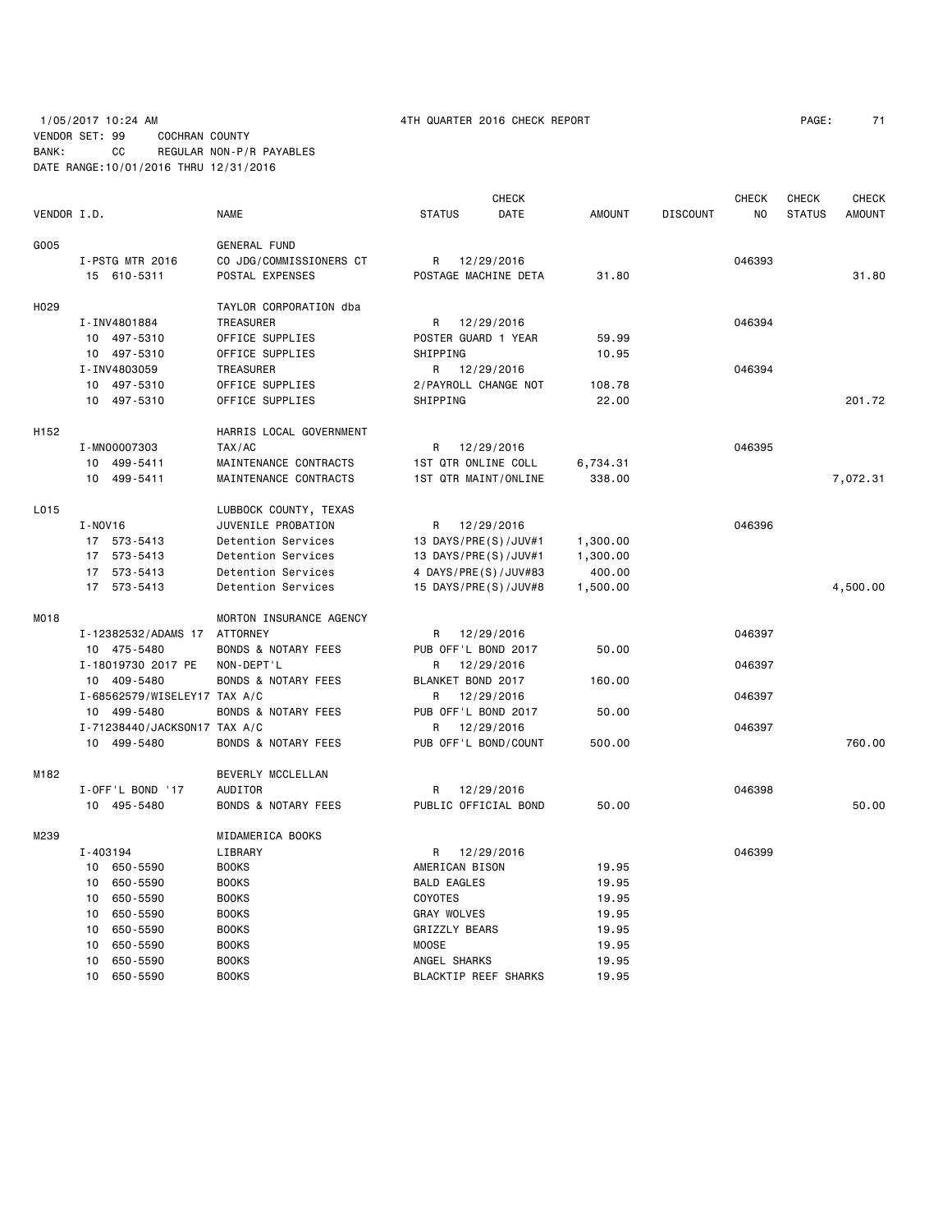# 1/05/2017 10:24 AM 4TH QUARTER 2016 CHECK REPORT PAGE: 71 VENDOR SET: 99 COCHRAN COUNTY BANK: CC REGULAR NON-P/R PAYABLES DATE RANGE:10/01/2016 THRU 12/31/2016

|                  |                              |                                |                      | CHECK      |               |                 | <b>CHECK</b> | CHECK         | <b>CHECK</b>  |
|------------------|------------------------------|--------------------------------|----------------------|------------|---------------|-----------------|--------------|---------------|---------------|
| VENDOR I.D.      |                              | <b>NAME</b>                    | <b>STATUS</b>        | DATE       | <b>AMOUNT</b> | <b>DISCOUNT</b> | NO           | <b>STATUS</b> | <b>AMOUNT</b> |
| G005             |                              | <b>GENERAL FUND</b>            |                      |            |               |                 |              |               |               |
|                  | I-PSTG MTR 2016              | CO JDG/COMMISSIONERS CT        | R                    | 12/29/2016 |               |                 | 046393       |               |               |
|                  | 15 610-5311                  | POSTAL EXPENSES                | POSTAGE MACHINE DETA |            | 31.80         |                 |              |               | 31.80         |
|                  |                              |                                |                      |            |               |                 |              |               |               |
| H <sub>029</sub> |                              | TAYLOR CORPORATION dba         |                      |            |               |                 |              |               |               |
|                  | I-INV4801884                 | TREASURER                      | R                    | 12/29/2016 |               |                 | 046394       |               |               |
|                  | 10 497-5310                  | OFFICE SUPPLIES                | POSTER GUARD 1 YEAR  |            | 59.99         |                 |              |               |               |
|                  | 10 497-5310                  | OFFICE SUPPLIES                | SHIPPING             |            | 10.95         |                 |              |               |               |
|                  | I-INV4803059                 | TREASURER                      | R                    | 12/29/2016 |               |                 | 046394       |               |               |
|                  | 10 497-5310                  | OFFICE SUPPLIES                | 2/PAYROLL CHANGE NOT |            | 108.78        |                 |              |               |               |
|                  | 10 497-5310                  | OFFICE SUPPLIES                | SHIPPING             |            | 22.00         |                 |              |               | 201.72        |
| H152             |                              | HARRIS LOCAL GOVERNMENT        |                      |            |               |                 |              |               |               |
|                  | I-MN00007303                 | TAX/AC                         | R                    | 12/29/2016 |               |                 | 046395       |               |               |
|                  | 10 499-5411                  | MAINTENANCE CONTRACTS          | 1ST QTR ONLINE COLL  |            | 6,734.31      |                 |              |               |               |
|                  | 10 499-5411                  | MAINTENANCE CONTRACTS          | 1ST QTR MAINT/ONLINE |            | 338.00        |                 |              |               | 7,072.31      |
| L015             |                              | LUBBOCK COUNTY, TEXAS          |                      |            |               |                 |              |               |               |
|                  | I-NOV16                      | JUVENILE PROBATION             | R                    | 12/29/2016 |               |                 | 046396       |               |               |
|                  | 17 573-5413                  | Detention Services             | 13 DAYS/PRE(S)/JUV#1 |            | 1,300.00      |                 |              |               |               |
|                  | 17 573-5413                  | Detention Services             | 13 DAYS/PRE(S)/JUV#1 |            | 1,300.00      |                 |              |               |               |
|                  | 17 573-5413                  | Detention Services             | 4 DAYS/PRE(S)/JUV#83 |            | 400.00        |                 |              |               |               |
|                  | 17 573-5413                  | Detention Services             | 15 DAYS/PRE(S)/JUV#8 |            | 1,500.00      |                 |              |               | 4,500.00      |
| M018             |                              | MORTON INSURANCE AGENCY        |                      |            |               |                 |              |               |               |
|                  | I-12382532/ADAMS 17          | <b>ATTORNEY</b>                | R                    | 12/29/2016 |               |                 | 046397       |               |               |
|                  | 10 475-5480                  | <b>BONDS &amp; NOTARY FEES</b> | PUB OFF'L BOND 2017  |            | 50.00         |                 |              |               |               |
|                  | I-18019730 2017 PE           | NON-DEPT'L                     | R                    | 12/29/2016 |               |                 | 046397       |               |               |
|                  | 10 409-5480                  | <b>BONDS &amp; NOTARY FEES</b> | BLANKET BOND 2017    |            | 160.00        |                 |              |               |               |
|                  | I-68562579/WISELEY17 TAX A/C |                                | R                    | 12/29/2016 |               |                 | 046397       |               |               |
|                  | 10 499-5480                  | <b>BONDS &amp; NOTARY FEES</b> | PUB OFF'L BOND 2017  |            | 50.00         |                 |              |               |               |
|                  | I-71238440/JACKSON17 TAX A/C |                                | R                    | 12/29/2016 |               |                 | 046397       |               |               |
|                  | 10 499-5480                  | <b>BONDS &amp; NOTARY FEES</b> | PUB OFF'L BOND/COUNT |            | 500.00        |                 |              |               | 760.00        |
| M182             |                              | BEVERLY MCCLELLAN              |                      |            |               |                 |              |               |               |
|                  | I-OFF'L BOND '17             | AUDITOR                        | R                    | 12/29/2016 |               |                 | 046398       |               |               |
|                  | 10 495-5480                  | <b>BONDS &amp; NOTARY FEES</b> | PUBLIC OFFICIAL BOND |            | 50.00         |                 |              |               | 50.00         |
| M239             |                              | MIDAMERICA BOOKS               |                      |            |               |                 |              |               |               |
|                  | I-403194                     | LIBRARY                        | R                    | 12/29/2016 |               |                 | 046399       |               |               |
|                  | 650-5590<br>10               | <b>BOOKS</b>                   | AMERICAN BISON       |            | 19.95         |                 |              |               |               |
|                  | 650-5590<br>10               | <b>BOOKS</b>                   | <b>BALD EAGLES</b>   |            | 19.95         |                 |              |               |               |
|                  | 650-5590<br>10               | <b>BOOKS</b>                   | COYOTES              |            | 19.95         |                 |              |               |               |
|                  | 650-5590<br>10               | <b>BOOKS</b>                   | <b>GRAY WOLVES</b>   |            | 19.95         |                 |              |               |               |
|                  | 650-5590<br>10               | <b>BOOKS</b>                   | GRIZZLY BEARS        |            | 19.95         |                 |              |               |               |
|                  | 10<br>650-5590               | <b>BOOKS</b>                   | MOOSE                |            | 19.95         |                 |              |               |               |
|                  | 650-5590<br>10               | <b>BOOKS</b>                   | ANGEL SHARKS         |            | 19.95         |                 |              |               |               |
|                  | 10<br>650-5590               | <b>BOOKS</b>                   | BLACKTIP REEF SHARKS |            | 19.95         |                 |              |               |               |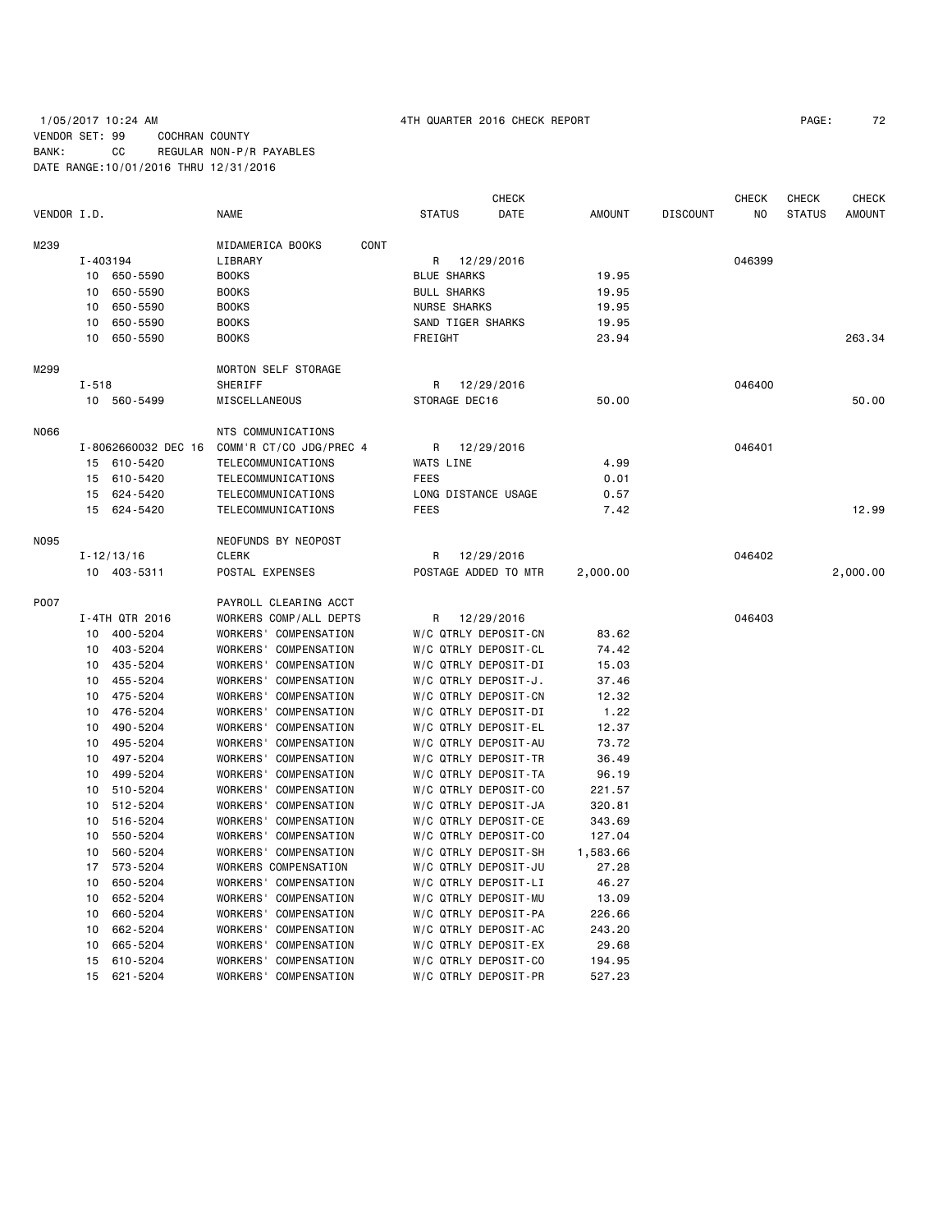# 1/05/2017 10:24 AM 4TH QUARTER 2016 CHECK REPORT PAGE: 72 VENDOR SET: 99 COCHRAN COUNTY BANK: CC REGULAR NON-P/R PAYABLES DATE RANGE:10/01/2016 THRU 12/31/2016

|             |                     |                         |                            | <b>CHECK</b>        |                         |                |                 | <b>CHECK</b> | CHECK         | <b>CHECK</b>  |
|-------------|---------------------|-------------------------|----------------------------|---------------------|-------------------------|----------------|-----------------|--------------|---------------|---------------|
| VENDOR I.D. |                     | <b>NAME</b>             |                            | <b>STATUS</b>       | DATE                    | <b>AMOUNT</b>  | <b>DISCOUNT</b> | NO.          | <b>STATUS</b> | <b>AMOUNT</b> |
| M239        |                     | MIDAMERICA BOOKS        | CONT                       |                     |                         |                |                 |              |               |               |
|             | I-403194            | LIBRARY                 |                            |                     | 12/29/2016              |                |                 | 046399       |               |               |
|             | 10 650-5590         | <b>BOOKS</b>            |                            |                     | R<br><b>BLUE SHARKS</b> |                |                 |              |               |               |
|             | 650-5590<br>10      |                         | <b>BOOKS</b>               |                     | <b>BULL SHARKS</b>      |                |                 |              |               |               |
|             | 650-5590<br>10      | <b>BOOKS</b>            |                            | <b>NURSE SHARKS</b> |                         | 19.95<br>19.95 |                 |              |               |               |
|             | 650-5590<br>10      |                         | <b>BOOKS</b>               |                     | SAND TIGER SHARKS       | 19.95          |                 |              |               |               |
|             | 10<br>650-5590      | <b>BOOKS</b>            |                            | FREIGHT             |                         | 23.94          |                 |              |               | 263.34        |
|             |                     |                         |                            |                     |                         |                |                 |              |               |               |
| M299        |                     |                         | <b>MORTON SELF STORAGE</b> |                     |                         |                |                 |              |               |               |
|             | $I - 518$           | SHERIFF                 |                            | R                   | 12/29/2016              |                |                 | 046400       |               |               |
|             | 10 560-5499         | MISCELLANEOUS           |                            | STORAGE DEC16       |                         | 50.00          |                 |              |               | 50.00         |
| N066        |                     | NTS COMMUNICATIONS      |                            |                     |                         |                |                 |              |               |               |
|             | I-8062660032 DEC 16 | COMM'R CT/CO JDG/PREC 4 |                            | R                   | 12/29/2016              |                |                 | 046401       |               |               |
|             | 15 610-5420         | TELECOMMUNICATIONS      |                            | WATS LINE           |                         | 4.99           |                 |              |               |               |
|             | 610-5420<br>15      | TELECOMMUNICATIONS      |                            | <b>FEES</b>         |                         | 0.01           |                 |              |               |               |
|             | 624-5420<br>15      | TELECOMMUNICATIONS      |                            | LONG DISTANCE USAGE |                         | 0.57           |                 |              |               |               |
|             | 15<br>624-5420      | TELECOMMUNICATIONS      |                            | <b>FEES</b>         |                         | 7.42           |                 |              |               | 12.99         |
| N095        |                     | NEOFUNDS BY NEOPOST     |                            |                     |                         |                |                 |              |               |               |
|             | $I - 12/13/16$      |                         | CLERK                      |                     | 12/29/2016<br>R         |                |                 | 046402       |               |               |
|             | 10 403-5311         |                         | POSTAL EXPENSES            |                     | POSTAGE ADDED TO MTR    |                |                 |              |               | 2,000.00      |
|             |                     |                         |                            |                     |                         |                |                 |              |               |               |
| P007        |                     | PAYROLL CLEARING ACCT   |                            |                     |                         |                |                 |              |               |               |
|             | I-4TH QTR 2016      | WORKERS COMP/ALL DEPTS  |                            | R                   | 12/29/2016              |                |                 | 046403       |               |               |
|             | 400-5204<br>10      | WORKERS' COMPENSATION   |                            |                     | W/C QTRLY DEPOSIT-CN    | 83.62          |                 |              |               |               |
|             | 403-5204<br>10      | WORKERS' COMPENSATION   |                            |                     | W/C QTRLY DEPOSIT-CL    | 74.42          |                 |              |               |               |
|             | 435-5204<br>10      | WORKERS' COMPENSATION   |                            |                     | W/C QTRLY DEPOSIT-DI    | 15.03          |                 |              |               |               |
|             | 455-5204<br>10      | WORKERS' COMPENSATION   |                            |                     | W/C QTRLY DEPOSIT-J.    | 37.46          |                 |              |               |               |
|             | 10<br>475-5204      | WORKERS' COMPENSATION   |                            |                     | W/C QTRLY DEPOSIT-CN    | 12.32          |                 |              |               |               |
|             | 476-5204<br>10      | WORKERS' COMPENSATION   |                            |                     | W/C QTRLY DEPOSIT-DI    | 1.22           |                 |              |               |               |
|             | 490-5204<br>10      | WORKERS' COMPENSATION   |                            |                     | W/C QTRLY DEPOSIT-EL    | 12.37          |                 |              |               |               |
|             | 495 - 5204<br>10    | WORKERS' COMPENSATION   |                            |                     | W/C QTRLY DEPOSIT-AU    | 73.72          |                 |              |               |               |
|             | 497-5204<br>10      | WORKERS' COMPENSATION   |                            |                     | W/C QTRLY DEPOSIT-TR    | 36.49          |                 |              |               |               |
|             | 499-5204<br>10      | WORKERS' COMPENSATION   |                            |                     | W/C QTRLY DEPOSIT-TA    | 96.19          |                 |              |               |               |
|             | 510-5204<br>10      | WORKERS' COMPENSATION   |                            |                     | W/C QTRLY DEPOSIT-CO    | 221.57         |                 |              |               |               |
|             | 10<br>512-5204      | WORKERS' COMPENSATION   |                            |                     | W/C QTRLY DEPOSIT-JA    | 320.81         |                 |              |               |               |
|             | 516-5204<br>10      | WORKERS' COMPENSATION   |                            |                     | W/C QTRLY DEPOSIT-CE    | 343.69         |                 |              |               |               |
|             | 550-5204<br>10      | WORKERS' COMPENSATION   |                            |                     | W/C QTRLY DEPOSIT-CO    | 127.04         |                 |              |               |               |
|             | 560-5204<br>10      | WORKERS' COMPENSATION   |                            |                     | W/C QTRLY DEPOSIT-SH    | 1,583.66       |                 |              |               |               |
|             | 17<br>573-5204      | WORKERS COMPENSATION    |                            |                     | W/C QTRLY DEPOSIT-JU    | 27.28          |                 |              |               |               |
|             | 650-5204<br>10      | WORKERS' COMPENSATION   |                            |                     | W/C QTRLY DEPOSIT-LI    | 46.27          |                 |              |               |               |
|             | 652-5204<br>10      | WORKERS' COMPENSATION   |                            |                     | W/C QTRLY DEPOSIT-MU    | 13.09          |                 |              |               |               |
|             | 660-5204<br>10      | WORKERS' COMPENSATION   |                            |                     | W/C QTRLY DEPOSIT-PA    | 226.66         |                 |              |               |               |
|             | 662-5204<br>10      | WORKERS' COMPENSATION   |                            |                     | W/C QTRLY DEPOSIT-AC    | 243.20         |                 |              |               |               |
|             | 665-5204<br>10      | WORKERS' COMPENSATION   |                            |                     | W/C QTRLY DEPOSIT-EX    | 29.68          |                 |              |               |               |
|             | 610-5204<br>15      | WORKERS' COMPENSATION   |                            |                     | W/C QTRLY DEPOSIT-CO    | 194.95         |                 |              |               |               |
|             | 15<br>621-5204      | WORKERS' COMPENSATION   |                            |                     | W/C QTRLY DEPOSIT-PR    | 527.23         |                 |              |               |               |
|             |                     |                         |                            |                     |                         |                |                 |              |               |               |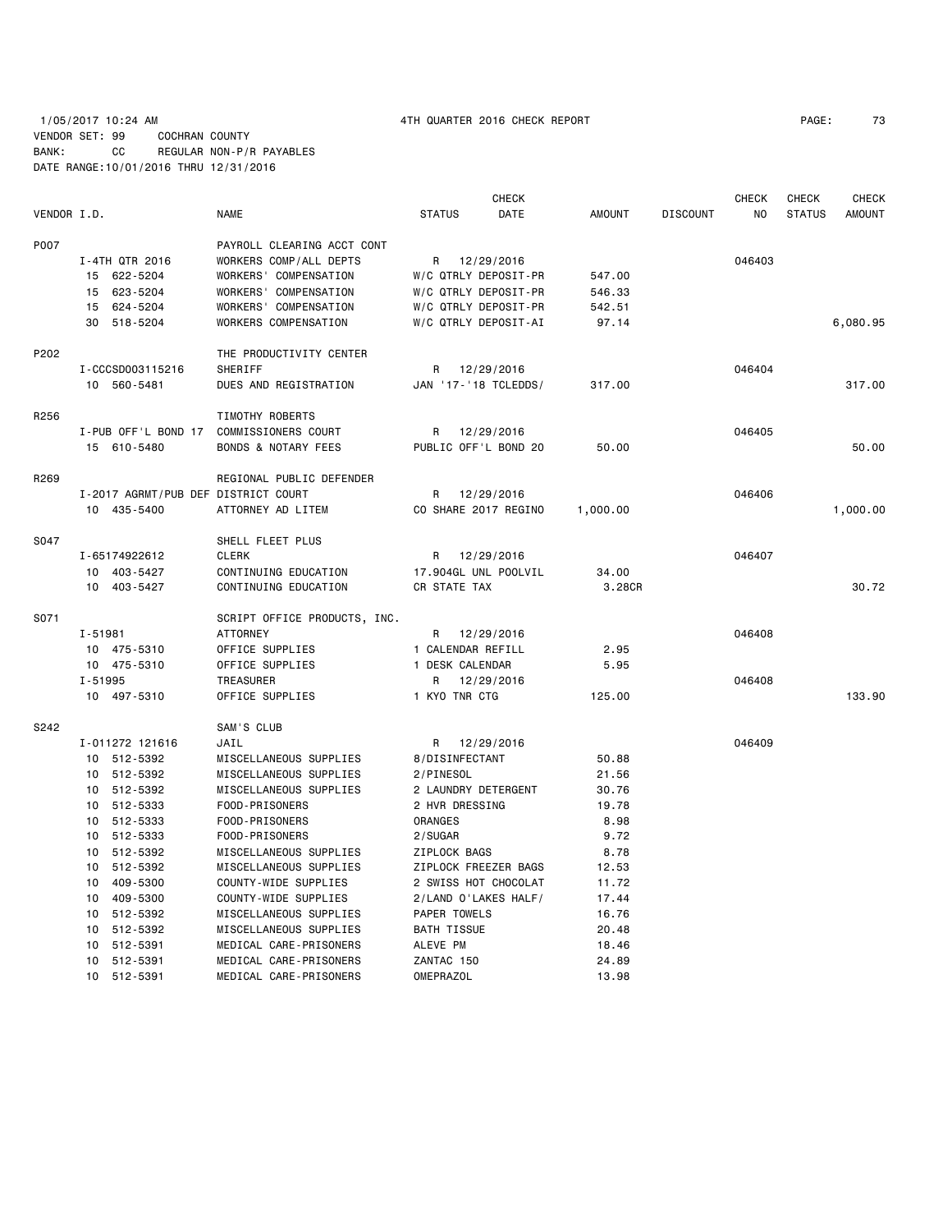|             |             |                                     |                                |                     | <b>CHECK</b>         |               |                 | <b>CHECK</b> | CHECK         | <b>CHECK</b>  |
|-------------|-------------|-------------------------------------|--------------------------------|---------------------|----------------------|---------------|-----------------|--------------|---------------|---------------|
| VENDOR I.D. |             |                                     | <b>NAME</b>                    | <b>STATUS</b>       | DATE                 | <b>AMOUNT</b> | <b>DISCOUNT</b> | NO.          | <b>STATUS</b> | <b>AMOUNT</b> |
| P007        |             |                                     | PAYROLL CLEARING ACCT CONT     |                     |                      |               |                 |              |               |               |
|             |             | I-4TH QTR 2016                      | WORKERS COMP/ALL DEPTS         | R                   | 12/29/2016           |               |                 | 046403       |               |               |
|             |             | 15 622-5204                         | WORKERS' COMPENSATION          |                     | W/C QTRLY DEPOSIT-PR | 547.00        |                 |              |               |               |
|             |             | 15 623-5204                         | WORKERS' COMPENSATION          |                     | W/C QTRLY DEPOSIT-PR | 546.33        |                 |              |               |               |
|             |             | 15 624-5204                         | WORKERS' COMPENSATION          |                     | W/C QTRLY DEPOSIT-PR | 542.51        |                 |              |               |               |
|             |             | 30 518-5204                         | WORKERS COMPENSATION           |                     | W/C QTRLY DEPOSIT-AI | 97.14         |                 |              |               | 6,080.95      |
| P202        |             |                                     | THE PRODUCTIVITY CENTER        |                     |                      |               |                 |              |               |               |
|             |             | I-CCCSD003115216                    | SHERIFF                        | R                   | 12/29/2016           |               |                 | 046404       |               |               |
|             |             | 10 560-5481                         | DUES AND REGISTRATION          |                     | JAN '17-'18 TCLEDDS/ | 317.00        |                 |              |               | 317.00        |
| R256        |             |                                     | TIMOTHY ROBERTS                |                     |                      |               |                 |              |               |               |
|             |             | I-PUB OFF'L BOND 17                 | COMMISSIONERS COURT            | R                   | 12/29/2016           |               |                 | 046405       |               |               |
|             |             | 15 610-5480                         | <b>BONDS &amp; NOTARY FEES</b> |                     | PUBLIC OFF'L BOND 20 | 50.00         |                 |              |               | 50.00         |
| R269        |             |                                     | REGIONAL PUBLIC DEFENDER       |                     |                      |               |                 |              |               |               |
|             |             | I-2017 AGRMT/PUB DEF DISTRICT COURT |                                | R                   | 12/29/2016           |               |                 | 046406       |               |               |
|             |             | 10 435-5400                         | ATTORNEY AD LITEM              |                     | CO SHARE 2017 REGINO | 1,000.00      |                 |              |               | 1,000.00      |
| S047        |             |                                     | SHELL FLEET PLUS               |                     |                      |               |                 |              |               |               |
|             |             | I-65174922612                       | <b>CLERK</b>                   |                     | 12/29/2016           |               |                 | 046407       |               |               |
|             |             | 10 403-5427                         | CONTINUING EDUCATION           |                     | 17.904GL UNL POOLVIL | 34.00         |                 |              |               |               |
|             |             | 10 403-5427                         | CONTINUING EDUCATION           | CR STATE TAX        |                      | 3.28CR        |                 |              |               | 30.72         |
| S071        |             |                                     | SCRIPT OFFICE PRODUCTS, INC.   |                     |                      |               |                 |              |               |               |
|             | $I - 51981$ |                                     | ATTORNEY                       | R                   | 12/29/2016           |               |                 | 046408       |               |               |
|             |             | 10 475-5310                         | OFFICE SUPPLIES                | 1 CALENDAR REFILL   |                      | 2.95          |                 |              |               |               |
|             |             | 10 475-5310                         | OFFICE SUPPLIES                | 1 DESK CALENDAR     |                      | 5.95          |                 |              |               |               |
|             | $I - 51995$ |                                     | <b>TREASURER</b>               | R                   | 12/29/2016           |               |                 | 046408       |               |               |
|             |             | 10 497-5310                         | OFFICE SUPPLIES                | 1 KYO TNR CTG       |                      | 125,00        |                 |              |               | 133.90        |
| S242        |             |                                     | SAM'S CLUB                     |                     |                      |               |                 |              |               |               |
|             |             | I-011272 121616                     | JAIL                           | R                   | 12/29/2016           |               |                 | 046409       |               |               |
|             |             | 10 512-5392                         | MISCELLANEOUS SUPPLIES         | 8/DISINFECTANT      |                      | 50.88         |                 |              |               |               |
|             |             | 10 512-5392                         | MISCELLANEOUS SUPPLIES         | 2/PINESOL           |                      | 21.56         |                 |              |               |               |
|             |             | 10 512-5392                         | MISCELLANEOUS SUPPLIES         | 2 LAUNDRY DETERGENT |                      | 30.76         |                 |              |               |               |
|             |             | 10 512-5333                         | FOOD-PRISONERS                 | 2 HVR DRESSING      |                      | 19.78         |                 |              |               |               |
|             |             | 10 512-5333                         | FOOD-PRISONERS                 | ORANGES             |                      | 8.98          |                 |              |               |               |
|             |             | 10 512-5333                         | FOOD-PRISONERS                 | 2/SUGAR             |                      | 9.72          |                 |              |               |               |
|             |             | 10 512-5392                         | MISCELLANEOUS SUPPLIES         | ZIPLOCK BAGS        |                      | 8.78          |                 |              |               |               |
|             |             | 10 512-5392                         | MISCELLANEOUS SUPPLIES         |                     | ZIPLOCK FREEZER BAGS | 12.53         |                 |              |               |               |
|             |             | 10 409-5300                         | COUNTY-WIDE SUPPLIES           |                     | 2 SWISS HOT CHOCOLAT | 11.72         |                 |              |               |               |
|             |             | 10 409-5300                         | COUNTY-WIDE SUPPLIES           |                     | 2/LAND O'LAKES HALF/ | 17.44         |                 |              |               |               |
|             |             | 10 512-5392                         | MISCELLANEOUS SUPPLIES         | PAPER TOWELS        |                      | 16.76         |                 |              |               |               |
|             |             | 10 512-5392                         | MISCELLANEOUS SUPPLIES         | <b>BATH TISSUE</b>  |                      | 20.48         |                 |              |               |               |
|             |             | 10 512-5391                         | MEDICAL CARE-PRISONERS         | ALEVE PM            |                      | 18.46         |                 |              |               |               |
|             |             | 10 512-5391                         | MEDICAL CARE-PRISONERS         | ZANTAC 150          |                      | 24.89         |                 |              |               |               |
|             |             | 10 512-5391                         | MEDICAL CARE-PRISONERS         | <b>OMEPRAZOL</b>    |                      | 13.98         |                 |              |               |               |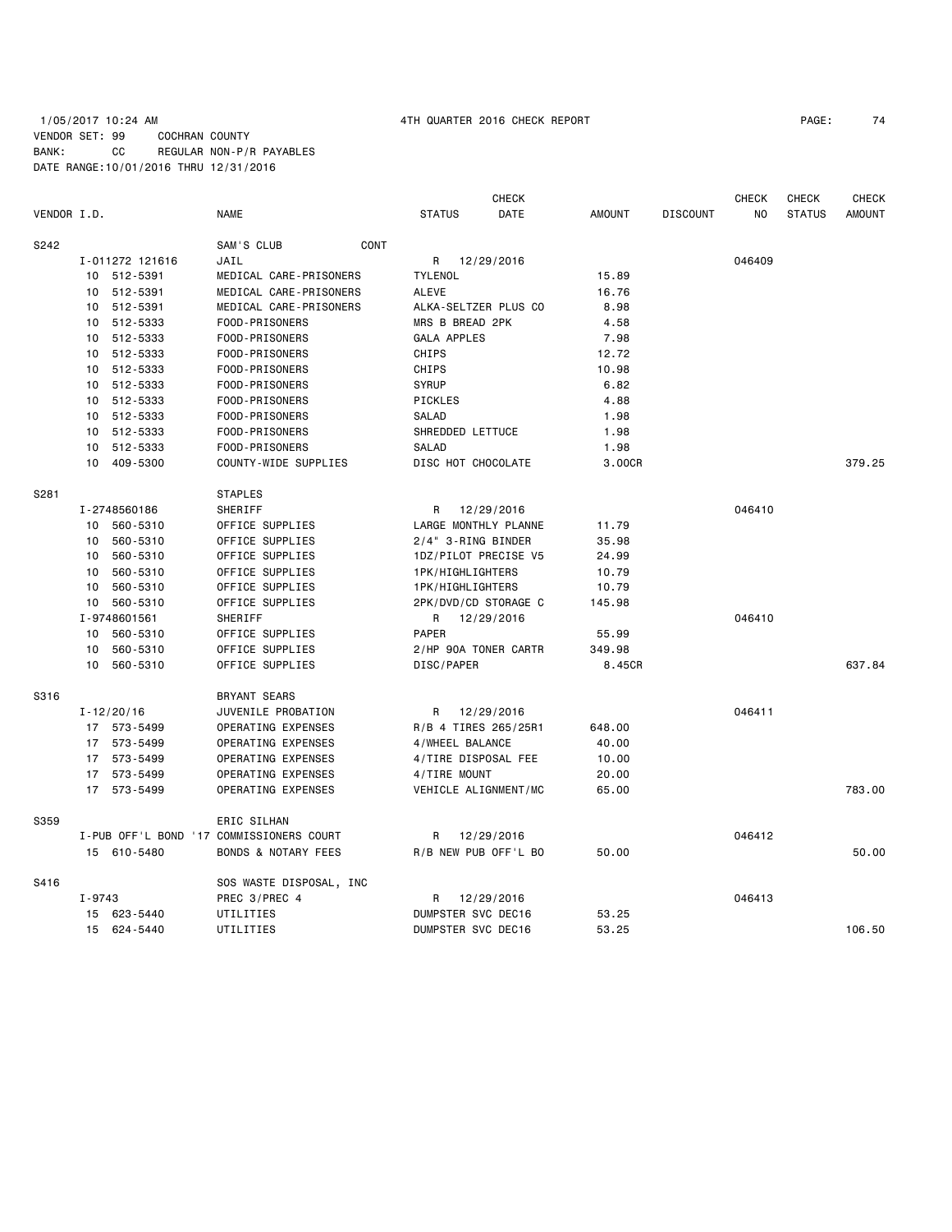## 1/05/2017 10:24 AM 4TH QUARTER 2016 CHECK REPORT PAGE: 74 VENDOR SET: 99 COCHRAN COUNTY BANK: CC REGULAR NON-P/R PAYABLES DATE RANGE:10/01/2016 THRU 12/31/2016

| VENDOR I.D. |            |                 | <b>NAME</b>                              | <b>STATUS</b>        | <b>CHECK</b><br><b>DATE</b> | <b>AMOUNT</b> | <b>DISCOUNT</b> | <b>CHECK</b><br>NO. | <b>CHECK</b><br><b>STATUS</b> | <b>CHECK</b><br><b>AMOUNT</b> |
|-------------|------------|-----------------|------------------------------------------|----------------------|-----------------------------|---------------|-----------------|---------------------|-------------------------------|-------------------------------|
| S242        |            |                 | SAM'S CLUB<br>CONT                       |                      |                             |               |                 |                     |                               |                               |
|             |            | I-011272 121616 | JAIL                                     |                      | R 12/29/2016                |               |                 | 046409              |                               |                               |
|             |            | 10 512-5391     | MEDICAL CARE-PRISONERS                   | <b>TYLENOL</b>       |                             | 15.89         |                 |                     |                               |                               |
|             | 10         | 512-5391        | MEDICAL CARE-PRISONERS                   | <b>ALEVE</b>         |                             | 16.76         |                 |                     |                               |                               |
|             | 10         | 512-5391        | MEDICAL CARE-PRISONERS                   | ALKA-SELTZER PLUS CO |                             | 8.98          |                 |                     |                               |                               |
|             | 10         | 512-5333        | FOOD-PRISONERS                           | MRS B BREAD 2PK      |                             | 4.58          |                 |                     |                               |                               |
|             | 10         | 512-5333        | FOOD-PRISONERS                           | <b>GALA APPLES</b>   |                             | 7.98          |                 |                     |                               |                               |
|             | 10         | 512-5333        | FOOD-PRISONERS                           | CHIPS                |                             | 12.72         |                 |                     |                               |                               |
|             | 10         | 512-5333        | FOOD-PRISONERS                           | CHIPS                |                             | 10.98         |                 |                     |                               |                               |
|             |            | 10 512-5333     | FOOD-PRISONERS                           | <b>SYRUP</b>         |                             | 6.82          |                 |                     |                               |                               |
|             |            | 10 512-5333     | FOOD-PRISONERS                           | PICKLES              |                             | 4.88          |                 |                     |                               |                               |
|             |            | 10 512-5333     | FOOD-PRISONERS                           | SALAD                |                             | 1.98          |                 |                     |                               |                               |
|             | 10         | 512-5333        | FOOD-PRISONERS                           | SHREDDED LETTUCE     |                             | 1.98          |                 |                     |                               |                               |
|             | 10         | 512-5333        | FOOD-PRISONERS                           | SALAD                |                             | 1.98          |                 |                     |                               |                               |
|             | 10         | 409-5300        | COUNTY-WIDE SUPPLIES                     | DISC HOT CHOCOLATE   |                             | 3.00CR        |                 |                     |                               | 379.25                        |
| S281        |            |                 | <b>STAPLES</b>                           |                      |                             |               |                 |                     |                               |                               |
|             |            | I-2748560186    | SHERIFF                                  | R                    | 12/29/2016                  |               |                 | 046410              |                               |                               |
|             |            | 10 560-5310     | OFFICE SUPPLIES                          |                      | LARGE MONTHLY PLANNE        | 11.79         |                 |                     |                               |                               |
|             | 10         | 560-5310        | OFFICE SUPPLIES                          | 2/4" 3-RING BINDER   |                             | 35.98         |                 |                     |                               |                               |
|             |            | 10 560-5310     | OFFICE SUPPLIES                          |                      | 1DZ/PILOT PRECISE V5        | 24.99         |                 |                     |                               |                               |
|             | 10         | 560-5310        | OFFICE SUPPLIES                          | 1PK/HIGHLIGHTERS     |                             | 10.79         |                 |                     |                               |                               |
|             | 10         | 560-5310        | OFFICE SUPPLIES                          | 1PK/HIGHLIGHTERS     |                             | 10.79         |                 |                     |                               |                               |
|             |            | 10 560-5310     | OFFICE SUPPLIES                          |                      | 2PK/DVD/CD STORAGE C        | 145.98        |                 |                     |                               |                               |
|             |            | I-9748601561    | SHERIFF                                  |                      | R 12/29/2016                |               |                 | 046410              |                               |                               |
|             | 10         | 560-5310        | OFFICE SUPPLIES                          | PAPER                |                             | 55.99         |                 |                     |                               |                               |
|             | 10         | 560-5310        | OFFICE SUPPLIES                          | 2/HP 90A TONER CARTR |                             | 349.98        |                 |                     |                               |                               |
|             | 10         | 560-5310        | OFFICE SUPPLIES                          | DISC/PAPER           |                             | 8.45CR        |                 |                     |                               | 637.84                        |
| S316        |            |                 | <b>BRYANT SEARS</b>                      |                      |                             |               |                 |                     |                               |                               |
|             |            | $I - 12/20/16$  | JUVENILE PROBATION                       | R                    | 12/29/2016                  |               |                 | 046411              |                               |                               |
|             |            | 17 573-5499     | OPERATING EXPENSES                       | R/B 4 TIRES 265/25R1 |                             | 648.00        |                 |                     |                               |                               |
|             |            | 17 573-5499     | OPERATING EXPENSES                       | 4/WHEEL BALANCE      |                             | 40.00         |                 |                     |                               |                               |
|             |            | 17 573-5499     | OPERATING EXPENSES                       | 4/TIRE DISPOSAL FEE  |                             | 10.00         |                 |                     |                               |                               |
|             |            | 17 573-5499     | OPERATING EXPENSES                       | 4/TIRE MOUNT         |                             | 20.00         |                 |                     |                               |                               |
|             |            | 17 573-5499     | OPERATING EXPENSES                       | VEHICLE ALIGNMENT/MC |                             | 65.00         |                 |                     |                               | 783.00                        |
| S359        |            |                 | ERIC SILHAN                              |                      |                             |               |                 |                     |                               |                               |
|             |            |                 | I-PUB OFF'L BOND '17 COMMISSIONERS COURT | R                    | 12/29/2016                  |               |                 | 046412              |                               |                               |
|             |            | 15 610-5480     | <b>BONDS &amp; NOTARY FEES</b>           | R/B NEW PUB OFF'L BO |                             | 50.00         |                 |                     |                               | 50.00                         |
| S416        |            |                 | SOS WASTE DISPOSAL, INC                  |                      |                             |               |                 |                     |                               |                               |
|             | $I - 9743$ |                 | PREC 3/PREC 4                            |                      | R 12/29/2016                |               |                 | 046413              |                               |                               |
|             |            | 15 623-5440     | UTILITIES                                | DUMPSTER SVC DEC16   |                             | 53.25         |                 |                     |                               |                               |
|             | 15         | 624-5440        | UTILITIES                                | DUMPSTER SVC DEC16   |                             | 53.25         |                 |                     |                               | 106.50                        |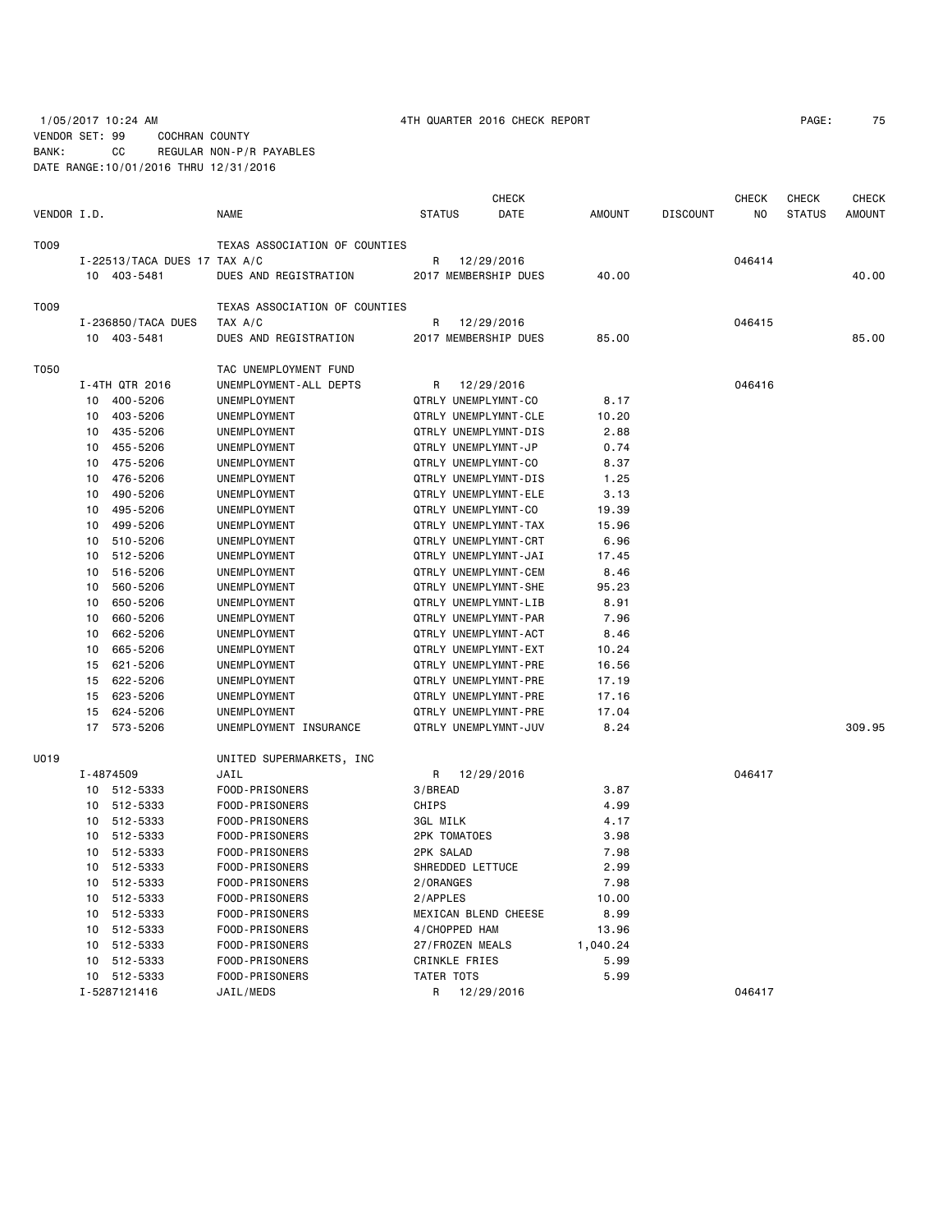1/05/2017 10:24 AM 4TH QUARTER 2016 CHECK REPORT PAGE: 75

VENDOR SET: 99 COCHRAN COUNTY BANK: CC REGULAR NON-P/R PAYABLES DATE RANGE:10/01/2016 THRU 12/31/2016

|             |    |                                  |                               |               |                      | <b>CHECK</b>         |               |                 | <b>CHECK</b> | <b>CHECK</b>  | CHECK         |
|-------------|----|----------------------------------|-------------------------------|---------------|----------------------|----------------------|---------------|-----------------|--------------|---------------|---------------|
| VENDOR I.D. |    |                                  | <b>NAME</b>                   | <b>STATUS</b> |                      | DATE                 | <b>AMOUNT</b> | <b>DISCOUNT</b> | NO           | <b>STATUS</b> | <b>AMOUNT</b> |
| T009        |    |                                  | TEXAS ASSOCIATION OF COUNTIES |               |                      |                      |               |                 |              |               |               |
|             |    | $I - 22513/TACA$ DUES 17 TAX A/C |                               | R             | 12/29/2016           |                      |               |                 | 046414       |               |               |
|             |    | 10 403-5481                      | DUES AND REGISTRATION         |               |                      | 2017 MEMBERSHIP DUES | 40.00         |                 |              |               | 40.00         |
| T009        |    |                                  | TEXAS ASSOCIATION OF COUNTIES |               |                      |                      |               |                 |              |               |               |
|             |    | I-236850/TACA DUES               | TAX A/C                       | R             | 12/29/2016           |                      |               |                 | 046415       |               |               |
|             |    | 10 403-5481                      | DUES AND REGISTRATION         |               |                      | 2017 MEMBERSHIP DUES | 85.00         |                 |              |               | 85,00         |
| T050        |    |                                  | TAC UNEMPLOYMENT FUND         |               |                      |                      |               |                 |              |               |               |
|             |    | I-4TH QTR 2016                   | UNEMPLOYMENT-ALL DEPTS        | R             | 12/29/2016           |                      |               |                 | 046416       |               |               |
|             |    | 10 400-5206                      | UNEMPLOYMENT                  |               | QTRLY UNEMPLYMNT-CO  |                      | 8.17          |                 |              |               |               |
|             | 10 | 403-5206                         | UNEMPLOYMENT                  |               |                      | QTRLY UNEMPLYMNT-CLE | 10.20         |                 |              |               |               |
|             | 10 | 435-5206                         | UNEMPLOYMENT                  |               |                      | QTRLY UNEMPLYMNT-DIS | 2.88          |                 |              |               |               |
|             | 10 | 455-5206                         | UNEMPLOYMENT                  |               | QTRLY UNEMPLYMNT-JP  |                      | 0.74          |                 |              |               |               |
|             | 10 | 475-5206                         | UNEMPLOYMENT                  |               | QTRLY UNEMPLYMNT-CO  |                      | 8.37          |                 |              |               |               |
|             |    | 10 476-5206                      | UNEMPLOYMENT                  |               |                      | QTRLY UNEMPLYMNT-DIS | 1.25          |                 |              |               |               |
|             | 10 | 490-5206                         | UNEMPLOYMENT                  |               |                      | QTRLY UNEMPLYMNT-ELE | 3.13          |                 |              |               |               |
|             | 10 | 495-5206                         | UNEMPLOYMENT                  |               | QTRLY UNEMPLYMNT-CO  |                      | 19.39         |                 |              |               |               |
|             | 10 | 499-5206                         | UNEMPLOYMENT                  |               |                      | QTRLY UNEMPLYMNT-TAX | 15.96         |                 |              |               |               |
|             | 10 | 510-5206                         | UNEMPLOYMENT                  |               |                      | QTRLY UNEMPLYMNT-CRT | 6.96          |                 |              |               |               |
|             | 10 | 512-5206                         | UNEMPLOYMENT                  |               |                      | QTRLY UNEMPLYMNT-JAI | 17.45         |                 |              |               |               |
|             | 10 | 516-5206                         | UNEMPLOYMENT                  |               |                      | QTRLY UNEMPLYMNT-CEM | 8.46          |                 |              |               |               |
|             | 10 | 560-5206                         | UNEMPLOYMENT                  |               |                      | QTRLY UNEMPLYMNT-SHE | 95.23         |                 |              |               |               |
|             | 10 | 650-5206                         | UNEMPLOYMENT                  |               |                      | QTRLY UNEMPLYMNT-LIB | 8.91          |                 |              |               |               |
|             | 10 | 660-5206                         | UNEMPLOYMENT                  |               |                      | QTRLY UNEMPLYMNT-PAR | 7.96          |                 |              |               |               |
|             | 10 | 662-5206                         | UNEMPLOYMENT                  |               |                      | QTRLY UNEMPLYMNT-ACT | 8.46          |                 |              |               |               |
|             | 10 | 665-5206                         | UNEMPLOYMENT                  |               |                      | QTRLY UNEMPLYMNT-EXT | 10.24         |                 |              |               |               |
|             | 15 | 621-5206                         | UNEMPLOYMENT                  |               |                      | QTRLY UNEMPLYMNT-PRE | 16.56         |                 |              |               |               |
|             | 15 | 622-5206                         | UNEMPLOYMENT                  |               |                      | QTRLY UNEMPLYMNT-PRE | 17.19         |                 |              |               |               |
|             | 15 | 623-5206                         | UNEMPLOYMENT                  |               |                      | QTRLY UNEMPLYMNT-PRE | 17.16         |                 |              |               |               |
|             | 15 | 624-5206                         | UNEMPLOYMENT                  |               |                      | QTRLY UNEMPLYMNT-PRE | 17.04         |                 |              |               |               |
|             | 17 | 573-5206                         | UNEMPLOYMENT INSURANCE        |               |                      | QTRLY UNEMPLYMNT-JUV | 8.24          |                 |              |               | 309.95        |
| U019        |    |                                  | UNITED SUPERMARKETS, INC      |               |                      |                      |               |                 |              |               |               |
|             |    | I-4874509                        | JAIL                          | R             | 12/29/2016           |                      |               |                 | 046417       |               |               |
|             |    | 10 512-5333                      | FOOD-PRISONERS                | 3/BREAD       |                      |                      | 3.87          |                 |              |               |               |
|             |    | 10 512-5333                      | FOOD-PRISONERS                | CHIPS         |                      |                      | 4.99          |                 |              |               |               |
|             |    | 10 512-5333                      | FOOD-PRISONERS                | 3GL MILK      |                      |                      | 4.17          |                 |              |               |               |
|             | 10 | 512-5333                         | FOOD-PRISONERS                |               | <b>2PK TOMATOES</b>  |                      | 3.98          |                 |              |               |               |
|             |    | 10 512-5333                      | FOOD-PRISONERS                | 2PK SALAD     |                      |                      | 7.98          |                 |              |               |               |
|             |    | 10 512-5333                      | FOOD-PRISONERS                |               | SHREDDED LETTUCE     |                      | 2.99          |                 |              |               |               |
|             | 10 | 512-5333                         | FOOD-PRISONERS                | 2/0RANGES     |                      |                      | 7.98          |                 |              |               |               |
|             | 10 | 512-5333                         | FOOD-PRISONERS                | 2/APPLES      |                      |                      | 10.00         |                 |              |               |               |
|             | 10 | 512-5333                         | FOOD-PRISONERS                |               |                      | MEXICAN BLEND CHEESE | 8.99          |                 |              |               |               |
|             |    | 10 512-5333                      | FOOD-PRISONERS                |               | 4/CHOPPED HAM        |                      | 13.96         |                 |              |               |               |
|             | 10 | 512-5333                         | FOOD-PRISONERS                |               | 27/FROZEN MEALS      |                      | 1,040.24      |                 |              |               |               |
|             | 10 | 512-5333                         | FOOD-PRISONERS                |               | <b>CRINKLE FRIES</b> |                      | 5.99          |                 |              |               |               |
|             |    | 10 512-5333                      | FOOD-PRISONERS                |               | TATER TOTS           |                      | 5.99          |                 |              |               |               |
|             |    | I-5287121416                     | JAIL/MEDS                     | R             | 12/29/2016           |                      |               |                 | 046417       |               |               |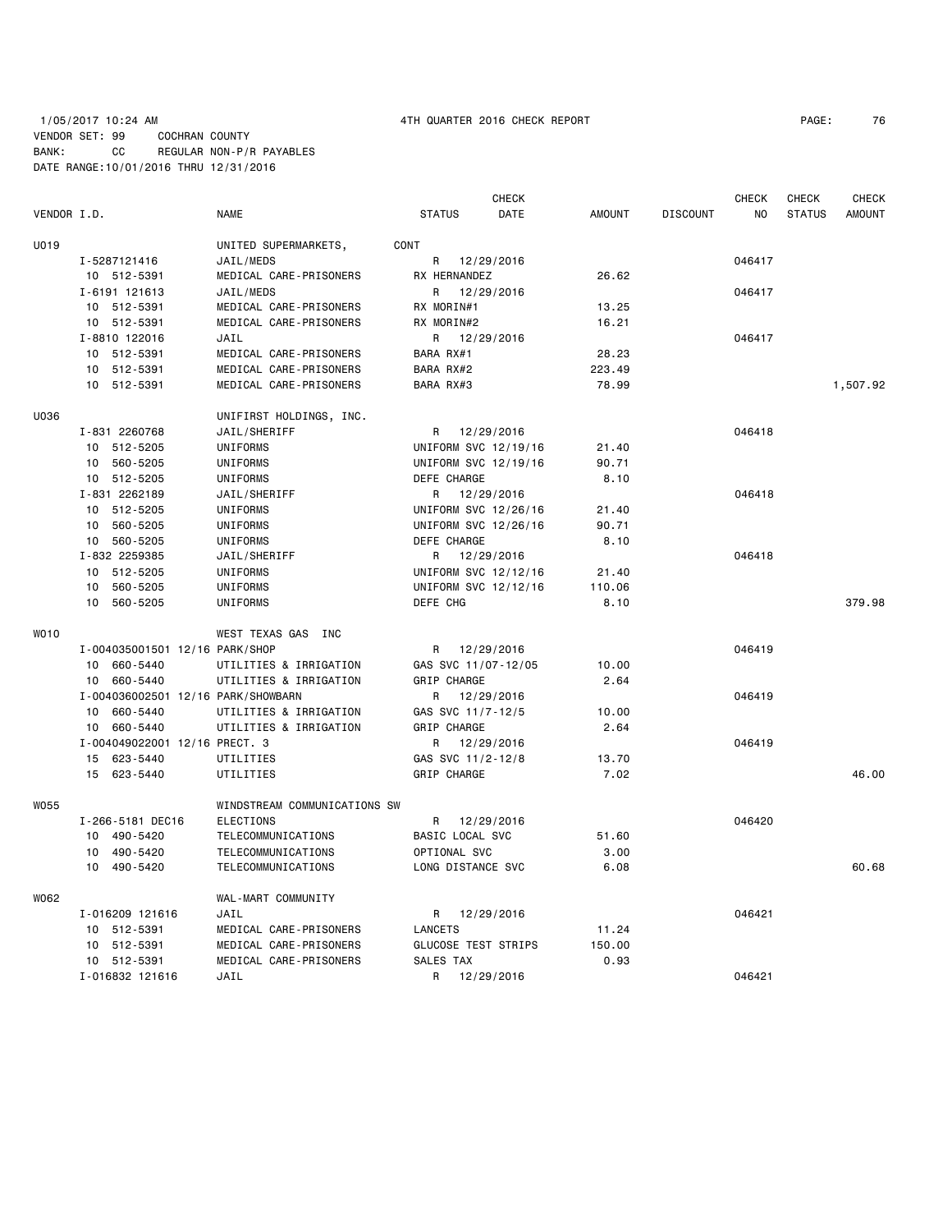# 1/05/2017 10:24 AM 4TH QUARTER 2016 CHECK REPORT PAGE: 76 VENDOR SET: 99 COCHRAN COUNTY BANK: CC REGULAR NON-P/R PAYABLES DATE RANGE:10/01/2016 THRU 12/31/2016

|             |                                    |                              |                            | <b>CHECK</b> |               |                 | CHECK  | CHECK         | <b>CHECK</b>  |
|-------------|------------------------------------|------------------------------|----------------------------|--------------|---------------|-----------------|--------|---------------|---------------|
| VENDOR I.D. |                                    | NAME                         | <b>STATUS</b>              | DATE         | <b>AMOUNT</b> | <b>DISCOUNT</b> | ΝO     | <b>STATUS</b> | <b>AMOUNT</b> |
| U019        |                                    | UNITED SUPERMARKETS,         | CONT                       |              |               |                 |        |               |               |
|             | I-5287121416                       | JAIL/MEDS                    | R                          | 12/29/2016   |               |                 | 046417 |               |               |
|             | 10 512-5391                        | MEDICAL CARE-PRISONERS       | RX HERNANDEZ               |              | 26.62         |                 |        |               |               |
|             | I-6191 121613                      | JAIL/MEDS                    | R.                         | 12/29/2016   |               |                 | 046417 |               |               |
|             | 10 512-5391                        | MEDICAL CARE-PRISONERS       | RX MORIN#1                 |              | 13.25         |                 |        |               |               |
|             | 10 512-5391                        | MEDICAL CARE-PRISONERS       | RX MORIN#2                 |              | 16.21         |                 |        |               |               |
|             | I-8810 122016                      | JAIL                         | R                          | 12/29/2016   |               |                 | 046417 |               |               |
|             | 10 512-5391                        | MEDICAL CARE-PRISONERS       | BARA RX#1                  |              | 28.23         |                 |        |               |               |
|             | 10 512-5391                        | MEDICAL CARE-PRISONERS       | BARA RX#2                  |              | 223.49        |                 |        |               |               |
|             | 10 512-5391                        | MEDICAL CARE-PRISONERS       | BARA RX#3                  |              | 78.99         |                 |        |               | 1,507.92      |
| U036        |                                    | UNIFIRST HOLDINGS, INC.      |                            |              |               |                 |        |               |               |
|             | I-831 2260768                      | JAIL/SHERIFF                 | R                          | 12/29/2016   |               |                 | 046418 |               |               |
|             | 10 512-5205                        | UNIFORMS                     | UNIFORM SVC 12/19/16       |              | 21.40         |                 |        |               |               |
|             | 10 560-5205                        | UNIFORMS                     | UNIFORM SVC 12/19/16       |              | 90.71         |                 |        |               |               |
|             | 10 512-5205                        | UNIFORMS                     | DEFE CHARGE                |              | 8.10          |                 |        |               |               |
|             | I-831 2262189                      | JAIL/SHERIFF                 | R.                         | 12/29/2016   |               |                 | 046418 |               |               |
|             | 10 512-5205                        | UNIFORMS                     | UNIFORM SVC 12/26/16       |              | 21.40         |                 |        |               |               |
|             | 10 560-5205                        | UNIFORMS                     | UNIFORM SVC 12/26/16       |              | 90.71         |                 |        |               |               |
|             | 10 560-5205                        | UNIFORMS                     | DEFE CHARGE                |              | 8.10          |                 |        |               |               |
|             | I-832 2259385                      | JAIL/SHERIFF                 | R 12/29/2016               |              |               |                 | 046418 |               |               |
|             | 10 512-5205                        | UNIFORMS                     | UNIFORM SVC 12/12/16       |              | 21.40         |                 |        |               |               |
|             | 560-5205<br>10                     |                              | UNIFORM SVC 12/12/16       |              |               |                 |        |               |               |
|             |                                    | UNIFORMS                     | DEFE CHG                   |              | 110.06        |                 |        |               | 379.98        |
|             | 10 560-5205                        | UNIFORMS                     |                            |              | 8.10          |                 |        |               |               |
| WO10        |                                    | WEST TEXAS GAS INC           |                            |              |               |                 |        |               |               |
|             | I-004035001501 12/16 PARK/SHOP     |                              | R 12/29/2016               |              |               |                 | 046419 |               |               |
|             | 10 660-5440                        | UTILITIES & IRRIGATION       | GAS SVC 11/07-12/05        |              | 10.00         |                 |        |               |               |
|             | 10 660-5440                        | UTILITIES & IRRIGATION       | GRIP CHARGE                |              | 2.64          |                 |        |               |               |
|             | I-004036002501 12/16 PARK/SHOWBARN |                              | R                          | 12/29/2016   |               |                 | 046419 |               |               |
|             | 10 660-5440                        | UTILITIES & IRRIGATION       | GAS SVC 11/7-12/5          |              | 10.00         |                 |        |               |               |
|             | 10 660-5440                        | UTILITIES & IRRIGATION       | GRIP CHARGE                |              | 2.64          |                 |        |               |               |
|             | I-004049022001 12/16 PRECT. 3      |                              | R                          | 12/29/2016   |               |                 | 046419 |               |               |
|             | 15 623-5440                        | UTILITIES                    | GAS SVC 11/2-12/8          |              | 13.70         |                 |        |               |               |
|             | 15 623-5440                        | UTILITIES                    | GRIP CHARGE                |              | 7.02          |                 |        |               | 46.00         |
| <b>W055</b> |                                    | WINDSTREAM COMMUNICATIONS SW |                            |              |               |                 |        |               |               |
|             | I-266-5181 DEC16                   | ELECTIONS                    | R                          | 12/29/2016   |               |                 | 046420 |               |               |
|             | 10 490-5420                        | TELECOMMUNICATIONS           | BASIC LOCAL SVC            |              | 51.60         |                 |        |               |               |
|             | 10 490-5420                        | TELECOMMUNICATIONS           | OPTIONAL SVC               |              | 3.00          |                 |        |               |               |
|             | 10 490-5420                        | TELECOMMUNICATIONS           | LONG DISTANCE SVC          |              | 6.08          |                 |        |               | 60.68         |
| W062        |                                    | WAL-MART COMMUNITY           |                            |              |               |                 |        |               |               |
|             | I-016209 121616                    | JAIL                         | R 12/29/2016               |              |               |                 | 046421 |               |               |
|             | 10 512-5391                        | MEDICAL CARE-PRISONERS       | LANCETS                    |              | 11.24         |                 |        |               |               |
|             | 10 512-5391                        | MEDICAL CARE-PRISONERS       | <b>GLUCOSE TEST STRIPS</b> |              | 150.00        |                 |        |               |               |
|             | 10 512-5391                        | MEDICAL CARE-PRISONERS       | SALES TAX                  |              | 0.93          |                 |        |               |               |
|             | I-016832 121616                    | JAIL                         | R                          | 12/29/2016   |               |                 | 046421 |               |               |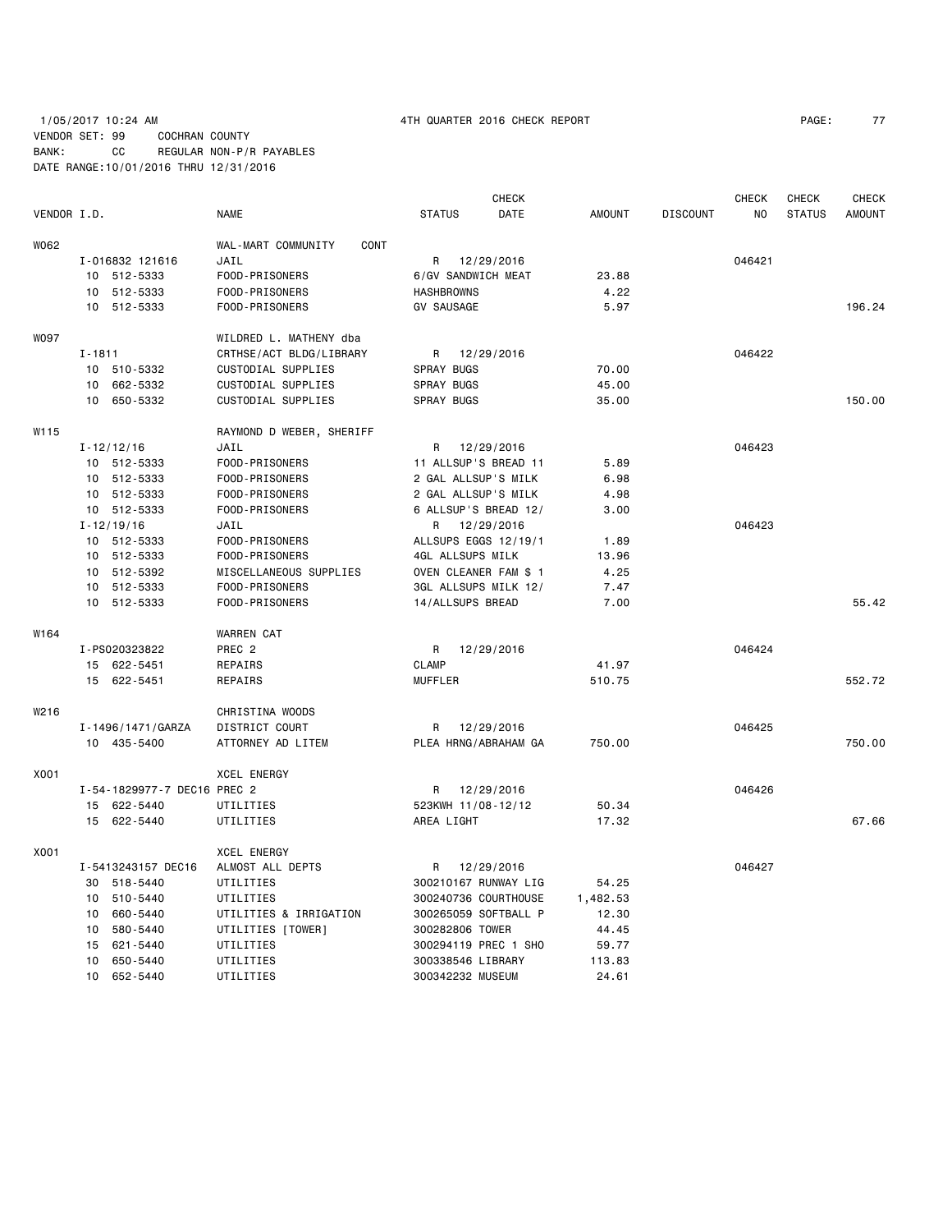# 1/05/2017 10:24 AM 4TH QUARTER 2016 CHECK REPORT PAGE: 77 VENDOR SET: 99 COCHRAN COUNTY BANK: CC REGULAR NON-P/R PAYABLES DATE RANGE:10/01/2016 THRU 12/31/2016

|             |                             |                            |                       | <b>CHECK</b> |               |                 | <b>CHECK</b> | CHECK         | <b>CHECK</b>  |
|-------------|-----------------------------|----------------------------|-----------------------|--------------|---------------|-----------------|--------------|---------------|---------------|
| VENDOR I.D. |                             | NAME                       | <b>STATUS</b>         | DATE         | <b>AMOUNT</b> | <b>DISCOUNT</b> | NO.          | <b>STATUS</b> | <b>AMOUNT</b> |
| W062        |                             | WAL-MART COMMUNITY<br>CONT |                       |              |               |                 |              |               |               |
|             | I-016832 121616             | JAIL                       | R 12/29/2016          |              |               |                 | 046421       |               |               |
|             | 10 512-5333                 | FOOD-PRISONERS             | 6/GV SANDWICH MEAT    |              | 23.88         |                 |              |               |               |
|             | 10 512-5333                 | FOOD-PRISONERS             | <b>HASHBROWNS</b>     |              | 4.22          |                 |              |               |               |
|             | 10 512-5333                 | FOOD-PRISONERS             | <b>GV SAUSAGE</b>     |              | 5.97          |                 |              |               | 196.24        |
| W097        |                             | WILDRED L. MATHENY dba     |                       |              |               |                 |              |               |               |
|             | $I - 1811$                  | CRTHSE/ACT BLDG/LIBRARY    | R 12/29/2016          |              |               |                 | 046422       |               |               |
|             | 10 510-5332                 | CUSTODIAL SUPPLIES         | SPRAY BUGS            |              | 70.00         |                 |              |               |               |
|             | 10 662-5332                 | CUSTODIAL SUPPLIES         | SPRAY BUGS            |              | 45.00         |                 |              |               |               |
|             | 10 650-5332                 | CUSTODIAL SUPPLIES         | <b>SPRAY BUGS</b>     |              | 35.00         |                 |              |               | 150.00        |
| W115        |                             | RAYMOND D WEBER, SHERIFF   |                       |              |               |                 |              |               |               |
|             | $I - 12/12/16$              | JAIL                       | R                     | 12/29/2016   |               |                 | 046423       |               |               |
|             | 10 512-5333                 | FOOD-PRISONERS             | 11 ALLSUP'S BREAD 11  |              | 5.89          |                 |              |               |               |
|             | 10 512-5333                 | FOOD-PRISONERS             | 2 GAL ALLSUP'S MILK   |              | 6.98          |                 |              |               |               |
|             | 10 512-5333                 | FOOD-PRISONERS             | 2 GAL ALLSUP'S MILK   |              | 4.98          |                 |              |               |               |
|             | 10 512-5333                 | FOOD-PRISONERS             | 6 ALLSUP'S BREAD 12/  |              | 3.00          |                 |              |               |               |
|             | $I - 12/19/16$              | JAIL                       | R                     | 12/29/2016   |               |                 | 046423       |               |               |
|             | 10 512-5333                 | FOOD-PRISONERS             | ALLSUPS EGGS 12/19/1  |              | 1.89          |                 |              |               |               |
|             | 10 512-5333                 | FOOD-PRISONERS             | 4GL ALLSUPS MILK      |              | 13.96         |                 |              |               |               |
|             | 10 512-5392                 | MISCELLANEOUS SUPPLIES     | OVEN CLEANER FAM \$ 1 |              | 4.25          |                 |              |               |               |
|             | 10 512-5333                 | FOOD-PRISONERS             | 3GL ALLSUPS MILK 12/  |              | 7.47          |                 |              |               |               |
|             | 10 512-5333                 | FOOD-PRISONERS             | 14/ALLSUPS BREAD      |              | 7.00          |                 |              |               | 55.42         |
| W164        |                             | <b>WARREN CAT</b>          |                       |              |               |                 |              |               |               |
|             | I-PS020323822               | PREC <sub>2</sub>          | R                     | 12/29/2016   |               |                 | 046424       |               |               |
|             | 15 622-5451                 | REPAIRS                    | <b>CLAMP</b>          |              | 41.97         |                 |              |               |               |
|             | 15 622-5451                 | REPAIRS                    | <b>MUFFLER</b>        |              | 510.75        |                 |              |               | 552.72        |
| W216        |                             | CHRISTINA WOODS            |                       |              |               |                 |              |               |               |
|             | I-1496/1471/GARZA           | DISTRICT COURT             | R                     | 12/29/2016   |               |                 | 046425       |               |               |
|             | 10 435-5400                 | ATTORNEY AD LITEM          | PLEA HRNG/ABRAHAM GA  |              | 750.00        |                 |              |               | 750.00        |
| X001        |                             | <b>XCEL ENERGY</b>         |                       |              |               |                 |              |               |               |
|             | I-54-1829977-7 DEC16 PREC 2 |                            | R                     | 12/29/2016   |               |                 | 046426       |               |               |
|             | 15 622-5440                 | UTILITIES                  | 523KWH 11/08-12/12    |              | 50.34         |                 |              |               |               |
|             | 15 622-5440                 | UTILITIES                  | AREA LIGHT            |              | 17.32         |                 |              |               | 67.66         |
| X001        |                             | <b>XCEL ENERGY</b>         |                       |              |               |                 |              |               |               |
|             | I-5413243157 DEC16          | ALMOST ALL DEPTS           | R                     | 12/29/2016   |               |                 | 046427       |               |               |
|             | 30 518-5440                 | UTILITIES                  | 300210167 RUNWAY LIG  |              | 54.25         |                 |              |               |               |
|             | 10 510-5440                 | UTILITIES                  | 300240736 COURTHOUSE  |              | 1,482.53      |                 |              |               |               |
|             | 660-5440<br>10              | UTILITIES & IRRIGATION     | 300265059 SOFTBALL P  |              | 12.30         |                 |              |               |               |
|             | 10 580-5440                 | UTILITIES [TOWER]          | 300282806 TOWER       |              | 44.45         |                 |              |               |               |
|             | 15 621-5440                 | UTILITIES                  | 300294119 PREC 1 SHO  |              | 59.77         |                 |              |               |               |
|             | 10 650-5440                 | UTILITIES                  | 300338546 LIBRARY     |              | 113.83        |                 |              |               |               |
|             | 10 652-5440                 | UTILITIES                  | 300342232 MUSEUM      |              | 24.61         |                 |              |               |               |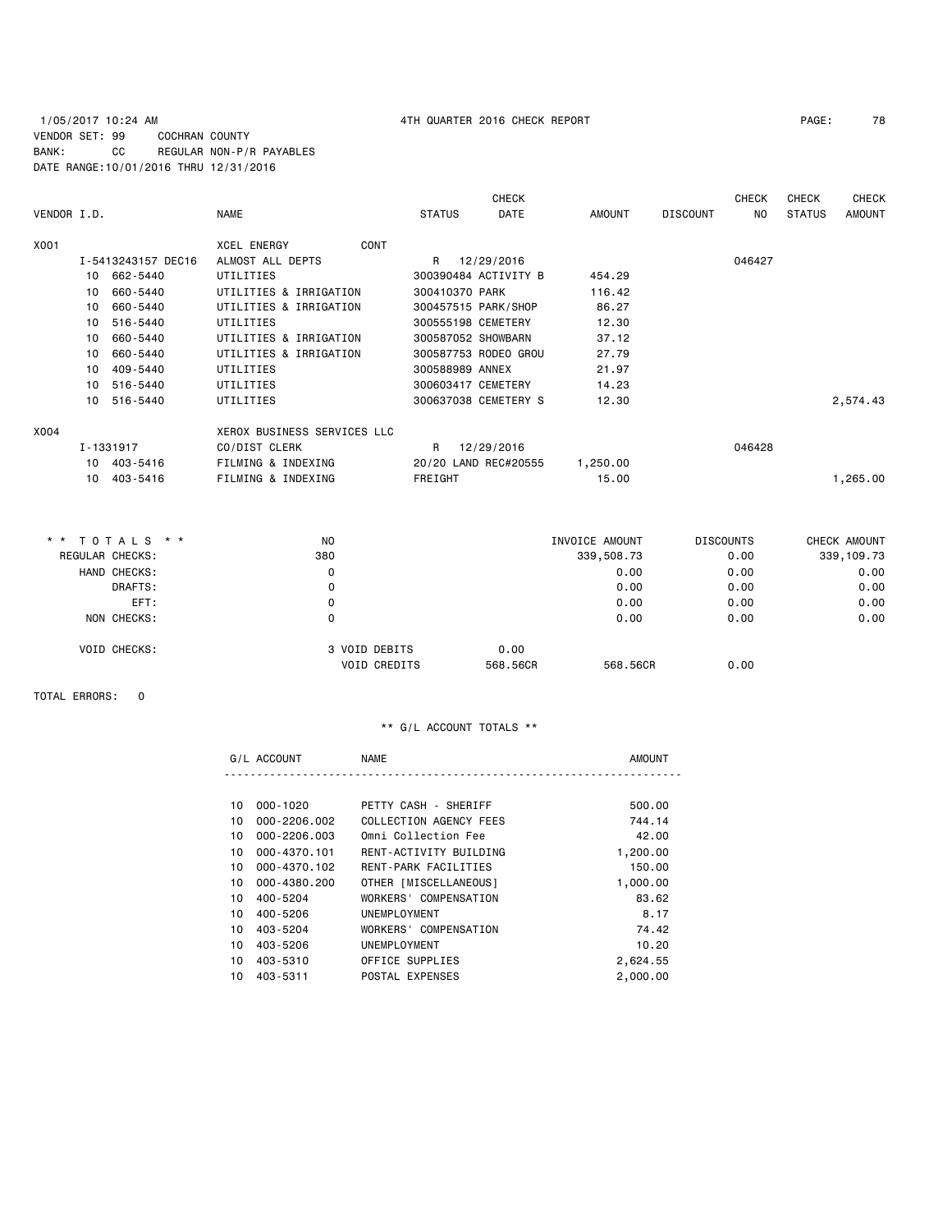## 1/05/2017 10:24 AM 4TH QUARTER 2016 CHECK REPORT PAGE: 78 VENDOR SET: 99 COCHRAN COUNTY BANK: CC REGULAR NON-P/R PAYABLES DATE RANGE:10/01/2016 THRU 12/31/2016

| VENDOR I.D. |    |                    | <b>NAME</b>                 | <b>STATUS</b>      | <b>CHECK</b><br><b>DATE</b> | <b>AMOUNT</b>  | <b>DISCOUNT</b>  | <b>CHECK</b><br>NO | <b>CHECK</b><br><b>STATUS</b> | <b>CHECK</b><br><b>AMOUNT</b> |
|-------------|----|--------------------|-----------------------------|--------------------|-----------------------------|----------------|------------------|--------------------|-------------------------------|-------------------------------|
| X001        |    |                    | <b>XCEL ENERGY</b><br>CONT  |                    |                             |                |                  |                    |                               |                               |
|             |    | I-5413243157 DEC16 | ALMOST ALL DEPTS            | R                  | 12/29/2016                  |                |                  | 046427             |                               |                               |
|             | 10 | 662-5440           | UTILITIES                   |                    | 300390484 ACTIVITY B        | 454.29         |                  |                    |                               |                               |
|             | 10 | 660-5440           | UTILITIES & IRRIGATION      | 300410370 PARK     |                             | 116.42         |                  |                    |                               |                               |
|             | 10 | 660-5440           | UTILITIES & IRRIGATION      |                    | 300457515 PARK/SHOP         | 86.27          |                  |                    |                               |                               |
|             | 10 | 516-5440           | UTILITIES                   | 300555198 CEMETERY |                             | 12.30          |                  |                    |                               |                               |
|             | 10 | 660-5440           | UTILITIES & IRRIGATION      | 300587052 SHOWBARN |                             | 37.12          |                  |                    |                               |                               |
|             | 10 | 660-5440           | UTILITIES & IRRIGATION      |                    | 300587753 RODEO GROU        | 27.79          |                  |                    |                               |                               |
|             | 10 | 409-5440           | UTILITIES                   | 300588989 ANNEX    |                             | 21.97          |                  |                    |                               |                               |
|             | 10 | 516-5440           | UTILITIES                   | 300603417 CEMETERY |                             | 14.23          |                  |                    |                               |                               |
|             | 10 | 516-5440           | UTILITIES                   |                    | 300637038 CEMETERY S        | 12.30          |                  |                    |                               | 2,574.43                      |
| X004        |    |                    | XEROX BUSINESS SERVICES LLC |                    |                             |                |                  |                    |                               |                               |
|             |    | I-1331917          | CO/DIST CLERK               | R                  | 12/29/2016                  |                |                  | 046428             |                               |                               |
|             |    | 10 403-5416        | FILMING & INDEXING          |                    | 20/20 LAND REC#20555        | 1,250.00       |                  |                    |                               |                               |
|             | 10 | 403-5416           | FILMING & INDEXING          | FREIGHT            |                             | 15.00          |                  |                    |                               | 1,265.00                      |
|             |    |                    |                             |                    |                             |                |                  |                    |                               |                               |
|             |    | * * TOTALS * *     | N <sub>O</sub>              |                    |                             | INVOICE AMOUNT | <b>DISCOUNTS</b> |                    |                               | CHECK AMOUNT                  |

| . <del>.</del>      | IV                                   |                  | <b>INVUIUL AMUUNI</b> | <b>DIUUUUI</b> | <b>VIILVIA ARVUILI</b> |
|---------------------|--------------------------------------|------------------|-----------------------|----------------|------------------------|
| REGULAR CHECKS:     | 380                                  |                  | 339,508.73            | 0.00           | 339,109.73             |
| HAND CHECKS:        |                                      |                  | 0.00                  | 0.00           | 0.00                   |
| DRAFTS:             | 0                                    |                  | 0.00                  | 0.00           | 0.00                   |
| EFT:                |                                      |                  | 0.00                  | 0.00           | 0.00                   |
| NON CHECKS:         |                                      |                  | 0.00                  | 0.00           | 0.00                   |
| <b>VOID CHECKS:</b> | 3 VOID DEBITS<br><b>VOID CREDITS</b> | 0.00<br>568,56CR | 568,56CR              | 0.00           |                        |
|                     |                                      |                  |                       |                |                        |

TOTAL ERRORS: 0

|    | G/L ACCOUNT  | <b>NAME</b>            | AMOUNT   |
|----|--------------|------------------------|----------|
|    |              |                        |          |
| 10 | 000-1020     | PETTY CASH - SHERIFF   | 500.00   |
| 10 | 000-2206.002 | COLLECTION AGENCY FEES | 744.14   |
| 10 | 000-2206.003 | Omni Collection Fee    | 42.00    |
| 10 | 000-4370.101 | RENT-ACTIVITY BUILDING | 1,200.00 |
| 10 | 000-4370.102 | RENT-PARK FACILITIES   | 150.00   |
| 10 | 000-4380.200 | OTHER [MISCELLANEOUS]  | 1,000.00 |
| 10 | 400-5204     | WORKERS' COMPENSATION  | 83.62    |
| 10 | 400-5206     | UNEMPLOYMENT           | 8.17     |
| 10 | 403-5204     | WORKERS' COMPENSATION  | 74.42    |
| 10 | 403-5206     | UNEMPLOYMENT           | 10.20    |
| 10 | 403-5310     | OFFICE SUPPLIES        | 2,624.55 |
| 10 | 403-5311     | POSTAL EXPENSES        | 2,000,00 |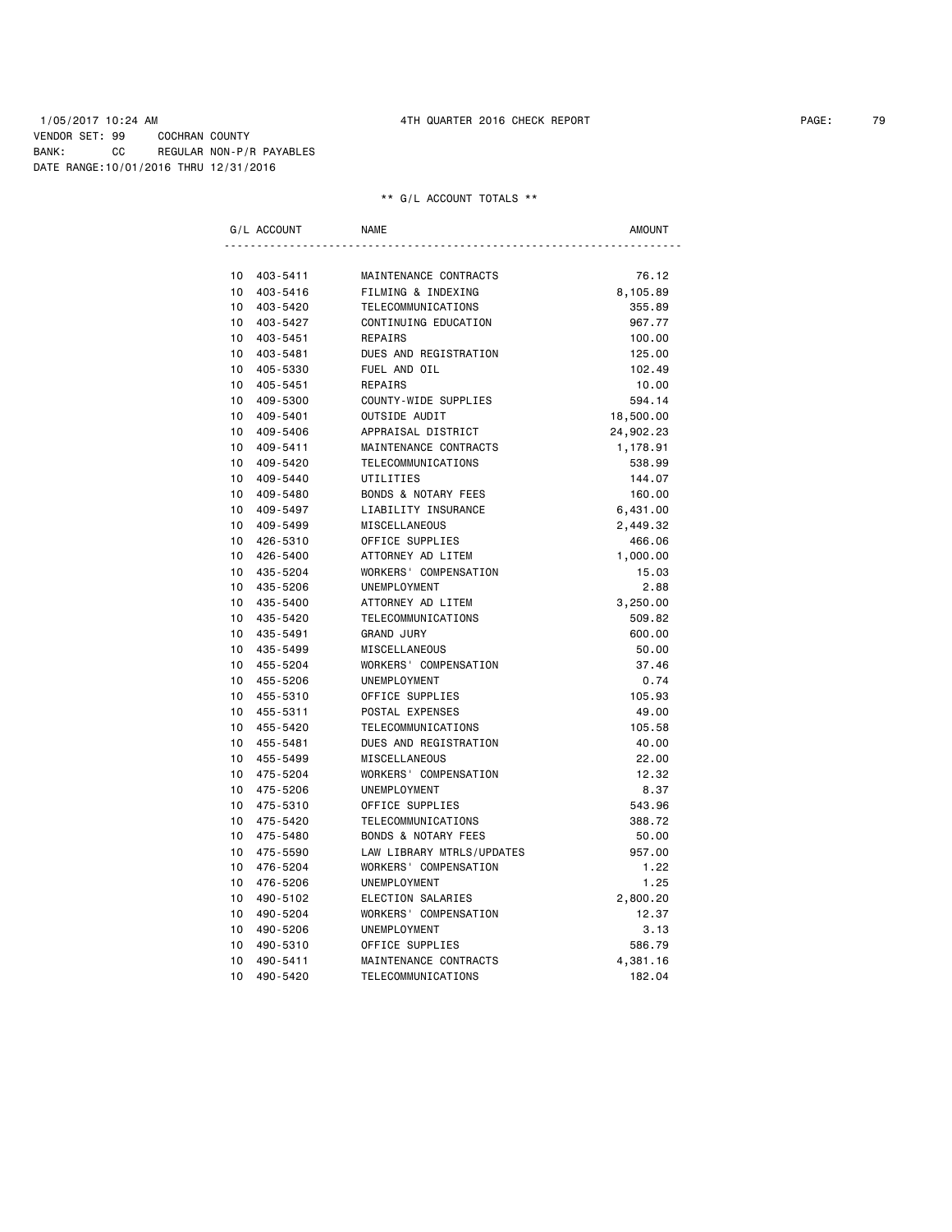### 1/05/2017 10:24 AM 4TH QUARTER 2016 CHECK REPORT PAGE: 79 VENDOR SET: 99 COCHRAN COUNTY BANK: CC REGULAR NON-P/R PAYABLES DATE RANGE:10/01/2016 THRU 12/31/2016

|    | G/L ACCOUNT | <b>NAME</b>                    | AMOUNT    |
|----|-------------|--------------------------------|-----------|
|    |             |                                |           |
| 10 | 403-5411    | MAINTENANCE CONTRACTS          | 76.12     |
| 10 | 403-5416    | FILMING & INDEXING             | 8,105.89  |
| 10 | 403-5420    | TELECOMMUNICATIONS             | 355.89    |
| 10 | 403-5427    | CONTINUING EDUCATION           | 967.77    |
| 10 | 403-5451    | REPAIRS                        | 100.00    |
| 10 | 403-5481    | DUES AND REGISTRATION          | 125.00    |
| 10 | 405-5330    | FUEL AND OIL                   | 102.49    |
| 10 | 405-5451    | <b>REPAIRS</b>                 | 10.00     |
| 10 | 409-5300    | COUNTY-WIDE SUPPLIES           | 594.14    |
| 10 | 409-5401    | OUTSIDE AUDIT                  | 18,500.00 |
| 10 | 409-5406    | APPRAISAL DISTRICT             | 24,902.23 |
| 10 | 409-5411    | MAINTENANCE CONTRACTS          | 1,178.91  |
| 10 | 409-5420    | TELECOMMUNICATIONS             | 538.99    |
| 10 | 409-5440    | UTILITIES                      | 144.07    |
| 10 | 409-5480    | <b>BONDS &amp; NOTARY FEES</b> | 160.00    |
| 10 | 409-5497    | LIABILITY INSURANCE            | 6,431.00  |
| 10 | 409-5499    | MISCELLANEOUS                  | 2,449.32  |
| 10 | 426-5310    | OFFICE SUPPLIES                | 466.06    |
| 10 | 426-5400    | ATTORNEY AD LITEM              | 1,000.00  |
| 10 | 435-5204    | WORKERS' COMPENSATION          | 15.03     |
| 10 | 435-5206    | UNEMPLOYMENT                   | 2.88      |
| 10 | 435-5400    | ATTORNEY AD LITEM              | 3,250.00  |
| 10 | 435-5420    | TELECOMMUNICATIONS             | 509.82    |
| 10 | 435-5491    | <b>GRAND JURY</b>              | 600.00    |
| 10 | 435-5499    | MISCELLANEOUS                  | 50.00     |
| 10 | 455-5204    | WORKERS' COMPENSATION          | 37.46     |
| 10 | 455-5206    | UNEMPLOYMENT                   | 0.74      |
| 10 | 455-5310    | OFFICE SUPPLIES                | 105.93    |
| 10 | 455-5311    | POSTAL EXPENSES                | 49.00     |
| 10 | 455-5420    | TELECOMMUNICATIONS             | 105.58    |
| 10 | 455-5481    | DUES AND REGISTRATION          | 40.00     |
| 10 | 455-5499    | <b>MISCELLANEOUS</b>           | 22.00     |
| 10 | 475-5204    | WORKERS' COMPENSATION          | 12.32     |
| 10 | 475-5206    | UNEMPLOYMENT                   | 8.37      |
| 10 | 475-5310    | OFFICE SUPPLIES                | 543.96    |
| 10 | 475-5420    | TELECOMMUNICATIONS             | 388.72    |
| 10 | 475-5480    | <b>BONDS &amp; NOTARY FEES</b> | 50.00     |
| 10 | 475-5590    | LAW LIBRARY MTRLS/UPDATES      | 957.00    |
| 10 | 476-5204    | WORKERS' COMPENSATION          | 1.22      |
| 10 | 476-5206    | UNEMPLOYMENT                   | 1.25      |
| 10 | 490-5102    | ELECTION SALARIES              | 2,800.20  |
| 10 | 490-5204    | WORKERS' COMPENSATION          | 12.37     |
| 10 | 490-5206    | UNEMPLOYMENT                   | 3.13      |
| 10 | 490-5310    | OFFICE SUPPLIES                | 586.79    |
| 10 | 490-5411    | MAINTENANCE CONTRACTS          | 4,381.16  |
| 10 | 490-5420    | TELECOMMUNICATIONS             | 182.04    |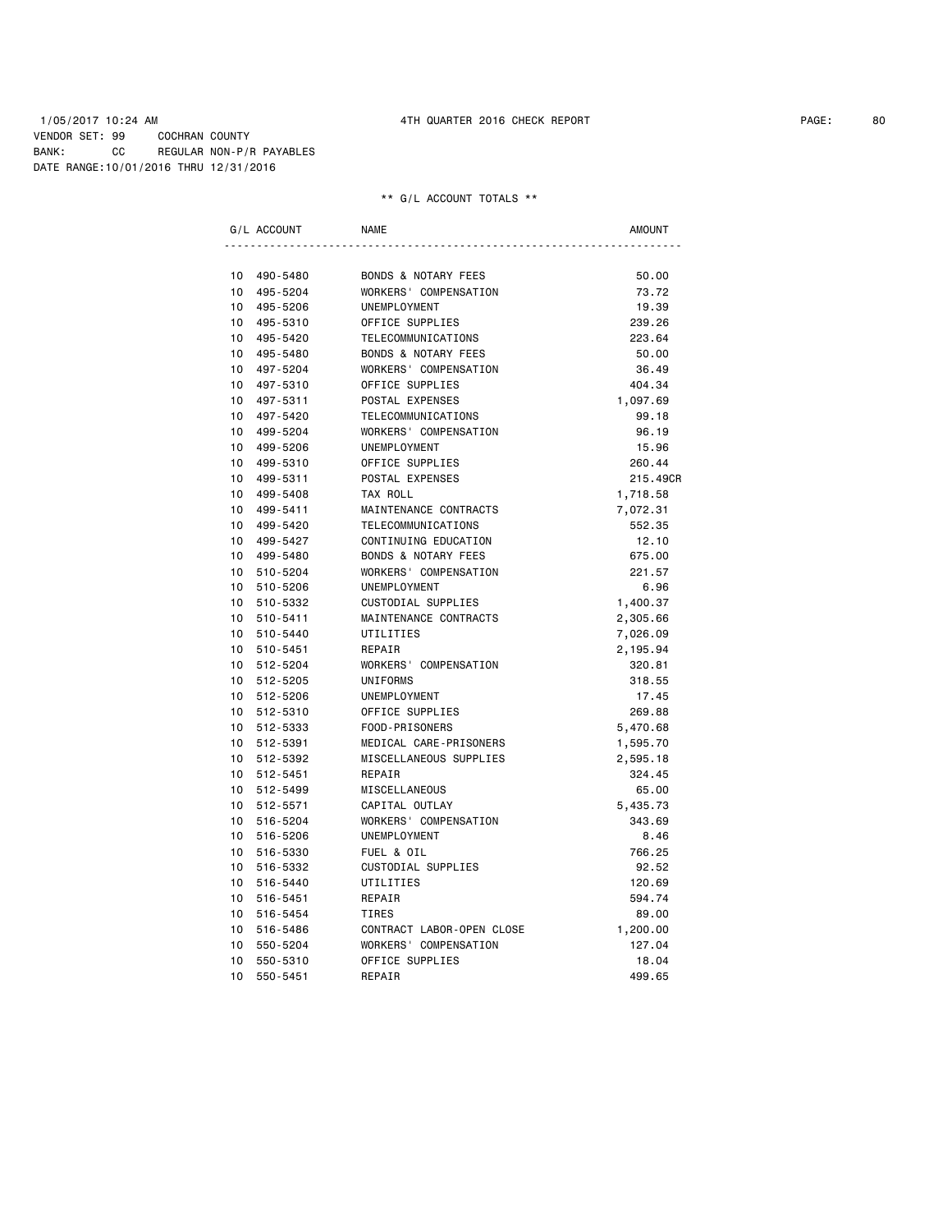### 1/05/2017 10:24 AM 4TH QUARTER 2016 CHECK REPORT PAGE: 80 VENDOR SET: 99 COCHRAN COUNTY BANK: CC REGULAR NON-P/R PAYABLES DATE RANGE:10/01/2016 THRU 12/31/2016

|                 | G/L ACCOUNT | <b>NAME</b>                    | <b>AMOUNT</b> |
|-----------------|-------------|--------------------------------|---------------|
|                 |             |                                |               |
| 10              | 490-5480    | <b>BONDS &amp; NOTARY FEES</b> | 50.00         |
| 10              | 495-5204    | WORKERS' COMPENSATION          | 73.72         |
| 10              | 495-5206    | UNEMPLOYMENT                   | 19.39         |
| 10              | 495-5310    | OFFICE SUPPLIES                | 239.26        |
| 10              | 495-5420    | TELECOMMUNICATIONS             | 223.64        |
| 10              | 495-5480    | <b>BONDS &amp; NOTARY FEES</b> | 50.00         |
| 10              | 497-5204    | WORKERS' COMPENSATION          | 36.49         |
| 10              | 497-5310    | OFFICE SUPPLIES                | 404.34        |
| 10              | 497-5311    | POSTAL EXPENSES                | 1,097.69      |
| 10              | 497-5420    | TELECOMMUNICATIONS             | 99.18         |
| 10              | 499-5204    | WORKERS' COMPENSATION          | 96.19         |
| 10              | 499-5206    | <b>UNEMPLOYMENT</b>            | 15.96         |
| 10              | 499-5310    | OFFICE SUPPLIES                | 260.44        |
| 10              | 499-5311    | POSTAL EXPENSES                | 215.49CR      |
| 10              | 499-5408    | TAX ROLL                       | 1,718.58      |
| 10 <sup>1</sup> | 499-5411    | MAINTENANCE CONTRACTS          | 7,072.31      |
| 10              | 499-5420    | <b>TELECOMMUNICATIONS</b>      | 552.35        |
| 10              | 499-5427    | CONTINUING EDUCATION           | 12.10         |
| 10              | 499-5480    | <b>BONDS &amp; NOTARY FEES</b> | 675.00        |
| 10              | 510-5204    | WORKERS' COMPENSATION          | 221.57        |
| 10              | 510-5206    | UNEMPLOYMENT                   | 6.96          |
| 10              | 510-5332    | <b>CUSTODIAL SUPPLIES</b>      | 1,400.37      |
| 10              | 510-5411    | MAINTENANCE CONTRACTS          | 2,305.66      |
| 10 <sup>1</sup> | 510-5440    | UTILITIES                      | 7,026.09      |
| 10              | 510-5451    | REPAIR                         | 2,195.94      |
| 10 <sup>1</sup> | 512-5204    | WORKERS' COMPENSATION          | 320.81        |
| 10 <sup>1</sup> | 512-5205    | <b>UNIFORMS</b>                | 318.55        |
| 10              | 512-5206    | UNEMPLOYMENT                   | 17.45         |
| 10              | 512-5310    | OFFICE SUPPLIES                | 269.88        |
| 10              | 512-5333    | FOOD-PRISONERS                 | 5,470.68      |
| 10              | 512-5391    | MEDICAL CARE-PRISONERS         | 1,595.70      |
| 10              | 512-5392    | MISCELLANEOUS SUPPLIES         | 2,595.18      |
| 10 <sup>1</sup> | 512-5451    | REPAIR                         | 324.45        |
| 10 <sup>1</sup> | 512-5499    | MISCELLANEOUS                  | 65.00         |
| 10 <sup>1</sup> | 512-5571    | CAPITAL OUTLAY                 | 5,435.73      |
| 10 <sup>1</sup> | 516-5204    | WORKERS' COMPENSATION          | 343.69        |
| 10              | 516-5206    | UNEMPLOYMENT                   | 8.46          |
| 10              |             |                                |               |
|                 | 516-5330    | FUEL & OIL                     | 766.25        |
| 10              | 516-5332    | <b>CUSTODIAL SUPPLIES</b>      | 92.52         |
| 10              | 516-5440    | UTILITIES                      | 120.69        |
| 10              | 516-5451    | REPAIR                         | 594.74        |
| 10              | 516-5454    | <b>TIRES</b>                   | 89.00         |
| 10              | 516-5486    | CONTRACT LABOR-OPEN CLOSE      | 1,200.00      |
| 10              | 550-5204    | WORKERS' COMPENSATION          | 127.04        |
| 10              | 550-5310    | OFFICE SUPPLIES                | 18.04         |
| 10              | 550-5451    | REPAIR                         | 499.65        |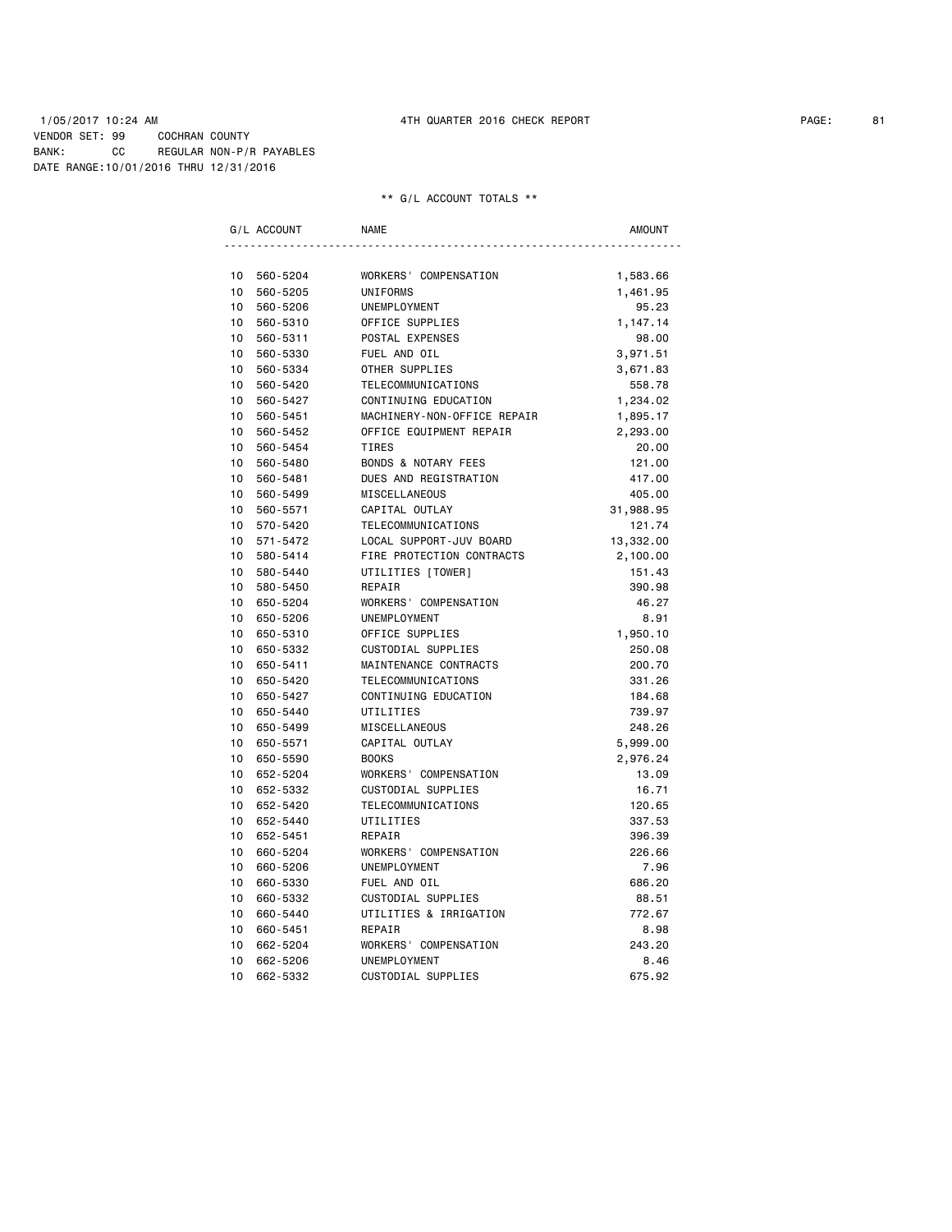### 1/05/2017 10:24 AM 4TH QUARTER 2016 CHECK REPORT PAGE: 81 VENDOR SET: 99 COCHRAN COUNTY BANK: CC REGULAR NON-P/R PAYABLES DATE RANGE:10/01/2016 THRU 12/31/2016

|                 | G/L ACCOUNT | <b>NAME</b>                    | <b>AMOUNT</b> |
|-----------------|-------------|--------------------------------|---------------|
|                 |             |                                |               |
| 10              | 560-5204    | WORKERS' COMPENSATION          | 1,583.66      |
| 10              | 560-5205    | <b>UNIFORMS</b>                | 1,461.95      |
| 10              | 560-5206    | UNEMPLOYMENT                   | 95.23         |
| 10              | 560-5310    | OFFICE SUPPLIES                | 1,147.14      |
| 10              | 560-5311    | POSTAL EXPENSES                | 98.00         |
| 10              | 560-5330    | FUEL AND OIL                   | 3,971.51      |
| 10              | 560-5334    | OTHER SUPPLIES                 | 3,671.83      |
| 10              | 560-5420    | TELECOMMUNICATIONS             | 558.78        |
| 10              | 560-5427    | CONTINUING EDUCATION           | 1,234.02      |
| 10              | 560-5451    | MACHINERY-NON-OFFICE REPAIR    | 1,895.17      |
| 10              | 560-5452    | OFFICE EQUIPMENT REPAIR        | 2,293.00      |
| 10 <sup>1</sup> | 560-5454    | <b>TIRES</b>                   | 20.00         |
| 10              | 560-5480    | <b>BONDS &amp; NOTARY FEES</b> | 121.00        |
| 10              | 560-5481    | DUES AND REGISTRATION          | 417.00        |
| 10              | 560-5499    | MISCELLANEOUS                  | 405.00        |
| 10              | 560-5571    | CAPITAL OUTLAY                 | 31,988.95     |
| 10              | 570-5420    | TELECOMMUNICATIONS             | 121.74        |
| 10              | 571-5472    | LOCAL SUPPORT-JUV BOARD        | 13,332.00     |
| 10              | 580-5414    | FIRE PROTECTION CONTRACTS      | 2,100.00      |
| 10              | 580-5440    | UTILITIES [TOWER]              | 151.43        |
| 10              | 580-5450    | REPAIR                         | 390.98        |
| 10              | 650-5204    | WORKERS' COMPENSATION          | 46.27         |
| 10              | 650-5206    | UNEMPLOYMENT                   | 8.91          |
| 10 <sup>1</sup> | 650-5310    | OFFICE SUPPLIES                | 1,950.10      |
| 10              | 650-5332    | CUSTODIAL SUPPLIES             | 250.08        |
| 10              | 650-5411    | MAINTENANCE CONTRACTS          | 200.70        |
| 10              | 650-5420    | TELECOMMUNICATIONS             | 331.26        |
| 10              | 650-5427    | CONTINUING EDUCATION           | 184.68        |
| 10              | 650-5440    | UTILITIES                      | 739.97        |
| 10              | 650-5499    | MISCELLANEOUS                  | 248.26        |
| 10              | 650-5571    | CAPITAL OUTLAY                 | 5,999.00      |
| 10              | 650-5590    | <b>BOOKS</b>                   | 2,976.24      |
| 10              | 652-5204    | WORKERS' COMPENSATION          | 13.09         |
| 10              | 652-5332    | CUSTODIAL SUPPLIES             | 16.71         |
| 10              | 652-5420    | TELECOMMUNICATIONS             | 120.65        |
| 10              | 652-5440    | UTILITIES                      | 337.53        |
| 10 <sup>1</sup> | 652-5451    | REPAIR                         | 396.39        |
| 10              | 660-5204    | WORKERS' COMPENSATION          | 226.66        |
| 10              | 660-5206    | UNEMPLOYMENT                   | 7.96          |
| 10              | 660-5330    | FUEL AND OIL                   | 686.20        |
| 10              | 660-5332    | CUSTODIAL SUPPLIES             | 88.51         |
| 10              | 660-5440    | UTILITIES & IRRIGATION         | 772.67        |
| 10              | 660-5451    | REPAIR                         | 8.98          |
| 10              | 662-5204    | WORKERS' COMPENSATION          | 243.20        |
| 10              | 662-5206    | UNEMPLOYMENT                   | 8.46          |
| 10              | 662-5332    | CUSTODIAL SUPPLIES             | 675.92        |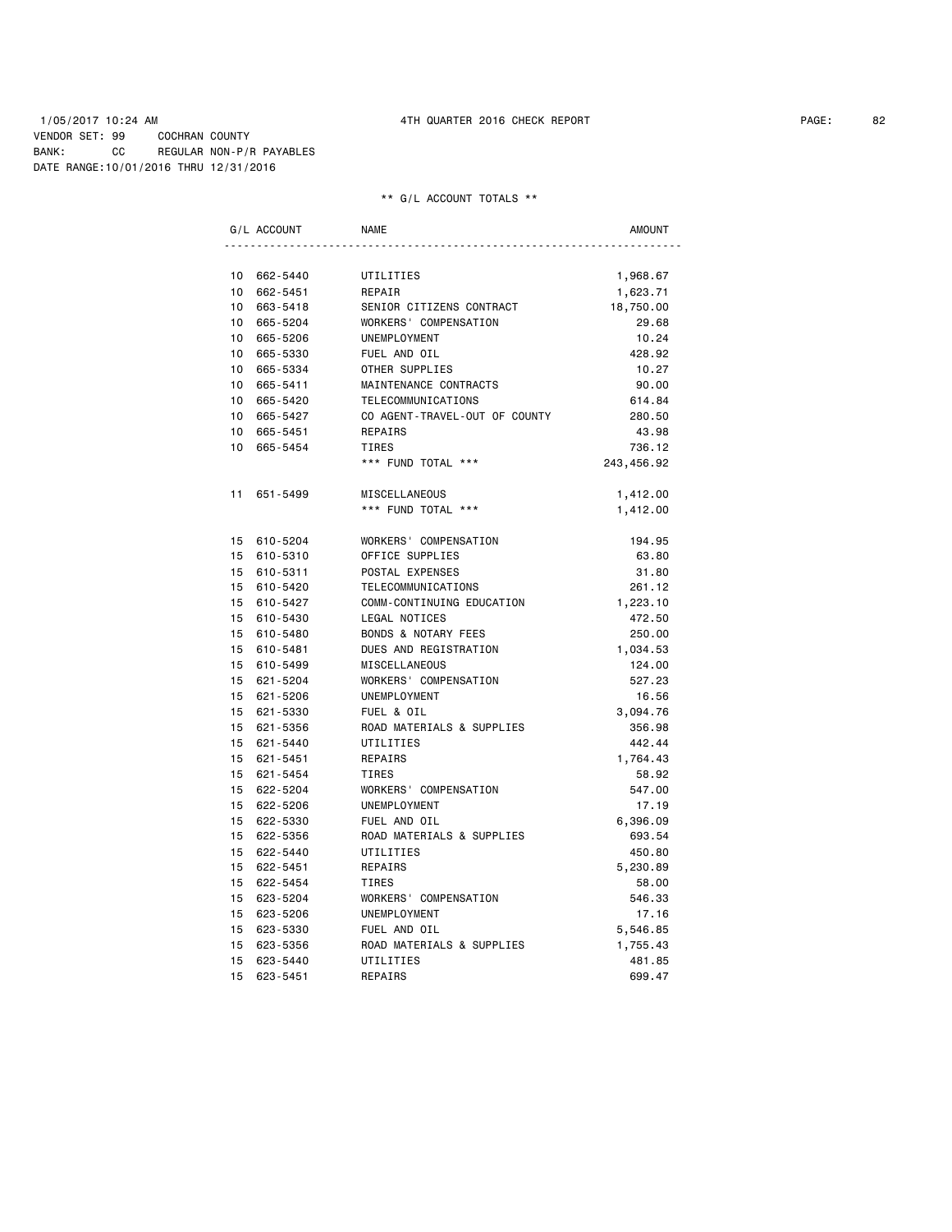### 1/05/2017 10:24 AM 4TH QUARTER 2016 CHECK REPORT PAGE: 82 VENDOR SET: 99 COCHRAN COUNTY BANK: CC REGULAR NON-P/R PAYABLES DATE RANGE:10/01/2016 THRU 12/31/2016

|    | G/L ACCOUNT | <b>NAME</b>                    | <b>AMOUNT</b> |
|----|-------------|--------------------------------|---------------|
|    |             |                                |               |
| 10 | 662-5440    | UTILITIES                      | 1,968.67      |
| 10 | 662-5451    | REPAIR                         | 1,623.71      |
| 10 | 663-5418    | SENIOR CITIZENS CONTRACT       | 18,750.00     |
| 10 | 665-5204    | WORKERS' COMPENSATION          | 29.68         |
| 10 | 665-5206    | UNEMPLOYMENT                   | 10.24         |
| 10 | 665-5330    | FUEL AND OIL                   | 428.92        |
| 10 | 665-5334    | OTHER SUPPLIES                 | 10.27         |
| 10 | 665-5411    | MAINTENANCE CONTRACTS          | 90.00         |
| 10 | 665-5420    | TELECOMMUNICATIONS             | 614.84        |
| 10 | 665-5427    | CO AGENT-TRAVEL-OUT OF COUNTY  | 280.50        |
| 10 | 665-5451    | REPAIRS                        | 43.98         |
| 10 | 665-5454    | <b>TIRES</b>                   | 736.12        |
|    |             | *** FUND TOTAL ***             | 243,456.92    |
| 11 | 651-5499    | MISCELLANEOUS                  | 1,412.00      |
|    |             | *** FUND TOTAL ***             | 1,412.00      |
|    | 15 610-5204 | WORKERS' COMPENSATION          | 194.95        |
| 15 | 610-5310    | OFFICE SUPPLIES                | 63.80         |
|    | 15 610-5311 | POSTAL EXPENSES                | 31.80         |
| 15 | 610-5420    | TELECOMMUNICATIONS             | 261.12        |
| 15 | 610-5427    | COMM-CONTINUING EDUCATION      | 1,223.10      |
| 15 | 610-5430    | <b>LEGAL NOTICES</b>           | 472.50        |
|    | 15 610-5480 | <b>BONDS &amp; NOTARY FEES</b> | 250.00        |
| 15 | 610-5481    | DUES AND REGISTRATION          | 1,034.53      |
|    | 15 610-5499 | MISCELLANEOUS                  | 124.00        |
|    | 15 621-5204 | WORKERS' COMPENSATION          | 527.23        |
|    | 15 621-5206 | UNEMPLOYMENT                   | 16.56         |
|    | 15 621-5330 | FUEL & OIL                     | 3,094.76      |
| 15 | 621-5356    | ROAD MATERIALS & SUPPLIES      | 356.98        |
| 15 | 621-5440    | UTILITIES                      | 442.44        |
| 15 | 621-5451    | REPAIRS                        | 1,764.43      |
| 15 | 621-5454    | <b>TIRES</b>                   | 58.92         |
| 15 | 622-5204    | WORKERS' COMPENSATION          | 547.00        |
| 15 | 622-5206    | UNEMPLOYMENT                   | 17.19         |
| 15 | 622-5330    | FUEL AND OIL                   | 6,396.09      |
|    | 15 622-5356 | ROAD MATERIALS & SUPPLIES      | 693.54        |
| 15 | 622-5440    | UTILITIES                      | 450.80        |
| 15 | 622-5451    | REPAIRS                        | 5,230.89      |
| 15 | 622-5454    | <b>TIRES</b>                   | 58.00         |
| 15 | 623-5204    | WORKERS' COMPENSATION          | 546.33        |
| 15 | 623-5206    | UNEMPLOYMENT                   | 17.16         |
| 15 | 623-5330    | FUEL AND OIL                   | 5,546.85      |
| 15 | 623-5356    | ROAD MATERIALS & SUPPLIES      | 1,755.43      |
| 15 | 623-5440    | UTILITIES                      | 481.85        |
| 15 | 623-5451    | REPAIRS                        | 699.47        |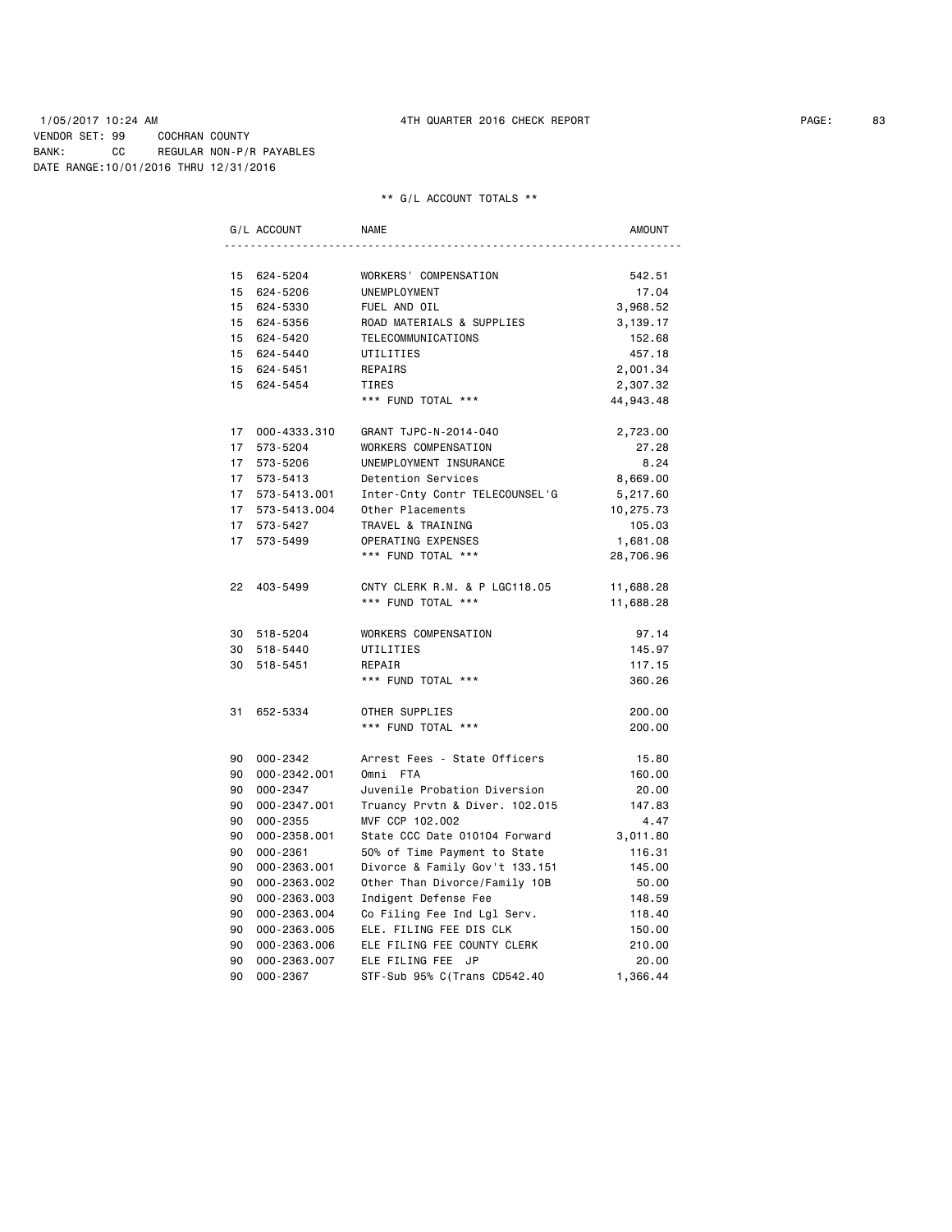### 1/05/2017 10:24 AM 4TH QUARTER 2016 CHECK REPORT PAGE: 83 VENDOR SET: 99 COCHRAN COUNTY BANK: CC REGULAR NON-P/R PAYABLES DATE RANGE:10/01/2016 THRU 12/31/2016

|                 | G/L ACCOUNT     | <b>NAME</b>                    | <b>AMOUNT</b> |
|-----------------|-----------------|--------------------------------|---------------|
|                 |                 |                                |               |
|                 | 15 624-5204     | WORKERS' COMPENSATION          | 542.51        |
|                 | 15 624-5206     | UNEMPLOYMENT                   | 17.04         |
|                 | 15 624-5330     | FUEL AND OIL                   | 3,968.52      |
|                 | 15 624-5356     | ROAD MATERIALS & SUPPLIES      | 3,139.17      |
|                 | 15 624-5420     | TELECOMMUNICATIONS             | 152.68        |
|                 | 15 624-5440     | UTILITIES                      | 457.18        |
|                 | 15 624-5451     | REPAIRS                        | 2,001.34      |
|                 | 15 624-5454     | TIRES                          | 2,307.32      |
|                 |                 | *** FUND TOTAL ***             | 44,943.48     |
|                 | 17 000-4333.310 | GRANT TJPC-N-2014-040          | 2,723.00      |
| 17              | 573-5204        | WORKERS COMPENSATION           | 27.28         |
|                 | 17 573-5206     | UNEMPLOYMENT INSURANCE         | 8.24          |
|                 | 17 573-5413     | Detention Services             | 8,669.00      |
|                 | 17 573-5413.001 | Inter-Cnty Contr TELECOUNSEL'G | 5,217.60      |
|                 | 17 573-5413.004 | Other Placements               | 10,275.73     |
|                 | 17 573-5427     | TRAVEL & TRAINING              | 105.03        |
| 17 <sup>7</sup> | 573-5499        | OPERATING EXPENSES             | 1,681.08      |
|                 |                 | *** FUND TOTAL ***             | 28,706.96     |
|                 | 22 403-5499     | CNTY CLERK R.M. & P LGC118.05  | 11,688.28     |
|                 |                 | *** FUND TOTAL ***             | 11,688.28     |
|                 | 30 518-5204     | WORKERS COMPENSATION           | 97.14         |
|                 | 30 518-5440     | UTILITIES                      | 145.97        |
|                 | 30 518-5451     | REPAIR                         | 117.15        |
|                 |                 | *** FUND TOTAL ***             | 360.26        |
| 31              | 652-5334        | OTHER SUPPLIES                 | 200.00        |
|                 |                 | *** FUND TOTAL ***             | 200.00        |
|                 |                 |                                |               |
|                 | 90 000-2342     | Arrest Fees - State Officers   | 15.80         |
|                 | 90 000-2342.001 | Omni FTA                       | 160.00        |
|                 | 90 000-2347     | Juvenile Probation Diversion   | 20.00         |
|                 | 90 000-2347.001 | Truancy Prvtn & Diver. 102.015 | 147.83        |
| 90              | 000-2355        | MVF CCP 102.002                | 4.47          |
| 90              | 000-2358.001    | State CCC Date 010104 Forward  | 3,011.80      |
| 90              | 000-2361        | 50% of Time Payment to State   | 116.31        |
| 90              | 000-2363.001    | Divorce & Family Gov't 133.151 | 145.00        |
| 90              | 000-2363.002    | Other Than Divorce/Family 10B  | 50.00         |
| 90              | 000-2363.003    | Indigent Defense Fee           | 148.59        |
| 90              | 000-2363.004    | Co Filing Fee Ind Lgl Serv.    | 118.40        |
| 90              | 000-2363.005    | ELE. FILING FEE DIS CLK        | 150.00        |
| 90              | 000-2363.006    | ELE FILING FEE COUNTY CLERK    | 210.00        |
| 90              | 000-2363.007    | ELE FILING FEE JP              | 20.00         |
| 90              | 000-2367        | STF-Sub 95% C(Trans CD542.40   | 1,366.44      |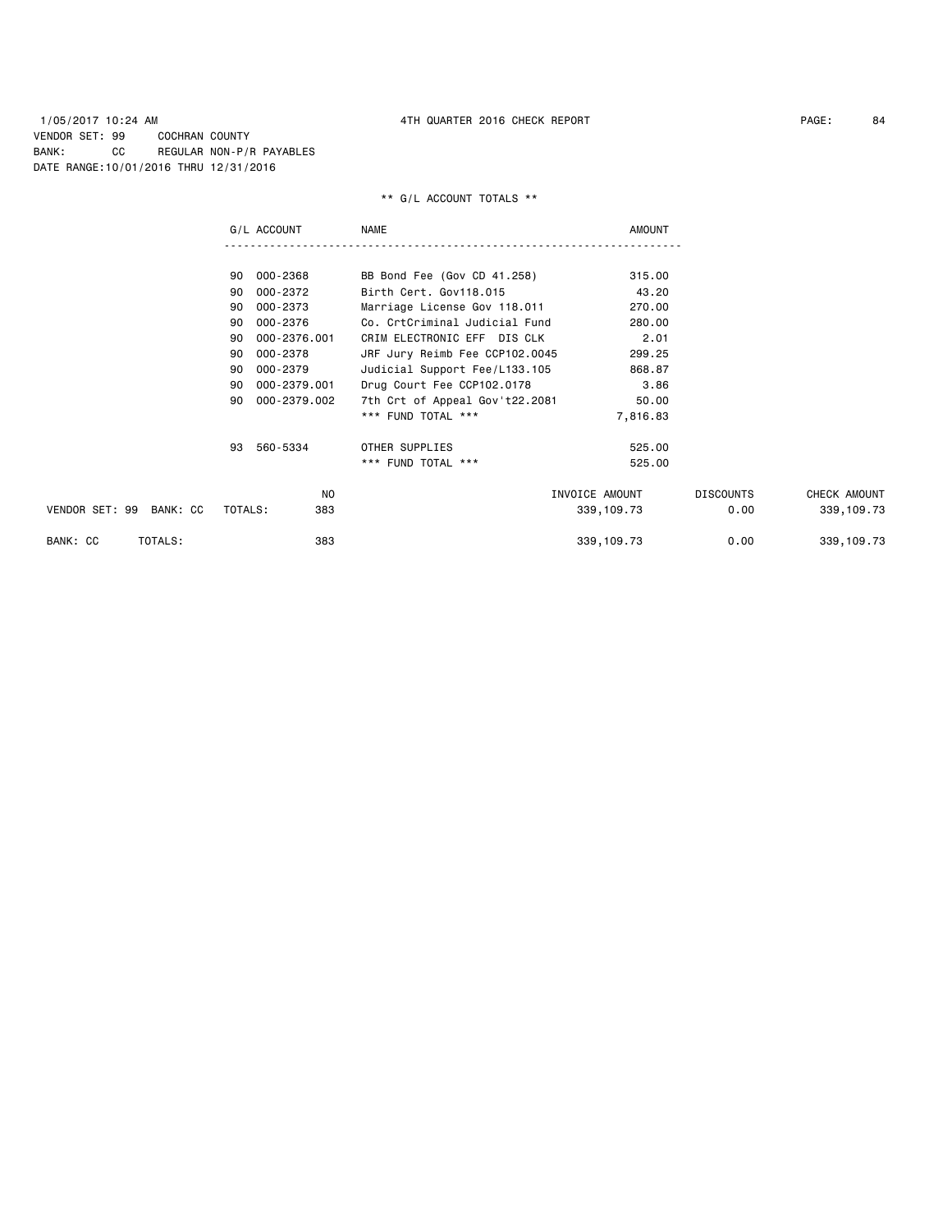1/05/2017 10:24 AM 4TH QUARTER 2016 CHECK REPORT PAGE: 84 VENDOR SET: 99 COCHRAN COUNTY BANK: CC REGULAR NON-P/R PAYABLES DATE RANGE:10/01/2016 THRU 12/31/2016

|                            | G/L ACCOUNT        | <b>NAME</b>                    | <b>AMOUNT</b>  |                  |              |
|----------------------------|--------------------|--------------------------------|----------------|------------------|--------------|
|                            |                    |                                |                |                  |              |
|                            | 90 000-2368        | BB Bond Fee (Gov CD 41.258)    | 315.00         |                  |              |
|                            | 000-2372<br>90     | Birth Cert, Gov118.015         | 43.20          |                  |              |
|                            | 000-2373<br>90     | Marriage License Gov 118.011   | 270.00         |                  |              |
|                            | 000-2376<br>90     | Co. CrtCriminal Judicial Fund  | 280.00         |                  |              |
|                            | 000-2376.001<br>90 | CRIM ELECTRONIC EFF DIS CLK    | 2.01           |                  |              |
|                            | 000-2378<br>90     | JRF Jury Reimb Fee CCP102.0045 | 299.25         |                  |              |
|                            | 000-2379<br>90     | Judicial Support Fee/L133.105  | 868.87         |                  |              |
|                            | 000-2379.001<br>90 | Drug Court Fee CCP102.0178     | 3.86           |                  |              |
|                            | 000-2379.002<br>90 | 7th Crt of Appeal Gov't22.2081 | 50.00          |                  |              |
|                            |                    | *** FUND TOTAL ***             | 7,816.83       |                  |              |
|                            | 93 560-5334        | OTHER SUPPLIES                 | 525.00         |                  |              |
|                            |                    | *** FUND TOTAL ***             | 525.00         |                  |              |
|                            | N <sub>O</sub>     |                                | INVOICE AMOUNT | <b>DISCOUNTS</b> | CHECK AMOUNT |
| VENDOR SET: 99<br>BANK: CC | TOTALS:<br>383     |                                | 339, 109.73    | 0.00             | 339, 109.73  |
| TOTALS:<br>BANK: CC        | 383                |                                | 339, 109.73    | 0.00             | 339, 109.73  |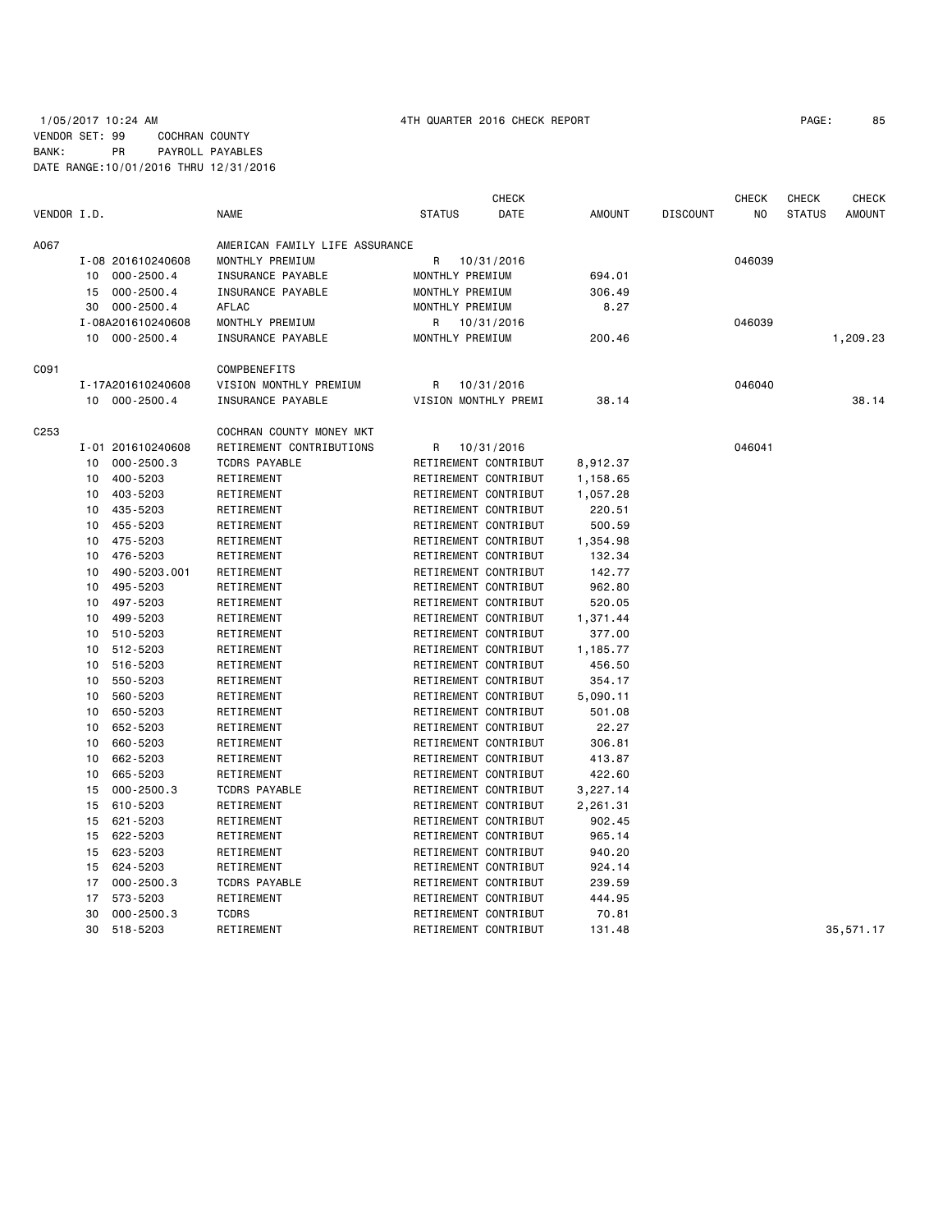## 1/05/2017 10:24 AM 4TH QUARTER 2016 CHECK REPORT PAGE: 85 VENDOR SET: 99 COCHRAN COUNTY BANK: PR PAYROLL PAYABLES DATE RANGE:10/01/2016 THRU 12/31/2016

|             |    |                   |                                |                      | <b>CHECK</b> |               |                 | <b>CHECK</b> | <b>CHECK</b>  | <b>CHECK</b>  |
|-------------|----|-------------------|--------------------------------|----------------------|--------------|---------------|-----------------|--------------|---------------|---------------|
| VENDOR I.D. |    |                   | <b>NAME</b>                    | <b>STATUS</b>        | DATE         | <b>AMOUNT</b> | <b>DISCOUNT</b> | NO           | <b>STATUS</b> | <b>AMOUNT</b> |
| A067        |    |                   | AMERICAN FAMILY LIFE ASSURANCE |                      |              |               |                 |              |               |               |
|             |    | I-08 201610240608 | MONTHLY PREMIUM                | R                    | 10/31/2016   |               |                 | 046039       |               |               |
|             |    | 10 000-2500.4     | INSURANCE PAYABLE              | MONTHLY PREMIUM      |              | 694.01        |                 |              |               |               |
|             | 15 | $000 - 2500.4$    | INSURANCE PAYABLE              | MONTHLY PREMIUM      |              | 306.49        |                 |              |               |               |
|             | 30 | $000 - 2500.4$    | AFLAC                          | MONTHLY PREMIUM      |              | 8.27          |                 |              |               |               |
|             |    | I-08A201610240608 | MONTHLY PREMIUM                | R                    | 10/31/2016   |               |                 | 046039       |               |               |
|             |    | 10 000-2500.4     | INSURANCE PAYABLE              | MONTHLY PREMIUM      |              | 200.46        |                 |              |               | 1,209.23      |
| C091        |    |                   | COMPBENEFITS                   |                      |              |               |                 |              |               |               |
|             |    | I-17A201610240608 | VISION MONTHLY PREMIUM         | R                    | 10/31/2016   |               |                 | 046040       |               |               |
|             |    | 10 000-2500.4     | INSURANCE PAYABLE              | VISION MONTHLY PREMI |              | 38.14         |                 |              |               | 38.14         |
| C253        |    |                   | COCHRAN COUNTY MONEY MKT       |                      |              |               |                 |              |               |               |
|             |    | I-01 201610240608 | RETIREMENT CONTRIBUTIONS       | R                    | 10/31/2016   |               |                 | 046041       |               |               |
|             | 10 | $000 - 2500.3$    | <b>TCDRS PAYABLE</b>           | RETIREMENT CONTRIBUT |              | 8,912.37      |                 |              |               |               |
|             | 10 | 400-5203          | RETIREMENT                     | RETIREMENT CONTRIBUT |              | 1,158.65      |                 |              |               |               |
|             | 10 | 403-5203          | RETIREMENT                     | RETIREMENT CONTRIBUT |              | 1,057.28      |                 |              |               |               |
|             | 10 | 435-5203          | RETIREMENT                     | RETIREMENT CONTRIBUT |              | 220.51        |                 |              |               |               |
|             | 10 | 455-5203          | RETIREMENT                     | RETIREMENT CONTRIBUT |              | 500.59        |                 |              |               |               |
|             | 10 | 475-5203          | RETIREMENT                     | RETIREMENT CONTRIBUT |              | 1,354.98      |                 |              |               |               |
|             | 10 | 476-5203          | RETIREMENT                     | RETIREMENT CONTRIBUT |              | 132.34        |                 |              |               |               |
|             | 10 | 490-5203.001      | RETIREMENT                     | RETIREMENT CONTRIBUT |              | 142.77        |                 |              |               |               |
|             | 10 | 495-5203          | RETIREMENT                     | RETIREMENT CONTRIBUT |              | 962.80        |                 |              |               |               |
|             | 10 | 497-5203          | RETIREMENT                     | RETIREMENT CONTRIBUT |              | 520.05        |                 |              |               |               |
|             | 10 | 499-5203          | RETIREMENT                     | RETIREMENT CONTRIBUT |              | 1,371.44      |                 |              |               |               |
|             | 10 | 510-5203          | RETIREMENT                     | RETIREMENT CONTRIBUT |              | 377.00        |                 |              |               |               |
|             | 10 | 512-5203          | RETIREMENT                     | RETIREMENT CONTRIBUT |              | 1,185.77      |                 |              |               |               |
|             | 10 | 516-5203          | RETIREMENT                     | RETIREMENT CONTRIBUT |              | 456.50        |                 |              |               |               |
|             | 10 | 550-5203          | RETIREMENT                     | RETIREMENT CONTRIBUT |              | 354.17        |                 |              |               |               |
|             | 10 | 560-5203          | RETIREMENT                     | RETIREMENT CONTRIBUT |              | 5,090.11      |                 |              |               |               |
|             | 10 | 650-5203          | RETIREMENT                     | RETIREMENT CONTRIBUT |              | 501.08        |                 |              |               |               |
|             | 10 | 652-5203          | RETIREMENT                     | RETIREMENT CONTRIBUT |              | 22.27         |                 |              |               |               |
|             | 10 | 660-5203          | RETIREMENT                     | RETIREMENT CONTRIBUT |              | 306.81        |                 |              |               |               |
|             | 10 | 662-5203          | RETIREMENT                     | RETIREMENT CONTRIBUT |              | 413.87        |                 |              |               |               |
|             | 10 | 665-5203          | RETIREMENT                     | RETIREMENT CONTRIBUT |              | 422.60        |                 |              |               |               |
|             | 15 | $000 - 2500.3$    | <b>TCDRS PAYABLE</b>           | RETIREMENT CONTRIBUT |              | 3,227.14      |                 |              |               |               |
|             | 15 | 610-5203          | RETIREMENT                     | RETIREMENT CONTRIBUT |              | 2,261.31      |                 |              |               |               |
|             | 15 | 621-5203          | RETIREMENT                     | RETIREMENT CONTRIBUT |              | 902.45        |                 |              |               |               |
|             | 15 | 622-5203          | RETIREMENT                     | RETIREMENT CONTRIBUT |              | 965.14        |                 |              |               |               |
|             | 15 | 623-5203          | RETIREMENT                     | RETIREMENT CONTRIBUT |              | 940.20        |                 |              |               |               |
|             | 15 | 624-5203          | RETIREMENT                     | RETIREMENT CONTRIBUT |              | 924.14        |                 |              |               |               |
|             | 17 | $000 - 2500.3$    | <b>TCDRS PAYABLE</b>           | RETIREMENT CONTRIBUT |              | 239.59        |                 |              |               |               |
|             | 17 | 573-5203          | RETIREMENT                     | RETIREMENT CONTRIBUT |              | 444.95        |                 |              |               |               |
|             | 30 | $000 - 2500.3$    | <b>TCDRS</b>                   | RETIREMENT CONTRIBUT |              | 70.81         |                 |              |               |               |
|             | 30 | 518-5203          | RETIREMENT                     | RETIREMENT CONTRIBUT |              | 131.48        |                 |              |               | 35,571.17     |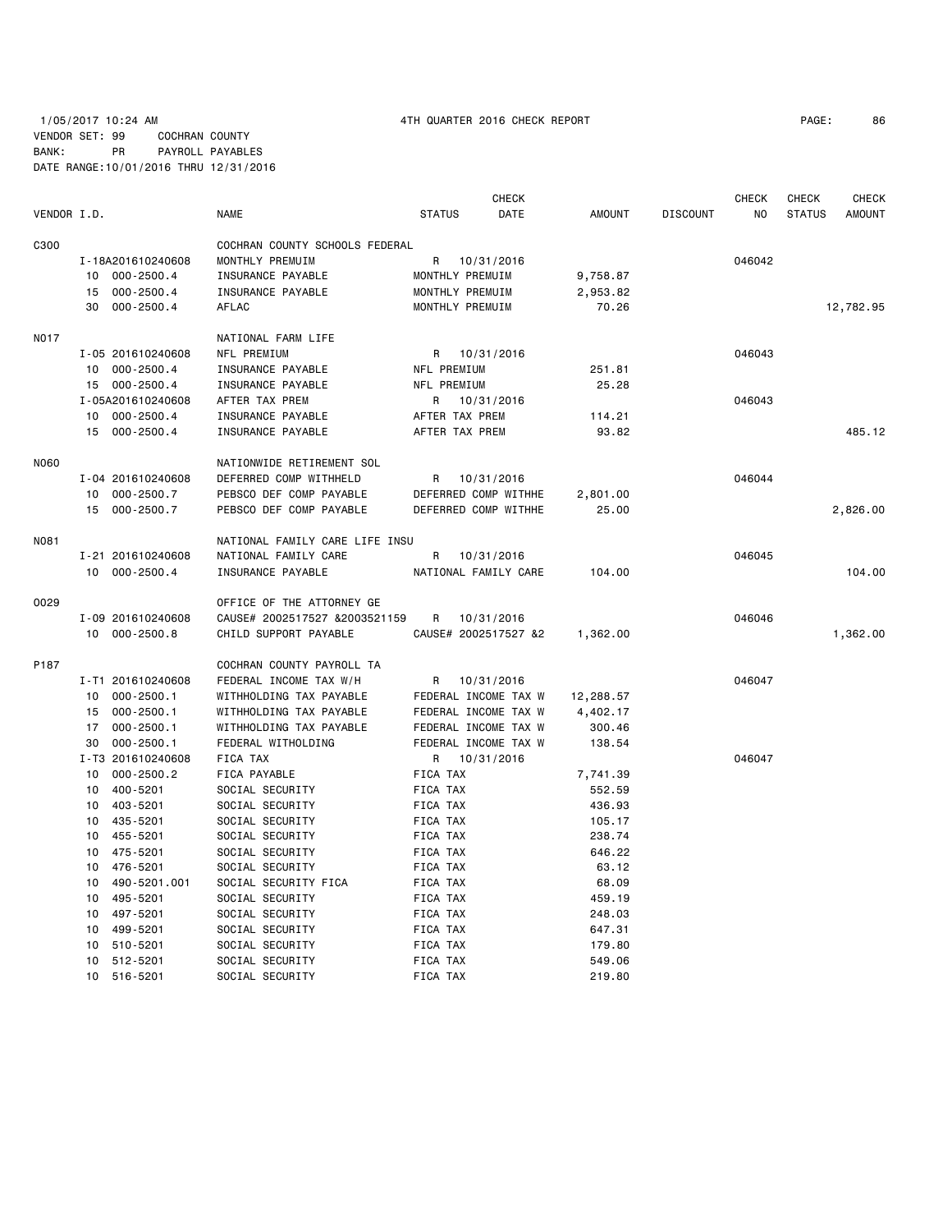# 1/05/2017 10:24 AM 4TH QUARTER 2016 CHECK REPORT PAGE: 86 VENDOR SET: 99 COCHRAN COUNTY BANK: PR PAYROLL PAYABLES DATE RANGE:10/01/2016 THRU 12/31/2016

|             |                                    |                                    | <b>CHECK</b>          |                    |                 | <b>CHECK</b> | <b>CHECK</b>  | <b>CHECK</b>  |
|-------------|------------------------------------|------------------------------------|-----------------------|--------------------|-----------------|--------------|---------------|---------------|
| VENDOR I.D. |                                    | <b>NAME</b>                        | <b>STATUS</b><br>DATE | <b>AMOUNT</b>      | <b>DISCOUNT</b> | NO.          | <b>STATUS</b> | <b>AMOUNT</b> |
| C300        |                                    | COCHRAN COUNTY SCHOOLS FEDERAL     |                       |                    |                 |              |               |               |
|             | I-18A201610240608                  | MONTHLY PREMUIM                    | 10/31/2016<br>R       |                    |                 | 046042       |               |               |
|             | 10 000-2500.4                      | INSURANCE PAYABLE                  | MONTHLY PREMUIM       | 9,758.87           |                 |              |               |               |
|             | $000 - 2500.4$<br>15               | INSURANCE PAYABLE                  | MONTHLY PREMUIM       | 2,953.82           |                 |              |               |               |
|             | 30<br>$000 - 2500.4$               | <b>AFLAC</b>                       | MONTHLY PREMUIM       | 70.26              |                 |              |               | 12,782.95     |
| <b>NO17</b> |                                    | NATIONAL FARM LIFE                 |                       |                    |                 |              |               |               |
|             | I-05 201610240608                  | NFL PREMIUM                        | R 10/31/2016          |                    |                 | 046043       |               |               |
|             | 10 000-2500.4                      | INSURANCE PAYABLE                  | NFL PREMIUM           | 251.81             |                 |              |               |               |
|             | 15 000-2500.4                      | INSURANCE PAYABLE                  | NFL PREMIUM           | 25.28              |                 |              |               |               |
|             | I-05A201610240608                  | AFTER TAX PREM                     | R<br>10/31/2016       |                    |                 | 046043       |               |               |
|             | 10 000-2500.4                      | INSURANCE PAYABLE                  | AFTER TAX PREM        | 114.21             |                 |              |               |               |
|             | 15 000-2500.4                      | INSURANCE PAYABLE                  | AFTER TAX PREM        | 93.82              |                 |              |               | 485.12        |
| <b>N060</b> |                                    | NATIONWIDE RETIREMENT SOL          |                       |                    |                 |              |               |               |
|             | I-04 201610240608                  | DEFERRED COMP WITHHELD             | R<br>10/31/2016       |                    |                 | 046044       |               |               |
|             | 10 000-2500.7                      | PEBSCO DEF COMP PAYABLE            | DEFERRED COMP WITHHE  | 2,801.00           |                 |              |               |               |
|             | 15 000-2500.7                      | PEBSCO DEF COMP PAYABLE            | DEFERRED COMP WITHHE  | 25.00              |                 |              |               | 2,826.00      |
| N081        |                                    | NATIONAL FAMILY CARE LIFE INSU     |                       |                    |                 |              |               |               |
|             | I-21 201610240608                  | NATIONAL FAMILY CARE               | R<br>10/31/2016       |                    |                 | 046045       |               |               |
|             | 10 000-2500.4                      | INSURANCE PAYABLE                  | NATIONAL FAMILY CARE  | 104.00             |                 |              |               | 104.00        |
| 0029        |                                    | OFFICE OF THE ATTORNEY GE          |                       |                    |                 |              |               |               |
|             | I-09 201610240608                  | CAUSE# 2002517527 &2003521159      | R<br>10/31/2016       |                    |                 | 046046       |               |               |
|             | 10 000-2500.8                      | CHILD SUPPORT PAYABLE              | CAUSE# 2002517527 &2  | 1,362.00           |                 |              |               | 1,362.00      |
|             |                                    |                                    |                       |                    |                 |              |               |               |
| P187        |                                    | COCHRAN COUNTY PAYROLL TA          |                       |                    |                 |              |               |               |
|             | I-T1 201610240608                  | FEDERAL INCOME TAX W/H             | 10/31/2016<br>R       |                    |                 | 046047       |               |               |
|             | 000-2500.1<br>10                   | WITHHOLDING TAX PAYABLE            | FEDERAL INCOME TAX W  | 12,288.57          |                 |              |               |               |
|             | 15 000-2500.1                      | WITHHOLDING TAX PAYABLE            | FEDERAL INCOME TAX W  | 4,402.17           |                 |              |               |               |
|             | 17 000-2500.1                      | WITHHOLDING TAX PAYABLE            | FEDERAL INCOME TAX W  | 300.46             |                 |              |               |               |
|             | 30<br>$000 - 2500.1$               | FEDERAL WITHOLDING                 | FEDERAL INCOME TAX W  | 138.54             |                 |              |               |               |
|             | I-T3 201610240608                  | FICA TAX                           | R<br>10/31/2016       |                    |                 | 046047       |               |               |
|             | 000-2500.2<br>10<br>400-5201<br>10 | FICA PAYABLE                       | FICA TAX              | 7,741.39<br>552.59 |                 |              |               |               |
|             |                                    | SOCIAL SECURITY                    | FICA TAX              |                    |                 |              |               |               |
|             | 403-5201<br>10<br>10 435-5201      | SOCIAL SECURITY<br>SOCIAL SECURITY | FICA TAX<br>FICA TAX  | 436.93<br>105.17   |                 |              |               |               |
|             | 10 455-5201                        | SOCIAL SECURITY                    | FICA TAX              | 238.74             |                 |              |               |               |
|             | 10 475-5201                        | SOCIAL SECURITY                    | FICA TAX              | 646.22             |                 |              |               |               |
|             | 10<br>476-5201                     | SOCIAL SECURITY                    | FICA TAX              | 63.12              |                 |              |               |               |
|             | 10<br>490-5201.001                 | SOCIAL SECURITY FICA               | FICA TAX              | 68.09              |                 |              |               |               |
|             | 10<br>495-5201                     | SOCIAL SECURITY                    | FICA TAX              | 459.19             |                 |              |               |               |
|             | 497-5201<br>10                     | SOCIAL SECURITY                    | FICA TAX              | 248.03             |                 |              |               |               |
|             | 499-5201<br>10                     | SOCIAL SECURITY                    | FICA TAX              | 647.31             |                 |              |               |               |
|             | 510-5201<br>10                     | SOCIAL SECURITY                    | FICA TAX              | 179.80             |                 |              |               |               |
|             | 512-5201<br>10                     | SOCIAL SECURITY                    | FICA TAX              | 549.06             |                 |              |               |               |
|             | 10 516-5201                        | SOCIAL SECURITY                    | FICA TAX              | 219.80             |                 |              |               |               |
|             |                                    |                                    |                       |                    |                 |              |               |               |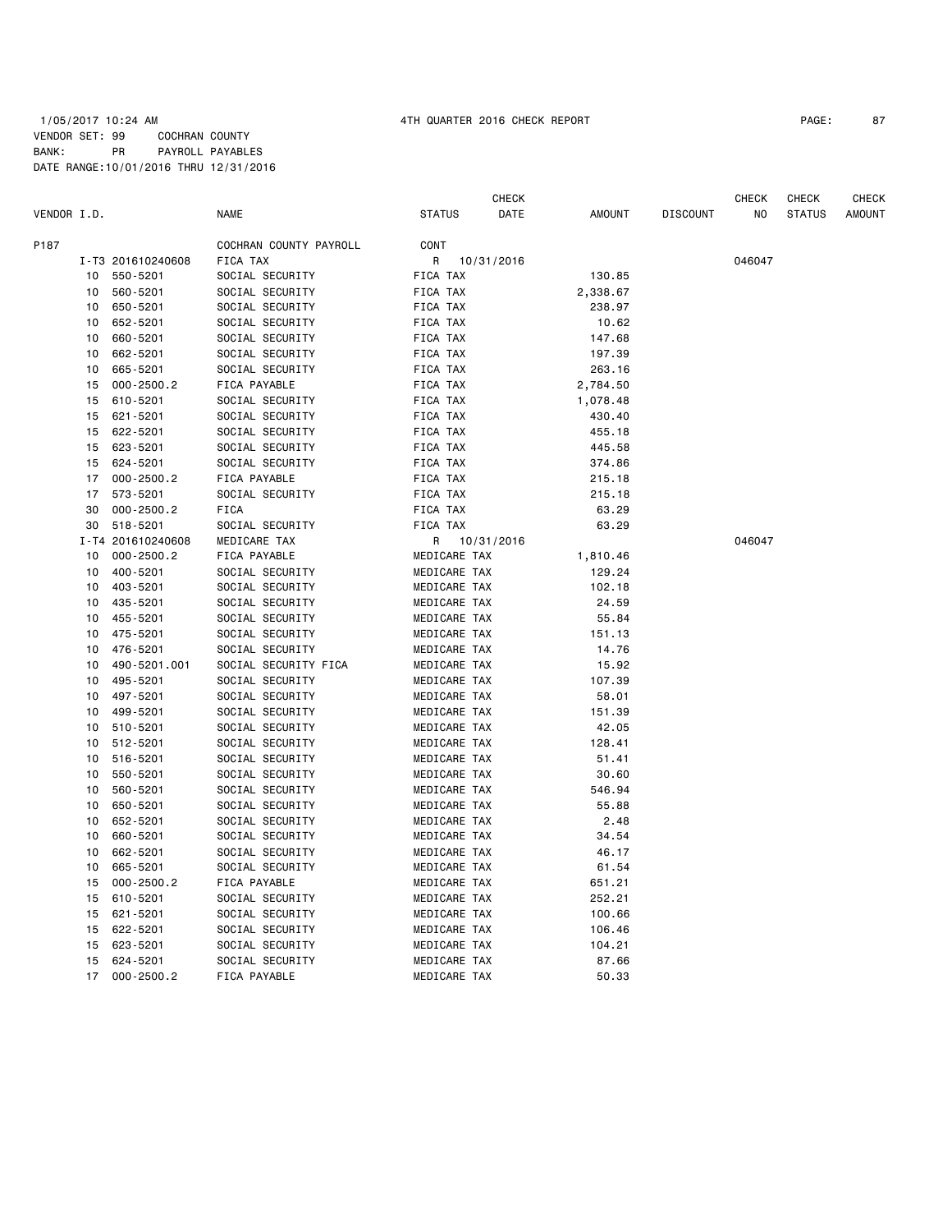## 1/05/2017 10:24 AM 4TH QUARTER 2016 CHECK REPORT PAGE: 87 VENDOR SET: 99 COCHRAN COUNTY BANK: PR PAYROLL PAYABLES DATE RANGE:10/01/2016 THRU 12/31/2016

|             |                 |                   |                        |                 | CHECK      |          |                 | CHECK  | CHECK         | CHECK         |
|-------------|-----------------|-------------------|------------------------|-----------------|------------|----------|-----------------|--------|---------------|---------------|
| VENDOR I.D. |                 |                   | <b>NAME</b>            | <b>STATUS</b>   | DATE       | AMOUNT   | <b>DISCOUNT</b> | NO     | <b>STATUS</b> | <b>AMOUNT</b> |
| P187        |                 |                   | COCHRAN COUNTY PAYROLL | CONT            |            |          |                 |        |               |               |
|             |                 | I-T3 201610240608 | FICA TAX               | R               | 10/31/2016 |          |                 | 046047 |               |               |
|             | 10              | 550-5201          | SOCIAL SECURITY        | FICA TAX        |            | 130.85   |                 |        |               |               |
|             | 10              | 560-5201          | SOCIAL SECURITY        | FICA TAX        |            | 2,338.67 |                 |        |               |               |
|             | 10              | 650-5201          | SOCIAL SECURITY        | FICA TAX        |            | 238.97   |                 |        |               |               |
|             | 10              | 652-5201          | SOCIAL SECURITY        | FICA TAX        |            | 10.62    |                 |        |               |               |
|             | 10              | 660-5201          | SOCIAL SECURITY        | FICA TAX        |            | 147.68   |                 |        |               |               |
|             | 10              | 662-5201          | SOCIAL SECURITY        | FICA TAX        |            | 197.39   |                 |        |               |               |
|             | 10              | 665-5201          | SOCIAL SECURITY        | FICA TAX        |            | 263.16   |                 |        |               |               |
|             | 15              | $000 - 2500.2$    | FICA PAYABLE           | FICA TAX        |            | 2,784.50 |                 |        |               |               |
|             | 15              | 610-5201          | SOCIAL SECURITY        | FICA TAX        |            | 1,078.48 |                 |        |               |               |
|             | 15              | 621-5201          | SOCIAL SECURITY        | FICA TAX        |            | 430.40   |                 |        |               |               |
|             | 15              | 622-5201          | SOCIAL SECURITY        | FICA TAX        |            | 455.18   |                 |        |               |               |
|             | 15              | 623-5201          | SOCIAL SECURITY        | <b>FICA TAX</b> |            | 445.58   |                 |        |               |               |
|             | 15              | 624-5201          | SOCIAL SECURITY        | FICA TAX        |            | 374.86   |                 |        |               |               |
|             | 17              | $000 - 2500.2$    | FICA PAYABLE           | FICA TAX        |            | 215.18   |                 |        |               |               |
|             | 17              | 573-5201          | SOCIAL SECURITY        | FICA TAX        |            | 215.18   |                 |        |               |               |
|             | 30              | $000 - 2500.2$    | FICA                   | FICA TAX        |            | 63.29    |                 |        |               |               |
|             | 30              | 518-5201          | SOCIAL SECURITY        | FICA TAX        |            | 63.29    |                 |        |               |               |
|             |                 | I-T4 201610240608 | MEDICARE TAX           | R               | 10/31/2016 |          |                 | 046047 |               |               |
|             | 10              | $000 - 2500.2$    | FICA PAYABLE           | MEDICARE TAX    |            | 1,810.46 |                 |        |               |               |
|             | 10              | 400-5201          | SOCIAL SECURITY        | MEDICARE TAX    |            | 129.24   |                 |        |               |               |
|             | 10              | 403-5201          | SOCIAL SECURITY        | MEDICARE TAX    |            | 102.18   |                 |        |               |               |
|             | 10              | 435-5201          | SOCIAL SECURITY        | MEDICARE TAX    |            | 24.59    |                 |        |               |               |
|             | 10              | 455-5201          | SOCIAL SECURITY        | MEDICARE TAX    |            | 55.84    |                 |        |               |               |
|             | 10              | 475-5201          | SOCIAL SECURITY        |                 |            | 151.13   |                 |        |               |               |
|             | 10              | 476-5201          | SOCIAL SECURITY        | MEDICARE TAX    |            |          |                 |        |               |               |
|             |                 |                   |                        | MEDICARE TAX    |            | 14.76    |                 |        |               |               |
|             | 10              | 490-5201.001      | SOCIAL SECURITY FICA   | MEDICARE TAX    |            | 15.92    |                 |        |               |               |
|             | 10              | 495-5201          | SOCIAL SECURITY        | MEDICARE TAX    |            | 107.39   |                 |        |               |               |
|             | 10 <sub>1</sub> | 497-5201          | SOCIAL SECURITY        | MEDICARE TAX    |            | 58.01    |                 |        |               |               |
|             | 10              | 499-5201          | SOCIAL SECURITY        | MEDICARE TAX    |            | 151.39   |                 |        |               |               |
|             | 10              | 510-5201          | SOCIAL SECURITY        | MEDICARE TAX    |            | 42.05    |                 |        |               |               |
|             | 10              | 512-5201          | SOCIAL SECURITY        | MEDICARE TAX    |            | 128.41   |                 |        |               |               |
|             | 10              | 516-5201          | SOCIAL SECURITY        | MEDICARE TAX    |            | 51.41    |                 |        |               |               |
|             | 10              | 550-5201          | SOCIAL SECURITY        | MEDICARE TAX    |            | 30.60    |                 |        |               |               |
|             | 10              | 560-5201          | SOCIAL SECURITY        | MEDICARE TAX    |            | 546.94   |                 |        |               |               |
|             | 10              | 650-5201          | SOCIAL SECURITY        | MEDICARE TAX    |            | 55.88    |                 |        |               |               |
|             | 10              | 652-5201          | SOCIAL SECURITY        | MEDICARE TAX    |            | 2.48     |                 |        |               |               |
|             | 10              | 660-5201          | SOCIAL SECURITY        | MEDICARE TAX    |            | 34.54    |                 |        |               |               |
|             | 10              | 662-5201          | SOCIAL SECURITY        | MEDICARE TAX    |            | 46.17    |                 |        |               |               |
|             | 10              | 665-5201          | SOCIAL SECURITY        | MEDICARE TAX    |            | 61.54    |                 |        |               |               |
|             | 15              | $000 - 2500.2$    | FICA PAYABLE           | MEDICARE TAX    |            | 651.21   |                 |        |               |               |
|             | 15              | 610-5201          | SOCIAL SECURITY        | MEDICARE TAX    |            | 252.21   |                 |        |               |               |
|             | 15              | 621-5201          | SOCIAL SECURITY        | MEDICARE TAX    |            | 100.66   |                 |        |               |               |
|             | 15              | 622-5201          | SOCIAL SECURITY        | MEDICARE TAX    |            | 106.46   |                 |        |               |               |
|             | 15              | 623-5201          | SOCIAL SECURITY        | MEDICARE TAX    |            | 104.21   |                 |        |               |               |
|             | 15              | 624-5201          | SOCIAL SECURITY        | MEDICARE TAX    |            | 87.66    |                 |        |               |               |
|             | 17              | $000 - 2500.2$    | FICA PAYABLE           | MEDICARE TAX    |            | 50.33    |                 |        |               |               |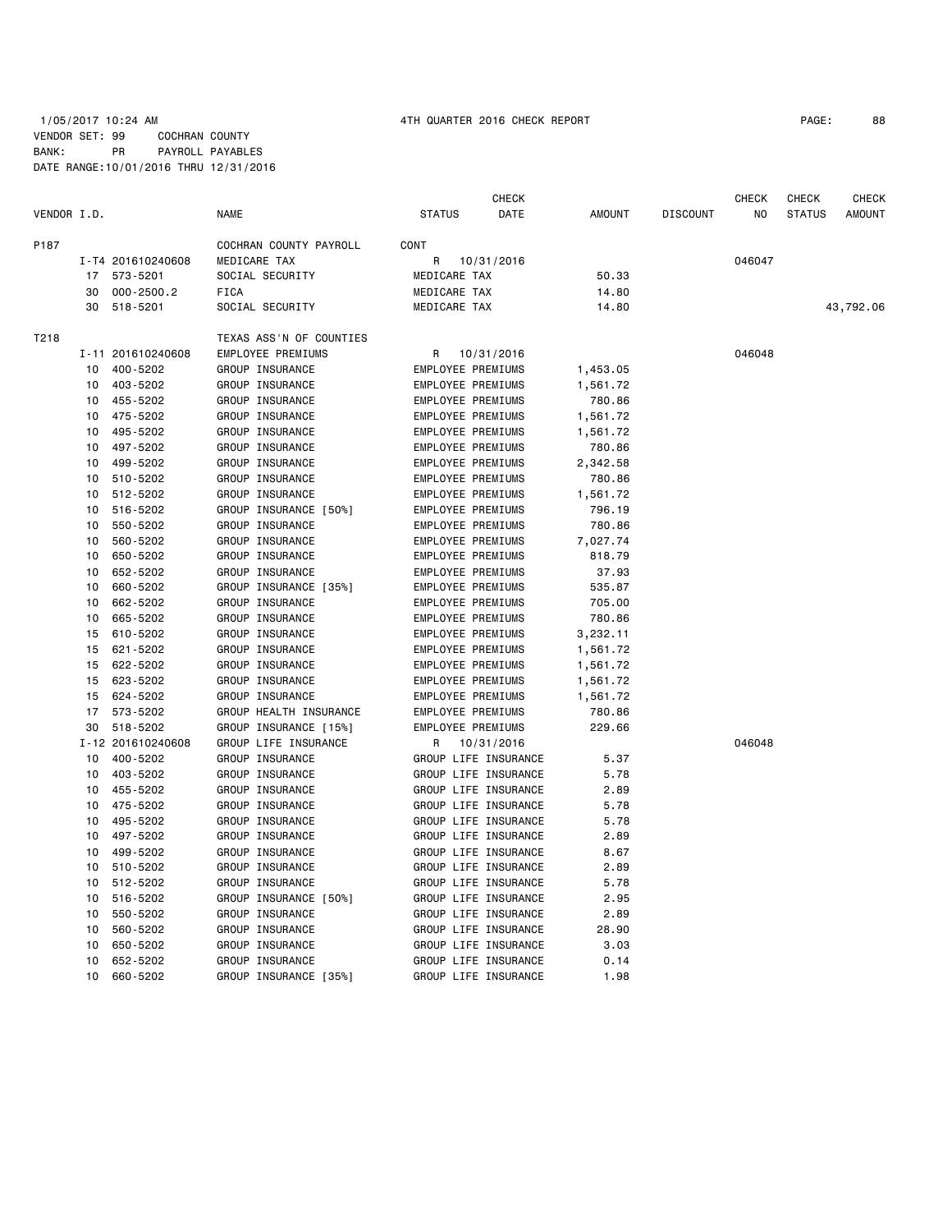## 1/05/2017 10:24 AM 4TH QUARTER 2016 CHECK REPORT PAGE: 88 VENDOR SET: 99 COCHRAN COUNTY BANK: PR PAYROLL PAYABLES DATE RANGE:10/01/2016 THRU 12/31/2016

| VENDOR I.D. |    |                   | <b>NAME</b>             | <b>STATUS</b>            | CHECK<br>DATE        | <b>AMOUNT</b> | <b>DISCOUNT</b> | CHECK<br>N <sub>O</sub> | <b>CHECK</b><br><b>STATUS</b> | <b>CHECK</b><br><b>AMOUNT</b> |
|-------------|----|-------------------|-------------------------|--------------------------|----------------------|---------------|-----------------|-------------------------|-------------------------------|-------------------------------|
| P187        |    |                   | COCHRAN COUNTY PAYROLL  | CONT                     |                      |               |                 |                         |                               |                               |
|             |    | I-T4 201610240608 | MEDICARE TAX            | R                        | 10/31/2016           |               |                 | 046047                  |                               |                               |
|             | 17 | 573-5201          | SOCIAL SECURITY         | MEDICARE TAX             |                      | 50.33         |                 |                         |                               |                               |
|             | 30 | $000 - 2500.2$    | <b>FICA</b>             | MEDICARE TAX             |                      | 14.80         |                 |                         |                               |                               |
|             | 30 | 518-5201          | SOCIAL SECURITY         | MEDICARE TAX             |                      | 14.80         |                 |                         |                               | 43,792.06                     |
| T218        |    |                   | TEXAS ASS'N OF COUNTIES |                          |                      |               |                 |                         |                               |                               |
|             |    | I-11 201610240608 | EMPLOYEE PREMIUMS       | R                        | 10/31/2016           |               |                 | 046048                  |                               |                               |
|             | 10 | 400-5202          | GROUP INSURANCE         | EMPLOYEE PREMIUMS        |                      | 1,453.05      |                 |                         |                               |                               |
|             | 10 | 403-5202          | GROUP INSURANCE         | <b>EMPLOYEE PREMIUMS</b> |                      | 1,561.72      |                 |                         |                               |                               |
|             | 10 | 455-5202          | GROUP INSURANCE         | EMPLOYEE PREMIUMS        |                      | 780.86        |                 |                         |                               |                               |
|             | 10 | 475-5202          | GROUP INSURANCE         | EMPLOYEE PREMIUMS        |                      | 1,561.72      |                 |                         |                               |                               |
|             | 10 | 495-5202          | GROUP INSURANCE         | <b>EMPLOYEE PREMIUMS</b> |                      | 1,561.72      |                 |                         |                               |                               |
|             | 10 | 497-5202          | GROUP INSURANCE         | EMPLOYEE PREMIUMS        |                      | 780.86        |                 |                         |                               |                               |
|             | 10 | 499-5202          | GROUP INSURANCE         | EMPLOYEE PREMIUMS        |                      | 2,342.58      |                 |                         |                               |                               |
|             | 10 | 510-5202          | GROUP INSURANCE         | EMPLOYEE PREMIUMS        |                      | 780.86        |                 |                         |                               |                               |
|             | 10 | 512-5202          | GROUP INSURANCE         | EMPLOYEE PREMIUMS        |                      | 1,561.72      |                 |                         |                               |                               |
|             | 10 | 516-5202          | GROUP INSURANCE [50%]   | EMPLOYEE PREMIUMS        |                      | 796.19        |                 |                         |                               |                               |
|             | 10 | 550-5202          | GROUP INSURANCE         | EMPLOYEE PREMIUMS        |                      | 780.86        |                 |                         |                               |                               |
|             | 10 | 560-5202          | GROUP INSURANCE         | <b>EMPLOYEE PREMIUMS</b> |                      | 7,027.74      |                 |                         |                               |                               |
|             | 10 | 650-5202          | GROUP INSURANCE         | EMPLOYEE PREMIUMS        |                      | 818.79        |                 |                         |                               |                               |
|             | 10 | 652-5202          | GROUP INSURANCE         | EMPLOYEE PREMIUMS        |                      | 37.93         |                 |                         |                               |                               |
|             | 10 | 660-5202          | GROUP INSURANCE [35%]   | <b>EMPLOYEE PREMIUMS</b> |                      | 535.87        |                 |                         |                               |                               |
|             | 10 | 662-5202          | GROUP INSURANCE         | EMPLOYEE PREMIUMS        |                      | 705.00        |                 |                         |                               |                               |
|             | 10 | 665-5202          | GROUP INSURANCE         | EMPLOYEE PREMIUMS        |                      | 780.86        |                 |                         |                               |                               |
|             | 15 | 610-5202          | GROUP INSURANCE         | <b>EMPLOYEE PREMIUMS</b> |                      | 3,232.11      |                 |                         |                               |                               |
|             | 15 | 621-5202          | GROUP INSURANCE         | EMPLOYEE PREMIUMS        |                      | 1,561.72      |                 |                         |                               |                               |
|             | 15 | 622-5202          | GROUP INSURANCE         | EMPLOYEE PREMIUMS        |                      | 1,561.72      |                 |                         |                               |                               |
|             | 15 | 623-5202          | GROUP INSURANCE         | <b>EMPLOYEE PREMIUMS</b> |                      | 1,561.72      |                 |                         |                               |                               |
|             | 15 | 624-5202          | GROUP INSURANCE         | EMPLOYEE PREMIUMS        |                      | 1,561.72      |                 |                         |                               |                               |
|             | 17 | 573-5202          | GROUP HEALTH INSURANCE  | EMPLOYEE PREMIUMS        |                      | 780.86        |                 |                         |                               |                               |
|             | 30 | 518-5202          | GROUP INSURANCE [15%]   | <b>EMPLOYEE PREMIUMS</b> |                      | 229.66        |                 |                         |                               |                               |
|             |    | I-12 201610240608 | GROUP LIFE INSURANCE    | R                        | 10/31/2016           |               |                 | 046048                  |                               |                               |
|             | 10 | 400-5202          | GROUP INSURANCE         |                          | GROUP LIFE INSURANCE | 5.37          |                 |                         |                               |                               |
|             | 10 | 403-5202          | GROUP INSURANCE         |                          | GROUP LIFE INSURANCE | 5.78          |                 |                         |                               |                               |
|             | 10 | 455-5202          | GROUP INSURANCE         |                          | GROUP LIFE INSURANCE | 2.89          |                 |                         |                               |                               |
|             | 10 | 475-5202          | GROUP INSURANCE         |                          | GROUP LIFE INSURANCE | 5.78          |                 |                         |                               |                               |
|             | 10 | 495-5202          | GROUP INSURANCE         |                          | GROUP LIFE INSURANCE | 5.78          |                 |                         |                               |                               |
|             | 10 | 497-5202          | GROUP INSURANCE         |                          | GROUP LIFE INSURANCE | 2.89          |                 |                         |                               |                               |
|             | 10 | 499-5202          | GROUP INSURANCE         |                          | GROUP LIFE INSURANCE | 8.67          |                 |                         |                               |                               |
|             | 10 | 510-5202          | GROUP INSURANCE         |                          | GROUP LIFE INSURANCE | 2.89          |                 |                         |                               |                               |
|             | 10 | 512-5202          | GROUP INSURANCE         |                          | GROUP LIFE INSURANCE | 5.78          |                 |                         |                               |                               |
|             | 10 | 516-5202          | GROUP INSURANCE [50%]   |                          | GROUP LIFE INSURANCE | 2.95          |                 |                         |                               |                               |
|             | 10 | 550-5202          | GROUP INSURANCE         |                          | GROUP LIFE INSURANCE | 2.89          |                 |                         |                               |                               |
|             | 10 | 560-5202          | GROUP INSURANCE         |                          | GROUP LIFE INSURANCE | 28.90         |                 |                         |                               |                               |
|             | 10 | 650-5202          | GROUP INSURANCE         |                          | GROUP LIFE INSURANCE | 3.03          |                 |                         |                               |                               |
|             | 10 | 652-5202          | GROUP INSURANCE         |                          | GROUP LIFE INSURANCE | 0.14          |                 |                         |                               |                               |
|             | 10 | 660-5202          | GROUP INSURANCE [35%]   |                          | GROUP LIFE INSURANCE | 1.98          |                 |                         |                               |                               |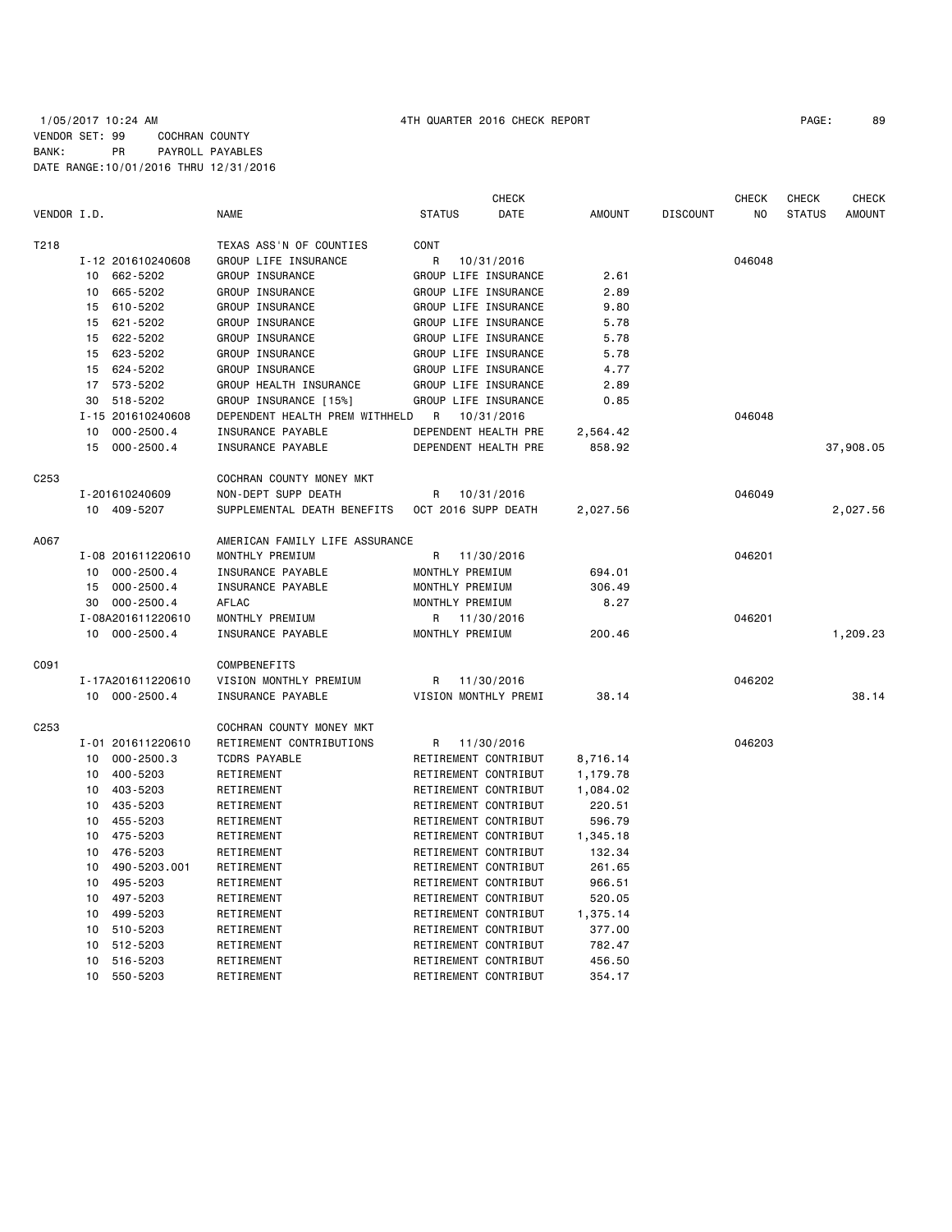## 1/05/2017 10:24 AM 4TH QUARTER 2016 CHECK REPORT PAGE: 89 VENDOR SET: 99 COCHRAN COUNTY BANK: PR PAYROLL PAYABLES DATE RANGE:10/01/2016 THRU 12/31/2016

|                  |                   |                |                                |                      | CHECK      |               |                 | <b>CHECK</b> | CHECK         | <b>CHECK</b>  |
|------------------|-------------------|----------------|--------------------------------|----------------------|------------|---------------|-----------------|--------------|---------------|---------------|
| VENDOR I.D.      |                   |                | <b>NAME</b>                    | <b>STATUS</b>        | DATE       | <b>AMOUNT</b> | <b>DISCOUNT</b> | NO.          | <b>STATUS</b> | <b>AMOUNT</b> |
| T218             |                   |                | TEXAS ASS'N OF COUNTIES        | CONT                 |            |               |                 |              |               |               |
|                  | I-12 201610240608 |                | GROUP LIFE INSURANCE           | R                    | 10/31/2016 |               |                 | 046048       |               |               |
|                  | 662-5202<br>10    |                | GROUP INSURANCE                | GROUP LIFE INSURANCE |            | 2.61          |                 |              |               |               |
|                  | 665-5202<br>10    |                | GROUP INSURANCE                | GROUP LIFE INSURANCE |            | 2.89          |                 |              |               |               |
|                  | 610-5202<br>15    |                | GROUP INSURANCE                | GROUP LIFE INSURANCE |            | 9.80          |                 |              |               |               |
|                  | 621-5202<br>15    |                | GROUP INSURANCE                | GROUP LIFE INSURANCE |            | 5.78          |                 |              |               |               |
|                  | 15<br>622-5202    |                | GROUP INSURANCE                | GROUP LIFE INSURANCE |            | 5.78          |                 |              |               |               |
|                  | 623-5202<br>15    |                | GROUP INSURANCE                | GROUP LIFE INSURANCE |            | 5.78          |                 |              |               |               |
|                  | 624-5202<br>15    |                | GROUP INSURANCE                | GROUP LIFE INSURANCE |            | 4.77          |                 |              |               |               |
|                  | 17<br>573-5202    |                | GROUP HEALTH INSURANCE         | GROUP LIFE INSURANCE |            | 2.89          |                 |              |               |               |
|                  | 518-5202<br>30    |                | GROUP INSURANCE [15%]          | GROUP LIFE INSURANCE |            | 0.85          |                 |              |               |               |
|                  | I-15 201610240608 |                | DEPENDENT HEALTH PREM WITHHELD | R                    | 10/31/2016 |               |                 | 046048       |               |               |
|                  | 10                | $000 - 2500.4$ | INSURANCE PAYABLE              | DEPENDENT HEALTH PRE |            | 2,564.42      |                 |              |               |               |
|                  | 15                | 000-2500.4     | INSURANCE PAYABLE              | DEPENDENT HEALTH PRE |            | 858.92        |                 |              |               | 37,908.05     |
| C <sub>253</sub> |                   |                | COCHRAN COUNTY MONEY MKT       |                      |            |               |                 |              |               |               |
|                  | I-201610240609    |                | NON-DEPT SUPP DEATH            | R                    | 10/31/2016 |               |                 | 046049       |               |               |
|                  | 10 409-5207       |                | SUPPLEMENTAL DEATH BENEFITS    | OCT 2016 SUPP DEATH  |            | 2,027.56      |                 |              |               | 2,027.56      |
|                  |                   |                |                                |                      |            |               |                 |              |               |               |
| A067             |                   |                | AMERICAN FAMILY LIFE ASSURANCE |                      |            |               |                 |              |               |               |
|                  | I-08 201611220610 |                | MONTHLY PREMIUM                | R                    | 11/30/2016 |               |                 | 046201       |               |               |
|                  | 10                | $000 - 2500.4$ | INSURANCE PAYABLE              | MONTHLY PREMIUM      |            | 694.01        |                 |              |               |               |
|                  | 15                | $000 - 2500.4$ | INSURANCE PAYABLE              | MONTHLY PREMIUM      |            | 306.49        |                 |              |               |               |
|                  | 30                | $000 - 2500.4$ | AFLAC                          | MONTHLY PREMIUM      |            | 8.27          |                 |              |               |               |
|                  | I-08A201611220610 |                | MONTHLY PREMIUM                | R                    | 11/30/2016 |               |                 | 046201       |               |               |
|                  | 10                | $000 - 2500.4$ | <b>INSURANCE PAYABLE</b>       | MONTHLY PREMIUM      |            | 200.46        |                 |              |               | 1,209.23      |
| C091             |                   |                | <b>COMPBENEFITS</b>            |                      |            |               |                 |              |               |               |
|                  | I-17A201611220610 |                | VISION MONTHLY PREMIUM         | R                    | 11/30/2016 |               |                 | 046202       |               |               |
|                  | 10 000-2500.4     |                | INSURANCE PAYABLE              | VISION MONTHLY PREMI |            | 38.14         |                 |              |               | 38.14         |
| C253             |                   |                | COCHRAN COUNTY MONEY MKT       |                      |            |               |                 |              |               |               |
|                  | I-01 201611220610 |                | RETIREMENT CONTRIBUTIONS       | R                    | 11/30/2016 |               |                 | 046203       |               |               |
|                  | 10                | $000 - 2500.3$ | <b>TCDRS PAYABLE</b>           | RETIREMENT CONTRIBUT |            | 8,716.14      |                 |              |               |               |
|                  | 400-5203<br>10    |                | RETIREMENT                     | RETIREMENT CONTRIBUT |            | 1,179.78      |                 |              |               |               |
|                  | 403-5203<br>10    |                | RETIREMENT                     | RETIREMENT CONTRIBUT |            | 1,084.02      |                 |              |               |               |
|                  | 435-5203<br>10    |                | RETIREMENT                     | RETIREMENT CONTRIBUT |            | 220.51        |                 |              |               |               |
|                  | 10<br>455-5203    |                | RETIREMENT                     | RETIREMENT CONTRIBUT |            | 596.79        |                 |              |               |               |
|                  | 475-5203<br>10    |                | RETIREMENT                     | RETIREMENT CONTRIBUT |            | 1,345.18      |                 |              |               |               |
|                  | 476-5203<br>10    |                | RETIREMENT                     | RETIREMENT CONTRIBUT |            | 132.34        |                 |              |               |               |
|                  | 10                | 490-5203.001   | RETIREMENT                     | RETIREMENT CONTRIBUT |            | 261.65        |                 |              |               |               |
|                  | 495-5203<br>10    |                | RETIREMENT                     | RETIREMENT CONTRIBUT |            | 966.51        |                 |              |               |               |
|                  | 497-5203<br>10    |                | RETIREMENT                     | RETIREMENT CONTRIBUT |            | 520.05        |                 |              |               |               |
|                  | 499-5203<br>10    |                | RETIREMENT                     | RETIREMENT CONTRIBUT |            | 1,375.14      |                 |              |               |               |
|                  | 510-5203<br>10    |                | RETIREMENT                     | RETIREMENT CONTRIBUT |            | 377.00        |                 |              |               |               |
|                  | 512-5203<br>10    |                | RETIREMENT                     | RETIREMENT CONTRIBUT |            | 782.47        |                 |              |               |               |
|                  | 516-5203<br>10    |                | RETIREMENT                     | RETIREMENT CONTRIBUT |            | 456.50        |                 |              |               |               |
|                  | 10<br>550-5203    |                | RETIREMENT                     | RETIREMENT CONTRIBUT |            | 354.17        |                 |              |               |               |
|                  |                   |                |                                |                      |            |               |                 |              |               |               |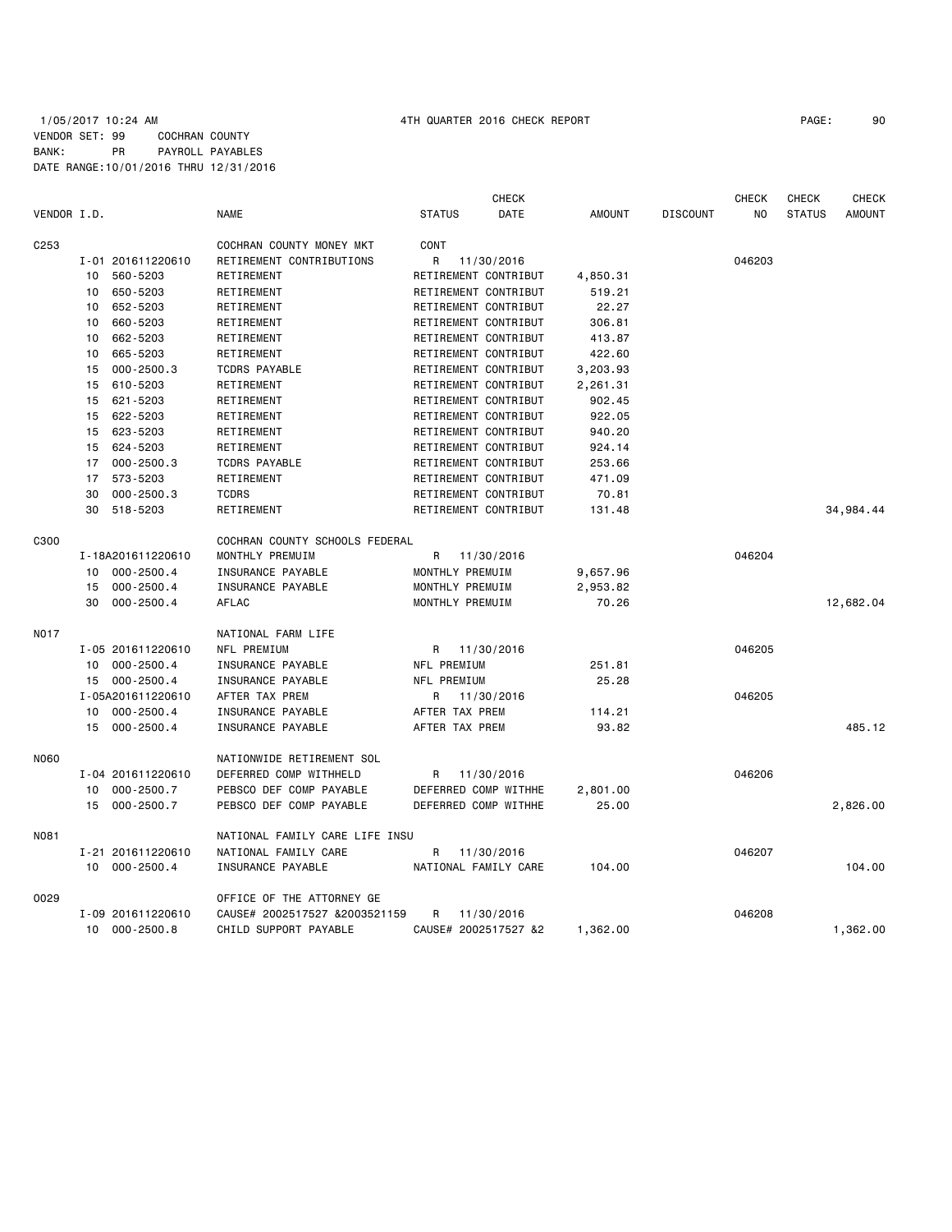## 1/05/2017 10:24 AM 4TH QUARTER 2016 CHECK REPORT PAGE: 90 VENDOR SET: 99 COCHRAN COUNTY BANK: PR PAYROLL PAYABLES DATE RANGE:10/01/2016 THRU 12/31/2016

| VENDOR I.D.      |    |                   | <b>NAME</b>                    | <b>STATUS</b>        | <b>CHECK</b><br><b>DATE</b> | <b>AMOUNT</b> | <b>DISCOUNT</b> | <b>CHECK</b><br>NO. | <b>CHECK</b><br><b>STATUS</b> | <b>CHECK</b><br>AMOUNT |
|------------------|----|-------------------|--------------------------------|----------------------|-----------------------------|---------------|-----------------|---------------------|-------------------------------|------------------------|
| C <sub>253</sub> |    |                   | COCHRAN COUNTY MONEY MKT       | <b>CONT</b>          |                             |               |                 |                     |                               |                        |
|                  |    | I-01 201611220610 | RETIREMENT CONTRIBUTIONS       | R                    | 11/30/2016                  |               |                 | 046203              |                               |                        |
|                  | 10 | 560-5203          | RETIREMENT                     | RETIREMENT CONTRIBUT |                             | 4,850.31      |                 |                     |                               |                        |
|                  | 10 | 650-5203          | RETIREMENT                     | RETIREMENT CONTRIBUT |                             | 519.21        |                 |                     |                               |                        |
|                  | 10 | 652-5203          | RETIREMENT                     | RETIREMENT CONTRIBUT |                             | 22.27         |                 |                     |                               |                        |
|                  | 10 | 660-5203          | RETIREMENT                     | RETIREMENT CONTRIBUT |                             | 306.81        |                 |                     |                               |                        |
|                  | 10 | 662-5203          | RETIREMENT                     | RETIREMENT CONTRIBUT |                             | 413.87        |                 |                     |                               |                        |
|                  | 10 | 665-5203          | RETIREMENT                     | RETIREMENT CONTRIBUT |                             | 422.60        |                 |                     |                               |                        |
|                  | 15 | $000 - 2500.3$    | <b>TCDRS PAYABLE</b>           | RETIREMENT CONTRIBUT |                             | 3,203.93      |                 |                     |                               |                        |
|                  | 15 | 610-5203          | RETIREMENT                     | RETIREMENT CONTRIBUT |                             | 2,261.31      |                 |                     |                               |                        |
|                  | 15 | 621-5203          | RETIREMENT                     | RETIREMENT CONTRIBUT |                             | 902.45        |                 |                     |                               |                        |
|                  | 15 | 622-5203          | RETIREMENT                     | RETIREMENT CONTRIBUT |                             | 922.05        |                 |                     |                               |                        |
|                  | 15 | 623-5203          | RETIREMENT                     | RETIREMENT CONTRIBUT |                             | 940.20        |                 |                     |                               |                        |
|                  | 15 | 624-5203          | RETIREMENT                     | RETIREMENT CONTRIBUT |                             | 924.14        |                 |                     |                               |                        |
|                  |    | 17 000-2500.3     | <b>TCDRS PAYABLE</b>           | RETIREMENT CONTRIBUT |                             | 253.66        |                 |                     |                               |                        |
|                  | 17 | 573-5203          | RETIREMENT                     | RETIREMENT CONTRIBUT |                             | 471.09        |                 |                     |                               |                        |
|                  | 30 | $000 - 2500.3$    | <b>TCDRS</b>                   | RETIREMENT CONTRIBUT |                             | 70.81         |                 |                     |                               |                        |
|                  | 30 | 518-5203          | RETIREMENT                     | RETIREMENT CONTRIBUT |                             | 131.48        |                 |                     |                               | 34,984.44              |
| C300             |    |                   | COCHRAN COUNTY SCHOOLS FEDERAL |                      |                             |               |                 |                     |                               |                        |
|                  |    | I-18A201611220610 | MONTHLY PREMUIM                | R                    | 11/30/2016                  |               |                 | 046204              |                               |                        |
|                  | 10 | $000 - 2500.4$    | INSURANCE PAYABLE              | MONTHLY PREMUIM      |                             | 9,657.96      |                 |                     |                               |                        |
|                  | 15 | $000 - 2500.4$    | INSURANCE PAYABLE              | MONTHLY PREMUIM      |                             | 2,953.82      |                 |                     |                               |                        |
|                  | 30 | $000 - 2500.4$    | AFLAC                          | MONTHLY PREMUIM      |                             | 70.26         |                 |                     |                               | 12,682.04              |
| <b>NO17</b>      |    |                   | NATIONAL FARM LIFE             |                      |                             |               |                 |                     |                               |                        |
|                  |    | I-05 201611220610 | NFL PREMIUM                    | R.                   | 11/30/2016                  |               |                 | 046205              |                               |                        |
|                  |    | 10 000-2500.4     | INSURANCE PAYABLE              | NFL PREMIUM          |                             | 251.81        |                 |                     |                               |                        |
|                  |    | 15 000-2500.4     | INSURANCE PAYABLE              | NFL PREMIUM          |                             | 25.28         |                 |                     |                               |                        |
|                  |    | I-05A201611220610 | AFTER TAX PREM                 | R                    | 11/30/2016                  |               |                 | 046205              |                               |                        |
|                  |    | 10 000-2500.4     | INSURANCE PAYABLE              | AFTER TAX PREM       |                             | 114.21        |                 |                     |                               |                        |
|                  | 15 | $000 - 2500.4$    | INSURANCE PAYABLE              | AFTER TAX PREM       |                             | 93.82         |                 |                     |                               | 485.12                 |
| <b>N060</b>      |    |                   | NATIONWIDE RETIREMENT SOL      |                      |                             |               |                 |                     |                               |                        |
|                  |    | I-04 201611220610 | DEFERRED COMP WITHHELD         | R                    | 11/30/2016                  |               |                 | 046206              |                               |                        |
|                  | 10 | $000 - 2500.7$    | PEBSCO DEF COMP PAYABLE        | DEFERRED COMP WITHHE |                             | 2,801.00      |                 |                     |                               |                        |
|                  | 15 | 000-2500.7        | PEBSCO DEF COMP PAYABLE        | DEFERRED COMP WITHHE |                             | 25.00         |                 |                     |                               | 2,826.00               |
| <b>N081</b>      |    |                   | NATIONAL FAMILY CARE LIFE INSU |                      |                             |               |                 |                     |                               |                        |
|                  |    | I-21 201611220610 | NATIONAL FAMILY CARE           | R                    | 11/30/2016                  |               |                 | 046207              |                               |                        |
|                  |    | 10 000-2500.4     | INSURANCE PAYABLE              | NATIONAL FAMILY CARE |                             | 104.00        |                 |                     |                               | 104.00                 |
| 0029             |    |                   | OFFICE OF THE ATTORNEY GE      |                      |                             |               |                 |                     |                               |                        |
|                  |    | I-09 201611220610 | CAUSE# 2002517527 &2003521159  | R                    | 11/30/2016                  |               |                 | 046208              |                               |                        |
|                  | 10 | $000 - 2500.8$    | CHILD SUPPORT PAYABLE          | CAUSE# 2002517527 &2 |                             | 1,362.00      |                 |                     |                               | 1,362.00               |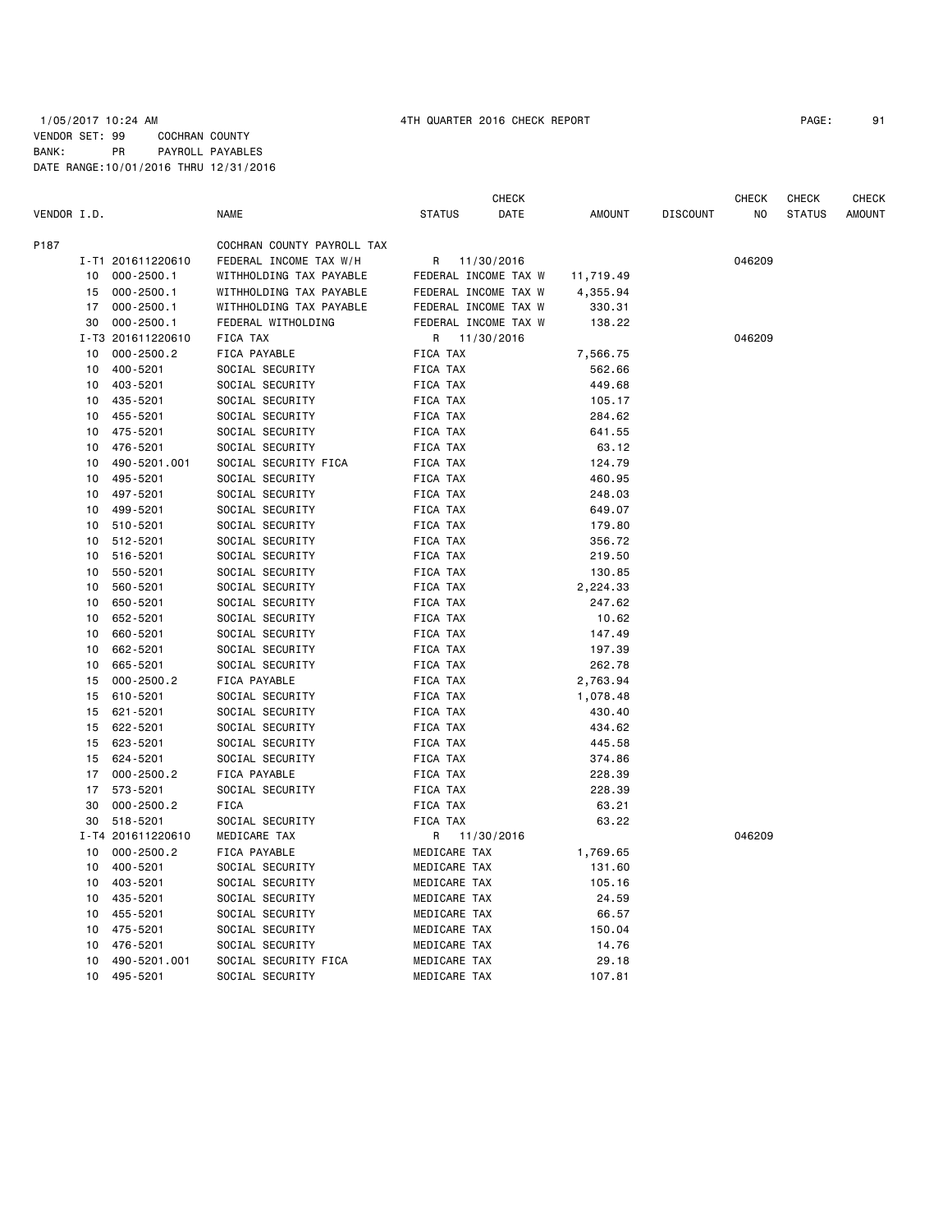|             |    |                   |                            |                      | CHECK      |           |                 | <b>CHECK</b> | CHECK         | <b>CHECK</b>  |
|-------------|----|-------------------|----------------------------|----------------------|------------|-----------|-----------------|--------------|---------------|---------------|
| VENDOR I.D. |    |                   | <b>NAME</b>                | <b>STATUS</b>        | DATE       | AMOUNT    | <b>DISCOUNT</b> | NO.          | <b>STATUS</b> | <b>AMOUNT</b> |
| P187        |    |                   | COCHRAN COUNTY PAYROLL TAX |                      |            |           |                 |              |               |               |
|             |    | I-T1 201611220610 | FEDERAL INCOME TAX W/H     | R                    | 11/30/2016 |           |                 | 046209       |               |               |
|             | 10 | $000 - 2500.1$    | WITHHOLDING TAX PAYABLE    | FEDERAL INCOME TAX W |            | 11,719.49 |                 |              |               |               |
|             | 15 | $000 - 2500.1$    | WITHHOLDING TAX PAYABLE    | FEDERAL INCOME TAX W |            | 4,355.94  |                 |              |               |               |
|             | 17 | $000 - 2500.1$    | WITHHOLDING TAX PAYABLE    | FEDERAL INCOME TAX W |            | 330.31    |                 |              |               |               |
|             | 30 | $000 - 2500.1$    | FEDERAL WITHOLDING         | FEDERAL INCOME TAX W |            | 138.22    |                 |              |               |               |
|             |    | I-T3 201611220610 | FICA TAX                   | R                    | 11/30/2016 |           |                 | 046209       |               |               |
|             | 10 | $000 - 2500.2$    | FICA PAYABLE               | FICA TAX             |            | 7,566.75  |                 |              |               |               |
|             | 10 | 400-5201          | SOCIAL SECURITY            | FICA TAX             |            | 562.66    |                 |              |               |               |
|             | 10 | 403-5201          | SOCIAL SECURITY            | FICA TAX             |            | 449.68    |                 |              |               |               |
|             | 10 | 435-5201          | SOCIAL SECURITY            | FICA TAX             |            | 105.17    |                 |              |               |               |
|             | 10 | 455-5201          | SOCIAL SECURITY            | FICA TAX             |            | 284.62    |                 |              |               |               |
|             | 10 | 475-5201          | SOCIAL SECURITY            | FICA TAX             |            | 641.55    |                 |              |               |               |
|             | 10 | 476-5201          | SOCIAL SECURITY            | FICA TAX             |            | 63.12     |                 |              |               |               |
|             | 10 | 490-5201.001      | SOCIAL SECURITY FICA       | FICA TAX             |            | 124.79    |                 |              |               |               |
|             | 10 | 495-5201          | SOCIAL SECURITY            | FICA TAX             |            | 460.95    |                 |              |               |               |
|             | 10 | 497-5201          | SOCIAL SECURITY            | FICA TAX             |            | 248.03    |                 |              |               |               |
|             | 10 | 499-5201          | SOCIAL SECURITY            | FICA TAX             |            | 649.07    |                 |              |               |               |
|             | 10 | 510-5201          | SOCIAL SECURITY            | FICA TAX             |            | 179.80    |                 |              |               |               |
|             | 10 | 512-5201          | SOCIAL SECURITY            | FICA TAX             |            | 356.72    |                 |              |               |               |
|             | 10 | 516-5201          | SOCIAL SECURITY            | FICA TAX             |            | 219.50    |                 |              |               |               |
|             | 10 | 550-5201          | SOCIAL SECURITY            | FICA TAX             |            | 130.85    |                 |              |               |               |
|             | 10 | 560-5201          | SOCIAL SECURITY            | FICA TAX             |            | 2,224.33  |                 |              |               |               |
|             | 10 | 650-5201          | SOCIAL SECURITY            | FICA TAX             |            | 247.62    |                 |              |               |               |
|             | 10 | 652-5201          | SOCIAL SECURITY            | FICA TAX             |            | 10.62     |                 |              |               |               |
|             | 10 | 660-5201          | SOCIAL SECURITY            | FICA TAX             |            | 147.49    |                 |              |               |               |
|             | 10 | 662-5201          | SOCIAL SECURITY            | FICA TAX             |            | 197.39    |                 |              |               |               |
|             | 10 | 665-5201          | SOCIAL SECURITY            | FICA TAX             |            | 262.78    |                 |              |               |               |
|             | 15 | $000 - 2500.2$    | FICA PAYABLE               | FICA TAX             |            | 2,763.94  |                 |              |               |               |
|             | 15 | 610-5201          | SOCIAL SECURITY            | FICA TAX             |            | 1,078.48  |                 |              |               |               |
|             | 15 | 621-5201          | SOCIAL SECURITY            | FICA TAX             |            | 430.40    |                 |              |               |               |
|             | 15 | 622-5201          | SOCIAL SECURITY            | FICA TAX             |            | 434.62    |                 |              |               |               |
|             | 15 | 623-5201          | SOCIAL SECURITY            | FICA TAX             |            | 445.58    |                 |              |               |               |
|             | 15 | 624-5201          | SOCIAL SECURITY            | FICA TAX             |            | 374.86    |                 |              |               |               |
|             | 17 | $000 - 2500.2$    | FICA PAYABLE               | FICA TAX             |            | 228.39    |                 |              |               |               |
|             | 17 | 573-5201          | SOCIAL SECURITY            | FICA TAX             |            | 228.39    |                 |              |               |               |
|             | 30 | $000 - 2500.2$    | <b>FICA</b>                | FICA TAX             |            | 63.21     |                 |              |               |               |
|             | 30 | 518-5201          | SOCIAL SECURITY            | FICA TAX             |            | 63.22     |                 |              |               |               |
|             |    | I-T4 201611220610 | MEDICARE TAX               | R                    | 11/30/2016 |           |                 | 046209       |               |               |
|             | 10 | $000 - 2500.2$    | FICA PAYABLE               | MEDICARE TAX         |            | 1,769.65  |                 |              |               |               |
|             | 10 | 400-5201          | SOCIAL SECURITY            | MEDICARE TAX         |            | 131.60    |                 |              |               |               |
|             | 10 | 403-5201          | SOCIAL SECURITY            | MEDICARE TAX         |            | 105.16    |                 |              |               |               |
|             | 10 | 435-5201          | SOCIAL SECURITY            | MEDICARE TAX         |            | 24.59     |                 |              |               |               |
|             | 10 | 455-5201          | SOCIAL SECURITY            | MEDICARE TAX         |            | 66.57     |                 |              |               |               |
|             | 10 | 475-5201          | SOCIAL SECURITY            | MEDICARE TAX         |            | 150.04    |                 |              |               |               |
|             | 10 | 476-5201          | SOCIAL SECURITY            | MEDICARE TAX         |            | 14.76     |                 |              |               |               |
|             | 10 | 490-5201.001      | SOCIAL SECURITY FICA       | MEDICARE TAX         |            | 29.18     |                 |              |               |               |
|             | 10 | 495-5201          | SOCIAL SECURITY            | MEDICARE TAX         |            | 107.81    |                 |              |               |               |
|             |    |                   |                            |                      |            |           |                 |              |               |               |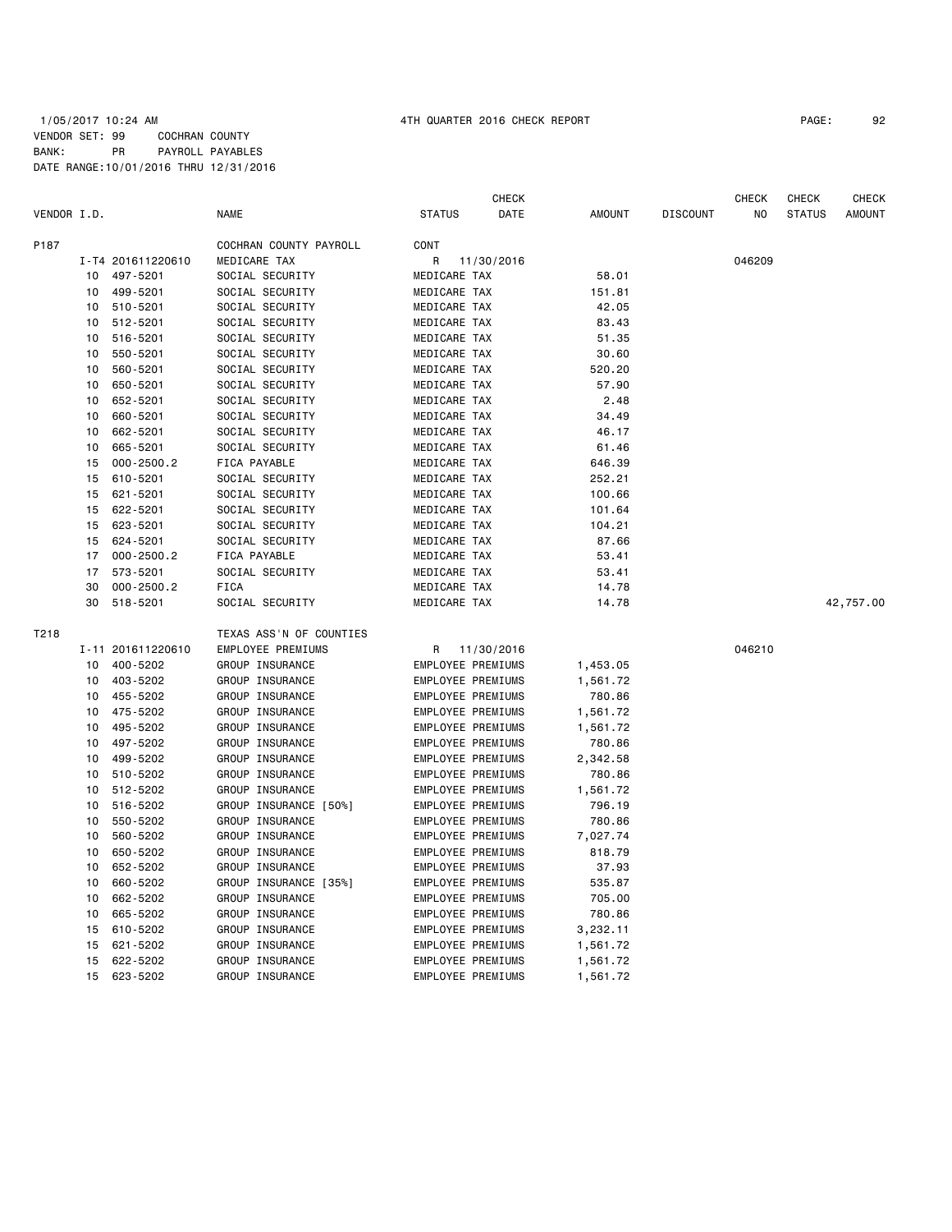## 1/05/2017 10:24 AM 4TH QUARTER 2016 CHECK REPORT PAGE: 92 VENDOR SET: 99 COCHRAN COUNTY BANK: PR PAYROLL PAYABLES DATE RANGE:10/01/2016 THRU 12/31/2016

|             |    |                   |                         |                          | CHECK      |                |                 | CHECK  | CHECK         | CHECK     |
|-------------|----|-------------------|-------------------------|--------------------------|------------|----------------|-----------------|--------|---------------|-----------|
| VENDOR I.D. |    |                   | <b>NAME</b>             | <b>STATUS</b>            | DATE       | <b>AMOUNT</b>  | <b>DISCOUNT</b> | NO.    | <b>STATUS</b> | AMOUNT    |
| P187        |    |                   | COCHRAN COUNTY PAYROLL  | CONT                     |            |                |                 |        |               |           |
|             |    | I-T4 201611220610 | MEDICARE TAX            | R                        | 11/30/2016 |                |                 | 046209 |               |           |
|             | 10 | 497-5201          | SOCIAL SECURITY         | MEDICARE TAX             |            | 58.01          |                 |        |               |           |
|             | 10 | 499-5201          | SOCIAL SECURITY         | MEDICARE TAX             |            | 151.81         |                 |        |               |           |
|             | 10 | 510-5201          | SOCIAL SECURITY         | MEDICARE TAX             |            | 42.05          |                 |        |               |           |
|             | 10 | 512-5201          | SOCIAL SECURITY         | MEDICARE TAX             |            | 83.43          |                 |        |               |           |
|             | 10 | 516-5201          | SOCIAL SECURITY         | MEDICARE TAX             |            | 51.35          |                 |        |               |           |
|             | 10 | 550-5201          | SOCIAL SECURITY         | MEDICARE TAX             |            | 30.60          |                 |        |               |           |
|             | 10 | 560-5201          | SOCIAL SECURITY         | MEDICARE TAX             |            | 520.20         |                 |        |               |           |
|             | 10 | 650-5201          | SOCIAL SECURITY         | MEDICARE TAX             |            | 57.90          |                 |        |               |           |
|             | 10 | 652-5201          | SOCIAL SECURITY         | MEDICARE TAX             |            | 2.48           |                 |        |               |           |
|             | 10 | 660-5201          | SOCIAL SECURITY         | MEDICARE TAX             |            | 34.49          |                 |        |               |           |
|             | 10 | 662-5201          | SOCIAL SECURITY         | MEDICARE TAX             |            | 46.17          |                 |        |               |           |
|             | 10 | 665-5201          | SOCIAL SECURITY         | MEDICARE TAX             |            | 61.46          |                 |        |               |           |
|             | 15 | $000 - 2500.2$    | FICA PAYABLE            | MEDICARE TAX             |            | 646.39         |                 |        |               |           |
|             | 15 | 610-5201          | SOCIAL SECURITY         | MEDICARE TAX             |            | 252.21         |                 |        |               |           |
|             | 15 | 621-5201          | SOCIAL SECURITY         | MEDICARE TAX             |            | 100.66         |                 |        |               |           |
|             | 15 | 622-5201          | SOCIAL SECURITY         | MEDICARE TAX             |            | 101.64         |                 |        |               |           |
|             | 15 | 623-5201          | SOCIAL SECURITY         | MEDICARE TAX             |            | 104.21         |                 |        |               |           |
|             | 15 | 624-5201          | SOCIAL SECURITY         | MEDICARE TAX             |            | 87.66          |                 |        |               |           |
|             | 17 | $000 - 2500.2$    | FICA PAYABLE            | MEDICARE TAX             |            | 53.41          |                 |        |               |           |
|             | 17 | 573-5201          | SOCIAL SECURITY         | MEDICARE TAX             |            |                |                 |        |               |           |
|             | 30 | $000 - 2500.2$    | FICA                    | MEDICARE TAX             |            | 53.41<br>14.78 |                 |        |               |           |
|             | 30 | 518-5201          | SOCIAL SECURITY         | MEDICARE TAX             |            | 14.78          |                 |        |               | 42,757.00 |
|             |    |                   |                         |                          |            |                |                 |        |               |           |
| T218        |    |                   | TEXAS ASS'N OF COUNTIES |                          |            |                |                 |        |               |           |
|             |    | I-11 201611220610 | EMPLOYEE PREMIUMS       | R                        | 11/30/2016 |                |                 | 046210 |               |           |
|             | 10 | 400-5202          | GROUP INSURANCE         | EMPLOYEE PREMIUMS        |            | 1,453.05       |                 |        |               |           |
|             | 10 | 403-5202          | GROUP INSURANCE         | <b>EMPLOYEE PREMIUMS</b> |            | 1,561.72       |                 |        |               |           |
|             | 10 | 455-5202          | GROUP INSURANCE         | EMPLOYEE PREMIUMS        |            | 780.86         |                 |        |               |           |
|             | 10 | 475-5202          | GROUP INSURANCE         | EMPLOYEE PREMIUMS        |            | 1,561.72       |                 |        |               |           |
|             | 10 | 495-5202          | GROUP INSURANCE         | EMPLOYEE PREMIUMS        |            | 1,561.72       |                 |        |               |           |
|             | 10 | 497-5202          | GROUP INSURANCE         | EMPLOYEE PREMIUMS        |            | 780.86         |                 |        |               |           |
|             | 10 | 499-5202          | GROUP INSURANCE         | EMPLOYEE PREMIUMS        |            | 2,342.58       |                 |        |               |           |
|             | 10 | 510-5202          | GROUP INSURANCE         | EMPLOYEE PREMIUMS        |            | 780.86         |                 |        |               |           |
|             | 10 | 512-5202          | GROUP INSURANCE         | EMPLOYEE PREMIUMS        |            | 1,561.72       |                 |        |               |           |
|             | 10 | 516-5202          | GROUP INSURANCE [50%]   | EMPLOYEE PREMIUMS        |            | 796.19         |                 |        |               |           |
|             | 10 | 550-5202          | GROUP INSURANCE         | EMPLOYEE PREMIUMS        |            | 780.86         |                 |        |               |           |
|             | 10 | 560-5202          | GROUP INSURANCE         | EMPLOYEE PREMIUMS        |            | 7,027.74       |                 |        |               |           |
|             | 10 | 650-5202          | GROUP INSURANCE         | EMPLOYEE PREMIUMS        |            | 818.79         |                 |        |               |           |
|             | 10 | 652-5202          | GROUP INSURANCE         | <b>EMPLOYEE PREMIUMS</b> |            | 37.93          |                 |        |               |           |
|             | 10 | 660-5202          | GROUP INSURANCE [35%]   | EMPLOYEE PREMIUMS        |            | 535.87         |                 |        |               |           |
|             | 10 | 662-5202          | GROUP INSURANCE         | <b>EMPLOYEE PREMIUMS</b> |            | 705.00         |                 |        |               |           |
|             | 10 | 665-5202          | GROUP INSURANCE         | <b>EMPLOYEE PREMIUMS</b> |            | 780.86         |                 |        |               |           |
|             | 15 | 610-5202          | GROUP INSURANCE         | EMPLOYEE PREMIUMS        |            | 3,232.11       |                 |        |               |           |
|             | 15 | 621-5202          | GROUP INSURANCE         | EMPLOYEE PREMIUMS        |            | 1,561.72       |                 |        |               |           |
|             | 15 | 622-5202          | GROUP INSURANCE         | EMPLOYEE PREMIUMS        |            | 1,561.72       |                 |        |               |           |
|             | 15 | 623-5202          | GROUP INSURANCE         | EMPLOYEE PREMIUMS        |            | 1,561.72       |                 |        |               |           |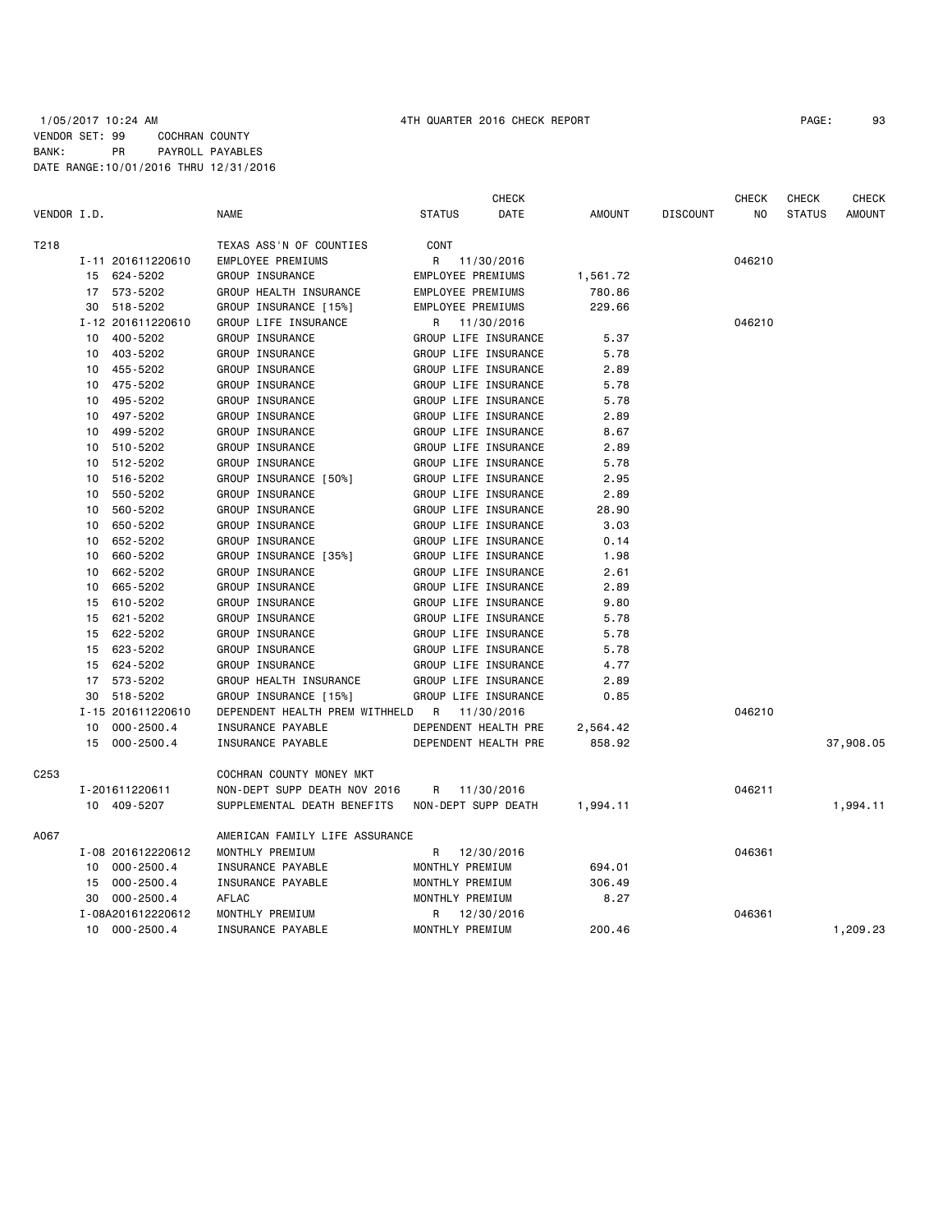### 1/05/2017 10:24 AM 4TH QUARTER 2016 CHECK REPORT PAGE: 93 VENDOR SET: 99 COCHRAN COUNTY BANK: PR PAYROLL PAYABLES DATE RANGE:10/01/2016 THRU 12/31/2016

|             |    |                   |                                |                          | <b>CHECK</b>         |               |                 | <b>CHECK</b> | CHECK         | <b>CHECK</b>  |
|-------------|----|-------------------|--------------------------------|--------------------------|----------------------|---------------|-----------------|--------------|---------------|---------------|
| VENDOR I.D. |    |                   | <b>NAME</b>                    | <b>STATUS</b>            | DATE                 | <b>AMOUNT</b> | <b>DISCOUNT</b> | NO.          | <b>STATUS</b> | <b>AMOUNT</b> |
| T218        |    |                   | TEXAS ASS'N OF COUNTIES        | CONT                     |                      |               |                 |              |               |               |
|             |    | I-11 201611220610 | EMPLOYEE PREMIUMS              | R                        | 11/30/2016           |               |                 | 046210       |               |               |
|             |    | 15 624-5202       | GROUP INSURANCE                | EMPLOYEE PREMIUMS        |                      | 1,561.72      |                 |              |               |               |
|             |    | 17 573-5202       | GROUP HEALTH INSURANCE         | <b>EMPLOYEE PREMIUMS</b> |                      | 780.86        |                 |              |               |               |
|             | 30 | 518-5202          | GROUP INSURANCE [15%]          | EMPLOYEE PREMIUMS        |                      | 229.66        |                 |              |               |               |
|             |    | I-12 201611220610 | GROUP LIFE INSURANCE           | R                        | 11/30/2016           |               |                 | 046210       |               |               |
|             |    | 10 400-5202       | GROUP INSURANCE                |                          | GROUP LIFE INSURANCE | 5.37          |                 |              |               |               |
|             | 10 | 403-5202          | GROUP INSURANCE                |                          | GROUP LIFE INSURANCE | 5.78          |                 |              |               |               |
|             | 10 | 455-5202          | GROUP INSURANCE                |                          | GROUP LIFE INSURANCE | 2.89          |                 |              |               |               |
|             | 10 | 475-5202          | GROUP INSURANCE                |                          | GROUP LIFE INSURANCE | 5.78          |                 |              |               |               |
|             | 10 | 495 - 5202        | GROUP INSURANCE                |                          | GROUP LIFE INSURANCE | 5.78          |                 |              |               |               |
|             | 10 | 497-5202          | GROUP INSURANCE                |                          | GROUP LIFE INSURANCE | 2.89          |                 |              |               |               |
|             | 10 | 499-5202          | GROUP INSURANCE                |                          | GROUP LIFE INSURANCE | 8.67          |                 |              |               |               |
|             | 10 | 510-5202          | GROUP INSURANCE                |                          | GROUP LIFE INSURANCE | 2.89          |                 |              |               |               |
|             | 10 | 512-5202          | GROUP INSURANCE                |                          | GROUP LIFE INSURANCE | 5.78          |                 |              |               |               |
|             | 10 | 516-5202          | GROUP INSURANCE [50%]          |                          | GROUP LIFE INSURANCE | 2.95          |                 |              |               |               |
|             | 10 | 550-5202          | GROUP INSURANCE                |                          | GROUP LIFE INSURANCE | 2.89          |                 |              |               |               |
|             | 10 | 560-5202          | GROUP INSURANCE                |                          | GROUP LIFE INSURANCE | 28.90         |                 |              |               |               |
|             | 10 | 650-5202          | GROUP INSURANCE                |                          | GROUP LIFE INSURANCE | 3.03          |                 |              |               |               |
|             | 10 | 652-5202          | GROUP INSURANCE                |                          | GROUP LIFE INSURANCE | 0.14          |                 |              |               |               |
|             | 10 | 660-5202          | GROUP INSURANCE [35%]          |                          | GROUP LIFE INSURANCE | 1.98          |                 |              |               |               |
|             | 10 | 662-5202          | GROUP INSURANCE                |                          | GROUP LIFE INSURANCE | 2.61          |                 |              |               |               |
|             | 10 | 665-5202          | GROUP INSURANCE                |                          | GROUP LIFE INSURANCE | 2.89          |                 |              |               |               |
|             | 15 | 610-5202          | GROUP INSURANCE                |                          | GROUP LIFE INSURANCE | 9.80          |                 |              |               |               |
|             | 15 | 621-5202          | GROUP INSURANCE                |                          | GROUP LIFE INSURANCE | 5.78          |                 |              |               |               |
|             |    | 15 622-5202       | GROUP INSURANCE                |                          | GROUP LIFE INSURANCE | 5.78          |                 |              |               |               |
|             | 15 | 623-5202          | GROUP INSURANCE                |                          | GROUP LIFE INSURANCE | 5.78          |                 |              |               |               |
|             | 15 | 624-5202          | GROUP INSURANCE                |                          | GROUP LIFE INSURANCE | 4.77          |                 |              |               |               |
|             |    | 17 573-5202       | GROUP HEALTH INSURANCE         |                          | GROUP LIFE INSURANCE | 2.89          |                 |              |               |               |
|             | 30 | 518-5202          | GROUP INSURANCE [15%]          |                          | GROUP LIFE INSURANCE | 0.85          |                 |              |               |               |
|             |    | I-15 201611220610 | DEPENDENT HEALTH PREM WITHHELD | R                        | 11/30/2016           |               |                 | 046210       |               |               |
|             | 10 | 000-2500.4        | INSURANCE PAYABLE              |                          | DEPENDENT HEALTH PRE | 2,564.42      |                 |              |               |               |
|             |    | 15 000-2500.4     | INSURANCE PAYABLE              |                          | DEPENDENT HEALTH PRE | 858.92        |                 |              |               | 37,908.05     |
| C253        |    |                   | COCHRAN COUNTY MONEY MKT       |                          |                      |               |                 |              |               |               |
|             |    | I-201611220611    | NON-DEPT SUPP DEATH NOV 2016   | R                        | 11/30/2016           |               |                 | 046211       |               |               |
|             |    | 10 409-5207       | SUPPLEMENTAL DEATH BENEFITS    |                          | NON-DEPT SUPP DEATH  | 1,994.11      |                 |              |               | 1,994.11      |
| A067        |    |                   | AMERICAN FAMILY LIFE ASSURANCE |                          |                      |               |                 |              |               |               |
|             |    | I-08 201612220612 | MONTHLY PREMIUM                | R                        | 12/30/2016           |               |                 | 046361       |               |               |
|             |    | 10 000-2500.4     | INSURANCE PAYABLE              | MONTHLY PREMIUM          |                      | 694.01        |                 |              |               |               |
|             |    | 15 000-2500.4     | INSURANCE PAYABLE              | MONTHLY PREMIUM          |                      | 306.49        |                 |              |               |               |
|             | 30 | 000-2500.4        | AFLAC                          | MONTHLY PREMIUM          |                      | 8.27          |                 |              |               |               |
|             |    | I-08A201612220612 | MONTHLY PREMIUM                | R                        | 12/30/2016           |               |                 | 046361       |               |               |
|             |    | 10 000-2500.4     | INSURANCE PAYABLE              | MONTHLY PREMIUM          |                      | 200.46        |                 |              |               | 1,209.23      |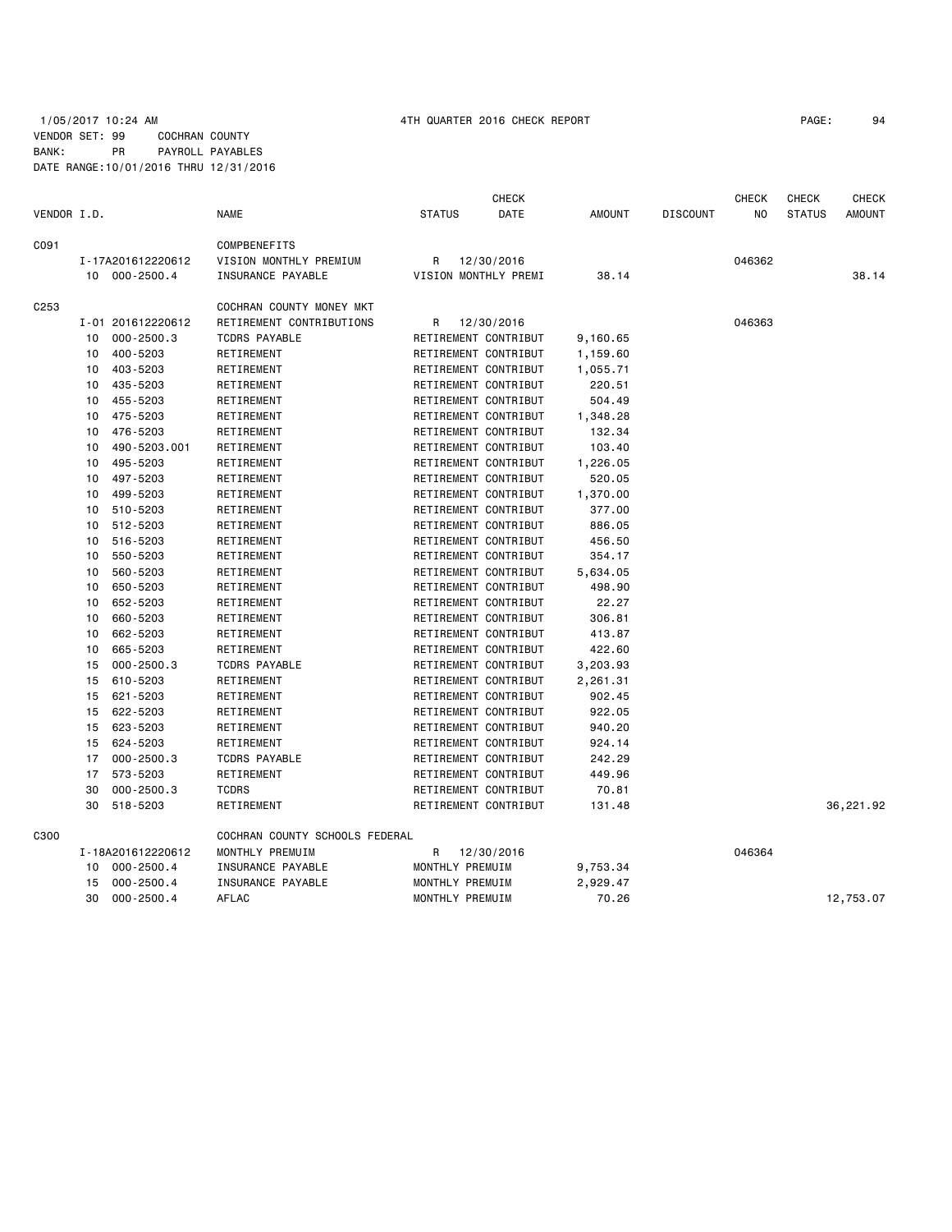## 1/05/2017 10:24 AM 4TH QUARTER 2016 CHECK REPORT PAGE: 94 VENDOR SET: 99 COCHRAN COUNTY BANK: PR PAYROLL PAYABLES DATE RANGE:10/01/2016 THRU 12/31/2016

| <b>DATE</b><br>VENDOR I.D.<br><b>NAME</b><br><b>STATUS</b><br><b>AMOUNT</b><br><b>DISCOUNT</b><br>NO<br><b>STATUS</b><br>C091<br><b>COMPBENEFITS</b><br>I-17A201612220612<br>VISION MONTHLY PREMIUM<br>12/30/2016<br>046362<br>R<br>10 000-2500.4<br>INSURANCE PAYABLE<br>VISION MONTHLY PREMI<br>38.14<br>C <sub>253</sub><br>COCHRAN COUNTY MONEY MKT<br>RETIREMENT CONTRIBUTIONS<br>046363<br>I-01 201612220612<br>12/30/2016<br>R.<br>$000 - 2500.3$<br><b>TCDRS PAYABLE</b><br>RETIREMENT CONTRIBUT<br>9,160.65<br>10<br>400-5203<br>RETIREMENT<br>RETIREMENT CONTRIBUT<br>10<br>1,159.60<br>403-5203<br>RETIREMENT<br>RETIREMENT CONTRIBUT<br>1,055.71<br>10<br>435-5203<br>RETIREMENT<br>RETIREMENT CONTRIBUT<br>10<br>220.51<br>455-5203<br>RETIREMENT CONTRIBUT<br>504.49<br>10<br>RETIREMENT<br>475-5203<br>RETIREMENT CONTRIBUT<br>10<br>RETIREMENT<br>1,348.28<br>476-5203<br>RETIREMENT CONTRIBUT<br>10<br>RETIREMENT<br>132.34<br>490-5203.001<br>RETIREMENT<br>RETIREMENT CONTRIBUT<br>103.40<br>10<br>495-5203<br>RETIREMENT CONTRIBUT<br>1,226.05<br>10<br>RETIREMENT<br>497-5203<br>RETIREMENT CONTRIBUT<br>RETIREMENT<br>520.05<br>10<br>499-5203<br>RETIREMENT<br>RETIREMENT CONTRIBUT<br>1,370.00<br>10<br>510-5203<br>RETIREMENT CONTRIBUT<br>377.00<br>10<br>RETIREMENT<br>512-5203<br>RETIREMENT<br>RETIREMENT CONTRIBUT<br>886.05<br>10<br>516-5203<br>RETIREMENT CONTRIBUT<br>456.50<br>10<br>RETIREMENT<br>RETIREMENT CONTRIBUT<br>10<br>550-5203<br>RETIREMENT<br>354.17<br>560-5203<br>RETIREMENT<br>RETIREMENT CONTRIBUT<br>5,634.05<br>10<br>650-5203<br>RETIREMENT<br>RETIREMENT CONTRIBUT<br>498.90<br>10<br>652-5203<br>RETIREMENT<br>RETIREMENT CONTRIBUT<br>22.27<br>10<br>660-5203<br>RETIREMENT CONTRIBUT<br>306.81<br>10<br>RETIREMENT<br>662-5203<br>RETIREMENT CONTRIBUT<br>413.87<br>10<br>RETIREMENT<br>665-5203<br>RETIREMENT<br>RETIREMENT CONTRIBUT<br>422.60<br>10<br>$000 - 2500.3$<br><b>TCDRS PAYABLE</b><br>RETIREMENT CONTRIBUT<br>15<br>3,203.93<br>610-5203<br>RETIREMENT CONTRIBUT<br>15<br>RETIREMENT<br>2,261.31<br>621-5203<br>RETIREMENT<br>RETIREMENT CONTRIBUT<br>902.45<br>15<br>622-5203<br>RETIREMENT CONTRIBUT<br>922.05<br>15<br>RETIREMENT<br>15<br>623-5203<br>RETIREMENT<br>RETIREMENT CONTRIBUT<br>940.20<br>624-5203<br>RETIREMENT CONTRIBUT<br>15<br>RETIREMENT<br>924.14<br>$000 - 2500.3$<br>RETIREMENT CONTRIBUT<br>242.29<br>17<br><b>TCDRS PAYABLE</b><br>573-5203<br>RETIREMENT CONTRIBUT<br>RETIREMENT<br>449.96<br>17<br>$000 - 2500.3$<br><b>TCDRS</b><br>RETIREMENT CONTRIBUT<br>30<br>70.81<br>518-5203<br>RETIREMENT CONTRIBUT<br>30<br>RETIREMENT<br>131.48<br>36,221.92<br>C300<br>COCHRAN COUNTY SCHOOLS FEDERAL<br>I-18A201612220612<br>MONTHLY PREMUIM<br>12/30/2016<br>046364<br>R<br>INSURANCE PAYABLE<br>MONTHLY PREMUIM<br>$000 - 2500.4$<br>9,753.34<br>10<br>15<br>$000 - 2500.4$<br>INSURANCE PAYABLE<br>MONTHLY PREMUIM<br>2,929.47<br><b>AFLAC</b><br>30<br>$000 - 2500.4$<br>MONTHLY PREMUIM<br>70.26<br>12,753.07 |  |  | <b>CHECK</b> |  | <b>CHECK</b> | <b>CHECK</b> | <b>CHECK</b>  |
|-----------------------------------------------------------------------------------------------------------------------------------------------------------------------------------------------------------------------------------------------------------------------------------------------------------------------------------------------------------------------------------------------------------------------------------------------------------------------------------------------------------------------------------------------------------------------------------------------------------------------------------------------------------------------------------------------------------------------------------------------------------------------------------------------------------------------------------------------------------------------------------------------------------------------------------------------------------------------------------------------------------------------------------------------------------------------------------------------------------------------------------------------------------------------------------------------------------------------------------------------------------------------------------------------------------------------------------------------------------------------------------------------------------------------------------------------------------------------------------------------------------------------------------------------------------------------------------------------------------------------------------------------------------------------------------------------------------------------------------------------------------------------------------------------------------------------------------------------------------------------------------------------------------------------------------------------------------------------------------------------------------------------------------------------------------------------------------------------------------------------------------------------------------------------------------------------------------------------------------------------------------------------------------------------------------------------------------------------------------------------------------------------------------------------------------------------------------------------------------------------------------------------------------------------------------------------------------------------------------------------------------------------------------------------------------------------------------------------------------------------------------------------------------------------------------------------------------------------------------------------------------------------------------------------------------------------------------------------------------------------------------------------|--|--|--------------|--|--------------|--------------|---------------|
|                                                                                                                                                                                                                                                                                                                                                                                                                                                                                                                                                                                                                                                                                                                                                                                                                                                                                                                                                                                                                                                                                                                                                                                                                                                                                                                                                                                                                                                                                                                                                                                                                                                                                                                                                                                                                                                                                                                                                                                                                                                                                                                                                                                                                                                                                                                                                                                                                                                                                                                                                                                                                                                                                                                                                                                                                                                                                                                                                                                                                       |  |  |              |  |              |              | <b>AMOUNT</b> |
|                                                                                                                                                                                                                                                                                                                                                                                                                                                                                                                                                                                                                                                                                                                                                                                                                                                                                                                                                                                                                                                                                                                                                                                                                                                                                                                                                                                                                                                                                                                                                                                                                                                                                                                                                                                                                                                                                                                                                                                                                                                                                                                                                                                                                                                                                                                                                                                                                                                                                                                                                                                                                                                                                                                                                                                                                                                                                                                                                                                                                       |  |  |              |  |              |              |               |
|                                                                                                                                                                                                                                                                                                                                                                                                                                                                                                                                                                                                                                                                                                                                                                                                                                                                                                                                                                                                                                                                                                                                                                                                                                                                                                                                                                                                                                                                                                                                                                                                                                                                                                                                                                                                                                                                                                                                                                                                                                                                                                                                                                                                                                                                                                                                                                                                                                                                                                                                                                                                                                                                                                                                                                                                                                                                                                                                                                                                                       |  |  |              |  |              |              |               |
|                                                                                                                                                                                                                                                                                                                                                                                                                                                                                                                                                                                                                                                                                                                                                                                                                                                                                                                                                                                                                                                                                                                                                                                                                                                                                                                                                                                                                                                                                                                                                                                                                                                                                                                                                                                                                                                                                                                                                                                                                                                                                                                                                                                                                                                                                                                                                                                                                                                                                                                                                                                                                                                                                                                                                                                                                                                                                                                                                                                                                       |  |  |              |  |              |              | 38.14         |
|                                                                                                                                                                                                                                                                                                                                                                                                                                                                                                                                                                                                                                                                                                                                                                                                                                                                                                                                                                                                                                                                                                                                                                                                                                                                                                                                                                                                                                                                                                                                                                                                                                                                                                                                                                                                                                                                                                                                                                                                                                                                                                                                                                                                                                                                                                                                                                                                                                                                                                                                                                                                                                                                                                                                                                                                                                                                                                                                                                                                                       |  |  |              |  |              |              |               |
|                                                                                                                                                                                                                                                                                                                                                                                                                                                                                                                                                                                                                                                                                                                                                                                                                                                                                                                                                                                                                                                                                                                                                                                                                                                                                                                                                                                                                                                                                                                                                                                                                                                                                                                                                                                                                                                                                                                                                                                                                                                                                                                                                                                                                                                                                                                                                                                                                                                                                                                                                                                                                                                                                                                                                                                                                                                                                                                                                                                                                       |  |  |              |  |              |              |               |
|                                                                                                                                                                                                                                                                                                                                                                                                                                                                                                                                                                                                                                                                                                                                                                                                                                                                                                                                                                                                                                                                                                                                                                                                                                                                                                                                                                                                                                                                                                                                                                                                                                                                                                                                                                                                                                                                                                                                                                                                                                                                                                                                                                                                                                                                                                                                                                                                                                                                                                                                                                                                                                                                                                                                                                                                                                                                                                                                                                                                                       |  |  |              |  |              |              |               |
|                                                                                                                                                                                                                                                                                                                                                                                                                                                                                                                                                                                                                                                                                                                                                                                                                                                                                                                                                                                                                                                                                                                                                                                                                                                                                                                                                                                                                                                                                                                                                                                                                                                                                                                                                                                                                                                                                                                                                                                                                                                                                                                                                                                                                                                                                                                                                                                                                                                                                                                                                                                                                                                                                                                                                                                                                                                                                                                                                                                                                       |  |  |              |  |              |              |               |
|                                                                                                                                                                                                                                                                                                                                                                                                                                                                                                                                                                                                                                                                                                                                                                                                                                                                                                                                                                                                                                                                                                                                                                                                                                                                                                                                                                                                                                                                                                                                                                                                                                                                                                                                                                                                                                                                                                                                                                                                                                                                                                                                                                                                                                                                                                                                                                                                                                                                                                                                                                                                                                                                                                                                                                                                                                                                                                                                                                                                                       |  |  |              |  |              |              |               |
|                                                                                                                                                                                                                                                                                                                                                                                                                                                                                                                                                                                                                                                                                                                                                                                                                                                                                                                                                                                                                                                                                                                                                                                                                                                                                                                                                                                                                                                                                                                                                                                                                                                                                                                                                                                                                                                                                                                                                                                                                                                                                                                                                                                                                                                                                                                                                                                                                                                                                                                                                                                                                                                                                                                                                                                                                                                                                                                                                                                                                       |  |  |              |  |              |              |               |
|                                                                                                                                                                                                                                                                                                                                                                                                                                                                                                                                                                                                                                                                                                                                                                                                                                                                                                                                                                                                                                                                                                                                                                                                                                                                                                                                                                                                                                                                                                                                                                                                                                                                                                                                                                                                                                                                                                                                                                                                                                                                                                                                                                                                                                                                                                                                                                                                                                                                                                                                                                                                                                                                                                                                                                                                                                                                                                                                                                                                                       |  |  |              |  |              |              |               |
|                                                                                                                                                                                                                                                                                                                                                                                                                                                                                                                                                                                                                                                                                                                                                                                                                                                                                                                                                                                                                                                                                                                                                                                                                                                                                                                                                                                                                                                                                                                                                                                                                                                                                                                                                                                                                                                                                                                                                                                                                                                                                                                                                                                                                                                                                                                                                                                                                                                                                                                                                                                                                                                                                                                                                                                                                                                                                                                                                                                                                       |  |  |              |  |              |              |               |
|                                                                                                                                                                                                                                                                                                                                                                                                                                                                                                                                                                                                                                                                                                                                                                                                                                                                                                                                                                                                                                                                                                                                                                                                                                                                                                                                                                                                                                                                                                                                                                                                                                                                                                                                                                                                                                                                                                                                                                                                                                                                                                                                                                                                                                                                                                                                                                                                                                                                                                                                                                                                                                                                                                                                                                                                                                                                                                                                                                                                                       |  |  |              |  |              |              |               |
|                                                                                                                                                                                                                                                                                                                                                                                                                                                                                                                                                                                                                                                                                                                                                                                                                                                                                                                                                                                                                                                                                                                                                                                                                                                                                                                                                                                                                                                                                                                                                                                                                                                                                                                                                                                                                                                                                                                                                                                                                                                                                                                                                                                                                                                                                                                                                                                                                                                                                                                                                                                                                                                                                                                                                                                                                                                                                                                                                                                                                       |  |  |              |  |              |              |               |
|                                                                                                                                                                                                                                                                                                                                                                                                                                                                                                                                                                                                                                                                                                                                                                                                                                                                                                                                                                                                                                                                                                                                                                                                                                                                                                                                                                                                                                                                                                                                                                                                                                                                                                                                                                                                                                                                                                                                                                                                                                                                                                                                                                                                                                                                                                                                                                                                                                                                                                                                                                                                                                                                                                                                                                                                                                                                                                                                                                                                                       |  |  |              |  |              |              |               |
|                                                                                                                                                                                                                                                                                                                                                                                                                                                                                                                                                                                                                                                                                                                                                                                                                                                                                                                                                                                                                                                                                                                                                                                                                                                                                                                                                                                                                                                                                                                                                                                                                                                                                                                                                                                                                                                                                                                                                                                                                                                                                                                                                                                                                                                                                                                                                                                                                                                                                                                                                                                                                                                                                                                                                                                                                                                                                                                                                                                                                       |  |  |              |  |              |              |               |
|                                                                                                                                                                                                                                                                                                                                                                                                                                                                                                                                                                                                                                                                                                                                                                                                                                                                                                                                                                                                                                                                                                                                                                                                                                                                                                                                                                                                                                                                                                                                                                                                                                                                                                                                                                                                                                                                                                                                                                                                                                                                                                                                                                                                                                                                                                                                                                                                                                                                                                                                                                                                                                                                                                                                                                                                                                                                                                                                                                                                                       |  |  |              |  |              |              |               |
|                                                                                                                                                                                                                                                                                                                                                                                                                                                                                                                                                                                                                                                                                                                                                                                                                                                                                                                                                                                                                                                                                                                                                                                                                                                                                                                                                                                                                                                                                                                                                                                                                                                                                                                                                                                                                                                                                                                                                                                                                                                                                                                                                                                                                                                                                                                                                                                                                                                                                                                                                                                                                                                                                                                                                                                                                                                                                                                                                                                                                       |  |  |              |  |              |              |               |
|                                                                                                                                                                                                                                                                                                                                                                                                                                                                                                                                                                                                                                                                                                                                                                                                                                                                                                                                                                                                                                                                                                                                                                                                                                                                                                                                                                                                                                                                                                                                                                                                                                                                                                                                                                                                                                                                                                                                                                                                                                                                                                                                                                                                                                                                                                                                                                                                                                                                                                                                                                                                                                                                                                                                                                                                                                                                                                                                                                                                                       |  |  |              |  |              |              |               |
|                                                                                                                                                                                                                                                                                                                                                                                                                                                                                                                                                                                                                                                                                                                                                                                                                                                                                                                                                                                                                                                                                                                                                                                                                                                                                                                                                                                                                                                                                                                                                                                                                                                                                                                                                                                                                                                                                                                                                                                                                                                                                                                                                                                                                                                                                                                                                                                                                                                                                                                                                                                                                                                                                                                                                                                                                                                                                                                                                                                                                       |  |  |              |  |              |              |               |
|                                                                                                                                                                                                                                                                                                                                                                                                                                                                                                                                                                                                                                                                                                                                                                                                                                                                                                                                                                                                                                                                                                                                                                                                                                                                                                                                                                                                                                                                                                                                                                                                                                                                                                                                                                                                                                                                                                                                                                                                                                                                                                                                                                                                                                                                                                                                                                                                                                                                                                                                                                                                                                                                                                                                                                                                                                                                                                                                                                                                                       |  |  |              |  |              |              |               |
|                                                                                                                                                                                                                                                                                                                                                                                                                                                                                                                                                                                                                                                                                                                                                                                                                                                                                                                                                                                                                                                                                                                                                                                                                                                                                                                                                                                                                                                                                                                                                                                                                                                                                                                                                                                                                                                                                                                                                                                                                                                                                                                                                                                                                                                                                                                                                                                                                                                                                                                                                                                                                                                                                                                                                                                                                                                                                                                                                                                                                       |  |  |              |  |              |              |               |
|                                                                                                                                                                                                                                                                                                                                                                                                                                                                                                                                                                                                                                                                                                                                                                                                                                                                                                                                                                                                                                                                                                                                                                                                                                                                                                                                                                                                                                                                                                                                                                                                                                                                                                                                                                                                                                                                                                                                                                                                                                                                                                                                                                                                                                                                                                                                                                                                                                                                                                                                                                                                                                                                                                                                                                                                                                                                                                                                                                                                                       |  |  |              |  |              |              |               |
|                                                                                                                                                                                                                                                                                                                                                                                                                                                                                                                                                                                                                                                                                                                                                                                                                                                                                                                                                                                                                                                                                                                                                                                                                                                                                                                                                                                                                                                                                                                                                                                                                                                                                                                                                                                                                                                                                                                                                                                                                                                                                                                                                                                                                                                                                                                                                                                                                                                                                                                                                                                                                                                                                                                                                                                                                                                                                                                                                                                                                       |  |  |              |  |              |              |               |
|                                                                                                                                                                                                                                                                                                                                                                                                                                                                                                                                                                                                                                                                                                                                                                                                                                                                                                                                                                                                                                                                                                                                                                                                                                                                                                                                                                                                                                                                                                                                                                                                                                                                                                                                                                                                                                                                                                                                                                                                                                                                                                                                                                                                                                                                                                                                                                                                                                                                                                                                                                                                                                                                                                                                                                                                                                                                                                                                                                                                                       |  |  |              |  |              |              |               |
|                                                                                                                                                                                                                                                                                                                                                                                                                                                                                                                                                                                                                                                                                                                                                                                                                                                                                                                                                                                                                                                                                                                                                                                                                                                                                                                                                                                                                                                                                                                                                                                                                                                                                                                                                                                                                                                                                                                                                                                                                                                                                                                                                                                                                                                                                                                                                                                                                                                                                                                                                                                                                                                                                                                                                                                                                                                                                                                                                                                                                       |  |  |              |  |              |              |               |
|                                                                                                                                                                                                                                                                                                                                                                                                                                                                                                                                                                                                                                                                                                                                                                                                                                                                                                                                                                                                                                                                                                                                                                                                                                                                                                                                                                                                                                                                                                                                                                                                                                                                                                                                                                                                                                                                                                                                                                                                                                                                                                                                                                                                                                                                                                                                                                                                                                                                                                                                                                                                                                                                                                                                                                                                                                                                                                                                                                                                                       |  |  |              |  |              |              |               |
|                                                                                                                                                                                                                                                                                                                                                                                                                                                                                                                                                                                                                                                                                                                                                                                                                                                                                                                                                                                                                                                                                                                                                                                                                                                                                                                                                                                                                                                                                                                                                                                                                                                                                                                                                                                                                                                                                                                                                                                                                                                                                                                                                                                                                                                                                                                                                                                                                                                                                                                                                                                                                                                                                                                                                                                                                                                                                                                                                                                                                       |  |  |              |  |              |              |               |
|                                                                                                                                                                                                                                                                                                                                                                                                                                                                                                                                                                                                                                                                                                                                                                                                                                                                                                                                                                                                                                                                                                                                                                                                                                                                                                                                                                                                                                                                                                                                                                                                                                                                                                                                                                                                                                                                                                                                                                                                                                                                                                                                                                                                                                                                                                                                                                                                                                                                                                                                                                                                                                                                                                                                                                                                                                                                                                                                                                                                                       |  |  |              |  |              |              |               |
|                                                                                                                                                                                                                                                                                                                                                                                                                                                                                                                                                                                                                                                                                                                                                                                                                                                                                                                                                                                                                                                                                                                                                                                                                                                                                                                                                                                                                                                                                                                                                                                                                                                                                                                                                                                                                                                                                                                                                                                                                                                                                                                                                                                                                                                                                                                                                                                                                                                                                                                                                                                                                                                                                                                                                                                                                                                                                                                                                                                                                       |  |  |              |  |              |              |               |
|                                                                                                                                                                                                                                                                                                                                                                                                                                                                                                                                                                                                                                                                                                                                                                                                                                                                                                                                                                                                                                                                                                                                                                                                                                                                                                                                                                                                                                                                                                                                                                                                                                                                                                                                                                                                                                                                                                                                                                                                                                                                                                                                                                                                                                                                                                                                                                                                                                                                                                                                                                                                                                                                                                                                                                                                                                                                                                                                                                                                                       |  |  |              |  |              |              |               |
|                                                                                                                                                                                                                                                                                                                                                                                                                                                                                                                                                                                                                                                                                                                                                                                                                                                                                                                                                                                                                                                                                                                                                                                                                                                                                                                                                                                                                                                                                                                                                                                                                                                                                                                                                                                                                                                                                                                                                                                                                                                                                                                                                                                                                                                                                                                                                                                                                                                                                                                                                                                                                                                                                                                                                                                                                                                                                                                                                                                                                       |  |  |              |  |              |              |               |
|                                                                                                                                                                                                                                                                                                                                                                                                                                                                                                                                                                                                                                                                                                                                                                                                                                                                                                                                                                                                                                                                                                                                                                                                                                                                                                                                                                                                                                                                                                                                                                                                                                                                                                                                                                                                                                                                                                                                                                                                                                                                                                                                                                                                                                                                                                                                                                                                                                                                                                                                                                                                                                                                                                                                                                                                                                                                                                                                                                                                                       |  |  |              |  |              |              |               |
|                                                                                                                                                                                                                                                                                                                                                                                                                                                                                                                                                                                                                                                                                                                                                                                                                                                                                                                                                                                                                                                                                                                                                                                                                                                                                                                                                                                                                                                                                                                                                                                                                                                                                                                                                                                                                                                                                                                                                                                                                                                                                                                                                                                                                                                                                                                                                                                                                                                                                                                                                                                                                                                                                                                                                                                                                                                                                                                                                                                                                       |  |  |              |  |              |              |               |
|                                                                                                                                                                                                                                                                                                                                                                                                                                                                                                                                                                                                                                                                                                                                                                                                                                                                                                                                                                                                                                                                                                                                                                                                                                                                                                                                                                                                                                                                                                                                                                                                                                                                                                                                                                                                                                                                                                                                                                                                                                                                                                                                                                                                                                                                                                                                                                                                                                                                                                                                                                                                                                                                                                                                                                                                                                                                                                                                                                                                                       |  |  |              |  |              |              |               |
|                                                                                                                                                                                                                                                                                                                                                                                                                                                                                                                                                                                                                                                                                                                                                                                                                                                                                                                                                                                                                                                                                                                                                                                                                                                                                                                                                                                                                                                                                                                                                                                                                                                                                                                                                                                                                                                                                                                                                                                                                                                                                                                                                                                                                                                                                                                                                                                                                                                                                                                                                                                                                                                                                                                                                                                                                                                                                                                                                                                                                       |  |  |              |  |              |              |               |
|                                                                                                                                                                                                                                                                                                                                                                                                                                                                                                                                                                                                                                                                                                                                                                                                                                                                                                                                                                                                                                                                                                                                                                                                                                                                                                                                                                                                                                                                                                                                                                                                                                                                                                                                                                                                                                                                                                                                                                                                                                                                                                                                                                                                                                                                                                                                                                                                                                                                                                                                                                                                                                                                                                                                                                                                                                                                                                                                                                                                                       |  |  |              |  |              |              |               |
|                                                                                                                                                                                                                                                                                                                                                                                                                                                                                                                                                                                                                                                                                                                                                                                                                                                                                                                                                                                                                                                                                                                                                                                                                                                                                                                                                                                                                                                                                                                                                                                                                                                                                                                                                                                                                                                                                                                                                                                                                                                                                                                                                                                                                                                                                                                                                                                                                                                                                                                                                                                                                                                                                                                                                                                                                                                                                                                                                                                                                       |  |  |              |  |              |              |               |
|                                                                                                                                                                                                                                                                                                                                                                                                                                                                                                                                                                                                                                                                                                                                                                                                                                                                                                                                                                                                                                                                                                                                                                                                                                                                                                                                                                                                                                                                                                                                                                                                                                                                                                                                                                                                                                                                                                                                                                                                                                                                                                                                                                                                                                                                                                                                                                                                                                                                                                                                                                                                                                                                                                                                                                                                                                                                                                                                                                                                                       |  |  |              |  |              |              |               |
|                                                                                                                                                                                                                                                                                                                                                                                                                                                                                                                                                                                                                                                                                                                                                                                                                                                                                                                                                                                                                                                                                                                                                                                                                                                                                                                                                                                                                                                                                                                                                                                                                                                                                                                                                                                                                                                                                                                                                                                                                                                                                                                                                                                                                                                                                                                                                                                                                                                                                                                                                                                                                                                                                                                                                                                                                                                                                                                                                                                                                       |  |  |              |  |              |              |               |
|                                                                                                                                                                                                                                                                                                                                                                                                                                                                                                                                                                                                                                                                                                                                                                                                                                                                                                                                                                                                                                                                                                                                                                                                                                                                                                                                                                                                                                                                                                                                                                                                                                                                                                                                                                                                                                                                                                                                                                                                                                                                                                                                                                                                                                                                                                                                                                                                                                                                                                                                                                                                                                                                                                                                                                                                                                                                                                                                                                                                                       |  |  |              |  |              |              |               |
|                                                                                                                                                                                                                                                                                                                                                                                                                                                                                                                                                                                                                                                                                                                                                                                                                                                                                                                                                                                                                                                                                                                                                                                                                                                                                                                                                                                                                                                                                                                                                                                                                                                                                                                                                                                                                                                                                                                                                                                                                                                                                                                                                                                                                                                                                                                                                                                                                                                                                                                                                                                                                                                                                                                                                                                                                                                                                                                                                                                                                       |  |  |              |  |              |              |               |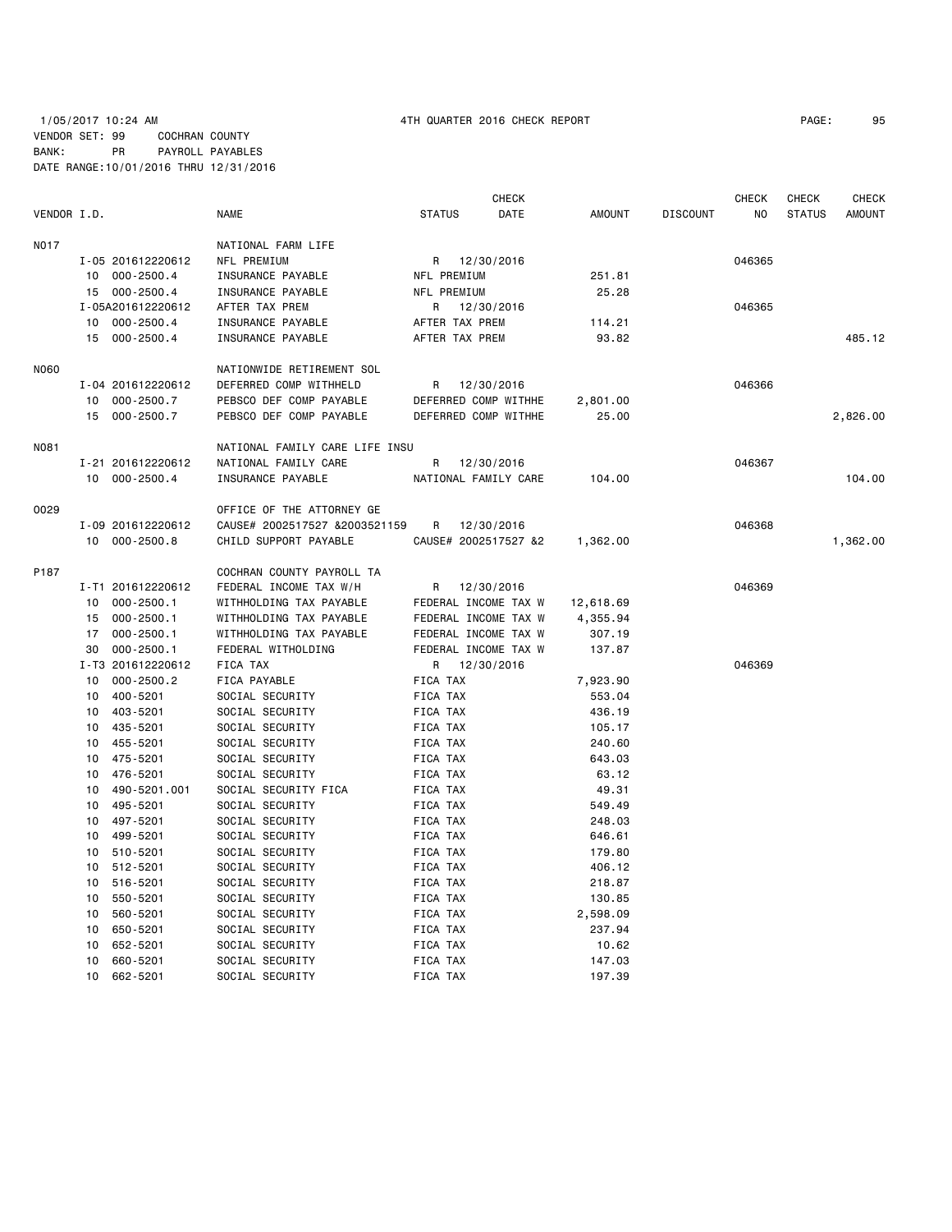# 1/05/2017 10:24 AM 4TH QUARTER 2016 CHECK REPORT PAGE: 95 VENDOR SET: 99 COCHRAN COUNTY BANK: PR PAYROLL PAYABLES DATE RANGE:10/01/2016 THRU 12/31/2016

|             |    |                   |                                |                | CHECK                |               |                 | CHECK  | CHECK         | CHECK         |
|-------------|----|-------------------|--------------------------------|----------------|----------------------|---------------|-----------------|--------|---------------|---------------|
| VENDOR I.D. |    |                   | NAME                           | <b>STATUS</b>  | DATE                 | <b>AMOUNT</b> | <b>DISCOUNT</b> | NO.    | <b>STATUS</b> | <b>AMOUNT</b> |
| <b>NO17</b> |    |                   | NATIONAL FARM LIFE             |                |                      |               |                 |        |               |               |
|             |    | I-05 201612220612 | NFL PREMIUM                    |                | R 12/30/2016         |               |                 | 046365 |               |               |
|             |    | 10 000-2500.4     | INSURANCE PAYABLE              | NFL PREMIUM    |                      | 251.81        |                 |        |               |               |
|             |    | 15 000-2500.4     | INSURANCE PAYABLE              | NFL PREMIUM    |                      | 25.28         |                 |        |               |               |
|             |    | I-05A201612220612 | AFTER TAX PREM                 | R              | 12/30/2016           |               |                 | 046365 |               |               |
|             |    | 10 000-2500.4     | INSURANCE PAYABLE              | AFTER TAX PREM |                      | 114.21        |                 |        |               |               |
|             |    | 15 000-2500.4     | INSURANCE PAYABLE              | AFTER TAX PREM |                      | 93.82         |                 |        |               | 485.12        |
|             |    |                   |                                |                |                      |               |                 |        |               |               |
| <b>N060</b> |    |                   | NATIONWIDE RETIREMENT SOL      |                |                      |               |                 |        |               |               |
|             |    | I-04 201612220612 | DEFERRED COMP WITHHELD         | R              | 12/30/2016           |               |                 | 046366 |               |               |
|             | 10 | 000-2500.7        | PEBSCO DEF COMP PAYABLE        |                | DEFERRED COMP WITHHE | 2,801.00      |                 |        |               |               |
|             |    | 15 000-2500.7     | PEBSCO DEF COMP PAYABLE        |                | DEFERRED COMP WITHHE | 25.00         |                 |        |               | 2,826.00      |
| <b>NO81</b> |    |                   | NATIONAL FAMILY CARE LIFE INSU |                |                      |               |                 |        |               |               |
|             |    | I-21 201612220612 | NATIONAL FAMILY CARE           | R              | 12/30/2016           |               |                 | 046367 |               |               |
|             |    | 10 000-2500.4     | INSURANCE PAYABLE              |                | NATIONAL FAMILY CARE | 104.00        |                 |        |               | 104.00        |
|             |    |                   |                                |                |                      |               |                 |        |               |               |
| 0029        |    |                   | OFFICE OF THE ATTORNEY GE      |                |                      |               |                 |        |               |               |
|             |    | I-09 201612220612 | CAUSE# 2002517527 &2003521159  | R              | 12/30/2016           |               |                 | 046368 |               |               |
|             |    | 10 000-2500.8     | CHILD SUPPORT PAYABLE          |                | CAUSE# 2002517527 &2 | 1,362.00      |                 |        |               | 1,362.00      |
| P187        |    |                   | COCHRAN COUNTY PAYROLL TA      |                |                      |               |                 |        |               |               |
|             |    | I-T1 201612220612 | FEDERAL INCOME TAX W/H         |                | R 12/30/2016         |               |                 | 046369 |               |               |
|             | 10 | $000 - 2500.1$    | WITHHOLDING TAX PAYABLE        |                | FEDERAL INCOME TAX W | 12,618.69     |                 |        |               |               |
|             |    | 15 000-2500.1     | WITHHOLDING TAX PAYABLE        |                | FEDERAL INCOME TAX W | 4,355.94      |                 |        |               |               |
|             |    | 17 000-2500.1     | WITHHOLDING TAX PAYABLE        |                | FEDERAL INCOME TAX W | 307.19        |                 |        |               |               |
|             | 30 | $000 - 2500.1$    | FEDERAL WITHOLDING             |                | FEDERAL INCOME TAX W | 137.87        |                 |        |               |               |
|             |    | I-T3 201612220612 | FICA TAX                       | R              | 12/30/2016           |               |                 | 046369 |               |               |
|             | 10 | $000 - 2500.2$    | FICA PAYABLE                   | FICA TAX       |                      | 7,923.90      |                 |        |               |               |
|             | 10 | 400-5201          | SOCIAL SECURITY                | FICA TAX       |                      | 553.04        |                 |        |               |               |
|             | 10 | 403-5201          | SOCIAL SECURITY                | FICA TAX       |                      | 436.19        |                 |        |               |               |
|             | 10 | 435-5201          | SOCIAL SECURITY                | FICA TAX       |                      | 105.17        |                 |        |               |               |
|             | 10 | 455-5201          | SOCIAL SECURITY                | FICA TAX       |                      | 240.60        |                 |        |               |               |
|             | 10 | 475-5201          | SOCIAL SECURITY                | FICA TAX       |                      | 643.03        |                 |        |               |               |
|             | 10 | 476-5201          | SOCIAL SECURITY                | FICA TAX       |                      | 63.12         |                 |        |               |               |
|             | 10 | 490-5201.001      | SOCIAL SECURITY FICA           | FICA TAX       |                      | 49.31         |                 |        |               |               |
|             | 10 | 495-5201          | SOCIAL SECURITY                | FICA TAX       |                      | 549.49        |                 |        |               |               |
|             | 10 | 497-5201          | SOCIAL SECURITY                | FICA TAX       |                      | 248.03        |                 |        |               |               |
|             | 10 | 499-5201          | SOCIAL SECURITY                | FICA TAX       |                      | 646.61        |                 |        |               |               |
|             | 10 | 510-5201          | SOCIAL SECURITY                | FICA TAX       |                      | 179.80        |                 |        |               |               |
|             | 10 | 512-5201          | SOCIAL SECURITY                | FICA TAX       |                      | 406.12        |                 |        |               |               |
|             | 10 | 516-5201          | SOCIAL SECURITY                | FICA TAX       |                      | 218.87        |                 |        |               |               |
|             | 10 | 550-5201          | SOCIAL SECURITY                | FICA TAX       |                      | 130.85        |                 |        |               |               |
|             | 10 | 560-5201          | SOCIAL SECURITY                | FICA TAX       |                      | 2,598.09      |                 |        |               |               |
|             | 10 | 650-5201          | SOCIAL SECURITY                | FICA TAX       |                      | 237.94        |                 |        |               |               |
|             | 10 | 652-5201          | SOCIAL SECURITY                | FICA TAX       |                      | 10.62         |                 |        |               |               |
|             | 10 | 660-5201          | SOCIAL SECURITY                | FICA TAX       |                      | 147.03        |                 |        |               |               |
|             | 10 | 662-5201          | SOCIAL SECURITY                | FICA TAX       |                      | 197.39        |                 |        |               |               |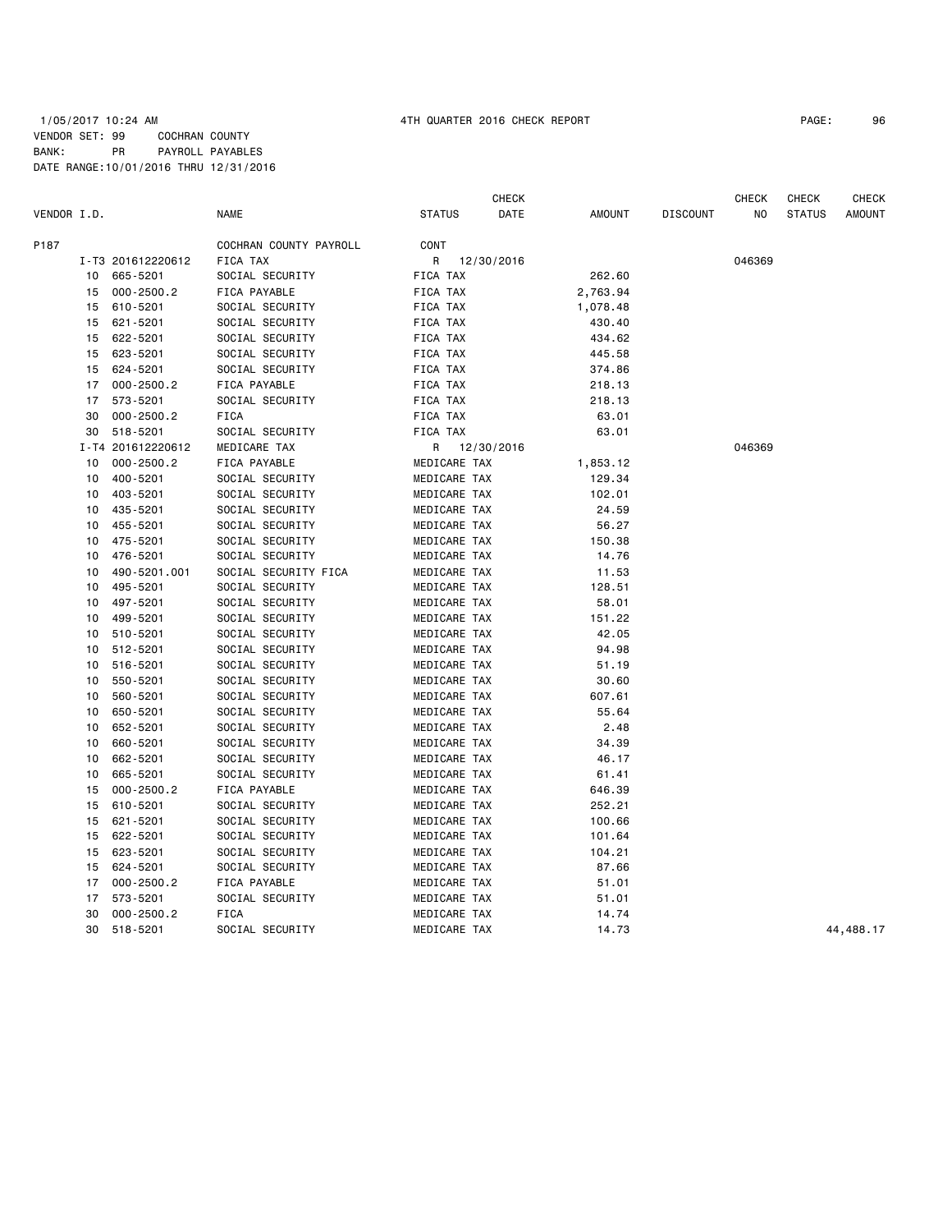## 1/05/2017 10:24 AM 4TH QUARTER 2016 CHECK REPORT PAGE: 96 VENDOR SET: 99 COCHRAN COUNTY BANK: PR PAYROLL PAYABLES DATE RANGE:10/01/2016 THRU 12/31/2016

|             |          |                      |                                    |                              | CHECK      |                 |                 | CHECK  | CHECK         | <b>CHECK</b>  |
|-------------|----------|----------------------|------------------------------------|------------------------------|------------|-----------------|-----------------|--------|---------------|---------------|
| VENDOR I.D. |          |                      | <b>NAME</b>                        | STATUS                       | DATE       | AMOUNT          | <b>DISCOUNT</b> | NO.    | <b>STATUS</b> | <b>AMOUNT</b> |
| P187        |          |                      | COCHRAN COUNTY PAYROLL             | CONT                         |            |                 |                 |        |               |               |
|             |          | I-T3 201612220612    | FICA TAX                           | R                            | 12/30/2016 |                 |                 | 046369 |               |               |
|             | 10       | 665-5201             | SOCIAL SECURITY                    | FICA TAX                     |            | 262.60          |                 |        |               |               |
|             | 15       | $000 - 2500.2$       | FICA PAYABLE                       | FICA TAX                     |            | 2,763.94        |                 |        |               |               |
|             | 15       | 610-5201             | SOCIAL SECURITY                    | FICA TAX                     |            | 1,078.48        |                 |        |               |               |
|             | 15       | 621-5201             | SOCIAL SECURITY                    | FICA TAX                     |            | 430.40          |                 |        |               |               |
|             | 15       | 622-5201             | SOCIAL SECURITY                    | FICA TAX                     |            | 434.62          |                 |        |               |               |
|             | 15       | 623-5201             | SOCIAL SECURITY                    | FICA TAX                     |            | 445.58          |                 |        |               |               |
|             | 15       | 624-5201             | SOCIAL SECURITY                    | FICA TAX                     |            | 374.86          |                 |        |               |               |
|             | 17       | $000 - 2500.2$       | FICA PAYABLE                       | FICA TAX                     |            | 218.13          |                 |        |               |               |
|             | 17       | 573-5201             | SOCIAL SECURITY                    | FICA TAX                     |            | 218.13          |                 |        |               |               |
|             | 30       | $000 - 2500.2$       | FICA                               | FICA TAX                     |            | 63.01           |                 |        |               |               |
|             | 30       | 518-5201             | SOCIAL SECURITY                    | FICA TAX                     |            | 63.01           |                 |        |               |               |
|             |          | I-T4 201612220612    | MEDICARE TAX                       | R                            | 12/30/2016 |                 |                 | 046369 |               |               |
|             | 10       | $000 - 2500.2$       | FICA PAYABLE                       | MEDICARE TAX                 |            | 1,853.12        |                 |        |               |               |
|             | 10       | 400-5201             | SOCIAL SECURITY                    | MEDICARE TAX                 |            | 129.34          |                 |        |               |               |
|             | 10       | 403-5201             | SOCIAL SECURITY                    | MEDICARE TAX                 |            | 102.01          |                 |        |               |               |
|             | 10       | 435-5201             | SOCIAL SECURITY                    | MEDICARE TAX                 |            | 24.59           |                 |        |               |               |
|             | 10       | 455-5201             | SOCIAL SECURITY                    | MEDICARE TAX                 |            | 56.27           |                 |        |               |               |
|             | 10       | 475-5201             | SOCIAL SECURITY                    | MEDICARE TAX                 |            | 150.38          |                 |        |               |               |
|             | 10       | 476-5201             | SOCIAL SECURITY                    | MEDICARE TAX                 |            | 14.76           |                 |        |               |               |
|             | 10       | 490-5201.001         | SOCIAL SECURITY FICA               | MEDICARE TAX                 |            | 11.53           |                 |        |               |               |
|             | 10       | 495-5201             | SOCIAL SECURITY                    | MEDICARE TAX                 |            | 128.51          |                 |        |               |               |
|             | 10       | 497-5201             | SOCIAL SECURITY                    | MEDICARE TAX                 |            | 58.01           |                 |        |               |               |
|             | 10       | 499-5201             | SOCIAL SECURITY                    | MEDICARE TAX                 |            | 151.22          |                 |        |               |               |
|             | 10       | 510-5201<br>512-5201 | SOCIAL SECURITY                    | MEDICARE TAX                 |            | 42.05           |                 |        |               |               |
|             | 10       |                      | SOCIAL SECURITY                    | MEDICARE TAX                 |            | 94.98           |                 |        |               |               |
|             | 10<br>10 | 516-5201<br>550-5201 | SOCIAL SECURITY                    | MEDICARE TAX<br>MEDICARE TAX |            | 51.19           |                 |        |               |               |
|             | 10       | 560-5201             | SOCIAL SECURITY<br>SOCIAL SECURITY | MEDICARE TAX                 |            | 30.60<br>607.61 |                 |        |               |               |
|             | 10       | 650-5201             | SOCIAL SECURITY                    | MEDICARE TAX                 |            | 55.64           |                 |        |               |               |
|             | 10       | 652-5201             | SOCIAL SECURITY                    | MEDICARE TAX                 |            | 2.48            |                 |        |               |               |
|             | 10       | 660-5201             | SOCIAL SECURITY                    | MEDICARE TAX                 |            | 34.39           |                 |        |               |               |
|             | 10       | 662-5201             | SOCIAL SECURITY                    | MEDICARE TAX                 |            | 46.17           |                 |        |               |               |
|             | 10       | 665-5201             | SOCIAL SECURITY                    | MEDICARE TAX                 |            | 61.41           |                 |        |               |               |
|             | 15       | $000 - 2500.2$       | FICA PAYABLE                       | MEDICARE TAX                 |            | 646.39          |                 |        |               |               |
|             | 15       | 610-5201             | SOCIAL SECURITY                    | MEDICARE TAX                 |            | 252.21          |                 |        |               |               |
|             | 15       | 621-5201             | SOCIAL SECURITY                    | MEDICARE TAX                 |            | 100.66          |                 |        |               |               |
|             | 15       | 622-5201             | SOCIAL SECURITY                    | MEDICARE TAX                 |            | 101.64          |                 |        |               |               |
|             | 15       | 623-5201             | SOCIAL SECURITY                    | MEDICARE TAX                 |            | 104.21          |                 |        |               |               |
|             | 15       | 624-5201             | SOCIAL SECURITY                    | MEDICARE TAX                 |            | 87.66           |                 |        |               |               |
|             | 17       | $000 - 2500.2$       | FICA PAYABLE                       | MEDICARE TAX                 |            | 51.01           |                 |        |               |               |
|             | 17       | 573-5201             | SOCIAL SECURITY                    | MEDICARE TAX                 |            | 51.01           |                 |        |               |               |
|             | 30       | $000 - 2500.2$       | <b>FICA</b>                        | MEDICARE TAX                 |            | 14.74           |                 |        |               |               |
|             | 30       | 518-5201             | SOCIAL SECURITY                    | MEDICARE TAX                 |            | 14.73           |                 |        |               | 44,488.17     |
|             |          |                      |                                    |                              |            |                 |                 |        |               |               |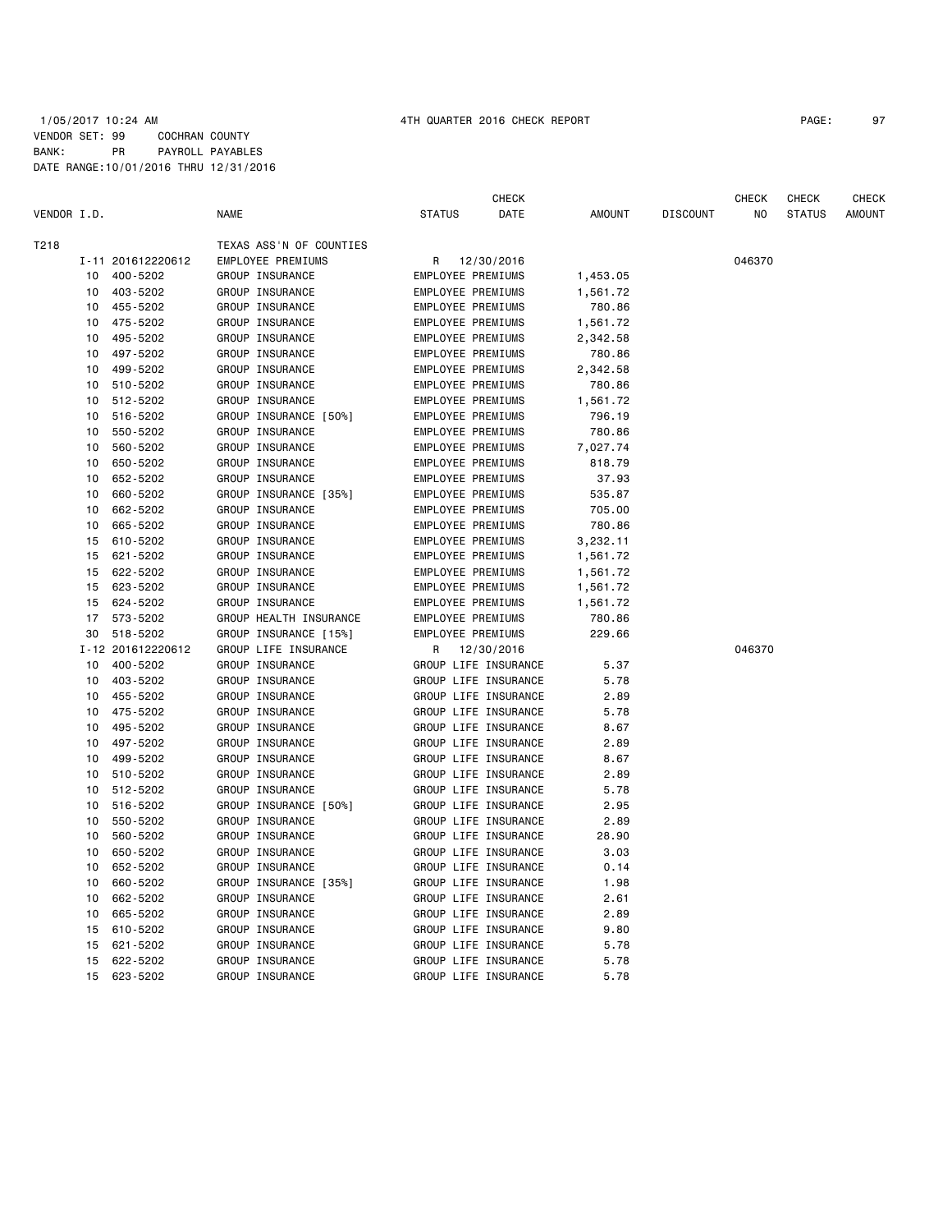### 1/05/2017 10:24 AM 4TH QUARTER 2016 CHECK REPORT PAGE: 97 VENDOR SET: 99 COCHRAN COUNTY BANK: PR PAYROLL PAYABLES DATE RANGE:10/01/2016 THRU 12/31/2016

|             |    |                   |                         |                          | CHECK                |               |                 | CHECK  | CHECK         | <b>CHECK</b>  |
|-------------|----|-------------------|-------------------------|--------------------------|----------------------|---------------|-----------------|--------|---------------|---------------|
| VENDOR I.D. |    |                   | <b>NAME</b>             | <b>STATUS</b>            | DATE                 | <b>AMOUNT</b> | <b>DISCOUNT</b> | NO     | <b>STATUS</b> | <b>AMOUNT</b> |
| T218        |    |                   | TEXAS ASS'N OF COUNTIES |                          |                      |               |                 |        |               |               |
|             |    | I-11 201612220612 | EMPLOYEE PREMIUMS       | R                        | 12/30/2016           |               |                 | 046370 |               |               |
|             | 10 | 400-5202          | GROUP INSURANCE         | EMPLOYEE PREMIUMS        |                      | 1,453.05      |                 |        |               |               |
|             | 10 | 403-5202          | GROUP INSURANCE         | <b>EMPLOYEE PREMIUMS</b> |                      | 1,561.72      |                 |        |               |               |
|             | 10 | 455-5202          | GROUP INSURANCE         | EMPLOYEE PREMIUMS        |                      | 780.86        |                 |        |               |               |
|             | 10 | 475-5202          | GROUP INSURANCE         | EMPLOYEE PREMIUMS        |                      | 1,561.72      |                 |        |               |               |
|             | 10 | 495-5202          | GROUP INSURANCE         | EMPLOYEE PREMIUMS        |                      | 2,342.58      |                 |        |               |               |
|             | 10 | 497-5202          | GROUP INSURANCE         | EMPLOYEE PREMIUMS        |                      | 780.86        |                 |        |               |               |
|             | 10 | 499-5202          | GROUP INSURANCE         | EMPLOYEE PREMIUMS        |                      | 2,342.58      |                 |        |               |               |
|             | 10 | 510-5202          | GROUP INSURANCE         | EMPLOYEE PREMIUMS        |                      | 780.86        |                 |        |               |               |
|             | 10 | 512-5202          | GROUP INSURANCE         | EMPLOYEE PREMIUMS        |                      | 1,561.72      |                 |        |               |               |
|             | 10 | 516-5202          | GROUP INSURANCE [50%]   | EMPLOYEE PREMIUMS        |                      | 796.19        |                 |        |               |               |
|             | 10 | 550-5202          | GROUP INSURANCE         | EMPLOYEE PREMIUMS        |                      | 780.86        |                 |        |               |               |
|             | 10 | 560-5202          | GROUP INSURANCE         | EMPLOYEE PREMIUMS        |                      | 7,027.74      |                 |        |               |               |
|             | 10 | 650-5202          | GROUP INSURANCE         | EMPLOYEE PREMIUMS        |                      | 818.79        |                 |        |               |               |
|             | 10 | 652-5202          | GROUP INSURANCE         | EMPLOYEE PREMIUMS        |                      | 37.93         |                 |        |               |               |
|             | 10 | 660-5202          | GROUP INSURANCE [35%]   | EMPLOYEE PREMIUMS        |                      | 535.87        |                 |        |               |               |
|             | 10 | 662-5202          | GROUP INSURANCE         | EMPLOYEE PREMIUMS        |                      | 705.00        |                 |        |               |               |
|             | 10 | 665-5202          | GROUP INSURANCE         | EMPLOYEE PREMIUMS        |                      | 780.86        |                 |        |               |               |
|             | 15 | 610-5202          | GROUP INSURANCE         | EMPLOYEE PREMIUMS        |                      | 3,232.11      |                 |        |               |               |
|             | 15 | 621-5202          | GROUP INSURANCE         | EMPLOYEE PREMIUMS        |                      | 1,561.72      |                 |        |               |               |
|             | 15 | 622-5202          | GROUP INSURANCE         | EMPLOYEE PREMIUMS        |                      | 1,561.72      |                 |        |               |               |
|             | 15 | 623-5202          | GROUP INSURANCE         | EMPLOYEE PREMIUMS        |                      | 1,561.72      |                 |        |               |               |
|             | 15 | 624-5202          | GROUP INSURANCE         | EMPLOYEE PREMIUMS        |                      | 1,561.72      |                 |        |               |               |
|             | 17 | 573-5202          | GROUP HEALTH INSURANCE  | EMPLOYEE PREMIUMS        |                      | 780.86        |                 |        |               |               |
|             | 30 | 518-5202          | GROUP INSURANCE [15%]   | <b>EMPLOYEE PREMIUMS</b> |                      | 229.66        |                 |        |               |               |
|             |    | I-12 201612220612 | GROUP LIFE INSURANCE    | R                        | 12/30/2016           |               |                 | 046370 |               |               |
|             | 10 | 400-5202          | GROUP INSURANCE         |                          | GROUP LIFE INSURANCE | 5.37          |                 |        |               |               |
|             | 10 | 403-5202          | GROUP INSURANCE         |                          | GROUP LIFE INSURANCE | 5.78          |                 |        |               |               |
|             | 10 | 455-5202          | GROUP INSURANCE         |                          | GROUP LIFE INSURANCE | 2.89          |                 |        |               |               |
|             | 10 | 475-5202          | GROUP INSURANCE         |                          | GROUP LIFE INSURANCE | 5.78          |                 |        |               |               |
|             | 10 | 495-5202          | GROUP INSURANCE         |                          | GROUP LIFE INSURANCE | 8.67          |                 |        |               |               |
|             | 10 | 497-5202          | GROUP INSURANCE         |                          | GROUP LIFE INSURANCE | 2.89          |                 |        |               |               |
|             | 10 | 499-5202          | GROUP INSURANCE         |                          | GROUP LIFE INSURANCE | 8.67          |                 |        |               |               |
|             | 10 | 510-5202          | GROUP INSURANCE         |                          | GROUP LIFE INSURANCE | 2.89          |                 |        |               |               |
|             | 10 | 512-5202          | GROUP INSURANCE         |                          | GROUP LIFE INSURANCE | 5.78          |                 |        |               |               |
|             | 10 | 516-5202          | GROUP INSURANCE [50%]   |                          | GROUP LIFE INSURANCE | 2.95          |                 |        |               |               |
|             | 10 | 550-5202          | GROUP INSURANCE         |                          | GROUP LIFE INSURANCE | 2.89          |                 |        |               |               |
|             | 10 | 560-5202          | GROUP INSURANCE         |                          | GROUP LIFE INSURANCE | 28.90         |                 |        |               |               |
|             | 10 | 650-5202          | GROUP INSURANCE         |                          | GROUP LIFE INSURANCE | 3.03          |                 |        |               |               |
|             | 10 | 652-5202          | GROUP INSURANCE         |                          | GROUP LIFE INSURANCE | 0.14          |                 |        |               |               |
|             | 10 | 660-5202          | GROUP INSURANCE [35%]   |                          | GROUP LIFE INSURANCE | 1.98          |                 |        |               |               |
|             | 10 | 662-5202          | GROUP INSURANCE         |                          | GROUP LIFE INSURANCE | 2.61          |                 |        |               |               |
|             | 10 | 665-5202          | GROUP INSURANCE         |                          | GROUP LIFE INSURANCE | 2.89          |                 |        |               |               |
|             | 15 | 610-5202          | GROUP INSURANCE         |                          | GROUP LIFE INSURANCE | 9.80          |                 |        |               |               |
|             | 15 | 621-5202          | GROUP INSURANCE         |                          | GROUP LIFE INSURANCE | 5.78          |                 |        |               |               |
|             | 15 | 622-5202          | GROUP INSURANCE         |                          | GROUP LIFE INSURANCE | 5.78          |                 |        |               |               |
|             |    | 15 623-5202       | GROUP INSURANCE         |                          | GROUP LIFE INSURANCE | 5.78          |                 |        |               |               |
|             |    |                   |                         |                          |                      |               |                 |        |               |               |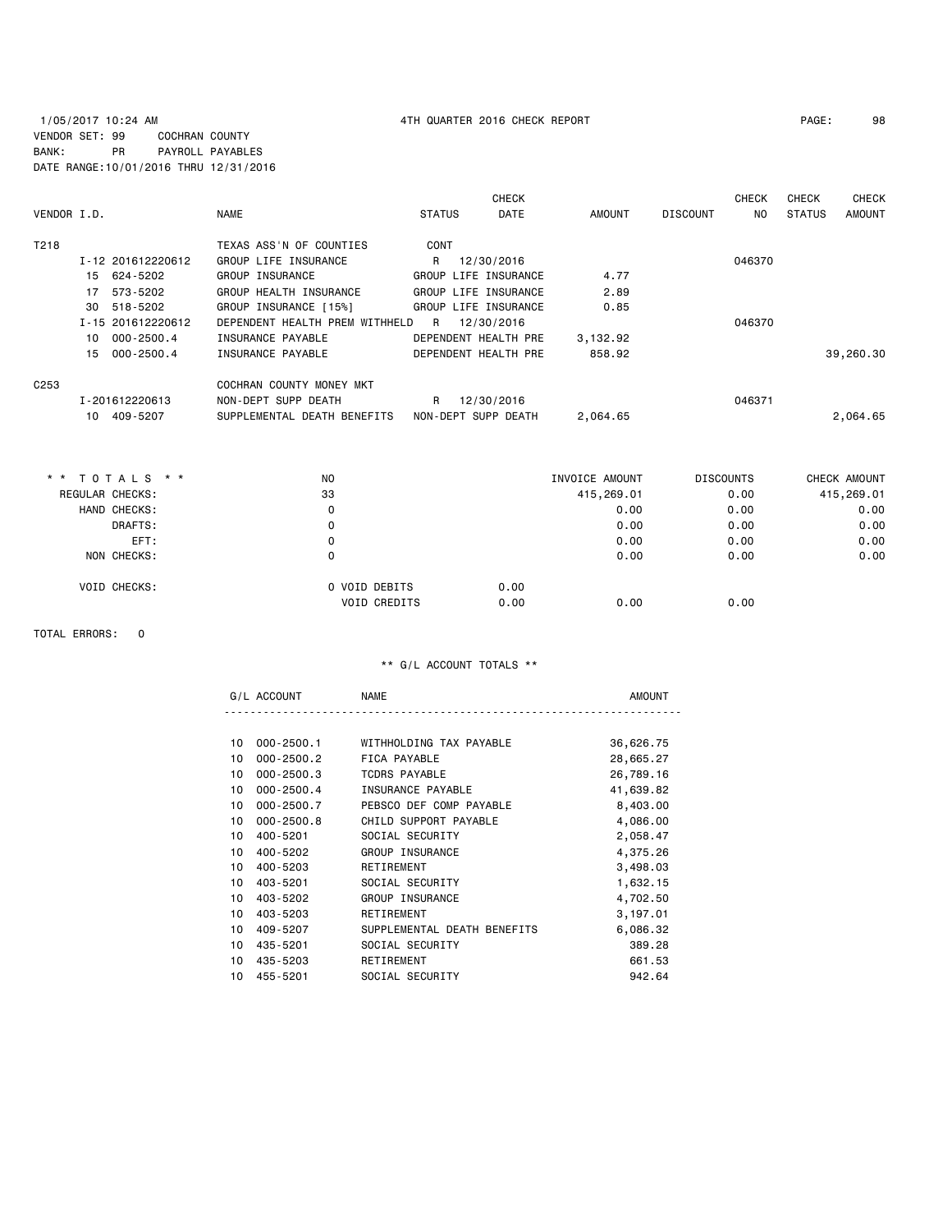# 1/05/2017 10:24 AM 4TH QUARTER 2016 CHECK REPORT PAGE: 98 VENDOR SET: 99 COCHRAN COUNTY BANK: PR PAYROLL PAYABLES DATE RANGE:10/01/2016 THRU 12/31/2016

| VENDOR I.D.       |              |                   | <b>NAME</b>                    | <b>STATUS</b> | <b>CHECK</b><br><b>DATE</b> | AMOUNT   | <b>DISCOUNT</b> | <b>CHECK</b><br>NO. | <b>CHECK</b><br><b>STATUS</b> | <b>CHECK</b><br><b>AMOUNT</b> |
|-------------------|--------------|-------------------|--------------------------------|---------------|-----------------------------|----------|-----------------|---------------------|-------------------------------|-------------------------------|
| T <sub>2</sub> 18 |              |                   | TEXAS ASS'N OF COUNTIES        | CONT          |                             |          |                 |                     |                               |                               |
|                   |              | I-12 201612220612 | GROUP LIFE INSURANCE           | R             | 12/30/2016                  |          |                 | 046370              |                               |                               |
|                   | 15           | 624-5202          | GROUP INSURANCE                |               | GROUP LIFE INSURANCE        | 4.77     |                 |                     |                               |                               |
|                   | 17           | 573-5202          | GROUP HEALTH INSURANCE         |               | GROUP LIFE INSURANCE        | 2.89     |                 |                     |                               |                               |
|                   | 30           | 518-5202          | GROUP INSURANCE [15%]          |               | GROUP LIFE INSURANCE        | 0.85     |                 |                     |                               |                               |
|                   |              | I-15 201612220612 | DEPENDENT HEALTH PREM WITHHELD | R.            | 12/30/2016                  |          |                 | 046370              |                               |                               |
|                   | 10           | $000 - 2500.4$    | INSURANCE PAYABLE              |               | DEPENDENT HEALTH PRE        | 3,132.92 |                 |                     |                               |                               |
|                   | $15^{\circ}$ | $000 - 2500.4$    | INSURANCE PAYABLE              |               | DEPENDENT HEALTH PRE        | 858.92   |                 |                     |                               | 39,260.30                     |
| C <sub>253</sub>  |              |                   | COCHRAN COUNTY MONEY MKT       |               |                             |          |                 |                     |                               |                               |
|                   |              | I-201612220613    | NON-DEPT<br>SUPP<br>DEATH      | R             | 12/30/2016                  |          |                 | 046371              |                               |                               |
|                   | 10           | 409-5207          | SUPPLEMENTAL DEATH BENEFITS    |               | NON-DEPT SUPP DEATH         | 2,064.65 |                 |                     |                               | 2,064.65                      |

| * * TOTALS * *      | N <sub>O</sub>      | INVOICE AMOUNT | <b>DISCOUNTS</b> | CHECK AMOUNT |
|---------------------|---------------------|----------------|------------------|--------------|
| REGULAR CHECKS:     | 33                  | 415,269.01     | 0.00             | 415,269.01   |
| HAND CHECKS:        | 0                   | 0.00           | 0.00             | 0.00         |
| DRAFTS:             | 0                   | 0.00           | 0.00             | 0.00         |
| EFT:                | 0                   | 0.00           | 0.00             | 0.00         |
| NON CHECKS:         | 0                   | 0.00           | 0.00             | 0.00         |
| <b>VOID CHECKS:</b> | 0 VOID DEBITS       | 0.00           |                  |              |
|                     | <b>VOID CREDITS</b> | 0.00<br>0.00   | 0.00             |              |

TOTAL ERRORS: 0

|    | G/L ACCOUNT    | <b>NAME</b>                 | <b>AMOUNT</b> |
|----|----------------|-----------------------------|---------------|
|    |                |                             |               |
| 10 | $000 - 2500.1$ | WITHHOLDING TAX PAYABLE     | 36,626.75     |
| 10 | $000 - 2500.2$ | <b>FICA PAYABLE</b>         | 28,665.27     |
| 10 | $000 - 2500.3$ | <b>TCDRS PAYABLE</b>        | 26,789.16     |
| 10 | $000 - 2500.4$ | INSURANCE PAYABLE           | 41,639.82     |
| 10 | $000 - 2500.7$ | PEBSCO DEF COMP PAYABLE     | 8,403.00      |
| 10 | $000 - 2500.8$ | CHILD SUPPORT PAYABLE       | 4,086.00      |
| 10 | 400-5201       | SOCIAL SECURITY             | 2,058.47      |
| 10 | 400-5202       | GROUP INSURANCE             | 4,375.26      |
| 10 | 400-5203       | RETIREMENT                  | 3,498.03      |
| 10 | 403-5201       | SOCIAL SECURITY             | 1,632.15      |
| 10 | 403-5202       | GROUP INSURANCE             | 4,702.50      |
| 10 | 403-5203       | RETIREMENT                  | 3,197.01      |
| 10 | 409-5207       | SUPPLEMENTAL DEATH BENEFITS | 6,086.32      |
| 10 | 435-5201       | SOCIAL SECURITY             | 389.28        |
| 10 | 435-5203       | RETIREMENT                  | 661.53        |
| 10 | 455-5201       | SOCIAL SECURITY             | 942.64        |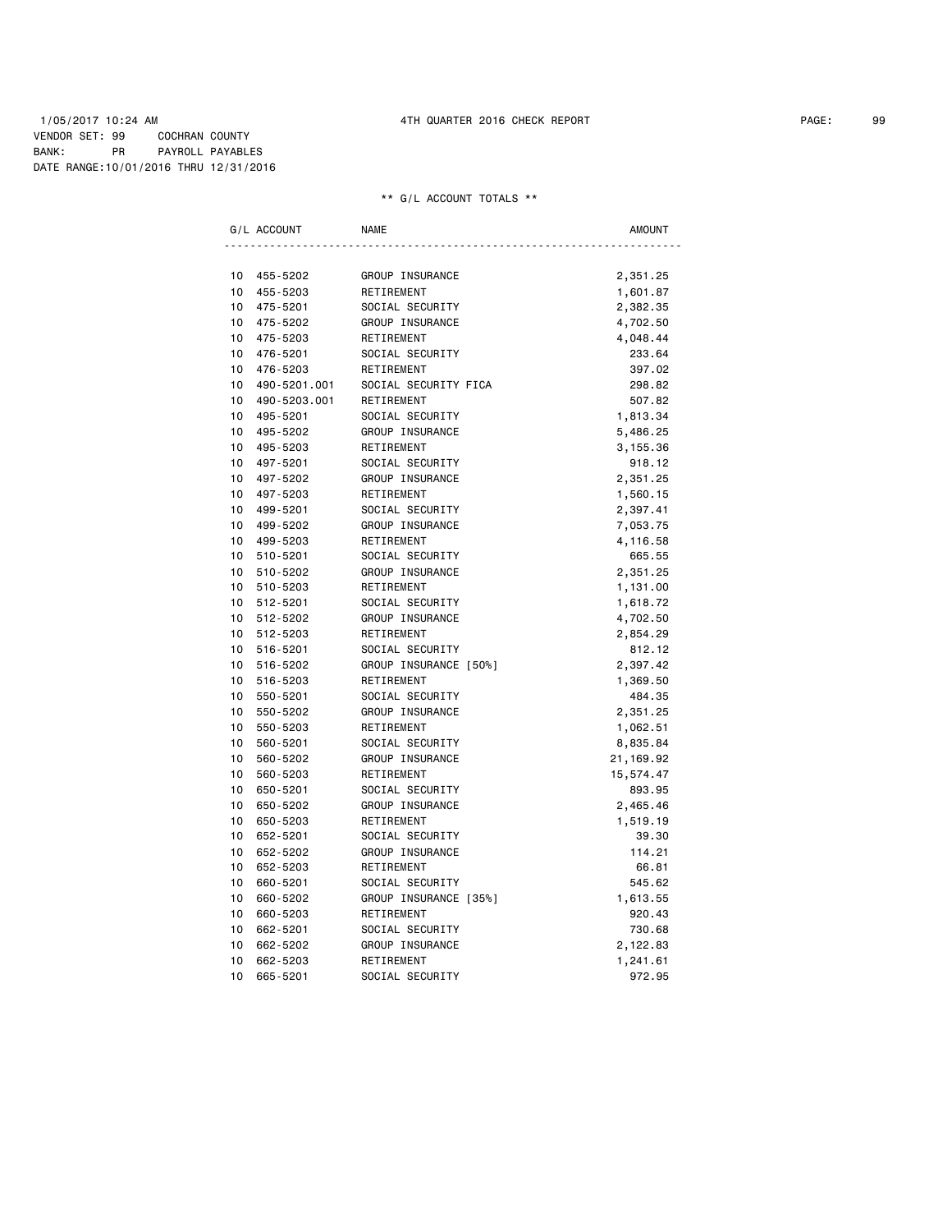### 1/05/2017 10:24 AM 4TH QUARTER 2016 CHECK REPORT PAGE: 99 VENDOR SET: 99 COCHRAN COUNTY BANK: PR PAYROLL PAYABLES DATE RANGE:10/01/2016 THRU 12/31/2016

|          | G/L ACCOUNT  | <b>NAME</b>           | <b>AMOUNT</b> |
|----------|--------------|-----------------------|---------------|
|          |              |                       |               |
| 10       | 455-5202     | GROUP INSURANCE       | 2,351.25      |
| 10<br>10 | 455-5203     | RETIREMENT            | 1,601.87      |
|          | 475-5201     | SOCIAL SECURITY       | 2,382.35      |
| 10       | 475-5202     | GROUP INSURANCE       | 4,702.50      |
| 10       | 475-5203     | RETIREMENT            | 4,048.44      |
| 10       | 476-5201     | SOCIAL SECURITY       | 233.64        |
| 10       | 476-5203     | RETIREMENT            | 397.02        |
| 10       | 490-5201.001 | SOCIAL SECURITY FICA  | 298.82        |
| 10       | 490-5203.001 | RETIREMENT            | 507.82        |
| 10       | 495-5201     | SOCIAL SECURITY       | 1,813.34      |
| 10       | 495-5202     | GROUP INSURANCE       | 5,486.25      |
| 10       | 495-5203     | RETIREMENT            | 3,155.36      |
| 10       | 497-5201     | SOCIAL SECURITY       | 918.12        |
| 10       | 497-5202     | GROUP INSURANCE       | 2,351.25      |
| 10       | 497-5203     | RETIREMENT            | 1,560.15      |
| 10       | 499-5201     | SOCIAL SECURITY       | 2,397.41      |
| 10       | 499-5202     | GROUP INSURANCE       | 7,053.75      |
| 10       | 499-5203     | RETIREMENT            | 4,116.58      |
| 10       | 510-5201     | SOCIAL SECURITY       | 665.55        |
| 10       | 510-5202     | GROUP INSURANCE       | 2,351.25      |
| 10       | 510-5203     | RETIREMENT            | 1,131.00      |
| 10       | 512-5201     | SOCIAL SECURITY       | 1,618.72      |
| 10       | 512-5202     | GROUP INSURANCE       | 4,702.50      |
| 10       | 512-5203     | RETIREMENT            | 2,854.29      |
| 10       | 516-5201     | SOCIAL SECURITY       | 812.12        |
| 10       | 516-5202     | GROUP INSURANCE [50%] | 2,397.42      |
| 10       | 516-5203     | RETIREMENT            | 1,369.50      |
| 10       | 550-5201     | SOCIAL SECURITY       | 484.35        |
| 10       | 550-5202     | GROUP INSURANCE       | 2,351.25      |
| 10       | 550-5203     | RETIREMENT            | 1,062.51      |
| 10       | 560-5201     | SOCIAL SECURITY       | 8,835.84      |
| 10       | 560-5202     | GROUP INSURANCE       | 21,169.92     |
| 10       | 560-5203     | RETIREMENT            | 15,574.47     |
| 10       | 650-5201     | SOCIAL SECURITY       | 893.95        |
| 10       | 650-5202     | GROUP INSURANCE       | 2,465.46      |
| 10       | 650-5203     | RETIREMENT            | 1,519.19      |
| 10       | 652-5201     | SOCIAL SECURITY       | 39.30         |
| 10       | 652-5202     | GROUP INSURANCE       | 114.21        |
| 10       | 652-5203     | RETIREMENT            | 66.81         |
| 10       | 660-5201     | SOCIAL SECURITY       | 545.62        |
| 10       | 660-5202     | GROUP INSURANCE [35%] | 1,613.55      |
| 10       | 660-5203     | RETIREMENT            | 920.43        |
| 10       | 662-5201     | SOCIAL SECURITY       | 730.68        |
| 10       | 662-5202     | GROUP INSURANCE       | 2,122.83      |
| 10       | 662-5203     | RETIREMENT            | 1,241.61      |
| 10       | 665-5201     | SOCIAL SECURITY       | 972.95        |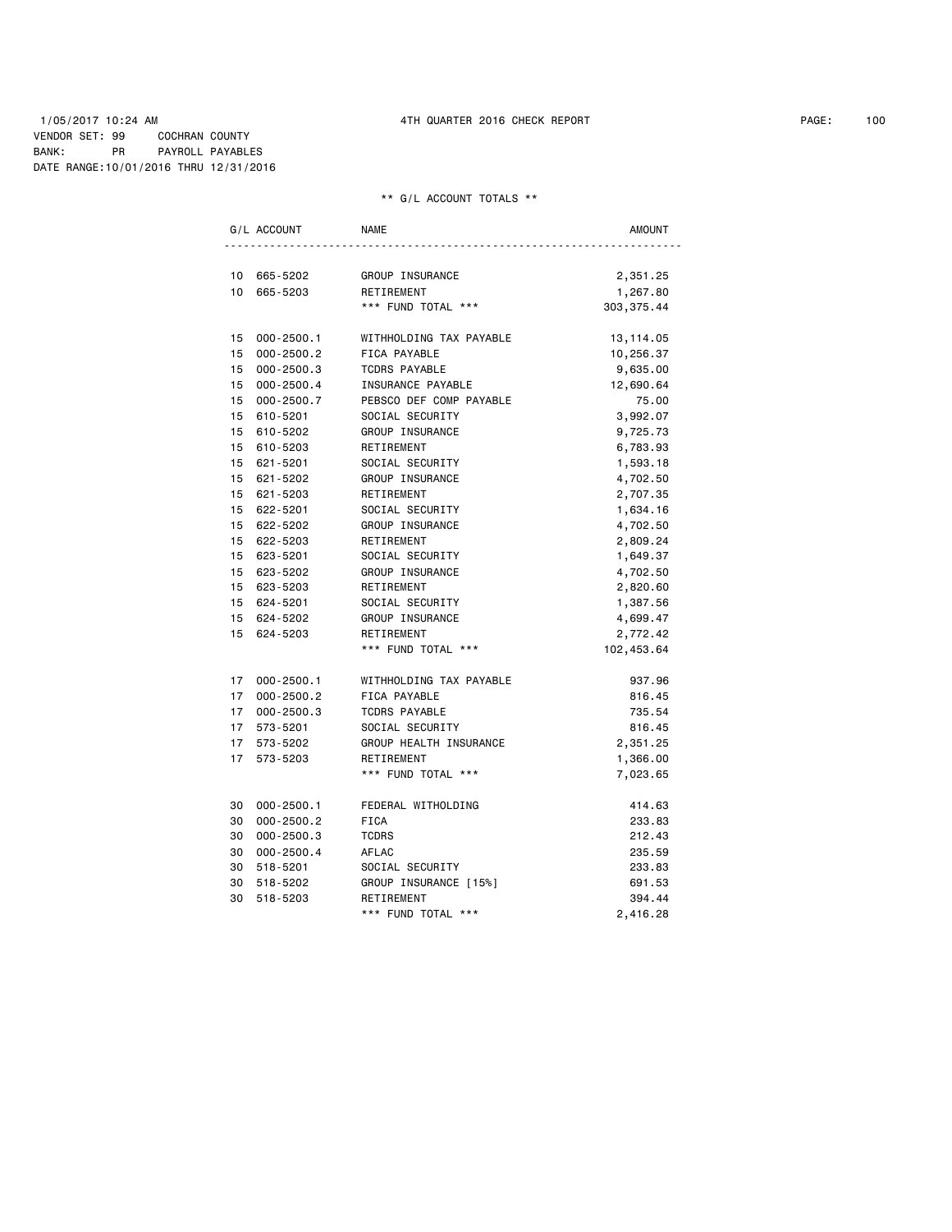### 1/05/2017 10:24 AM 4TH QUARTER 2016 CHECK REPORT PAGE: 100 VENDOR SET: 99 COCHRAN COUNTY BANK: PR PAYROLL PAYABLES DATE RANGE:10/01/2016 THRU 12/31/2016

|                 | G/L ACCOUNT    | <b>NAME</b>             | <b>AMOUNT</b> |
|-----------------|----------------|-------------------------|---------------|
| 10              | 665-5202       | GROUP INSURANCE         | 2,351.25      |
| 10              | 665-5203       | RETIREMENT              | 1,267.80      |
|                 |                | *** FUND TOTAL ***      | 303, 375.44   |
| 15              | $000 - 2500.1$ | WITHHOLDING TAX PAYABLE | 13,114.05     |
| 15              | $000 - 2500.2$ | FICA PAYABLE            | 10,256.37     |
| 15              | $000 - 2500.3$ | <b>TCDRS PAYABLE</b>    | 9,635.00      |
| 15              | $000 - 2500.4$ | INSURANCE PAYABLE       | 12,690.64     |
| 15              | 000-2500.7     | PEBSCO DEF COMP PAYABLE | 75.00         |
| 15 <sub>1</sub> | 610-5201       | SOCIAL SECURITY         | 3,992.07      |
| 15              | 610-5202       | GROUP INSURANCE         | 9,725.73      |
| 15              | 610-5203       | RETIREMENT              | 6,783.93      |
| 15              | 621-5201       | SOCIAL SECURITY         | 1,593.18      |
| 15              | 621-5202       | GROUP INSURANCE         | 4,702.50      |
| 15              | 621-5203       | RETIREMENT              | 2,707.35      |
|                 | 15 622-5201    | SOCIAL SECURITY         | 1,634.16      |
| 15              | 622-5202       | GROUP INSURANCE         | 4,702.50      |
| 15              | 622-5203       | RETIREMENT              | 2,809.24      |
|                 | 15 623-5201    | SOCIAL SECURITY         | 1,649.37      |
| 15              | 623-5202       | GROUP INSURANCE         | 4,702.50      |
|                 | 15 623-5203    | RETIREMENT              | 2,820.60      |
|                 | 15 624-5201    | SOCIAL SECURITY         | 1,387.56      |
| 15              | 624-5202       | GROUP INSURANCE         | 4,699.47      |
| 15              | 624-5203       | RETIREMENT              | 2,772.42      |
|                 |                | *** FUND TOTAL ***      | 102,453.64    |
| 17              | $000 - 2500.1$ | WITHHOLDING TAX PAYABLE | 937.96        |
| 17              | $000 - 2500.2$ | FICA PAYABLE            | 816.45        |
| 17 <sup>7</sup> | $000 - 2500.3$ | <b>TCDRS PAYABLE</b>    | 735.54        |
| 17              | 573-5201       | SOCIAL SECURITY         | 816.45        |
| 17 <sup>7</sup> | 573-5202       | GROUP HEALTH INSURANCE  | 2,351.25      |
| 17              | 573-5203       | RETIREMENT              | 1,366.00      |
|                 |                | *** FUND TOTAL ***      | 7,023.65      |
| 30              | $000 - 2500.1$ | FEDERAL WITHOLDING      | 414.63        |
| 30              | $000 - 2500.2$ | <b>FICA</b>             | 233.83        |
| 30              | $000 - 2500.3$ | <b>TCDRS</b>            | 212.43        |
| 30              | $000 - 2500.4$ | AFLAC                   | 235.59        |
| 30              | 518-5201       | SOCIAL SECURITY         | 233.83        |
| 30              | 518-5202       | GROUP INSURANCE [15%]   | 691.53        |
| 30              | 518-5203       | RETIREMENT              | 394.44        |
|                 |                | *** FUND TOTAL ***      | 2,416.28      |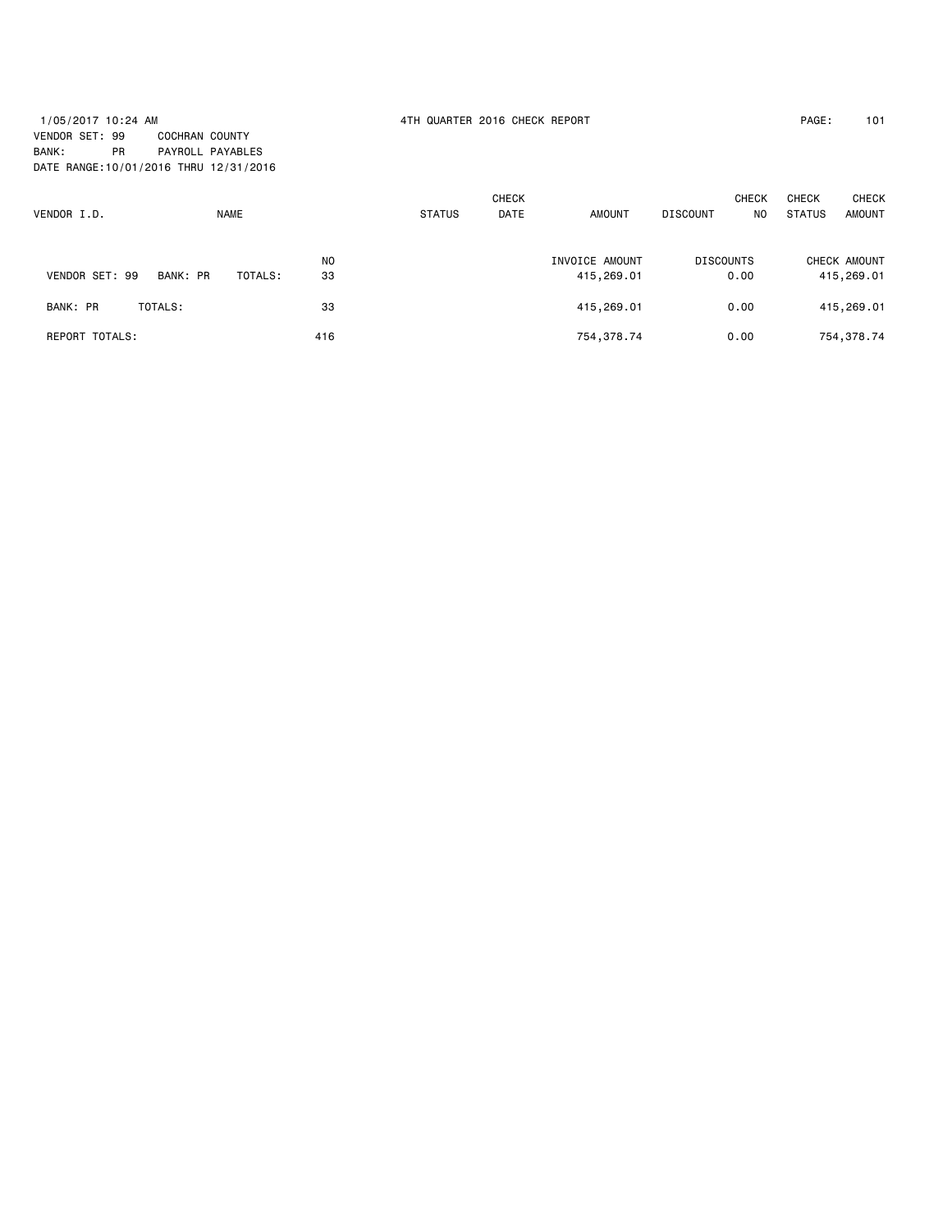# 1/05/2017 10:24 AM 4TH QUARTER 2016 CHECK REPORT PAGE: 101 VENDOR SET: 99 COCHRAN COUNTY BANK: PR PAYROLL PAYABLES DATE RANGE:10/01/2016 THRU 12/31/2016

|                       |          |             |                |               | <b>CHECK</b> |                |                       | <b>CHECK</b> | <b>CHECK</b>  | <b>CHECK</b> |
|-----------------------|----------|-------------|----------------|---------------|--------------|----------------|-----------------------|--------------|---------------|--------------|
| VENDOR I.D.           |          | <b>NAME</b> |                | <b>STATUS</b> | <b>DATE</b>  |                | <b>DISCOUNT</b><br>NO |              | <b>STATUS</b> | AMOUNT       |
|                       |          |             | N <sub>O</sub> |               |              | INVOICE AMOUNT | <b>DISCOUNTS</b>      |              |               | CHECK AMOUNT |
| VENDOR SET: 99        | BANK: PR | TOTALS:     | 33             |               |              | 415,269.01     |                       | 0.00         |               | 415,269.01   |
| BANK: PR              | TOTALS:  |             | 33             |               |              | 415,269.01     |                       | 0.00         |               | 415,269.01   |
| <b>REPORT TOTALS:</b> |          |             | 416            |               |              | 754, 378.74    |                       | 0.00         |               | 754,378.74   |